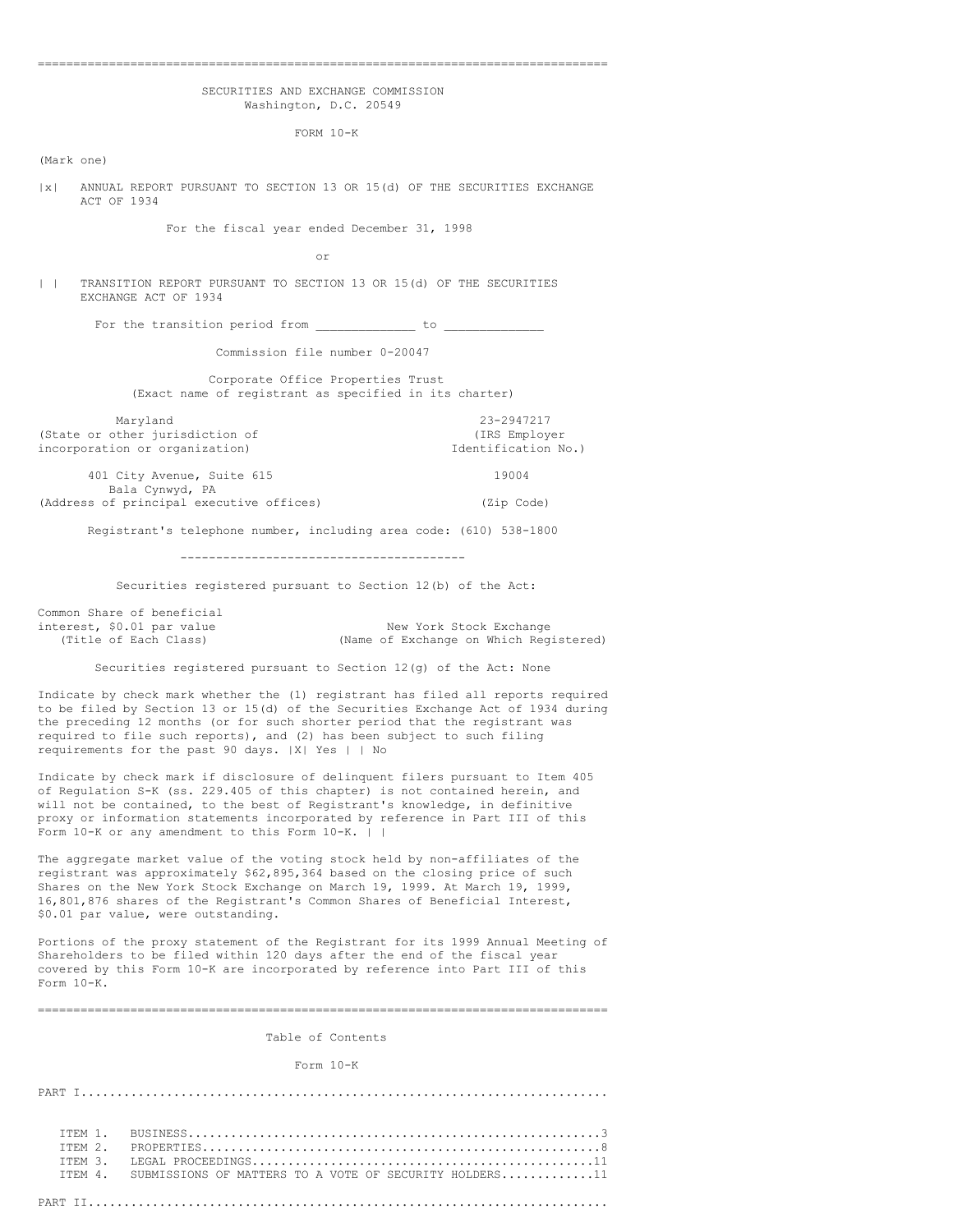### ================================================================================

### SECURITIES AND EXCHANGE COMMISSION Washington, D.C. 20549

FORM 10-K

(Mark one)

|x| ANNUAL REPORT PURSUANT TO SECTION 13 OR 15(d) OF THE SECURITIES EXCHANGE ACT OF 1934

For the fiscal year ended December 31, 1998

or

| | TRANSITION REPORT PURSUANT TO SECTION 13 OR 15(d) OF THE SECURITIES EXCHANGE ACT OF 1934

For the transition period from  $\qquad \qquad$  to  $\qquad$ 

Commission file number 0-20047

Corporate Office Properties Trust (Exact name of registrant as specified in its charter)

Maryland 23-2947217<br>
External primarisation of the contraction of the contraction of the contraction of the contraction of the contraction of the contraction of the contraction of the contraction of the contraction of the (State or other jurisdiction of  $(IRS\ Em\n Information\ One)$  (IRS Employer incorporation or organization) incorporation or organization)

401 City Avenue, Suite 615 19004 Bala Cynwyd, PA (Address of principal executive offices) (Zip Code)

Registrant's telephone number, including area code: (610) 538-1800

----------------------------------------

Securities registered pursuant to Section 12(b) of the Act:

Common Share of beneficial

interest, \$0.01 par value New York Stock Exchange<br>(Title of Each Class) (Name of Exchange on Which Reg (Name of Exchange on Which Registered)

Securities registered pursuant to Section 12(g) of the Act: None

Indicate by check mark whether the (1) registrant has filed all reports required to be filed by Section 13 or 15(d) of the Securities Exchange Act of 1934 during the preceding 12 months (or for such shorter period that the registrant was required to file such reports), and (2) has been subject to such filing requirements for the past 90 days. |X| Yes | | No

Indicate by check mark if disclosure of delinquent filers pursuant to Item 405 of Regulation S-K (ss. 229.405 of this chapter) is not contained herein, and will not be contained, to the best of Registrant's knowledge, in definitive proxy or information statements incorporated by reference in Part III of this Form 10-K or any amendment to this Form 10-K. | |

The aggregate market value of the voting stock held by non-affiliates of the registrant was approximately \$62,895,364 based on the closing price of such Shares on the New York Stock Exchange on March 19, 1999. At March 19, 1999, 16,801,876 shares of the Registrant's Common Shares of Beneficial Interest, \$0.01 par value, were outstanding.

Portions of the proxy statement of the Registrant for its 1999 Annual Meeting of Shareholders to be filed within 120 days after the end of the fiscal year covered by this Form 10-K are incorporated by reference into Part III of this Form 10-K.

================================================================================

Table of Contents

Form 10-K

PART I.......................................................................... ITEM 1. BUSINESS..........................................................3 ITEM 2. PROPERTIES........................................................8 ITEM 3. LEGAL PROCEEDINGS................................................11 SUBMISSIONS OF MATTERS TO A VOTE OF SECURITY HOLDERS.............11 PART II.........................................................................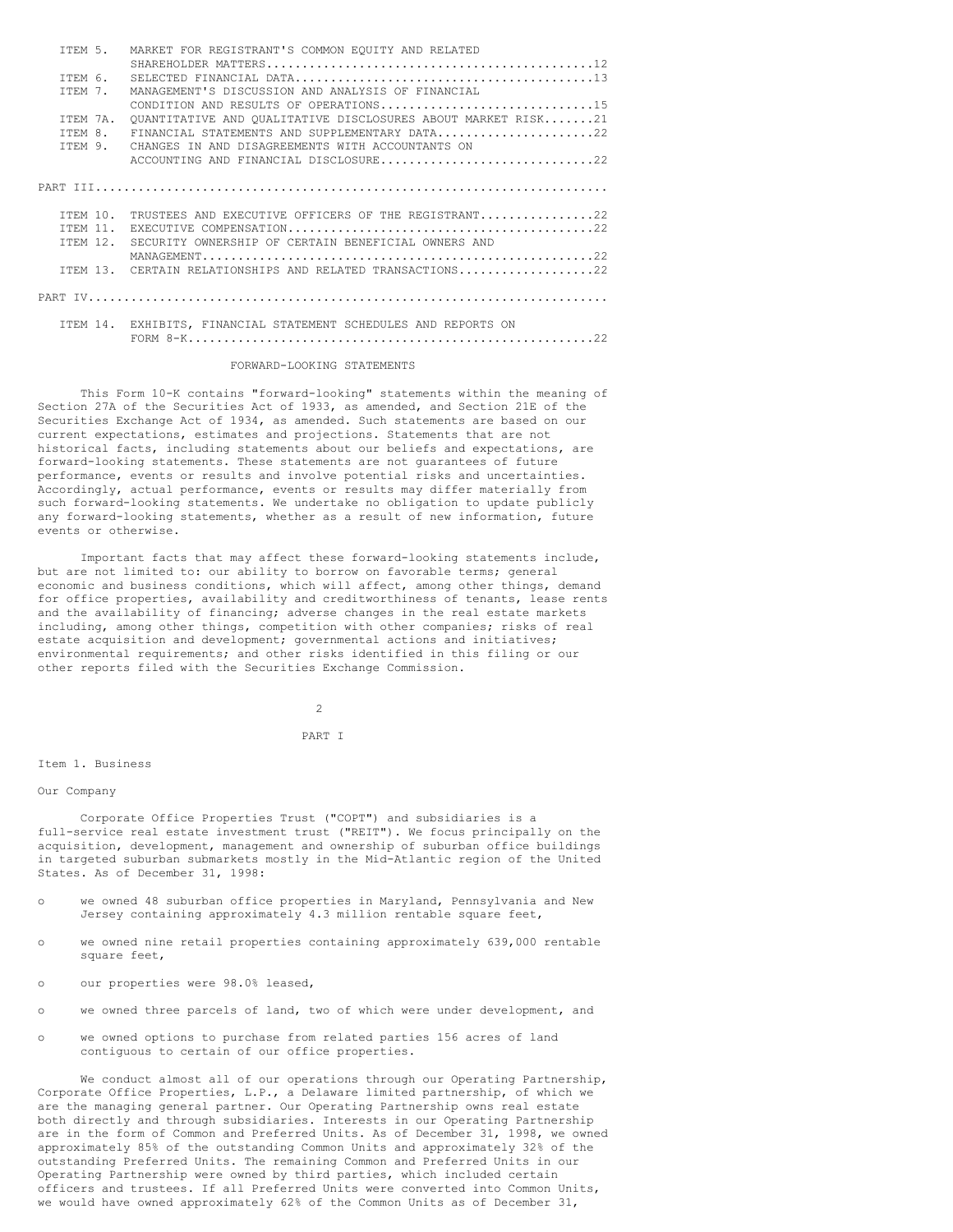| TTEM 5.         | MARKET FOR REGISTRANT'S COMMON EOUITY AND RELATED               |
|-----------------|-----------------------------------------------------------------|
|                 |                                                                 |
| TTEM 6.         |                                                                 |
| TTEM 7.         | MANAGEMENT'S DISCUSSION AND ANALYSIS OF FINANCIAL               |
|                 | CONDITION AND RESULTS OF OPERATIONS15                           |
| TTEM 7A.        | OUANTITATIVE AND OUALITATIVE DISCLOSURES ABOUT MARKET RISK21    |
| TTEM 8.         | FINANCIAL STATEMENTS AND SUPPLEMENTARY DATA22                   |
| TTEM 9.         | CHANGES IN AND DISAGREEMENTS WITH ACCOUNTANTS ON                |
|                 | ACCOUNTING AND FINANCIAL DISCLOSURE22                           |
|                 |                                                                 |
|                 |                                                                 |
|                 |                                                                 |
| TTEM 10.        | TRUSTEES AND EXECUTIVE OFFICERS OF THE REGISTRANT22             |
| <b>TTEM 11.</b> |                                                                 |
| <b>TTEM 12.</b> | SECURITY OWNERSHIP OF CERTAIN BENEFICIAL OWNERS AND             |
|                 |                                                                 |
|                 | ITEM 13. CERTAIN RELATIONSHIPS AND RELATED TRANSACTIONS22       |
|                 |                                                                 |
|                 |                                                                 |
|                 |                                                                 |
|                 | ITEM 14. EXHIBITS, FINANCIAL STATEMENT SCHEDULES AND REPORTS ON |
|                 |                                                                 |

### FORWARD-LOOKING STATEMENTS

This Form 10-K contains "forward-looking" statements within the meaning of Section 27A of the Securities Act of 1933, as amended, and Section 21E of the Securities Exchange Act of 1934, as amended. Such statements are based on our current expectations, estimates and projections. Statements that are not historical facts, including statements about our beliefs and expectations, are forward-looking statements. These statements are not guarantees of future performance, events or results and involve potential risks and uncertainties. Accordingly, actual performance, events or results may differ materially from such forward-looking statements. We undertake no obligation to update publicly any forward-looking statements, whether as a result of new information, future events or otherwise.

Important facts that may affect these forward-looking statements include, but are not limited to: our ability to borrow on favorable terms; general economic and business conditions, which will affect, among other things, demand for office properties, availability and creditworthiness of tenants, lease rents and the availability of financing; adverse changes in the real estate markets including, among other things, competition with other companies; risks of real estate acquisition and development; governmental actions and initiatives; environmental requirements; and other risks identified in this filing or our other reports filed with the Securities Exchange Commission.

 $\overline{2}$ 

# PART I

### Item 1. Business

### Our Company

Corporate Office Properties Trust ("COPT") and subsidiaries is a full-service real estate investment trust ("REIT"). We focus principally on the acquisition, development, management and ownership of suburban office buildings in targeted suburban submarkets mostly in the Mid-Atlantic region of the United States. As of December 31, 1998:

- o we owned 48 suburban office properties in Maryland, Pennsylvania and New Jersey containing approximately 4.3 million rentable square feet,
- o we owned nine retail properties containing approximately 639,000 rentable square feet,
- o our properties were 98.0% leased,
- o we owned three parcels of land, two of which were under development, and
- o we owned options to purchase from related parties 156 acres of land contiguous to certain of our office properties.

We conduct almost all of our operations through our Operating Partnership, Corporate Office Properties, L.P., a Delaware limited partnership, of which we are the managing general partner. Our Operating Partnership owns real estate both directly and through subsidiaries. Interests in our Operating Partnership are in the form of Common and Preferred Units. As of December 31, 1998, we owned approximately 85% of the outstanding Common Units and approximately 32% of the outstanding Preferred Units. The remaining Common and Preferred Units in our Operating Partnership were owned by third parties, which included certain officers and trustees. If all Preferred Units were converted into Common Units, we would have owned approximately 62% of the Common Units as of December 31,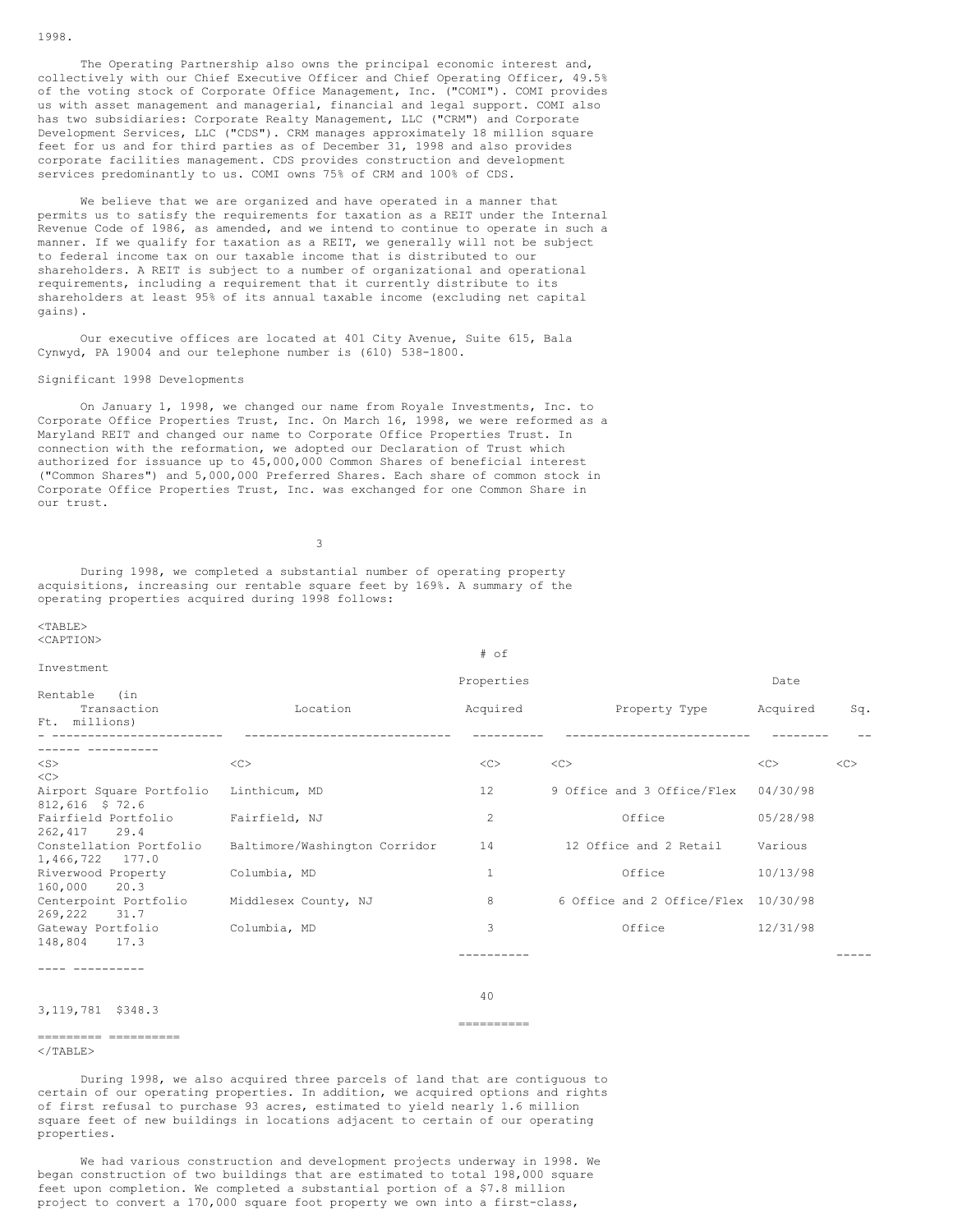The Operating Partnership also owns the principal economic interest and, collectively with our Chief Executive Officer and Chief Operating Officer, 49.5% of the voting stock of Corporate Office Management, Inc. ("COMI"). COMI provides us with asset management and managerial, financial and legal support. COMI also has two subsidiaries: Corporate Realty Management, LLC ("CRM") and Corporate Development Services, LLC ("CDS"). CRM manages approximately 18 million square feet for us and for third parties as of December 31, 1998 and also provides corporate facilities management. CDS provides construction and development services predominantly to us. COMI owns 75% of CRM and 100% of CDS.

We believe that we are organized and have operated in a manner that permits us to satisfy the requirements for taxation as a REIT under the Internal Revenue Code of 1986, as amended, and we intend to continue to operate in such a manner. If we qualify for taxation as a REIT, we generally will not be subject to federal income tax on our taxable income that is distributed to our shareholders. A REIT is subject to a number of organizational and operational requirements, including a requirement that it currently distribute to its shareholders at least 95% of its annual taxable income (excluding net capital gains).

Our executive offices are located at 401 City Avenue, Suite 615, Bala Cynwyd, PA 19004 and our telephone number is (610) 538-1800.

### Significant 1998 Developments

On January 1, 1998, we changed our name from Royale Investments, Inc. to Corporate Office Properties Trust, Inc. On March 16, 1998, we were reformed as a Maryland REIT and changed our name to Corporate Office Properties Trust. In connection with the reformation, we adopted our Declaration of Trust which authorized for issuance up to 45,000,000 Common Shares of beneficial interest ("Common Shares") and 5,000,000 Preferred Shares. Each share of common stock in Corporate Office Properties Trust, Inc. was exchanged for one Common Share in our trust.

3

During 1998, we completed a substantial number of operating property acquisitions, increasing our rentable square feet by 169%. A summary of the operating properties acquired during 1998 follows:

### $<$ TABLE> <CAPTION>

| Investment                                      |                               |                |                                     |          |     |
|-------------------------------------------------|-------------------------------|----------------|-------------------------------------|----------|-----|
|                                                 |                               | Properties     |                                     | Date     |     |
| Rentable<br>(in<br>Transaction<br>Ft. millions) | Location                      | Acquired       | Property Type                       | Acquired | Sq. |
|                                                 |                               |                |                                     |          |     |
| $<$ S $>$<br><<>                                | <<                            | <<             | <<                                  | <<       | <<  |
| Airport Square Portfolio<br>812,616 \$ 72.6     | Linthicum, MD                 | 12             | 9 Office and 3 Office/Flex          | 04/30/98 |     |
| Fairfield Portfolio<br>262.417<br>29.4          | Fairfield, NJ                 | $\overline{c}$ | Office                              | 05/28/98 |     |
| Constellation Portfolio<br>1,466,722 177.0      | Baltimore/Washington Corridor | 14             | 12 Office and 2 Retail              | Various  |     |
| Riverwood Property<br>160,000<br>20.3           | Columbia, MD                  | 1              | Office                              | 10/13/98 |     |
| Centerpoint Portfolio<br>269.222<br>31.7        | Middlesex County, NJ          | 8              | 6 Office and 2 Office/Flex 10/30/98 |          |     |
| Gateway Portfolio<br>148,804<br>17.3            | Columbia, MD                  | 3              | Office                              | 12/31/98 |     |
|                                                 |                               |                |                                     |          |     |

# of

#### ---- ----------

### 3,119,781 \$348.3

40 ==========

---------- -----

### =====================

</TABLE>

During 1998, we also acquired three parcels of land that are contiguous to certain of our operating properties. In addition, we acquired options and rights of first refusal to purchase 93 acres, estimated to yield nearly 1.6 million square feet of new buildings in locations adjacent to certain of our operating properties.

We had various construction and development projects underway in 1998. We began construction of two buildings that are estimated to total 198,000 square feet upon completion. We completed a substantial portion of a \$7.8 million project to convert a 170,000 square foot property we own into a first-class,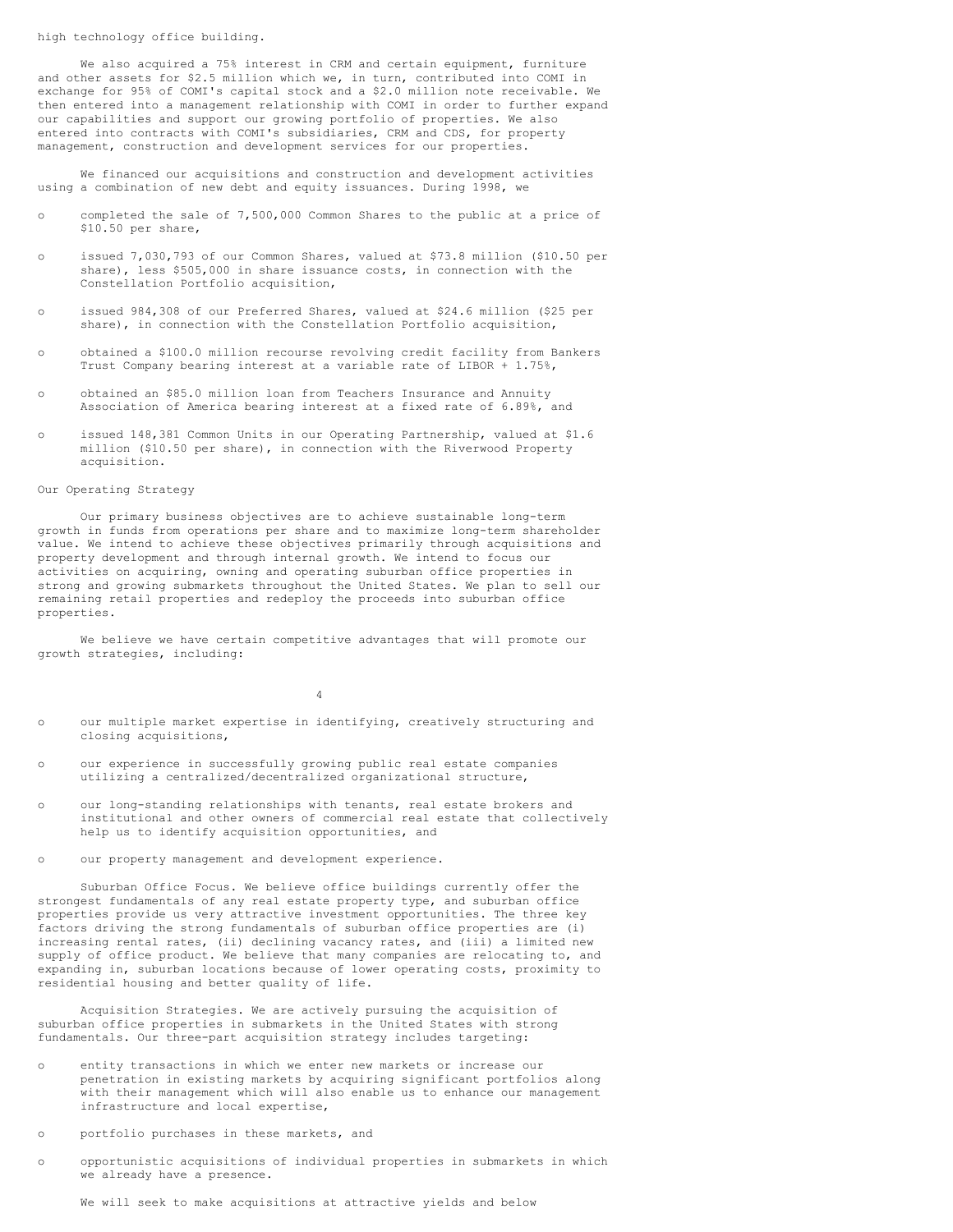high technology office building.

We also acquired a 75% interest in CRM and certain equipment, furniture and other assets for \$2.5 million which we, in turn, contributed into COMI in exchange for 95% of COMI's capital stock and a \$2.0 million note receivable. We then entered into a management relationship with COMI in order to further expand our capabilities and support our growing portfolio of properties. We also entered into contracts with COMI's subsidiaries, CRM and CDS, for property management, construction and development services for our properties.

We financed our acquisitions and construction and development activities using a combination of new debt and equity issuances. During 1998, we

- o completed the sale of 7,500,000 Common Shares to the public at a price of \$10.50 per share,
- o issued 7,030,793 of our Common Shares, valued at \$73.8 million (\$10.50 per share), less \$505,000 in share issuance costs, in connection with the Constellation Portfolio acquisition,
- o issued 984,308 of our Preferred Shares, valued at \$24.6 million (\$25 per share), in connection with the Constellation Portfolio acquisition,
- o obtained a \$100.0 million recourse revolving credit facility from Bankers Trust Company bearing interest at a variable rate of LIBOR + 1.75%,
- o obtained an \$85.0 million loan from Teachers Insurance and Annuity Association of America bearing interest at a fixed rate of 6.89%, and
- o issued 148,381 Common Units in our Operating Partnership, valued at \$1.6 million (\$10.50 per share), in connection with the Riverwood Property acquisition.

# Our Operating Strategy

Our primary business objectives are to achieve sustainable long-term growth in funds from operations per share and to maximize long-term shareholder value. We intend to achieve these objectives primarily through acquisitions and property development and through internal growth. We intend to focus our activities on acquiring, owning and operating suburban office properties in strong and growing submarkets throughout the United States. We plan to sell our remaining retail properties and redeploy the proceeds into suburban office properties.

We believe we have certain competitive advantages that will promote our growth strategies, including:

4

- o our multiple market expertise in identifying, creatively structuring and closing acquisitions,
- o our experience in successfully growing public real estate companies utilizing a centralized/decentralized organizational structure,
- o our long-standing relationships with tenants, real estate brokers and institutional and other owners of commercial real estate that collectively help us to identify acquisition opportunities, and
- o our property management and development experience.

Suburban Office Focus. We believe office buildings currently offer the strongest fundamentals of any real estate property type, and suburban office properties provide us very attractive investment opportunities. The three key factors driving the strong fundamentals of suburban office properties are (i) increasing rental rates, (ii) declining vacancy rates, and (iii) a limited new supply of office product. We believe that many companies are relocating to, and expanding in, suburban locations because of lower operating costs, proximity to residential housing and better quality of life.

Acquisition Strategies. We are actively pursuing the acquisition of suburban office properties in submarkets in the United States with strong fundamentals. Our three-part acquisition strategy includes targeting:

- o entity transactions in which we enter new markets or increase our penetration in existing markets by acquiring significant portfolios along with their management which will also enable us to enhance our management infrastructure and local expertise,
- o portfolio purchases in these markets, and
- o opportunistic acquisitions of individual properties in submarkets in which we already have a presence.

We will seek to make acquisitions at attractive yields and below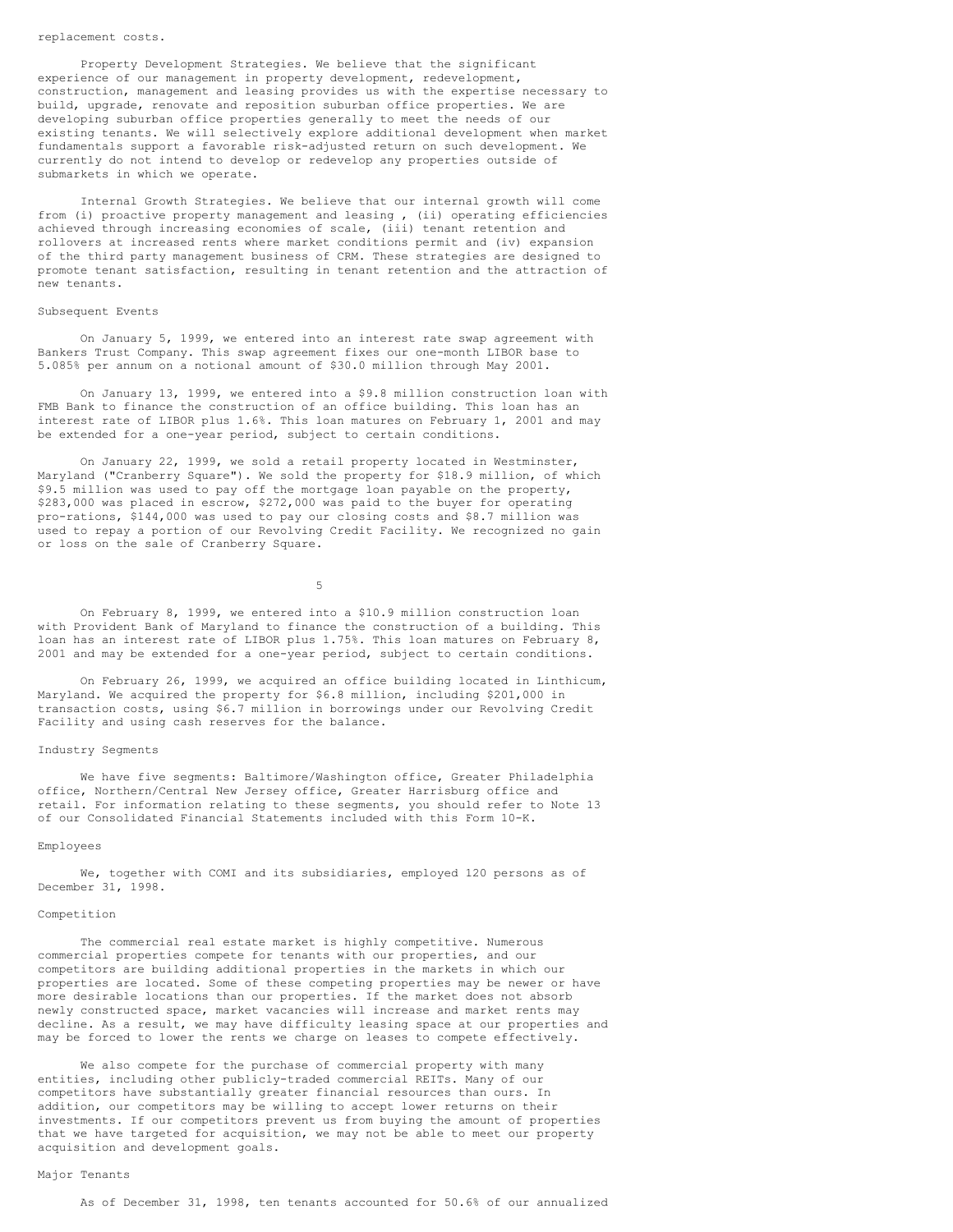### replacement costs.

Property Development Strategies. We believe that the significant experience of our management in property development, redevelopment, construction, management and leasing provides us with the expertise necessary to build, upgrade, renovate and reposition suburban office properties. We are developing suburban office properties generally to meet the needs of our existing tenants. We will selectively explore additional development when market fundamentals support a favorable risk-adjusted return on such development. We currently do not intend to develop or redevelop any properties outside of submarkets in which we operate.

Internal Growth Strategies. We believe that our internal growth will come from (i) proactive property management and leasing , (ii) operating efficiencies achieved through increasing economies of scale, (iii) tenant retention and rollovers at increased rents where market conditions permit and (iv) expansion of the third party management business of CRM. These strategies are designed to promote tenant satisfaction, resulting in tenant retention and the attraction of new tenants.

### Subsequent Events

On January 5, 1999, we entered into an interest rate swap agreement with Bankers Trust Company. This swap agreement fixes our one-month LIBOR base to 5.085% per annum on a notional amount of \$30.0 million through May 2001.

On January 13, 1999, we entered into a \$9.8 million construction loan with FMB Bank to finance the construction of an office building. This loan has an interest rate of LIBOR plus 1.6%. This loan matures on February 1, 2001 and may be extended for a one-year period, subject to certain conditions.

On January 22, 1999, we sold a retail property located in Westminster, Maryland ("Cranberry Square"). We sold the property for \$18.9 million, of which \$9.5 million was used to pay off the mortgage loan payable on the property, \$283,000 was placed in escrow, \$272,000 was paid to the buyer for operating pro-rations, \$144,000 was used to pay our closing costs and \$8.7 million was used to repay a portion of our Revolving Credit Facility. We recognized no gain or loss on the sale of Cranberry Square.

5

On February 8, 1999, we entered into a \$10.9 million construction loan with Provident Bank of Maryland to finance the construction of a building. This loan has an interest rate of LIBOR plus 1.75%. This loan matures on February 8, 2001 and may be extended for a one-year period, subject to certain conditions.

On February 26, 1999, we acquired an office building located in Linthicum, Maryland. We acquired the property for \$6.8 million, including \$201,000 in transaction costs, using \$6.7 million in borrowings under our Revolving Credit Facility and using cash reserves for the balance.

### Industry Segments

We have five segments: Baltimore/Washington office, Greater Philadelphia office, Northern/Central New Jersey office, Greater Harrisburg office and retail. For information relating to these segments, you should refer to Note 13 of our Consolidated Financial Statements included with this Form 10-K.

### Employees

We, together with COMI and its subsidiaries, employed 120 persons as of December 31, 1998.

### Competition

The commercial real estate market is highly competitive. Numerous commercial properties compete for tenants with our properties, and our competitors are building additional properties in the markets in which our properties are located. Some of these competing properties may be newer or have more desirable locations than our properties. If the market does not absorb newly constructed space, market vacancies will increase and market rents may decline. As a result, we may have difficulty leasing space at our properties and may be forced to lower the rents we charge on leases to compete effectively.

We also compete for the purchase of commercial property with many entities, including other publicly-traded commercial REITs. Many of our competitors have substantially greater financial resources than ours. In addition, our competitors may be willing to accept lower returns on their investments. If our competitors prevent us from buying the amount of properties that we have targeted for acquisition, we may not be able to meet our property acquisition and development goals.

# Major Tenants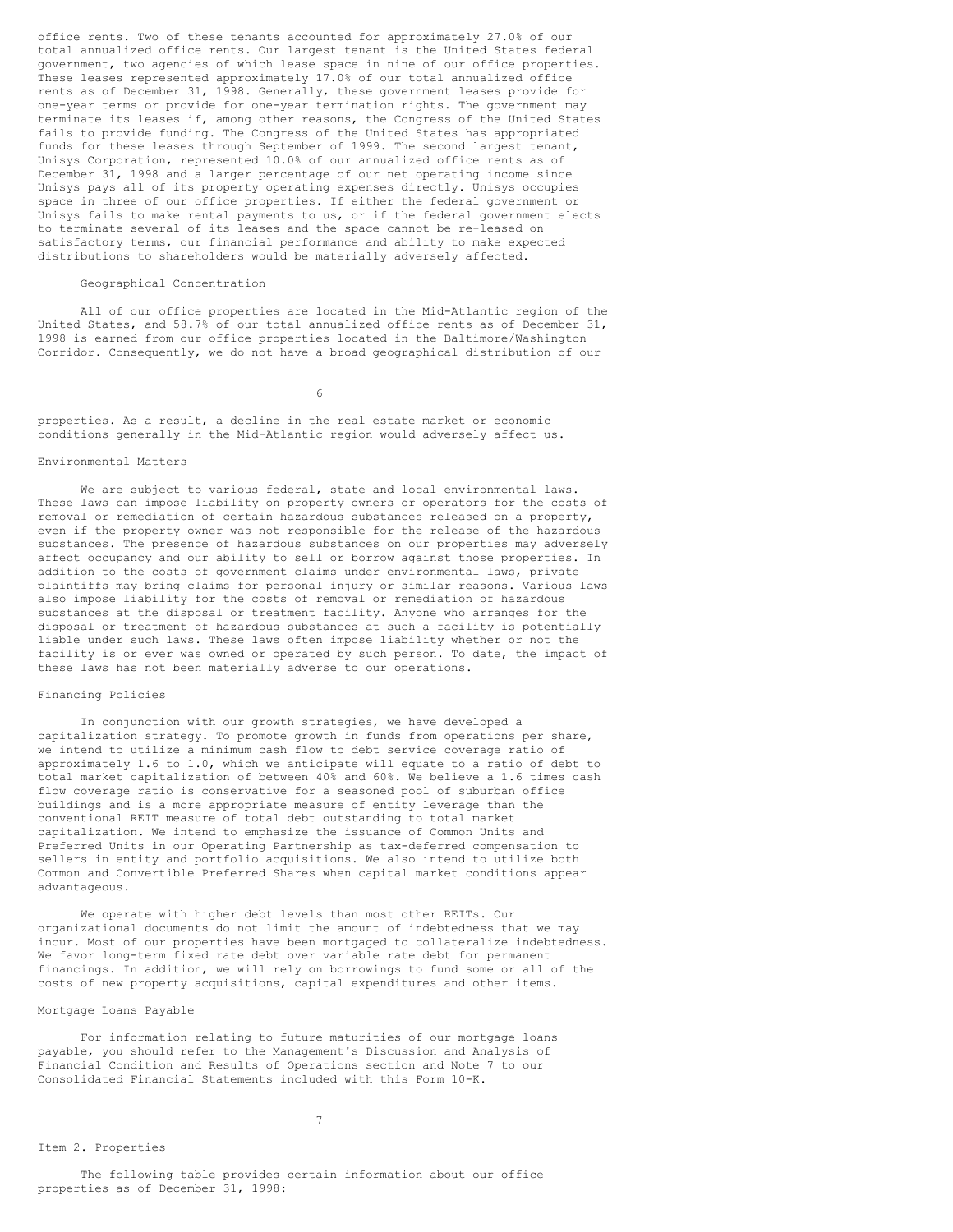office rents. Two of these tenants accounted for approximately 27.0% of our total annualized office rents. Our largest tenant is the United States federal government, two agencies of which lease space in nine of our office properties. These leases represented approximately 17.0% of our total annualized office rents as of December 31, 1998. Generally, these government leases provide for one-year terms or provide for one-year termination rights. The government may terminate its leases if, among other reasons, the Congress of the United States fails to provide funding. The Congress of the United States has appropriated funds for these leases through September of 1999. The second largest tenant, Unisys Corporation, represented 10.0% of our annualized office rents as of December 31, 1998 and a larger percentage of our net operating income since Unisys pays all of its property operating expenses directly. Unisys occupies space in three of our office properties. If either the federal government or Unisys fails to make rental payments to us, or if the federal government elects to terminate several of its leases and the space cannot be re-leased on satisfactory terms, our financial performance and ability to make expected distributions to shareholders would be materially adversely affected.

# Geographical Concentration

All of our office properties are located in the Mid-Atlantic region of the United States, and 58.7% of our total annualized office rents as of December 31, 1998 is earned from our office properties located in the Baltimore/Washington Corridor. Consequently, we do not have a broad geographical distribution of our

6

properties. As a result, a decline in the real estate market or economic conditions generally in the Mid-Atlantic region would adversely affect us.

### Environmental Matters

We are subject to various federal, state and local environmental laws. These laws can impose liability on property owners or operators for the costs of removal or remediation of certain hazardous substances released on a property, even if the property owner was not responsible for the release of the hazardous substances. The presence of hazardous substances on our properties may adversely affect occupancy and our ability to sell or borrow against those properties. In addition to the costs of government claims under environmental laws, private plaintiffs may bring claims for personal injury or similar reasons. Various laws also impose liability for the costs of removal or remediation of hazardous substances at the disposal or treatment facility. Anyone who arranges for the disposal or treatment of hazardous substances at such a facility is potentially liable under such laws. These laws often impose liability whether or not the facility is or ever was owned or operated by such person. To date, the impact of these laws has not been materially adverse to our operations.

# Financing Policies

In conjunction with our growth strategies, we have developed a capitalization strategy. To promote growth in funds from operations per share, we intend to utilize a minimum cash flow to debt service coverage ratio of approximately 1.6 to 1.0, which we anticipate will equate to a ratio of debt to total market capitalization of between 40% and 60%. We believe a 1.6 times cash flow coverage ratio is conservative for a seasoned pool of suburban office buildings and is a more appropriate measure of entity leverage than the conventional REIT measure of total debt outstanding to total market capitalization. We intend to emphasize the issuance of Common Units and Preferred Units in our Operating Partnership as tax-deferred compensation to sellers in entity and portfolio acquisitions. We also intend to utilize both Common and Convertible Preferred Shares when capital market conditions appear advantageous.

We operate with higher debt levels than most other REITs. Our organizational documents do not limit the amount of indebtedness that we may incur. Most of our properties have been mortgaged to collateralize indebtedness. We favor long-term fixed rate debt over variable rate debt for permanent financings. In addition, we will rely on borrowings to fund some or all of the costs of new property acquisitions, capital expenditures and other items.

# Mortgage Loans Payable

For information relating to future maturities of our mortgage loans payable, you should refer to the Management's Discussion and Analysis of Financial Condition and Results of Operations section and Note 7 to our Consolidated Financial Statements included with this Form 10-K.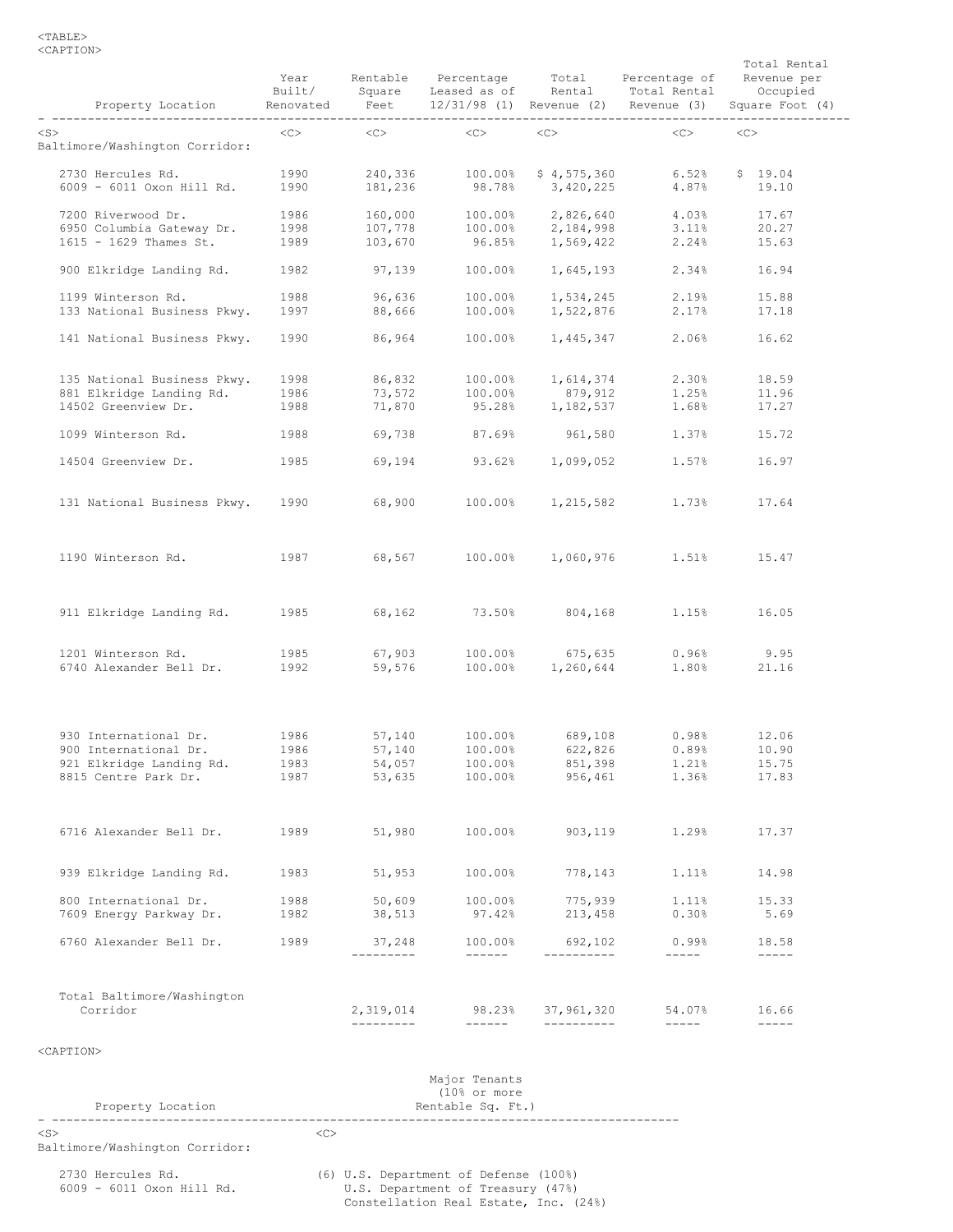| Property Location                           | Year<br>Built/<br>Renovated<br>------ | Feet<br>-------------   | Rentable Percentage Total<br>Square Leased as of                                                              | Rental                   | Percentage of<br>Total Rental<br>12/31/98 (1) Revenue (2) Revenue (3) | Total Rental<br>Revenue per<br>Occupied<br>Square Foot (4) |
|---------------------------------------------|---------------------------------------|-------------------------|---------------------------------------------------------------------------------------------------------------|--------------------------|-----------------------------------------------------------------------|------------------------------------------------------------|
| $<$ S $>$<br>Baltimore/Washington Corridor: | $<<$ $<$ $>$                          | $<<$ $>$                | <<>                                                                                                           | <<>                      | <<>                                                                   | <<                                                         |
| 2730 Hercules Rd.                           | 1990                                  | 240,336                 | 100.00%                                                                                                       | \$4,575,360              | 6.52%                                                                 | \$19.04                                                    |
| 6009 - 6011 Oxon Hill Rd.                   | 1990                                  | 181,236                 | 98.78%                                                                                                        | 3,420,225                | 4.87%                                                                 | 19.10                                                      |
| 7200 Riverwood Dr.                          | 1986                                  | 160,000                 | 100.00%                                                                                                       | 2,826,640                | 4.03%                                                                 | 17.67                                                      |
| 6950 Columbia Gateway Dr.                   | 1998                                  | 107,778                 | 100.00%                                                                                                       | 2,184,998                | 3.11%                                                                 | 20.27                                                      |
| 1615 - 1629 Thames St.                      | 1989                                  | 103,670                 | 96.85%                                                                                                        | 1,569,422                | 2.24%                                                                 | 15.63                                                      |
| 900 Elkridge Landing Rd.                    | 1982                                  | 97,139                  | 100.00%                                                                                                       | 1,645,193                | 2.34%                                                                 | 16.94                                                      |
| 1199 Winterson Rd.                          | 1988                                  | 96,636                  | 100.00%                                                                                                       | 1,534,245                | 2.19%                                                                 | 15.88                                                      |
| 133 National Business Pkwy.                 | 1997                                  | 88,666                  | 100.00%                                                                                                       | 1,522,876                | 2.17%                                                                 | 17.18                                                      |
| 141 National Business Pkwy.                 | 1990                                  | 86,964                  | 100.00%                                                                                                       | 1,445,347                | 2.06%                                                                 | 16.62                                                      |
| 135 National Business Pkwy.                 | 1998                                  | 86,832                  | 100.00%                                                                                                       | 1,614,374                | 2.30%                                                                 | 18.59                                                      |
| 881 Elkridge Landing Rd.                    | 1986                                  | 73,572                  | 100.00%                                                                                                       | 879,912                  | 1.25%                                                                 | 11.96                                                      |
| 14502 Greenview Dr.                         | 1988                                  | 71,870                  | 95.28%                                                                                                        | 1,182,537                | 1.68%                                                                 | 17.27                                                      |
| 1099 Winterson Rd.                          | 1988                                  | 69,738                  | 87.69%                                                                                                        | 961,580                  | 1.37%                                                                 | 15.72                                                      |
| 14504 Greenview Dr.                         | 1985                                  | 69,194                  | 93.62%                                                                                                        | 1,099,052                | 1.57%                                                                 | 16.97                                                      |
| 131 National Business Pkwy.                 | 1990                                  | 68,900                  | 100.00%                                                                                                       | 1,215,582                | 1.73%                                                                 | 17.64                                                      |
| 1190 Winterson Rd.                          | 1987                                  | 68,567                  | 100.00%                                                                                                       | 1,060,976                | 1.51%                                                                 | 15.47                                                      |
| 911 Elkridge Landing Rd.                    | 1985                                  | 68,162                  | 73.50%                                                                                                        | 804,168                  | 1.15%                                                                 | 16.05                                                      |
| 1201 Winterson Rd.                          | 1985                                  | 67,903                  | 100.00%                                                                                                       | 675,635                  | 0.96%                                                                 | 9.95                                                       |
| 6740 Alexander Bell Dr.                     | 1992                                  | 59,576                  | 100.00%                                                                                                       | 1,260,644                | 1.80%                                                                 | 21.16                                                      |
| 930 International Dr.                       | 1986                                  | 57,140                  | 100.00%                                                                                                       | 689,108                  | 0.98%                                                                 | 12.06                                                      |
| 900 International Dr.                       | 1986                                  | 57,140                  | 100.00%                                                                                                       | 622,826                  | 0.89%                                                                 | 10.90                                                      |
| 921 Elkridge Landing Rd.                    | 1983                                  | 54,057                  | 100.00%                                                                                                       | 851,398                  | 1.21%                                                                 | 15.75                                                      |
| 8815 Centre Park Dr.                        | 1987                                  | 53,635                  | 100.00%                                                                                                       | 956,461                  | 1.36%                                                                 | 17.83                                                      |
| 6716 Alexander Bell Dr.                     | 1989                                  | 51,980                  | 100.00%                                                                                                       | 903,119                  | 1.29%                                                                 | 17.37                                                      |
| 939 Elkridge Landing Rd.                    | 1983                                  | 51,953                  | 100.00%                                                                                                       | 778,143                  | 1.11%                                                                 | 14.98                                                      |
| 800 International Dr.                       | 1988                                  | 50,609                  | 100.00%                                                                                                       | 775,939                  | 1.11%                                                                 | 15.33                                                      |
| 7609 Energy Parkway Dr.                     | 1982                                  | 38,513                  | 97.42%                                                                                                        | 213,458                  | 0.30%                                                                 | 5.69                                                       |
| 6760 Alexander Bell Dr.                     | 1989                                  | 37,248<br>---------     | 100.00%<br>$\begin{tabular}{cccccc} - & - & - & - & - \\ & - & - & - & - \\ & - & - & - & - \\ \end{tabular}$ | 692,102<br>-----------   | 0.99%<br>$------$                                                     | 18.58<br>$------$                                          |
| Total Baltimore/Washington                  |                                       |                         |                                                                                                               |                          |                                                                       |                                                            |
| Corridor                                    |                                       | 2,319,014<br>---------- | 98.23%<br>------                                                                                              | 37,961,320<br>---------- | 54.07%<br>$\qquad \qquad - - - - -$                                   | 16.66<br>$- - - - -$                                       |
| <caption></caption>                         |                                       |                         |                                                                                                               |                          |                                                                       |                                                            |
|                                             |                                       |                         |                                                                                                               |                          |                                                                       |                                                            |
|                                             |                                       |                         | Major Tenants                                                                                                 |                          |                                                                       |                                                            |

| Property Location                              | ria   VI Lenanto<br>$(10)$ or more<br>Rentable Sq. Ft.)                                                             |
|------------------------------------------------|---------------------------------------------------------------------------------------------------------------------|
| $<$ S $>$<br>Baltimore/Washington Corridor:    | <<>                                                                                                                 |
| 2730 Hercules Rd.<br>6009 - 6011 Oxon Hill Rd. | (6) U.S. Department of Defense (100%)<br>U.S. Department of Treasury (47%)<br>Constellation Real Estate, Inc. (24%) |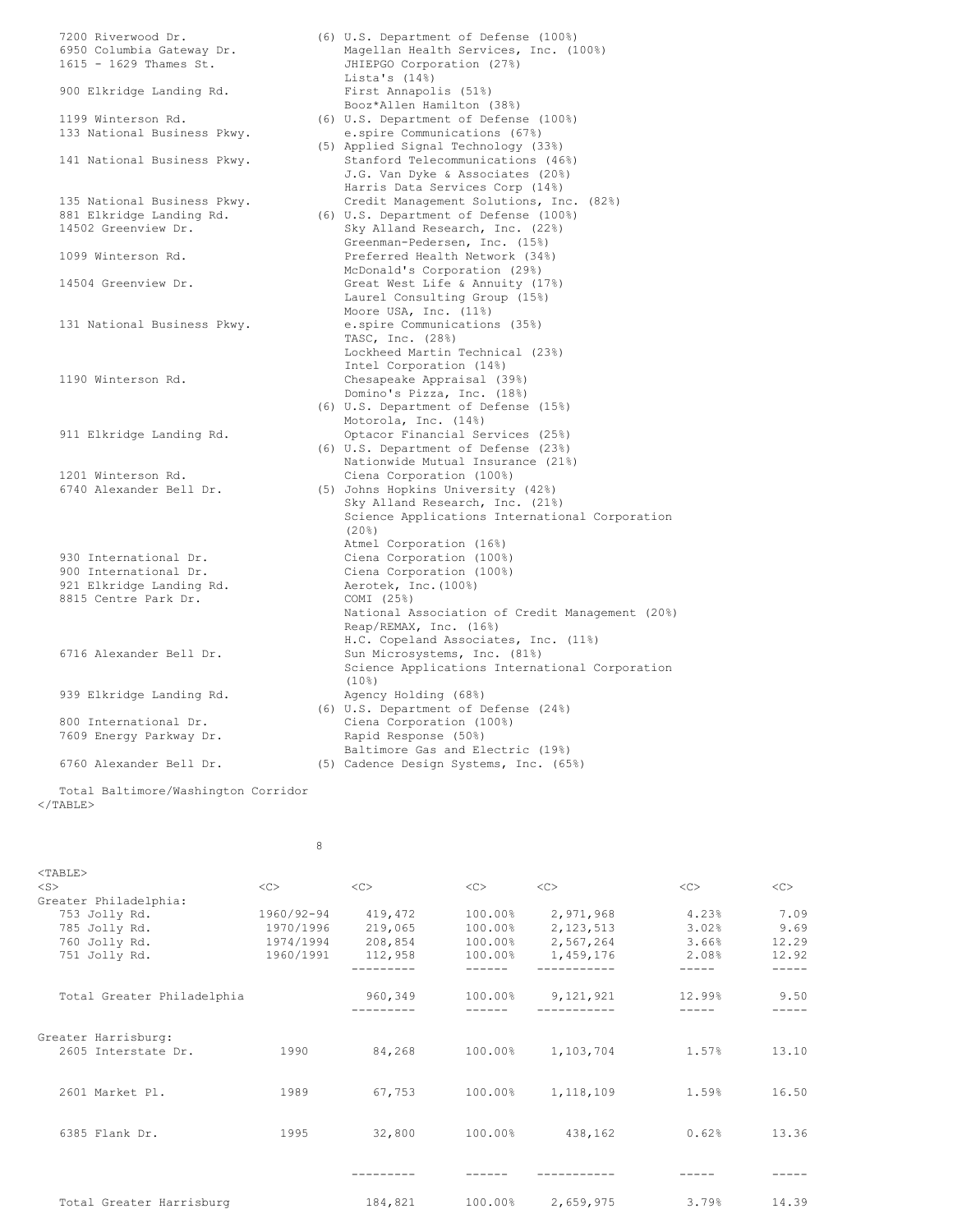| 7200 Riverwood Dr.          | (6) U.S. Department of Defense (100%)           |
|-----------------------------|-------------------------------------------------|
| 6950 Columbia Gateway Dr.   | Magellan Health Services, Inc. (100%)           |
| 1615 - 1629 Thames St.      | JHIEPGO Corporation (27%)                       |
|                             | Lista's $(14)$                                  |
| 900 Elkridge Landing Rd.    | First Annapolis (51%)                           |
|                             | Booz*Allen Hamilton (38%)                       |
| 1199 Winterson Rd.          | (6) U.S. Department of Defense (100%)           |
| 133 National Business Pkwy. | e.spire Communications (67%)                    |
|                             | (5) Applied Signal Technology (33%)             |
| 141 National Business Pkwy. | Stanford Telecommunications (46%)               |
|                             | J.G. Van Dyke & Associates (20%)                |
|                             | Harris Data Services Corp (14%)                 |
| 135 National Business Pkwy. | Credit Management Solutions, Inc. (82%)         |
| 881 Elkridge Landing Rd.    | (6) U.S. Department of Defense (100%)           |
| 14502 Greenview Dr.         |                                                 |
|                             | Sky Alland Research, Inc. (22%)                 |
|                             | Greenman-Pedersen, Inc. (15%)                   |
| 1099 Winterson Rd.          | Preferred Health Network (34%)                  |
|                             | McDonald's Corporation (29%)                    |
| 14504 Greenview Dr.         | Great West Life & Annuity (17%)                 |
|                             | Laurel Consulting Group (15%)                   |
|                             | Moore USA, Inc. (11%)                           |
| 131 National Business Pkwy. | e.spire Communications (35%)                    |
|                             | TASC, Inc. (28%)                                |
|                             | Lockheed Martin Technical (23%)                 |
|                             | Intel Corporation (14%)                         |
| 1190 Winterson Rd.          | Chesapeake Appraisal (39%)                      |
|                             | Domino's Pizza, Inc. (18%)                      |
|                             | (6) U.S. Department of Defense (15%)            |
|                             | Motorola, Inc. (14%)                            |
| 911 Elkridge Landing Rd.    | Optacor Financial Services (25%)                |
|                             | (6) U.S. Department of Defense (23%)            |
|                             | Nationwide Mutual Insurance (21%)               |
| 1201 Winterson Rd.          | Ciena Corporation (100%)                        |
| 6740 Alexander Bell Dr.     |                                                 |
|                             | (5) Johns Hopkins University (42%)              |
|                             | Sky Alland Research, Inc. (21%)                 |
|                             | Science Applications International Corporation  |
|                             | (20%)                                           |
|                             | Atmel Corporation (16%)                         |
| 930 International Dr.       | Ciena Corporation (100%)                        |
| 900 International Dr.       | Ciena Corporation (100%)                        |
| 921 Elkridge Landing Rd.    | Aerotek, Inc. (100%)                            |
| 8815 Centre Park Dr.        | COMI (25%)                                      |
|                             | National Association of Credit Management (20%) |
|                             | Reap/REMAX, Inc. (16%)                          |
|                             | H.C. Copeland Associates, Inc. (11%)            |
| 6716 Alexander Bell Dr.     | Sun Microsystems, Inc. (81%)                    |
|                             | Science Applications International Corporation  |
|                             | $(10\%)$                                        |
| 939 Elkridge Landing Rd.    | Agency Holding (68%)                            |
|                             | (6) U.S. Department of Defense (24%)            |
| 800 International Dr.       | Ciena Corporation (100%)                        |
| 7609 Energy Parkway Dr.     | Rapid Response (50%)                            |
|                             | Baltimore Gas and Electric (19%)                |
| 6760 Alexander Bell Dr.     |                                                 |
|                             | (5) Cadence Design Systems, Inc. (65%)          |
|                             |                                                 |

Total Baltimore/Washington Corridor  $<$ /TABLE>

| $<$ TABLE>                 |            |         |         |                   |               |       |
|----------------------------|------------|---------|---------|-------------------|---------------|-------|
| $<$ S>                     | <<         | <<      | <<      | <<                | < <sub></sub> | <<    |
| Greater Philadelphia:      |            |         |         |                   |               |       |
| 753 Jolly Rd.              | 1960/92-94 | 419,472 | 100.00% | 2,971,968         | 4.23%         | 7.09  |
| 785 Jolly Rd.              | 1970/1996  | 219,065 | 100.00% | 2, 123, 513       | 3.02%         | 9.69  |
| 760 Jolly Rd.              | 1974/1994  | 208,854 | 100.00% | 2,567,264         | 3.66%         | 12.29 |
| 751 Jolly Rd.              | 1960/1991  | 112,958 | 100.00% | 1,459,176         | 2.08%         | 12.92 |
|                            |            |         |         |                   |               |       |
| Total Greater Philadelphia |            | 960,349 |         | 100.00% 9,121,921 | 12.99%        | 9.50  |
|                            |            |         |         |                   |               |       |
| Greater Harrisburg:        |            |         |         |                   |               |       |
| 2605 Interstate Dr.        | 1990       | 84,268  | 100.00% | 1,103,704         | 1.57%         | 13.10 |
|                            |            |         |         |                   |               |       |
| 2601 Market Pl.            | 1989       | 67,753  | 100.00% | 1,118,109         | 1.59%         | 16.50 |
|                            |            |         |         |                   |               |       |
| 6385 Flank Dr.             | 1995       | 32,800  | 100.00% | 438,162           | 0.62%         | 13.36 |
|                            |            |         |         |                   |               |       |
|                            |            |         |         |                   |               |       |
|                            |            |         |         |                   |               |       |
| Total Greater Harrisburg   |            | 184,821 | 100.00% | 2,659,975         | 3.79%         | 14.39 |
|                            |            |         |         |                   |               |       |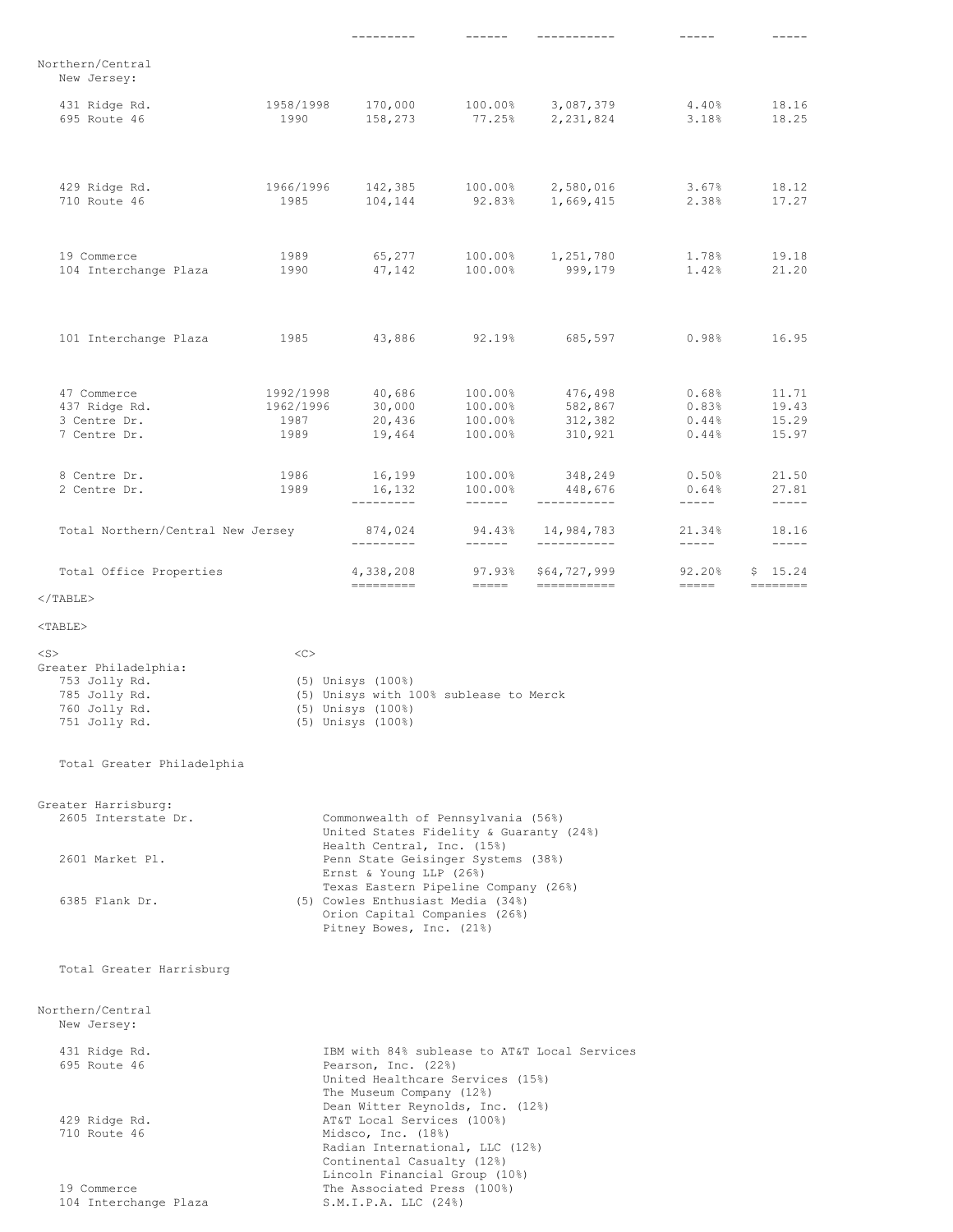|                                                                                                        |                                        | ---------                                                                                                                              |                                                              | -----------                                           |                                             |                                  |
|--------------------------------------------------------------------------------------------------------|----------------------------------------|----------------------------------------------------------------------------------------------------------------------------------------|--------------------------------------------------------------|-------------------------------------------------------|---------------------------------------------|----------------------------------|
| Northern/Central<br>New Jersey:                                                                        |                                        |                                                                                                                                        |                                                              |                                                       |                                             |                                  |
| 431 Ridge Rd.<br>695 Route 46                                                                          | 1958/1998<br>1990                      | 170,000<br>158,273                                                                                                                     |                                                              | 100.00% 3,087,379<br>77.25% 2,231,824                 | $4.40\,$<br>3.18%                           | 18.16<br>18.25                   |
| 429 Ridge Rd.<br>710 Route 46                                                                          | 1966/1996<br>1985                      |                                                                                                                                        |                                                              | 142,385 100.00% 2,580,016<br>104,144 92.83% 1,669,415 | 3.67%<br>2.38%                              | 18.12<br>17.27                   |
| 19 Commerce<br>104 Interchange Plaza                                                                   | 1989<br>1990                           |                                                                                                                                        |                                                              | 65,277 100.00% 1,251,780<br>47,142 100.00% 999,179    | 1.78%<br>1.42%                              | 19.18<br>21.20                   |
| 101 Interchange Plaza 1985                                                                             |                                        | 43,886                                                                                                                                 |                                                              | $92.19$ <sup>8</sup> 685,597                          | 0.98%                                       | 16.95                            |
| 47 Commerce<br>437 Ridge Rd.<br>3 Centre Dr.<br>7 Centre Dr.                                           | 1992/1998<br>1962/1996<br>1987<br>1989 | 40,686<br>30,000<br>20,436<br>19,464                                                                                                   | $100.00\%$<br>$100.00\%$<br>100.00%<br>100.00%<br>$100.00\%$ | 476,498<br>582,867<br>312,382<br>310,921              | 0.68%<br>0.83%<br>0.44%<br>0.44%            | 11.71<br>19.43<br>15.29<br>15.97 |
| 8 Centre Dr.<br>2 Centre Dr.                                                                           | 1986<br>1989                           | 16,199<br>16,132<br>----------                                                                                                         | 100.00%<br>100.00%<br>_______                                | 348,249<br>448,676<br>___________                     | 0.50%<br>0.64%<br>$\qquad \qquad - - - - -$ | 21.50<br>27.81<br>$------$       |
| Total Northern/Central New Jersey                                                                      |                                        | 874,024<br>----------                                                                                                                  |                                                              | 94.43% 14,984,783<br>___________                      | 21.34%                                      | 18.16<br>$- - - - -$             |
| Total Office Properties                                                                                |                                        | 4,338,208                                                                                                                              | ______                                                       | 97.93% \$64,727,999                                   | $92.20\%$<br>$==-=-+$                       | \$15.24                          |
| $\langle$ /TABLE>                                                                                      |                                        |                                                                                                                                        |                                                              |                                                       |                                             |                                  |
| $<$ TABLE $>$                                                                                          |                                        |                                                                                                                                        |                                                              |                                                       |                                             |                                  |
| $<$ S $>$<br>Greater Philadelphia:<br>753 Jolly Rd.<br>785 Jolly Rd.<br>760 Jolly Rd.<br>751 Jolly Rd. | <<                                     | (5) Unisys (100%)<br>(5) Unisys with 100% sublease to Merck<br>(5) Unisys (100%)<br>(5) Unisys (100%)                                  |                                                              |                                                       |                                             |                                  |
| Total Greater Philadelphia                                                                             |                                        |                                                                                                                                        |                                                              |                                                       |                                             |                                  |
| Greater Harrisburg:<br>2605 Interstate Dr.                                                             |                                        | Commonwealth of Pennsylvania (56%)<br>United States Fidelity & Guaranty (24%)                                                          |                                                              |                                                       |                                             |                                  |
| 2601 Market Pl.                                                                                        |                                        | Health Central, Inc. (15%)<br>Penn State Geisinger Systems (38%)<br>Ernst & Young LLP (26%)                                            |                                                              |                                                       |                                             |                                  |
| 6385 Flank Dr.                                                                                         |                                        | Texas Eastern Pipeline Company (26%)<br>(5) Cowles Enthusiast Media (34%)<br>Orion Capital Companies (26%)<br>Pitney Bowes, Inc. (21%) |                                                              |                                                       |                                             |                                  |
| Total Greater Harrisburg                                                                               |                                        |                                                                                                                                        |                                                              |                                                       |                                             |                                  |
| Northern/Central<br>New Jersey:                                                                        |                                        |                                                                                                                                        |                                                              |                                                       |                                             |                                  |
| 431 Ridge Rd.<br>695 Route 46                                                                          |                                        | Pearson, Inc. (22%)                                                                                                                    |                                                              | IBM with 84% sublease to AT&T Local Services          |                                             |                                  |

United Healthcare Services (15%) The Museum Company (12%)

Dean Witter Reynolds, Inc. (12%)

Radian International, LLC (12%) Continental Casualty (12%) Lincoln Financial Group (10%)

429 Ridge Rd. AT&T Local Services (100%) 710 Route 46 Midsco, Inc. (18%)

19 Commerce The Associated Press (100%) 104 Interchange Plaza S.M.I.P.A. LLC (24%)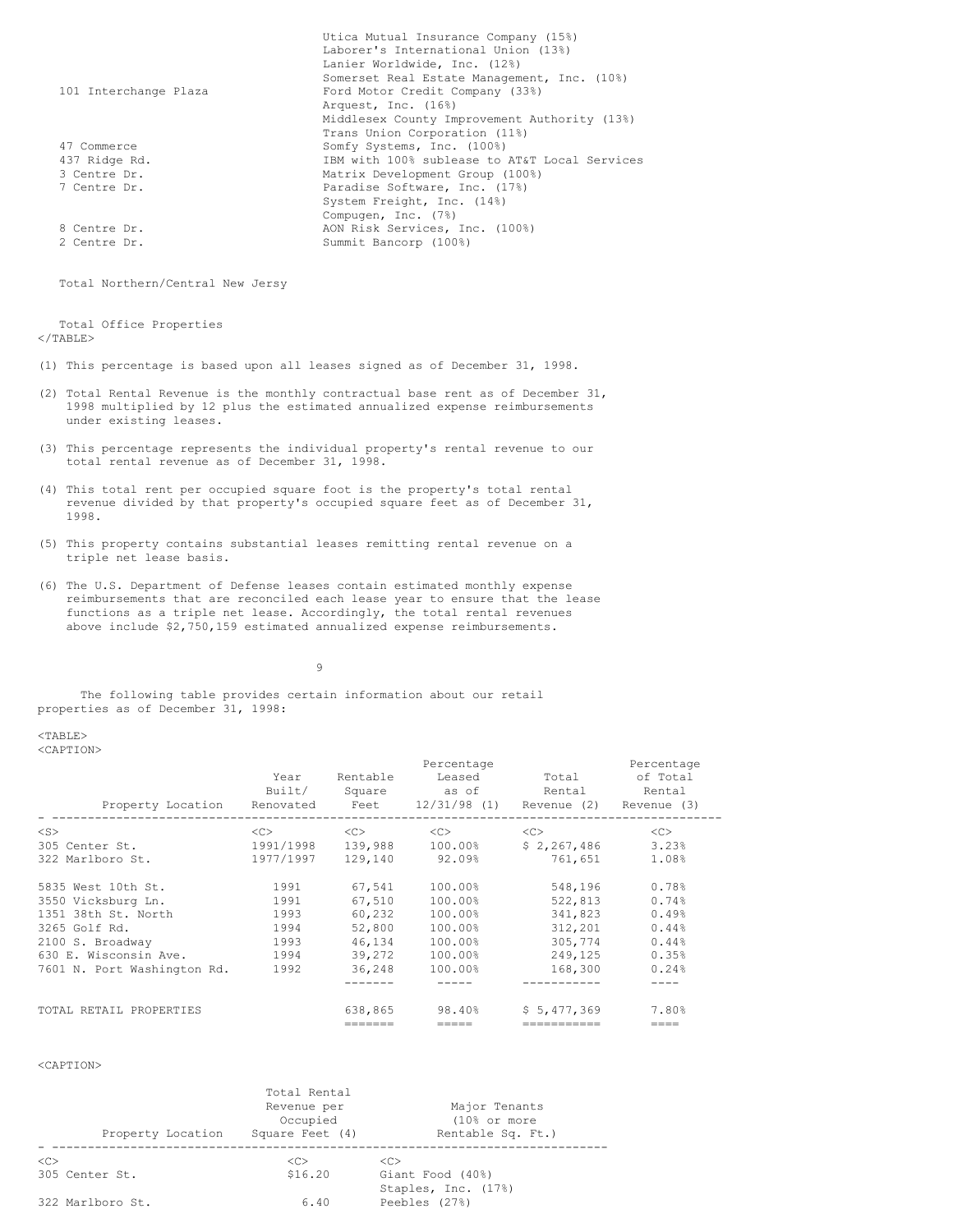|                       | Utica Mutual Insurance Company (15%)          |
|-----------------------|-----------------------------------------------|
|                       | Laborer's International Union (13%)           |
|                       | Lanier Worldwide, Inc. (12%)                  |
|                       | Somerset Real Estate Management, Inc. (10%)   |
| 101 Interchange Plaza | Ford Motor Credit Company (33%)               |
|                       | Arquest, Inc. (16%)                           |
|                       | Middlesex County Improvement Authority (13%)  |
|                       | Trans Union Corporation (11%)                 |
| 47 Commerce           | Somfy Systems, Inc. (100%)                    |
| 437 Ridge Rd.         | IBM with 100% sublease to AT&T Local Services |
| 3 Centre Dr.          | Matrix Development Group (100%)               |
| 7 Centre Dr.          | Paradise Software, Inc. (17%)                 |
|                       | System Freight, Inc. (14%)                    |
|                       | Compugen, Inc. (7%)                           |
| 8 Centre Dr.          | AON Risk Services, Inc. (100%)                |
| 2 Centre Dr.          | Summit Bancorp (100%)                         |

Total Northern/Central New Jersy

Total Office Properties </TABLE>

- (1) This percentage is based upon all leases signed as of December 31, 1998.
- (2) Total Rental Revenue is the monthly contractual base rent as of December 31, 1998 multiplied by 12 plus the estimated annualized expense reimbursements under existing leases.
- (3) This percentage represents the individual property's rental revenue to our total rental revenue as of December 31, 1998.
- (4) This total rent per occupied square foot is the property's total rental revenue divided by that property's occupied square feet as of December 31, 1998.
- (5) This property contains substantial leases remitting rental revenue on a triple net lease basis.
- (6) The U.S. Department of Defense leases contain estimated monthly expense reimbursements that are reconciled each lease year to ensure that the lease functions as a triple net lease. Accordingly, the total rental revenues above include \$2,750,159 estimated annualized expense reimbursements.

9

The following table provides certain information about our retail properties as of December 31, 1998:

<TABLE> <CAPTION>

|                                                                       |           | Percentage<br>Percentage |                 |             |          |  |  |
|-----------------------------------------------------------------------|-----------|--------------------------|-----------------|-------------|----------|--|--|
|                                                                       | Year      | Rentable                 | Leased          | Total       | of Total |  |  |
|                                                                       | Built/    |                          | Square as of    | Rental      | Rental   |  |  |
| Property Location Renovated Feet 12/31/98 (1) Revenue (2) Revenue (3) |           | --------                 |                 |             |          |  |  |
| $<$ S $>$                                                             | <<        | $<<$ $>>$                | $<<$ $>$        | <<          | <<       |  |  |
| 305 Center St.                                                        | 1991/1998 |                          | 139,988 100.00% | \$2,267,486 | 3.23%    |  |  |
| 322 Marlboro St.                                                      | 1977/1997 | 129.140                  | 92.09%          | 761,651     | 1.08%    |  |  |
| 5835 West 10th St.                                                    | 1991      | 67,541                   | 100.00%         | 548,196     | 0.78%    |  |  |
| 3550 Vicksburg Ln.                                                    | 1991      | 67,510                   | 100.00%         | 522,813     | 0.74%    |  |  |
| 1351 38th St. North                                                   | 1993      | 60.232                   | 100.00%         | 341,823     | 0.49%    |  |  |
| 3265 Golf Rd.                                                         | 1994      | 52,800                   | 100.00%         | 312,201     | 0.44%    |  |  |
| 2100 S. Broadway                                                      | 1993      | 46.134                   | 100.00%         | 305.774     | 0.44%    |  |  |
| 630 E. Wisconsin Ave.                                                 | 1994      | 39,272                   | 100.00%         | 249,125     | 0.35%    |  |  |
| 7601 N. Port Washington Rd.                                           | 1992      | 36,248                   | 100.00%         | 168,300     | 0.24%    |  |  |
|                                                                       |           |                          |                 | ----------- |          |  |  |
| TOTAL RETAIL PROPERTIES                                               |           | 638,865                  | 98.40%          | \$5.477.369 | 7.80%    |  |  |
|                                                                       |           | =======                  | =====           | =========== | ====     |  |  |

<CAPTION>

| Property Location                | Total Rental<br>Revenue per<br>Occupied<br>Square Feet (4) | Major Tenants<br>$(10)$ or more<br>Rentable Sq. Ft.) |
|----------------------------------|------------------------------------------------------------|------------------------------------------------------|
| < <sub><br/>305 Center St.</sub> | < <sub><br/>\$16.20</sub>                                  | < <sub><br/>Giant Food (40%)</sub>                   |
| 322 Marlboro St.                 | 6.40                                                       | Staples, Inc. (17%)<br>Peebles (27%)                 |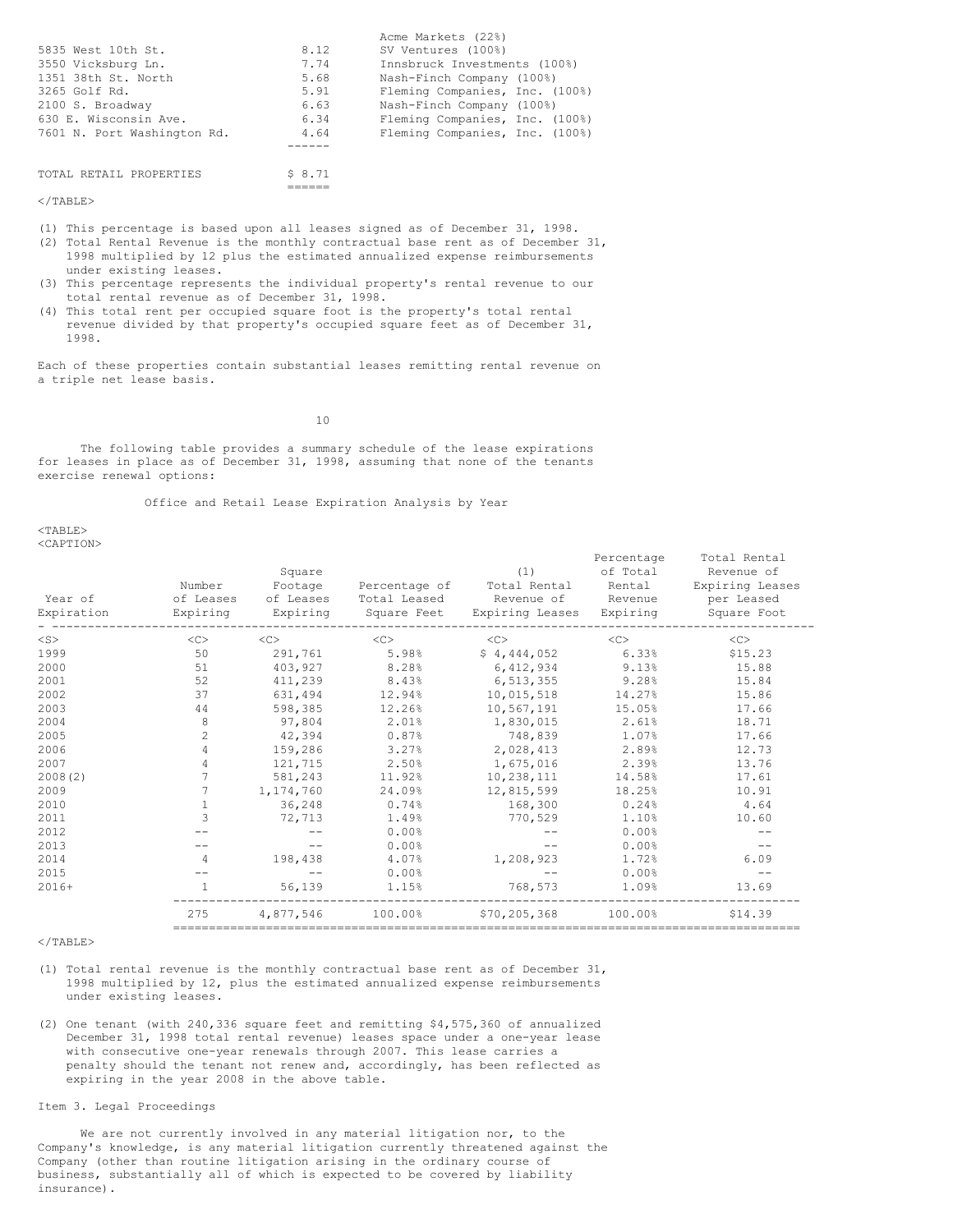|                             |        | Acme Markets (22%)             |
|-----------------------------|--------|--------------------------------|
| 5835 West 10th St.          | 8.12   | SV Ventures (100%)             |
| 3550 Vicksburg Ln.          | 7.74   | Innsbruck Investments (100%)   |
| 1351 38th St. North         | 5.68   | Nash-Finch Company (100%)      |
| 3265 Golf Rd.               | 5.91   | Fleming Companies, Inc. (100%) |
| 2100 S. Broadway            | 6.63   | Nash-Finch Company (100%)      |
| 630 E. Wisconsin Ave.       | 6.34   | Fleming Companies, Inc. (100%) |
| 7601 N. Port Washington Rd. | 4.64   | Fleming Companies, Inc. (100%) |
|                             |        |                                |
|                             |        |                                |
| TOTAL RETAIL PROPERTIES     | \$8.71 |                                |

 $<$ /TABLE>

(1) This percentage is based upon all leases signed as of December 31, 1998.

 $=$ 

- (2) Total Rental Revenue is the monthly contractual base rent as of December 31, 1998 multiplied by 12 plus the estimated annualized expense reimbursements under existing leases.
- (3) This percentage represents the individual property's rental revenue to our total rental revenue as of December 31, 1998.
- (4) This total rent per occupied square foot is the property's total rental revenue divided by that property's occupied square feet as of December 31, 1998.

Each of these properties contain substantial leases remitting rental revenue on a triple net lease basis.

10

The following table provides a summary schedule of the lease expirations for leases in place as of December 31, 1998, assuming that none of the tenants exercise renewal options:

Office and Retail Lease Expiration Analysis by Year

 $<$ TABLE> <CAPTION>

| Year of<br>Expiration | Number<br>of Leases<br>Expiring | Square<br>Footage<br>of Leases<br>Expiring | Percentage of<br>Total Leased | (1)<br>Total Rental<br>Revenue of Revenue<br>Square Feet Expiring Leases | Percentage<br>of Total<br>Rental<br>Expiring | Total Rental<br>Revenue of<br>Expiring Leases<br>per Leased<br>Square Foot |
|-----------------------|---------------------------------|--------------------------------------------|-------------------------------|--------------------------------------------------------------------------|----------------------------------------------|----------------------------------------------------------------------------|
| $<$ S $>$             | <<                              | $<<$ $<$ $<$ $>$                           | <<                            | <<                                                                       | <<                                           | <<                                                                         |
| 1999                  | 50                              | 291,761                                    | 5.98%                         | \$4,444,052                                                              | 6.33%                                        | \$15.23                                                                    |
| 2000                  | 51                              | 403,927                                    | 8.28%                         | 6,412,934                                                                | 9.13%                                        | 15.88                                                                      |
| 2001                  | 52                              | 411,239                                    | 8.43%                         | 6,513,355                                                                | 9.28%                                        | 15.84                                                                      |
| 2002                  | 37                              | 631,494                                    | 12.94%                        | 10,015,518                                                               | 14.27%                                       | 15.86                                                                      |
| 2003                  | 44                              | 598,385                                    | 12.26%                        | 10,567,191                                                               | 15.05%                                       | 17.66                                                                      |
| 2004                  | $\,8\,$                         | 97,804                                     | 2.01%                         | 1,830,015                                                                | 2.61%                                        | 18.71                                                                      |
| 2005                  | $\overline{c}$                  | 42,394                                     | 0.87%                         | 748,839                                                                  | 1.07%                                        | 17.66                                                                      |
| 2006                  | $\overline{4}$                  | 159,286                                    | 3.27%                         | 2,028,413                                                                | 2.89%                                        | 12.73                                                                      |
| 2007                  | $\overline{4}$                  | 121,715                                    | 2.50%                         | 1,675,016                                                                | 2.39%                                        | 13.76                                                                      |
| 2008(2)               | $\overline{7}$                  | 581,243                                    | 11.92%                        | 10,238,111                                                               | 14.58%                                       | 17.61                                                                      |
| 2009                  | $\overline{7}$                  | 1,174,760                                  | 24.09%                        | 12,815,599                                                               | 18.25%                                       | 10.91                                                                      |
| 2010                  | $\mathbf{1}$                    | 36,248                                     | 0.74%                         | 168,300                                                                  | 0.24%                                        | 4.64                                                                       |
| 2011                  | $\overline{3}$                  | 72,713                                     | 1.49%                         | 770,529                                                                  | 1.10%                                        | 10.60                                                                      |
| 2012                  |                                 |                                            | 0.00%                         |                                                                          | 0.00%                                        |                                                                            |
| 2013                  |                                 |                                            | 0.00%                         |                                                                          | 0.00%                                        |                                                                            |
| 2014                  | $\overline{4}$                  | 198,438                                    | 4.07%                         | 1,208,923                                                                | 1.72%                                        | 6.09                                                                       |
| 2015                  |                                 |                                            | 0.00%                         |                                                                          | 0.00%                                        |                                                                            |
| $2016+$               | $\mathbf{1}$                    | 56,139                                     | 1.15%                         | 768,573                                                                  | 1.09%                                        | 13.69                                                                      |
|                       | 275                             | 4,877,546                                  | 100.00%                       | \$70,205,368                                                             | 100.00%                                      | \$14.39                                                                    |

</TABLE>

- (1) Total rental revenue is the monthly contractual base rent as of December 31, 1998 multiplied by 12, plus the estimated annualized expense reimbursements under existing leases.
- (2) One tenant (with 240,336 square feet and remitting \$4,575,360 of annualized December 31, 1998 total rental revenue) leases space under a one-year lease with consecutive one-year renewals through 2007. This lease carries a penalty should the tenant not renew and, accordingly, has been reflected as expiring in the year 2008 in the above table.

# Item 3. Legal Proceedings

We are not currently involved in any material litigation nor, to the Company's knowledge, is any material litigation currently threatened against the Company (other than routine litigation arising in the ordinary course of business, substantially all of which is expected to be covered by liability insurance).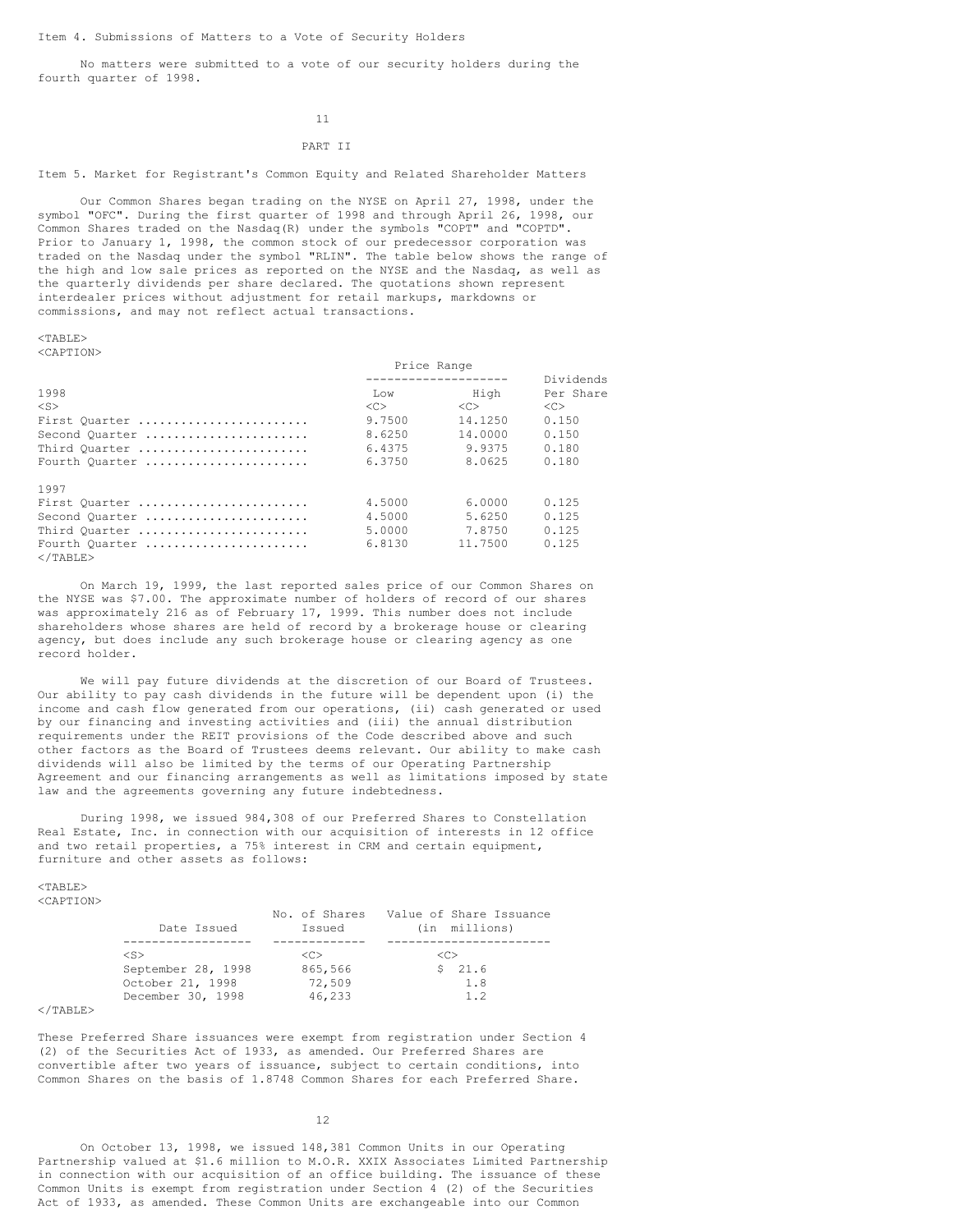No matters were submitted to a vote of our security holders during the fourth quarter of 1998.

### 11

# PART II

Item 5. Market for Registrant's Common Equity and Related Shareholder Matters

Our Common Shares began trading on the NYSE on April 27, 1998, under the symbol "OFC". During the first quarter of 1998 and through April 26, 1998, our Common Shares traded on the Nasdaq(R) under the symbols "COPT" and "COPTD". Prior to January 1, 1998, the common stock of our predecessor corporation was traded on the Nasdaq under the symbol "RLIN". The table below shows the range of the high and low sale prices as reported on the NYSE and the Nasdaq, as well as the quarterly dividends per share declared. The quotations shown represent interdealer prices without adjustment for retail markups, markdowns or commissions, and may not reflect actual transactions.

<TABLE>

<CAPTION>

|                                     | Price Range   |               |               |
|-------------------------------------|---------------|---------------|---------------|
|                                     |               |               | Dividends     |
| 1998                                | <b>Tiow</b>   | High          | Per Share     |
| $<$ S>                              | < <sub></sub> | < <sub></sub> | < <sub></sub> |
| First Quarter                       | 9.7500        | 14.1250       | 0.150         |
| Second Quarter                      | 8.6250        | 14,0000       | 0.150         |
| Third Quarter                       | 6.4375        | 9.9375        | 0.180         |
| Fourth Quarter                      | 6.3750        | 8.0625        | 0.180         |
| 1997                                |               |               |               |
| First Quarter                       | 4.5000        | 6.0000        | 0.125         |
| Second Quarter                      | 4.5000        | 5.6250        | 0.125         |
| Third Quarter                       | 5.0000        | 7.8750        | 0.125         |
| Fourth Quarter<br>$\langle$ /TABLE> | 6.8130        | 11,7500       | 0.125         |

On March 19, 1999, the last reported sales price of our Common Shares on the NYSE was \$7.00. The approximate number of holders of record of our shares was approximately 216 as of February 17, 1999. This number does not include shareholders whose shares are held of record by a brokerage house or clearing agency, but does include any such brokerage house or clearing agency as one record holder.

We will pay future dividends at the discretion of our Board of Trustees. Our ability to pay cash dividends in the future will be dependent upon (i) the income and cash flow generated from our operations, (ii) cash generated or used by our financing and investing activities and (iii) the annual distribution requirements under the REIT provisions of the Code described above and such other factors as the Board of Trustees deems relevant. Our ability to make cash dividends will also be limited by the terms of our Operating Partnership Agreement and our financing arrangements as well as limitations imposed by state law and the agreements governing any future indebtedness.

During 1998, we issued 984,308 of our Preferred Shares to Constellation Real Estate, Inc. in connection with our acquisition of interests in 12 office and two retail properties, a 75% interest in CRM and certain equipment, furniture and other assets as follows:

 $<$ TABLE> <CAPTION>

| Date Issued        | No. of Shares<br>Issued | Value of Share Issuance<br>(in millions) |
|--------------------|-------------------------|------------------------------------------|
|                    |                         |                                          |
| $<$ S $>$          | くC>                     | <c></c>                                  |
| September 28, 1998 | 865,566                 | 21.6                                     |
| October 21, 1998   | 72,509                  | 1.8                                      |
| December 30, 1998  | 46,233                  | 1.2                                      |

 $<$ /TABLE>

These Preferred Share issuances were exempt from registration under Section 4 (2) of the Securities Act of 1933, as amended. Our Preferred Shares are convertible after two years of issuance, subject to certain conditions, into Common Shares on the basis of 1.8748 Common Shares for each Preferred Share.

12

On October 13, 1998, we issued 148,381 Common Units in our Operating Partnership valued at \$1.6 million to M.O.R. XXIX Associates Limited Partnership in connection with our acquisition of an office building. The issuance of these Common Units is exempt from registration under Section 4 (2) of the Securities Act of 1933, as amended. These Common Units are exchangeable into our Common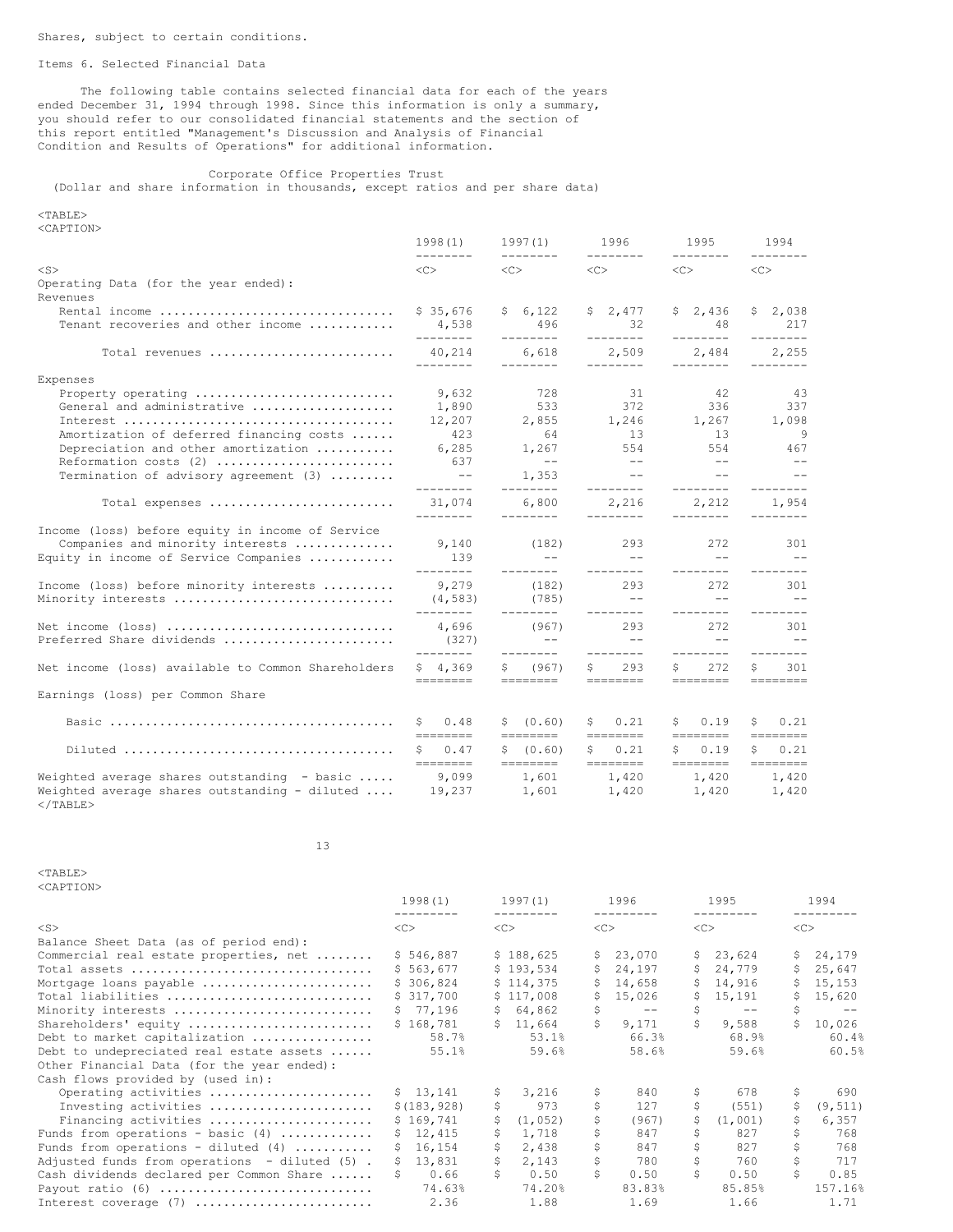### Items 6. Selected Financial Data

The following table contains selected financial data for each of the years ended December 31, 1994 through 1998. Since this information is only a summary, you should refer to our consolidated financial statements and the section of this report entitled "Management's Discussion and Analysis of Financial Condition and Results of Operations" for additional information.

Corporate Office Properties Trust (Dollar and share information in thousands, except ratios and per share data)

### <TABLE> <CAPTION>

|                                                              | 1998(1)                                                                                                                                                                                                                                                                                                                                                                                                                                                                                  | 1997(1)                 | 1996                                       | 1995                                                                                                                                                                                                                                                                                                                                                                                                                                              | 1994                  |
|--------------------------------------------------------------|------------------------------------------------------------------------------------------------------------------------------------------------------------------------------------------------------------------------------------------------------------------------------------------------------------------------------------------------------------------------------------------------------------------------------------------------------------------------------------------|-------------------------|--------------------------------------------|---------------------------------------------------------------------------------------------------------------------------------------------------------------------------------------------------------------------------------------------------------------------------------------------------------------------------------------------------------------------------------------------------------------------------------------------------|-----------------------|
| $<$ S>                                                       | --------<br><<                                                                                                                                                                                                                                                                                                                                                                                                                                                                           | <<                      | $<<$ $>$                                   | $<<$ $>$                                                                                                                                                                                                                                                                                                                                                                                                                                          | <<>                   |
| Operating Data (for the year ended):                         |                                                                                                                                                                                                                                                                                                                                                                                                                                                                                          |                         |                                            |                                                                                                                                                                                                                                                                                                                                                                                                                                                   |                       |
| Revenues                                                     |                                                                                                                                                                                                                                                                                                                                                                                                                                                                                          |                         |                                            |                                                                                                                                                                                                                                                                                                                                                                                                                                                   |                       |
| Rental income                                                | \$35,676                                                                                                                                                                                                                                                                                                                                                                                                                                                                                 | \$6,122                 | \$2,477                                    | \$2,436                                                                                                                                                                                                                                                                                                                                                                                                                                           | \$2,038               |
| Tenant recoveries and other income                           | 4,538<br>---------                                                                                                                                                                                                                                                                                                                                                                                                                                                                       | 496<br>---------        | 32<br>---------                            | 48<br>---------                                                                                                                                                                                                                                                                                                                                                                                                                                   | 217<br>---------      |
| Total revenues                                               | 40,214<br>---------                                                                                                                                                                                                                                                                                                                                                                                                                                                                      | 6,618<br>---------      | 2,509<br>---------                         | 2,484<br>--------                                                                                                                                                                                                                                                                                                                                                                                                                                 | 2,255<br>---------    |
| Expenses                                                     |                                                                                                                                                                                                                                                                                                                                                                                                                                                                                          |                         |                                            |                                                                                                                                                                                                                                                                                                                                                                                                                                                   |                       |
| Property operating                                           | 9,632                                                                                                                                                                                                                                                                                                                                                                                                                                                                                    | 728                     | 31                                         | 42                                                                                                                                                                                                                                                                                                                                                                                                                                                | 43                    |
| General and administrative                                   | 1,890                                                                                                                                                                                                                                                                                                                                                                                                                                                                                    | 533                     | 372                                        | 336                                                                                                                                                                                                                                                                                                                                                                                                                                               | 337                   |
|                                                              | 12,207                                                                                                                                                                                                                                                                                                                                                                                                                                                                                   | 2,855                   | 1,246                                      | 1,267                                                                                                                                                                                                                                                                                                                                                                                                                                             | 1,098                 |
| Amortization of deferred financing costs                     | 423                                                                                                                                                                                                                                                                                                                                                                                                                                                                                      | 64                      | 13                                         | - 13                                                                                                                                                                                                                                                                                                                                                                                                                                              | - 9                   |
| Depreciation and other amortization                          | 6,285                                                                                                                                                                                                                                                                                                                                                                                                                                                                                    | 1,267                   | 554                                        | 554                                                                                                                                                                                                                                                                                                                                                                                                                                               | 467                   |
| Reformation costs (2)                                        | 637                                                                                                                                                                                                                                                                                                                                                                                                                                                                                      | $ -$                    | $- -$                                      | $ -$                                                                                                                                                                                                                                                                                                                                                                                                                                              | $ -$                  |
| Termination of advisory agreement (3)                        | $\sim$ $-$<br>---------                                                                                                                                                                                                                                                                                                                                                                                                                                                                  | 1,353<br>________       | and the state of the state of<br>_________ | $- -$<br>---------                                                                                                                                                                                                                                                                                                                                                                                                                                | $- -$<br>---------    |
| Total expenses                                               | 31,074<br>---------                                                                                                                                                                                                                                                                                                                                                                                                                                                                      | 6,800<br>---------      | 2,216<br>---------                         | 2,212<br>---------                                                                                                                                                                                                                                                                                                                                                                                                                                | 1,954                 |
| Income (loss) before equity in income of Service             |                                                                                                                                                                                                                                                                                                                                                                                                                                                                                          |                         |                                            |                                                                                                                                                                                                                                                                                                                                                                                                                                                   |                       |
| Companies and minority interests                             | 9,140                                                                                                                                                                                                                                                                                                                                                                                                                                                                                    | (182)                   | 293                                        | 272                                                                                                                                                                                                                                                                                                                                                                                                                                               | 301                   |
| Equity in income of Service Companies                        | 139                                                                                                                                                                                                                                                                                                                                                                                                                                                                                      | $--$                    | $ -$                                       | $- -$                                                                                                                                                                                                                                                                                                                                                                                                                                             | $ -$                  |
|                                                              | ---------                                                                                                                                                                                                                                                                                                                                                                                                                                                                                | ---------               | ---------                                  | ---------                                                                                                                                                                                                                                                                                                                                                                                                                                         | $- - - - - - - -$     |
| Income (loss) before minority interests                      | 9,279                                                                                                                                                                                                                                                                                                                                                                                                                                                                                    | (182)                   | 293                                        | 272                                                                                                                                                                                                                                                                                                                                                                                                                                               | 301                   |
| Minority interests                                           | (4, 583)                                                                                                                                                                                                                                                                                                                                                                                                                                                                                 | (785)                   | $- -$                                      | $-$                                                                                                                                                                                                                                                                                                                                                                                                                                               | $- -$                 |
|                                                              | --------                                                                                                                                                                                                                                                                                                                                                                                                                                                                                 | ---------               | ---------                                  | ---------                                                                                                                                                                                                                                                                                                                                                                                                                                         | $- - - - - - - -$     |
| Net income (loss)                                            | 4,696                                                                                                                                                                                                                                                                                                                                                                                                                                                                                    | (967)                   | 293                                        | 2.72                                                                                                                                                                                                                                                                                                                                                                                                                                              | 301                   |
| Preferred Share dividends                                    | (327)                                                                                                                                                                                                                                                                                                                                                                                                                                                                                    | $---$                   | $- -$                                      | $-$                                                                                                                                                                                                                                                                                                                                                                                                                                               | $\sim$ $-$            |
|                                                              | ---------                                                                                                                                                                                                                                                                                                                                                                                                                                                                                | ---------               | ---------                                  | ---------                                                                                                                                                                                                                                                                                                                                                                                                                                         | $- - - - - - - -$     |
| Net income (loss) available to Common Shareholders           | \$4,369<br>========                                                                                                                                                                                                                                                                                                                                                                                                                                                                      | (967)<br>S.<br>======== | 293<br>Ŝ.<br>========                      | 2.72<br>Ŝ.<br>========                                                                                                                                                                                                                                                                                                                                                                                                                            | 301<br>Ŝ.<br>======== |
| Earnings (loss) per Common Share                             |                                                                                                                                                                                                                                                                                                                                                                                                                                                                                          |                         |                                            |                                                                                                                                                                                                                                                                                                                                                                                                                                                   |                       |
|                                                              | 0.48<br>S.                                                                                                                                                                                                                                                                                                                                                                                                                                                                               | \$ (0.60)               | 0.21<br>S.                                 | S.<br>0.19                                                                                                                                                                                                                                                                                                                                                                                                                                        | 0.21<br>S.            |
|                                                              | $\begin{tabular}{ll} \multicolumn{3}{l}{} & \multicolumn{3}{l}{} & \multicolumn{3}{l}{} \\ \multicolumn{3}{l}{} & \multicolumn{3}{l}{} & \multicolumn{3}{l}{} \\ \multicolumn{3}{l}{} & \multicolumn{3}{l}{} & \multicolumn{3}{l}{} \\ \multicolumn{3}{l}{} & \multicolumn{3}{l}{} & \multicolumn{3}{l}{} \\ \multicolumn{3}{l}{} & \multicolumn{3}{l}{} & \multicolumn{3}{l}{} \\ \multicolumn{3}{l}{} & \multicolumn{3}{l}{} & \multicolumn{3}{l}{} \\ \multicolumn{3}{l}{} & \multic$ | ========                |                                            |                                                                                                                                                                                                                                                                                                                                                                                                                                                   | ========              |
|                                                              | \$0.47<br>--------                                                                                                                                                                                                                                                                                                                                                                                                                                                                       | \$ (0.60)<br>========   | 0.21<br>S.                                 | 0.19<br>S.<br>$\begin{array}{cccccc} \texttt{m} & \texttt{m} & \texttt{m} & \texttt{m} & \texttt{m} & \texttt{m} & \texttt{m} & \texttt{m} & \texttt{m} & \texttt{m} & \texttt{m} & \texttt{m} & \texttt{m} & \texttt{m} & \texttt{m} & \texttt{m} & \texttt{m} & \texttt{m} & \texttt{m} & \texttt{m} & \texttt{m} & \texttt{m} & \texttt{m} & \texttt{m} & \texttt{m} & \texttt{m} & \texttt{m} & \texttt{m} & \texttt{m} & \texttt{m} & \text$ | 0.21<br>S<br>======== |
| Weighted average shares outstanding $-$ basic                | 9,099                                                                                                                                                                                                                                                                                                                                                                                                                                                                                    | 1,601                   | 1,420                                      | 1,420                                                                                                                                                                                                                                                                                                                                                                                                                                             | 1,420                 |
| Weighted average shares outstanding - diluted<br>$<$ /TABLE> | 19,237                                                                                                                                                                                                                                                                                                                                                                                                                                                                                   | 1,601                   | 1,420                                      | 1,420                                                                                                                                                                                                                                                                                                                                                                                                                                             | 1,420                 |

13

 $<$ TABLE $>$ <CAPTION>

| NUAL LIUNZ                                    | 1998(1)<br>--------- | 1997(1)<br>--------- | 1996<br>----------    | 1995<br>----------    | 1994<br>--------- |
|-----------------------------------------------|----------------------|----------------------|-----------------------|-----------------------|-------------------|
| $\langle S \rangle$                           | <<                   | <<                   | <<                    | <<                    | <<                |
| Balance Sheet Data (as of period end):        |                      |                      |                       |                       |                   |
| Commercial real estate properties, net        | \$546,887            | \$188,625            | \$23,070              | \$23,624              | \$24,179          |
|                                               | \$563.677            | \$193.534            | 24,197<br>S.          | 24,779<br>S.          | 25,647<br>\$      |
| Mortgage loans payable                        | \$306,824            | \$114,375            | 14,658<br>S.          | \$14,916              | 15,153<br>S.      |
| Total liabilities                             | \$317,700            | \$117,008            | 15,026<br>S.          | \$15,191              | 15,620<br>S.      |
| Minority interests                            | \$77,196             | \$64,862             | \$<br>$- -$           | \$<br>$- -$           | \$<br>$- -$       |
| Shareholders' equity                          | \$168,781            | \$11,664             | $\mathsf{S}$<br>9,171 | $\mathsf{S}$<br>9,588 | Ŝ.<br>10,026      |
| Debt to market capitalization                 | 58.7%                | 53.1%                | 66.3%                 | 68.9%                 | 60.4%             |
| Debt to undepreciated real estate assets      | 55.1%                | 59.6%                | 58.6%                 | 59.6%                 | 60.5%             |
| Other Financial Data (for the year ended):    |                      |                      |                       |                       |                   |
| Cash flows provided by (used in):             |                      |                      |                       |                       |                   |
| Operating activities                          | \$13,141             | 3,216<br>S.          | 840<br>\$             | 678<br>\$             | \$<br>690         |
| Investing activities                          | \$(183, 928)         | Ŝ.<br>973            | \$<br>127             | Ŝ<br>(551)            | (9, 511)<br>\$    |
| Financing activities                          | \$169,741            | Ŝ.<br>(1, 052)       | \$<br>(967)           | Ŝ.<br>(1,001)         | 6,357<br>\$       |
| Funds from operations - basic $(4)$           | \$12,415             | 1,718<br>S.          | \$<br>847             | 827                   | \$<br>768         |
| Funds from operations - diluted $(4)$         | \$16,154             | \$<br>2,438          | \$<br>847             | \$<br>827             | \$<br>768         |
| Adjusted funds from operations - diluted (5). | \$13,831             | \$<br>2,143          | \$<br>780             | \$<br>760             | 717               |
| Cash dividends declared per Common Share      | 0.66<br>S.           | Ŝ.<br>0.50           | Ŝ.<br>0.50            | Ŝ<br>0.50             | Š.<br>0.85        |
| Payout ratio $(6)$                            | 74.63%               | 74.20%               | 83.83%                | 85.85%                | 157.16%           |
| Interest coverage $(7)$                       | 2.36                 | 1.88                 | 1.69                  | 1.66                  | 1.71              |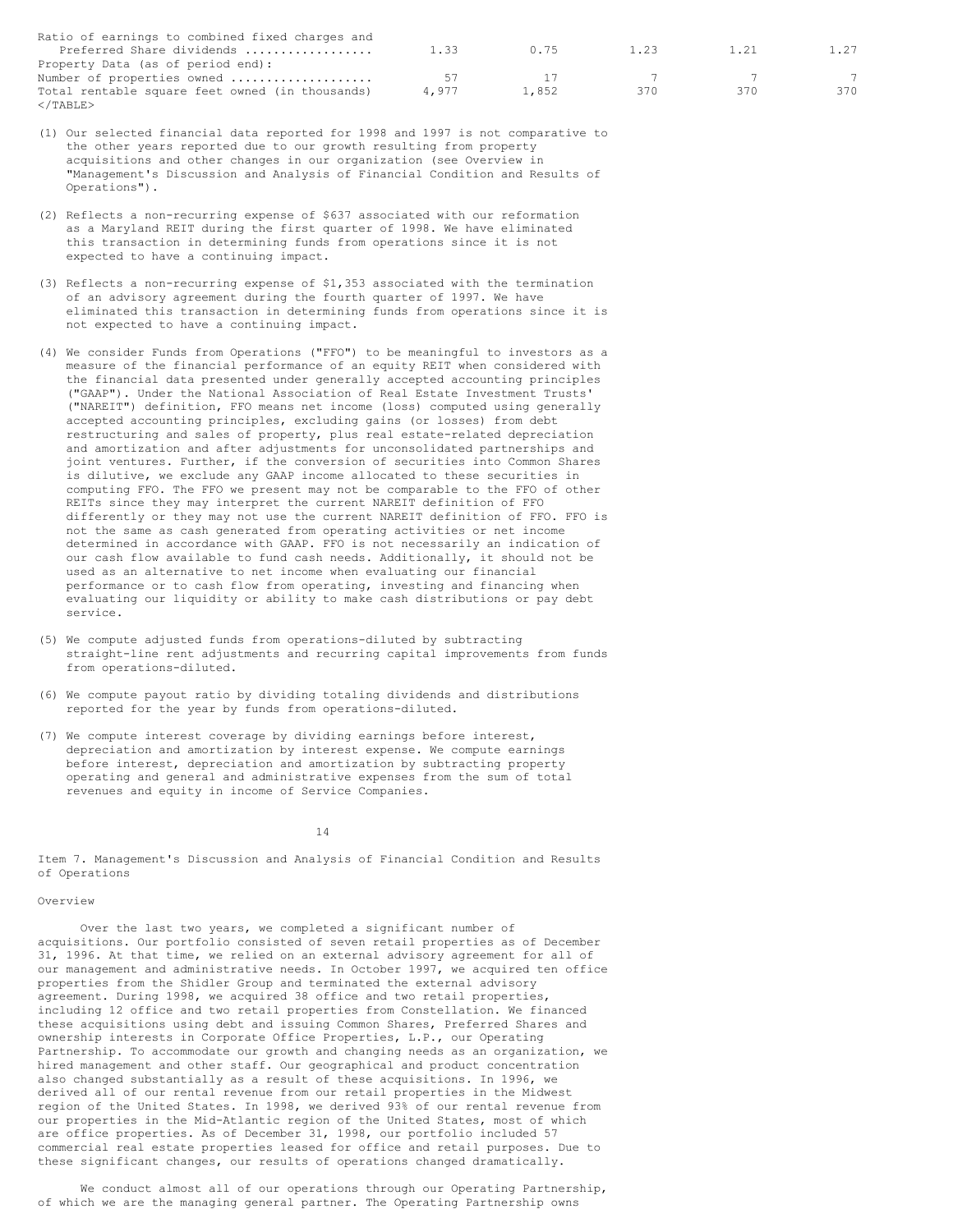| Ratio of earnings to combined fixed charges and |       |       |      |      |      |
|-------------------------------------------------|-------|-------|------|------|------|
| Preferred Share dividends                       | 1.33  | 0.75  | 1.23 | 1.21 | 1.27 |
| Property Data (as of period end):               |       |       |      |      |      |
| Number of properties owned                      | 57    |       |      |      |      |
| Total rentable square feet owned (in thousands) | 4.977 | 1,852 | 370  | 37 N | 370  |
|                                                 |       |       |      |      |      |

- (1) Our selected financial data reported for 1998 and 1997 is not comparative to the other years reported due to our growth resulting from property acquisitions and other changes in our organization (see Overview in "Management's Discussion and Analysis of Financial Condition and Results of Operations").
- (2) Reflects a non-recurring expense of \$637 associated with our reformation as a Maryland REIT during the first quarter of 1998. We have eliminated this transaction in determining funds from operations since it is not expected to have a continuing impact.
- (3) Reflects a non-recurring expense of \$1,353 associated with the termination of an advisory agreement during the fourth quarter of 1997. We have eliminated this transaction in determining funds from operations since it is not expected to have a continuing impact.
- (4) We consider Funds from Operations ("FFO") to be meaningful to investors as a measure of the financial performance of an equity REIT when considered with the financial data presented under generally accepted accounting principles ("GAAP"). Under the National Association of Real Estate Investment Trusts' ("NAREIT") definition, FFO means net income (loss) computed using generally accepted accounting principles, excluding gains (or losses) from debt restructuring and sales of property, plus real estate-related depreciation and amortization and after adjustments for unconsolidated partnerships and joint ventures. Further, if the conversion of securities into Common Shares is dilutive, we exclude any GAAP income allocated to these securities in computing FFO. The FFO we present may not be comparable to the FFO of other REITs since they may interpret the current NAREIT definition of FFO differently or they may not use the current NAREIT definition of FFO. FFO is not the same as cash generated from operating activities or net income determined in accordance with GAAP. FFO is not necessarily an indication of our cash flow available to fund cash needs. Additionally, it should not be used as an alternative to net income when evaluating our financial performance or to cash flow from operating, investing and financing when evaluating our liquidity or ability to make cash distributions or pay debt service.
- (5) We compute adjusted funds from operations-diluted by subtracting straight-line rent adjustments and recurring capital improvements from funds from operations-diluted.
- (6) We compute payout ratio by dividing totaling dividends and distributions reported for the year by funds from operations-diluted.
- (7) We compute interest coverage by dividing earnings before interest, depreciation and amortization by interest expense. We compute earnings before interest, depreciation and amortization by subtracting property operating and general and administrative expenses from the sum of total revenues and equity in income of Service Companies.

14

Item 7. Management's Discussion and Analysis of Financial Condition and Results of Operations

# Overview

Over the last two years, we completed a significant number of acquisitions. Our portfolio consisted of seven retail properties as of December 31, 1996. At that time, we relied on an external advisory agreement for all of our management and administrative needs. In October 1997, we acquired ten office properties from the Shidler Group and terminated the external advisory agreement. During 1998, we acquired 38 office and two retail properties, including 12 office and two retail properties from Constellation. We financed these acquisitions using debt and issuing Common Shares, Preferred Shares and ownership interests in Corporate Office Properties, L.P., our Operating Partnership. To accommodate our growth and changing needs as an organization, we hired management and other staff. Our geographical and product concentration also changed substantially as a result of these acquisitions. In 1996, we derived all of our rental revenue from our retail properties in the Midwest region of the United States. In 1998, we derived 93% of our rental revenue from our properties in the Mid-Atlantic region of the United States, most of which are office properties. As of December 31, 1998, our portfolio included 57 commercial real estate properties leased for office and retail purposes. Due to these significant changes, our results of operations changed dramatically.

We conduct almost all of our operations through our Operating Partnership, of which we are the managing general partner. The Operating Partnership owns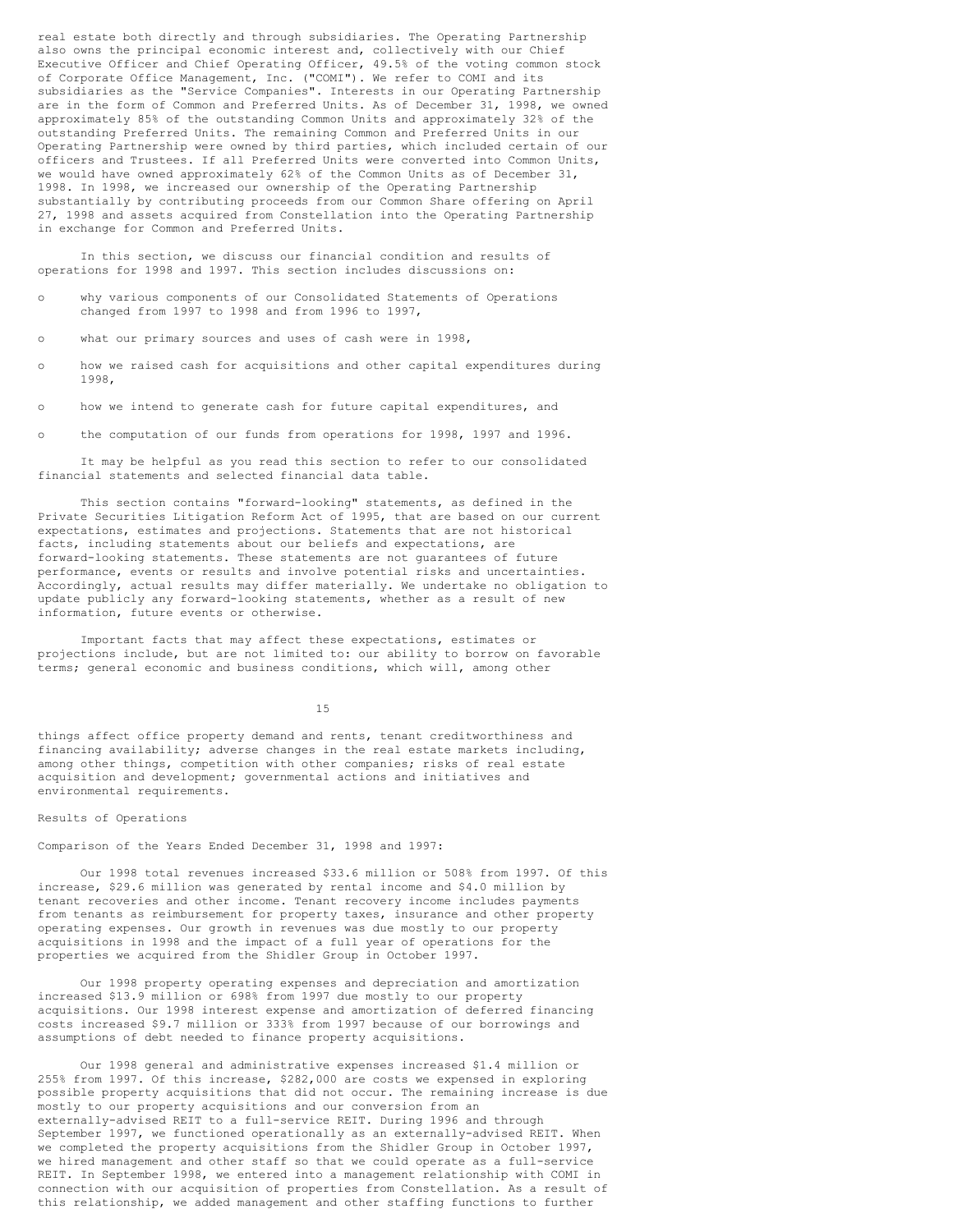real estate both directly and through subsidiaries. The Operating Partnership also owns the principal economic interest and, collectively with our Chief Executive Officer and Chief Operating Officer, 49.5% of the voting common stock of Corporate Office Management, Inc. ("COMI"). We refer to COMI and its subsidiaries as the "Service Companies". Interests in our Operating Partnership are in the form of Common and Preferred Units. As of December 31, 1998, we owned approximately 85% of the outstanding Common Units and approximately 32% of the outstanding Preferred Units. The remaining Common and Preferred Units in our Operating Partnership were owned by third parties, which included certain of our officers and Trustees. If all Preferred Units were converted into Common Units, we would have owned approximately 62% of the Common Units as of December 31, 1998. In 1998, we increased our ownership of the Operating Partnership substantially by contributing proceeds from our Common Share offering on April 27, 1998 and assets acquired from Constellation into the Operating Partnership in exchange for Common and Preferred Units.

In this section, we discuss our financial condition and results of operations for 1998 and 1997. This section includes discussions on:

- o why various components of our Consolidated Statements of Operations changed from 1997 to 1998 and from 1996 to 1997,
- o what our primary sources and uses of cash were in 1998,
- o how we raised cash for acquisitions and other capital expenditures during 1998,
- o how we intend to generate cash for future capital expenditures, and
- o the computation of our funds from operations for 1998, 1997 and 1996.

It may be helpful as you read this section to refer to our consolidated financial statements and selected financial data table.

This section contains "forward-looking" statements, as defined in the Private Securities Litigation Reform Act of 1995, that are based on our current expectations, estimates and projections. Statements that are not historical facts, including statements about our beliefs and expectations, are forward-looking statements. These statements are not guarantees of future performance, events or results and involve potential risks and uncertainties. Accordingly, actual results may differ materially. We undertake no obligation to update publicly any forward-looking statements, whether as a result of new information, future events or otherwise.

Important facts that may affect these expectations, estimates or projections include, but are not limited to: our ability to borrow on favorable terms; general economic and business conditions, which will, among other

15

things affect office property demand and rents, tenant creditworthiness and financing availability; adverse changes in the real estate markets including, among other things, competition with other companies; risks of real estate acquisition and development; governmental actions and initiatives and environmental requirements.

#### Results of Operations

Comparison of the Years Ended December 31, 1998 and 1997:

Our 1998 total revenues increased \$33.6 million or 508% from 1997. Of this increase, \$29.6 million was generated by rental income and \$4.0 million by tenant recoveries and other income. Tenant recovery income includes payments from tenants as reimbursement for property taxes, insurance and other property operating expenses. Our growth in revenues was due mostly to our property acquisitions in 1998 and the impact of a full year of operations for the properties we acquired from the Shidler Group in October 1997.

Our 1998 property operating expenses and depreciation and amortization increased \$13.9 million or 698% from 1997 due mostly to our property acquisitions. Our 1998 interest expense and amortization of deferred financing costs increased \$9.7 million or 333% from 1997 because of our borrowings and assumptions of debt needed to finance property acquisitions.

Our 1998 general and administrative expenses increased \$1.4 million or 255% from 1997. Of this increase, \$282,000 are costs we expensed in exploring possible property acquisitions that did not occur. The remaining increase is due mostly to our property acquisitions and our conversion from an externally-advised REIT to a full-service REIT. During 1996 and through September 1997, we functioned operationally as an externally-advised REIT. When we completed the property acquisitions from the Shidler Group in October 1997, we hired management and other staff so that we could operate as a full-service REIT. In September 1998, we entered into a management relationship with COMI in connection with our acquisition of properties from Constellation. As a result of this relationship, we added management and other staffing functions to further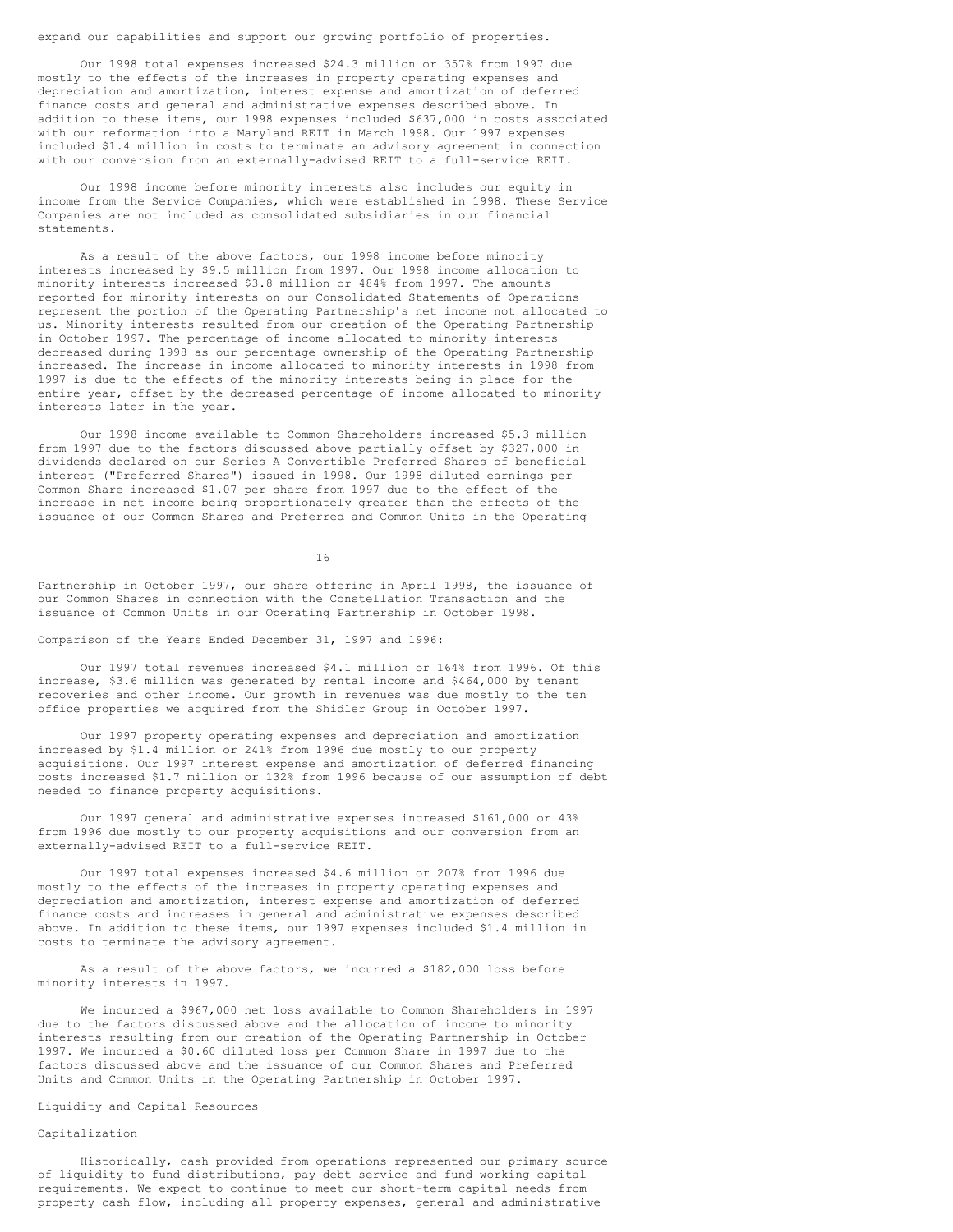expand our capabilities and support our growing portfolio of properties.

Our 1998 total expenses increased \$24.3 million or 357% from 1997 due mostly to the effects of the increases in property operating expenses and depreciation and amortization, interest expense and amortization of deferred finance costs and general and administrative expenses described above. In addition to these items, our 1998 expenses included \$637,000 in costs associated with our reformation into a Maryland REIT in March 1998. Our 1997 expenses included \$1.4 million in costs to terminate an advisory agreement in connection with our conversion from an externally-advised REIT to a full-service REIT.

Our 1998 income before minority interests also includes our equity in income from the Service Companies, which were established in 1998. These Service Companies are not included as consolidated subsidiaries in our financial statements.

As a result of the above factors, our 1998 income before minority interests increased by \$9.5 million from 1997. Our 1998 income allocation to minority interests increased \$3.8 million or 484% from 1997. The amounts reported for minority interests on our Consolidated Statements of Operations represent the portion of the Operating Partnership's net income not allocated to us. Minority interests resulted from our creation of the Operating Partnership in October 1997. The percentage of income allocated to minority interests decreased during 1998 as our percentage ownership of the Operating Partnership increased. The increase in income allocated to minority interests in 1998 from 1997 is due to the effects of the minority interests being in place for the entire year, offset by the decreased percentage of income allocated to minority interests later in the year.

Our 1998 income available to Common Shareholders increased \$5.3 million from 1997 due to the factors discussed above partially offset by \$327,000 in dividends declared on our Series A Convertible Preferred Shares of beneficial interest ("Preferred Shares") issued in 1998. Our 1998 diluted earnings per Common Share increased \$1.07 per share from 1997 due to the effect of the increase in net income being proportionately greater than the effects of the issuance of our Common Shares and Preferred and Common Units in the Operating

16

Partnership in October 1997, our share offering in April 1998, the issuance of our Common Shares in connection with the Constellation Transaction and the issuance of Common Units in our Operating Partnership in October 1998.

Comparison of the Years Ended December 31, 1997 and 1996:

Our 1997 total revenues increased \$4.1 million or 164% from 1996. Of this increase, \$3.6 million was generated by rental income and \$464,000 by tenant recoveries and other income. Our growth in revenues was due mostly to the ten office properties we acquired from the Shidler Group in October 1997.

Our 1997 property operating expenses and depreciation and amortization increased by \$1.4 million or 241% from 1996 due mostly to our property acquisitions. Our 1997 interest expense and amortization of deferred financing costs increased \$1.7 million or 132% from 1996 because of our assumption of debt needed to finance property acquisitions.

Our 1997 general and administrative expenses increased \$161,000 or 43% from 1996 due mostly to our property acquisitions and our conversion from an externally-advised REIT to a full-service REIT.

Our 1997 total expenses increased \$4.6 million or 207% from 1996 due mostly to the effects of the increases in property operating expenses and depreciation and amortization, interest expense and amortization of deferred finance costs and increases in general and administrative expenses described above. In addition to these items, our 1997 expenses included \$1.4 million in costs to terminate the advisory agreement.

As a result of the above factors, we incurred a \$182,000 loss before minority interests in 1997.

We incurred a \$967,000 net loss available to Common Shareholders in 1997 due to the factors discussed above and the allocation of income to minority interests resulting from our creation of the Operating Partnership in October 1997. We incurred a \$0.60 diluted loss per Common Share in 1997 due to the factors discussed above and the issuance of our Common Shares and Preferred Units and Common Units in the Operating Partnership in October 1997.

Liquidity and Capital Resources

# Capitalization

Historically, cash provided from operations represented our primary source of liquidity to fund distributions, pay debt service and fund working capital requirements. We expect to continue to meet our short-term capital needs from property cash flow, including all property expenses, general and administrative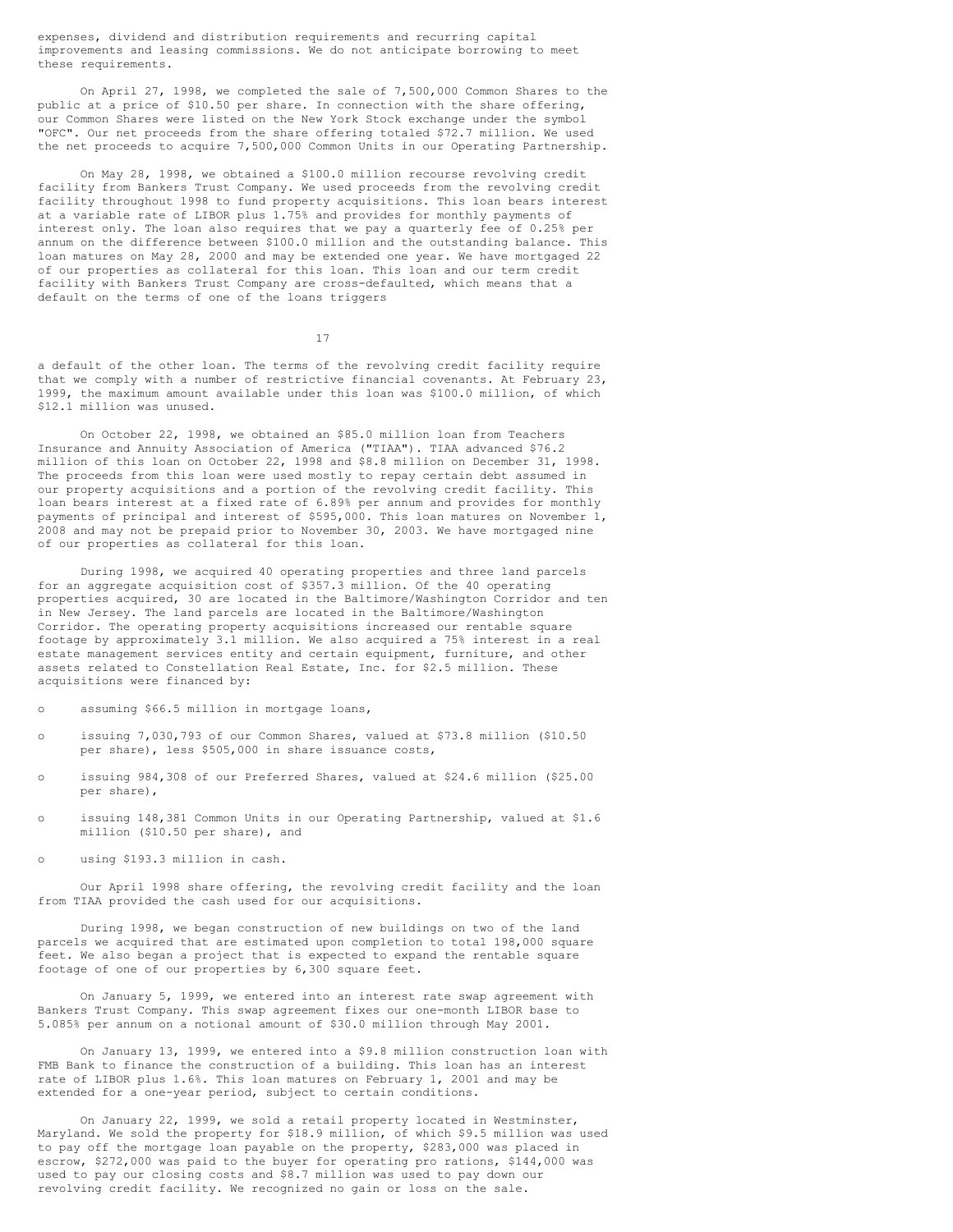expenses, dividend and distribution requirements and recurring capital improvements and leasing commissions. We do not anticipate borrowing to meet these requirements.

On April 27, 1998, we completed the sale of 7,500,000 Common Shares to the public at a price of \$10.50 per share. In connection with the share offering, our Common Shares were listed on the New York Stock exchange under the symbol "OFC". Our net proceeds from the share offering totaled \$72.7 million. We used the net proceeds to acquire 7,500,000 Common Units in our Operating Partnership.

On May 28, 1998, we obtained a \$100.0 million recourse revolving credit facility from Bankers Trust Company. We used proceeds from the revolving credit facility throughout 1998 to fund property acquisitions. This loan bears interest at a variable rate of LIBOR plus 1.75% and provides for monthly payments of interest only. The loan also requires that we pay a quarterly fee of 0.25% per annum on the difference between \$100.0 million and the outstanding balance. This loan matures on May 28, 2000 and may be extended one year. We have mortgaged 22 of our properties as collateral for this loan. This loan and our term credit facility with Bankers Trust Company are cross-defaulted, which means that a default on the terms of one of the loans triggers

17

a default of the other loan. The terms of the revolving credit facility require that we comply with a number of restrictive financial covenants. At February 23, 1999, the maximum amount available under this loan was \$100.0 million, of which \$12.1 million was unused.

On October 22, 1998, we obtained an \$85.0 million loan from Teachers Insurance and Annuity Association of America ("TIAA"). TIAA advanced \$76.2 million of this loan on October 22, 1998 and \$8.8 million on December 31, 1998. The proceeds from this loan were used mostly to repay certain debt assumed in our property acquisitions and a portion of the revolving credit facility. This loan bears interest at a fixed rate of 6.89% per annum and provides for monthly payments of principal and interest of \$595,000. This loan matures on November 1, 2008 and may not be prepaid prior to November 30, 2003. We have mortgaged nine of our properties as collateral for this loan.

During 1998, we acquired 40 operating properties and three land parcels for an aggregate acquisition cost of \$357.3 million. Of the 40 operating properties acquired, 30 are located in the Baltimore/Washington Corridor and ten in New Jersey. The land parcels are located in the Baltimore/Washington Corridor. The operating property acquisitions increased our rentable square footage by approximately 3.1 million. We also acquired a 75% interest in a real estate management services entity and certain equipment, furniture, and other assets related to Constellation Real Estate, Inc. for \$2.5 million. These acquisitions were financed by:

o assuming \$66.5 million in mortgage loans,

- o issuing 7,030,793 of our Common Shares, valued at \$73.8 million (\$10.50 per share), less \$505,000 in share issuance costs,
- o issuing 984,308 of our Preferred Shares, valued at \$24.6 million (\$25.00 per share),
- o issuing 148,381 Common Units in our Operating Partnership, valued at \$1.6 million (\$10.50 per share), and
- o using \$193.3 million in cash.

Our April 1998 share offering, the revolving credit facility and the loan from TIAA provided the cash used for our acquisitions.

During 1998, we began construction of new buildings on two of the land parcels we acquired that are estimated upon completion to total 198,000 square feet. We also began a project that is expected to expand the rentable square footage of one of our properties by 6,300 square feet.

On January 5, 1999, we entered into an interest rate swap agreement with Bankers Trust Company. This swap agreement fixes our one-month LIBOR base to 5.085% per annum on a notional amount of \$30.0 million through May 2001.

On January 13, 1999, we entered into a \$9.8 million construction loan with FMB Bank to finance the construction of a building. This loan has an interest rate of LIBOR plus 1.6%. This loan matures on February 1, 2001 and may be extended for a one-year period, subject to certain conditions.

On January 22, 1999, we sold a retail property located in Westminster, Maryland. We sold the property for \$18.9 million, of which \$9.5 million was used to pay off the mortgage loan payable on the property, \$283,000 was placed in escrow, \$272,000 was paid to the buyer for operating pro rations, \$144,000 was used to pay our closing costs and \$8.7 million was used to pay down our revolving credit facility. We recognized no gain or loss on the sale.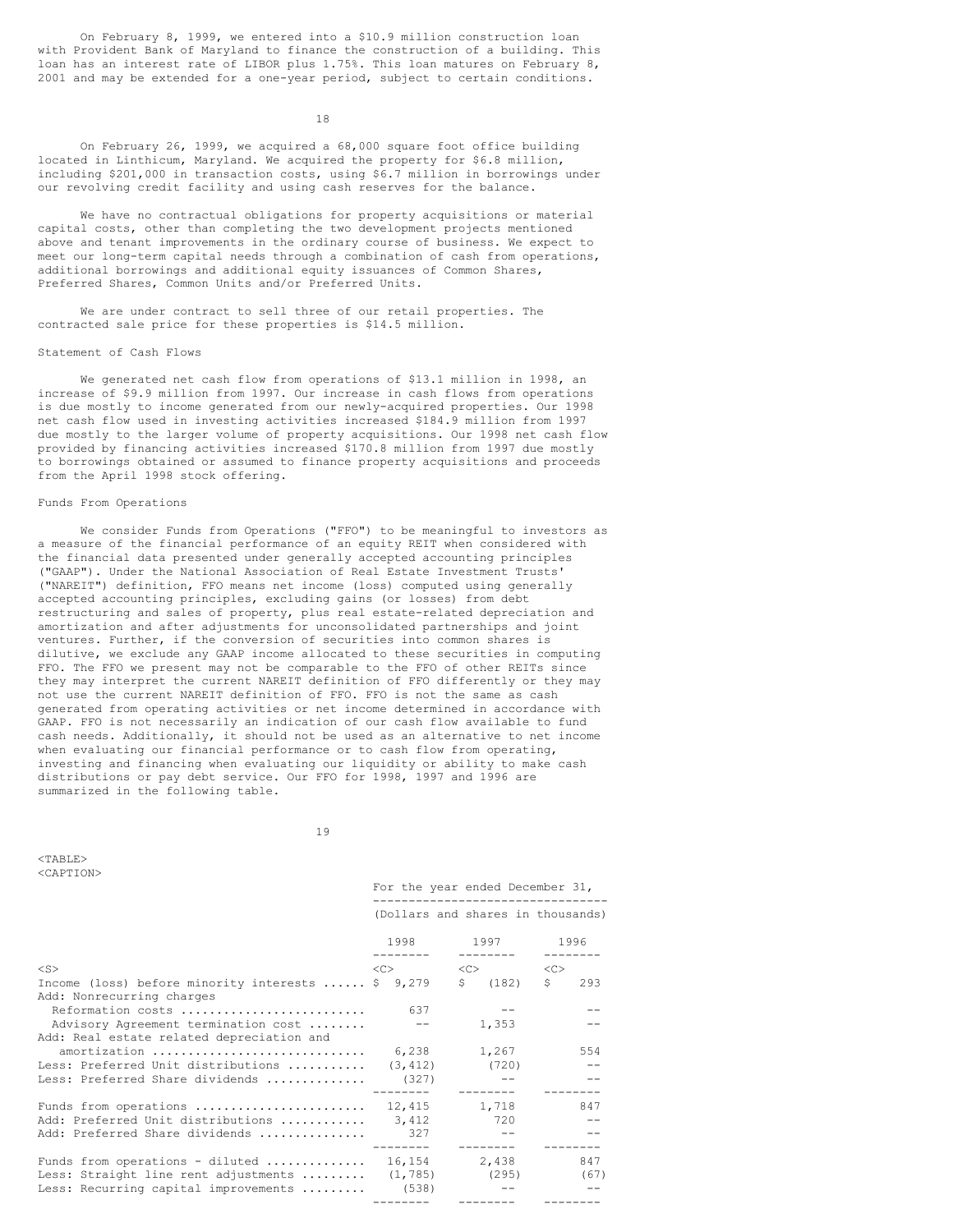On February 8, 1999, we entered into a \$10.9 million construction loan with Provident Bank of Maryland to finance the construction of a building. This loan has an interest rate of LIBOR plus 1.75%. This loan matures on February 8, 2001 and may be extended for a one-year period, subject to certain conditions.

18

On February 26, 1999, we acquired a 68,000 square foot office building located in Linthicum, Maryland. We acquired the property for \$6.8 million, including \$201,000 in transaction costs, using \$6.7 million in borrowings under our revolving credit facility and using cash reserves for the balance.

We have no contractual obligations for property acquisitions or material capital costs, other than completing the two development projects mentioned above and tenant improvements in the ordinary course of business. We expect to meet our long-term capital needs through a combination of cash from operations, additional borrowings and additional equity issuances of Common Shares, Preferred Shares, Common Units and/or Preferred Units.

We are under contract to sell three of our retail properties. The contracted sale price for these properties is \$14.5 million.

### Statement of Cash Flows

We generated net cash flow from operations of \$13.1 million in 1998, an increase of \$9.9 million from 1997. Our increase in cash flows from operations is due mostly to income generated from our newly-acquired properties. Our 1998 net cash flow used in investing activities increased \$184.9 million from 1997 due mostly to the larger volume of property acquisitions. Our 1998 net cash flow provided by financing activities increased \$170.8 million from 1997 due mostly to borrowings obtained or assumed to finance property acquisitions and proceeds from the April 1998 stock offering.

# Funds From Operations

We consider Funds from Operations ("FFO") to be meaningful to investors as a measure of the financial performance of an equity REIT when considered with the financial data presented under generally accepted accounting principles ("GAAP"). Under the National Association of Real Estate Investment Trusts' ("NAREIT") definition, FFO means net income (loss) computed using generally accepted accounting principles, excluding gains (or losses) from debt restructuring and sales of property, plus real estate-related depreciation and amortization and after adjustments for unconsolidated partnerships and joint ventures. Further, if the conversion of securities into common shares is dilutive, we exclude any GAAP income allocated to these securities in computing FFO. The FFO we present may not be comparable to the FFO of other REITs since they may interpret the current NAREIT definition of FFO differently or they may not use the current NAREIT definition of FFO. FFO is not the same as cash generated from operating activities or net income determined in accordance with GAAP. FFO is not necessarily an indication of our cash flow available to fund cash needs. Additionally, it should not be used as an alternative to net income when evaluating our financial performance or to cash flow from operating, investing and financing when evaluating our liquidity or ability to make cash distributions or pay debt service. Our FFO for 1998, 1997 and 1996 are summarized in the following table.

19

For the year ended December 31,

 $<$ TABLE> <CAPTION>

|                                                                                  |                   | (Dollars and shares in thousands)       |           |
|----------------------------------------------------------------------------------|-------------------|-----------------------------------------|-----------|
|                                                                                  |                   | 1998 1997 1996<br>$- - - - - - - -$     |           |
| $<$ S $>$                                                                        | $<<$ $>>$         | $\langle C \rangle$ $\langle C \rangle$ |           |
| Income (loss) before minority interests  \$ 9,279<br>Add: Nonrecurring charges   |                   | S<br>(182)                              | S.<br>293 |
| Reformation costs                                                                | 637               |                                         |           |
| Advisory Agreement termination cost<br>Add: Real estate related depreciation and | $- -$             | 1,353                                   |           |
| amortization                                                                     | 6,238             | 1,267                                   | 554       |
| Less: Preferred Unit distributions                                               | (3, 412)          | (720)                                   |           |
| Less: Preferred Share dividends                                                  | (327)<br>-------- | ---------                               |           |
| Funds from operations                                                            | 12,415            | 1,718                                   | 847       |
| Add: Preferred Unit distributions                                                | 3,412             | 720                                     |           |
| Add: Preferred Share dividends                                                   | 327               | $\sim$ $-$<br>---------                 |           |
| Funds from operations - diluted $\ldots$                                         |                   | 16,154 2,438                            | 847       |
| Less: Straight line rent adjustments                                             |                   | $(1, 785)$ (295)                        | (67)      |
| Less: Recurring capital improvements                                             | (538)             |                                         |           |
|                                                                                  |                   |                                         |           |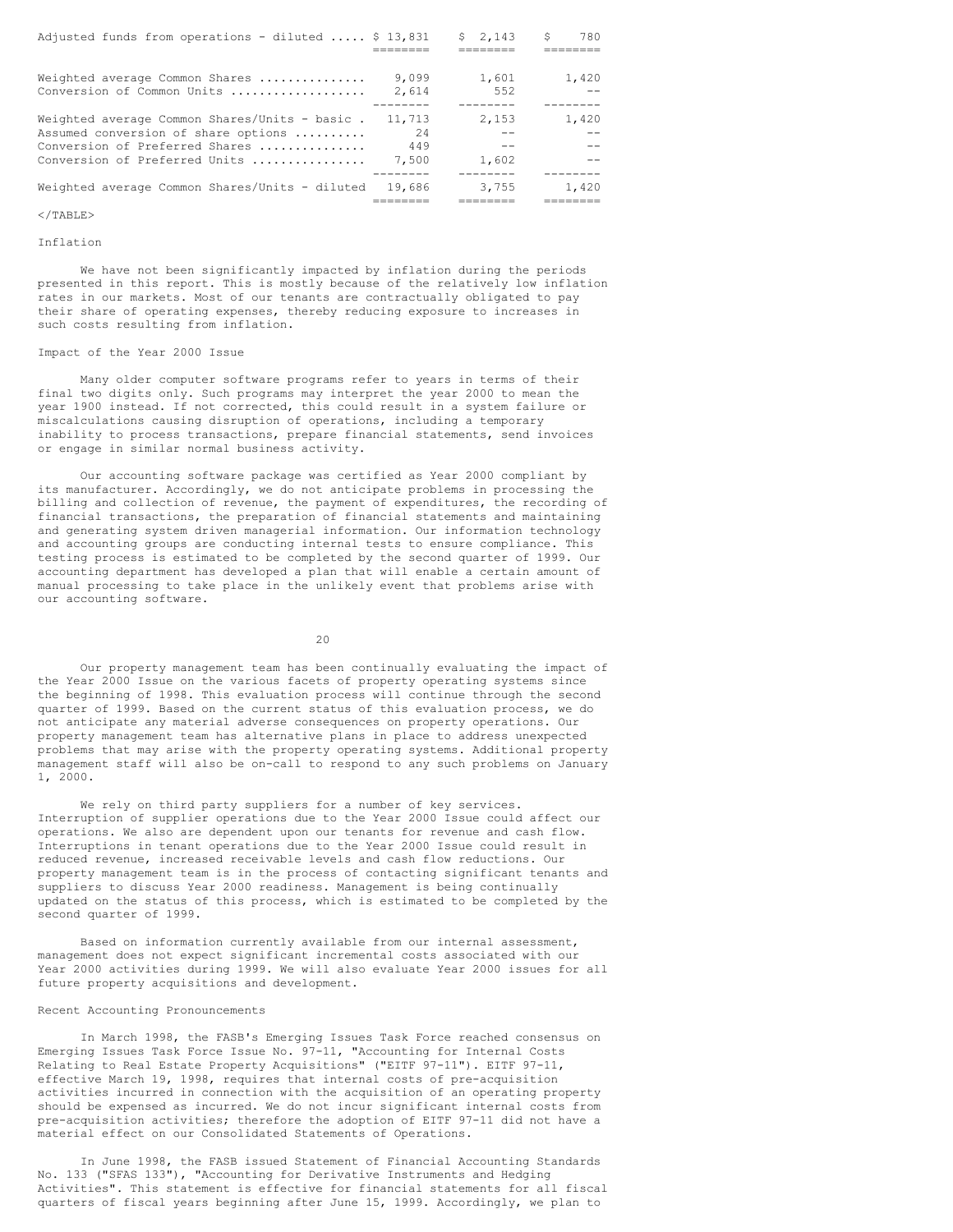| Adjusted funds from operations - diluted  \$ 13,831 |        | \$2.143 | S<br>780 |
|-----------------------------------------------------|--------|---------|----------|
|                                                     |        |         |          |
|                                                     |        |         |          |
| Weighted average Common Shares                      | 9,099  | 1,601   | 1,420    |
| Conversion of Common Units                          | 2.614  | 552     |          |
|                                                     |        |         |          |
| Weighted average Common Shares/Units - basic.       | 11,713 | 2.153   | 1,420    |
| Assumed conversion of share options                 | 2.4    |         |          |
| Conversion of Preferred Shares                      | 449    |         |          |
| Conversion of Preferred Units                       | 7.500  | 1,602   |          |
|                                                     |        |         |          |
| Weighted average Common Shares/Units - diluted      | 19.686 | 3,755   | 1,420    |
|                                                     |        |         |          |

# $\langle$ /TABLE>

# Inflation

We have not been significantly impacted by inflation during the periods presented in this report. This is mostly because of the relatively low inflation rates in our markets. Most of our tenants are contractually obligated to pay their share of operating expenses, thereby reducing exposure to increases in such costs resulting from inflation.

### Impact of the Year 2000 Issue

Many older computer software programs refer to years in terms of their final two digits only. Such programs may interpret the year 2000 to mean the year 1900 instead. If not corrected, this could result in a system failure or miscalculations causing disruption of operations, including a temporary inability to process transactions, prepare financial statements, send invoices or engage in similar normal business activity.

Our accounting software package was certified as Year 2000 compliant by its manufacturer. Accordingly, we do not anticipate problems in processing the billing and collection of revenue, the payment of expenditures, the recording of financial transactions, the preparation of financial statements and maintaining and generating system driven managerial information. Our information technology and accounting groups are conducting internal tests to ensure compliance. This testing process is estimated to be completed by the second quarter of 1999. Our accounting department has developed a plan that will enable a certain amount of manual processing to take place in the unlikely event that problems arise with our accounting software.

20

Our property management team has been continually evaluating the impact of the Year 2000 Issue on the various facets of property operating systems since the beginning of 1998. This evaluation process will continue through the second quarter of 1999. Based on the current status of this evaluation process, we do not anticipate any material adverse consequences on property operations. Our property management team has alternative plans in place to address unexpected problems that may arise with the property operating systems. Additional property management staff will also be on-call to respond to any such problems on January 1, 2000.

We rely on third party suppliers for a number of key services. Interruption of supplier operations due to the Year 2000 Issue could affect our operations. We also are dependent upon our tenants for revenue and cash flow. Interruptions in tenant operations due to the Year 2000 Issue could result in reduced revenue, increased receivable levels and cash flow reductions. Our property management team is in the process of contacting significant tenants and suppliers to discuss Year 2000 readiness. Management is being continually updated on the status of this process, which is estimated to be completed by the second quarter of 1999.

Based on information currently available from our internal assessment, management does not expect significant incremental costs associated with our Year 2000 activities during 1999. We will also evaluate Year 2000 issues for all future property acquisitions and development.

# Recent Accounting Pronouncements

In March 1998, the FASB's Emerging Issues Task Force reached consensus on Emerging Issues Task Force Issue No. 97-11, "Accounting for Internal Costs Relating to Real Estate Property Acquisitions" ("EITF 97-11"). EITF 97-11, effective March 19, 1998, requires that internal costs of pre-acquisition activities incurred in connection with the acquisition of an operating property should be expensed as incurred. We do not incur significant internal costs from pre-acquisition activities; therefore the adoption of EITF 97-11 did not have a material effect on our Consolidated Statements of Operations.

In June 1998, the FASB issued Statement of Financial Accounting Standards No. 133 ("SFAS 133"), "Accounting for Derivative Instruments and Hedging Activities". This statement is effective for financial statements for all fiscal quarters of fiscal years beginning after June 15, 1999. Accordingly, we plan to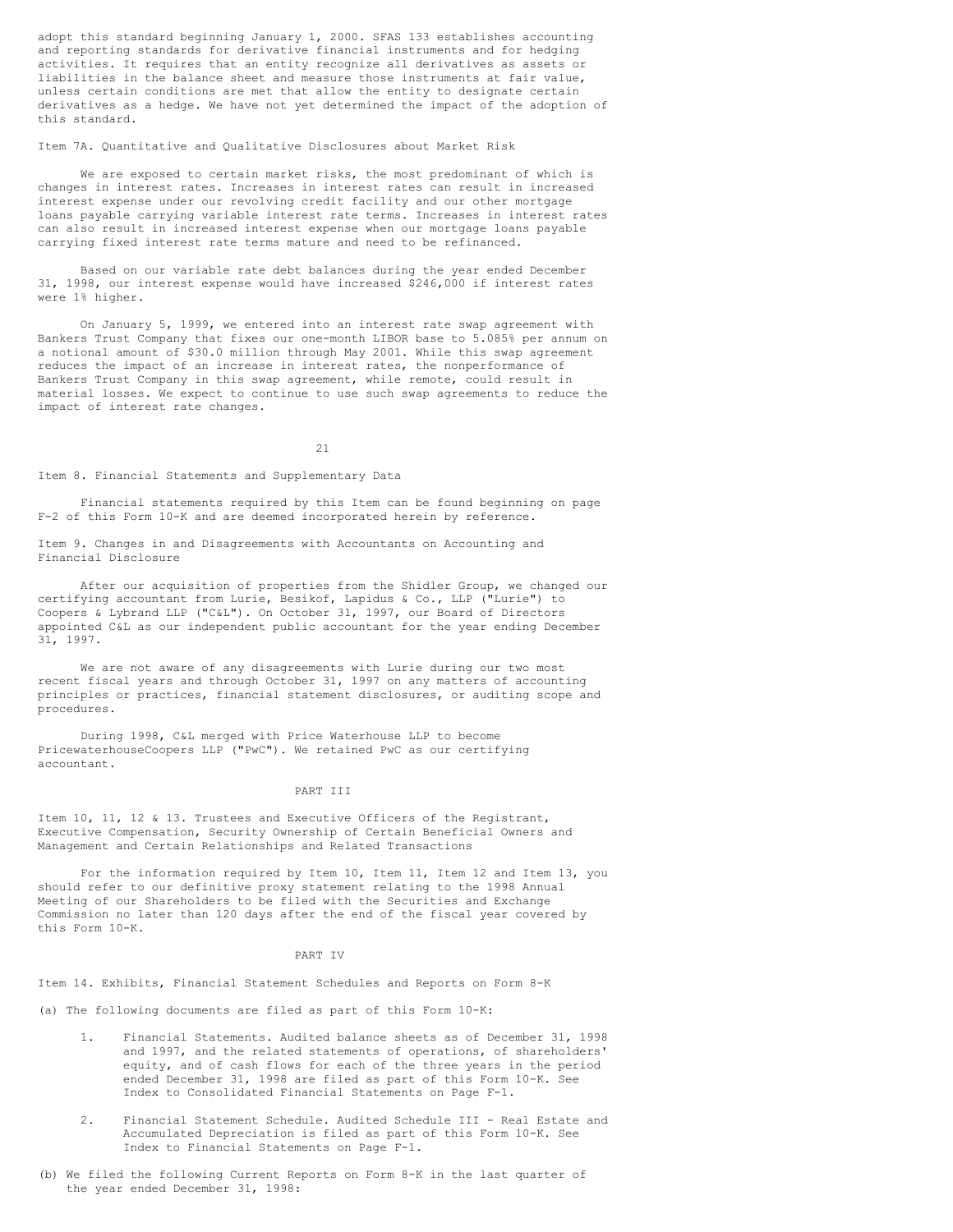adopt this standard beginning January 1, 2000. SFAS 133 establishes accounting and reporting standards for derivative financial instruments and for hedging activities. It requires that an entity recognize all derivatives as assets or liabilities in the balance sheet and measure those instruments at fair value, unless certain conditions are met that allow the entity to designate certain derivatives as a hedge. We have not yet determined the impact of the adoption of this standard.

### Item 7A. Quantitative and Qualitative Disclosures about Market Risk

We are exposed to certain market risks, the most predominant of which is changes in interest rates. Increases in interest rates can result in increased interest expense under our revolving credit facility and our other mortgage loans payable carrying variable interest rate terms. Increases in interest rates can also result in increased interest expense when our mortgage loans payable carrying fixed interest rate terms mature and need to be refinanced.

Based on our variable rate debt balances during the year ended December 31, 1998, our interest expense would have increased \$246,000 if interest rates were 1% higher.

On January 5, 1999, we entered into an interest rate swap agreement with Bankers Trust Company that fixes our one-month LIBOR base to 5.085% per annum on a notional amount of \$30.0 million through May 2001. While this swap agreement reduces the impact of an increase in interest rates, the nonperformance of Bankers Trust Company in this swap agreement, while remote, could result in material losses. We expect to continue to use such swap agreements to reduce the impact of interest rate changes.

21

Item 8. Financial Statements and Supplementary Data

Financial statements required by this Item can be found beginning on page F-2 of this Form 10-K and are deemed incorporated herein by reference.

Item 9. Changes in and Disagreements with Accountants on Accounting and Financial Disclosure

After our acquisition of properties from the Shidler Group, we changed our certifying accountant from Lurie, Besikof, Lapidus & Co., LLP ("Lurie") to Coopers & Lybrand LLP ("C&L"). On October 31, 1997, our Board of Directors appointed C&L as our independent public accountant for the year ending December 31, 1997.

We are not aware of any disagreements with Lurie during our two most recent fiscal years and through October 31, 1997 on any matters of accounting principles or practices, financial statement disclosures, or auditing scope and procedures.

During 1998, C&L merged with Price Waterhouse LLP to become PricewaterhouseCoopers LLP ("PwC"). We retained PwC as our certifying accountant.

### PART III

Item 10, 11, 12 & 13. Trustees and Executive Officers of the Registrant, Executive Compensation, Security Ownership of Certain Beneficial Owners and Management and Certain Relationships and Related Transactions

For the information required by Item 10, Item 11, Item 12 and Item 13, you should refer to our definitive proxy statement relating to the 1998 Annual Meeting of our Shareholders to be filed with the Securities and Exchange Commission no later than 120 days after the end of the fiscal year covered by this Form 10-K.

### PART IV

Item 14. Exhibits, Financial Statement Schedules and Reports on Form 8-K

(a) The following documents are filed as part of this Form 10-K:

- 1. Financial Statements. Audited balance sheets as of December 31, 1998 and 1997, and the related statements of operations, of shareholders' equity, and of cash flows for each of the three years in the period ended December 31, 1998 are filed as part of this Form 10-K. See Index to Consolidated Financial Statements on Page F-1.
- 2. Financial Statement Schedule. Audited Schedule III Real Estate and Accumulated Depreciation is filed as part of this Form 10-K. See Index to Financial Statements on Page F-1.
- (b) We filed the following Current Reports on Form 8-K in the last quarter of the year ended December 31, 1998: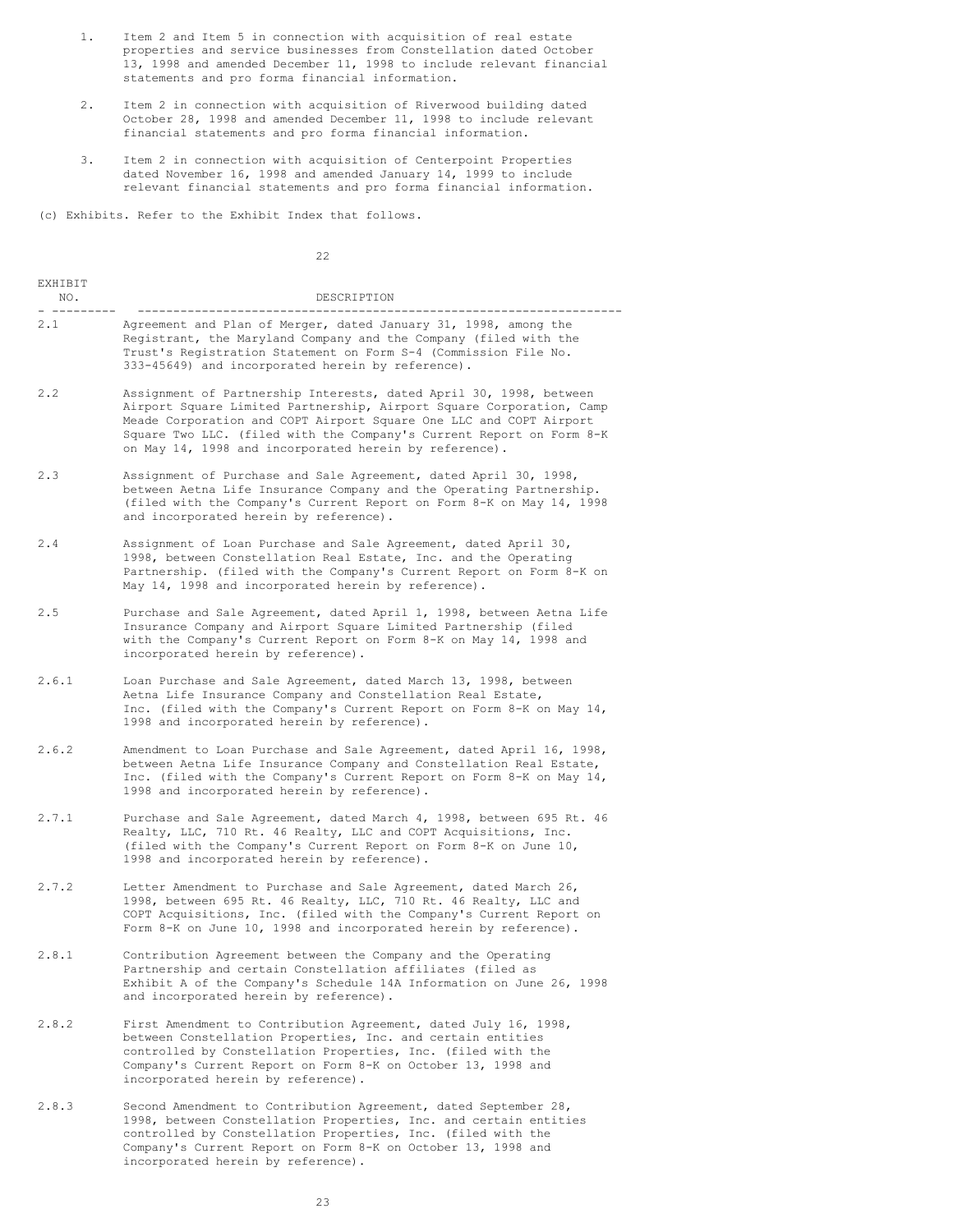- 1. Item 2 and Item 5 in connection with acquisition of real estate properties and service businesses from Constellation dated October 13, 1998 and amended December 11, 1998 to include relevant financial statements and pro forma financial information.
- 2. Item 2 in connection with acquisition of Riverwood building dated October 28, 1998 and amended December 11, 1998 to include relevant financial statements and pro forma financial information.
- 3. Item 2 in connection with acquisition of Centerpoint Properties dated November 16, 1998 and amended January 14, 1999 to include relevant financial statements and pro forma financial information.

(c) Exhibits. Refer to the Exhibit Index that follows.

|                | 22                                                                                                                                                                                                                                                                                                                                                 |
|----------------|----------------------------------------------------------------------------------------------------------------------------------------------------------------------------------------------------------------------------------------------------------------------------------------------------------------------------------------------------|
| EXHIBIT<br>NO. | DESCRIPTION                                                                                                                                                                                                                                                                                                                                        |
| 2.1            | Agreement and Plan of Merger, dated January 31, 1998, among the<br>Registrant, the Maryland Company and the Company (filed with the<br>Trust's Registration Statement on Form S-4 (Commission File No.<br>333-45649) and incorporated herein by reference).                                                                                        |
| 2, 2           | Assignment of Partnership Interests, dated April 30, 1998, between<br>Airport Square Limited Partnership, Airport Square Corporation, Camp<br>Meade Corporation and COPT Airport Square One LLC and COPT Airport<br>Square Two LLC. (filed with the Company's Current Report on Form 8-K<br>on May 14, 1998 and incorporated herein by reference). |
| 2.3            | Assignment of Purchase and Sale Agreement, dated April 30, 1998,<br>between Aetna Life Insurance Company and the Operating Partnership.<br>(filed with the Company's Current Report on Form 8-K on May 14, 1998<br>and incorporated herein by reference).                                                                                          |
| 2.4            | Assignment of Loan Purchase and Sale Agreement, dated April 30,<br>1998, between Constellation Real Estate, Inc. and the Operating<br>Partnership. (filed with the Company's Current Report on Form 8-K on<br>May 14, 1998 and incorporated herein by reference).                                                                                  |
| 2.5            | Purchase and Sale Agreement, dated April 1, 1998, between Aetna Life<br>Insurance Company and Airport Square Limited Partnership (filed<br>with the Company's Current Report on Form 8-K on May 14, 1998 and<br>incorporated herein by reference).                                                                                                 |
| 2.6.1          | Loan Purchase and Sale Agreement, dated March 13, 1998, between<br>Aetna Life Insurance Company and Constellation Real Estate,<br>Inc. (filed with the Company's Current Report on Form 8-K on May $14$ ,<br>1998 and incorporated herein by reference).                                                                                           |
| 2.6.2          | Amendment to Loan Purchase and Sale Agreement, dated April 16, 1998,<br>between Aetna Life Insurance Company and Constellation Real Estate,<br>Inc. (filed with the Company's Current Report on Form 8-K on May 14,<br>1998 and incorporated herein by reference).                                                                                 |
| 2.7.1          | Purchase and Sale Agreement, dated March 4, 1998, between 695 Rt. 46<br>Realty, LLC, 710 Rt. 46 Realty, LLC and COPT Acquisitions, Inc.<br>(filed with the Company's Current Report on Form 8-K on June 10,<br>1998 and incorporated herein by reference).                                                                                         |
| 2.7.2          | Letter Amendment to Purchase and Sale Agreement, dated March 26,<br>1998, between 695 Rt. 46 Realty, LLC, 710 Rt. 46 Realty, LLC and<br>COPT Acquisitions, Inc. (filed with the Company's Current Report on<br>Form 8-K on June 10, 1998 and incorporated herein by reference).                                                                    |
| 2.8.1          | Contribution Agreement between the Company and the Operating<br>Partnership and certain Constellation affiliates (filed as<br>Exhibit A of the Company's Schedule 14A Information on June 26, 1998<br>and incorporated herein by reference).                                                                                                       |
| 2.8.2          | First Amendment to Contribution Agreement, dated July 16, 1998,<br>between Constellation Properties, Inc. and certain entities<br>controlled by Constellation Properties, Inc. (filed with the<br>Company's Current Report on Form 8-K on October 13, 1998 and<br>incorporated herein by reference).                                               |
| 2.8.3          | Second Amendment to Contribution Agreement, dated September 28,<br>1998, between Constellation Properties, Inc. and certain entities<br>controlled by Constellation Properties, Inc. (filed with the<br>Company's Current Report on Form 8-K on October 13, 1998 and                                                                               |

incorporated herein by reference).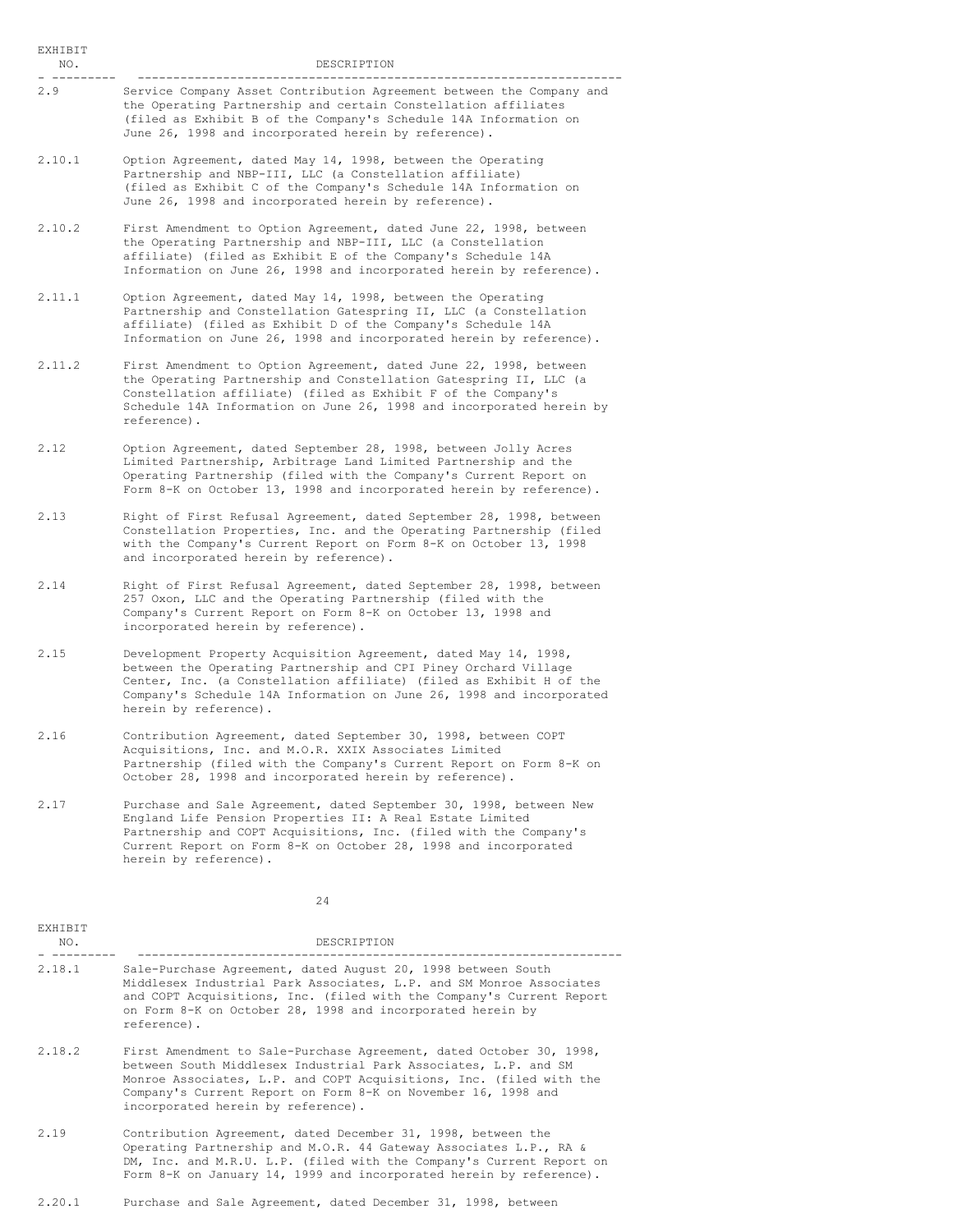EXHIBIT NO. DESCRIPTION - --------- -------------------------------------------------------------------- Service Company Asset Contribution Agreement between the Company and

- the Operating Partnership and certain Constellation affiliates (filed as Exhibit B of the Company's Schedule 14A Information on June 26, 1998 and incorporated herein by reference).
- 2.10.1 Option Agreement, dated May 14, 1998, between the Operating Partnership and NBP-III, LLC (a Constellation affiliate) (filed as Exhibit C of the Company's Schedule 14A Information on June 26, 1998 and incorporated herein by reference).
- 2.10.2 First Amendment to Option Agreement, dated June 22, 1998, between the Operating Partnership and NBP-III, LLC (a Constellation affiliate) (filed as Exhibit E of the Company's Schedule 14A Information on June 26, 1998 and incorporated herein by reference).
- 2.11.1 Option Agreement, dated May 14, 1998, between the Operating Partnership and Constellation Gatespring II, LLC (a Constellation affiliate) (filed as Exhibit D of the Company's Schedule 14A Information on June 26, 1998 and incorporated herein by reference).
- 2.11.2 First Amendment to Option Agreement, dated June 22, 1998, between the Operating Partnership and Constellation Gatespring II, LLC (a Constellation affiliate) (filed as Exhibit F of the Company's Schedule 14A Information on June 26, 1998 and incorporated herein by reference).
- 2.12 Option Agreement, dated September 28, 1998, between Jolly Acres Limited Partnership, Arbitrage Land Limited Partnership and the Operating Partnership (filed with the Company's Current Report on Form 8-K on October 13, 1998 and incorporated herein by reference).
- 2.13 Right of First Refusal Agreement, dated September 28, 1998, between Constellation Properties, Inc. and the Operating Partnership (filed with the Company's Current Report on Form 8-K on October 13, 1998 and incorporated herein by reference).
- 2.14 Right of First Refusal Agreement, dated September 28, 1998, between 257 Oxon, LLC and the Operating Partnership (filed with the Company's Current Report on Form 8-K on October 13, 1998 and incorporated herein by reference).
- 2.15 Development Property Acquisition Agreement, dated May 14, 1998, between the Operating Partnership and CPI Piney Orchard Village Center, Inc. (a Constellation affiliate) (filed as Exhibit H of the Company's Schedule 14A Information on June 26, 1998 and incorporated herein by reference).
- 2.16 Contribution Agreement, dated September 30, 1998, between COPT Acquisitions, Inc. and M.O.R. XXIX Associates Limited Partnership (filed with the Company's Current Report on Form 8-K on October 28, 1998 and incorporated herein by reference).
- 2.17 Purchase and Sale Agreement, dated September 30, 1998, between New England Life Pension Properties II: A Real Estate Limited Partnership and COPT Acquisitions, Inc. (filed with the Company's Current Report on Form 8-K on October 28, 1998 and incorporated herein by reference).

| <b>EXHIBIT</b><br>NO. | DESCRIPTION                                                                                                                                                                                                                                                                                                          |
|-----------------------|----------------------------------------------------------------------------------------------------------------------------------------------------------------------------------------------------------------------------------------------------------------------------------------------------------------------|
| 2.18.1                | Sale-Purchase Agreement, dated August 20, 1998 between South<br>Middlesex Industrial Park Associates, L.P. and SM Monroe Associates<br>and COPT Acquisitions, Inc. (filed with the Company's Current Report<br>on Form 8-K on October 28, 1998 and incorporated herein by<br>reference).                             |
| 2.18.2                | First Amendment to Sale-Purchase Agreement, dated October 30, 1998,<br>between South Middlesex Industrial Park Associates, L.P. and SM<br>Monroe Associates, L.P. and COPT Acquisitions, Inc. (filed with the<br>Company's Current Report on Form 8-K on November 16, 1998 and<br>incorporated herein by reference). |
| 2.19                  | Contribution Agreement, dated December 31, 1998, between the<br>Operating Partnership and M.O.R. 44 Gateway Associates L.P., RA &                                                                                                                                                                                    |

- DM, Inc. and M.R.U. L.P. (filed with the Company's Current Report on Form 8-K on January 14, 1999 and incorporated herein by reference).
- 2.20.1 Purchase and Sale Agreement, dated December 31, 1998, between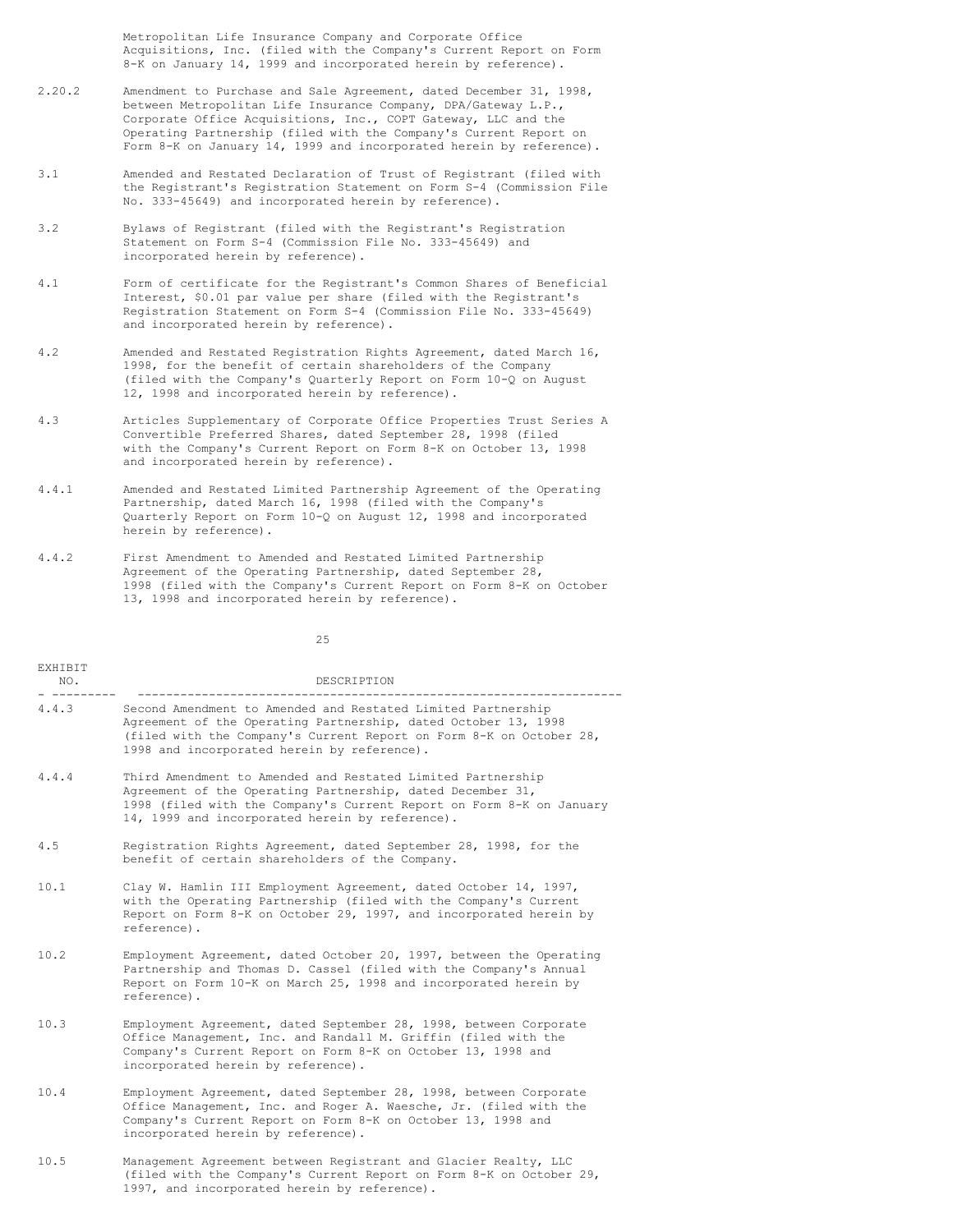Metropolitan Life Insurance Company and Corporate Office Acquisitions, Inc. (filed with the Company's Current Report on Form 8-K on January 14, 1999 and incorporated herein by reference).

- 2.20.2 Amendment to Purchase and Sale Agreement, dated December 31, 1998, between Metropolitan Life Insurance Company, DPA/Gateway L.P., Corporate Office Acquisitions, Inc., COPT Gateway, LLC and the Operating Partnership (filed with the Company's Current Report on Form 8-K on January 14, 1999 and incorporated herein by reference).
- 3.1 Amended and Restated Declaration of Trust of Registrant (filed with the Registrant's Registration Statement on Form S-4 (Commission File No. 333-45649) and incorporated herein by reference).
- 3.2 Bylaws of Registrant (filed with the Registrant's Registration Statement on Form S-4 (Commission File No. 333-45649) and incorporated herein by reference).
- 4.1 Form of certificate for the Registrant's Common Shares of Beneficial Interest, \$0.01 par value per share (filed with the Registrant's Registration Statement on Form S-4 (Commission File No. 333-45649) and incorporated herein by reference).
- 4.2 Amended and Restated Registration Rights Agreement, dated March 16, 1998, for the benefit of certain shareholders of the Company (filed with the Company's Quarterly Report on Form 10-Q on August 12, 1998 and incorporated herein by reference).
- 4.3 Articles Supplementary of Corporate Office Properties Trust Series A Convertible Preferred Shares, dated September 28, 1998 (filed with the Company's Current Report on Form 8-K on October 13, 1998 and incorporated herein by reference).
- 4.4.1 Amended and Restated Limited Partnership Agreement of the Operating Partnership, dated March 16, 1998 (filed with the Company's Quarterly Report on Form 10-Q on August 12, 1998 and incorporated herein by reference).
- 4.4.2 First Amendment to Amended and Restated Limited Partnership Agreement of the Operating Partnership, dated September 28, 1998 (filed with the Company's Current Report on Form 8-K on October 13, 1998 and incorporated herein by reference).

| EXHIBIT<br>NO. | DESCRIPTION                                                                                                                                                                                                                                          |
|----------------|------------------------------------------------------------------------------------------------------------------------------------------------------------------------------------------------------------------------------------------------------|
| 4.4.3          | Second Amendment to Amended and Restated Limited Partnership<br>Agreement of the Operating Partnership, dated October 13, 1998<br>(filed with the Company's Current Report on Form 8-K on October 28,<br>1998 and incorporated herein by reference). |
| 4.4.4          | Third Amendment to Amended and Restated Limited Partnership<br>Agreement of the Operating Partnership, dated December 31,<br>1998 (filed with the Company's Current Report on Form 8-K on January<br>14, 1999 and incorporated herein by reference). |
| 4.5            | Registration Rights Agreement, dated September 28, 1998, for the<br>benefit of certain shareholders of the Company.                                                                                                                                  |
| 10.1           | Clay W. Hamlin III Employment Agreement, dated October 14, 1997,<br>with the Operating Partnership (filed with the Company's Current<br>Report on Form 8-K on October 29, 1997, and incorporated herein by<br>reference).                            |
| 10.2           | Employment Agreement, dated October 20, 1997, between the Operating<br>Partnership and Thomas D. Cassel (filed with the Company's Annual<br>Report on Form 10-K on March 25, 1998 and incorporated herein by<br>reference).                          |
| 10.3           | Employment Agreement, dated September 28, 1998, between Corporate<br>Office Management, Inc. and Randall M. Griffin (filed with the<br>Company's Current Report on Form 8-K on October 13, 1998 and<br>incorporated herein by reference).            |
| 10.4           | Employment Agreement, dated September 28, 1998, between Corporate<br>Office Management, Inc. and Roger A. Waesche, Jr. (filed with the<br>Company's Current Report on Form 8-K on October 13, 1998 and<br>incorporated herein by reference).         |
| 10.5           | Management Agreement between Registrant and Glacier Realty, LLC<br>(filed with the Company's Current Report on Form 8-K on October 29,<br>1997, and incorporated herein by reference).                                                               |
|                |                                                                                                                                                                                                                                                      |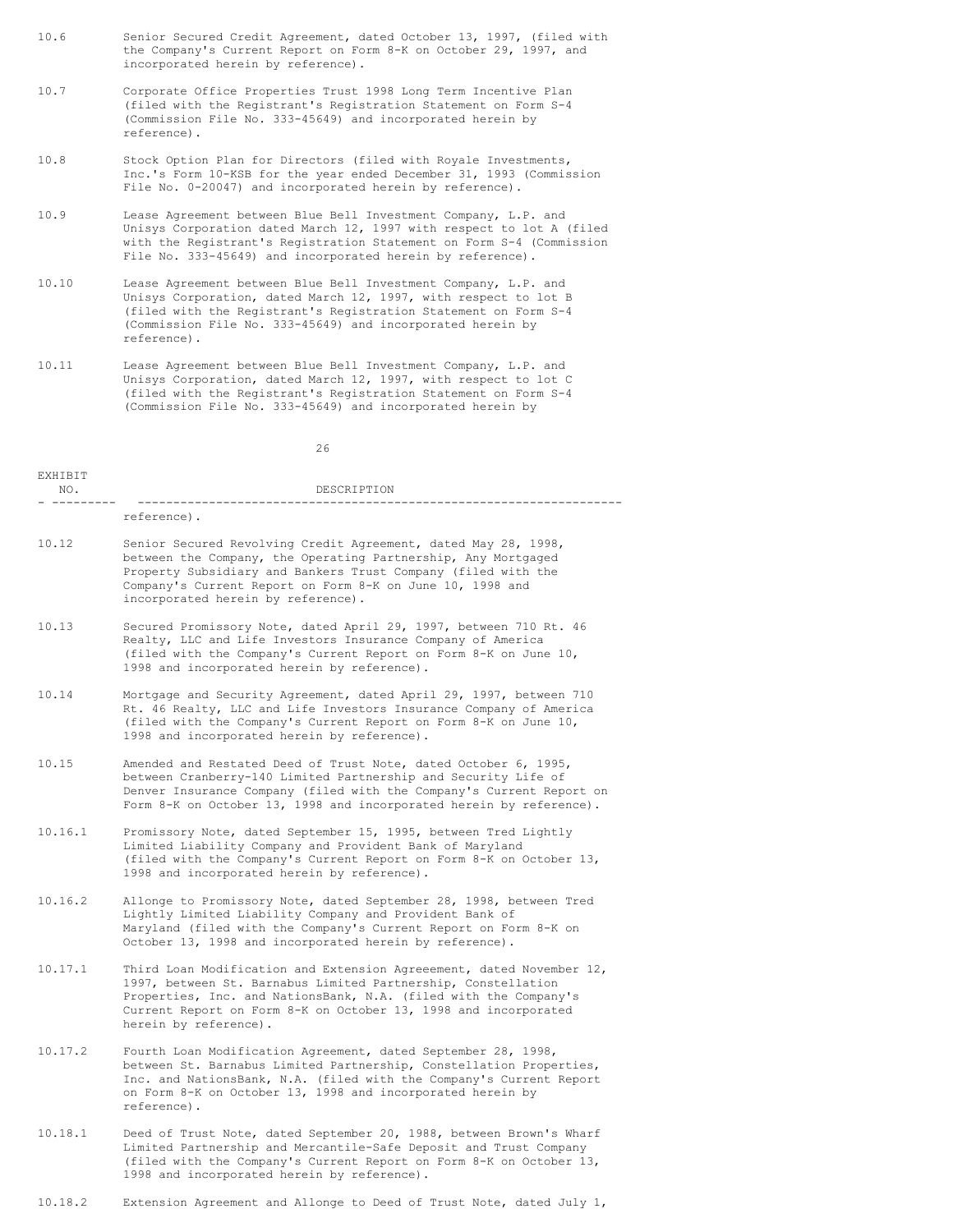- 10.6 Senior Secured Credit Agreement, dated October 13, 1997, (filed with the Company's Current Report on Form 8-K on October 29, 1997, and incorporated herein by reference).
- 10.7 Corporate Office Properties Trust 1998 Long Term Incentive Plan (filed with the Registrant's Registration Statement on Form S-4 (Commission File No. 333-45649) and incorporated herein by reference).
- 10.8 Stock Option Plan for Directors (filed with Royale Investments, Inc.'s Form 10-KSB for the year ended December 31, 1993 (Commission File No. 0-20047) and incorporated herein by reference).
- 10.9 Lease Agreement between Blue Bell Investment Company, L.P. and Unisys Corporation dated March 12, 1997 with respect to lot A (filed with the Registrant's Registration Statement on Form S-4 (Commission File No. 333-45649) and incorporated herein by reference).
- 10.10 Lease Agreement between Blue Bell Investment Company, L.P. and Unisys Corporation, dated March 12, 1997, with respect to lot B (filed with the Registrant's Registration Statement on Form S-4 (Commission File No. 333-45649) and incorporated herein by reference).
- 10.11 Lease Agreement between Blue Bell Investment Company, L.P. and Unisys Corporation, dated March 12, 1997, with respect to lot C (filed with the Registrant's Registration Statement on Form S-4 (Commission File No. 333-45649) and incorporated herein by

| FYHTRTT |             |
|---------|-------------|
| NO.     | DESCRIPTION |
| __      |             |
|         | reference). |

- 10.12 Senior Secured Revolving Credit Agreement, dated May 28, 1998, between the Company, the Operating Partnership, Any Mortgaged Property Subsidiary and Bankers Trust Company (filed with the Company's Current Report on Form 8-K on June 10, 1998 and incorporated herein by reference).
- 10.13 Secured Promissory Note, dated April 29, 1997, between 710 Rt. 46 Realty, LLC and Life Investors Insurance Company of America (filed with the Company's Current Report on Form 8-K on June 10, 1998 and incorporated herein by reference).
- 10.14 Mortgage and Security Agreement, dated April 29, 1997, between 710 Rt. 46 Realty, LLC and Life Investors Insurance Company of America (filed with the Company's Current Report on Form 8-K on June 10, 1998 and incorporated herein by reference).
- 10.15 Amended and Restated Deed of Trust Note, dated October 6, 1995, between Cranberry-140 Limited Partnership and Security Life of Denver Insurance Company (filed with the Company's Current Report on Form 8-K on October 13, 1998 and incorporated herein by reference).
- 10.16.1 Promissory Note, dated September 15, 1995, between Tred Lightly Limited Liability Company and Provident Bank of Maryland (filed with the Company's Current Report on Form 8-K on October 13, 1998 and incorporated herein by reference).
- 10.16.2 Allonge to Promissory Note, dated September 28, 1998, between Tred Lightly Limited Liability Company and Provident Bank of Maryland (filed with the Company's Current Report on Form 8-K on October 13, 1998 and incorporated herein by reference).
- 10.17.1 Third Loan Modification and Extension Agreeement, dated November 12, 1997, between St. Barnabus Limited Partnership, Constellation Properties, Inc. and NationsBank, N.A. (filed with the Company's Current Report on Form 8-K on October 13, 1998 and incorporated herein by reference).
- 10.17.2 Fourth Loan Modification Agreement, dated September 28, 1998, between St. Barnabus Limited Partnership, Constellation Properties, Inc. and NationsBank, N.A. (filed with the Company's Current Report on Form 8-K on October 13, 1998 and incorporated herein by reference).
- 10.18.1 Deed of Trust Note, dated September 20, 1988, between Brown's Wharf Limited Partnership and Mercantile-Safe Deposit and Trust Company (filed with the Company's Current Report on Form 8-K on October 13, 1998 and incorporated herein by reference).
- 10.18.2 Extension Agreement and Allonge to Deed of Trust Note, dated July 1,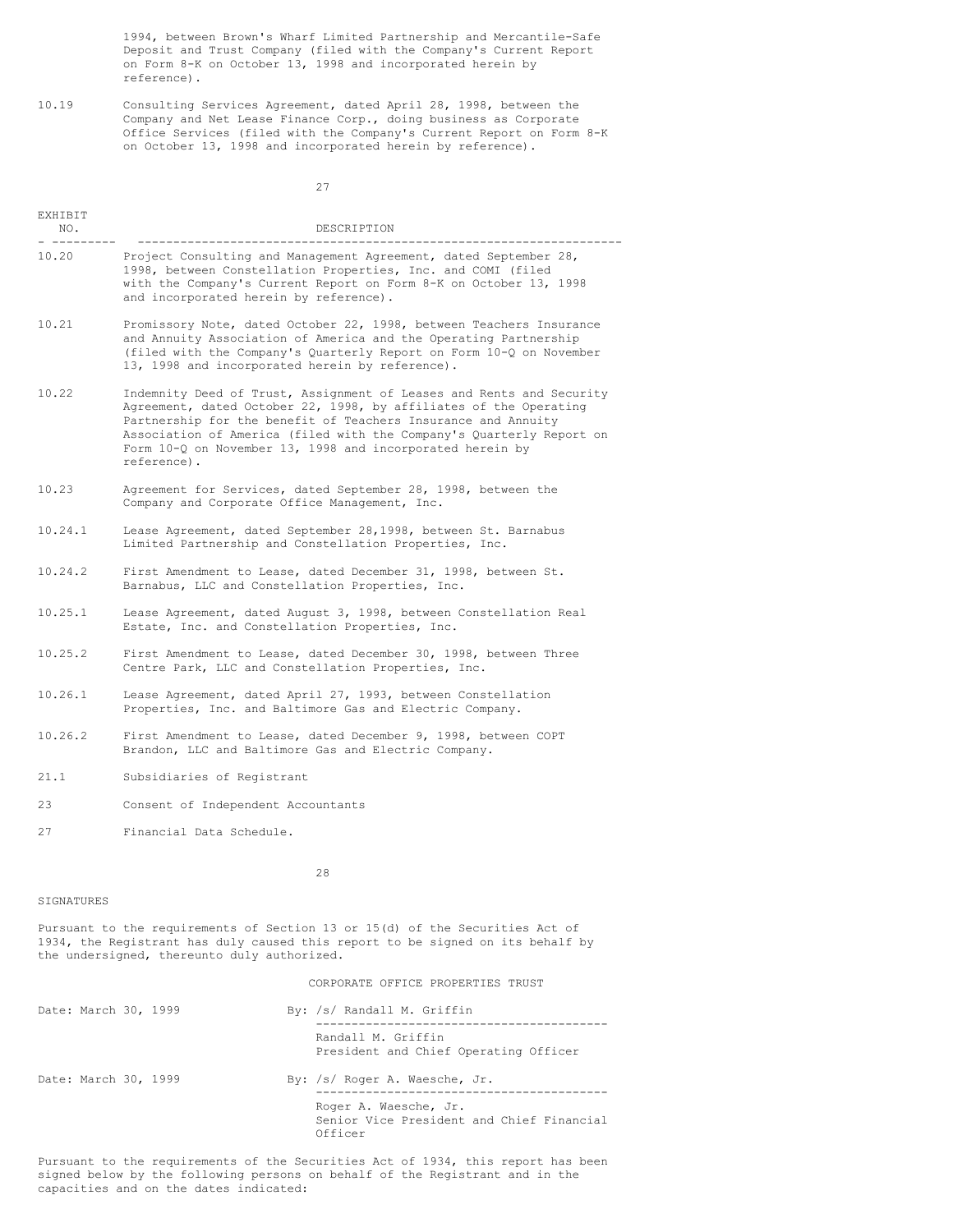1994, between Brown's Wharf Limited Partnership and Mercantile-Safe Deposit and Trust Company (filed with the Company's Current Report on Form 8-K on October 13, 1998 and incorporated herein by reference).

10.19 Consulting Services Agreement, dated April 28, 1998, between the Company and Net Lease Finance Corp., doing business as Corporate Office Services (filed with the Company's Current Report on Form 8-K on October 13, 1998 and incorporated herein by reference).

27

| EXHIBIT<br>NO.       | DESCRIPTION                                                                                                                                                                                                                                                                                                                                                      |
|----------------------|------------------------------------------------------------------------------------------------------------------------------------------------------------------------------------------------------------------------------------------------------------------------------------------------------------------------------------------------------------------|
| 10.20                | Project Consulting and Management Agreement, dated September 28,<br>1998, between Constellation Properties, Inc. and COMI (filed<br>with the Company's Current Report on Form 8-K on October 13, 1998<br>and incorporated herein by reference).                                                                                                                  |
| 10.21                | Promissory Note, dated October 22, 1998, between Teachers Insurance<br>and Annuity Association of America and the Operating Partnership<br>(filed with the Company's Quarterly Report on Form 10-Q on November<br>13, 1998 and incorporated herein by reference).                                                                                                |
| 10.22                | Indemnity Deed of Trust, Assignment of Leases and Rents and Security<br>Agreement, dated October 22, 1998, by affiliates of the Operating<br>Partnership for the benefit of Teachers Insurance and Annuity<br>Association of America (filed with the Company's Quarterly Report on<br>Form $10-Q$ on November 13, 1998 and incorporated herein by<br>reference). |
| 10.23                | Agreement for Services, dated September 28, 1998, between the<br>Company and Corporate Office Management, Inc.                                                                                                                                                                                                                                                   |
| 10.24.1              | Lease Agreement, dated September 28,1998, between St. Barnabus<br>Limited Partnership and Constellation Properties, Inc.                                                                                                                                                                                                                                         |
| 10.24.2              | First Amendment to Lease, dated December 31, 1998, between St.<br>Barnabus, LLC and Constellation Properties, Inc.                                                                                                                                                                                                                                               |
| 10.25.1              | Lease Agreement, dated August 3, 1998, between Constellation Real<br>Estate, Inc. and Constellation Properties, Inc.                                                                                                                                                                                                                                             |
| 10.25.2              | First Amendment to Lease, dated December 30, 1998, between Three<br>Centre Park, LLC and Constellation Properties, Inc.                                                                                                                                                                                                                                          |
| 10.26.1              | Lease Agreement, dated April 27, 1993, between Constellation<br>Properties, Inc. and Baltimore Gas and Electric Company.                                                                                                                                                                                                                                         |
| 10.26.2              | First Amendment to Lease, dated December 9, 1998, between COPT<br>Brandon, LLC and Baltimore Gas and Electric Company.                                                                                                                                                                                                                                           |
| 21.1                 | Subsidiaries of Registrant                                                                                                                                                                                                                                                                                                                                       |
| 23                   | Consent of Independent Accountants                                                                                                                                                                                                                                                                                                                               |
| 27                   | Financial Data Schedule.                                                                                                                                                                                                                                                                                                                                         |
|                      | 28                                                                                                                                                                                                                                                                                                                                                               |
| SIGNATURES           |                                                                                                                                                                                                                                                                                                                                                                  |
|                      | Pursuant to the requirements of Section 13 or 15(d) of the Securities Act of<br>1934, the Registrant has duly caused this report to be signed on its behalf by<br>the undersigned, thereunto duly authorized.                                                                                                                                                    |
|                      | CORPORATE OFFICE PROPERTIES TRUST                                                                                                                                                                                                                                                                                                                                |
| Date: March 30, 1999 | By: /s/ Randall M. Griffin                                                                                                                                                                                                                                                                                                                                       |
|                      |                                                                                                                                                                                                                                                                                                                                                                  |

|                      | Randall M. Griffin<br>President and Chief Operating Officer                   |
|----------------------|-------------------------------------------------------------------------------|
| Date: March 30, 1999 | By: /s/ Roger A. Waesche, Jr.                                                 |
|                      | Roger A. Waesche, Jr.<br>Senior Vice President and Chief Financial<br>Officer |

Pursuant to the requirements of the Securities Act of 1934, this report has been signed below by the following persons on behalf of the Registrant and in the capacities and on the dates indicated: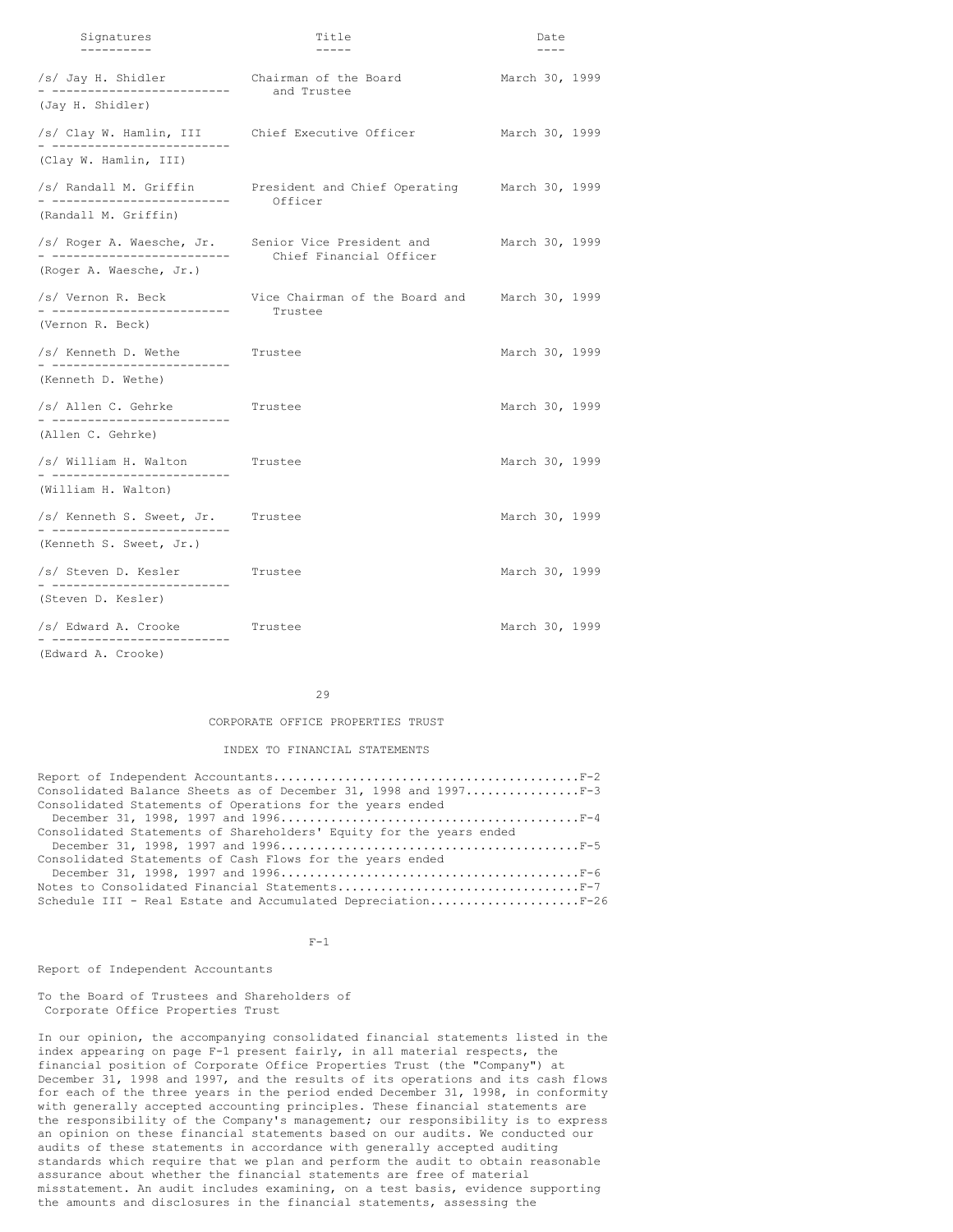| Signatures                                                                       | Title                                                               | Date           |
|----------------------------------------------------------------------------------|---------------------------------------------------------------------|----------------|
|                                                                                  |                                                                     |                |
| /s/ Jay H. Shidler Chairman of the Board<br>------------------------ and Trustee |                                                                     | March 30, 1999 |
| (Jay H. Shidler)                                                                 |                                                                     |                |
| - --------------------------                                                     | /s/ Clay W. Hamlin, III Chief Executive Officer                     | March 30, 1999 |
| (Clay W. Hamlin, III)                                                            |                                                                     |                |
|                                                                                  | /s/ Randall M. Griffin Fresident and Chief Operating March 30, 1999 |                |
| (Randall M. Griffin)                                                             | Officer                                                             |                |
| - --------------------------                                                     | /s/ Roger A. Waesche, Jr. Senior Vice President and                 | March 30, 1999 |
| (Roger A. Waesche, Jr.)                                                          | Chief Financial Officer                                             |                |
| - --------------------------                                                     | /s/ Vernon R. Beck Wice Chairman of the Board and March 30, 1999    |                |
| (Vernon R. Beck)                                                                 | Trustee                                                             |                |
| /s/ Kenneth D. Wethe<br>- --------------------------                             | Trustee                                                             | March 30, 1999 |
| (Kenneth D. Wethe)                                                               |                                                                     |                |
| /s/ Allen C. Gehrke<br>- -------------------------                               | Trustee                                                             | March 30, 1999 |
| (Allen C. Gehrke)                                                                |                                                                     |                |
| /s/ William H. Walton                                                            | Trustee                                                             | March 30, 1999 |
| (William H. Walton)                                                              |                                                                     |                |
| /s/ Kenneth S. Sweet, Jr. Trustee<br>- --------------------------                |                                                                     | March 30, 1999 |
| (Kenneth S. Sweet, Jr.)                                                          |                                                                     |                |
| /s/ Steven D. Kesler                                                             | Trustee                                                             | March 30, 1999 |
| (Steven D. Kesler)                                                               |                                                                     |                |
| /s/ Edward A. Crooke<br>-------------------------                                | Trustee                                                             | March 30, 1999 |
| (Edward A. Crooke)                                                               |                                                                     |                |

29

### CORPORATE OFFICE PROPERTIES TRUST

# INDEX TO FINANCIAL STATEMENTS

| Consolidated Balance Sheets as of December 31, 1998 and 1997F-3     |
|---------------------------------------------------------------------|
| Consolidated Statements of Operations for the years ended           |
|                                                                     |
| Consolidated Statements of Shareholders' Equity for the years ended |
|                                                                     |
| Consolidated Statements of Cash Flows for the years ended           |
|                                                                     |
| Notes to Consolidated Financial StatementsF-7                       |
| Schedule III - Real Estate and Accumulated DepreciationF-26         |

 $F-1$ 

# Report of Independent Accountants

To the Board of Trustees and Shareholders of Corporate Office Properties Trust

In our opinion, the accompanying consolidated financial statements listed in the index appearing on page F-1 present fairly, in all material respects, the financial position of Corporate Office Properties Trust (the "Company") at December 31, 1998 and 1997, and the results of its operations and its cash flows for each of the three years in the period ended December 31, 1998, in conformity with generally accepted accounting principles. These financial statements are the responsibility of the Company's management; our responsibility is to express an opinion on these financial statements based on our audits. We conducted our audits of these statements in accordance with generally accepted auditing standards which require that we plan and perform the audit to obtain reasonable assurance about whether the financial statements are free of material misstatement. An audit includes examining, on a test basis, evidence supporting the amounts and disclosures in the financial statements, assessing the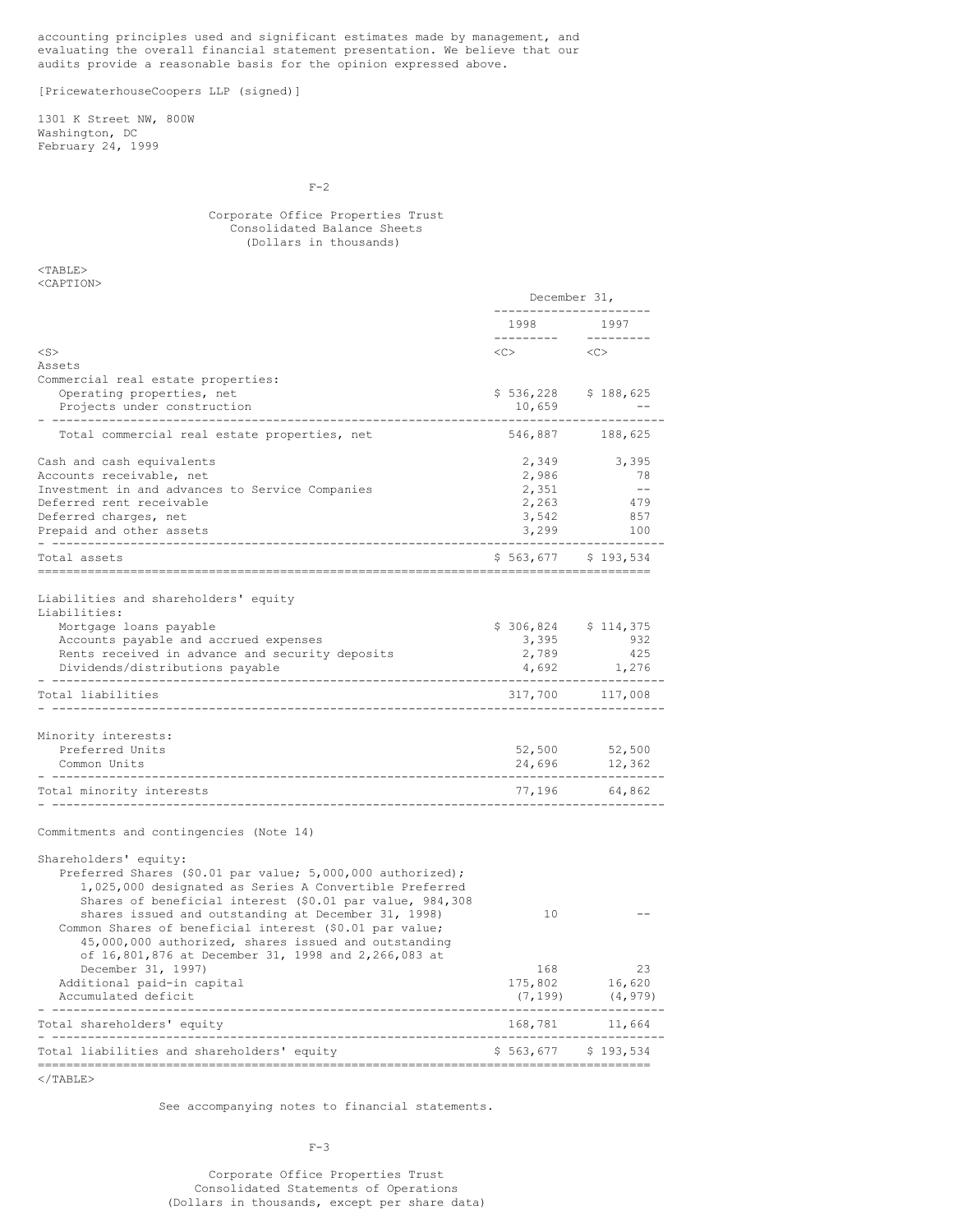accounting principles used and significant estimates made by management, and evaluating the overall financial statement presentation. We believe that our audits provide a reasonable basis for the opinion expressed above.

[PricewaterhouseCoopers LLP (signed)]

1301 K Street NW, 800W Washington, DC February 24, 1999

 $F-2$ 

# Corporate Office Properties Trust Consolidated Balance Sheets (Dollars in thousands)

December 31,

<TABLE> <CAPTION>

|                                                                                                                    | 1998     | 1997                    |
|--------------------------------------------------------------------------------------------------------------------|----------|-------------------------|
| $<$ S $>$                                                                                                          | $<<$ $>$ | <<                      |
| Assets                                                                                                             |          |                         |
| Commercial real estate properties:<br>Operating properties, net                                                    |          | $$536, 228$ $$188, 625$ |
| Projects under construction                                                                                        | 10,659   |                         |
|                                                                                                                    |          |                         |
| Total commercial real estate properties, net                                                                       |          | 546,887 188,625         |
| Cash and cash equivalents                                                                                          | 2,349    | 3,395                   |
| Accounts receivable, net                                                                                           | 2,986    | -78                     |
| Investment in and advances to Service Companies                                                                    | 2,351    | $\sim$ $-$              |
| Deferred rent receivable                                                                                           | 2,263    | 479                     |
| Deferred charges, net                                                                                              | 3,542    | 857                     |
| Prepaid and other assets                                                                                           | 3,299    | 100                     |
| Total assets                                                                                                       |          | $$563,677$ $$193,534$   |
| Liabilities and shareholders' equity                                                                               |          |                         |
| Liabilities:                                                                                                       |          |                         |
| Mortgage loans payable                                                                                             |          | $$306,824$ $$114,375$   |
| Accounts payable and accrued expenses                                                                              | 3,395    | 932                     |
| Rents received in advance and security deposits                                                                    | 2,789    | 425                     |
| Dividends/distributions payable<br>____________________                                                            | 4,692    | 1,276                   |
| Total liabilities                                                                                                  |          | 317,700 117,008         |
|                                                                                                                    |          |                         |
| Minority interests:                                                                                                |          |                         |
| Preferred Units                                                                                                    | 52,500   | 52,500                  |
| Common Units                                                                                                       | 24,696   | 12,362                  |
| Total minority interests                                                                                           |          | 77,196 64,862           |
| Commitments and contingencies (Note 14)                                                                            |          |                         |
|                                                                                                                    |          |                         |
| Shareholders' equity:                                                                                              |          |                         |
| Preferred Shares (\$0.01 par value; 5,000,000 authorized);                                                         |          |                         |
| 1,025,000 designated as Series A Convertible Preferred<br>Shares of beneficial interest (\$0.01 par value, 984,308 |          |                         |
| shares issued and outstanding at December 31, 1998)                                                                | 10       |                         |
| Common Shares of beneficial interest (\$0.01 par value;                                                            |          |                         |
| 45,000,000 authorized, shares issued and outstanding                                                               |          |                         |
| of 16,801,876 at December 31, 1998 and 2,266,083 at                                                                |          |                         |
| December 31, 1997)                                                                                                 | 168      | 23                      |
| Additional paid-in capital                                                                                         | 175,802  | 16,620                  |
| Accumulated deficit                                                                                                | (7, 199) | (4, 979)                |
| Total shareholders'<br>equity                                                                                      | 168,781  | 11,664                  |

======================================================================================  $<$ /TABLE>

Total shareholders' equity

Total liabilities and shareholders' equity

See accompanying notes to financial statements.

- --------------------------------------------------------------------------------------

 $F-3$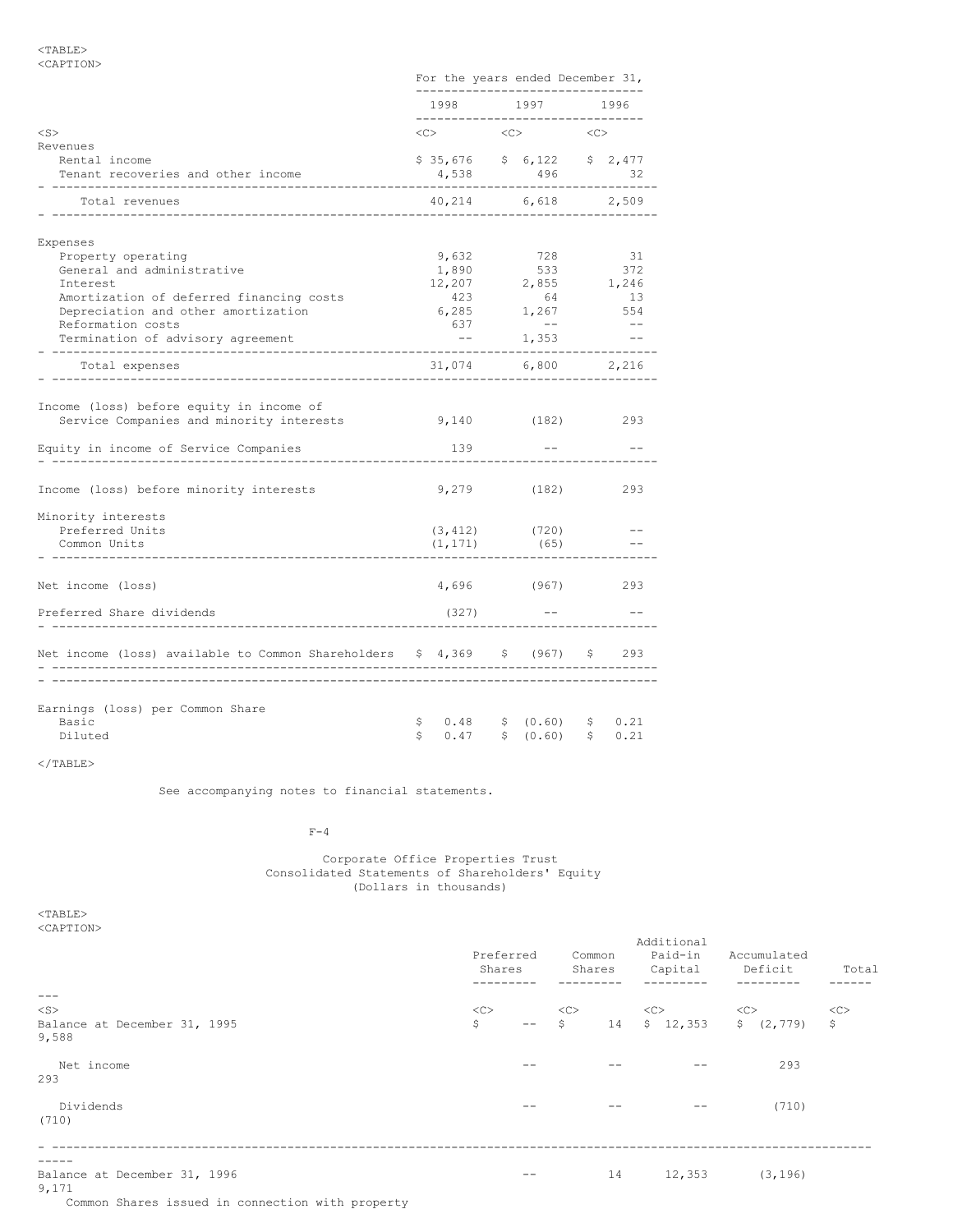# <TABLE> <CAPTION>

|                                                                                      |              |                                             | For the years ended December 31,<br>--------------------------- |           |       |
|--------------------------------------------------------------------------------------|--------------|---------------------------------------------|-----------------------------------------------------------------|-----------|-------|
|                                                                                      |              |                                             | 1998 1997 1996<br>--------------------------------              |           |       |
| $<$ S $>$                                                                            |              | $\langle C \rangle$ and $\langle C \rangle$ | $\langle C \rangle$                                             | < <c></c> |       |
| Revenues                                                                             |              |                                             |                                                                 |           |       |
| Rental income<br>Tenant recoveries and other income<br>________________              |              |                                             | \$35,676 \$6,122 \$2,477<br>4,538 496                           |           | 32    |
| Total revenues                                                                       |              |                                             | 40,214 6,618 2,509                                              |           |       |
| Expenses                                                                             |              |                                             |                                                                 |           |       |
| Property operating                                                                   |              | 9,632                                       | 728                                                             |           | 31    |
| General and administrative                                                           |              | 1,890                                       | 533                                                             |           | 372   |
| Interest                                                                             |              |                                             | $12,207$ 2,855 1,246                                            |           |       |
| Amortization of deferred financing costs                                             |              |                                             | $423$ $64$ $13$<br>$6,285$ $1,267$ $554$                        |           |       |
| Depreciation and other amortization                                                  |              |                                             |                                                                 |           |       |
| Reformation costs                                                                    |              | 637                                         | $ -$                                                            |           | $- -$ |
| Termination of advisory agreement                                                    |              | $ -$                                        | 1,353                                                           |           | $ -$  |
| Total expenses                                                                       |              |                                             | 31,074 6,800                                                    |           | 2,216 |
| ______________________________                                                       |              |                                             |                                                                 |           |       |
| Income (loss) before equity in income of<br>Service Companies and minority interests |              |                                             | 9,140 (182)                                                     |           | 293   |
| Equity in income of Service Companies                                                |              | 139                                         |                                                                 |           |       |
| Income (loss) before minority interests                                              |              |                                             | 9,279 (182)                                                     |           | 293   |
| Minority interests                                                                   |              |                                             |                                                                 |           |       |
| Preferred Units                                                                      |              | $(3, 412)$ (720)                            |                                                                 |           |       |
| Common Units                                                                         |              | (1, 171)                                    | (65)                                                            |           |       |
|                                                                                      |              |                                             |                                                                 |           |       |
| Net income (loss)                                                                    |              |                                             | 4,696 (967)                                                     |           | 293   |
| Preferred Share dividends                                                            |              | (327)                                       |                                                                 |           |       |
| Net income (loss) available to Common Shareholders \$ 4,369 \$ (967)                 |              |                                             |                                                                 | S         | 293   |
|                                                                                      |              |                                             |                                                                 |           |       |
|                                                                                      |              |                                             |                                                                 |           |       |
| Earnings (loss) per Common Share<br>Basic<br>Diluted                                 | $\mathsf{S}$ | \$0.48<br>0.47                              | \$ (0.60) \$ \$ 0.21<br>\$ (0.60)                               | S         | 0.21  |
|                                                                                      |              |                                             |                                                                 |           |       |

# $<$ /TABLE>

See accompanying notes to financial statements.

# $F-4$

Corporate Office Properties Trust Consolidated Statements of Shareholders' Equity (Dollars in thousands)

<TABLE> <CAPTION>

| <b>SUAPIIUNA</b>                                                                                                 | Preferred<br>Shares | Common<br>Shares         |    | Additional<br>Paid-in<br>Capital | Accumulated<br>Deficit | Total      |  |
|------------------------------------------------------------------------------------------------------------------|---------------------|--------------------------|----|----------------------------------|------------------------|------------|--|
| $---$                                                                                                            |                     |                          |    |                                  |                        |            |  |
| $<$ S $>$                                                                                                        | <<                  | <<                       |    | <<                               | <<>                    | $<<$ C $>$ |  |
| Balance at December 31, 1995<br>9,588                                                                            | $\mathsf{S}$        | $- $\tilde{\mathsf{S}}$$ | 14 |                                  | $$12,353$ $$(2,779)$   | \$         |  |
| Net income<br>293                                                                                                |                     |                          |    |                                  | 293                    |            |  |
| Dividends<br>(710)                                                                                               |                     |                          |    | $- -$                            | (710)                  |            |  |
| Balance at December 31, 1996<br>9,171<br>그 사람들은 그 사람들은 그 사람들은 그 사람들을 만들고 있다. 그 사람들은 그 사람들은 그 사람들은 그 사람들을 만들고 있다. |                     |                          | 14 | 12,353                           | (3, 196)               |            |  |

Common Shares issued in connection with property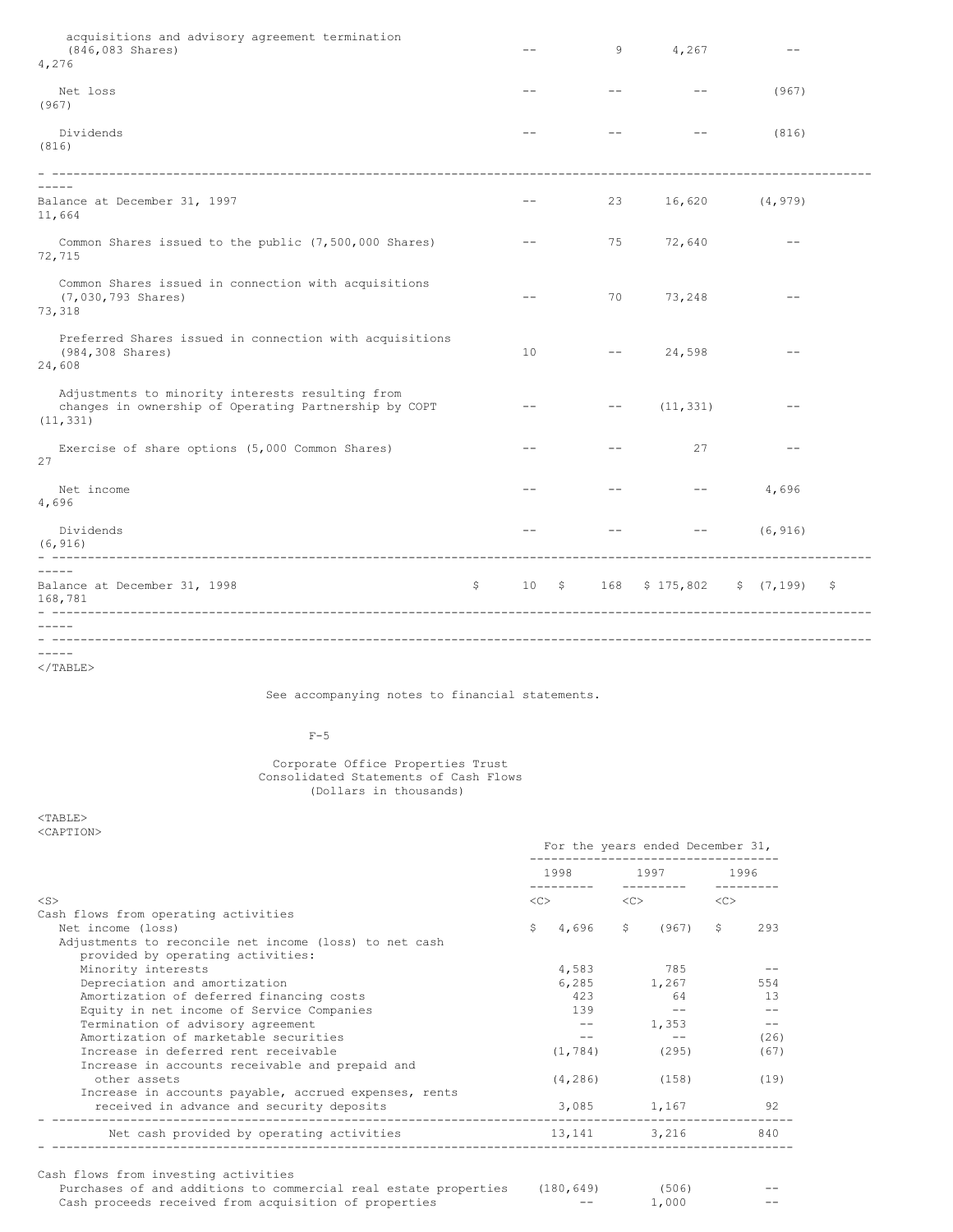| -\$ |
|-----|
|     |
|     |
|     |

</TABLE>

See accompanying notes to financial statements.

# $F-5$

Corporate Office Properties Trust Consolidated Statements of Cash Flows (Dollars in thousands)

<TABLE> <CAPTION>

|                                                                                                                                                                                  | For the years ended December 31,<br>----------------------------- |                                                                                                                                                                                                                                                                                                                                                                                                       |      |  |  |
|----------------------------------------------------------------------------------------------------------------------------------------------------------------------------------|-------------------------------------------------------------------|-------------------------------------------------------------------------------------------------------------------------------------------------------------------------------------------------------------------------------------------------------------------------------------------------------------------------------------------------------------------------------------------------------|------|--|--|
|                                                                                                                                                                                  |                                                                   | 1998 1997 1996                                                                                                                                                                                                                                                                                                                                                                                        |      |  |  |
| $<$ S>                                                                                                                                                                           |                                                                   | $\langle C \rangle$ $\langle C \rangle$ $\langle C \rangle$                                                                                                                                                                                                                                                                                                                                           |      |  |  |
| Cash flows from operating activities                                                                                                                                             |                                                                   |                                                                                                                                                                                                                                                                                                                                                                                                       |      |  |  |
| Net income (loss)                                                                                                                                                                |                                                                   | $$4,696$ \$ (967) \$                                                                                                                                                                                                                                                                                                                                                                                  | 293  |  |  |
| Adjustments to reconcile net income (loss) to net cash<br>provided by operating activities:                                                                                      |                                                                   |                                                                                                                                                                                                                                                                                                                                                                                                       |      |  |  |
| Minority interests                                                                                                                                                               | 4,583                                                             | 785                                                                                                                                                                                                                                                                                                                                                                                                   |      |  |  |
| Depreciation and amortization                                                                                                                                                    |                                                                   | 6,285 1,267                                                                                                                                                                                                                                                                                                                                                                                           | 554  |  |  |
| Amortization of deferred financing costs                                                                                                                                         | 423                                                               | 64                                                                                                                                                                                                                                                                                                                                                                                                    | 13   |  |  |
| Equity in net income of Service Companies                                                                                                                                        | 139                                                               | $\sim$ $-$                                                                                                                                                                                                                                                                                                                                                                                            | $-$  |  |  |
| Termination of advisory agreement                                                                                                                                                |                                                                   | 1,353<br>$\frac{1}{2} \frac{1}{2} \frac{1}{2} \frac{1}{2} \frac{1}{2} \frac{1}{2} \frac{1}{2} \frac{1}{2} \frac{1}{2} \frac{1}{2} \frac{1}{2} \frac{1}{2} \frac{1}{2} \frac{1}{2} \frac{1}{2} \frac{1}{2} \frac{1}{2} \frac{1}{2} \frac{1}{2} \frac{1}{2} \frac{1}{2} \frac{1}{2} \frac{1}{2} \frac{1}{2} \frac{1}{2} \frac{1}{2} \frac{1}{2} \frac{1}{2} \frac{1}{2} \frac{1}{2} \frac{1}{2} \frac{$ | $-$  |  |  |
| Amortization of marketable securities                                                                                                                                            | $- -$                                                             | $- -$                                                                                                                                                                                                                                                                                                                                                                                                 | (26) |  |  |
| Increase in deferred rent receivable<br>Increase in accounts receivable and prepaid and                                                                                          | (1, 784)                                                          | (295)                                                                                                                                                                                                                                                                                                                                                                                                 | (67) |  |  |
| other assets<br>Increase in accounts payable, accrued expenses, rents                                                                                                            |                                                                   | $(4, 286)$ (158)                                                                                                                                                                                                                                                                                                                                                                                      | (19) |  |  |
| received in advance and security deposits                                                                                                                                        |                                                                   | 3,085 1,167                                                                                                                                                                                                                                                                                                                                                                                           | 92   |  |  |
| Net cash provided by operating activities                                                                                                                                        |                                                                   | 13, 141 3, 216                                                                                                                                                                                                                                                                                                                                                                                        | 840  |  |  |
| Cash flows from investing activities<br>Purchases of and additions to commercial real estate properties (180,649) (506)<br>Cash proceeds received from acquisition of properties |                                                                   | 1,000                                                                                                                                                                                                                                                                                                                                                                                                 |      |  |  |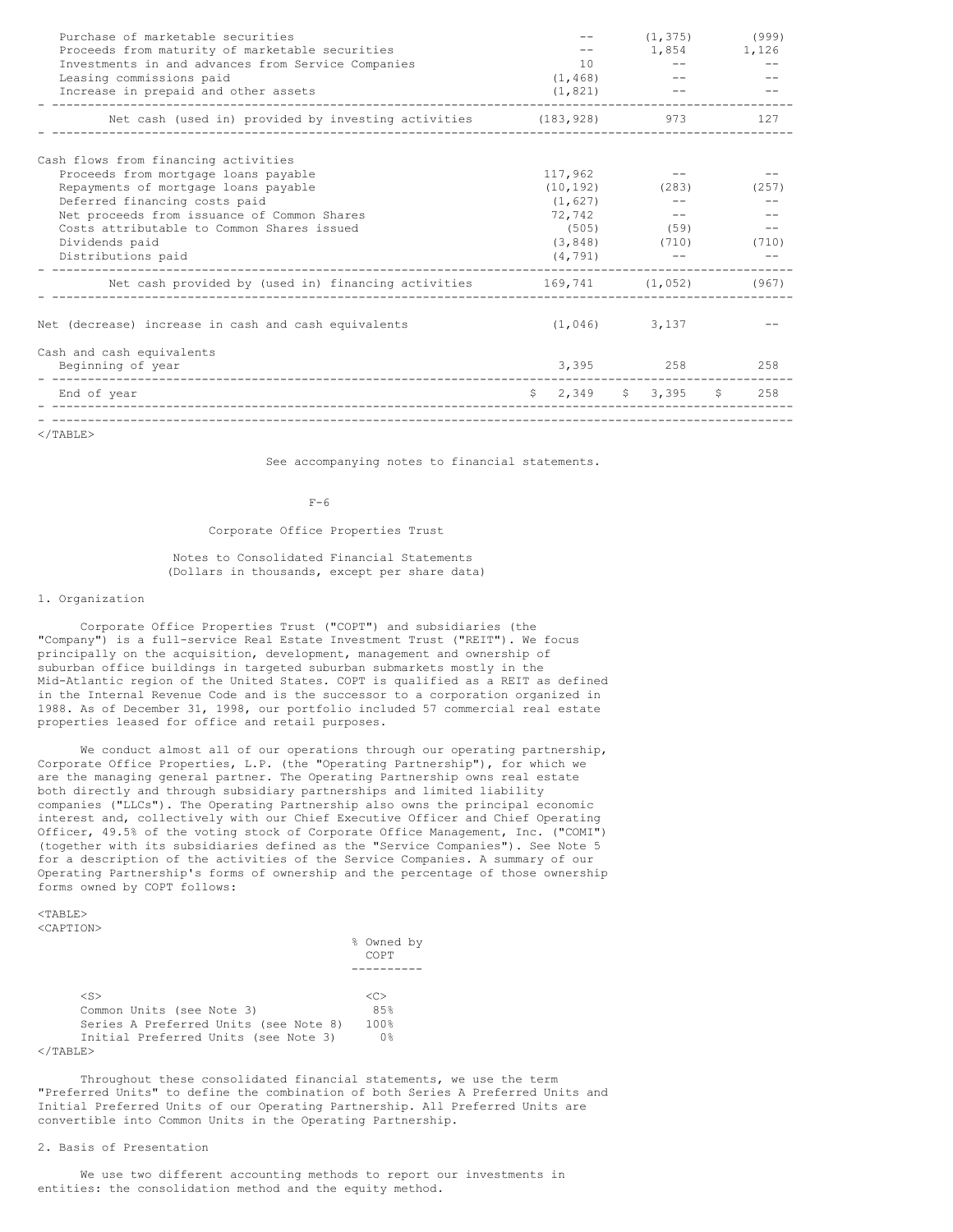| Purchase of marketable securities<br>Proceeds from maturity of marketable securities |          | (1, 375)                 | (999)<br>1,854 1,126 |
|--------------------------------------------------------------------------------------|----------|--------------------------|----------------------|
| Investments in and advances from Service Companies                                   | 10       |                          |                      |
| Leasing commissions paid                                                             | (1, 468) |                          |                      |
| Increase in prepaid and other assets<br>------------------                           | (1, 821) |                          |                      |
| Net cash (used in) provided by investing activities (183,928) 973                    |          |                          | 127                  |
| Cash flows from financing activities                                                 |          |                          |                      |
| Proceeds from mortgage loans payable                                                 | 117,962  |                          |                      |
| Repayments of mortgage loans payable                                                 |          | $(10, 192)$ (283)        | (257)                |
| Deferred financing costs paid                                                        | (1, 627) | $- -$                    |                      |
| Net proceeds from issuance of Common Shares                                          | 72,742   | $\sim$ $-$               |                      |
| Costs attributable to Common Shares issued                                           |          | $(505)$ (59)             |                      |
| Dividends paid                                                                       |          | $(3,848)$ $(710)$        | (710)                |
| Distributions paid                                                                   | (4, 791) |                          |                      |
| Net cash provided by (used in) financing activities 169,741 (1,052) (967)            |          |                          |                      |
| Net (decrease) increase in cash and cash equivalents                                 |          | $(1, 046)$ 3, 137        |                      |
| Cash and cash equivalents                                                            |          |                          |                      |
| Beginning of year                                                                    |          | 3,395 258                | 258                  |
| End of year                                                                          |          | $$2,349$ $$3,395$ $$258$ |                      |
| ノ / Ͳ ⊼ א ד כד                                                                       |          |                          |                      |

</TABLE>

See accompanying notes to financial statements.

### $F-6$

### Corporate Office Properties Trust

Notes to Consolidated Financial Statements (Dollars in thousands, except per share data)

# 1. Organization

Corporate Office Properties Trust ("COPT") and subsidiaries (the "Company") is a full-service Real Estate Investment Trust ("REIT"). We focus principally on the acquisition, development, management and ownership of suburban office buildings in targeted suburban submarkets mostly in the Mid-Atlantic region of the United States. COPT is qualified as a REIT as defined in the Internal Revenue Code and is the successor to a corporation organized in 1988. As of December 31, 1998, our portfolio included 57 commercial real estate properties leased for office and retail purposes.

We conduct almost all of our operations through our operating partnership, Corporate Office Properties, L.P. (the "Operating Partnership"), for which we are the managing general partner. The Operating Partnership owns real estate both directly and through subsidiary partnerships and limited liability companies ("LLCs"). The Operating Partnership also owns the principal economic interest and, collectively with our Chief Executive Officer and Chief Operating Officer, 49.5% of the voting stock of Corporate Office Management, Inc. ("COMI") (together with its subsidiaries defined as the "Service Companies"). See Note 5 for a description of the activities of the Service Companies. A summary of our Operating Partnership's forms of ownership and the percentage of those ownership forms owned by COPT follows:

#### $<$ TABLE>  $\sim$   $\lambda$  DMT $\cap$   $\lambda$

|  | KUAPTIUN 2 |  |  |  |
|--|------------|--|--|--|
|  |            |  |  |  |

|                                       | % Owned by<br>COPT |  |
|---------------------------------------|--------------------|--|
|                                       |                    |  |
| $<$ S $>$                             | <c></c>            |  |
| Common Units (see Note 3)             | 8.5%               |  |
| Series A Preferred Units (see Note 8) | 100%               |  |
| Initial Preferred Units (see Note 3)  | 0%                 |  |
|                                       |                    |  |

  |  ||  |  |  |
Throughout these consolidated financial statements, we use the term "Preferred Units" to define the combination of both Series A Preferred Units and Initial Preferred Units of our Operating Partnership. All Preferred Units are convertible into Common Units in the Operating Partnership.

### 2. Basis of Presentation

We use two different accounting methods to report our investments in entities: the consolidation method and the equity method.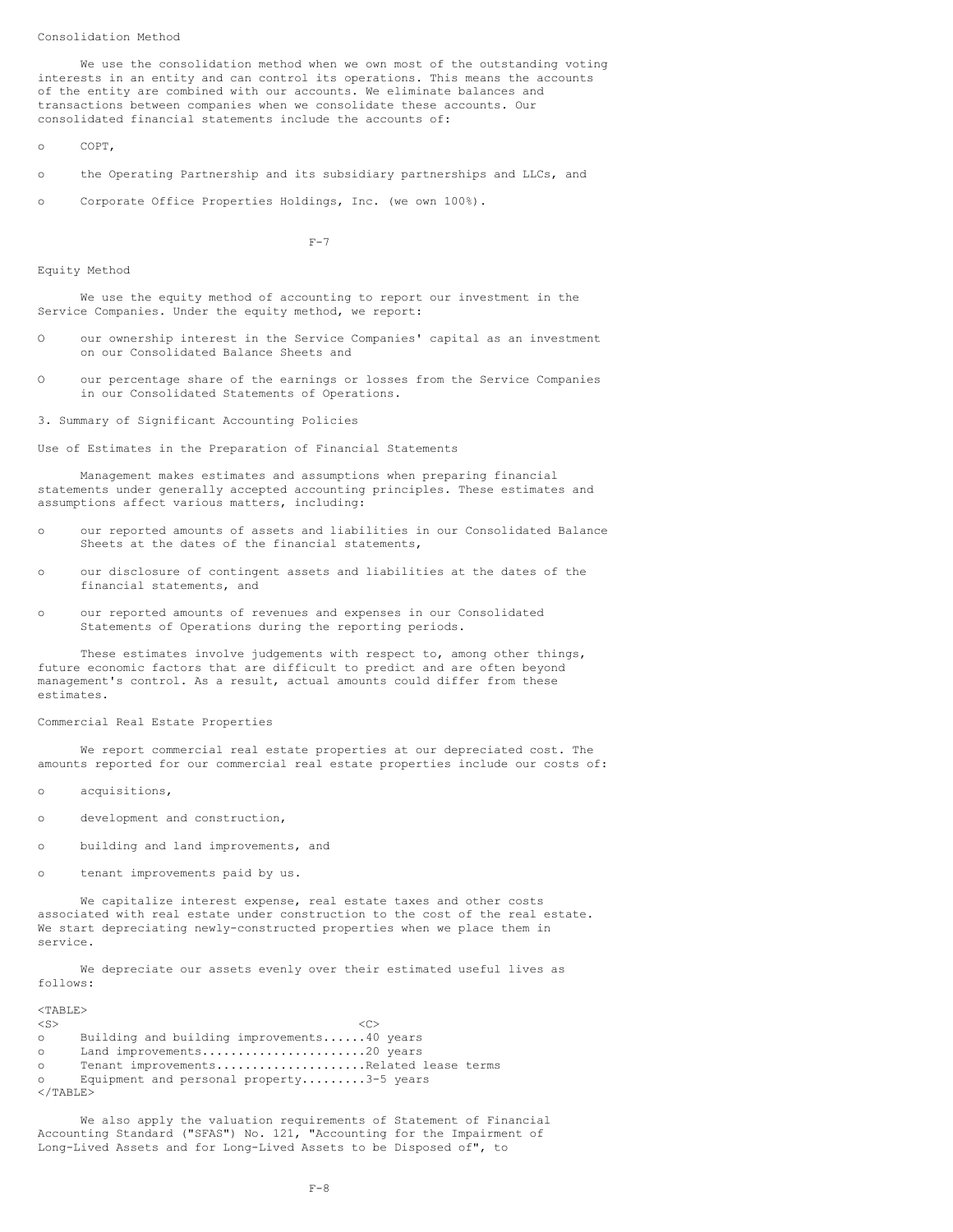Consolidation Method

We use the consolidation method when we own most of the outstanding voting interests in an entity and can control its operations. This means the accounts of the entity are combined with our accounts. We eliminate balances and transactions between companies when we consolidate these accounts. Our consolidated financial statements include the accounts of:

o COPT,

- o the Operating Partnership and its subsidiary partnerships and LLCs, and
- o Corporate Office Properties Holdings, Inc. (we own 100%).

 $F-7$ 

Equity Method

We use the equity method of accounting to report our investment in the Service Companies. Under the equity method, we report:

- O our ownership interest in the Service Companies' capital as an investment on our Consolidated Balance Sheets and
- O our percentage share of the earnings or losses from the Service Companies in our Consolidated Statements of Operations.

3. Summary of Significant Accounting Policies

Use of Estimates in the Preparation of Financial Statements

Management makes estimates and assumptions when preparing financial statements under generally accepted accounting principles. These estimates and assumptions affect various matters, including:

- o our reported amounts of assets and liabilities in our Consolidated Balance Sheets at the dates of the financial statements,
- o our disclosure of contingent assets and liabilities at the dates of the financial statements, and
- o our reported amounts of revenues and expenses in our Consolidated Statements of Operations during the reporting periods.

These estimates involve judgements with respect to, among other things, future economic factors that are difficult to predict and are often beyond management's control. As a result, actual amounts could differ from these estimates.

Commercial Real Estate Properties

We report commercial real estate properties at our depreciated cost. The amounts reported for our commercial real estate properties include our costs of:

o acquisitions,

- o development and construction,
- o building and land improvements, and
- o tenant improvements paid by us.

We capitalize interest expense, real estate taxes and other costs associated with real estate under construction to the cost of the real estate. We start depreciating newly-constructed properties when we place them in service.

We depreciate our assets evenly over their estimated useful lives as follows:

| $<$ TABLE $>$     |                                            |
|-------------------|--------------------------------------------|
| $<$ S $>$         | -10                                        |
| $\circ$           | Building and building improvements40 years |
| $\circ$           | Land improvements20 years                  |
| $\circ$ $\circ$   | Tenant improvementsRelated lease terms     |
| $\circ$           | Equipment and personal property3-5 years   |
| $\langle$ /TABLE> |                                            |

We also apply the valuation requirements of Statement of Financial Accounting Standard ("SFAS") No. 121, "Accounting for the Impairment of Long-Lived Assets and for Long-Lived Assets to be Disposed of", to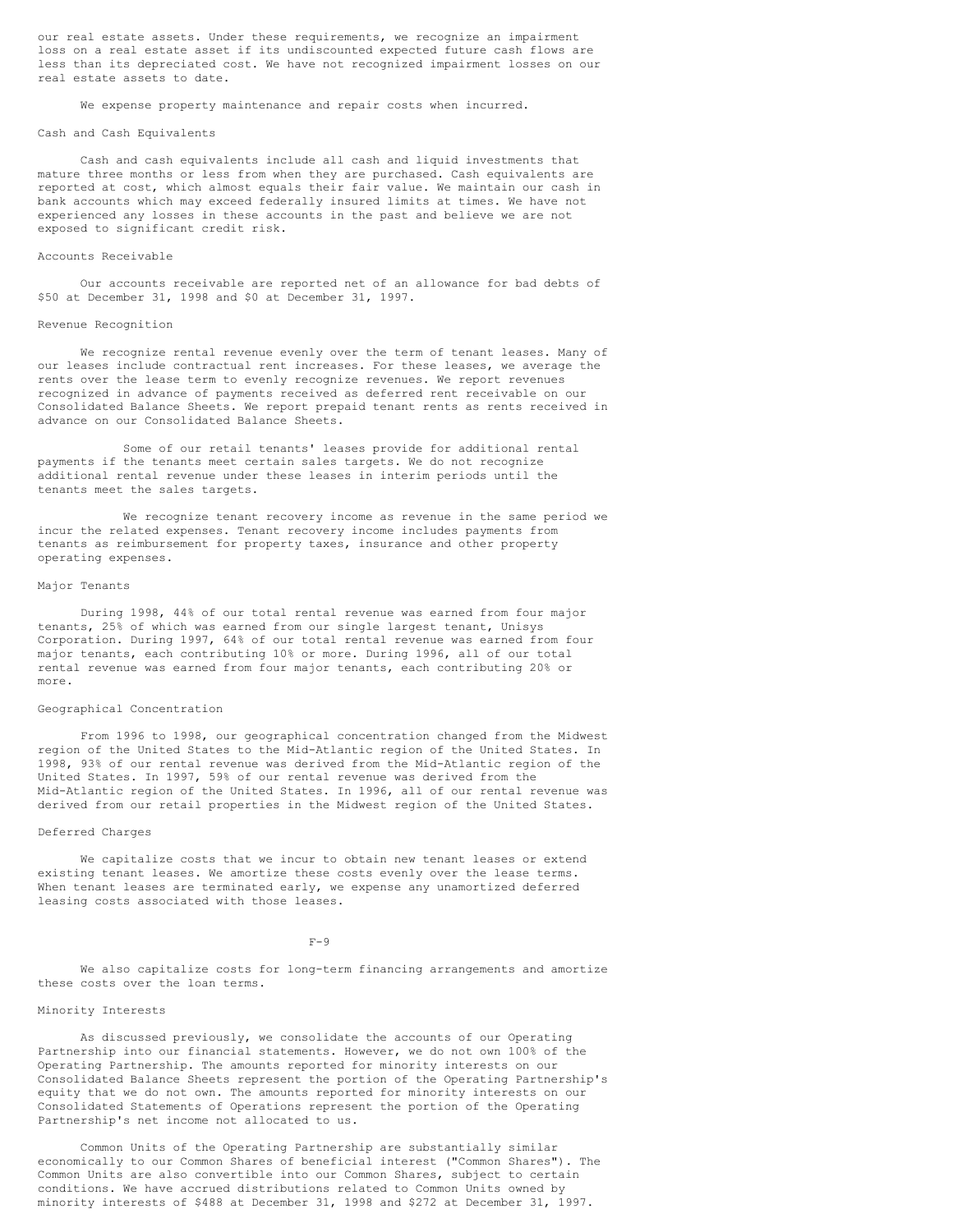our real estate assets. Under these requirements, we recognize an impairment loss on a real estate asset if its undiscounted expected future cash flows are less than its depreciated cost. We have not recognized impairment losses on our real estate assets to date.

We expense property maintenance and repair costs when incurred.

### Cash and Cash Equivalents

Cash and cash equivalents include all cash and liquid investments that mature three months or less from when they are purchased. Cash equivalents are reported at cost, which almost equals their fair value. We maintain our cash in bank accounts which may exceed federally insured limits at times. We have not experienced any losses in these accounts in the past and believe we are not exposed to significant credit risk.

# Accounts Receivable

Our accounts receivable are reported net of an allowance for bad debts of \$50 at December 31, 1998 and \$0 at December 31, 1997.

### Revenue Recognition

We recognize rental revenue evenly over the term of tenant leases. Many of our leases include contractual rent increases. For these leases, we average the rents over the lease term to evenly recognize revenues. We report revenues recognized in advance of payments received as deferred rent receivable on our Consolidated Balance Sheets. We report prepaid tenant rents as rents received in advance on our Consolidated Balance Sheets.

Some of our retail tenants' leases provide for additional rental payments if the tenants meet certain sales targets. We do not recognize additional rental revenue under these leases in interim periods until the tenants meet the sales targets.

We recognize tenant recovery income as revenue in the same period we incur the related expenses. Tenant recovery income includes payments from tenants as reimbursement for property taxes, insurance and other property operating expenses.

### Major Tenants

During 1998, 44% of our total rental revenue was earned from four major tenants, 25% of which was earned from our single largest tenant, Unisys Corporation. During 1997, 64% of our total rental revenue was earned from four major tenants, each contributing 10% or more. During 1996, all of our total rental revenue was earned from four major tenants, each contributing 20% or more.

### Geographical Concentration

From 1996 to 1998, our geographical concentration changed from the Midwest region of the United States to the Mid-Atlantic region of the United States. In 1998, 93% of our rental revenue was derived from the Mid-Atlantic region of the United States. In 1997, 59% of our rental revenue was derived from the Mid-Atlantic region of the United States. In 1996, all of our rental revenue was derived from our retail properties in the Midwest region of the United States.

### Deferred Charges

We capitalize costs that we incur to obtain new tenant leases or extend existing tenant leases. We amortize these costs evenly over the lease terms. When tenant leases are terminated early, we expense any unamortized deferred leasing costs associated with those leases.

### $F-Q$

We also capitalize costs for long-term financing arrangements and amortize these costs over the loan terms.

# Minority Interests

As discussed previously, we consolidate the accounts of our Operating Partnership into our financial statements. However, we do not own 100% of the Operating Partnership. The amounts reported for minority interests on our Consolidated Balance Sheets represent the portion of the Operating Partnership's equity that we do not own. The amounts reported for minority interests on our Consolidated Statements of Operations represent the portion of the Operating Partnership's net income not allocated to us.

Common Units of the Operating Partnership are substantially similar economically to our Common Shares of beneficial interest ("Common Shares"). The Common Units are also convertible into our Common Shares, subject to certain conditions. We have accrued distributions related to Common Units owned by minority interests of \$488 at December 31, 1998 and \$272 at December 31, 1997.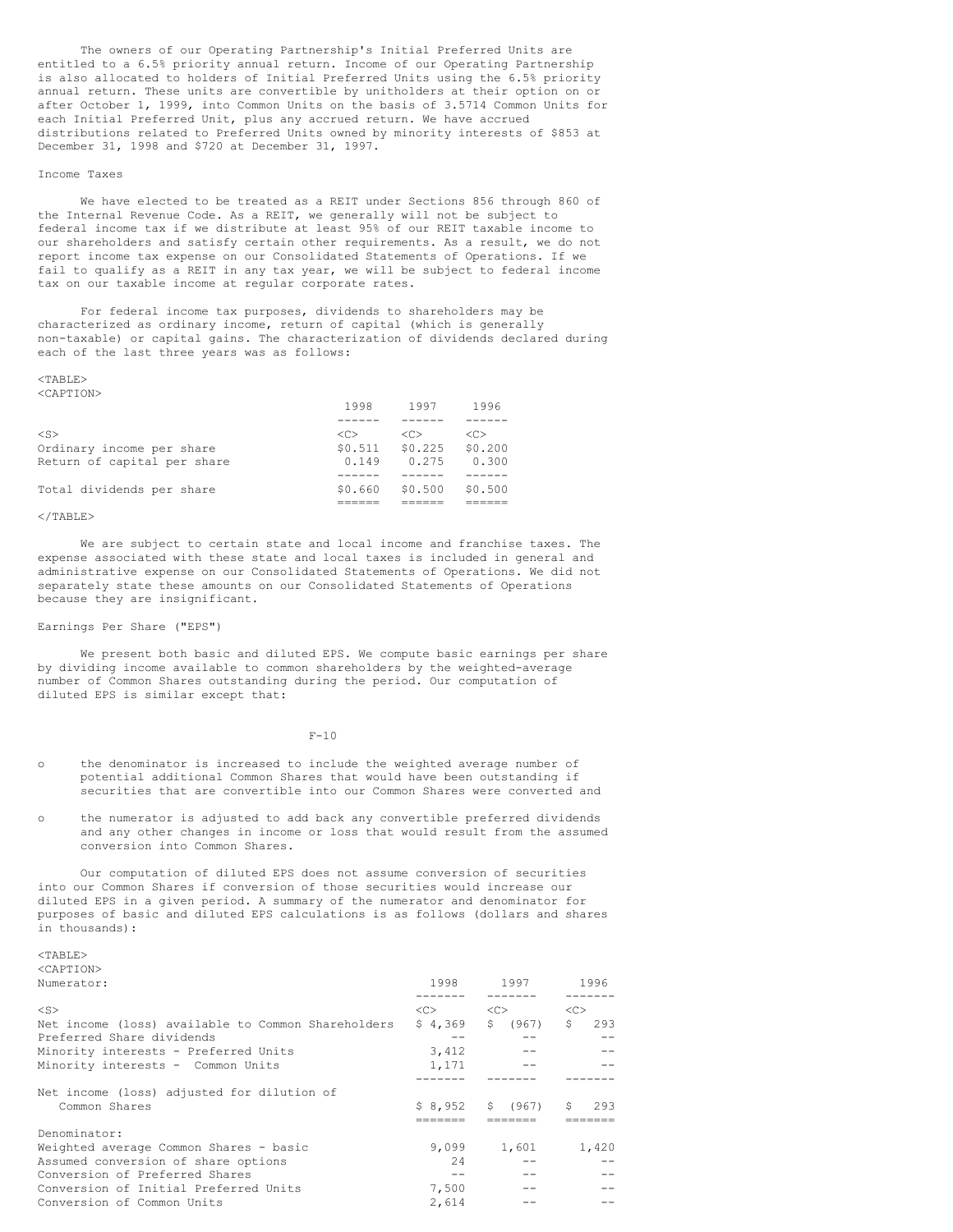The owners of our Operating Partnership's Initial Preferred Units are entitled to a 6.5% priority annual return. Income of our Operating Partnership is also allocated to holders of Initial Preferred Units using the 6.5% priority annual return. These units are convertible by unitholders at their option on or after October 1, 1999, into Common Units on the basis of 3.5714 Common Units for each Initial Preferred Unit, plus any accrued return. We have accrued distributions related to Preferred Units owned by minority interests of \$853 at December 31, 1998 and \$720 at December 31, 1997.

# Income Taxes

We have elected to be treated as a REIT under Sections 856 through 860 of the Internal Revenue Code. As a REIT, we generally will not be subject to federal income tax if we distribute at least 95% of our REIT taxable income to our shareholders and satisfy certain other requirements. As a result, we do not report income tax expense on our Consolidated Statements of Operations. If we fail to qualify as a REIT in any tax year, we will be subject to federal income tax on our taxable income at regular corporate rates.

For federal income tax purposes, dividends to shareholders may be characterized as ordinary income, return of capital (which is generally non-taxable) or capital gains. The characterization of dividends declared during each of the last three years was as follows:

### $<sub>TART.E></sub>$ </sub> <CAPTION>

|                                                          | 1998             | 1997             | 1996             |
|----------------------------------------------------------|------------------|------------------|------------------|
| $<$ S $>$                                                | < <sub></sub>    | < <sub></sub>    | < <sub></sub>    |
| Ordinary income per share<br>Return of capital per share | \$0.511<br>0.149 | \$0.225<br>0.275 | \$0.200<br>0.300 |
| Total dividends per share                                | \$0.660          | \$0.500          | \$0.500          |
|                                                          |                  |                  |                  |

# $\langle$ /TABLE>

We are subject to certain state and local income and franchise taxes. The expense associated with these state and local taxes is included in general and administrative expense on our Consolidated Statements of Operations. We did not separately state these amounts on our Consolidated Statements of Operations because they are insignificant.

### Earnings Per Share ("EPS")

We present both basic and diluted EPS. We compute basic earnings per share by dividing income available to common shareholders by the weighted-average number of Common Shares outstanding during the period. Our computation of diluted EPS is similar except that:

# $F-10$

- o the denominator is increased to include the weighted average number of potential additional Common Shares that would have been outstanding if securities that are convertible into our Common Shares were converted and
- o the numerator is adjusted to add back any convertible preferred dividends and any other changes in income or loss that would result from the assumed conversion into Common Shares.

Our computation of diluted EPS does not assume conversion of securities into our Common Shares if conversion of those securities would increase our diluted EPS in a given period. A summary of the numerator and denominator for purposes of basic and diluted EPS calculations is as follows (dollars and shares in thousands):

 $<$ TABLE> <CAPTION>

| Numerator:                                         | 1998          | 1997       | 1996      |  |
|----------------------------------------------------|---------------|------------|-----------|--|
|                                                    |               |            |           |  |
| $<$ S>                                             | < <sub></sub> | <<         | <<        |  |
| Net income (loss) available to Common Shareholders | \$4.369       | S<br>(967) | \$<br>293 |  |
| Preferred Share dividends                          |               |            |           |  |
| Minority interests - Preferred Units               | 3,412         |            |           |  |
| Minority interests - Common Units                  | 1,171         |            |           |  |
|                                                    |               |            |           |  |
| Net income (loss) adjusted for dilution of         |               |            |           |  |
| Common Shares                                      | \$8.952       | \$ (967)   | S.<br>293 |  |
|                                                    |               |            |           |  |
| Denominator:                                       |               |            |           |  |
| Weighted average Common Shares - basic             | 9,099         | 1,601      | 1,420     |  |
| Assumed conversion of share options                | 2.4           |            |           |  |
| Conversion of Preferred Shares                     | --            |            |           |  |
| Conversion of Initial Preferred Units              | 7,500         |            |           |  |
| Conversion of Common Units                         | 2,614         |            |           |  |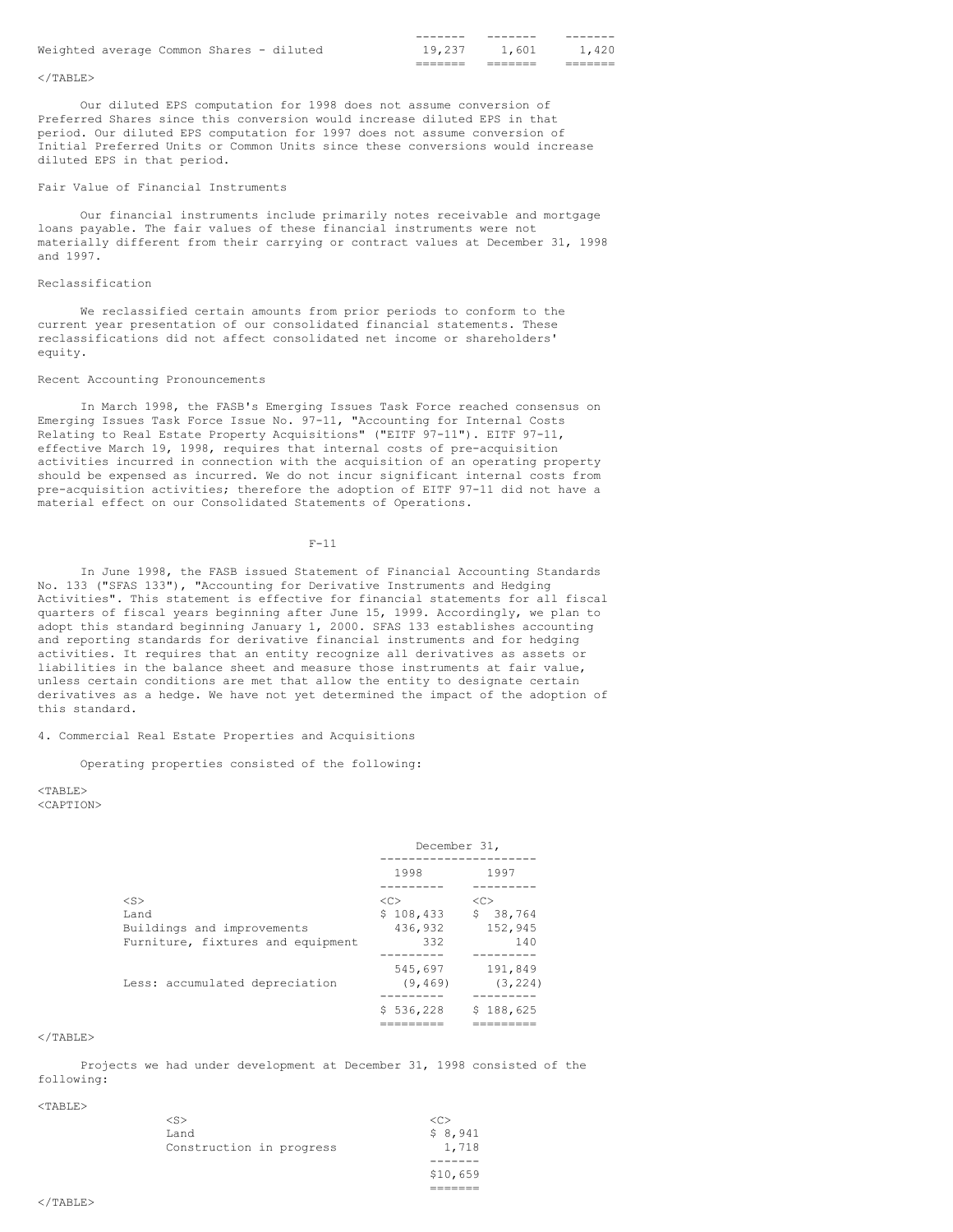|                                          |  |  | ------- |       |       |
|------------------------------------------|--|--|---------|-------|-------|
| Weighted average Common Shares - diluted |  |  | 19,237  | 1,601 | 1,420 |
|                                          |  |  |         |       |       |

# $<$ /TABLE>

Our diluted EPS computation for 1998 does not assume conversion of Preferred Shares since this conversion would increase diluted EPS in that period. Our diluted EPS computation for 1997 does not assume conversion of Initial Preferred Units or Common Units since these conversions would increase diluted EPS in that period.

### Fair Value of Financial Instruments

Our financial instruments include primarily notes receivable and mortgage loans payable. The fair values of these financial instruments were not materially different from their carrying or contract values at December 31, 1998 and 1997.

# Reclassification

We reclassified certain amounts from prior periods to conform to the current year presentation of our consolidated financial statements. These reclassifications did not affect consolidated net income or shareholders' equity.

# Recent Accounting Pronouncements

In March 1998, the FASB's Emerging Issues Task Force reached consensus on Emerging Issues Task Force Issue No. 97-11, "Accounting for Internal Costs Relating to Real Estate Property Acquisitions" ("EITF 97-11"). EITF 97-11, effective March 19, 1998, requires that internal costs of pre-acquisition activities incurred in connection with the acquisition of an operating property should be expensed as incurred. We do not incur significant internal costs from pre-acquisition activities; therefore the adoption of EITF 97-11 did not have a material effect on our Consolidated Statements of Operations.

### $F-11$

In June 1998, the FASB issued Statement of Financial Accounting Standards No. 133 ("SFAS 133"), "Accounting for Derivative Instruments and Hedging Activities". This statement is effective for financial statements for all fiscal quarters of fiscal years beginning after June 15, 1999. Accordingly, we plan to adopt this standard beginning January 1, 2000. SFAS 133 establishes accounting and reporting standards for derivative financial instruments and for hedging activities. It requires that an entity recognize all derivatives as assets or liabilities in the balance sheet and measure those instruments at fair value, unless certain conditions are met that allow the entity to designate certain derivatives as a hedge. We have not yet determined the impact of the adoption of this standard.

# 4. Commercial Real Estate Properties and Acquisitions

## Operating properties consisted of the following:

 $<$ TABLE> <CAPTION>

|                                   | December 31,  |               |  |
|-----------------------------------|---------------|---------------|--|
|                                   | 1998          | 1997          |  |
|                                   |               |               |  |
| $<$ S $>$                         | < <sub></sub> | < <sub></sub> |  |
| Land                              | \$108,433     | \$.<br>38,764 |  |
| Buildings and improvements        | 436,932       | 152,945       |  |
| Furniture, fixtures and equipment | 332           | 140           |  |
|                                   |               |               |  |
|                                   | 545,697       | 191,849       |  |
| Less: accumulated depreciation    | (9, 469)      | (3, 224)      |  |
|                                   |               |               |  |
|                                   | \$536,228     | \$188,625     |  |
|                                   |               |               |  |

# $<$ /TABLE>

Projects we had under development at December 31, 1998 consisted of the following:

### <TABLE>

|                          | \$10,659 |
|--------------------------|----------|
|                          |          |
| Construction in progress | 1,718    |
| Land                     | \$8,941  |
| $<$ S>                   | <c></c>  |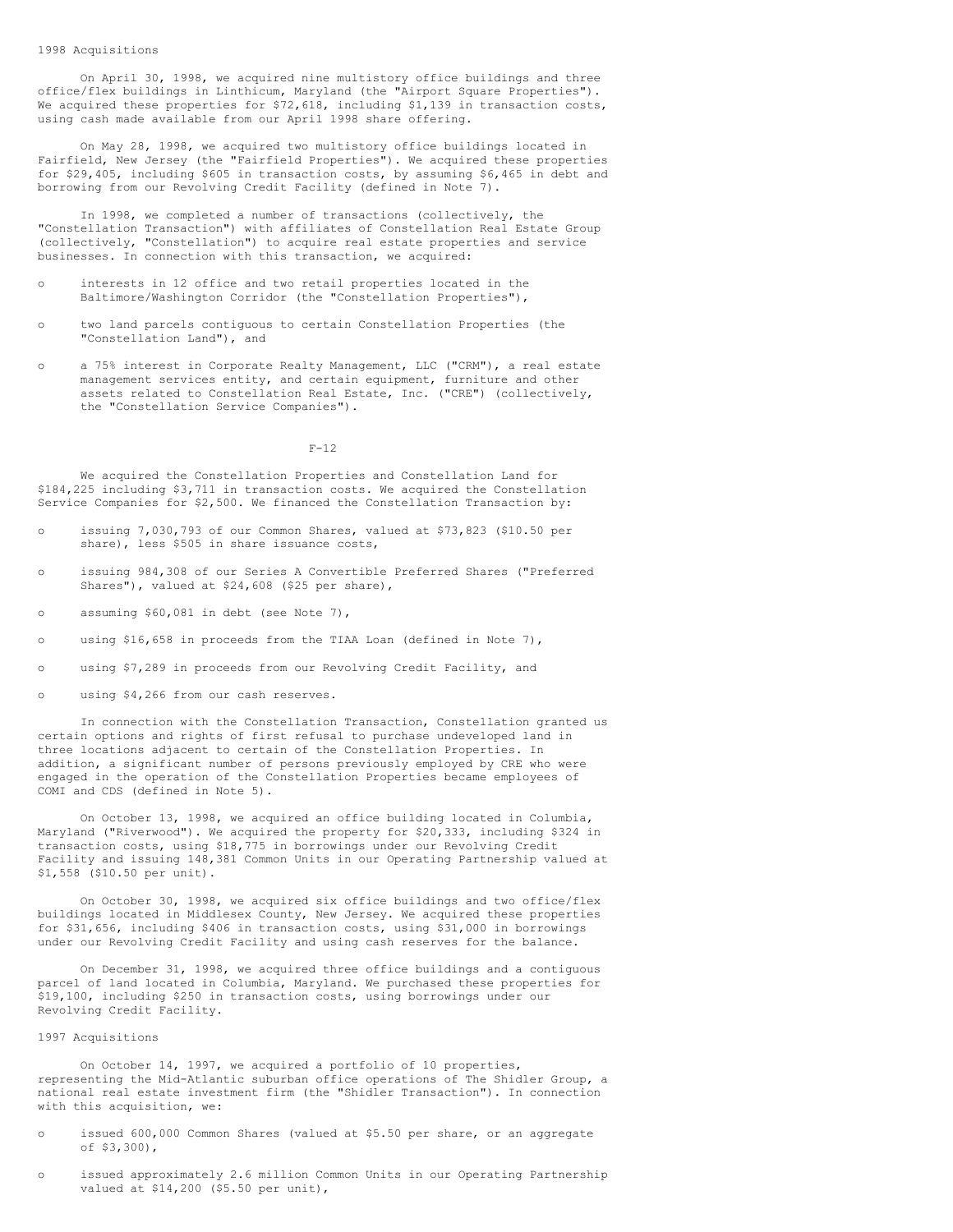# 1998 Acquisitions

On April 30, 1998, we acquired nine multistory office buildings and three office/flex buildings in Linthicum, Maryland (the "Airport Square Properties"). We acquired these properties for \$72,618, including \$1,139 in transaction costs, using cash made available from our April 1998 share offering.

On May 28, 1998, we acquired two multistory office buildings located in Fairfield, New Jersey (the "Fairfield Properties"). We acquired these properties for \$29,405, including \$605 in transaction costs, by assuming \$6,465 in debt and borrowing from our Revolving Credit Facility (defined in Note 7).

In 1998, we completed a number of transactions (collectively, the "Constellation Transaction") with affiliates of Constellation Real Estate Group (collectively, "Constellation") to acquire real estate properties and service businesses. In connection with this transaction, we acquired:

- interests in 12 office and two retail properties located in the Baltimore/Washington Corridor (the "Constellation Properties"),
- o two land parcels contiguous to certain Constellation Properties (the "Constellation Land"), and
- o a 75% interest in Corporate Realty Management, LLC ("CRM"), a real estate management services entity, and certain equipment, furniture and other assets related to Constellation Real Estate, Inc. ("CRE") (collectively, the "Constellation Service Companies").

### F-12

We acquired the Constellation Properties and Constellation Land for \$184,225 including \$3,711 in transaction costs. We acquired the Constellation Service Companies for \$2,500. We financed the Constellation Transaction by:

- o issuing 7,030,793 of our Common Shares, valued at \$73,823 (\$10.50 per share), less \$505 in share issuance costs,
- o issuing 984,308 of our Series A Convertible Preferred Shares ("Preferred Shares"), valued at \$24,608 (\$25 per share),
- o assuming \$60,081 in debt (see Note 7),
- o using \$16,658 in proceeds from the TIAA Loan (defined in Note 7),
- o using \$7,289 in proceeds from our Revolving Credit Facility, and
- o using \$4,266 from our cash reserves.

In connection with the Constellation Transaction, Constellation granted us certain options and rights of first refusal to purchase undeveloped land in three locations adjacent to certain of the Constellation Properties. In addition, a significant number of persons previously employed by CRE who were engaged in the operation of the Constellation Properties became employees of COMI and CDS (defined in Note 5).

On October 13, 1998, we acquired an office building located in Columbia, Maryland ("Riverwood"). We acquired the property for \$20,333, including \$324 in transaction costs, using \$18,775 in borrowings under our Revolving Credit Facility and issuing 148,381 Common Units in our Operating Partnership valued at \$1,558 (\$10.50 per unit).

On October 30, 1998, we acquired six office buildings and two office/flex buildings located in Middlesex County, New Jersey. We acquired these properties for \$31,656, including \$406 in transaction costs, using \$31,000 in borrowings under our Revolving Credit Facility and using cash reserves for the balance.

On December 31, 1998, we acquired three office buildings and a contiguous parcel of land located in Columbia, Maryland. We purchased these properties for \$19,100, including \$250 in transaction costs, using borrowings under our Revolving Credit Facility.

### 1997 Acquisitions

On October 14, 1997, we acquired a portfolio of 10 properties, representing the Mid-Atlantic suburban office operations of The Shidler Group, a national real estate investment firm (the "Shidler Transaction"). In connection with this acquisition, we:

- o issued 600,000 Common Shares (valued at \$5.50 per share, or an aggregate of \$3,300),
- o issued approximately 2.6 million Common Units in our Operating Partnership valued at \$14,200 (\$5.50 per unit),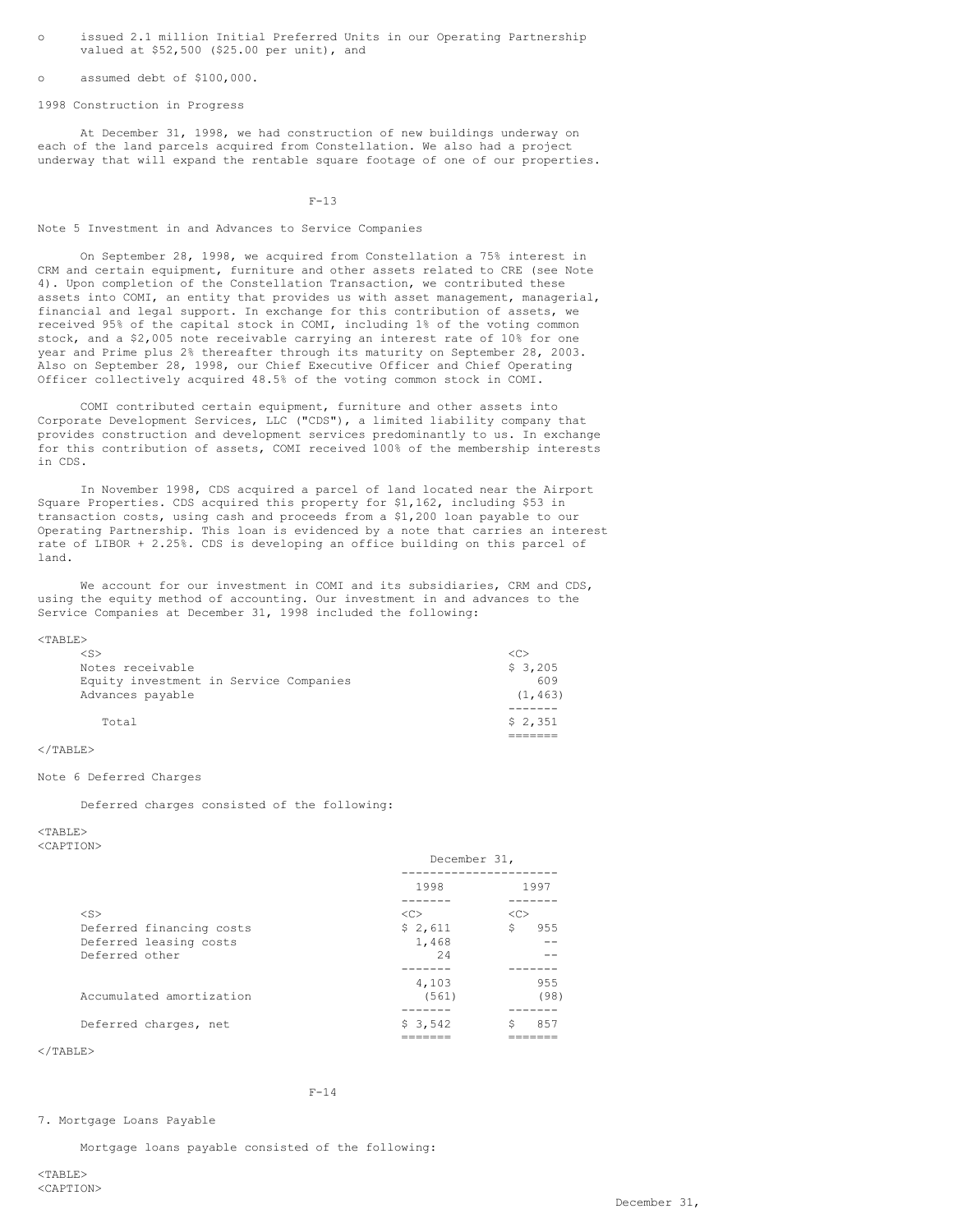o issued 2.1 million Initial Preferred Units in our Operating Partnership valued at \$52,500 (\$25.00 per unit), and

assumed debt of \$100,000.

1998 Construction in Progress

At December 31, 1998, we had construction of new buildings underway on each of the land parcels acquired from Constellation. We also had a project underway that will expand the rentable square footage of one of our properties.

F-13

Note 5 Investment in and Advances to Service Companies

On September 28, 1998, we acquired from Constellation a 75% interest in CRM and certain equipment, furniture and other assets related to CRE (see Note 4). Upon completion of the Constellation Transaction, we contributed these assets into COMI, an entity that provides us with asset management, managerial, financial and legal support. In exchange for this contribution of assets, we received 95% of the capital stock in COMI, including 1% of the voting common stock, and a \$2,005 note receivable carrying an interest rate of 10% for one year and Prime plus 2% thereafter through its maturity on September 28, 2003. Also on September 28, 1998, our Chief Executive Officer and Chief Operating Officer collectively acquired 48.5% of the voting common stock in COMI.

COMI contributed certain equipment, furniture and other assets into Corporate Development Services, LLC ("CDS"), a limited liability company that provides construction and development services predominantly to us. In exchange for this contribution of assets, COMI received 100% of the membership interests in CDS.

In November 1998, CDS acquired a parcel of land located near the Airport Square Properties. CDS acquired this property for \$1,162, including \$53 in transaction costs, using cash and proceeds from a \$1,200 loan payable to our Operating Partnership. This loan is evidenced by a note that carries an interest rate of LIBOR + 2.25%. CDS is developing an office building on this parcel of land.

We account for our investment in COMI and its subsidiaries, CRM and CDS, using the equity method of accounting. Our investment in and advances to the Service Companies at December 31, 1998 included the following:

<TABLE>

| $<$ S>                                 | <€       |
|----------------------------------------|----------|
| Notes receivable                       | \$3,205  |
| Equity investment in Service Companies | 609      |
| Advances payable                       | (1, 463) |
|                                        |          |
| Total                                  | \$2.351  |
|                                        |          |

### $\langle$ /TABLE>

# Note 6 Deferred Charges

Deferred charges consisted of the following:

 $<sub>TART.E></sub>$ </sub>

<CAPTION>

| 1998<br>$<$ S><br><<<br><<<br>\$2,611<br>S<br>Deferred financing costs<br>Deferred leasing costs<br>1,468<br>Deferred other<br>2.4<br>4,103<br>Accumulated amortization<br>(561)<br>Deferred charges, net<br>\$3.542 | necelliner of' |      |  |
|----------------------------------------------------------------------------------------------------------------------------------------------------------------------------------------------------------------------|----------------|------|--|
|                                                                                                                                                                                                                      |                | 1997 |  |
|                                                                                                                                                                                                                      |                |      |  |
|                                                                                                                                                                                                                      |                | 955  |  |
|                                                                                                                                                                                                                      |                |      |  |
|                                                                                                                                                                                                                      |                |      |  |
|                                                                                                                                                                                                                      |                |      |  |
|                                                                                                                                                                                                                      |                | 955  |  |
|                                                                                                                                                                                                                      |                | (98) |  |
|                                                                                                                                                                                                                      |                |      |  |
|                                                                                                                                                                                                                      |                | 857  |  |
|                                                                                                                                                                                                                      |                |      |  |

December 31,

</TABLE>

# F-14

### 7. Mortgage Loans Payable

Mortgage loans payable consisted of the following: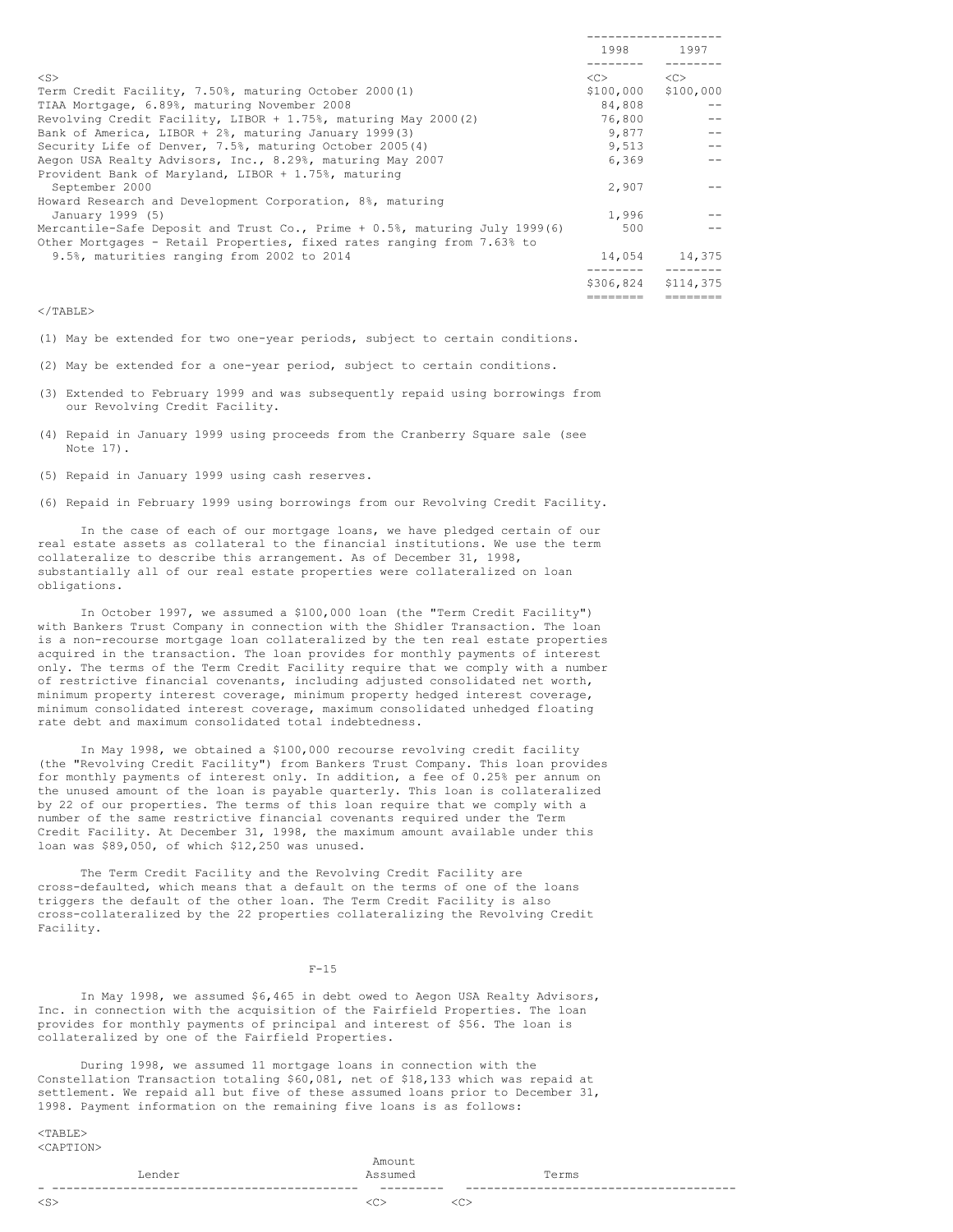|                                                                            | 1998      | 1997          |
|----------------------------------------------------------------------------|-----------|---------------|
| $<$ S>                                                                     | <<        | < <sub></sub> |
| Term Credit Facility, 7.50%, maturing October 2000(1)                      | \$100,000 | \$100,000     |
| TIAA Mortgage, 6.89%, maturing November 2008                               | 84,808    |               |
| Revolving Credit Facility, LIBOR + $1.75$ %, maturing May 2000(2)          | 76,800    |               |
| Bank of America, LIBOR + 2%, maturing January 1999(3)                      | 9,877     |               |
| Security Life of Denver, 7.5%, maturing October 2005(4)                    | 9,513     |               |
| Aegon USA Realty Advisors, Inc., 8.29%, maturing May 2007                  | 6,369     |               |
| Provident Bank of Maryland, LIBOR + 1.75%, maturing                        |           |               |
| September 2000                                                             | 2,907     |               |
| Howard Research and Development Corporation, 8%, maturing                  |           |               |
| January 1999 (5)                                                           | 1,996     |               |
| Mercantile-Safe Deposit and Trust Co., Prime + 0.5%, maturing July 1999(6) | 500       |               |
| Other Mortgages - Retail Properties, fixed rates ranging from 7.63% to     |           |               |
| 9.5%, maturities ranging from 2002 to 2014                                 | 14,054    | 14,375        |
|                                                                            | \$306,824 | \$114,375     |
|                                                                            |           |               |

 $<$ /TABLE>

- (1) May be extended for two one-year periods, subject to certain conditions.
- (2) May be extended for a one-year period, subject to certain conditions.
- (3) Extended to February 1999 and was subsequently repaid using borrowings from our Revolving Credit Facility.
- (4) Repaid in January 1999 using proceeds from the Cranberry Square sale (see Note 17).
- (5) Repaid in January 1999 using cash reserves.
- (6) Repaid in February 1999 using borrowings from our Revolving Credit Facility.

In the case of each of our mortgage loans, we have pledged certain of our real estate assets as collateral to the financial institutions. We use the term collateralize to describe this arrangement. As of December 31, 1998, substantially all of our real estate properties were collateralized on loan obligations.

In October 1997, we assumed a \$100,000 loan (the "Term Credit Facility") with Bankers Trust Company in connection with the Shidler Transaction. The loan is a non-recourse mortgage loan collateralized by the ten real estate properties acquired in the transaction. The loan provides for monthly payments of interest only. The terms of the Term Credit Facility require that we comply with a number of restrictive financial covenants, including adjusted consolidated net worth, minimum property interest coverage, minimum property hedged interest coverage, minimum consolidated interest coverage, maximum consolidated unhedged floating rate debt and maximum consolidated total indebtedness.

In May 1998, we obtained a \$100,000 recourse revolving credit facility (the "Revolving Credit Facility") from Bankers Trust Company. This loan provides for monthly payments of interest only. In addition, a fee of 0.25% per annum on the unused amount of the loan is payable quarterly. This loan is collateralized by 22 of our properties. The terms of this loan require that we comply with a number of the same restrictive financial covenants required under the Term Credit Facility. At December 31, 1998, the maximum amount available under this loan was \$89,050, of which \$12,250 was unused.

The Term Credit Facility and the Revolving Credit Facility are cross-defaulted, which means that a default on the terms of one of the loans triggers the default of the other loan. The Term Credit Facility is also cross-collateralized by the 22 properties collateralizing the Revolving Credit Facility.

F-15

In May 1998, we assumed \$6,465 in debt owed to Aegon USA Realty Advisors, Inc. in connection with the acquisition of the Fairfield Properties. The loan provides for monthly payments of principal and interest of \$56. The loan is collateralized by one of the Fairfield Properties.

During 1998, we assumed 11 mortgage loans in connection with the Constellation Transaction totaling \$60,081, net of \$18,133 which was repaid at settlement. We repaid all but five of these assumed loans prior to December 31, 1998. Payment information on the remaining five loans is as follows:

<TABLE> <CAPTION>

|           | --<br>------<br>$- - -$ |       |  |
|-----------|-------------------------|-------|--|
| Lender    | Assumed                 | Terms |  |
|           | Amount                  |       |  |
| SUAPIIUNZ |                         |       |  |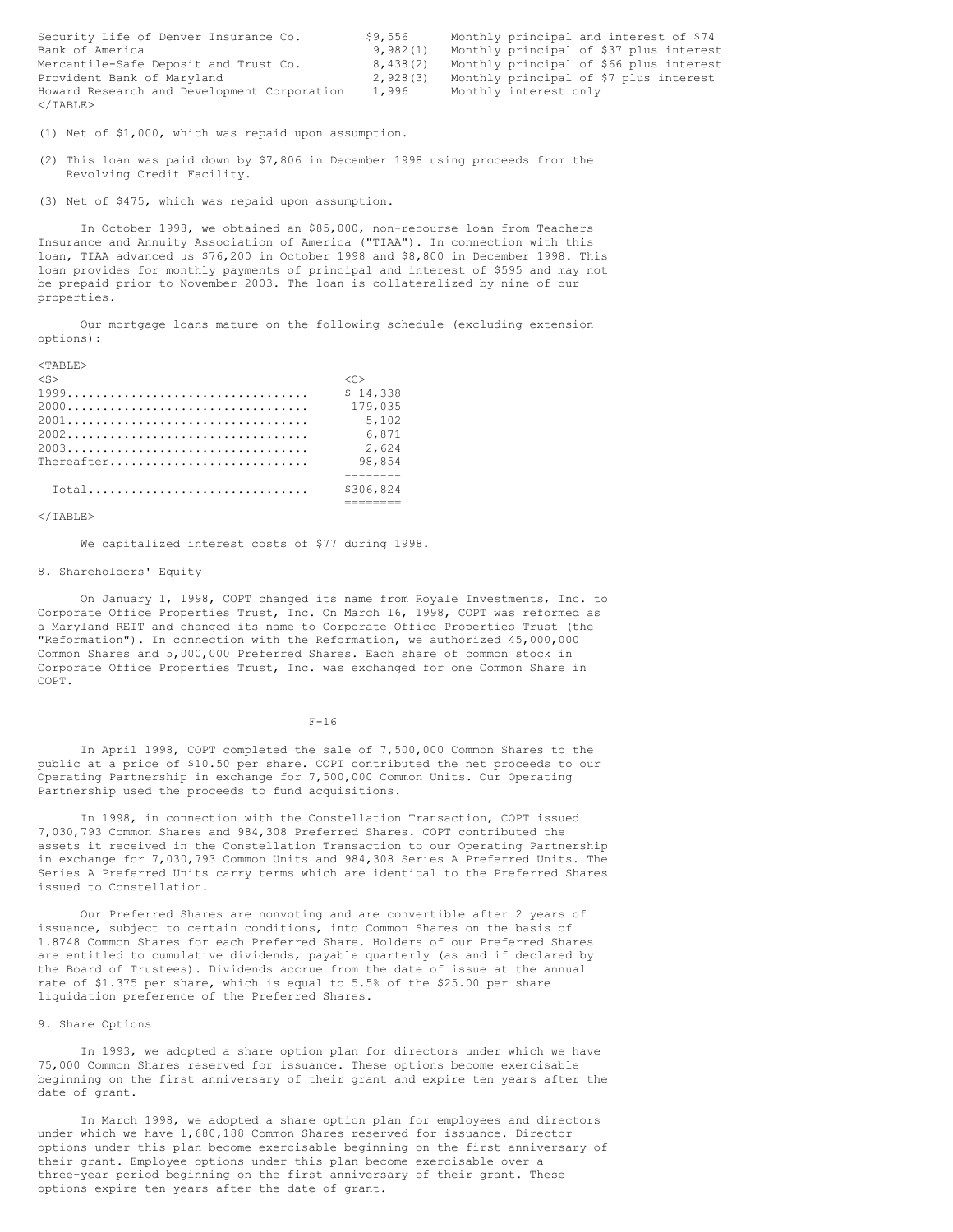| Security Life of Denver Insurance Co.       | \$9,556  | Monthly principal and interest of \$74  |
|---------------------------------------------|----------|-----------------------------------------|
| Bank of America                             | 9.982(1) | Monthly principal of \$37 plus interest |
| Mercantile-Safe Deposit and Trust Co.       | 8.438(2) | Monthly principal of \$66 plus interest |
| Provident Bank of Maryland                  | 2,928(3) | Monthly principal of \$7 plus interest  |
| Howard Research and Development Corporation | 1,996    | Monthly interest only                   |
| $\langle$ /TABLE>                           |          |                                         |

(1) Net of \$1,000, which was repaid upon assumption.

(2) This loan was paid down by \$7,806 in December 1998 using proceeds from the Revolving Credit Facility.

(3) Net of \$475, which was repaid upon assumption.

In October 1998, we obtained an \$85,000, non-recourse loan from Teachers Insurance and Annuity Association of America ("TIAA"). In connection with this loan, TIAA advanced us \$76,200 in October 1998 and \$8,800 in December 1998. This loan provides for monthly payments of principal and interest of \$595 and may not be prepaid prior to November 2003. The loan is collateralized by nine of our properties.

Our mortgage loans mature on the following schedule (excluding extension options):

| $<$ TARLE $>$ |                     |
|---------------|---------------------|
| $<$ S>        | $\langle C \rangle$ |
|               | \$14.338            |
|               | 179,035             |
|               | 5,102               |
|               | 6.871               |
|               | 2.624               |
| Thereafter    | 98,854              |
|               |                     |
|               | \$306.824           |
|               |                     |

 $\langle$ /TABLE>

We capitalized interest costs of \$77 during 1998.

## 8. Shareholders' Equity

On January 1, 1998, COPT changed its name from Royale Investments, Inc. to Corporate Office Properties Trust, Inc. On March 16, 1998, COPT was reformed as a Maryland REIT and changed its name to Corporate Office Properties Trust (the "Reformation"). In connection with the Reformation, we authorized 45,000,000 Common Shares and 5,000,000 Preferred Shares. Each share of common stock in Corporate Office Properties Trust, Inc. was exchanged for one Common Share in COPT.

 $F-16$ 

In April 1998, COPT completed the sale of 7,500,000 Common Shares to the public at a price of \$10.50 per share. COPT contributed the net proceeds to our Operating Partnership in exchange for 7,500,000 Common Units. Our Operating Partnership used the proceeds to fund acquisitions.

In 1998, in connection with the Constellation Transaction, COPT issued 7,030,793 Common Shares and 984,308 Preferred Shares. COPT contributed the assets it received in the Constellation Transaction to our Operating Partnership in exchange for 7,030,793 Common Units and 984,308 Series A Preferred Units. The Series A Preferred Units carry terms which are identical to the Preferred Shares issued to Constellation.

Our Preferred Shares are nonvoting and are convertible after 2 years of issuance, subject to certain conditions, into Common Shares on the basis of 1.8748 Common Shares for each Preferred Share. Holders of our Preferred Shares are entitled to cumulative dividends, payable quarterly (as and if declared by the Board of Trustees). Dividends accrue from the date of issue at the annual rate of \$1.375 per share, which is equal to 5.5% of the \$25.00 per share liquidation preference of the Preferred Shares.

## 9. Share Options

In 1993, we adopted a share option plan for directors under which we have 75,000 Common Shares reserved for issuance. These options become exercisable beginning on the first anniversary of their grant and expire ten years after the date of grant.

In March 1998, we adopted a share option plan for employees and directors under which we have 1,680,188 Common Shares reserved for issuance. Director options under this plan become exercisable beginning on the first anniversary of their grant. Employee options under this plan become exercisable over a three-year period beginning on the first anniversary of their grant. These options expire ten years after the date of grant.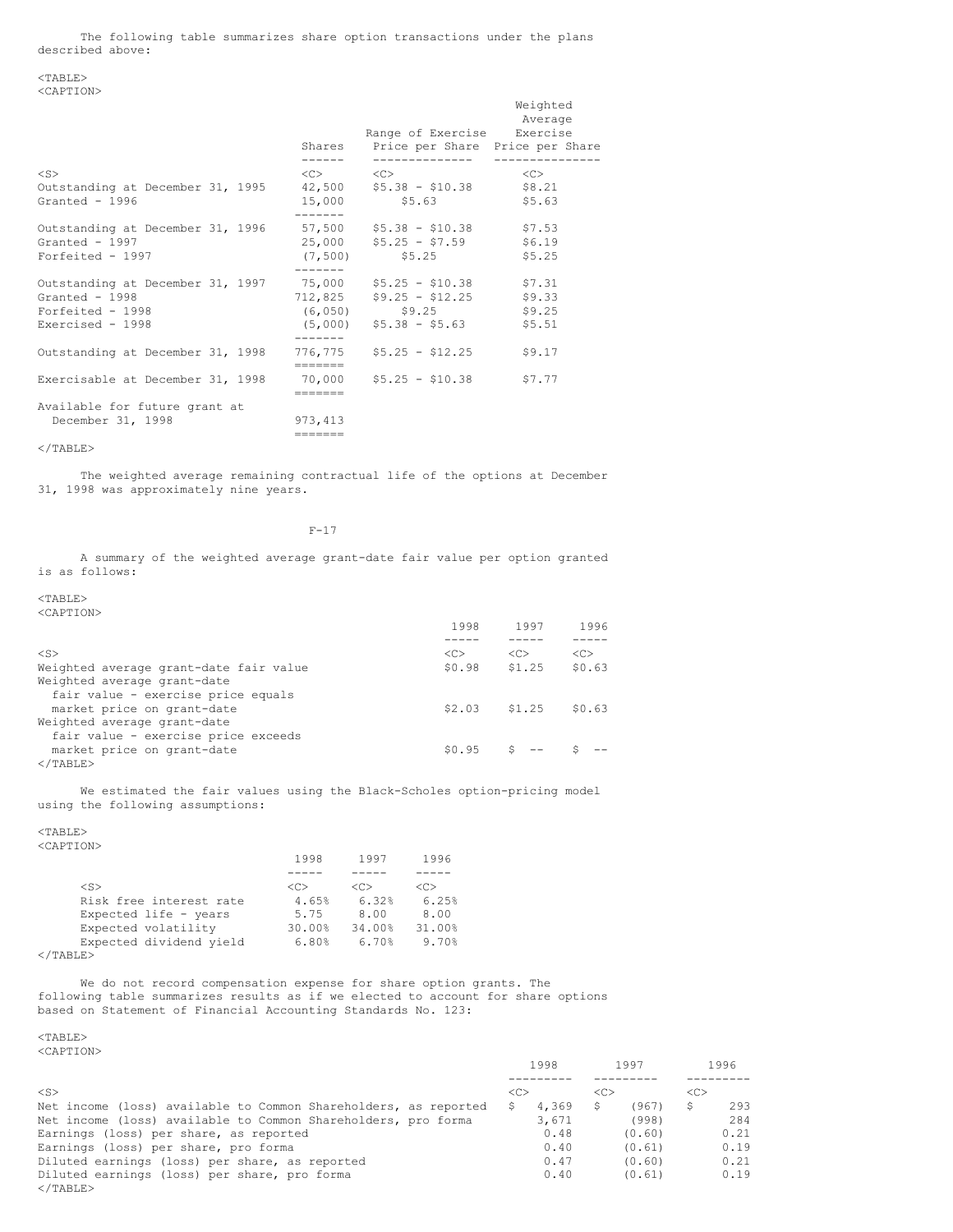The following table summarizes share option transactions under the plans described above:

### <TABLE> <CAPTION>

|                                                                                                                           |                                         | Range of Exercise Exercise<br>Shares Price per Share Price per Share | Weighted<br>Average        |
|---------------------------------------------------------------------------------------------------------------------------|-----------------------------------------|----------------------------------------------------------------------|----------------------------|
| $<$ S>                                                                                                                    | $\langle C \rangle$ $\langle C \rangle$ | ------------                                                         | <<>                        |
| Outstanding at December 31, 1995 42,500 \$5.38 - \$10.38 \$8.21<br>Granted - 1996                                         | 15,000                                  | \$5.63                                                               | \$5.63                     |
| Outstanding at December 31, 1996 57,500 \$5.38 - \$10.38 \$7.53<br>Granted - $1997$<br>Forfeited - 1997                   | (7, 500)                                | $25,000$ $55.25 - 57.59$ \$6.19<br>\$5.25                            | \$5.25                     |
| Outstanding at December 31, 1997 75,000 \$5.25 - \$10.38 \$7.31<br>Granted - 1998<br>Forfeited - 1998<br>Exercised - 1998 | (6, 050)                                | $712,825$ $$9.25 - $12.25$<br>\$9.25<br>$(5,000)$ \$5.38 - \$5.63    | \$9.33<br>\$9.25<br>\$5.51 |
| Outstanding at December 31, 1998                                                                                          |                                         | $776, 775$ \$5.25 - \$12.25                                          | \$9.17                     |
| Exercisable at December 31, 1998 $-70,000$ \$5.25 - \$10.38                                                               | =======                                 |                                                                      | \$7.77                     |
| Available for future grant at<br>December 31, 1998                                                                        | 973, 413<br>=======                     |                                                                      |                            |

 $<$ /TABLE>

The weighted average remaining contractual life of the options at December 31, 1998 was approximately nine years.

F-17

A summary of the weighted average grant-date fair value per option granted is as follows:

 $<$ TABLE> <CAPTION>

|                                        | 1998   | 1997            | 1996          |
|----------------------------------------|--------|-----------------|---------------|
|                                        |        |                 |               |
| $<$ S>                                 | <<     | < <sub></sub>   | < <sub></sub> |
| Weighted average grant-date fair value | \$0.98 | \$1.25          | \$0.63        |
| Weighted average grant-date            |        |                 |               |
| fair value - exercise price equals     |        |                 |               |
| market price on grant-date             |        | $$2.03$ $$1.25$ | \$0.63        |
| Weighted average grant-date            |        |                 |               |
| fair value - exercise price exceeds    |        |                 |               |
| market price on grant-date             | \$0.95 |                 |               |
| $<$ /TABLE>                            |        |                 |               |

We estimated the fair values using the Black-Scholes option-pricing model using the following assumptions:

 $<$ TABLE $>$ 

|                         | 1998    | 1997    | 1996    |
|-------------------------|---------|---------|---------|
|                         |         |         |         |
| $<$ S>                  | <c></c> | <c></c> | <c></c> |
| Risk free interest rate | 4.65%   | 6.32%   | 6.25%   |
| Expected life - years   | 5.75    | 8.00    | 8.00    |
| Expected volatility     | 30.00%  | 34.00%  | 31.00%  |
| Expected dividend yield | 6.80%   | 6.70%   | 9.70%   |
| $<$ /TABLE>             |         |         |         |

We do not record compensation expense for share option grants. The following table summarizes results as if we elected to account for share options based on Statement of Financial Accounting Standards No. 123:

<TABLE> <CAPTION>

| 10232 220211                                                    | 1998          | 1997          | 1996          |
|-----------------------------------------------------------------|---------------|---------------|---------------|
|                                                                 |               |               |               |
| $<$ S>                                                          | < <sub></sub> | < <sub></sub> | < <sub></sub> |
| Net income (loss) available to Common Shareholders, as reported | 4,369<br>S    | (967)<br>S    | 293<br>\$     |
| Net income (loss) available to Common Shareholders, pro forma   | 3,671         | (998)         | 284           |
| Earnings (loss) per share, as reported                          | 0.48          | (0.60)        | 0.21          |
| Earnings (loss) per share, pro forma                            | 0.40          | (0.61)        | 0.19          |
| Diluted earnings (loss) per share, as reported                  | 0.47          | (0.60)        | 0.21          |
| Diluted earnings (loss) per share, pro forma                    | 0.40          | (0.61)        | 0.19          |
| $<$ /TABLE>                                                     |               |               |               |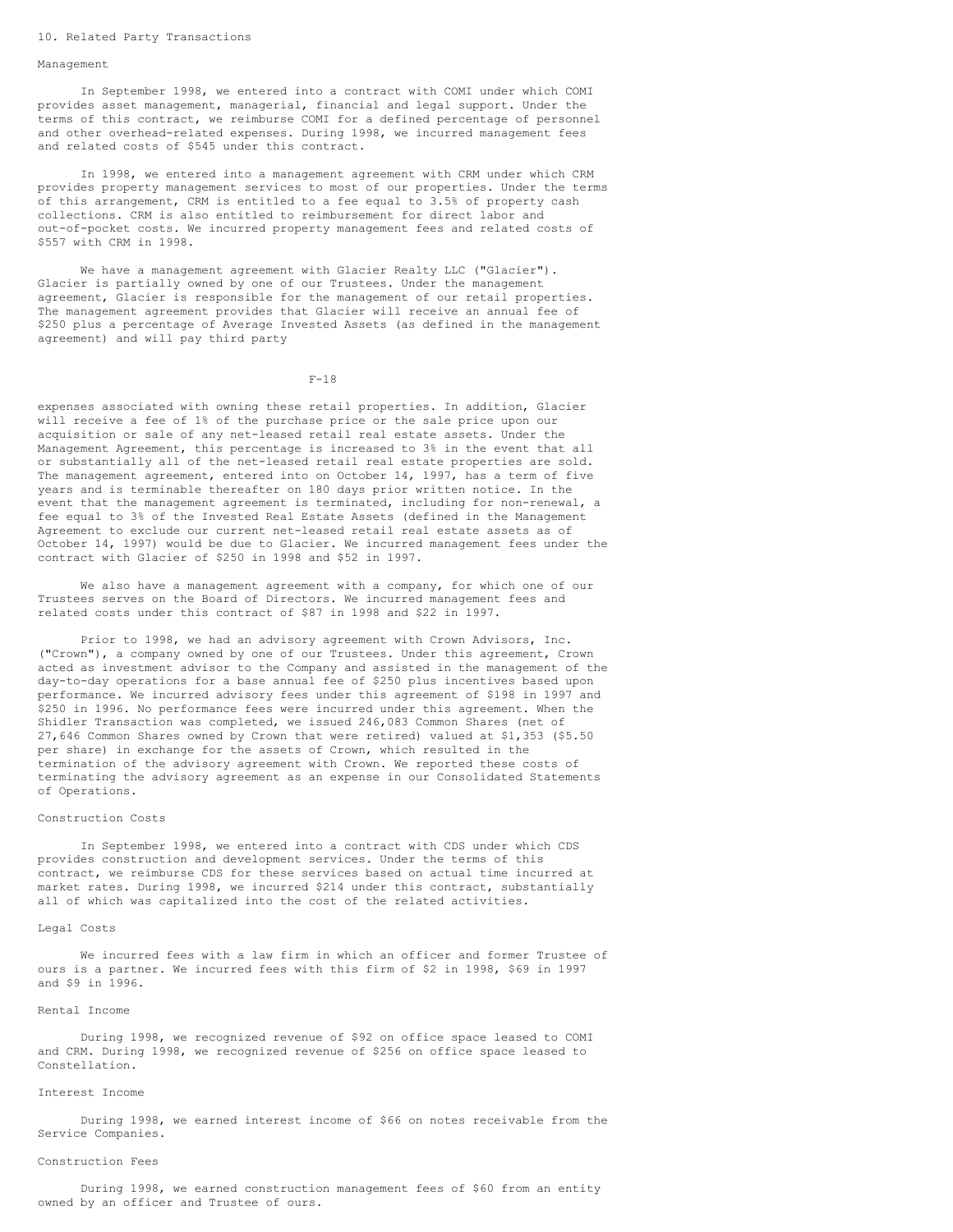#### 10. Related Party Transactions

#### Management

In September 1998, we entered into a contract with COMI under which COMI provides asset management, managerial, financial and legal support. Under the terms of this contract, we reimburse COMI for a defined percentage of personnel and other overhead-related expenses. During 1998, we incurred management fees and related costs of \$545 under this contract.

In 1998, we entered into a management agreement with CRM under which CRM provides property management services to most of our properties. Under the terms of this arrangement, CRM is entitled to a fee equal to 3.5% of property cash collections. CRM is also entitled to reimbursement for direct labor and out-of-pocket costs. We incurred property management fees and related costs of \$557 with CRM in 1998.

We have a management agreement with Glacier Realty LLC ("Glacier"). Glacier is partially owned by one of our Trustees. Under the management agreement, Glacier is responsible for the management of our retail properties. The management agreement provides that Glacier will receive an annual fee of \$250 plus a percentage of Average Invested Assets (as defined in the management agreement) and will pay third party

F-18

expenses associated with owning these retail properties. In addition, Glacier will receive a fee of 1% of the purchase price or the sale price upon our acquisition or sale of any net-leased retail real estate assets. Under the Management Agreement, this percentage is increased to 3% in the event that all or substantially all of the net-leased retail real estate properties are sold. The management agreement, entered into on October 14, 1997, has a term of five years and is terminable thereafter on 180 days prior written notice. In the event that the management agreement is terminated, including for non-renewal, a fee equal to 3% of the Invested Real Estate Assets (defined in the Management Agreement to exclude our current net-leased retail real estate assets as of October 14, 1997) would be due to Glacier. We incurred management fees under the contract with Glacier of \$250 in 1998 and \$52 in 1997.

We also have a management agreement with a company, for which one of our Trustees serves on the Board of Directors. We incurred management fees and related costs under this contract of \$87 in 1998 and \$22 in 1997.

Prior to 1998, we had an advisory agreement with Crown Advisors, Inc. ("Crown"), a company owned by one of our Trustees. Under this agreement, Crown acted as investment advisor to the Company and assisted in the management of the day-to-day operations for a base annual fee of \$250 plus incentives based upon performance. We incurred advisory fees under this agreement of \$198 in 1997 and \$250 in 1996. No performance fees were incurred under this agreement. When the Shidler Transaction was completed, we issued 246,083 Common Shares (net of 27,646 Common Shares owned by Crown that were retired) valued at \$1,353 (\$5.50 per share) in exchange for the assets of Crown, which resulted in the termination of the advisory agreement with Crown. We reported these costs of terminating the advisory agreement as an expense in our Consolidated Statements of Operations.

### Construction Costs

In September 1998, we entered into a contract with CDS under which CDS provides construction and development services. Under the terms of this contract, we reimburse CDS for these services based on actual time incurred at market rates. During 1998, we incurred \$214 under this contract, substantially all of which was capitalized into the cost of the related activities.

#### Legal Costs

We incurred fees with a law firm in which an officer and former Trustee of ours is a partner. We incurred fees with this firm of \$2 in 1998, \$69 in 1997 and \$9 in 1996.

### Rental Income

During 1998, we recognized revenue of \$92 on office space leased to COMI and CRM. During 1998, we recognized revenue of \$256 on office space leased to Constellation.

### Interest Income

During 1998, we earned interest income of \$66 on notes receivable from the Service Companies.

### Construction Fees

During 1998, we earned construction management fees of \$60 from an entity owned by an officer and Trustee of ours.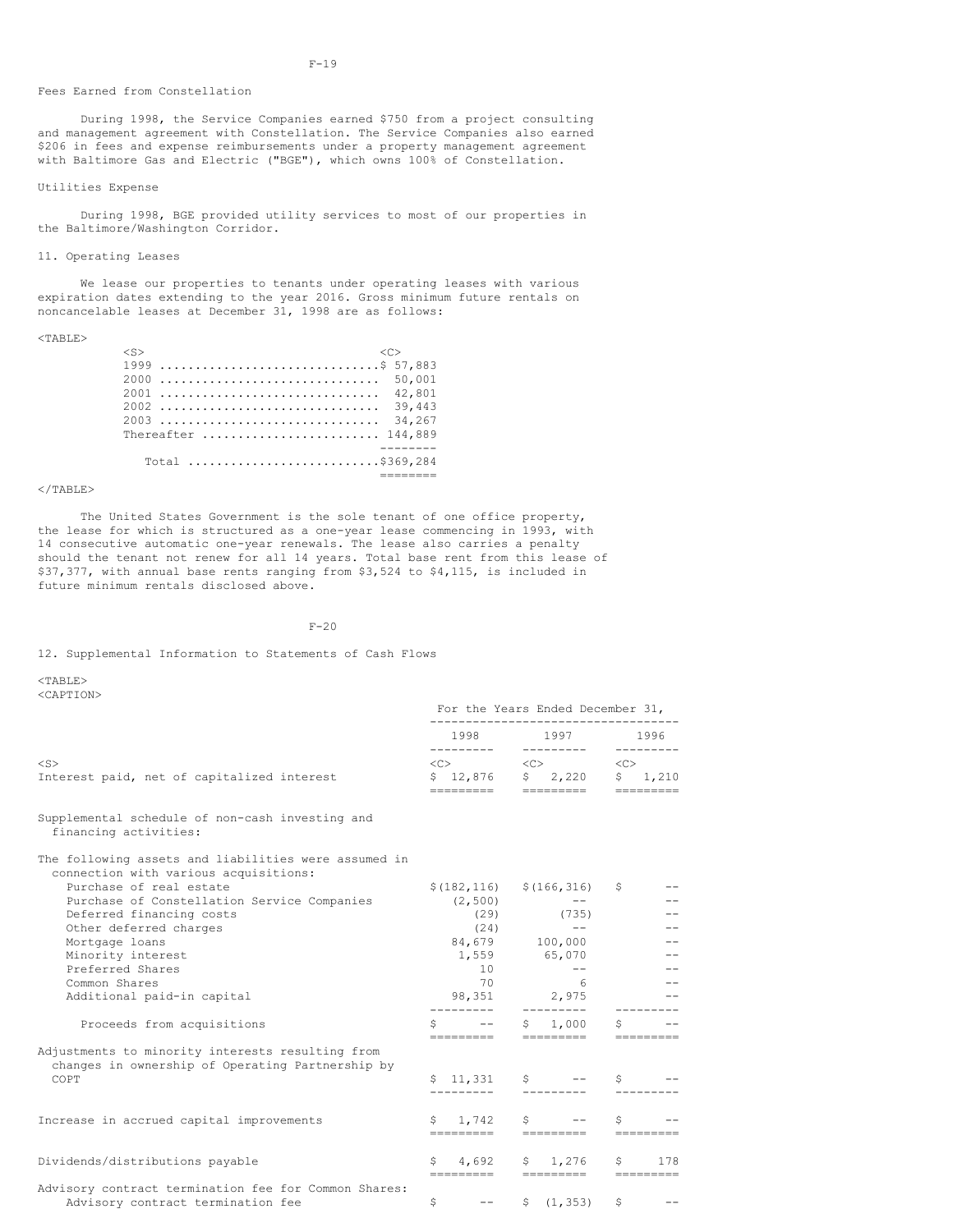### Fees Earned from Constellation

During 1998, the Service Companies earned \$750 from a project consulting and management agreement with Constellation. The Service Companies also earned \$206 in fees and expense reimbursements under a property management agreement with Baltimore Gas and Electric ("BGE"), which owns 100% of Constellation.

### Utilities Expense

During 1998, BGE provided utility services to most of our properties in the Baltimore/Washington Corridor.

### 11. Operating Leases

We lease our properties to tenants under operating leases with various expiration dates extending to the year 2016. Gross minimum future rentals on noncancelable leases at December 31, 1998 are as follows:

| $<$ S>                                                                |                 |  |  |  |  |  |  |  |  |  |  |        |  |
|-----------------------------------------------------------------------|-----------------|--|--|--|--|--|--|--|--|--|--|--------|--|
|                                                                       |                 |  |  |  |  |  |  |  |  |  |  |        |  |
| 2000  50,001                                                          |                 |  |  |  |  |  |  |  |  |  |  |        |  |
| 2001                                                                  |                 |  |  |  |  |  |  |  |  |  |  | 42,801 |  |
| 2002                                                                  |                 |  |  |  |  |  |  |  |  |  |  | 39.443 |  |
| 2003                                                                  |                 |  |  |  |  |  |  |  |  |  |  | 34,267 |  |
| Thereafter $\ldots \ldots \ldots \ldots \ldots \ldots \ldots 144,889$ |                 |  |  |  |  |  |  |  |  |  |  |        |  |
|                                                                       |                 |  |  |  |  |  |  |  |  |  |  |        |  |
|                                                                       | Total  5369,284 |  |  |  |  |  |  |  |  |  |  |        |  |
|                                                                       |                 |  |  |  |  |  |  |  |  |  |  |        |  |

### </TABLE>

The United States Government is the sole tenant of one office property, the lease for which is structured as a one-year lease commencing in 1993, with 14 consecutive automatic one-year renewals. The lease also carries a penalty should the tenant not renew for all 14 years. Total base rent from this lease of \$37,377, with annual base rents ranging from \$3,524 to \$4,115, is included in future minimum rentals disclosed above.

 $F-20$ 

12. Supplemental Information to Statements of Cash Flows

 $<$ TABLE> <CAPTION>

|                                                                                                      | For the Years Ended December 31,                                       |                                                                                                                                                                                                                                                                                                                                             |                                 |  |  |
|------------------------------------------------------------------------------------------------------|------------------------------------------------------------------------|---------------------------------------------------------------------------------------------------------------------------------------------------------------------------------------------------------------------------------------------------------------------------------------------------------------------------------------------|---------------------------------|--|--|
|                                                                                                      |                                                                        | 1998 1997 1996                                                                                                                                                                                                                                                                                                                              | ----------                      |  |  |
| $<$ S>                                                                                               |                                                                        | $\text{}\qquad \qquad \text{}\qquad \qquad \text{}\qquad \qquad$                                                                                                                                                                                                                                                                            |                                 |  |  |
| Interest paid, net of capitalized interest                                                           |                                                                        | $$12,876$ $$2,220$ $$1,210$                                                                                                                                                                                                                                                                                                                 |                                 |  |  |
| Supplemental schedule of non-cash investing and<br>financing activities:                             |                                                                        |                                                                                                                                                                                                                                                                                                                                             |                                 |  |  |
| The following assets and liabilities were assumed in<br>connection with various acquisitions:        |                                                                        |                                                                                                                                                                                                                                                                                                                                             |                                 |  |  |
| Purchase of real estate                                                                              |                                                                        | $$(182, 116)$ $$(166, 316)$                                                                                                                                                                                                                                                                                                                 | S                               |  |  |
| Purchase of Constellation Service Companies                                                          |                                                                        | $(2, 500)$ --                                                                                                                                                                                                                                                                                                                               |                                 |  |  |
| Deferred financing costs                                                                             |                                                                        | $(29)$ (735)                                                                                                                                                                                                                                                                                                                                |                                 |  |  |
| Other deferred charges                                                                               | (24)                                                                   | <b>Service State</b>                                                                                                                                                                                                                                                                                                                        |                                 |  |  |
| Mortgage loans                                                                                       |                                                                        | 84,679 100,000                                                                                                                                                                                                                                                                                                                              |                                 |  |  |
| Minority interest                                                                                    |                                                                        | 1,559 65,070                                                                                                                                                                                                                                                                                                                                |                                 |  |  |
| Preferred Shares                                                                                     | 10                                                                     | $ -$                                                                                                                                                                                                                                                                                                                                        |                                 |  |  |
| Common Shares                                                                                        | 70                                                                     | $6\overline{6}$                                                                                                                                                                                                                                                                                                                             |                                 |  |  |
| Additional paid-in capital                                                                           |                                                                        | 98,351 2,975<br>_________                                                                                                                                                                                                                                                                                                                   |                                 |  |  |
| Proceeds from acquisitions                                                                           | S in<br>$\frac{1}{2}$ and $\frac{1}{2}$ and $\frac{1}{2}$<br>========= | \$1,000<br>=========                                                                                                                                                                                                                                                                                                                        | S                               |  |  |
| Adjustments to minority interests resulting from<br>changes in ownership of Operating Partnership by |                                                                        |                                                                                                                                                                                                                                                                                                                                             |                                 |  |  |
| COPT                                                                                                 | \$11,331<br>_________                                                  | $\mathsf{S}$ $\qquad$ $\qquad$ $\qquad$ $\qquad$ $\qquad$ $\qquad$ $\qquad$ $\qquad$ $\qquad$ $\qquad$ $\qquad$ $\qquad$ $\qquad$ $\qquad$ $\qquad$ $\qquad$ $\qquad$ $\qquad$ $\qquad$ $\qquad$ $\qquad$ $\qquad$ $\qquad$ $\qquad$ $\qquad$ $\qquad$ $\qquad$ $\qquad$ $\qquad$ $\qquad$ $\qquad$ $\qquad$ $\qquad$ $\qquad$ $\qquad$ $\$ | \$                              |  |  |
| Increase in accrued capital improvements                                                             | \$1,742<br>=========                                                   | $S$ .<br>====================                                                                                                                                                                                                                                                                                                               | Ŝ                               |  |  |
| Dividends/distributions payable                                                                      | S.<br>4,692<br>=========                                               | \$1,276<br>=====================                                                                                                                                                                                                                                                                                                            | Ŝ<br>178                        |  |  |
| Advisory contract termination fee for Common Shares:<br>Advisory contract termination fee            | \$<br>$\qquad \qquad -$                                                | \$ (1, 353)                                                                                                                                                                                                                                                                                                                                 | Ŝ<br>and the state of the state |  |  |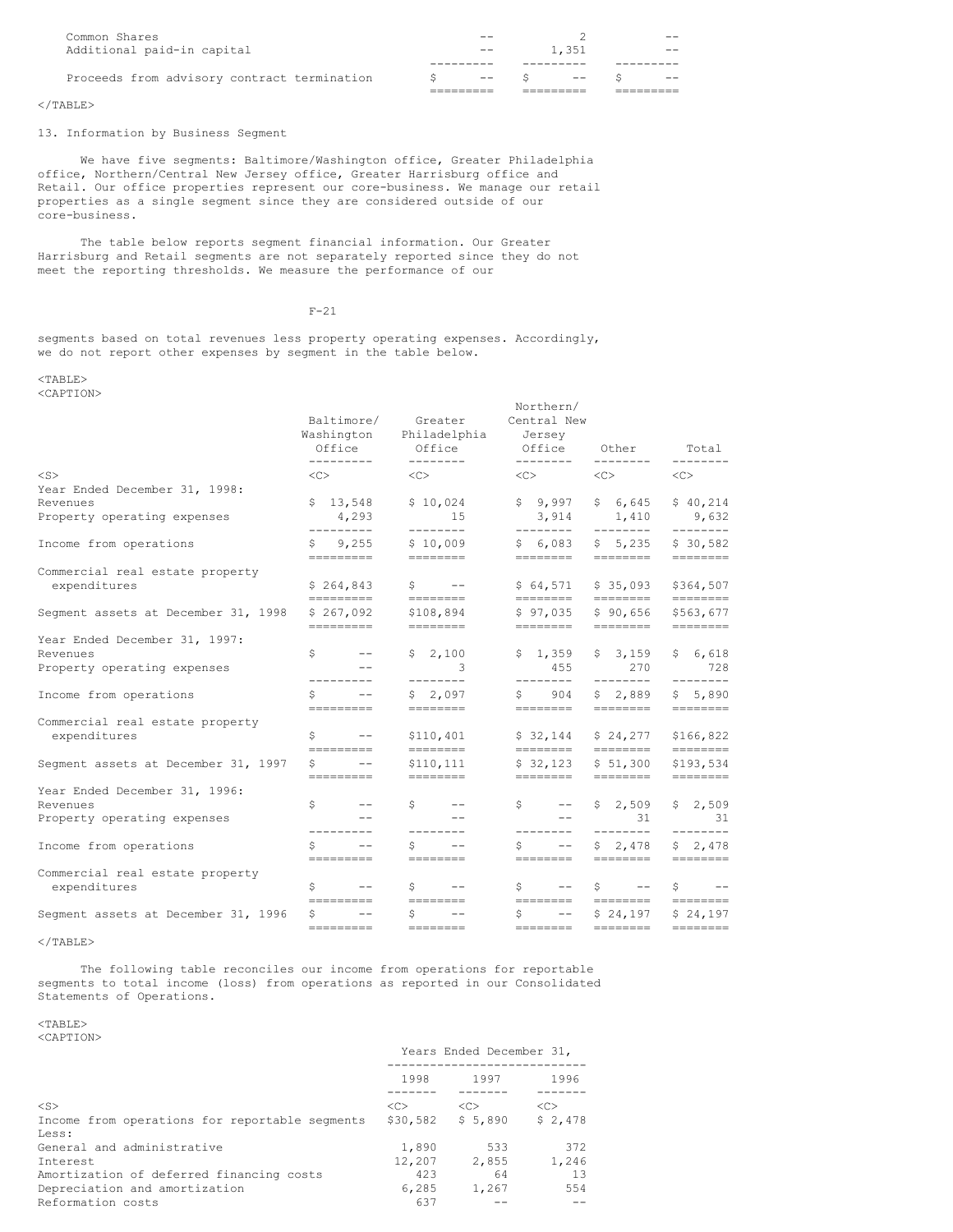| Common Shares                               | $- -$ |               |       |
|---------------------------------------------|-------|---------------|-------|
| Additional paid-in capital                  | $- -$ | 1.351         |       |
|                                             |       |               |       |
| Proceeds from advisory contract termination |       | $--$ S $--$ S | $- -$ |
|                                             |       |               |       |

## $\langle$ /TABLE>

### 13. Information by Business Segment

We have five segments: Baltimore/Washington office, Greater Philadelphia office, Northern/Central New Jersey office, Greater Harrisburg office and Retail. Our office properties represent our core-business. We manage our retail properties as a single segment since they are considered outside of our core-business.

The table below reports segment financial information. Our Greater Harrisburg and Retail segments are not separately reported since they do not meet the reporting thresholds. We measure the performance of our

## F-21

segments based on total revenues less property operating expenses. Accordingly, we do not report other expenses by segment in the table below.

### <TABLE> <CAPTION>

|                                                 | Baltimore/<br>Washington<br>Office<br>---------                                                                                                                                                                                                                                                                                                                                                                                                                                                                                                            | Greater<br>Philadelphia<br>Office<br>--------                                                                                                                                                                                                                                                                                                                                                                                                                                                                                                              | Northern/<br>Central New<br>Jersey<br>Office<br>--------- | Other                                  | Total<br>--------                                                                                                                                                                                                                                                                                                                                                                                                                                                                                                                                          |
|-------------------------------------------------|------------------------------------------------------------------------------------------------------------------------------------------------------------------------------------------------------------------------------------------------------------------------------------------------------------------------------------------------------------------------------------------------------------------------------------------------------------------------------------------------------------------------------------------------------------|------------------------------------------------------------------------------------------------------------------------------------------------------------------------------------------------------------------------------------------------------------------------------------------------------------------------------------------------------------------------------------------------------------------------------------------------------------------------------------------------------------------------------------------------------------|-----------------------------------------------------------|----------------------------------------|------------------------------------------------------------------------------------------------------------------------------------------------------------------------------------------------------------------------------------------------------------------------------------------------------------------------------------------------------------------------------------------------------------------------------------------------------------------------------------------------------------------------------------------------------------|
| $<$ S $>$                                       | $<<$ $>$                                                                                                                                                                                                                                                                                                                                                                                                                                                                                                                                                   | $\langle C \rangle$                                                                                                                                                                                                                                                                                                                                                                                                                                                                                                                                        | $\langle C \rangle$                                       | --------<br><<>                        | <<>                                                                                                                                                                                                                                                                                                                                                                                                                                                                                                                                                        |
| Year Ended December 31, 1998:                   |                                                                                                                                                                                                                                                                                                                                                                                                                                                                                                                                                            |                                                                                                                                                                                                                                                                                                                                                                                                                                                                                                                                                            |                                                           |                                        |                                                                                                                                                                                                                                                                                                                                                                                                                                                                                                                                                            |
| Revenues<br>Property operating expenses         | \$13,548                                                                                                                                                                                                                                                                                                                                                                                                                                                                                                                                                   | \$10,024                                                                                                                                                                                                                                                                                                                                                                                                                                                                                                                                                   | \$9,997                                                   | \$6,645                                | \$40,214                                                                                                                                                                                                                                                                                                                                                                                                                                                                                                                                                   |
|                                                 | 4,293<br>---------                                                                                                                                                                                                                                                                                                                                                                                                                                                                                                                                         | 15<br>--------                                                                                                                                                                                                                                                                                                                                                                                                                                                                                                                                             | 3,914<br>---------                                        | 1,410<br>$- - - - - - - -$             | 9,632<br>--------                                                                                                                                                                                                                                                                                                                                                                                                                                                                                                                                          |
| Income from operations                          | \$9,255                                                                                                                                                                                                                                                                                                                                                                                                                                                                                                                                                    | \$10,009                                                                                                                                                                                                                                                                                                                                                                                                                                                                                                                                                   | \$6,083                                                   | \$5,235                                | \$30,582                                                                                                                                                                                                                                                                                                                                                                                                                                                                                                                                                   |
|                                                 | =========                                                                                                                                                                                                                                                                                                                                                                                                                                                                                                                                                  | $=$ ========                                                                                                                                                                                                                                                                                                                                                                                                                                                                                                                                               | ========                                                  | ========                               |                                                                                                                                                                                                                                                                                                                                                                                                                                                                                                                                                            |
| Commercial real estate property                 | \$264,843                                                                                                                                                                                                                                                                                                                                                                                                                                                                                                                                                  | $S \t - -$                                                                                                                                                                                                                                                                                                                                                                                                                                                                                                                                                 | \$64,571                                                  | \$35,093                               | \$364,507                                                                                                                                                                                                                                                                                                                                                                                                                                                                                                                                                  |
| expenditures                                    | =========                                                                                                                                                                                                                                                                                                                                                                                                                                                                                                                                                  | ========                                                                                                                                                                                                                                                                                                                                                                                                                                                                                                                                                   | ========                                                  | ========                               |                                                                                                                                                                                                                                                                                                                                                                                                                                                                                                                                                            |
| Segment assets at December 31, 1998             | \$267,092                                                                                                                                                                                                                                                                                                                                                                                                                                                                                                                                                  | \$108,894                                                                                                                                                                                                                                                                                                                                                                                                                                                                                                                                                  | \$97,035                                                  | \$90,656                               | \$563,677                                                                                                                                                                                                                                                                                                                                                                                                                                                                                                                                                  |
|                                                 | =========                                                                                                                                                                                                                                                                                                                                                                                                                                                                                                                                                  | ========                                                                                                                                                                                                                                                                                                                                                                                                                                                                                                                                                   | ========                                                  | ========                               |                                                                                                                                                                                                                                                                                                                                                                                                                                                                                                                                                            |
| Year Ended December 31, 1997:                   | $S$ and $S$<br>$--$                                                                                                                                                                                                                                                                                                                                                                                                                                                                                                                                        | \$2,100                                                                                                                                                                                                                                                                                                                                                                                                                                                                                                                                                    | \$1,359                                                   | \$3,159                                |                                                                                                                                                                                                                                                                                                                                                                                                                                                                                                                                                            |
| Revenues<br>Property operating expenses         | $\qquad \qquad -$                                                                                                                                                                                                                                                                                                                                                                                                                                                                                                                                          | -3                                                                                                                                                                                                                                                                                                                                                                                                                                                                                                                                                         | 455                                                       | 270                                    | \$6,618<br>728                                                                                                                                                                                                                                                                                                                                                                                                                                                                                                                                             |
|                                                 | ---------                                                                                                                                                                                                                                                                                                                                                                                                                                                                                                                                                  | --------                                                                                                                                                                                                                                                                                                                                                                                                                                                                                                                                                   | ---------                                                 | --------                               | --------                                                                                                                                                                                                                                                                                                                                                                                                                                                                                                                                                   |
| Income from operations                          | S.<br>$\qquad \qquad -$                                                                                                                                                                                                                                                                                                                                                                                                                                                                                                                                    | \$2,097                                                                                                                                                                                                                                                                                                                                                                                                                                                                                                                                                    | 904<br>$S$ and $S$                                        | \$2,889                                | \$5,890                                                                                                                                                                                                                                                                                                                                                                                                                                                                                                                                                    |
|                                                 | =========                                                                                                                                                                                                                                                                                                                                                                                                                                                                                                                                                  | $=$ ========                                                                                                                                                                                                                                                                                                                                                                                                                                                                                                                                               | ========                                                  | $=$ ========                           | $=$ =======                                                                                                                                                                                                                                                                                                                                                                                                                                                                                                                                                |
| Commercial real estate property<br>expenditures | $S$ and $S$<br>$-  \,$                                                                                                                                                                                                                                                                                                                                                                                                                                                                                                                                     | \$110,401                                                                                                                                                                                                                                                                                                                                                                                                                                                                                                                                                  | \$32,144                                                  | \$24,277                               | \$166,822                                                                                                                                                                                                                                                                                                                                                                                                                                                                                                                                                  |
|                                                 | =========                                                                                                                                                                                                                                                                                                                                                                                                                                                                                                                                                  |                                                                                                                                                                                                                                                                                                                                                                                                                                                                                                                                                            | $=$ ========                                              | ========                               | $\begin{tabular}{ll} \multicolumn{3}{l}{{\color{red}\boldsymbol{=}}} & \multicolumn{3}{l}{\color{blue}\boldsymbol{=}} & \multicolumn{3}{l}{\color{blue}\boldsymbol{=}} & \multicolumn{3}{l}{\color{blue}\boldsymbol{=}} & \multicolumn{3}{l}{\color{blue}\boldsymbol{=}} & \multicolumn{3}{l}{\color{blue}\boldsymbol{=}} & \multicolumn{3}{l}{\color{blue}\boldsymbol{=}} & \multicolumn{3}{l}{\color{blue}\boldsymbol{=}} & \multicolumn{3}{l}{\color{blue}\boldsymbol{=}} & \multicolumn{3}{l}{\color{blue}\boldsymbol{=}} & \multicolumn{3}{l}{\color$ |
| Segment assets at December 31, 1997             | $S$ and $S$<br>$--$                                                                                                                                                                                                                                                                                                                                                                                                                                                                                                                                        | \$110,111                                                                                                                                                                                                                                                                                                                                                                                                                                                                                                                                                  | \$32,123                                                  | \$51,300                               | \$193,534                                                                                                                                                                                                                                                                                                                                                                                                                                                                                                                                                  |
|                                                 | $\begin{tabular}{ll} \multicolumn{3}{l}{{\color{red}\boldsymbol{=}}} & \multicolumn{3}{l}{\color{blue}\boldsymbol{=}} & \multicolumn{3}{l}{\color{blue}\boldsymbol{=}} & \multicolumn{3}{l}{\color{blue}\boldsymbol{=}} & \multicolumn{3}{l}{\color{blue}\boldsymbol{=}} & \multicolumn{3}{l}{\color{blue}\boldsymbol{=}} & \multicolumn{3}{l}{\color{blue}\boldsymbol{=}} & \multicolumn{3}{l}{\color{blue}\boldsymbol{=}} & \multicolumn{3}{l}{\color{blue}\boldsymbol{=}} & \multicolumn{3}{l}{\color{blue}\boldsymbol{=}} & \multicolumn{3}{l}{\color$ | $\begin{tabular}{ll} \multicolumn{3}{l}{{\color{red}\boldsymbol{z}}}\\ \multicolumn{3}{l}{\color{blue}\boldsymbol{z}}\\ \multicolumn{3}{l}{\color{blue}\boldsymbol{z}}\\ \multicolumn{3}{l}{\color{blue}\boldsymbol{z}}\\ \multicolumn{3}{l}{\color{blue}\boldsymbol{z}}\\ \multicolumn{3}{l}{\color{blue}\boldsymbol{z}}\\ \multicolumn{3}{l}{\color{blue}\boldsymbol{z}}\\ \multicolumn{3}{l}{\color{blue}\boldsymbol{z}}\\ \multicolumn{3}{l}{\color{blue}\boldsymbol{z}}\\ \multicolumn{3}{l}{\color{blue}\boldsymbol{z}}\\ \multicolumn{3}{l}{\color$ | ========                                                  | $=$ ========                           | $=$ ========                                                                                                                                                                                                                                                                                                                                                                                                                                                                                                                                               |
| Year Ended December 31, 1996:<br>Revenues       | $S \t - -$                                                                                                                                                                                                                                                                                                                                                                                                                                                                                                                                                 | $S \qquad \qquad$<br>$--$                                                                                                                                                                                                                                                                                                                                                                                                                                                                                                                                  | $S \t - -$                                                | \$2,509                                | \$2,509                                                                                                                                                                                                                                                                                                                                                                                                                                                                                                                                                    |
| Property operating expenses                     | $- -$                                                                                                                                                                                                                                                                                                                                                                                                                                                                                                                                                      | $\qquad \qquad -$                                                                                                                                                                                                                                                                                                                                                                                                                                                                                                                                          | $--$                                                      | 31                                     | 31                                                                                                                                                                                                                                                                                                                                                                                                                                                                                                                                                         |
|                                                 |                                                                                                                                                                                                                                                                                                                                                                                                                                                                                                                                                            | $- - - - - - - -$                                                                                                                                                                                                                                                                                                                                                                                                                                                                                                                                          | ---------                                                 | ---------                              | ---------                                                                                                                                                                                                                                                                                                                                                                                                                                                                                                                                                  |
| Income from operations                          | $\qquad \qquad -$                                                                                                                                                                                                                                                                                                                                                                                                                                                                                                                                          | \$                                                                                                                                                                                                                                                                                                                                                                                                                                                                                                                                                         | S.<br>$--$                                                | \$2,478                                | \$2,478                                                                                                                                                                                                                                                                                                                                                                                                                                                                                                                                                    |
| Commercial real estate property                 | =========                                                                                                                                                                                                                                                                                                                                                                                                                                                                                                                                                  |                                                                                                                                                                                                                                                                                                                                                                                                                                                                                                                                                            | ========                                                  | ========                               | $\begin{tabular}{ll} \multicolumn{3}{l}{{\color{red}\textbf{m}}} & \multicolumn{3}{l}{\color{blue}\textbf{m}} & \multicolumn{3}{l}{\color{blue}\textbf{m}} & \multicolumn{3}{l}{\color{blue}\textbf{m}} & \multicolumn{3}{l}{\color{blue}\textbf{m}} & \multicolumn{3}{l}{\color{blue}\textbf{m}} & \multicolumn{3}{l}{\color{blue}\textbf{m}} & \multicolumn{3}{l}{\color{blue}\textbf{m}} & \multicolumn{3}{l}{\color{blue}\textbf{m}} & \multicolumn{3}{l}{\color{blue}\textbf{m}} & \multicolumn{3}{l}{\color$                                         |
| expenditures                                    | S.<br>$---$                                                                                                                                                                                                                                                                                                                                                                                                                                                                                                                                                | $\mathsf{S}^-$<br>$--$                                                                                                                                                                                                                                                                                                                                                                                                                                                                                                                                     | $S$ and $S$<br>$--$                                       | $\mathsf{S}$ and $\mathsf{S}$<br>$---$ | S.<br>$- -$                                                                                                                                                                                                                                                                                                                                                                                                                                                                                                                                                |
|                                                 | =========                                                                                                                                                                                                                                                                                                                                                                                                                                                                                                                                                  | --------                                                                                                                                                                                                                                                                                                                                                                                                                                                                                                                                                   | --------                                                  |                                        |                                                                                                                                                                                                                                                                                                                                                                                                                                                                                                                                                            |
| Segment assets at December 31, 1996             | \$<br>$- -$                                                                                                                                                                                                                                                                                                                                                                                                                                                                                                                                                | \$<br>$- -$                                                                                                                                                                                                                                                                                                                                                                                                                                                                                                                                                | $- \,$<br>$S$ and $S$                                     | \$24,197                               | \$24,197                                                                                                                                                                                                                                                                                                                                                                                                                                                                                                                                                   |
|                                                 | =========                                                                                                                                                                                                                                                                                                                                                                                                                                                                                                                                                  |                                                                                                                                                                                                                                                                                                                                                                                                                                                                                                                                                            | ========                                                  | $=$ ========                           |                                                                                                                                                                                                                                                                                                                                                                                                                                                                                                                                                            |

 $<$ /TABLE>

The following table reconciles our income from operations for reportable segments to total income (loss) from operations as reported in our Consolidated Statements of Operations.

## <TABLE>

<CAPTION>

|                                                | Years Ended December 31, |               |               |  |
|------------------------------------------------|--------------------------|---------------|---------------|--|
|                                                | 1998                     | 1997          | 1996          |  |
| $<$ S>                                         | < <sub></sub>            | < <sub></sub> | < <sub></sub> |  |
| Income from operations for reportable segments | \$30,582                 | \$5,890       | \$2,478       |  |
| Less:                                          |                          |               |               |  |
| General and administrative                     | 1,890                    | 533           | 372           |  |
| Interest                                       | 12,207                   | 2,855         | 1,246         |  |
| Amortization of deferred financing costs       | 423                      | 64            | 13            |  |
| Depreciation and amortization                  | 6,285                    | 1,267         | 554           |  |
| Reformation costs                              | 637                      |               |               |  |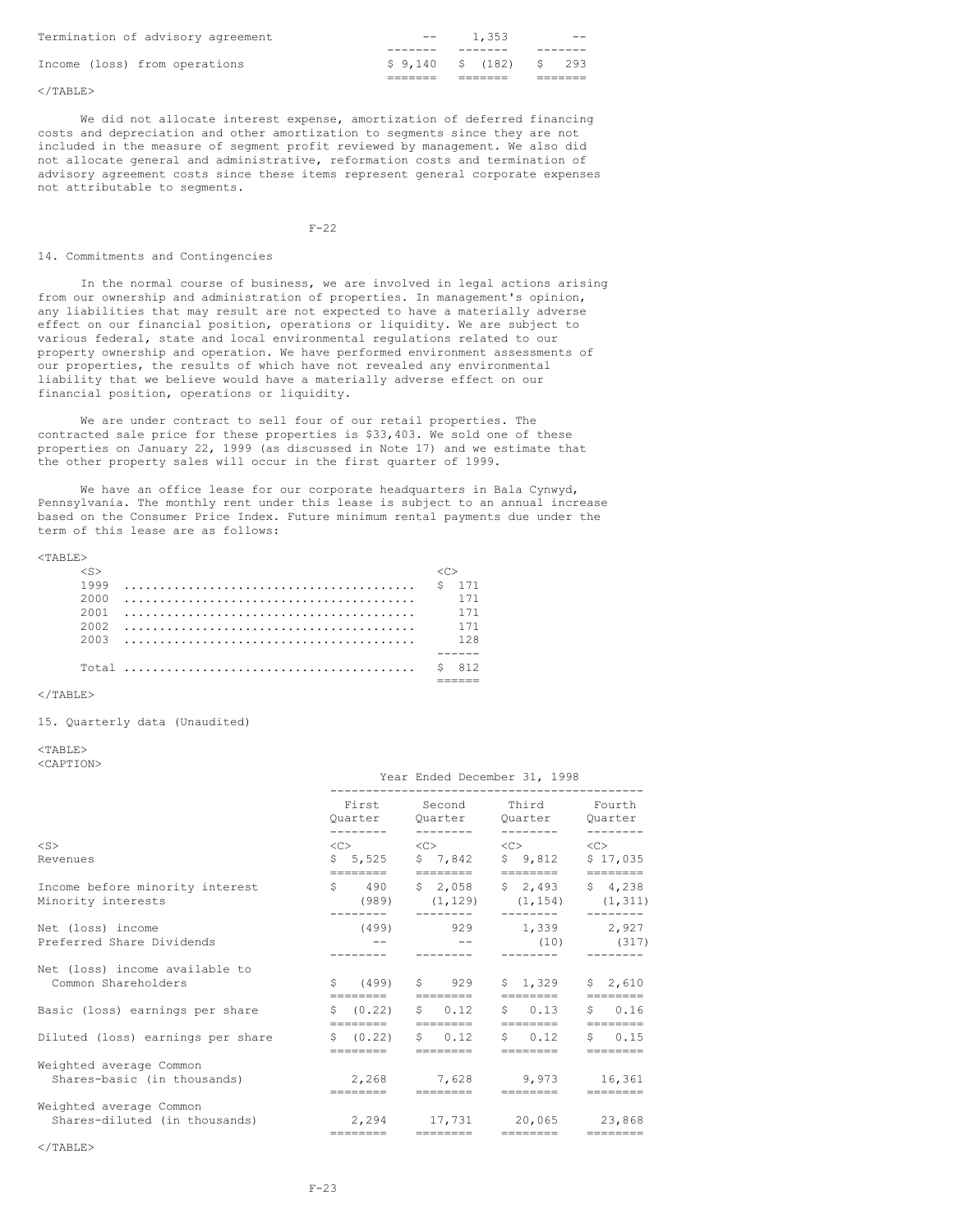| Termination of advisory agreement | $- -$                   | 1,353 | $- -$ |
|-----------------------------------|-------------------------|-------|-------|
|                                   |                         |       |       |
| Income (loss) from operations     | \$9,140 \$ (182) \$ 293 |       |       |
|                                   |                         |       |       |

</TABLE>

We did not allocate interest expense, amortization of deferred financing costs and depreciation and other amortization to segments since they are not included in the measure of segment profit reviewed by management. We also did not allocate general and administrative, reformation costs and termination of advisory agreement costs since these items represent general corporate expenses not attributable to segments.

 $F-22$ 

### 14. Commitments and Contingencies

In the normal course of business, we are involved in legal actions arising from our ownership and administration of properties. In management's opinion, any liabilities that may result are not expected to have a materially adverse effect on our financial position, operations or liquidity. We are subject to various federal, state and local environmental regulations related to our property ownership and operation. We have performed environment assessments of our properties, the results of which have not revealed any environmental liability that we believe would have a materially adverse effect on our financial position, operations or liquidity.

We are under contract to sell four of our retail properties. The contracted sale price for these properties is \$33,403. We sold one of these properties on January 22, 1999 (as discussed in Note 17) and we estimate that the other property sales will occur in the first quarter of 1999.

We have an office lease for our corporate headquarters in Bala Cynwyd, Pennsylvania. The monthly rent under this lease is subject to an annual increase based on the Consumer Price Index. Future minimum rental payments due under the term of this lease are as follows:

### $<$ TABLE>

| $\langle S \rangle$ |     |
|---------------------|-----|
| 1999                |     |
| 2000                | 171 |
| 2001                | 171 |
| 2002                | 171 |
|                     | 128 |
|                     |     |
|                     |     |
|                     |     |

### $<$ /TABLE>

15. Quarterly data (Unaudited)

## $<$ TABLE>

<CAPTION>

|                                                          | Year Ended December 31, 1998 |                              |                                                                                                                                                     |                    |  |  |  |
|----------------------------------------------------------|------------------------------|------------------------------|-----------------------------------------------------------------------------------------------------------------------------------------------------|--------------------|--|--|--|
|                                                          | ---------                    | --------                     | First Second Third<br>Quarter Quarter Quarter Quarter<br>--------                                                                                   | Fourth<br>-------- |  |  |  |
| $<$ S><br>Revenues                                       | ========                     | ========                     | $\langle C \rangle$ $\langle C \rangle$ $\langle C \rangle$ $\langle C \rangle$ $\langle C \rangle$<br>\$5,525 \$7,842 \$9,812 \$17,035<br>======== | ========           |  |  |  |
| Income before minority interest<br>Minority interests    |                              | --------                     | $\frac{1}{2}$ 490 $\frac{1}{2}$ , 058 $\frac{1}{2}$ , 493 $\frac{1}{2}$ 4, 238<br>$(989)$ $(1, 129)$ $(1, 154)$ $(1, 311)$                          |                    |  |  |  |
| Net (loss) income<br>Preferred Share Dividends           |                              |                              | $(499)$ 929 1,339 2,927                                                                                                                             | $(10)$ $(317)$     |  |  |  |
| Net (loss) income available to<br>Common Shareholders    | ========                     | $$ (499)$ \$ 929<br>======== | $$1,329$ $$2,610$<br>========                                                                                                                       | $=$ = = = = = = =  |  |  |  |
| Basic (loss) earnings per share                          | \$ (0.22)<br>========        | $S = 0.12$<br><b>HEEFEEE</b> | $S = 0.13$<br>========                                                                                                                              | $S = 0.16$         |  |  |  |
| Diluted (loss) earnings per share                        | \$ (0.22)                    | $S = 0.12$<br>========       | $\sin 0.12$<br>========                                                                                                                             | $S = 0.15$         |  |  |  |
| Weighted average Common<br>Shares-basic (in thousands)   | ---------                    |                              | 2,268 7,628 9,973 16,361<br>========                                                                                                                |                    |  |  |  |
| Weighted average Common<br>Shares-diluted (in thousands) | ========                     |                              | 2,294 17,731 20,065 23,868<br>========                                                                                                              | ========           |  |  |  |

 $\langle$ /TABLE>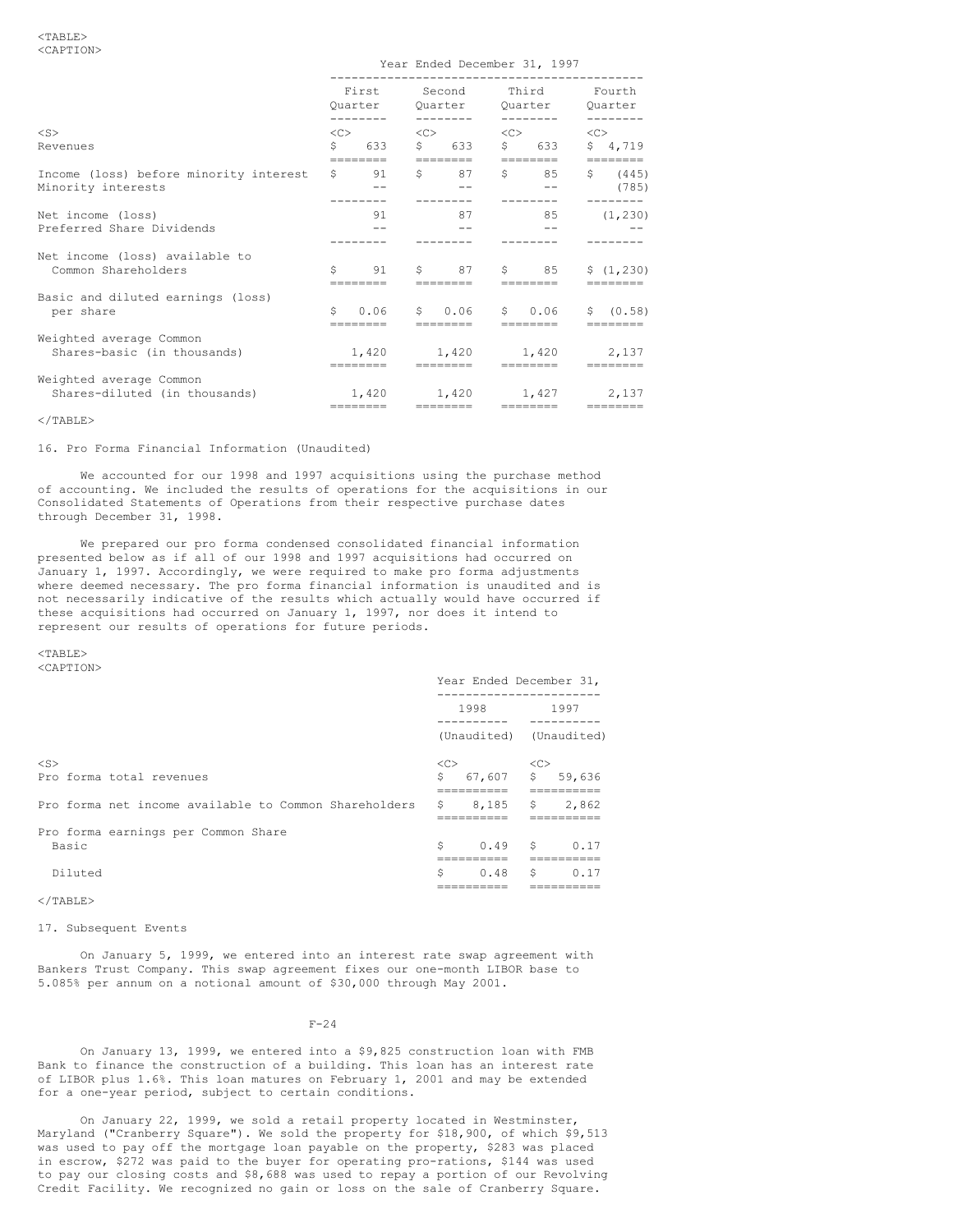|                                                              | First<br>Ouarter |                 | Second<br>Ouarter |                                     | Third<br>Ouarter<br>-------- |                   | Fourth<br>Ouarter |                     |
|--------------------------------------------------------------|------------------|-----------------|-------------------|-------------------------------------|------------------------------|-------------------|-------------------|---------------------|
| $<$ S><br>Revenues                                           | $<<$ $>>$<br>Ŝ.  | 633<br>======== | <<<br>S           | 633                                 | <<>                          | \$633<br>======== | $<<$ $>$          | \$4,719<br>======== |
| Income (loss) before minority interest<br>Minority interests | S.               | - 91<br>------- | $S \qquad \qquad$ | 87                                  | $S$ and $S$                  | 85<br>$- -$       |                   | \$ (445)<br>(785)   |
| Net income (loss)<br>Preferred Share Dividends               |                  | 91              |                   | 87                                  |                              | 85                |                   | (1, 230)            |
| Net income (loss) available to<br>Common Shareholders        | Ŝ.               | 91              |                   | $\mathsf{S}$ 87                     |                              | $\mathsf{S}$ 8.5  |                   | \$(1, 230)          |
| Basic and diluted earnings (loss)<br>per share               | S.               | 0.06            |                   | \$ 0.06 \$ 0.06<br>--------         |                              |                   |                   | S(0.58)             |
| Weighted average Common<br>Shares-basic (in thousands)       |                  |                 |                   | 1,420 1,420 1,420 2,137             |                              |                   |                   |                     |
| Weighted average Common<br>Shares-diluted (in thousands)     |                  | ========        |                   | 1,420 1,420 1,427 2,137<br>-------- |                              | <u>www.www.</u>   |                   |                     |

Year Ended December 31, 1997

 $\langle$ /TABLE>

16. Pro Forma Financial Information (Unaudited)

We accounted for our 1998 and 1997 acquisitions using the purchase method of accounting. We included the results of operations for the acquisitions in our Consolidated Statements of Operations from their respective purchase dates through December 31, 1998.

We prepared our pro forma condensed consolidated financial information presented below as if all of our 1998 and 1997 acquisitions had occurred on January 1, 1997. Accordingly, we were required to make pro forma adjustments where deemed necessary. The pro forma financial information is unaudited and is not necessarily indicative of the results which actually would have occurred if these acquisitions had occurred on January 1, 1997, nor does it intend to represent our results of operations for future periods.

#### <TABLE> <CAPTION>

|                                                       | Year Ended December 31, |                     |            |             |
|-------------------------------------------------------|-------------------------|---------------------|------------|-------------|
|                                                       | 1998                    |                     | 1997       |             |
|                                                       |                         | (Unaudited)         |            | (Unaudited) |
| $<$ S>                                                |                         | $\langle C \rangle$ | $<<$ C $>$ |             |
| Pro forma total revenues                              | \$                      | $67,607$ \$         |            | 59,636      |
| Pro forma net income available to Common Shareholders | S.                      | 8.185               | S,         | 2,862       |
| Pro forma earnings per Common Share                   |                         |                     |            |             |
| Basic                                                 | Ŝ                       | 0.49 S              |            | 0.17        |
|                                                       |                         |                     |            |             |
| Diluted                                               | Ŝ                       | 0.48                | \$         | 0.17        |
|                                                       |                         |                     |            |             |
| $<$ /TABLE>                                           |                         |                     |            |             |

17. Subsequent Events

On January 5, 1999, we entered into an interest rate swap agreement with Bankers Trust Company. This swap agreement fixes our one-month LIBOR base to 5.085% per annum on a notional amount of \$30,000 through May 2001.

### $F-24$

On January 13, 1999, we entered into a \$9,825 construction loan with FMB Bank to finance the construction of a building. This loan has an interest rate of LIBOR plus 1.6%. This loan matures on February 1, 2001 and may be extended for a one-year period, subject to certain conditions.

On January 22, 1999, we sold a retail property located in Westminster, Maryland ("Cranberry Square"). We sold the property for \$18,900, of which \$9,513 was used to pay off the mortgage loan payable on the property, \$283 was placed in escrow, \$272 was paid to the buyer for operating pro-rations, \$144 was used to pay our closing costs and \$8,688 was used to repay a portion of our Revolving Credit Facility. We recognized no gain or loss on the sale of Cranberry Square.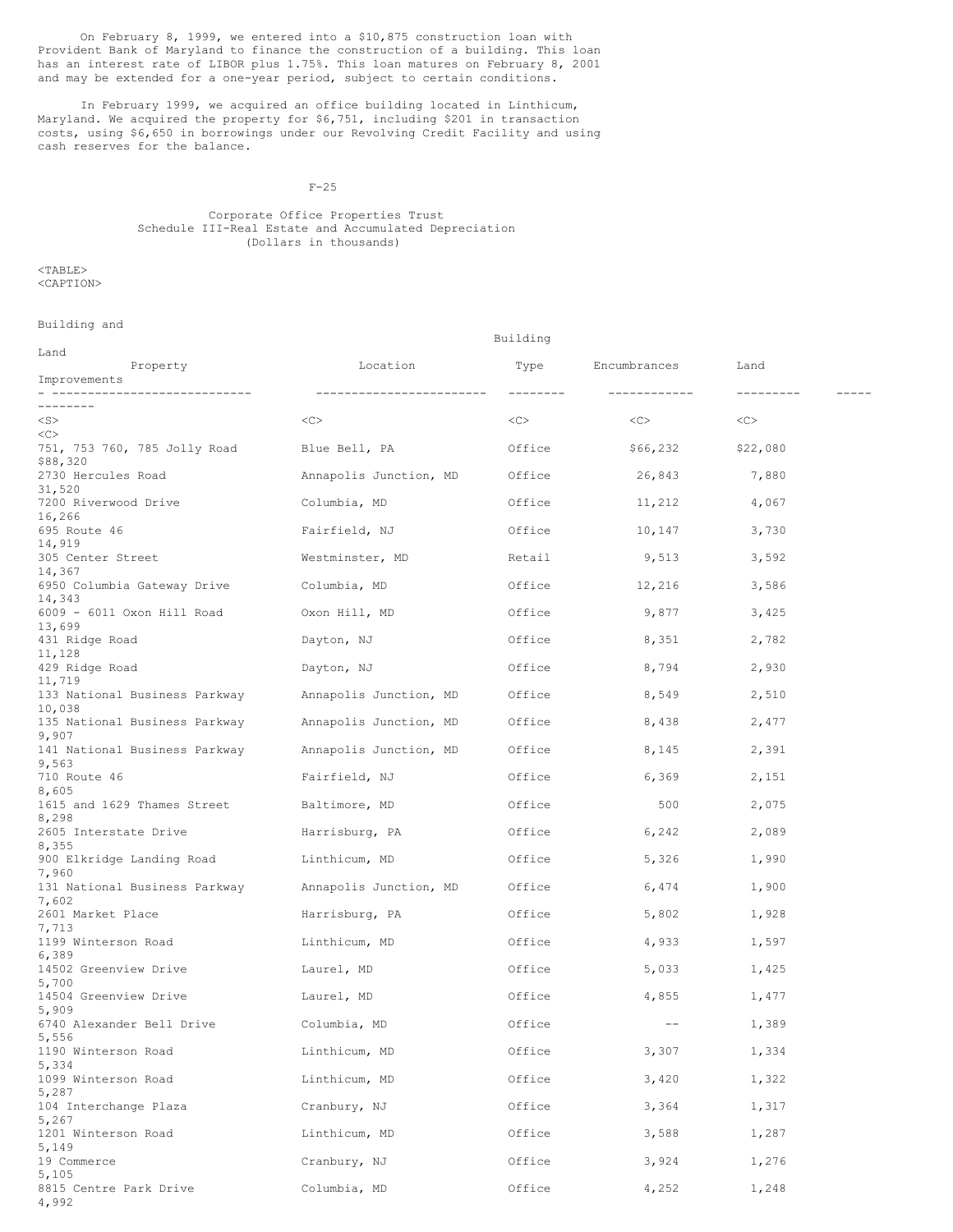On February 8, 1999, we entered into a \$10,875 construction loan with Provident Bank of Maryland to finance the construction of a building. This loan has an interest rate of LIBOR plus 1.75%. This loan matures on February 8, 2001 and may be extended for a one-year period, subject to certain conditions.

In February 1999, we acquired an office building located in Linthicum, Maryland. We acquired the property for \$6,751, including \$201 in transaction costs, using \$6,650 in borrowings under our Revolving Credit Facility and using cash reserves for the balance.

F-25

## Corporate Office Properties Trust Schedule III-Real Estate and Accumulated Depreciation (Dollars in thousands)

 $<$ TABLE $>$ <CAPTION>

Building and

| Land                                                           |                           |           |              |           |  |
|----------------------------------------------------------------|---------------------------|-----------|--------------|-----------|--|
| Property<br>Improvements                                       | Location                  | Type      | Encumbrances | Land      |  |
| ------------------------------                                 | ------------------------- | --------- | ------------ | --------- |  |
|                                                                |                           |           |              |           |  |
| $<$ S $>$<br><<                                                | <<                        | <<>       | <<>          | <<>       |  |
| 751, 753 760, 785 Jolly Road Blue Bell, PA<br>\$88,320         |                           | Office    | \$66,232     | \$22,080  |  |
| 2730 Hercules Road<br>31,520                                   | Annapolis Junction, MD    | Office    | 26,843       | 7,880     |  |
| 7200 Riverwood Drive<br>16,266                                 | Columbia, MD              | Office    | 11,212       | 4,067     |  |
| 695 Route 46<br>14,919                                         | Fairfield, NJ             | Office    | 10,147       | 3,730     |  |
| 305 Center Street<br>14,367                                    | Westminster, MD           | Retail    | 9,513        | 3,592     |  |
| 6950 Columbia Gateway Drive<br>14,343                          | Columbia, MD              | Office    | 12,216       | 3,586     |  |
| 6009 - 6011 Oxon Hill Road<br>13,699                           | Oxon Hill, MD             | Office    | 9,877        | 3,425     |  |
| 431 Ridge Road<br>11,128                                       | Dayton, NJ                | Office    | 8,351        | 2,782     |  |
| 429 Ridge Road<br>11,719                                       | Dayton, NJ                | Office    | 8,794        | 2,930     |  |
| 133 National Business Parkway Annapolis Junction, MD<br>10,038 |                           | Office    | 8,549        | 2,510     |  |
| 135 National Business Parkway Annapolis Junction, MD<br>9,907  |                           | Office    | 8,438        | 2,477     |  |
| 141 National Business Parkway Annapolis Junction, MD<br>9,563  |                           | Office    | 8,145        | 2,391     |  |
| 710 Route 46<br>8,605                                          | Fairfield, NJ             | Office    | 6,369        | 2,151     |  |
| 1615 and 1629 Thames Street Baltimore, MD<br>8,298             |                           | Office    | 500          | 2,075     |  |
| 2605 Interstate Drive<br>8,355                                 | Harrisburg, PA            | Office    | 6,242        | 2,089     |  |
| 900 Elkridge Landing Road Linthicum, MD<br>7,960               |                           | Office    | 5,326        | 1,990     |  |
| 131 National Business Parkway Annapolis Junction, MD<br>7,602  |                           | Office    | 6,474        | 1,900     |  |
| 2601 Market Place<br>7,713                                     | Harrisburg, PA            | Office    | 5,802        | 1,928     |  |
| 1199 Winterson Road<br>6,389                                   | Linthicum, MD             | Office    | 4,933        | 1,597     |  |
| 14502 Greenview Drive<br>5,700                                 | Laurel, MD                | Office    | 5,033        | 1,425     |  |
| 14504 Greenview Drive<br>5,909                                 | Laurel, MD                | Office    | 4,855        | 1,477     |  |
| 6740 Alexander Bell Drive<br>5,556                             | Columbia, MD              | Office    | $--$         | 1,389     |  |
| 1190 Winterson Road<br>5,334                                   | Linthicum, MD             | Office    | 3,307        | 1,334     |  |
| 1099 Winterson Road<br>5,287                                   | Linthicum, MD             | Office    | 3,420        | 1,322     |  |
| 104 Interchange Plaza<br>5,267                                 | Cranbury, NJ              | Office    | 3,364        | 1,317     |  |
| 1201 Winterson Road<br>5,149                                   | Linthicum, MD             | Office    | 3,588        | 1,287     |  |
| 19 Commerce<br>5,105                                           | Cranbury, NJ              | Office    | 3,924        | 1,276     |  |
| 8815 Centre Park Drive<br>4,992                                | Columbia, MD              | Office    | 4,252        | 1,248     |  |

Building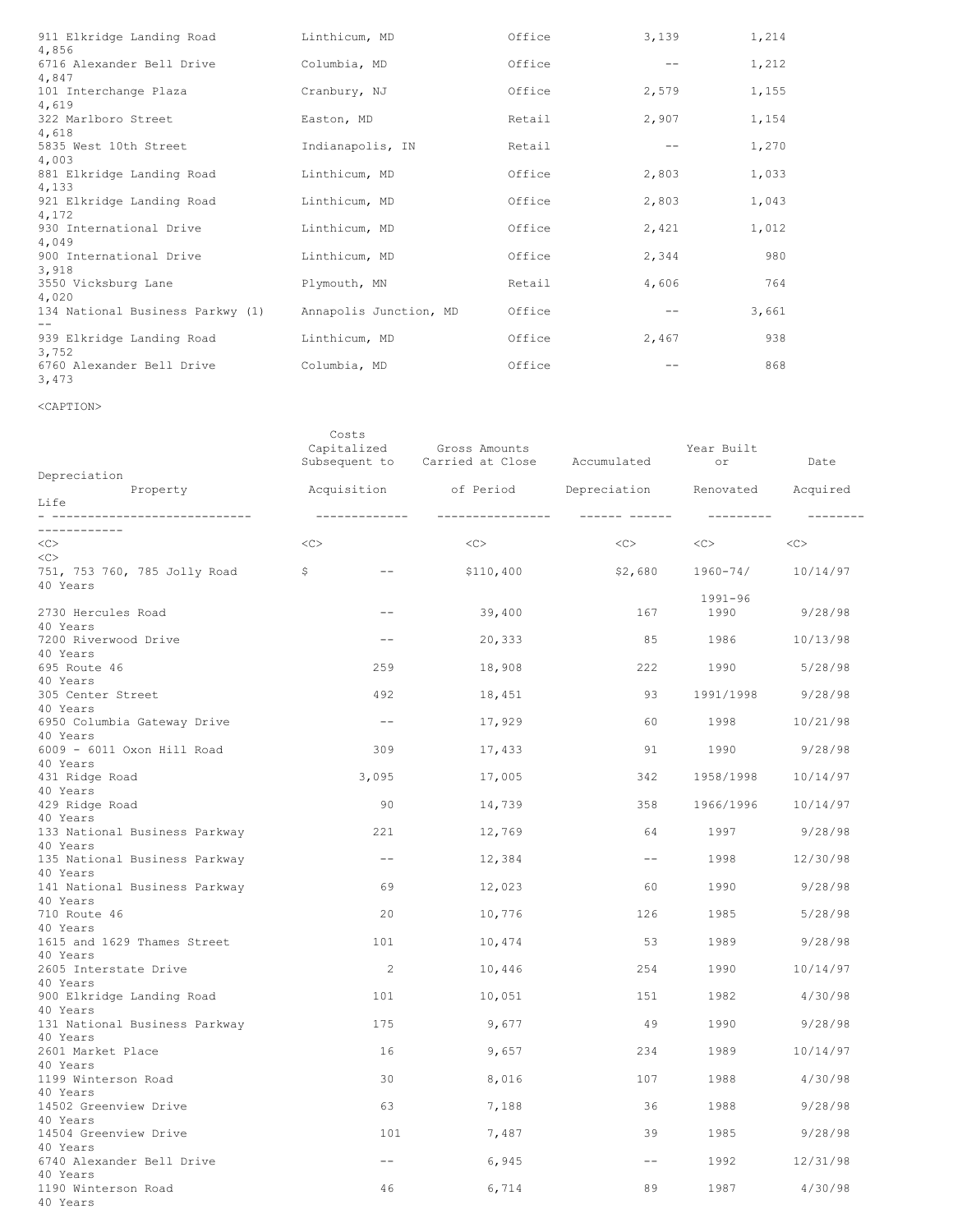| 911 Elkridge Landing Road<br>4,856        | Linthicum, MD          | Office | 3,139 | 1,214 |
|-------------------------------------------|------------------------|--------|-------|-------|
| 6716 Alexander Bell Drive<br>4,847        | Columbia, MD           | Office |       | 1,212 |
| 101 Interchange Plaza<br>4,619            | Cranbury, NJ           | Office | 2,579 | 1,155 |
| 322 Marlboro Street<br>4,618              | Easton, MD             | Retail | 2,907 | 1,154 |
| 5835 West 10th Street<br>4,003            | Indianapolis, IN       | Retail |       | 1,270 |
| 881 Elkridge Landing Road<br>4,133        | Linthicum, MD          | Office | 2,803 | 1,033 |
| 921 Elkridge Landing Road<br>4,172        | Linthicum, MD          | Office | 2,803 | 1,043 |
| 930 International Drive<br>4,049          | Linthicum, MD          | Office | 2,421 | 1,012 |
| 900 International Drive<br>3,918          | Linthicum, MD          | Office | 2,344 | 980   |
| 3550 Vicksburg Lane<br>4,020              | Plymouth, MN           | Retail | 4,606 | 764   |
| 134 National Business Parkwy (1)<br>$- -$ | Annapolis Junction, MD | Office |       | 3,661 |
| 939 Elkridge Landing Road<br>3,752        | Linthicum, MD          | Office | 2,467 | 938   |
| 6760 Alexander Bell Drive<br>3,473        | Columbia, MD           | Office |       | 868   |

<CAPTION>

| Depreciation                              |    | Costs<br>Capitalized | Gross Amounts<br>Subsequent to Carried at Close Accumulated |                        | Year Built<br>or                                                                                                                                                                                                                | Date              |
|-------------------------------------------|----|----------------------|-------------------------------------------------------------|------------------------|---------------------------------------------------------------------------------------------------------------------------------------------------------------------------------------------------------------------------------|-------------------|
| Property                                  |    | Acquisition          |                                                             | of Period Depreciation | Renovated Acquired                                                                                                                                                                                                              |                   |
| Life<br>- -----------------------------   |    | ______________       | ________________                                            |                        | ----------                                                                                                                                                                                                                      | $- - - - - - - -$ |
| ------------                              |    |                      |                                                             |                        |                                                                                                                                                                                                                                 |                   |
| <<                                        | << |                      | <<                                                          | $<<$ $>$               | $<<$ $>$                                                                                                                                                                                                                        | <<                |
| <<<br>751, 753 760, 785 Jolly Road        | \$ | $--$                 | \$110,400                                                   | \$2,680                | 1960-74/                                                                                                                                                                                                                        | 10/14/97          |
| 40 Years                                  |    |                      |                                                             |                        |                                                                                                                                                                                                                                 |                   |
|                                           |    |                      |                                                             |                        | 1991-96                                                                                                                                                                                                                         |                   |
| 2730 Hercules Road                        |    | $--$                 | 39,400                                                      | 167                    | 1990                                                                                                                                                                                                                            | 9/28/98           |
| 40 Years                                  |    |                      |                                                             |                        |                                                                                                                                                                                                                                 |                   |
| 7200 Riverwood Drive<br>40 Years          |    | $--$                 | 20,333                                                      | 85                     | 1986 1990                                                                                                                                                                                                                       | 10/13/98          |
| 695 Route 46                              |    | 259                  | 18,908                                                      | 222                    | 1990                                                                                                                                                                                                                            | 5/28/98           |
| 40 Years                                  |    |                      |                                                             |                        |                                                                                                                                                                                                                                 |                   |
| 305 Center Street                         |    | 492                  | 18,451                                                      | 93                     | 1991/1998                                                                                                                                                                                                                       | 9/28/98           |
| 40 Years                                  |    |                      |                                                             |                        |                                                                                                                                                                                                                                 |                   |
| 6950 Columbia Gateway Drive               |    | $--$                 | 17,929                                                      | 60                     | 1998 — 1998 — 1998 — 1998 — 1998 — 1998 — 1998 — 1998 — 1998 — 1998 — 1998 — 1998 — 1998 — 1998 — 1998 — 1998 — 199                                                                                                             | 10/21/98          |
| 40 Years<br>6009 - 6011 Oxon Hill Road    |    | 309                  | 17,433                                                      | 91                     | 1990                                                                                                                                                                                                                            | 9/28/98           |
| 40 Years                                  |    |                      |                                                             |                        |                                                                                                                                                                                                                                 |                   |
| 431 Ridge Road                            |    | 3,095                | 17,005                                                      | 342                    | 1958/1998                                                                                                                                                                                                                       | 10/14/97          |
| 40 Years                                  |    |                      |                                                             |                        |                                                                                                                                                                                                                                 |                   |
| 429 Ridge Road                            |    | 90                   | 14,739                                                      | 358                    | 1966/1996                                                                                                                                                                                                                       | 10/14/97          |
| 40 Years                                  |    | 221                  |                                                             | 64                     | 1997                                                                                                                                                                                                                            |                   |
| 133 National Business Parkway<br>40 Years |    |                      | 12,769                                                      |                        |                                                                                                                                                                                                                                 | 9/28/98           |
| 135 National Business Parkway             |    | $--$                 | 12,384                                                      | $--$                   | 1998 - 1998 - 1999 - 1999 - 1999 - 1998 - 1998 - 1998 - 1998 - 1998 - 1998 - 1998 - 1998 - 1999 - 1999 - 1999 - 1999 - 1999 - 1999 - 1999 - 1999 - 1999 - 1999 - 1999 - 1999 - 1999 - 1999 - 1999 - 1999 - 1999 - 1999 - 1999 - | 12/30/98          |
| 40 Years                                  |    |                      |                                                             |                        |                                                                                                                                                                                                                                 |                   |
| 141 National Business Parkway             |    | 69                   | 12,023                                                      | 60                     | 1990                                                                                                                                                                                                                            | 9/28/98           |
| 40 Years                                  |    |                      |                                                             |                        |                                                                                                                                                                                                                                 |                   |
| 710 Route 46<br>40 Years                  |    | 20                   | 10,776                                                      | 126                    | 1985                                                                                                                                                                                                                            | 5/28/98           |
| 1615 and 1629 Thames Street               |    | 101                  | 10,474                                                      | 53                     | 1989                                                                                                                                                                                                                            | 9/28/98           |
| 40 Years                                  |    |                      |                                                             |                        |                                                                                                                                                                                                                                 |                   |
| 2605 Interstate Drive                     |    | -2                   | 10,446                                                      | 254                    | 1990 - 1990 - 1990 - 1990 - 1990 - 1990 - 1990 - 1991 - 1991 - 1991 - 1992 - 1992 - 1992 - 1992 - 1994 - 1994 - 1994 - 1994 - 1994 - 1994 - 1994 - 1994 - 1994 - 1994 - 1994 - 1994 - 1994 - 1994 - 1994 - 1994 - 1994 - 1994 - | 10/14/97          |
| 40 Years                                  |    |                      |                                                             |                        | 1982                                                                                                                                                                                                                            |                   |
| 900 Elkridge Landing Road<br>40 Years     |    | 101                  | 10,051                                                      | 151                    |                                                                                                                                                                                                                                 | 4/30/98           |
| 131 National Business Parkway             |    | 175                  | 9,677                                                       | -49                    | 1990                                                                                                                                                                                                                            | 9/28/98           |
| 40 Years                                  |    |                      |                                                             |                        |                                                                                                                                                                                                                                 |                   |
| 2601 Market Place                         |    | 16                   | 9,657                                                       | 234                    | 1989                                                                                                                                                                                                                            | 10/14/97          |
| 40 Years                                  |    |                      |                                                             |                        |                                                                                                                                                                                                                                 |                   |
| 1199 Winterson Road<br>40 Years           |    | 30                   | 8,016                                                       | 107                    | 1988                                                                                                                                                                                                                            | 4/30/98           |
| 14502 Greenview Drive                     |    | 63                   | 7,188                                                       | 36                     | 1988                                                                                                                                                                                                                            | 9/28/98           |
| 40 Years                                  |    |                      |                                                             |                        |                                                                                                                                                                                                                                 |                   |
| 14504 Greenview Drive                     |    | 101                  | 7,487                                                       | 39                     | 1985                                                                                                                                                                                                                            | 9/28/98           |
| 40 Years                                  |    |                      |                                                             |                        |                                                                                                                                                                                                                                 |                   |
| 6740 Alexander Bell Drive<br>40 Years     |    | $\qquad \qquad -$    | 6,945                                                       | $- -$                  | 1992                                                                                                                                                                                                                            | 12/31/98          |
| 1190 Winterson Road                       |    | 46                   | 6,714                                                       | 89                     | 1987                                                                                                                                                                                                                            | 4/30/98           |
| 40 Years                                  |    |                      |                                                             |                        |                                                                                                                                                                                                                                 |                   |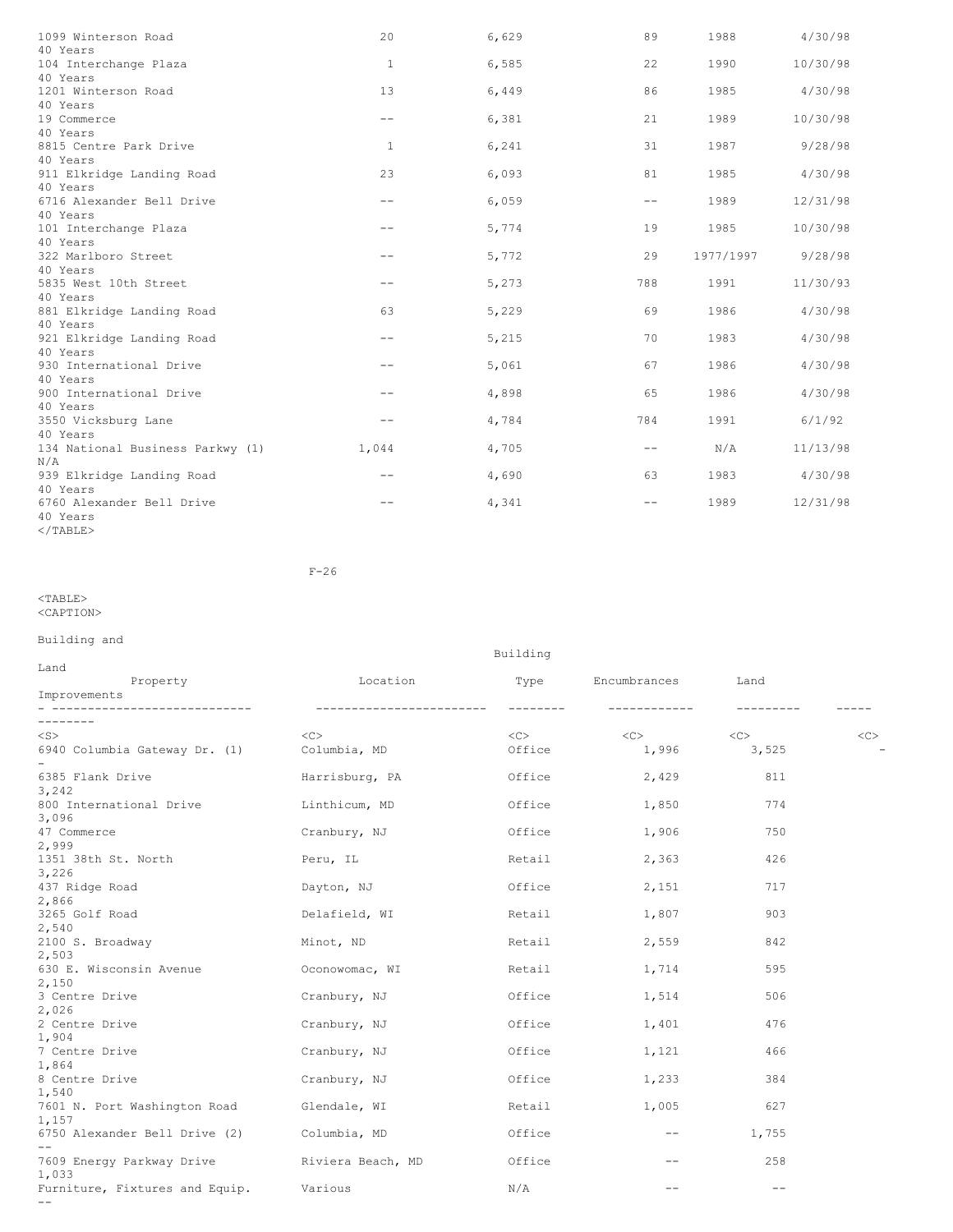| 1099 Winterson Road              | 20                | 6,629 | 89                | 1988      | 4/30/98  |
|----------------------------------|-------------------|-------|-------------------|-----------|----------|
| 40 Years                         |                   |       |                   |           |          |
| 104 Interchange Plaza            | $\mathbf{1}$      | 6,585 | 22                | 1990      | 10/30/98 |
| 40 Years                         |                   |       |                   |           |          |
| 1201 Winterson Road              | 13                | 6,449 | 86                | 1985      | 4/30/98  |
| 40 Years                         |                   |       |                   |           |          |
| 19 Commerce                      | $\qquad \qquad -$ | 6,381 | 21                | 1989      | 10/30/98 |
| 40 Years                         |                   |       |                   |           |          |
| 8815 Centre Park Drive           | 1                 | 6,241 | 31                | 1987      | 9/28/98  |
| 40 Years                         |                   |       |                   |           |          |
| 911 Elkridge Landing Road        | 23                | 6,093 | 81                | 1985      | 4/30/98  |
| 40 Years                         |                   |       |                   |           |          |
| 6716 Alexander Bell Drive        | $-\,-$            | 6,059 | $\qquad \qquad -$ | 1989      | 12/31/98 |
| 40 Years                         |                   |       |                   |           |          |
| 101 Interchange Plaza            | $- -$             | 5,774 | 19                | 1985      | 10/30/98 |
| 40 Years                         |                   |       |                   |           |          |
| 322 Marlboro Street              | $- -$             | 5,772 | 29                | 1977/1997 | 9/28/98  |
| 40 Years                         |                   |       |                   |           |          |
| 5835 West 10th Street            | $- -$             | 5,273 | 788               | 1991      | 11/30/93 |
| 40 Years                         |                   |       |                   |           |          |
| 881 Elkridge Landing Road        | 63                | 5,229 | 69                | 1986      | 4/30/98  |
| 40 Years                         |                   |       |                   |           |          |
| 921 Elkridge Landing Road        | $- -$             | 5,215 | 70                | 1983      | 4/30/98  |
| 40 Years                         |                   |       |                   |           |          |
| 930 International Drive          | $- -$             | 5,061 | 67                | 1986      | 4/30/98  |
| 40 Years                         |                   |       |                   |           |          |
| 900 International Drive          | $- -$             | 4,898 | 65                | 1986      | 4/30/98  |
| 40 Years                         |                   |       |                   |           |          |
| 3550 Vicksburg Lane              | $ -$              | 4,784 | 784               | 1991      | 6/1/92   |
| 40 Years                         |                   |       |                   |           |          |
| 134 National Business Parkwy (1) | 1,044             | 4,705 | $\qquad \qquad -$ | N/A       | 11/13/98 |
| N/A                              |                   |       |                   |           |          |
| 939 Elkridge Landing Road        |                   | 4,690 | 63                | 1983      | 4/30/98  |
| 40 Years                         |                   |       |                   |           |          |
| 6760 Alexander Bell Drive        |                   | 4,341 | $ -$              | 1989      | 12/31/98 |
| 40 Years                         |                   |       |                   |           |          |
| $<$ /TABLE>                      |                   |       |                   |           |          |

F-26

<TABLE> <CAPTION>

# Building and

|                                             | pullully                  |                   |                   |            |    |
|---------------------------------------------|---------------------------|-------------------|-------------------|------------|----|
| Land<br>Property                            | Location                  |                   | Type Encumbrances | Land       |    |
| Improvements                                |                           |                   |                   |            |    |
|                                             | _________________________ | $- - - - - - - -$ | ____________      | ---------- |    |
| ---------                                   |                           |                   |                   |            |    |
| $<$ S $>$                                   | <<                        | $<<$ $>$          | $<\infty$         | <<         | << |
| 6940 Columbia Gateway Dr. (1)               | Columbia, MD              | Office            | 1,996             | 3,525      |    |
| 6385 Flank Drive                            | Harrisburg, PA            | Office            | 2,429             | 811        |    |
| 3,242                                       |                           |                   |                   |            |    |
| 800 International Drive                     | Linthicum, MD             | Office            | 1,850             | 774        |    |
| 3,096                                       |                           |                   |                   |            |    |
| 47 Commerce                                 | Cranbury, NJ              | Office            | 1,906             | 750        |    |
| 2,999                                       |                           |                   |                   |            |    |
| 1351 38th St. North                         | Peru, IL                  | Retail            | 2,363             | 426        |    |
| 3,226                                       |                           |                   |                   |            |    |
| 437 Ridge Road<br>2,866                     | Dayton, NJ                | Office            | 2,151             | 717        |    |
| 3265 Golf Road                              | Delafield, WI             | Retail            | 1,807             | 903        |    |
| 2,540                                       |                           |                   |                   |            |    |
| 2100 S. Broadway                            | Minot, ND                 | Retail            | 2,559             | 842        |    |
| 2,503                                       |                           |                   |                   |            |    |
| 630 E. Wisconsin Avenue                     | Oconowomac, WI            | Retail            | 1,714             | 595        |    |
| 2,150                                       |                           |                   |                   |            |    |
| 3 Centre Drive                              | Cranbury, NJ              | Office            | 1,514             | 506        |    |
| 2,026                                       |                           |                   |                   |            |    |
| 2 Centre Drive                              | Cranbury, NJ              | Office            | 1,401             | 476        |    |
| 1,904                                       |                           |                   |                   |            |    |
| 7 Centre Drive                              | Cranbury, NJ              | Office            | 1,121             | 466        |    |
| 1,864                                       |                           |                   |                   | 384        |    |
| 8 Centre Drive<br>1,540                     | Cranbury, NJ              | Office            | 1,233             |            |    |
| 7601 N. Port Washington Road                | Glendale, WI              | Retail            | 1,005             | 627        |    |
| 1,157                                       |                           |                   |                   |            |    |
| 6750 Alexander Bell Drive (2)               | Columbia, MD              | Office            | $- -$             | 1,755      |    |
| $\qquad \qquad -$                           |                           |                   |                   |            |    |
| 7609 Energy Parkway Drive Niviera Beach, MD |                           | Office            | $--$              | 258        |    |
| 1,033                                       |                           |                   |                   |            |    |
| Furniture, Fixtures and Equip. Various      |                           | N/A               | $- -$             |            |    |
| $- -$                                       |                           |                   |                   |            |    |

Building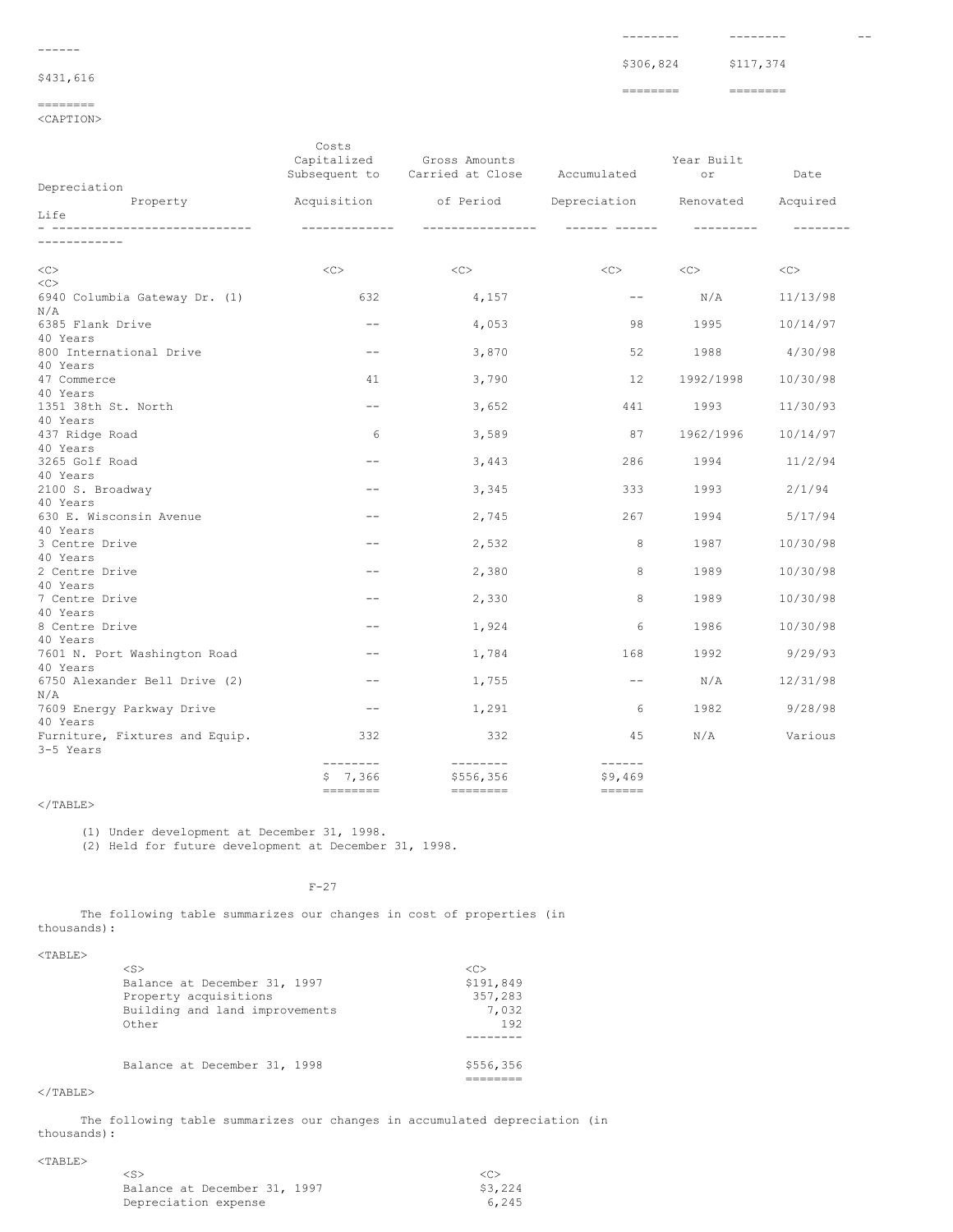| \$306,824 \$117,374 |
|---------------------|

-------- -------- --

# \$431,616

------

# ========

<CAPTION>

|                                | Costs<br>Capitalized | Gross Amounts<br>Subsequent to Carried at Close                                                                                                                                                                                                                                                                                                                                                                                                                                                                                                            | Accumulated                                                               | Year Built<br>or | Date     |
|--------------------------------|----------------------|------------------------------------------------------------------------------------------------------------------------------------------------------------------------------------------------------------------------------------------------------------------------------------------------------------------------------------------------------------------------------------------------------------------------------------------------------------------------------------------------------------------------------------------------------------|---------------------------------------------------------------------------|------------------|----------|
| Depreciation                   |                      |                                                                                                                                                                                                                                                                                                                                                                                                                                                                                                                                                            |                                                                           |                  |          |
| Property                       |                      | Acquisition of Period Depreciation Renovated Acquired                                                                                                                                                                                                                                                                                                                                                                                                                                                                                                      |                                                                           |                  |          |
| Life                           |                      |                                                                                                                                                                                                                                                                                                                                                                                                                                                                                                                                                            |                                                                           |                  |          |
|                                | -------------        | -----------------                                                                                                                                                                                                                                                                                                                                                                                                                                                                                                                                          | ------- ------                                                            | ----------       |          |
| ------------                   |                      |                                                                                                                                                                                                                                                                                                                                                                                                                                                                                                                                                            |                                                                           |                  |          |
| <<<br><<                       | <<>                  | <<                                                                                                                                                                                                                                                                                                                                                                                                                                                                                                                                                         | <<>                                                                       | < <c></c>        | <<       |
| 6940 Columbia Gateway Dr. (1)  | 632                  | 4,157                                                                                                                                                                                                                                                                                                                                                                                                                                                                                                                                                      | $--$                                                                      | N/A              | 11/13/98 |
| N/A                            |                      |                                                                                                                                                                                                                                                                                                                                                                                                                                                                                                                                                            |                                                                           |                  |          |
| 6385 Flank Drive               | $ -$                 | 4,053                                                                                                                                                                                                                                                                                                                                                                                                                                                                                                                                                      | 98                                                                        | 1995             | 10/14/97 |
| 40 Years                       |                      |                                                                                                                                                                                                                                                                                                                                                                                                                                                                                                                                                            |                                                                           |                  |          |
| 800 International Drive        | $ -$                 | 3,870                                                                                                                                                                                                                                                                                                                                                                                                                                                                                                                                                      | 52                                                                        | 1988             | 4/30/98  |
| 40 Years                       |                      |                                                                                                                                                                                                                                                                                                                                                                                                                                                                                                                                                            |                                                                           |                  |          |
| 47 Commerce                    | 41                   | 3,790                                                                                                                                                                                                                                                                                                                                                                                                                                                                                                                                                      | 12                                                                        | 1992/1998        | 10/30/98 |
| 40 Years                       |                      |                                                                                                                                                                                                                                                                                                                                                                                                                                                                                                                                                            |                                                                           |                  |          |
| 1351 38th St. North            | $- -$                | 3,652                                                                                                                                                                                                                                                                                                                                                                                                                                                                                                                                                      | 441                                                                       | 1993             | 11/30/93 |
| 40 Years                       |                      |                                                                                                                                                                                                                                                                                                                                                                                                                                                                                                                                                            |                                                                           |                  |          |
| 437 Ridge Road                 | 6                    | 3,589                                                                                                                                                                                                                                                                                                                                                                                                                                                                                                                                                      | 87                                                                        | 1962/1996        | 10/14/97 |
| 40 Years                       |                      |                                                                                                                                                                                                                                                                                                                                                                                                                                                                                                                                                            |                                                                           |                  |          |
| 3265 Golf Road                 | $- -$                | 3,443                                                                                                                                                                                                                                                                                                                                                                                                                                                                                                                                                      | 286                                                                       | 1994             | 11/2/94  |
| 40 Years                       |                      |                                                                                                                                                                                                                                                                                                                                                                                                                                                                                                                                                            |                                                                           |                  |          |
| 2100 S. Broadway<br>40 Years   | $\qquad \qquad -$    | 3,345                                                                                                                                                                                                                                                                                                                                                                                                                                                                                                                                                      | 333                                                                       | 1993             | 2/1/94   |
| 630 E. Wisconsin Avenue        | $- -$                | 2,745                                                                                                                                                                                                                                                                                                                                                                                                                                                                                                                                                      | 267                                                                       | 1994             | 5/17/94  |
| 40 Years                       |                      |                                                                                                                                                                                                                                                                                                                                                                                                                                                                                                                                                            |                                                                           |                  |          |
| 3 Centre Drive                 | $- -$                | 2,532                                                                                                                                                                                                                                                                                                                                                                                                                                                                                                                                                      | 8                                                                         | 1987             | 10/30/98 |
| 40 Years                       |                      |                                                                                                                                                                                                                                                                                                                                                                                                                                                                                                                                                            |                                                                           |                  |          |
| 2 Centre Drive                 | $-$                  | 2,380                                                                                                                                                                                                                                                                                                                                                                                                                                                                                                                                                      | 8                                                                         | 1989             | 10/30/98 |
| 40 Years                       |                      |                                                                                                                                                                                                                                                                                                                                                                                                                                                                                                                                                            |                                                                           |                  |          |
| 7 Centre Drive                 | $- -$                | 2,330                                                                                                                                                                                                                                                                                                                                                                                                                                                                                                                                                      | 8                                                                         | 1989             | 10/30/98 |
| 40 Years                       |                      |                                                                                                                                                                                                                                                                                                                                                                                                                                                                                                                                                            |                                                                           |                  |          |
| 8 Centre Drive                 | $\qquad \qquad -$    | 1,924                                                                                                                                                                                                                                                                                                                                                                                                                                                                                                                                                      | 6                                                                         | 1986             | 10/30/98 |
| 40 Years                       |                      |                                                                                                                                                                                                                                                                                                                                                                                                                                                                                                                                                            |                                                                           |                  |          |
| 7601 N. Port Washington Road   | $ -$                 | 1,784                                                                                                                                                                                                                                                                                                                                                                                                                                                                                                                                                      | 168                                                                       | 1992             | 9/29/93  |
| 40 Years                       |                      |                                                                                                                                                                                                                                                                                                                                                                                                                                                                                                                                                            |                                                                           |                  |          |
| 6750 Alexander Bell Drive (2)  | $- -$                | 1,755                                                                                                                                                                                                                                                                                                                                                                                                                                                                                                                                                      | $--$                                                                      | N/A              | 12/31/98 |
| N/A                            |                      |                                                                                                                                                                                                                                                                                                                                                                                                                                                                                                                                                            |                                                                           |                  |          |
| 7609 Energy Parkway Drive      | $--$                 | 1,291                                                                                                                                                                                                                                                                                                                                                                                                                                                                                                                                                      | 6                                                                         | 1982             | 9/28/98  |
| 40 Years                       |                      |                                                                                                                                                                                                                                                                                                                                                                                                                                                                                                                                                            |                                                                           |                  |          |
| Furniture, Fixtures and Equip. | 332                  | 332                                                                                                                                                                                                                                                                                                                                                                                                                                                                                                                                                        | 45                                                                        | N/A              | Various  |
| 3-5 Years                      | --------             |                                                                                                                                                                                                                                                                                                                                                                                                                                                                                                                                                            |                                                                           |                  |          |
|                                |                      | --------<br>\$556,356                                                                                                                                                                                                                                                                                                                                                                                                                                                                                                                                      | $- - - - - -$<br>\$9,469                                                  |                  |          |
|                                | \$7,366              | $\begin{tabular}{ll} \multicolumn{3}{l}{{\color{red}\boldsymbol{=}}} & \multicolumn{3}{l}{\color{blue}\boldsymbol{=}} & \multicolumn{3}{l}{\color{blue}\boldsymbol{=}} & \multicolumn{3}{l}{\color{blue}\boldsymbol{=}} & \multicolumn{3}{l}{\color{blue}\boldsymbol{=}} & \multicolumn{3}{l}{\color{blue}\boldsymbol{=}} & \multicolumn{3}{l}{\color{blue}\boldsymbol{=}} & \multicolumn{3}{l}{\color{blue}\boldsymbol{=}} & \multicolumn{3}{l}{\color{blue}\boldsymbol{=}} & \multicolumn{3}{l}{\color{blue}\boldsymbol{=}} & \multicolumn{3}{l}{\color$ | $\qquad \qquad \displaystyle =\qquad \qquad \displaystyle =\qquad \qquad$ |                  |          |

## $<$ /TABLE>

(1) Under development at December 31, 1998.

(2) Held for future development at December 31, 1998.

## F-27

The following table summarizes our changes in cost of properties (in thousands):

## <TABLE>

| $<$ S>                         |           |
|--------------------------------|-----------|
| Balance at December 31, 1997   | \$191,849 |
| Property acquisitions          | 357,283   |
| Building and land improvements | 7.032     |
| Other                          | 192       |
|                                |           |
| Balance at December 31, 1998   | \$556,356 |
|                                |           |

### $<$ /TABLE>

The following table summarizes our changes in accumulated depreciation (in thousands):

## <TABLE>

| $\langle S \rangle$          |         |
|------------------------------|---------|
| Balance at December 31, 1997 | \$3,224 |
| Depreciation expense         | 6.245   |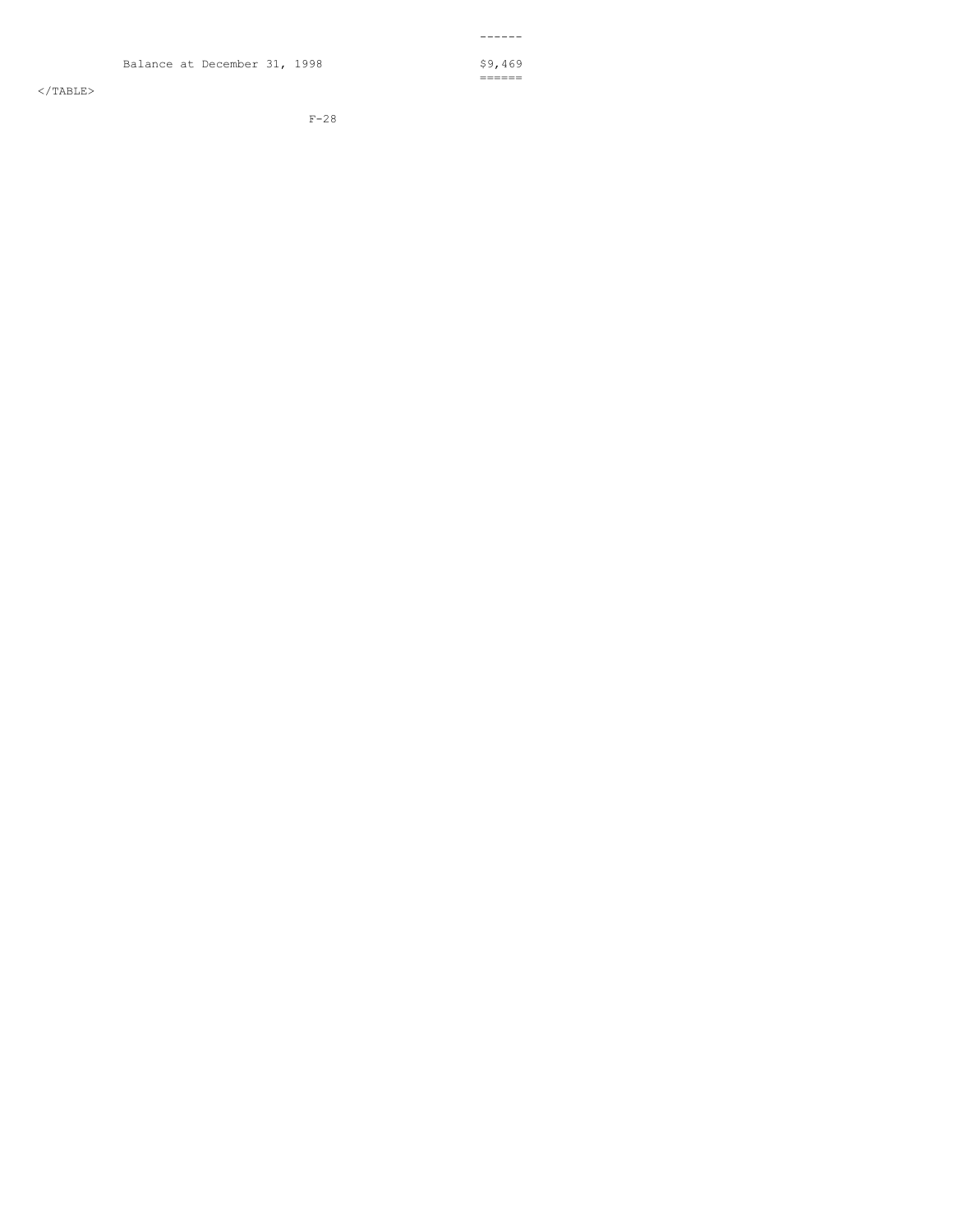$<$ /TABLE>

F-28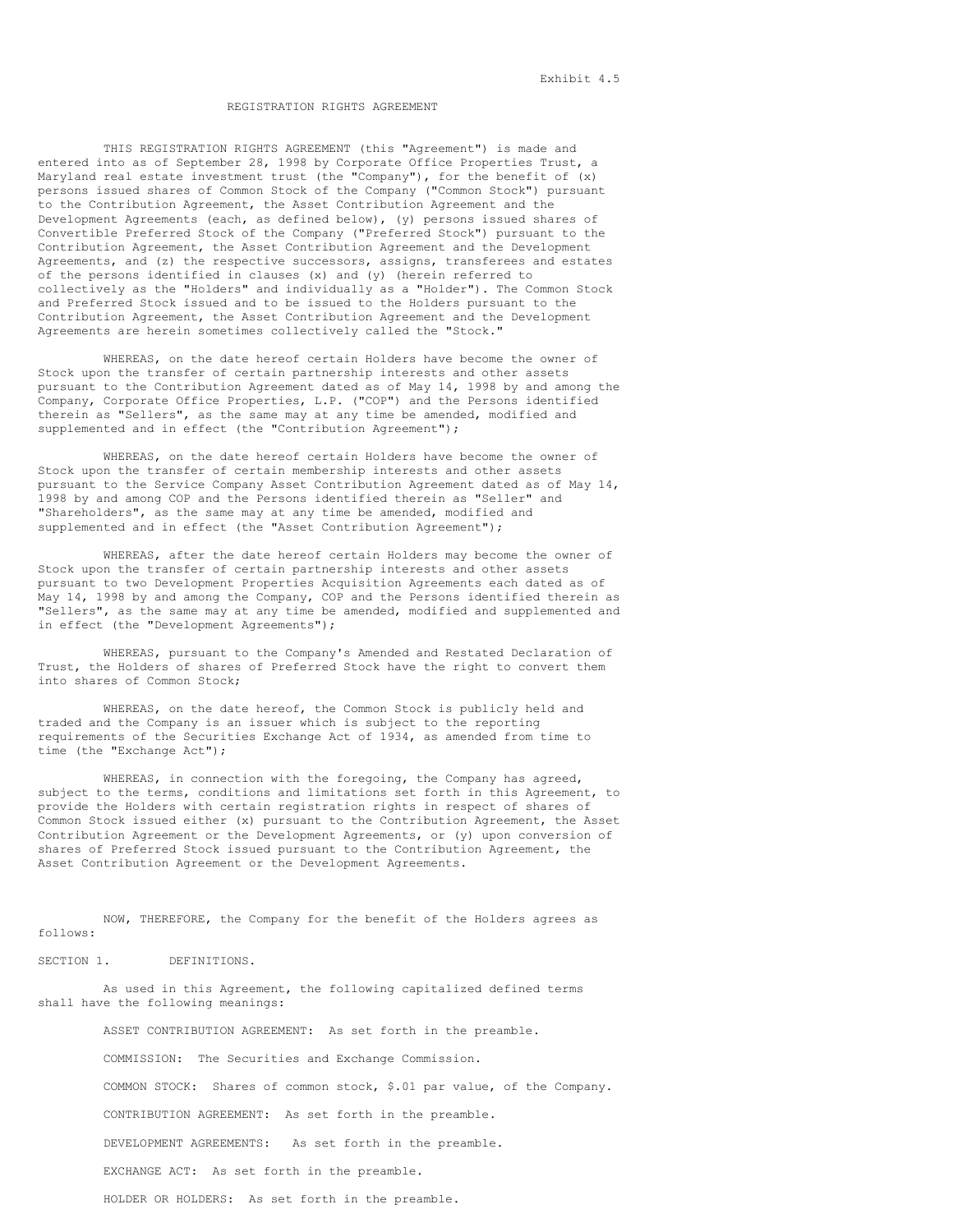### REGISTRATION RIGHTS AGREEMENT

THIS REGISTRATION RIGHTS AGREEMENT (this "Agreement") is made and entered into as of September 28, 1998 by Corporate Office Properties Trust, a Maryland real estate investment trust (the "Company"), for the benefit of  $(x)$ persons issued shares of Common Stock of the Company ("Common Stock") pursuant to the Contribution Agreement, the Asset Contribution Agreement and the Development Agreements (each, as defined below), (y) persons issued shares of Convertible Preferred Stock of the Company ("Preferred Stock") pursuant to the Contribution Agreement, the Asset Contribution Agreement and the Development Agreements, and (z) the respective successors, assigns, transferees and estates of the persons identified in clauses (x) and (y) (herein referred to collectively as the "Holders" and individually as a "Holder"). The Common Stock and Preferred Stock issued and to be issued to the Holders pursuant to the Contribution Agreement, the Asset Contribution Agreement and the Development Agreements are herein sometimes collectively called the "Stock."

WHEREAS, on the date hereof certain Holders have become the owner of Stock upon the transfer of certain partnership interests and other assets pursuant to the Contribution Agreement dated as of May 14, 1998 by and among the Company, Corporate Office Properties, L.P. ("COP") and the Persons identified therein as "Sellers", as the same may at any time be amended, modified and supplemented and in effect (the "Contribution Agreement");

WHEREAS, on the date hereof certain Holders have become the owner of Stock upon the transfer of certain membership interests and other assets pursuant to the Service Company Asset Contribution Agreement dated as of May 14, 1998 by and among COP and the Persons identified therein as "Seller" and "Shareholders", as the same may at any time be amended, modified and supplemented and in effect (the "Asset Contribution Agreement");

WHEREAS, after the date hereof certain Holders may become the owner of Stock upon the transfer of certain partnership interests and other assets pursuant to two Development Properties Acquisition Agreements each dated as of May 14, 1998 by and among the Company, COP and the Persons identified therein as "Sellers", as the same may at any time be amended, modified and supplemented and in effect (the "Development Agreements");

WHEREAS, pursuant to the Company's Amended and Restated Declaration of Trust, the Holders of shares of Preferred Stock have the right to convert them into shares of Common Stock;

WHEREAS, on the date hereof, the Common Stock is publicly held and traded and the Company is an issuer which is subject to the reporting requirements of the Securities Exchange Act of 1934, as amended from time to time (the "Exchange Act");

WHEREAS, in connection with the foregoing, the Company has agreed, subject to the terms, conditions and limitations set forth in this Agreement, to provide the Holders with certain registration rights in respect of shares of Common Stock issued either (x) pursuant to the Contribution Agreement, the Asset Contribution Agreement or the Development Agreements, or (y) upon conversion of shares of Preferred Stock issued pursuant to the Contribution Agreement, the Asset Contribution Agreement or the Development Agreements.

NOW, THEREFORE, the Company for the benefit of the Holders agrees as follows:

SECTION 1. DEFINITIONS.

As used in this Agreement, the following capitalized defined terms shall have the following meanings:

ASSET CONTRIBUTION AGREEMENT: As set forth in the preamble.

COMMISSION: The Securities and Exchange Commission.

COMMON STOCK: Shares of common stock, \$.01 par value, of the Company.

CONTRIBUTION AGREEMENT: As set forth in the preamble.

DEVELOPMENT AGREEMENTS: As set forth in the preamble.

EXCHANGE ACT: As set forth in the preamble.

HOLDER OR HOLDERS: As set forth in the preamble.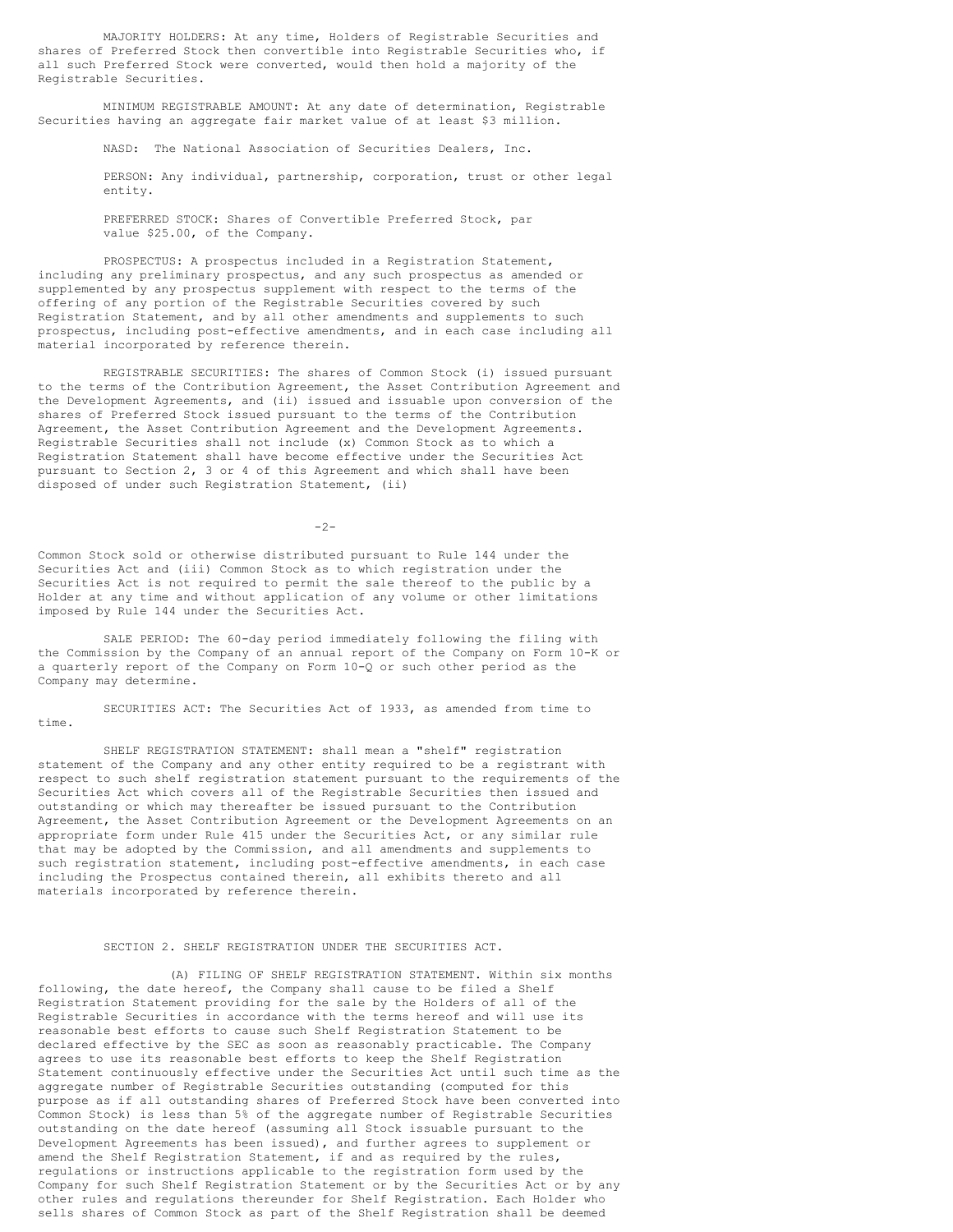MAJORITY HOLDERS: At any time, Holders of Registrable Securities and shares of Preferred Stock then convertible into Registrable Securities who, if all such Preferred Stock were converted, would then hold a majority of the Registrable Securities.

MINIMUM REGISTRABLE AMOUNT: At any date of determination, Registrable Securities having an aggregate fair market value of at least \$3 million.

NASD: The National Association of Securities Dealers, Inc.

PERSON: Any individual, partnership, corporation, trust or other legal entity.

PREFERRED STOCK: Shares of Convertible Preferred Stock, par value \$25.00, of the Company.

PROSPECTUS: A prospectus included in a Registration Statement, including any preliminary prospectus, and any such prospectus as amended or supplemented by any prospectus supplement with respect to the terms of the offering of any portion of the Registrable Securities covered by such Registration Statement, and by all other amendments and supplements to such prospectus, including post-effective amendments, and in each case including all material incorporated by reference therein.

REGISTRABLE SECURITIES: The shares of Common Stock (i) issued pursuant to the terms of the Contribution Agreement, the Asset Contribution Agreement and the Development Agreements, and (ii) issued and issuable upon conversion of the shares of Preferred Stock issued pursuant to the terms of the Contribution Agreement, the Asset Contribution Agreement and the Development Agreements. Registrable Securities shall not include (x) Common Stock as to which a Registration Statement shall have become effective under the Securities Act pursuant to Section 2, 3 or 4 of this Agreement and which shall have been disposed of under such Registration Statement, (ii)

 $-2-$ 

Common Stock sold or otherwise distributed pursuant to Rule 144 under the Securities Act and (iii) Common Stock as to which registration under the Securities Act is not required to permit the sale thereof to the public by a Holder at any time and without application of any volume or other limitations imposed by Rule 144 under the Securities Act.

SALE PERIOD: The 60-day period immediately following the filing with the Commission by the Company of an annual report of the Company on Form 10-K or a quarterly report of the Company on Form 10-Q or such other period as the Company may determine.

SECURITIES ACT: The Securities Act of 1933, as amended from time to time.

SHELF REGISTRATION STATEMENT: shall mean a "shelf" registration statement of the Company and any other entity required to be a registrant with respect to such shelf registration statement pursuant to the requirements of the Securities Act which covers all of the Registrable Securities then issued and outstanding or which may thereafter be issued pursuant to the Contribution Agreement, the Asset Contribution Agreement or the Development Agreements on an appropriate form under Rule 415 under the Securities Act, or any similar rule that may be adopted by the Commission, and all amendments and supplements to such registration statement, including post-effective amendments, in each case including the Prospectus contained therein, all exhibits thereto and all materials incorporated by reference therein.

### SECTION 2. SHELF REGISTRATION UNDER THE SECURITIES ACT.

(A) FILING OF SHELF REGISTRATION STATEMENT. Within six months following, the date hereof, the Company shall cause to be filed a Shelf Registration Statement providing for the sale by the Holders of all of the Registrable Securities in accordance with the terms hereof and will use its reasonable best efforts to cause such Shelf Registration Statement to be declared effective by the SEC as soon as reasonably practicable. The Company agrees to use its reasonable best efforts to keep the Shelf Registration Statement continuously effective under the Securities Act until such time as the aggregate number of Registrable Securities outstanding (computed for this purpose as if all outstanding shares of Preferred Stock have been converted into Common Stock) is less than 5% of the aggregate number of Registrable Securities outstanding on the date hereof (assuming all Stock issuable pursuant to the Development Agreements has been issued), and further agrees to supplement or amend the Shelf Registration Statement, if and as required by the rules, regulations or instructions applicable to the registration form used by the Company for such Shelf Registration Statement or by the Securities Act or by any other rules and regulations thereunder for Shelf Registration. Each Holder who sells shares of Common Stock as part of the Shelf Registration shall be deemed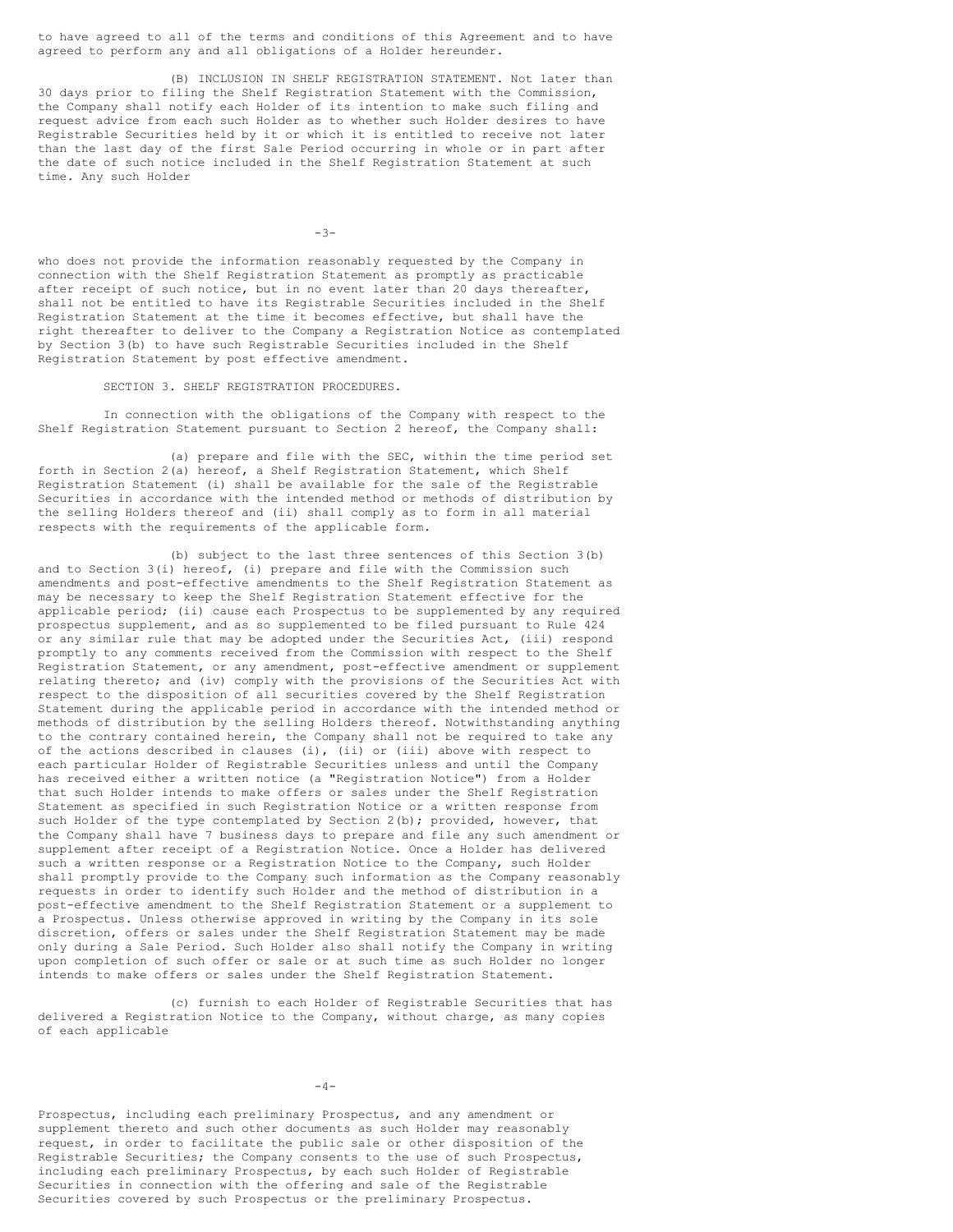to have agreed to all of the terms and conditions of this Agreement and to have agreed to perform any and all obligations of a Holder hereunder.

(B) INCLUSION IN SHELF REGISTRATION STATEMENT. Not later than 30 days prior to filing the Shelf Registration Statement with the Commission, the Company shall notify each Holder of its intention to make such filing and request advice from each such Holder as to whether such Holder desires to have Registrable Securities held by it or which it is entitled to receive not later than the last day of the first Sale Period occurring in whole or in part after the date of such notice included in the Shelf Registration Statement at such time. Any such Holder

-3-

who does not provide the information reasonably requested by the Company in connection with the Shelf Registration Statement as promptly as practicable after receipt of such notice, but in no event later than 20 days thereafter, shall not be entitled to have its Registrable Securities included in the Shelf Registration Statement at the time it becomes effective, but shall have the right thereafter to deliver to the Company a Registration Notice as contemplated by Section 3(b) to have such Registrable Securities included in the Shelf Registration Statement by post effective amendment.

SECTION 3. SHELF REGISTRATION PROCEDURES.

In connection with the obligations of the Company with respect to the Shelf Registration Statement pursuant to Section 2 hereof, the Company shall:

(a) prepare and file with the SEC, within the time period set forth in Section 2(a) hereof, a Shelf Registration Statement, which Shelf Registration Statement (i) shall be available for the sale of the Registrable Securities in accordance with the intended method or methods of distribution by the selling Holders thereof and (ii) shall comply as to form in all material respects with the requirements of the applicable form.

(b) subject to the last three sentences of this Section 3(b) and to Section 3(i) hereof, (i) prepare and file with the Commission such amendments and post-effective amendments to the Shelf Registration Statement as may be necessary to keep the Shelf Registration Statement effective for the applicable period; (ii) cause each Prospectus to be supplemented by any required prospectus supplement, and as so supplemented to be filed pursuant to Rule 424 or any similar rule that may be adopted under the Securities Act, (iii) respond promptly to any comments received from the Commission with respect to the Shelf Registration Statement, or any amendment, post-effective amendment or supplement relating thereto; and (iv) comply with the provisions of the Securities Act with respect to the disposition of all securities covered by the Shelf Registration Statement during the applicable period in accordance with the intended method or methods of distribution by the selling Holders thereof. Notwithstanding anything to the contrary contained herein, the Company shall not be required to take any of the actions described in clauses (i), (ii) or (iii) above with respect to each particular Holder of Registrable Securities unless and until the Company has received either a written notice (a "Registration Notice") from a Holder that such Holder intends to make offers or sales under the Shelf Registration Statement as specified in such Registration Notice or a written response from such Holder of the type contemplated by Section 2(b); provided, however, that the Company shall have 7 business days to prepare and file any such amendment or supplement after receipt of a Registration Notice. Once a Holder has delivered such a written response or a Registration Notice to the Company, such Holder shall promptly provide to the Company such information as the Company reasonably requests in order to identify such Holder and the method of distribution in a post-effective amendment to the Shelf Registration Statement or a supplement to a Prospectus. Unless otherwise approved in writing by the Company in its sole discretion, offers or sales under the Shelf Registration Statement may be made only during a Sale Period. Such Holder also shall notify the Company in writing upon completion of such offer or sale or at such time as such Holder no longer intends to make offers or sales under the Shelf Registration Statement.

(c) furnish to each Holder of Registrable Securities that has delivered a Registration Notice to the Company, without charge, as many copies of each applicable

 $-4-$ 

Prospectus, including each preliminary Prospectus, and any amendment or supplement thereto and such other documents as such Holder may reasonably request, in order to facilitate the public sale or other disposition of the Registrable Securities; the Company consents to the use of such Prospectus, including each preliminary Prospectus, by each such Holder of Registrable Securities in connection with the offering and sale of the Registrable Securities covered by such Prospectus or the preliminary Prospectus.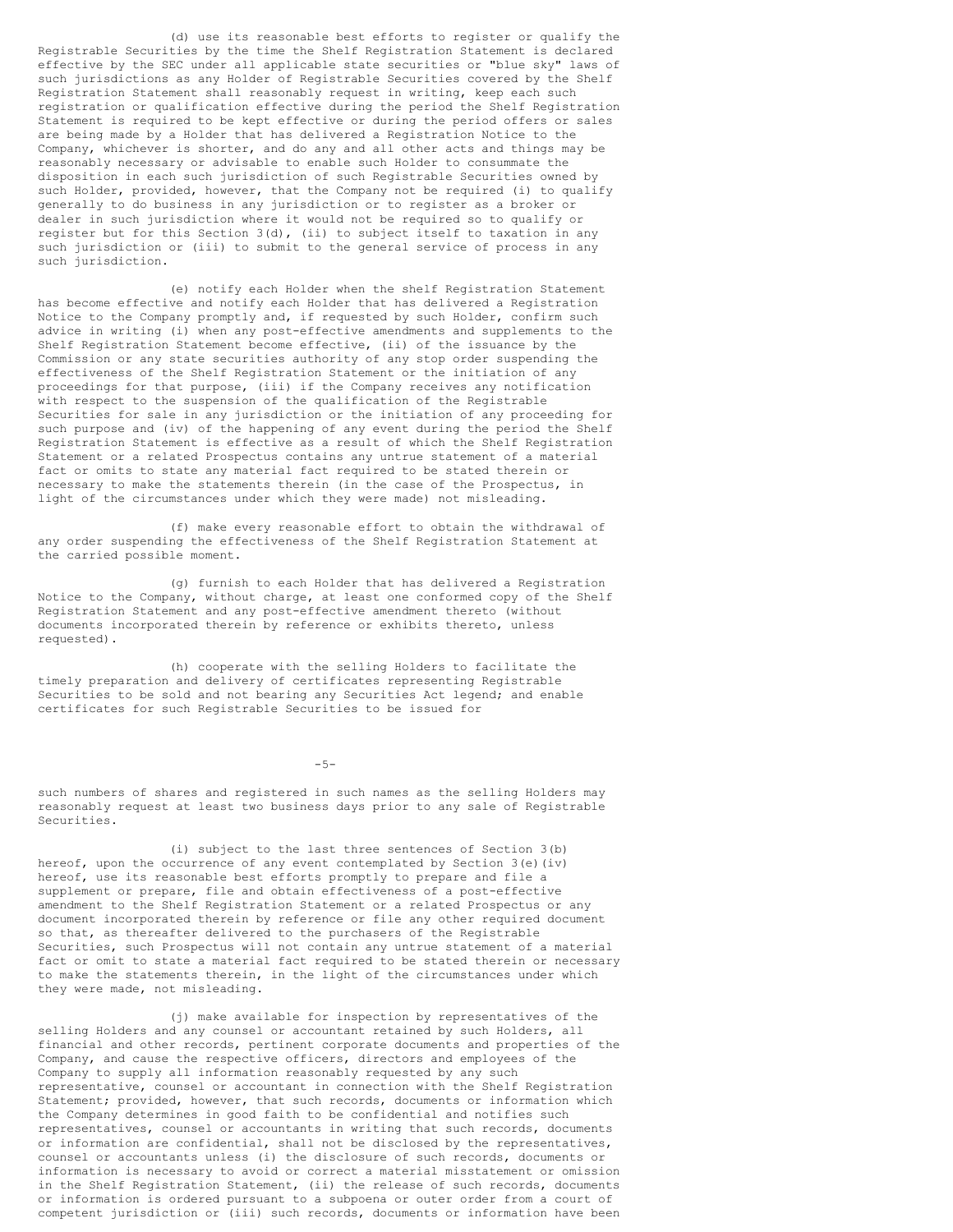(d) use its reasonable best efforts to register or qualify the Registrable Securities by the time the Shelf Registration Statement is declared effective by the SEC under all applicable state securities or "blue sky" laws of such jurisdictions as any Holder of Registrable Securities covered by the Shelf Registration Statement shall reasonably request in writing, keep each such registration or qualification effective during the period the Shelf Registration Statement is required to be kept effective or during the period offers or sales are being made by a Holder that has delivered a Registration Notice to the Company, whichever is shorter, and do any and all other acts and things may be reasonably necessary or advisable to enable such Holder to consummate the disposition in each such jurisdiction of such Registrable Securities owned by such Holder, provided, however, that the Company not be required (i) to qualify generally to do business in any jurisdiction or to register as a broker or dealer in such jurisdiction where it would not be required so to qualify or register but for this Section  $3(d)$ , (ii) to subject itself to taxation in any such jurisdiction or (iii) to submit to the general service of process in any such jurisdiction.

(e) notify each Holder when the shelf Registration Statement has become effective and notify each Holder that has delivered a Registration Notice to the Company promptly and, if requested by such Holder, confirm such advice in writing (i) when any post-effective amendments and supplements to the Shelf Registration Statement become effective, (ii) of the issuance by the Commission or any state securities authority of any stop order suspending the effectiveness of the Shelf Registration Statement or the initiation of any proceedings for that purpose, (iii) if the Company receives any notification with respect to the suspension of the qualification of the Registrable Securities for sale in any jurisdiction or the initiation of any proceeding for such purpose and (iv) of the happening of any event during the period the Shelf Registration Statement is effective as a result of which the Shelf Registration Statement or a related Prospectus contains any untrue statement of a material fact or omits to state any material fact required to be stated therein or necessary to make the statements therein (in the case of the Prospectus, in light of the circumstances under which they were made) not misleading.

(f) make every reasonable effort to obtain the withdrawal of any order suspending the effectiveness of the Shelf Registration Statement at the carried possible moment.

(g) furnish to each Holder that has delivered a Registration Notice to the Company, without charge, at least one conformed copy of the Shelf Registration Statement and any post-effective amendment thereto (without documents incorporated therein by reference or exhibits thereto, unless requested).

(h) cooperate with the selling Holders to facilitate the timely preparation and delivery of certificates representing Registrable Securities to be sold and not bearing any Securities Act legend; and enable certificates for such Registrable Securities to be issued for

-5-

such numbers of shares and registered in such names as the selling Holders may reasonably request at least two business days prior to any sale of Registrable Securities.

(i) subject to the last three sentences of Section 3(b) hereof, upon the occurrence of any event contemplated by Section  $3(e)(iv)$ hereof, use its reasonable best efforts promptly to prepare and file a supplement or prepare, file and obtain effectiveness of a post-effective amendment to the Shelf Registration Statement or a related Prospectus or any document incorporated therein by reference or file any other required document so that, as thereafter delivered to the purchasers of the Registrable Securities, such Prospectus will not contain any untrue statement of a material fact or omit to state a material fact required to be stated therein or necessary to make the statements therein, in the light of the circumstances under which they were made, not misleading.

(j) make available for inspection by representatives of the selling Holders and any counsel or accountant retained by such Holders, all financial and other records, pertinent corporate documents and properties of the Company, and cause the respective officers, directors and employees of the Company to supply all information reasonably requested by any such representative, counsel or accountant in connection with the Shelf Registration Statement; provided, however, that such records, documents or information which the Company determines in good faith to be confidential and notifies such representatives, counsel or accountants in writing that such records, documents or information are confidential, shall not be disclosed by the representatives, counsel or accountants unless (i) the disclosure of such records, documents or information is necessary to avoid or correct a material misstatement or omission in the Shelf Registration Statement, (ii) the release of such records, documents or information is ordered pursuant to a subpoena or outer order from a court of competent jurisdiction or (iii) such records, documents or information have been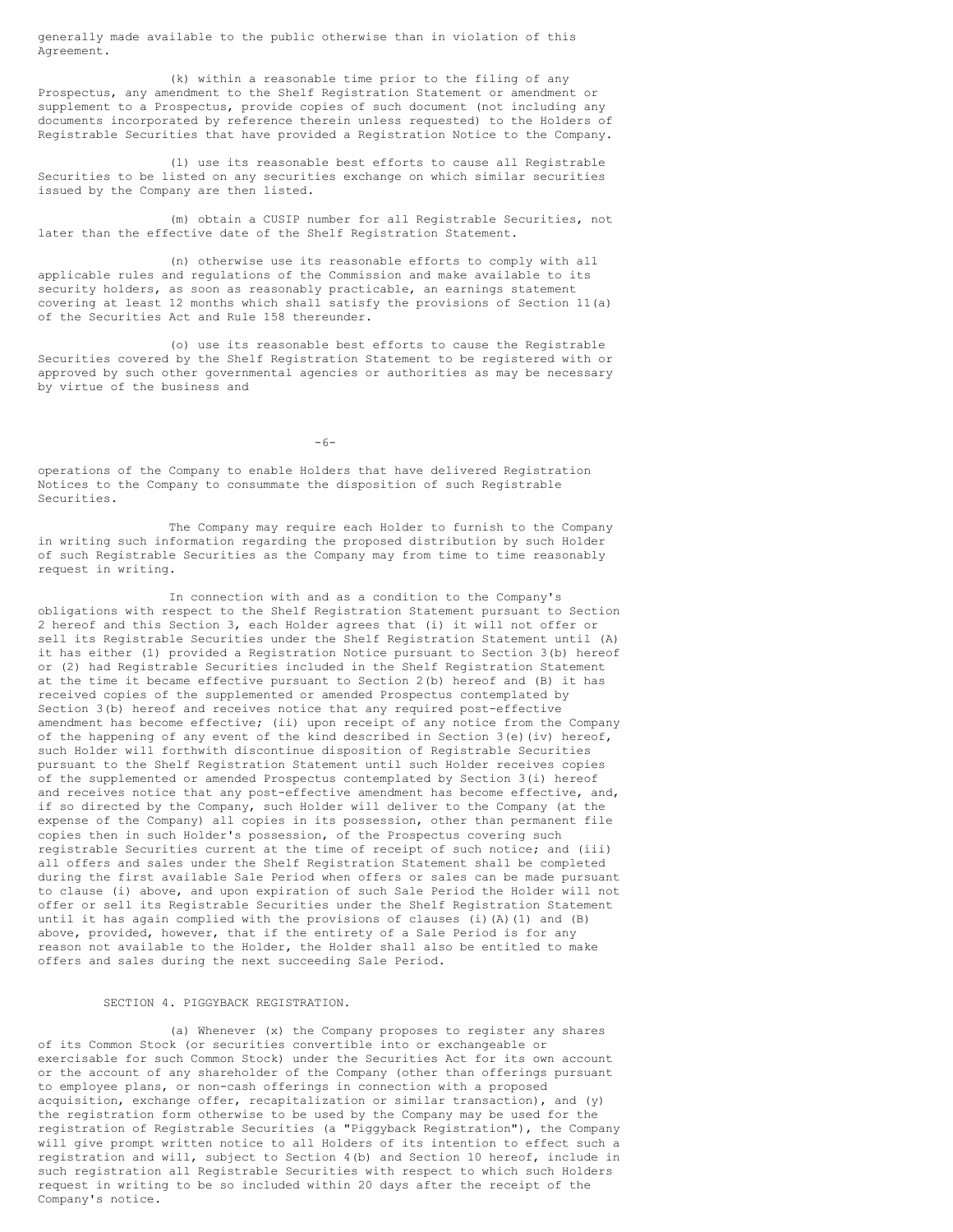generally made available to the public otherwise than in violation of this Agreement.

(k) within a reasonable time prior to the filing of any Prospectus, any amendment to the Shelf Registration Statement or amendment or supplement to a Prospectus, provide copies of such document (not including any documents incorporated by reference therein unless requested) to the Holders of Registrable Securities that have provided a Registration Notice to the Company.

(l) use its reasonable best efforts to cause all Registrable Securities to be listed on any securities exchange on which similar securities issued by the Company are then listed.

(m) obtain a CUSIP number for all Registrable Securities, not later than the effective date of the Shelf Registration Statement.

(n) otherwise use its reasonable efforts to comply with all applicable rules and regulations of the Commission and make available to its security holders, as soon as reasonably practicable, an earnings statement covering at least 12 months which shall satisfy the provisions of Section 11(a) of the Securities Act and Rule 158 thereunder.

(o) use its reasonable best efforts to cause the Registrable Securities covered by the Shelf Registration Statement to be registered with or approved by such other governmental agencies or authorities as may be necessary by virtue of the business and

 $-6-$ 

operations of the Company to enable Holders that have delivered Registration Notices to the Company to consummate the disposition of such Registrable Securities.

The Company may require each Holder to furnish to the Company in writing such information regarding the proposed distribution by such Holder of such Registrable Securities as the Company may from time to time reasonably request in writing.

In connection with and as a condition to the Company's obligations with respect to the Shelf Registration Statement pursuant to Section 2 hereof and this Section 3, each Holder agrees that (i) it will not offer or sell its Registrable Securities under the Shelf Registration Statement until (A) it has either (1) provided a Registration Notice pursuant to Section 3(b) hereof or (2) had Registrable Securities included in the Shelf Registration Statement at the time it became effective pursuant to Section 2(b) hereof and (B) it has received copies of the supplemented or amended Prospectus contemplated by Section 3(b) hereof and receives notice that any required post-effective amendment has become effective; (ii) upon receipt of any notice from the Company of the happening of any event of the kind described in Section 3(e)(iv) hereof, such Holder will forthwith discontinue disposition of Registrable Securities pursuant to the Shelf Registration Statement until such Holder receives copies of the supplemented or amended Prospectus contemplated by Section 3(i) hereof and receives notice that any post-effective amendment has become effective, and, if so directed by the Company, such Holder will deliver to the Company (at the expense of the Company) all copies in its possession, other than permanent file copies then in such Holder's possession, of the Prospectus covering such registrable Securities current at the time of receipt of such notice; and (iii) all offers and sales under the Shelf Registration Statement shall be completed during the first available Sale Period when offers or sales can be made pursuant to clause (i) above, and upon expiration of such Sale Period the Holder will not offer or sell its Registrable Securities under the Shelf Registration Statement until it has again complied with the provisions of clauses (i)(A)(1) and (B) above, provided, however, that if the entirety of a Sale Period is for any reason not available to the Holder, the Holder shall also be entitled to make offers and sales during the next succeeding Sale Period.

### SECTION 4. PIGGYBACK REGISTRATION.

(a) Whenever (x) the Company proposes to register any shares of its Common Stock (or securities convertible into or exchangeable or exercisable for such Common Stock) under the Securities Act for its own account or the account of any shareholder of the Company (other than offerings pursuant to employee plans, or non-cash offerings in connection with a proposed acquisition, exchange offer, recapitalization or similar transaction), and (y) the registration form otherwise to be used by the Company may be used for the registration of Registrable Securities (a "Piggyback Registration"), the Company will give prompt written notice to all Holders of its intention to effect such a registration and will, subject to Section 4(b) and Section 10 hereof, include in such registration all Registrable Securities with respect to which such Holders request in writing to be so included within 20 days after the receipt of the Company's notice.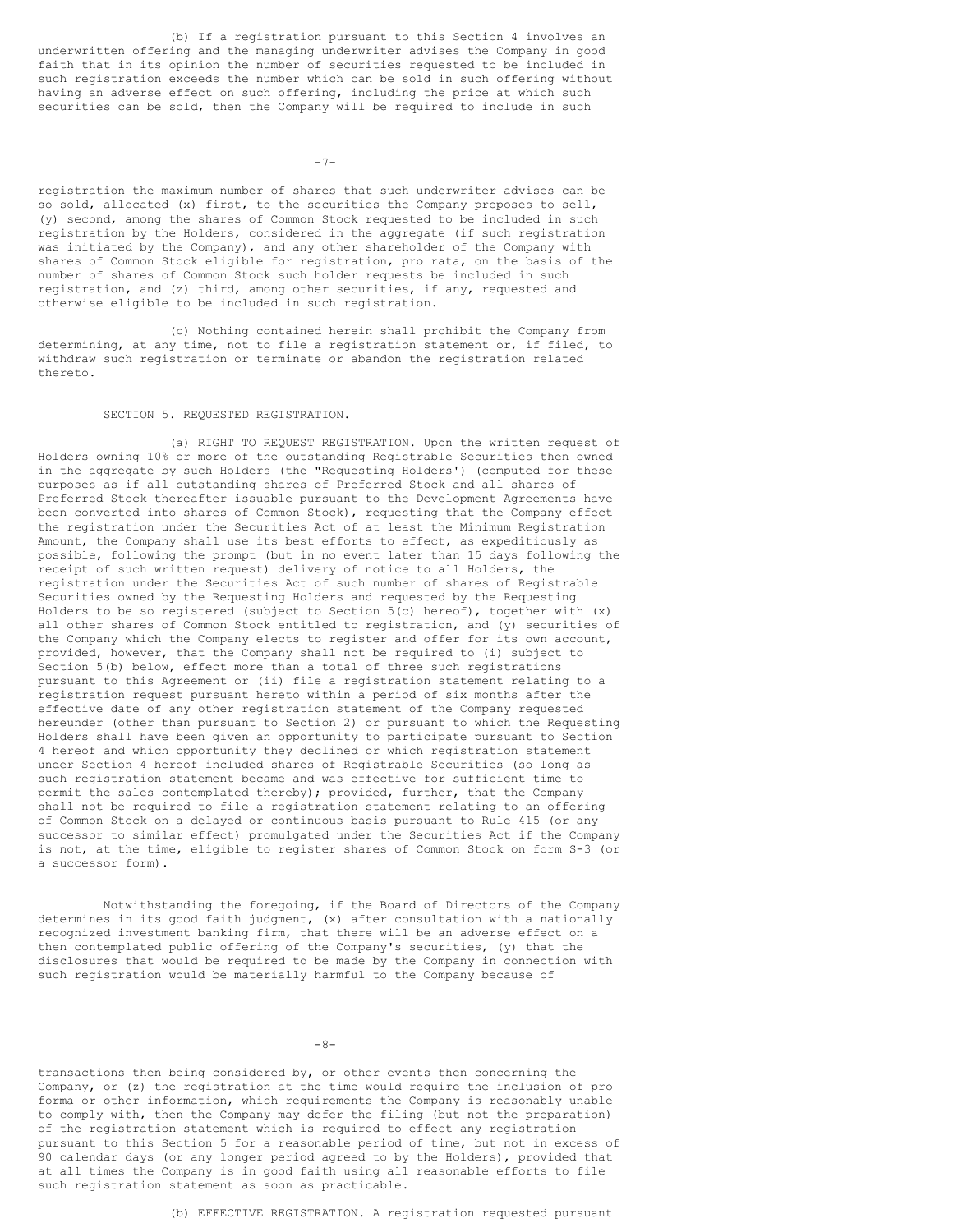(b) If a registration pursuant to this Section 4 involves an underwritten offering and the managing underwriter advises the Company in good faith that in its opinion the number of securities requested to be included in such registration exceeds the number which can be sold in such offering without having an adverse effect on such offering, including the price at which such securities can be sold, then the Company will be required to include in such

 $-7-$ 

registration the maximum number of shares that such underwriter advises can be so sold, allocated (x) first, to the securities the Company proposes to sell, (y) second, among the shares of Common Stock requested to be included in such registration by the Holders, considered in the aggregate (if such registration was initiated by the Company), and any other shareholder of the Company with shares of Common Stock eligible for registration, pro rata, on the basis of the number of shares of Common Stock such holder requests be included in such registration, and (z) third, among other securities, if any, requested and otherwise eligible to be included in such registration.

(c) Nothing contained herein shall prohibit the Company from determining, at any time, not to file a registration statement or, if filed, to withdraw such registration or terminate or abandon the registration related thereto.

## SECTION 5. REQUESTED REGISTRATION.

(a) RIGHT TO REQUEST REGISTRATION. Upon the written request of Holders owning 10% or more of the outstanding Registrable Securities then owned in the aggregate by such Holders (the "Requesting Holders') (computed for these purposes as if all outstanding shares of Preferred Stock and all shares of Preferred Stock thereafter issuable pursuant to the Development Agreements have been converted into shares of Common Stock), requesting that the Company effect the registration under the Securities Act of at least the Minimum Registration Amount, the Company shall use its best efforts to effect, as expeditiously as possible, following the prompt (but in no event later than 15 days following the receipt of such written request) delivery of notice to all Holders, the registration under the Securities Act of such number of shares of Registrable Securities owned by the Requesting Holders and requested by the Requesting Holders to be so registered (subject to Section 5(c) hereof), together with (x) all other shares of Common Stock entitled to registration, and (y) securities of the Company which the Company elects to register and offer for its own account, provided, however, that the Company shall not be required to (i) subject to Section 5(b) below, effect more than a total of three such registrations pursuant to this Agreement or (ii) file a registration statement relating to a registration request pursuant hereto within a period of six months after the effective date of any other registration statement of the Company requested hereunder (other than pursuant to Section 2) or pursuant to which the Requesting Holders shall have been given an opportunity to participate pursuant to Section 4 hereof and which opportunity they declined or which registration statement under Section 4 hereof included shares of Registrable Securities (so long as such registration statement became and was effective for sufficient time to permit the sales contemplated thereby); provided, further, that the Company shall not be required to file a registration statement relating to an offering of Common Stock on a delayed or continuous basis pursuant to Rule 415 (or any successor to similar effect) promulgated under the Securities Act if the Company is not, at the time, eligible to register shares of Common Stock on form S-3 (or a successor form).

Notwithstanding the foregoing, if the Board of Directors of the Company determines in its good faith judgment, (x) after consultation with a nationally recognized investment banking firm, that there will be an adverse effect on a then contemplated public offering of the Company's securities, (y) that the disclosures that would be required to be made by the Company in connection with such registration would be materially harmful to the Company because of

 $-8-$ 

transactions then being considered by, or other events then concerning the Company, or (z) the registration at the time would require the inclusion of pro forma or other information, which requirements the Company is reasonably unable to comply with, then the Company may defer the filing (but not the preparation) of the registration statement which is required to effect any registration pursuant to this Section 5 for a reasonable period of time, but not in excess of 90 calendar days (or any longer period agreed to by the Holders), provided that at all times the Company is in good faith using all reasonable efforts to file such registration statement as soon as practicable.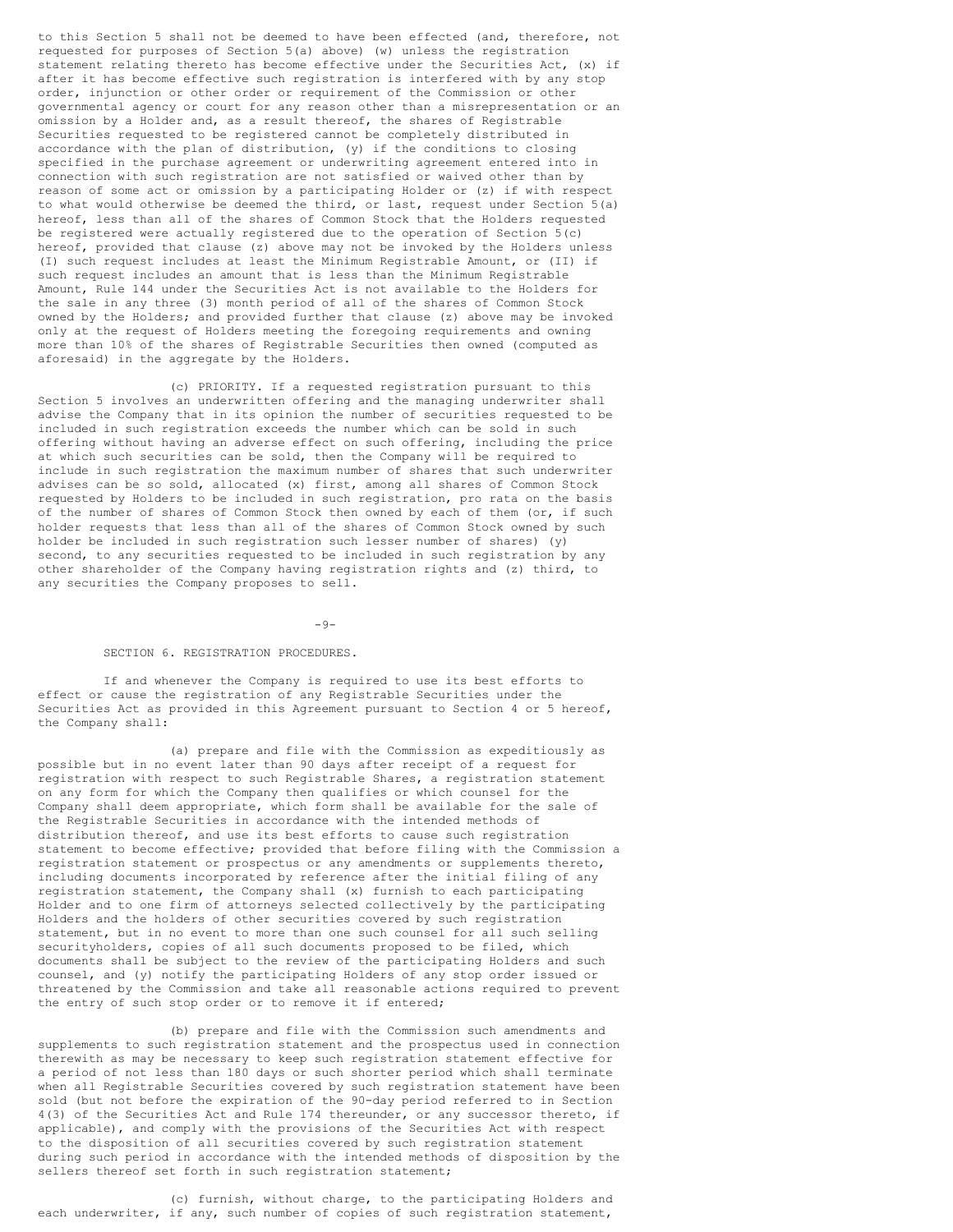to this Section 5 shall not be deemed to have been effected (and, therefore, not requested for purposes of Section 5(a) above) (w) unless the registration statement relating thereto has become effective under the Securities Act, (x) if after it has become effective such registration is interfered with by any stop order, injunction or other order or requirement of the Commission or other governmental agency or court for any reason other than a misrepresentation or an omission by a Holder and, as a result thereof, the shares of Registrable Securities requested to be registered cannot be completely distributed in accordance with the plan of distribution, (y) if the conditions to closing specified in the purchase agreement or underwriting agreement entered into in connection with such registration are not satisfied or waived other than by reason of some act or omission by a participating Holder or (z) if with respect to what would otherwise be deemed the third, or last, request under Section 5(a) hereof, less than all of the shares of Common Stock that the Holders requested be registered were actually registered due to the operation of Section 5(c) hereof, provided that clause (z) above may not be invoked by the Holders unless (I) such request includes at least the Minimum Registrable Amount, or (II) if such request includes an amount that is less than the Minimum Registrable Amount, Rule 144 under the Securities Act is not available to the Holders for the sale in any three (3) month period of all of the shares of Common Stock owned by the Holders; and provided further that clause (z) above may be invoked only at the request of Holders meeting the foregoing requirements and owning more than 10% of the shares of Registrable Securities then owned (computed as aforesaid) in the aggregate by the Holders.

(c) PRIORITY. If a requested registration pursuant to this Section 5 involves an underwritten offering and the managing underwriter shall advise the Company that in its opinion the number of securities requested to be included in such registration exceeds the number which can be sold in such offering without having an adverse effect on such offering, including the price at which such securities can be sold, then the Company will be required to include in such registration the maximum number of shares that such underwriter advises can be so sold, allocated (x) first, among all shares of Common Stock requested by Holders to be included in such registration, pro rata on the basis of the number of shares of Common Stock then owned by each of them (or, if such holder requests that less than all of the shares of Common Stock owned by such holder be included in such registration such lesser number of shares) (y) second, to any securities requested to be included in such registration by any other shareholder of the Company having registration rights and (z) third, to any securities the Company proposes to sell.

#### $-9-$

### SECTION 6. REGISTRATION PROCEDURES.

If and whenever the Company is required to use its best efforts to effect or cause the registration of any Registrable Securities under the Securities Act as provided in this Agreement pursuant to Section 4 or 5 hereof, the Company shall:

(a) prepare and file with the Commission as expeditiously as possible but in no event later than 90 days after receipt of a request for registration with respect to such Registrable Shares, a registration statement on any form for which the Company then qualifies or which counsel for the Company shall deem appropriate, which form shall be available for the sale of the Registrable Securities in accordance with the intended methods of distribution thereof, and use its best efforts to cause such registration statement to become effective; provided that before filing with the Commission a registration statement or prospectus or any amendments or supplements thereto, including documents incorporated by reference after the initial filing of any registration statement, the Company shall (x) furnish to each participating Holder and to one firm of attorneys selected collectively by the participating Holders and the holders of other securities covered by such registration statement, but in no event to more than one such counsel for all such selling securityholders, copies of all such documents proposed to be filed, which documents shall be subject to the review of the participating Holders and such counsel, and (y) notify the participating Holders of any stop order issued or threatened by the Commission and take all reasonable actions required to prevent the entry of such stop order or to remove it if entered;

(b) prepare and file with the Commission such amendments and supplements to such registration statement and the prospectus used in connection therewith as may be necessary to keep such registration statement effective for a period of not less than 180 days or such shorter period which shall terminate when all Registrable Securities covered by such registration statement have been sold (but not before the expiration of the 90-day period referred to in Section 4(3) of the Securities Act and Rule 174 thereunder, or any successor thereto, if applicable), and comply with the provisions of the Securities Act with respect to the disposition of all securities covered by such registration statement during such period in accordance with the intended methods of disposition by the sellers thereof set forth in such registration statement;

(c) furnish, without charge, to the participating Holders and each underwriter, if any, such number of copies of such registration statement,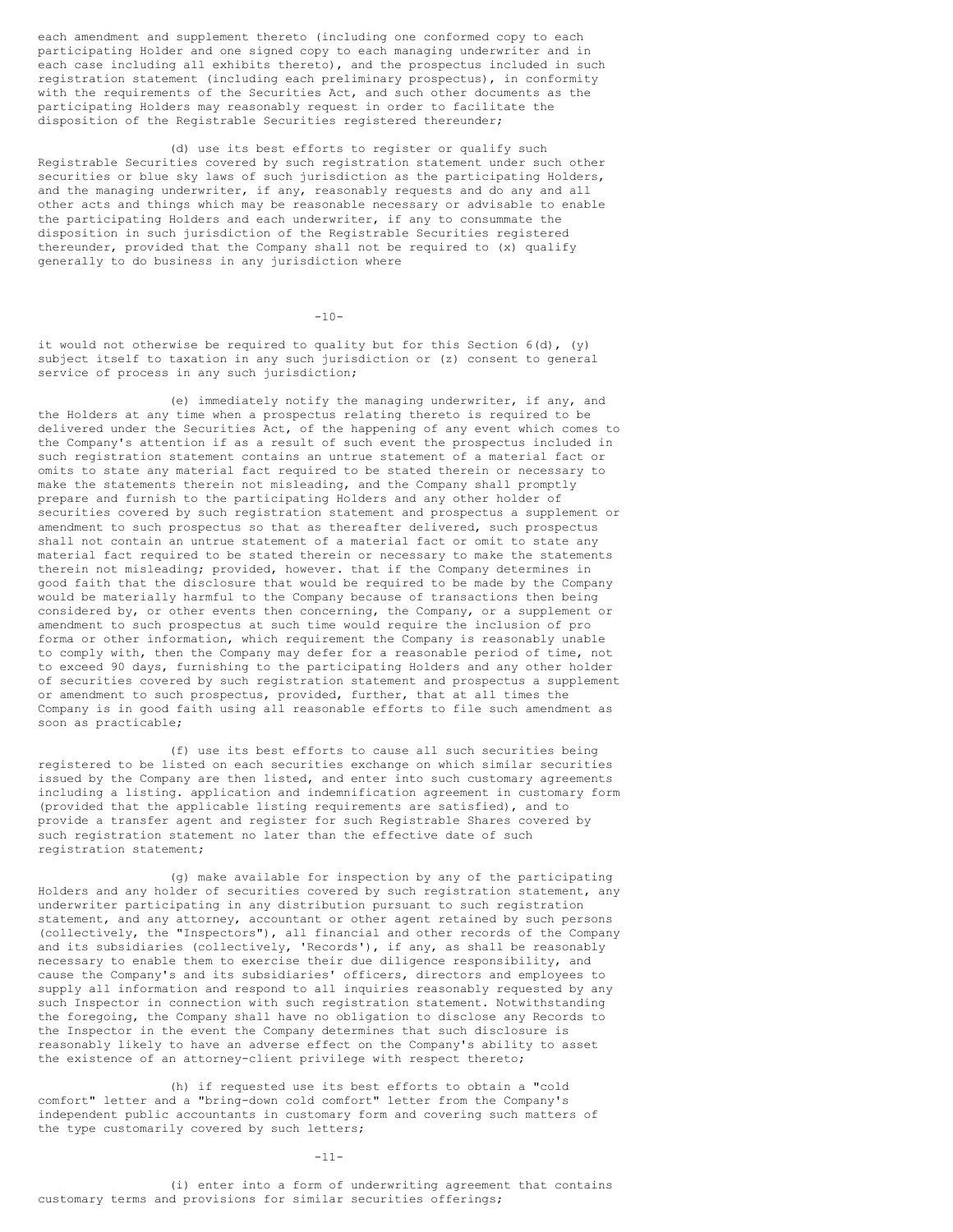each amendment and supplement thereto (including one conformed copy to each participating Holder and one signed copy to each managing underwriter and in each case including all exhibits thereto), and the prospectus included in such registration statement (including each preliminary prospectus), in conformity with the requirements of the Securities Act, and such other documents as the participating Holders may reasonably request in order to facilitate the disposition of the Registrable Securities registered thereunder;

(d) use its best efforts to register or qualify such Registrable Securities covered by such registration statement under such other securities or blue sky laws of such jurisdiction as the participating Holders, and the managing underwriter, if any, reasonably requests and do any and all other acts and things which may be reasonable necessary or advisable to enable the participating Holders and each underwriter, if any to consummate the disposition in such jurisdiction of the Registrable Securities registered thereunder, provided that the Company shall not be required to (x) qualify generally to do business in any jurisdiction where

 $-10-$ 

it would not otherwise be required to quality but for this Section  $6(d)$ , (y) subject itself to taxation in any such jurisdiction or (z) consent to general service of process in any such jurisdiction;

(e) immediately notify the managing underwriter, if any, and the Holders at any time when a prospectus relating thereto is required to be delivered under the Securities Act, of the happening of any event which comes to the Company's attention if as a result of such event the prospectus included in such registration statement contains an untrue statement of a material fact or omits to state any material fact required to be stated therein or necessary to make the statements therein not misleading, and the Company shall promptly prepare and furnish to the participating Holders and any other holder of securities covered by such registration statement and prospectus a supplement or amendment to such prospectus so that as thereafter delivered, such prospectus shall not contain an untrue statement of a material fact or omit to state any material fact required to be stated therein or necessary to make the statements therein not misleading; provided, however. that if the Company determines in good faith that the disclosure that would be required to be made by the Company would be materially harmful to the Company because of transactions then being considered by, or other events then concerning, the Company, or a supplement or amendment to such prospectus at such time would require the inclusion of pro forma or other information, which requirement the Company is reasonably unable to comply with, then the Company may defer for a reasonable period of time, not to exceed 90 days, furnishing to the participating Holders and any other holder of securities covered by such registration statement and prospectus a supplement or amendment to such prospectus, provided, further, that at all times the Company is in good faith using all reasonable efforts to file such amendment as soon as practicable;

(f) use its best efforts to cause all such securities being registered to be listed on each securities exchange on which similar securities issued by the Company are then listed, and enter into such customary agreements including a listing. application and indemnification agreement in customary form (provided that the applicable listing requirements are satisfied), and to provide a transfer agent and register for such Registrable Shares covered by such registration statement no later than the effective date of such registration statement;

(g) make available for inspection by any of the participating Holders and any holder of securities covered by such registration statement, any underwriter participating in any distribution pursuant to such registration statement, and any attorney, accountant or other agent retained by such persons (collectively, the "Inspectors"), all financial and other records of the Company and its subsidiaries (collectively, 'Records'), if any, as shall be reasonably necessary to enable them to exercise their due diligence responsibility, and cause the Company's and its subsidiaries' officers, directors and employees to supply all information and respond to all inquiries reasonably requested by any such Inspector in connection with such registration statement. Notwithstanding the foregoing, the Company shall have no obligation to disclose any Records to the Inspector in the event the Company determines that such disclosure is reasonably likely to have an adverse effect on the Company's ability to asset the existence of an attorney-client privilege with respect thereto;

(h) if requested use its best efforts to obtain a "cold comfort" letter and a "bring-down cold comfort" letter from the Company's independent public accountants in customary form and covering such matters of the type customarily covered by such letters;

-11-

(i) enter into a form of underwriting agreement that contains customary terms and provisions for similar securities offerings;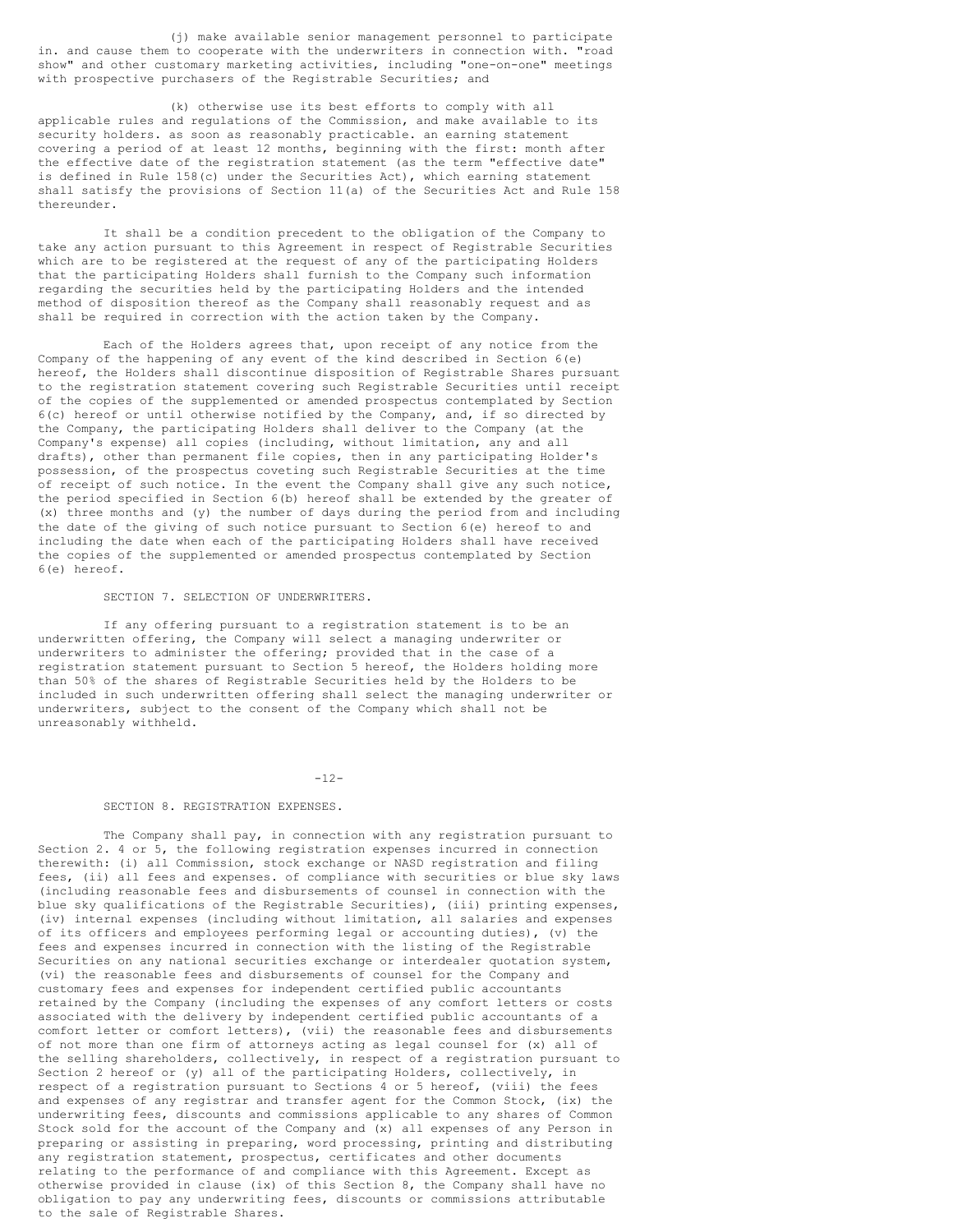(j) make available senior management personnel to participate in. and cause them to cooperate with the underwriters in connection with. "road show" and other customary marketing activities, including "one-on-one" meetings with prospective purchasers of the Registrable Securities; and

(k) otherwise use its best efforts to comply with all applicable rules and regulations of the Commission, and make available to its security holders. as soon as reasonably practicable. an earning statement covering a period of at least 12 months, beginning with the first: month after the effective date of the registration statement (as the term "effective date" is defined in Rule 158(c) under the Securities Act), which earning statement shall satisfy the provisions of Section 11(a) of the Securities Act and Rule 158 thereunder.

It shall be a condition precedent to the obligation of the Company to take any action pursuant to this Agreement in respect of Registrable Securities which are to be registered at the request of any of the participating Holders that the participating Holders shall furnish to the Company such information regarding the securities held by the participating Holders and the intended method of disposition thereof as the Company shall reasonably request and as shall be required in correction with the action taken by the Company.

Each of the Holders agrees that, upon receipt of any notice from the Company of the happening of any event of the kind described in Section 6(e) hereof, the Holders shall discontinue disposition of Registrable Shares pursuant to the registration statement covering such Registrable Securities until receipt of the copies of the supplemented or amended prospectus contemplated by Section 6(c) hereof or until otherwise notified by the Company, and, if so directed by the Company, the participating Holders shall deliver to the Company (at the Company's expense) all copies (including, without limitation, any and all drafts), other than permanent file copies, then in any participating Holder's possession, of the prospectus coveting such Registrable Securities at the time of receipt of such notice. In the event the Company shall give any such notice, the period specified in Section 6(b) hereof shall be extended by the greater of (x) three months and (y) the number of days during the period from and including the date of the giving of such notice pursuant to Section 6(e) hereof to and including the date when each of the participating Holders shall have received the copies of the supplemented or amended prospectus contemplated by Section 6(e) hereof.

## SECTION 7. SELECTION OF UNDERWRITERS.

If any offering pursuant to a registration statement is to be an underwritten offering, the Company will select a managing underwriter or underwriters to administer the offering; provided that in the case of a registration statement pursuant to Section 5 hereof, the Holders holding more than 50% of the shares of Registrable Securities held by the Holders to be included in such underwritten offering shall select the managing underwriter or underwriters, subject to the consent of the Company which shall not be unreasonably withheld.

#### $-12-$

### SECTION 8. REGISTRATION EXPENSES.

The Company shall pay, in connection with any registration pursuant to Section 2. 4 or 5, the following registration expenses incurred in connection therewith: (i) all Commission, stock exchange or NASD registration and filing fees, (ii) all fees and expenses. of compliance with securities or blue sky laws (including reasonable fees and disbursements of counsel in connection with the blue sky qualifications of the Registrable Securities), (iii) printing expenses, (iv) internal expenses (including without limitation, all salaries and expenses of its officers and employees performing legal or accounting duties), (v) the fees and expenses incurred in connection with the listing of the Registrable Securities on any national securities exchange or interdealer quotation system, (vi) the reasonable fees and disbursements of counsel for the Company and customary fees and expenses for independent certified public accountants retained by the Company (including the expenses of any comfort letters or costs associated with the delivery by independent certified public accountants of a comfort letter or comfort letters), (vii) the reasonable fees and disbursements of not more than one firm of attorneys acting as legal counsel for (x) all of the selling shareholders, collectively, in respect of a registration pursuant to Section 2 hereof or (y) all of the participating Holders, collectively, in respect of a registration pursuant to Sections 4 or 5 hereof, (viii) the fees and expenses of any registrar and transfer agent for the Common Stock, (ix) the underwriting fees, discounts and commissions applicable to any shares of Common Stock sold for the account of the Company and (x) all expenses of any Person in preparing or assisting in preparing, word processing, printing and distributing any registration statement, prospectus, certificates and other documents relating to the performance of and compliance with this Agreement. Except as otherwise provided in clause (ix) of this Section 8, the Company shall have no obligation to pay any underwriting fees, discounts or commissions attributable to the sale of Registrable Shares.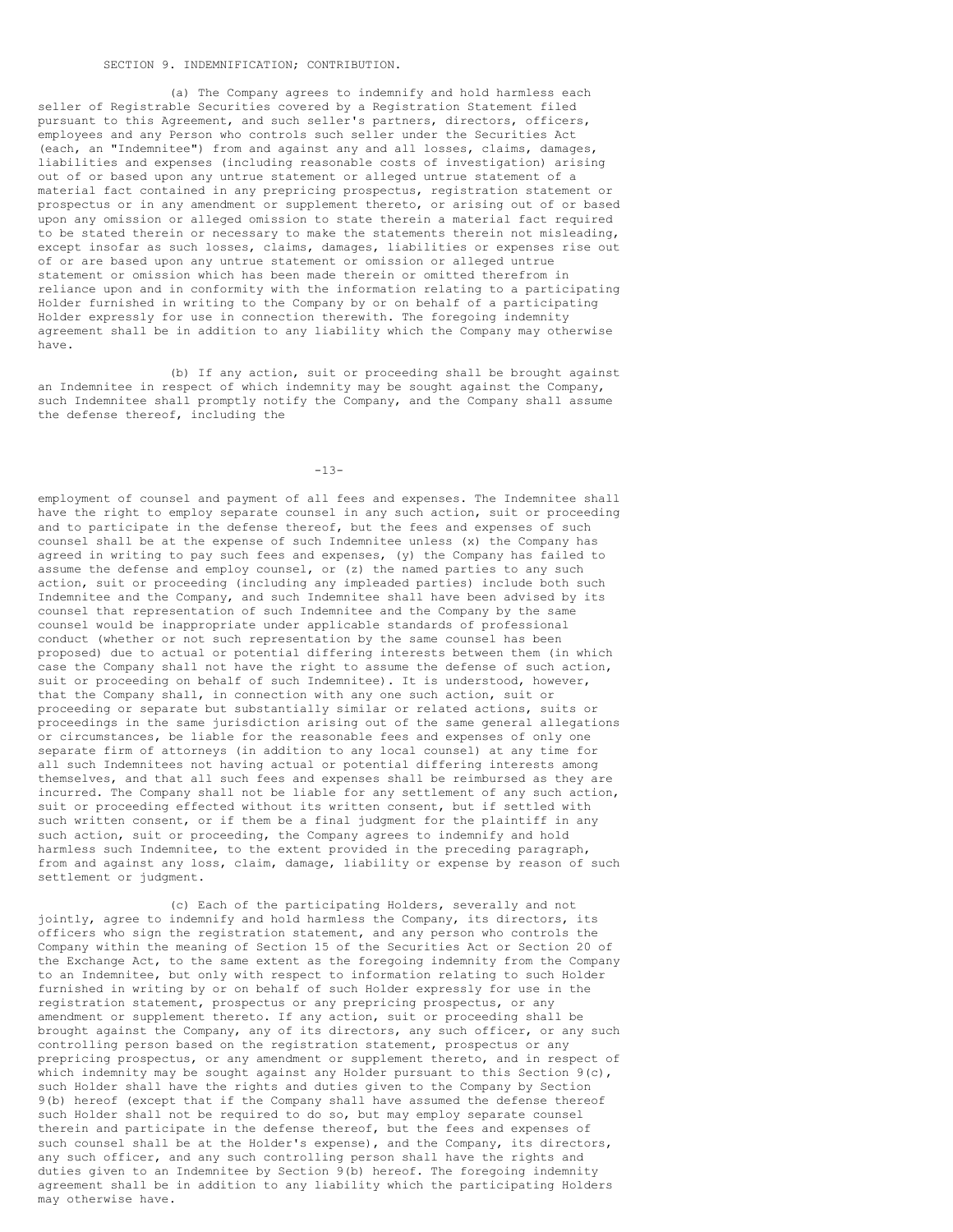#### SECTION 9. INDEMNIFICATION; CONTRIBUTION.

(a) The Company agrees to indemnify and hold harmless each seller of Registrable Securities covered by a Registration Statement filed pursuant to this Agreement, and such seller's partners, directors, officers, employees and any Person who controls such seller under the Securities Act (each, an "Indemnitee") from and against any and all losses, claims, damages, liabilities and expenses (including reasonable costs of investigation) arising out of or based upon any untrue statement or alleged untrue statement of a material fact contained in any prepricing prospectus, registration statement or prospectus or in any amendment or supplement thereto, or arising out of or based upon any omission or alleged omission to state therein a material fact required to be stated therein or necessary to make the statements therein not misleading, except insofar as such losses, claims, damages, liabilities or expenses rise out of or are based upon any untrue statement or omission or alleged untrue statement or omission which has been made therein or omitted therefrom in reliance upon and in conformity with the information relating to a participating Holder furnished in writing to the Company by or on behalf of a participating Holder expressly for use in connection therewith. The foregoing indemnity agreement shall be in addition to any liability which the Company may otherwise have.

(b) If any action, suit or proceeding shall be brought against an Indemnitee in respect of which indemnity may be sought against the Company, such Indemnitee shall promptly notify the Company, and the Company shall assume the defense thereof, including the

 $-13-$ 

employment of counsel and payment of all fees and expenses. The Indemnitee shall have the right to employ separate counsel in any such action, suit or proceeding and to participate in the defense thereof, but the fees and expenses of such counsel shall be at the expense of such Indemnitee unless (x) the Company has agreed in writing to pay such fees and expenses, (y) the Company has failed to assume the defense and employ counsel, or (z) the named parties to any such action, suit or proceeding (including any impleaded parties) include both such Indemnitee and the Company, and such Indemnitee shall have been advised by its counsel that representation of such Indemnitee and the Company by the same counsel would be inappropriate under applicable standards of professional conduct (whether or not such representation by the same counsel has been proposed) due to actual or potential differing interests between them (in which case the Company shall not have the right to assume the defense of such action, suit or proceeding on behalf of such Indemnitee). It is understood, however, that the Company shall, in connection with any one such action, suit or proceeding or separate but substantially similar or related actions, suits or proceedings in the same jurisdiction arising out of the same general allegations or circumstances, be liable for the reasonable fees and expenses of only one separate firm of attorneys (in addition to any local counsel) at any time for all such Indemnitees not having actual or potential differing interests among themselves, and that all such fees and expenses shall be reimbursed as they are incurred. The Company shall not be liable for any settlement of any such action, suit or proceeding effected without its written consent, but if settled with such written consent, or if them be a final judgment for the plaintiff in any such action, suit or proceeding, the Company agrees to indemnify and hold harmless such Indemnitee, to the extent provided in the preceding paragraph, from and against any loss, claim, damage, liability or expense by reason of such settlement or judgment.

(c) Each of the participating Holders, severally and not jointly, agree to indemnify and hold harmless the Company, its directors, its officers who sign the registration statement, and any person who controls the Company within the meaning of Section 15 of the Securities Act or Section 20 of the Exchange Act, to the same extent as the foregoing indemnity from the Company to an Indemnitee, but only with respect to information relating to such Holder furnished in writing by or on behalf of such Holder expressly for use in the registration statement, prospectus or any prepricing prospectus, or any amendment or supplement thereto. If any action, suit or proceeding shall be brought against the Company, any of its directors, any such officer, or any such controlling person based on the registration statement, prospectus or any prepricing prospectus, or any amendment or supplement thereto, and in respect of which indemnity may be sought against any Holder pursuant to this Section  $9(c)$ , such Holder shall have the rights and duties given to the Company by Section 9(b) hereof (except that if the Company shall have assumed the defense thereof such Holder shall not be required to do so, but may employ separate counsel therein and participate in the defense thereof, but the fees and expenses of such counsel shall be at the Holder's expense), and the Company, its directors, any such officer, and any such controlling person shall have the rights and duties given to an Indemnitee by Section 9(b) hereof. The foregoing indemnity agreement shall be in addition to any liability which the participating Holders may otherwise have.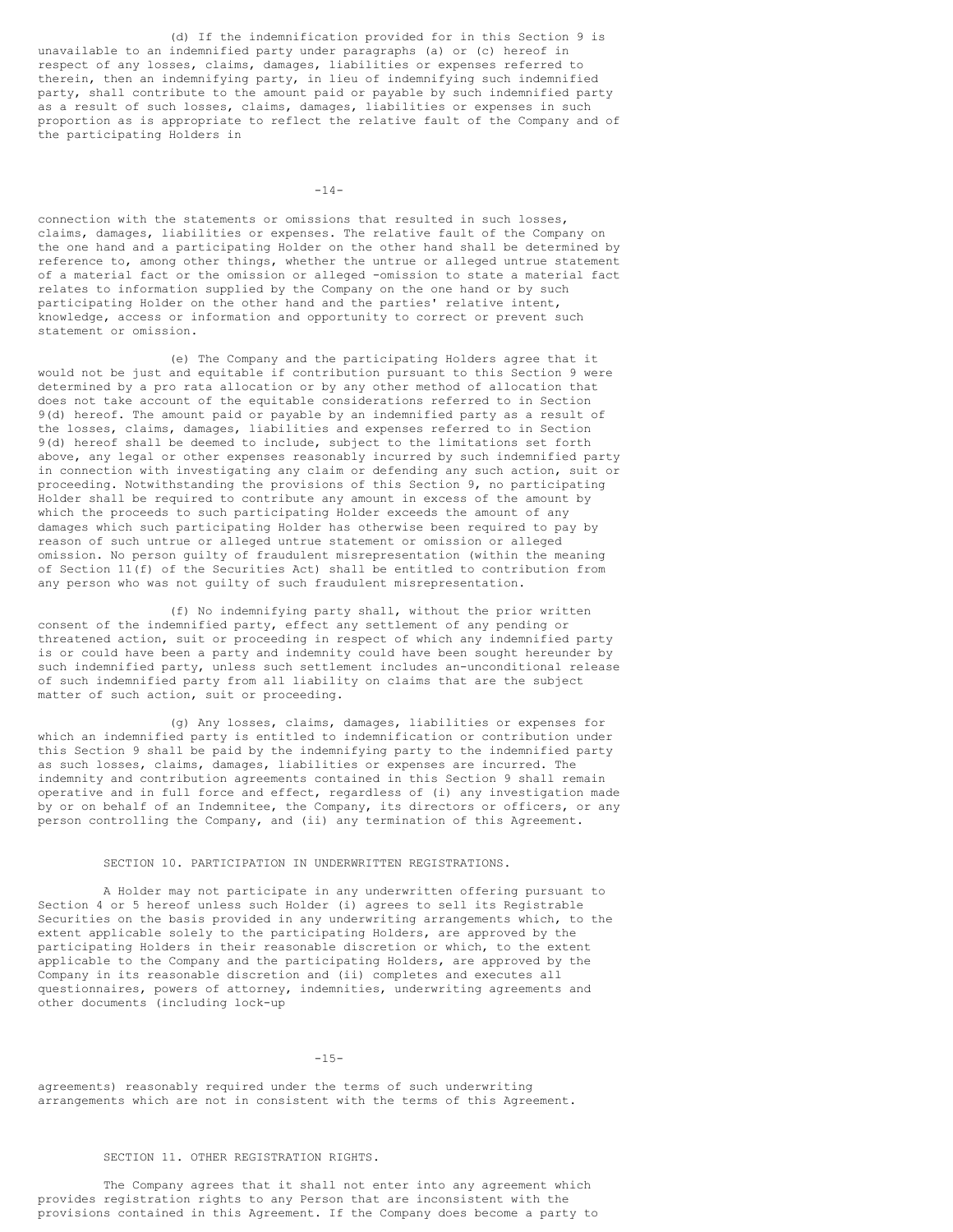(d) If the indemnification provided for in this Section 9 is unavailable to an indemnified party under paragraphs (a) or (c) hereof in respect of any losses, claims, damages, liabilities or expenses referred to therein, then an indemnifying party, in lieu of indemnifying such indemnified party, shall contribute to the amount paid or payable by such indemnified party as a result of such losses, claims, damages, liabilities or expenses in such proportion as is appropriate to reflect the relative fault of the Company and of the participating Holders in

 $-14-$ 

connection with the statements or omissions that resulted in such losses, claims, damages, liabilities or expenses. The relative fault of the Company on the one hand and a participating Holder on the other hand shall be determined by reference to, among other things, whether the untrue or alleged untrue statement of a material fact or the omission or alleged -omission to state a material fact relates to information supplied by the Company on the one hand or by such participating Holder on the other hand and the parties' relative intent, knowledge, access or information and opportunity to correct or prevent such statement or omission.

(e) The Company and the participating Holders agree that it would not be just and equitable if contribution pursuant to this Section 9 were determined by a pro rata allocation or by any other method of allocation that does not take account of the equitable considerations referred to in Section 9(d) hereof. The amount paid or payable by an indemnified party as a result of the losses, claims, damages, liabilities and expenses referred to in Section 9(d) hereof shall be deemed to include, subject to the limitations set forth above, any legal or other expenses reasonably incurred by such indemnified party in connection with investigating any claim or defending any such action, suit or proceeding. Notwithstanding the provisions of this Section 9, no participating Holder shall be required to contribute any amount in excess of the amount by which the proceeds to such participating Holder exceeds the amount of any damages which such participating Holder has otherwise been required to pay by reason of such untrue or alleged untrue statement or omission or alleged omission. No person guilty of fraudulent misrepresentation (within the meaning of Section 11(f) of the Securities Act) shall be entitled to contribution from any person who was not guilty of such fraudulent misrepresentation.

(f) No indemnifying party shall, without the prior written consent of the indemnified party, effect any settlement of any pending or threatened action, suit or proceeding in respect of which any indemnified party is or could have been a party and indemnity could have been sought hereunder by such indemnified party, unless such settlement includes an-unconditional release of such indemnified party from all liability on claims that are the subject matter of such action, suit or proceeding.

(g) Any losses, claims, damages, liabilities or expenses for which an indemnified party is entitled to indemnification or contribution under this Section 9 shall be paid by the indemnifying party to the indemnified party as such losses, claims, damages, liabilities or expenses are incurred. The indemnity and contribution agreements contained in this Section 9 shall remain operative and in full force and effect, regardless of (i) any investigation made by or on behalf of an Indemnitee, the Company, its directors or officers, or any person controlling the Company, and (ii) any termination of this Agreement.

## SECTION 10. PARTICIPATION IN UNDERWRITTEN REGISTRATIONS.

A Holder may not participate in any underwritten offering pursuant to Section 4 or 5 hereof unless such Holder (i) agrees to sell its Registrable Securities on the basis provided in any underwriting arrangements which, to the extent applicable solely to the participating Holders, are approved by the participating Holders in their reasonable discretion or which, to the extent applicable to the Company and the participating Holders, are approved by the Company in its reasonable discretion and (ii) completes and executes all questionnaires, powers of attorney, indemnities, underwriting agreements and other documents (including lock-up

## $-15-$

agreements) reasonably required under the terms of such underwriting arrangements which are not in consistent with the terms of this Agreement.

### SECTION 11. OTHER REGISTRATION RIGHTS.

The Company agrees that it shall not enter into any agreement which provides registration rights to any Person that are inconsistent with the provisions contained in this Agreement. If the Company does become a party to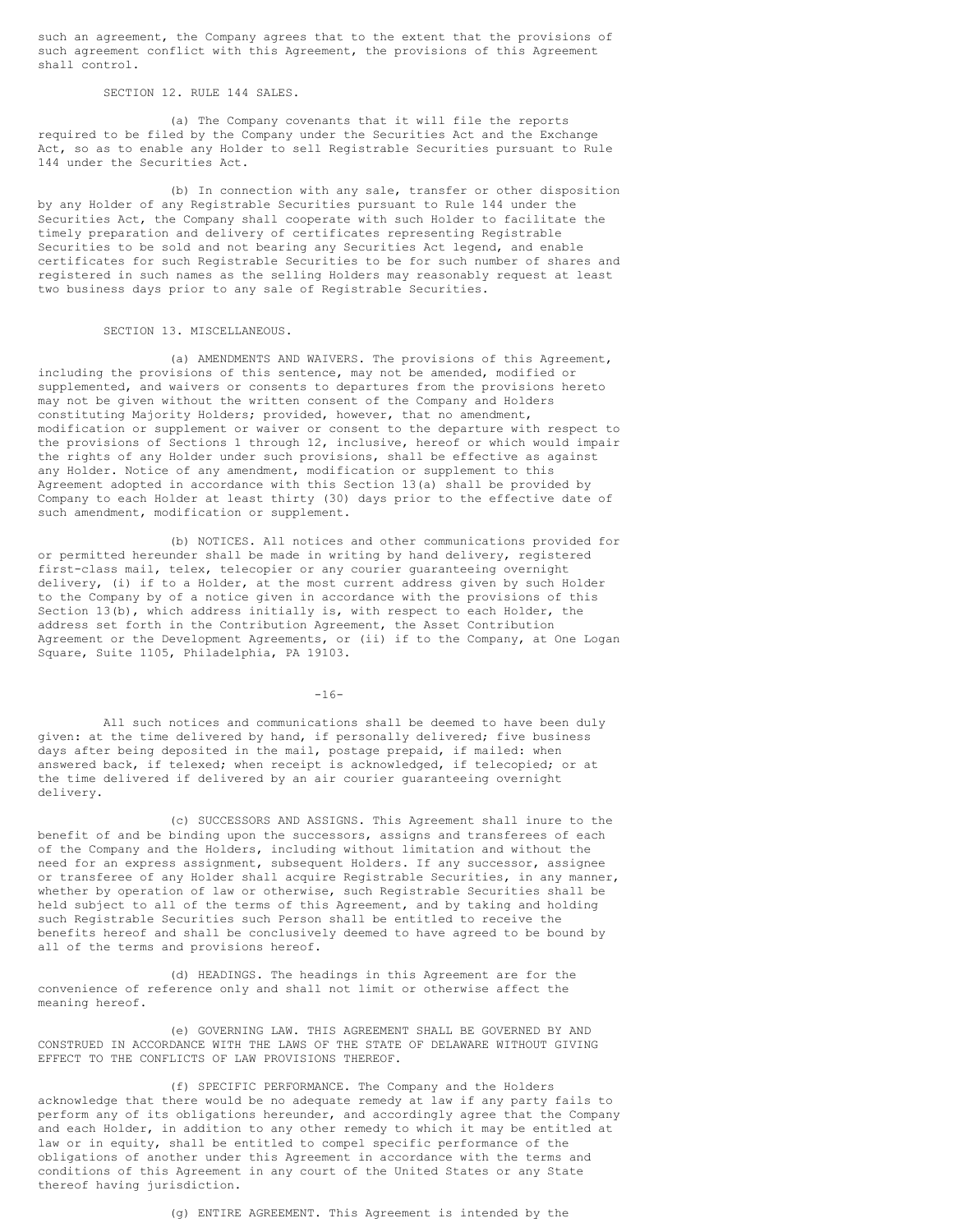such an agreement, the Company agrees that to the extent that the provisions of such agreement conflict with this Agreement, the provisions of this Agreement shall control.

SECTION 12. RULE 144 SALES.

(a) The Company covenants that it will file the reports required to be filed by the Company under the Securities Act and the Exchange Act, so as to enable any Holder to sell Registrable Securities pursuant to Rule 144 under the Securities Act.

(b) In connection with any sale, transfer or other disposition by any Holder of any Registrable Securities pursuant to Rule 144 under the Securities Act, the Company shall cooperate with such Holder to facilitate the timely preparation and delivery of certificates representing Registrable Securities to be sold and not bearing any Securities Act legend, and enable certificates for such Registrable Securities to be for such number of shares and registered in such names as the selling Holders may reasonably request at least two business days prior to any sale of Registrable Securities.

### SECTION 13. MISCELLANEOUS.

(a) AMENDMENTS AND WAIVERS. The provisions of this Agreement, including the provisions of this sentence, may not be amended, modified or supplemented, and waivers or consents to departures from the provisions hereto may not be given without the written consent of the Company and Holders constituting Majority Holders; provided, however, that no amendment, modification or supplement or waiver or consent to the departure with respect to the provisions of Sections 1 through 12, inclusive, hereof or which would impair the rights of any Holder under such provisions, shall be effective as against any Holder. Notice of any amendment, modification or supplement to this Agreement adopted in accordance with this Section 13(a) shall be provided by Company to each Holder at least thirty (30) days prior to the effective date of such amendment, modification or supplement.

(b) NOTICES. All notices and other communications provided for or permitted hereunder shall be made in writing by hand delivery, registered first-class mail, telex, telecopier or any courier guaranteeing overnight delivery, (i) if to a Holder, at the most current address given by such Holder to the Company by of a notice given in accordance with the provisions of this Section 13(b), which address initially is, with respect to each Holder, the address set forth in the Contribution Agreement, the Asset Contribution Agreement or the Development Agreements, or (ii) if to the Company, at One Logan Square, Suite 1105, Philadelphia, PA 19103.

 $-16-$ 

All such notices and communications shall be deemed to have been duly given: at the time delivered by hand, if personally delivered; five business days after being deposited in the mail, postage prepaid, if mailed: when answered back, if telexed; when receipt is acknowledged, if telecopied; or at the time delivered if delivered by an air courier guaranteeing overnight delivery.

(c) SUCCESSORS AND ASSIGNS. This Agreement shall inure to the benefit of and be binding upon the successors, assigns and transferees of each of the Company and the Holders, including without limitation and without the need for an express assignment, subsequent Holders. If any successor, assignee or transferee of any Holder shall acquire Registrable Securities, in any manner, whether by operation of law or otherwise, such Registrable Securities shall be held subject to all of the terms of this Agreement, and by taking and holding such Registrable Securities such Person shall be entitled to receive the benefits hereof and shall be conclusively deemed to have agreed to be bound by all of the terms and provisions hereof.

(d) HEADINGS. The headings in this Agreement are for the convenience of reference only and shall not limit or otherwise affect the meaning hereof.

(e) GOVERNING LAW. THIS AGREEMENT SHALL BE GOVERNED BY AND CONSTRUED IN ACCORDANCE WITH THE LAWS OF THE STATE OF DELAWARE WITHOUT GIVING EFFECT TO THE CONFLICTS OF LAW PROVISIONS THEREOF.

(f) SPECIFIC PERFORMANCE. The Company and the Holders acknowledge that there would be no adequate remedy at law if any party fails to perform any of its obligations hereunder, and accordingly agree that the Company and each Holder, in addition to any other remedy to which it may be entitled at law or in equity, shall be entitled to compel specific performance of the obligations of another under this Agreement in accordance with the terms and conditions of this Agreement in any court of the United States or any State thereof having jurisdiction.

(g) ENTIRE AGREEMENT. This Agreement is intended by the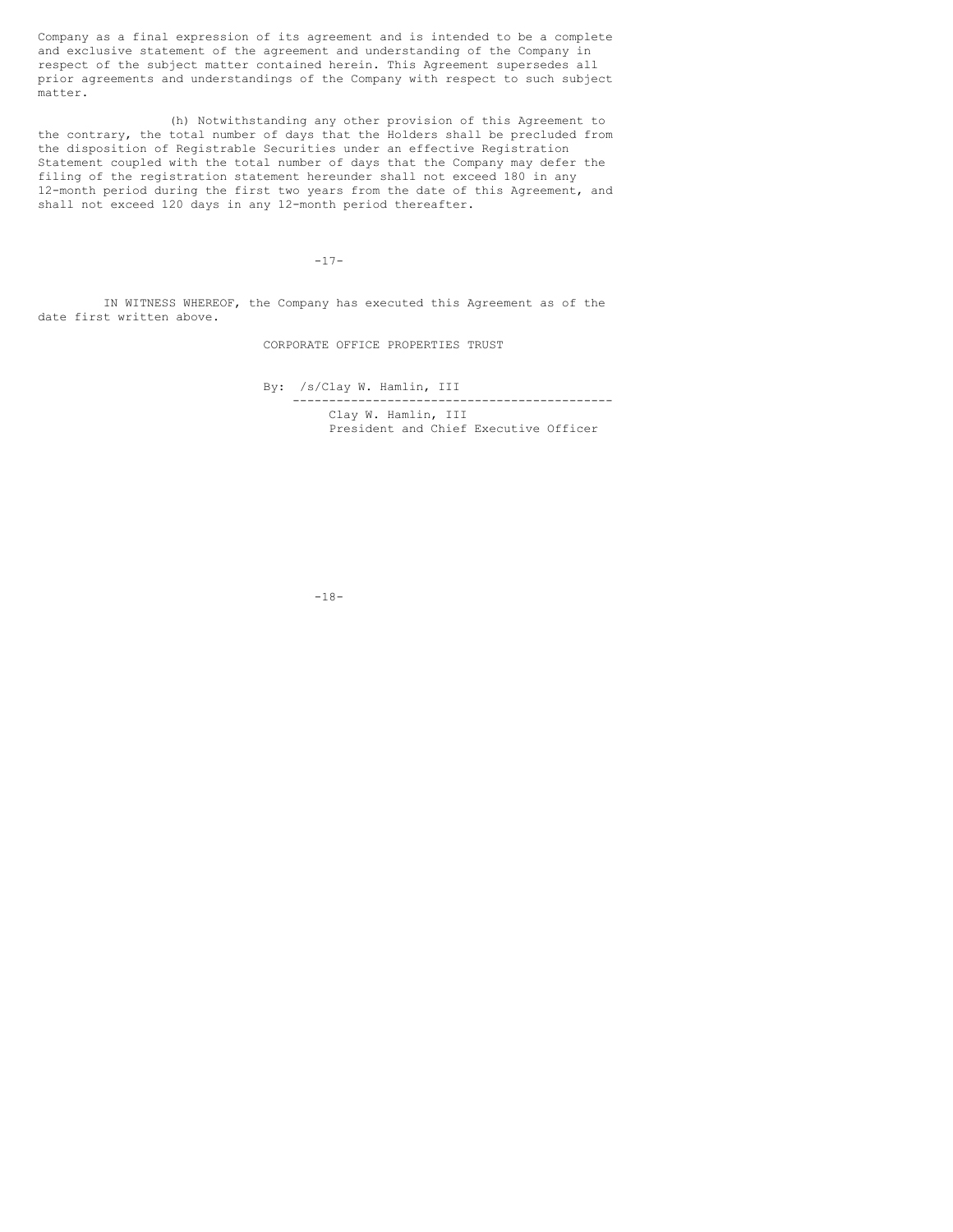Company as a final expression of its agreement and is intended to be a complete and exclusive statement of the agreement and understanding of the Company in respect of the subject matter contained herein. This Agreement supersedes all prior agreements and understandings of the Company with respect to such subject matter.

(h) Notwithstanding any other provision of this Agreement to the contrary, the total number of days that the Holders shall be precluded from the disposition of Registrable Securities under an effective Registration Statement coupled with the total number of days that the Company may defer the filing of the registration statement hereunder shall not exceed 180 in any 12-month period during the first two years from the date of this Agreement, and shall not exceed 120 days in any 12-month period thereafter.

 $-17-$ 

IN WITNESS WHEREOF, the Company has executed this Agreement as of the date first written above.

CORPORATE OFFICE PROPERTIES TRUST

By: /s/Clay W. Hamlin, III -------------------------------------------- Clay W. Hamlin, III President and Chief Executive Officer

-18-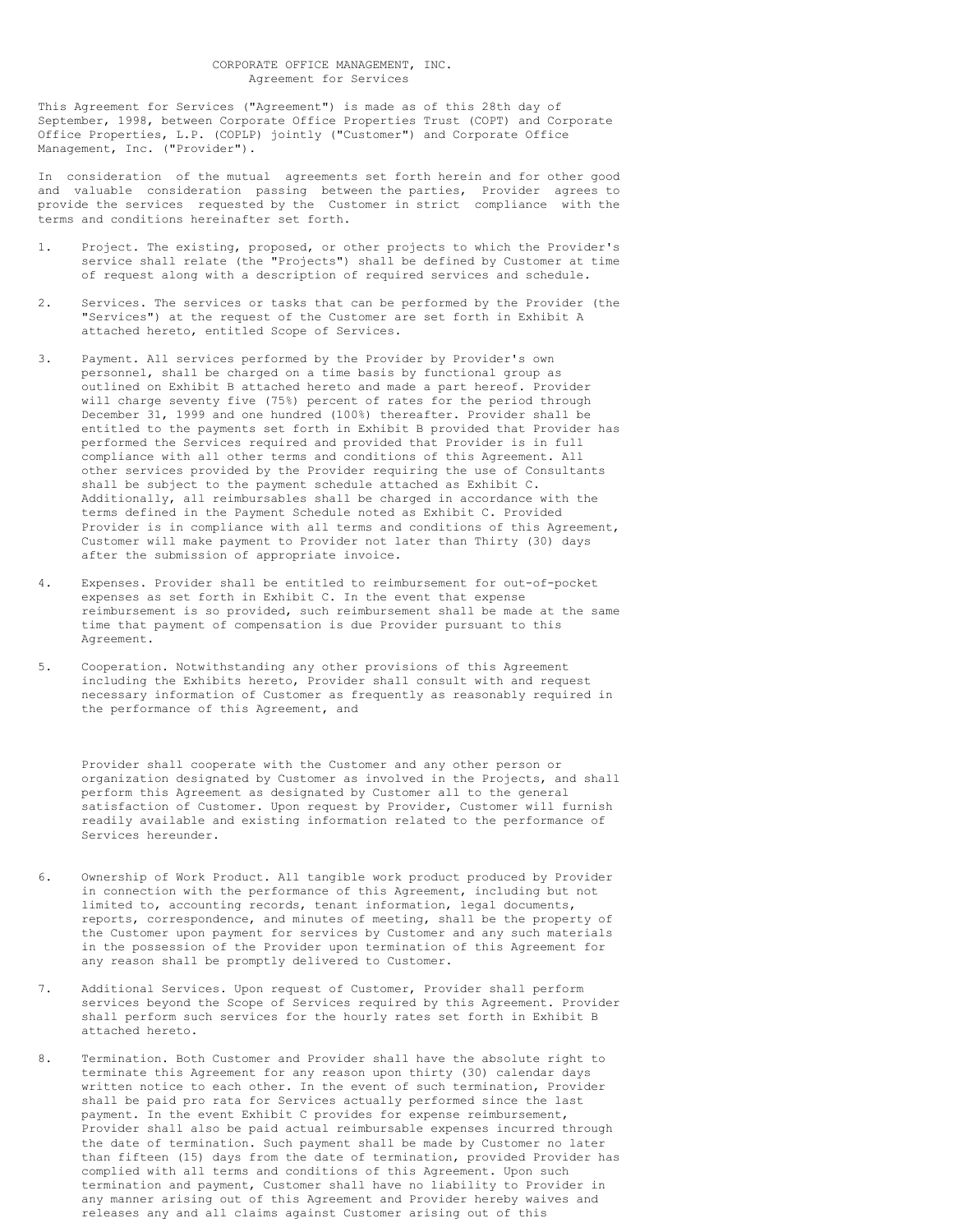This Agreement for Services ("Agreement") is made as of this 28th day of September, 1998, between Corporate Office Properties Trust (COPT) and Corporate Office Properties, L.P. (COPLP) jointly ("Customer") and Corporate Office Management, Inc. ("Provider").

In consideration of the mutual agreements set forth herein and for other good and valuable consideration passing between the parties, Provider agrees to provide the services requested by the Customer in strict compliance with the terms and conditions hereinafter set forth.

- 1. Project. The existing, proposed, or other projects to which the Provider's service shall relate (the "Projects") shall be defined by Customer at time of request along with a description of required services and schedule.
- 2. Services. The services or tasks that can be performed by the Provider (the "Services") at the request of the Customer are set forth in Exhibit A attached hereto, entitled Scope of Services.
- 3. Payment. All services performed by the Provider by Provider's own personnel, shall be charged on a time basis by functional group as outlined on Exhibit B attached hereto and made a part hereof. Provider will charge seventy five (75%) percent of rates for the period through December 31, 1999 and one hundred (100%) thereafter. Provider shall be entitled to the payments set forth in Exhibit B provided that Provider has performed the Services required and provided that Provider is in full compliance with all other terms and conditions of this Agreement. All other services provided by the Provider requiring the use of Consultants shall be subject to the payment schedule attached as Exhibit C. Additionally, all reimbursables shall be charged in accordance with the terms defined in the Payment Schedule noted as Exhibit C. Provided Provider is in compliance with all terms and conditions of this Agreement, Customer will make payment to Provider not later than Thirty (30) days after the submission of appropriate invoice.
- 4. Expenses. Provider shall be entitled to reimbursement for out-of-pocket expenses as set forth in Exhibit C. In the event that expense reimbursement is so provided, such reimbursement shall be made at the same time that payment of compensation is due Provider pursuant to this Agreement.
- 5. Cooperation. Notwithstanding any other provisions of this Agreement including the Exhibits hereto, Provider shall consult with and request necessary information of Customer as frequently as reasonably required in the performance of this Agreement, and

Provider shall cooperate with the Customer and any other person or organization designated by Customer as involved in the Projects, and shall perform this Agreement as designated by Customer all to the general satisfaction of Customer. Upon request by Provider, Customer will furnish readily available and existing information related to the performance of Services hereunder.

- 6. Ownership of Work Product. All tangible work product produced by Provider in connection with the performance of this Agreement, including but not limited to, accounting records, tenant information, legal documents, reports, correspondence, and minutes of meeting, shall be the property of the Customer upon payment for services by Customer and any such materials in the possession of the Provider upon termination of this Agreement for any reason shall be promptly delivered to Customer.
- 7. Additional Services. Upon request of Customer, Provider shall perform services beyond the Scope of Services required by this Agreement. Provider shall perform such services for the hourly rates set forth in Exhibit B attached hereto.
- 8. Termination. Both Customer and Provider shall have the absolute right to terminate this Agreement for any reason upon thirty (30) calendar days written notice to each other. In the event of such termination, Provider shall be paid pro rata for Services actually performed since the last payment. In the event Exhibit C provides for expense reimbursement, Provider shall also be paid actual reimbursable expenses incurred through the date of termination. Such payment shall be made by Customer no later than fifteen (15) days from the date of termination, provided Provider has complied with all terms and conditions of this Agreement. Upon such termination and payment, Customer shall have no liability to Provider in any manner arising out of this Agreement and Provider hereby waives and releases any and all claims against Customer arising out of this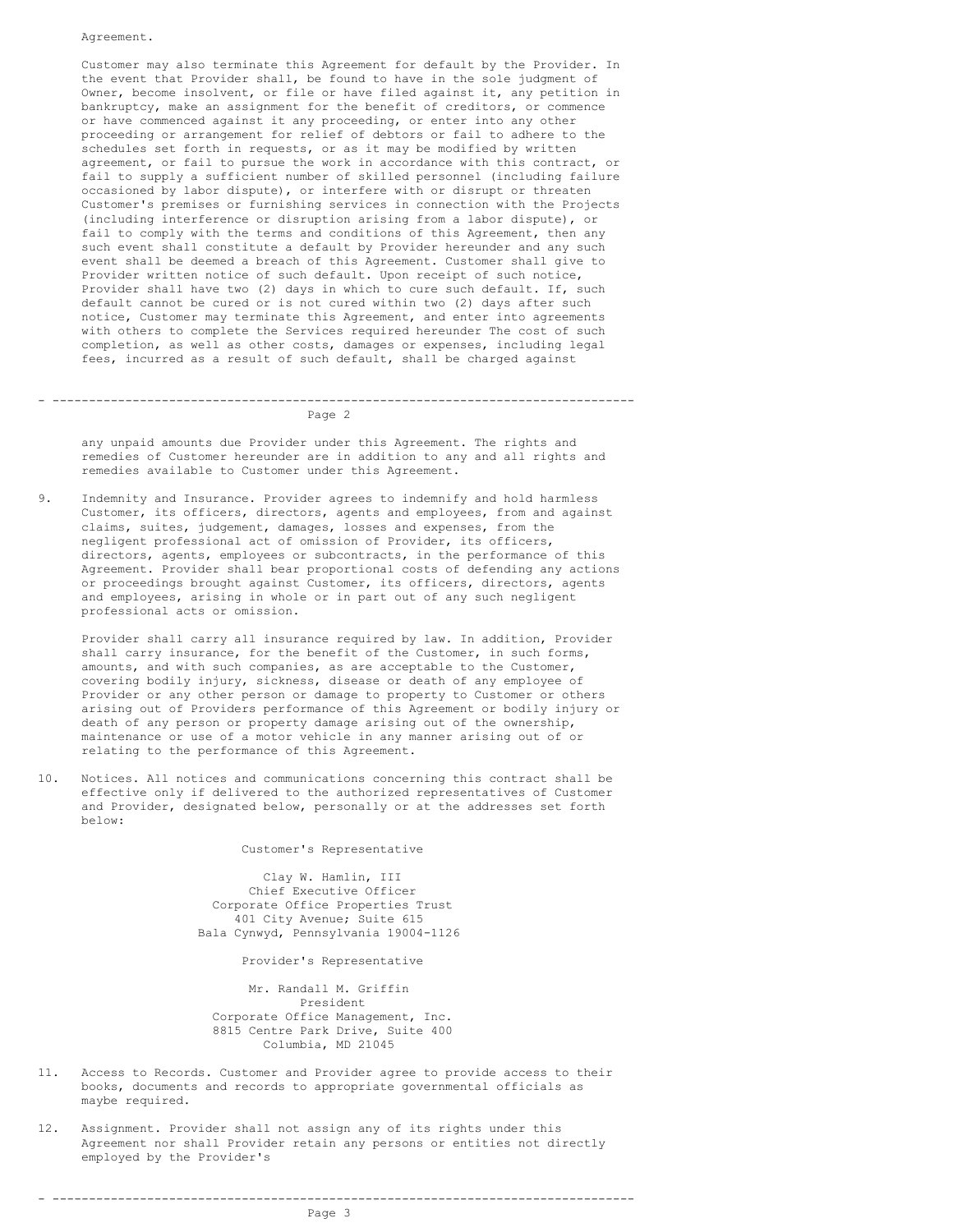Agreement.

Customer may also terminate this Agreement for default by the Provider. In the event that Provider shall, be found to have in the sole judgment of Owner, become insolvent, or file or have filed against it, any petition in bankruptcy, make an assignment for the benefit of creditors, or commence or have commenced against it any proceeding, or enter into any other proceeding or arrangement for relief of debtors or fail to adhere to the schedules set forth in requests, or as it may be modified by written agreement, or fail to pursue the work in accordance with this contract, or fail to supply a sufficient number of skilled personnel (including failure occasioned by labor dispute), or interfere with or disrupt or threaten Customer's premises or furnishing services in connection with the Projects (including interference or disruption arising from a labor dispute), or fail to comply with the terms and conditions of this Agreement, then any such event shall constitute a default by Provider hereunder and any such event shall be deemed a breach of this Agreement. Customer shall give to Provider written notice of such default. Upon receipt of such notice, Provider shall have two (2) days in which to cure such default. If, such default cannot be cured or is not cured within two (2) days after such notice, Customer may terminate this Agreement, and enter into agreements with others to complete the Services required hereunder The cost of such completion, as well as other costs, damages or expenses, including legal fees, incurred as a result of such default, shall be charged against

### - -------------------------------------------------------------------------------- Page 2

any unpaid amounts due Provider under this Agreement. The rights and remedies of Customer hereunder are in addition to any and all rights and remedies available to Customer under this Agreement.

9. Indemnity and Insurance. Provider agrees to indemnify and hold harmless Customer, its officers, directors, agents and employees, from and against claims, suites, judgement, damages, losses and expenses, from the negligent professional act of omission of Provider, its officers, directors, agents, employees or subcontracts, in the performance of this Agreement. Provider shall bear proportional costs of defending any actions or proceedings brought against Customer, its officers, directors, agents and employees, arising in whole or in part out of any such negligent professional acts or omission.

Provider shall carry all insurance required by law. In addition, Provider shall carry insurance, for the benefit of the Customer, in such forms, amounts, and with such companies, as are acceptable to the Customer, covering bodily injury, sickness, disease or death of any employee of Provider or any other person or damage to property to Customer or others arising out of Providers performance of this Agreement or bodily injury or death of any person or property damage arising out of the ownership, maintenance or use of a motor vehicle in any manner arising out of or relating to the performance of this Agreement.

10. Notices. All notices and communications concerning this contract shall be effective only if delivered to the authorized representatives of Customer and Provider, designated below, personally or at the addresses set forth below:

Customer's Representative

Clay W. Hamlin, III Chief Executive Officer Corporate Office Properties Trust 401 City Avenue; Suite 615 Bala Cynwyd, Pennsylvania 19004-1126

Provider's Representative

Mr. Randall M. Griffin President Corporate Office Management, Inc. 8815 Centre Park Drive, Suite 400 Columbia, MD 21045

- 11. Access to Records. Customer and Provider agree to provide access to their books, documents and records to appropriate governmental officials as maybe required.
- 12. Assignment. Provider shall not assign any of its rights under this Agreement nor shall Provider retain any persons or entities not directly employed by the Provider's

- --------------------------------------------------------------------------------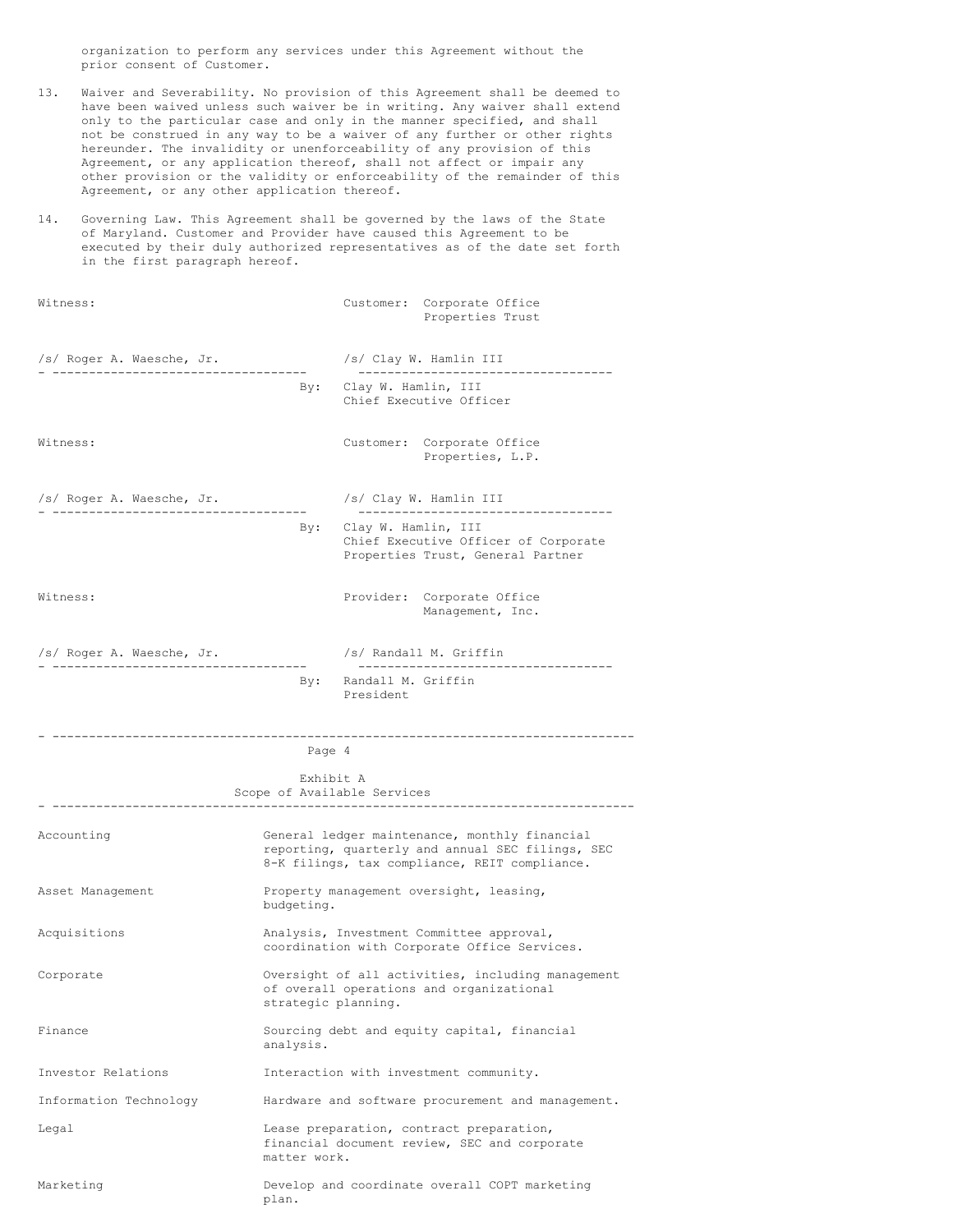organization to perform any services under this Agreement without the prior consent of Customer.

- 13. Waiver and Severability. No provision of this Agreement shall be deemed to have been waived unless such waiver be in writing. Any waiver shall extend only to the particular case and only in the manner specified, and shall not be construed in any way to be a waiver of any further or other rights hereunder. The invalidity or unenforceability of any provision of this Agreement, or any application thereof, shall not affect or impair any other provision or the validity or enforceability of the remainder of this Agreement, or any other application thereof.
- 14. Governing Law. This Agreement shall be governed by the laws of the State of Maryland. Customer and Provider have caused this Agreement to be executed by their duly authorized representatives as of the date set forth in the first paragraph hereof.

| Witness:                                                       |                     |                                 | Customer: Corporate Office<br>Properties Trust                                                                                                     |
|----------------------------------------------------------------|---------------------|---------------------------------|----------------------------------------------------------------------------------------------------------------------------------------------------|
| /s/ Roger A. Waesche, Jr.                                      |                     |                                 | /s/ Clay W. Hamlin III<br>---------------------------------                                                                                        |
|                                                                | By:                 | Clay W. Hamlin, III             | Chief Executive Officer                                                                                                                            |
| Witness:                                                       |                     |                                 | Customer: Corporate Office<br>Properties, L.P.                                                                                                     |
| /s/ Roger A. Waesche, Jr.<br>--------------------------------- |                     |                                 | /s/ Clay W. Hamlin III<br>------------------------------------                                                                                     |
|                                                                | By:                 | Clay W. Hamlin, III             | Chief Executive Officer of Corporate<br>Properties Trust, General Partner                                                                          |
| Witness:                                                       |                     |                                 | Provider: Corporate Office<br>Management, Inc.                                                                                                     |
| /s/ Roger A. Waesche, Jr.                                      |                     |                                 | /s/ Randall M. Griffin<br>----------------------------------                                                                                       |
|                                                                | By:                 | Randall M. Griffin<br>President |                                                                                                                                                    |
| -----------------------------                                  | Page 4              |                                 | ------------------------------------                                                                                                               |
|                                                                |                     |                                 |                                                                                                                                                    |
|                                                                | Exhibit A           | Scope of Available Services     |                                                                                                                                                    |
| Accounting                                                     |                     |                                 | General ledger maintenance, monthly financial<br>reporting, quarterly and annual SEC filings, SEC<br>8-K filings, tax compliance, REIT compliance. |
| Asset Management                                               | budgeting.          |                                 | Property management oversight, leasing,                                                                                                            |
| Acquisitions                                                   |                     |                                 | Analysis, Investment Committee approval,<br>coordination with Corporate Office Services.                                                           |
| Corporate                                                      | strategic planning. |                                 | Oversight of all activities, including management<br>of overall operations and organizational                                                      |
| Finance                                                        | analysis.           |                                 | Sourcing debt and equity capital, financial                                                                                                        |
| Investor Relations                                             |                     |                                 | Interaction with investment community.                                                                                                             |
| Information Technology                                         |                     |                                 | Hardware and software procurement and management.                                                                                                  |
| Legal                                                          | matter work.        |                                 | Lease preparation, contract preparation,<br>financial document review, SEC and corporate                                                           |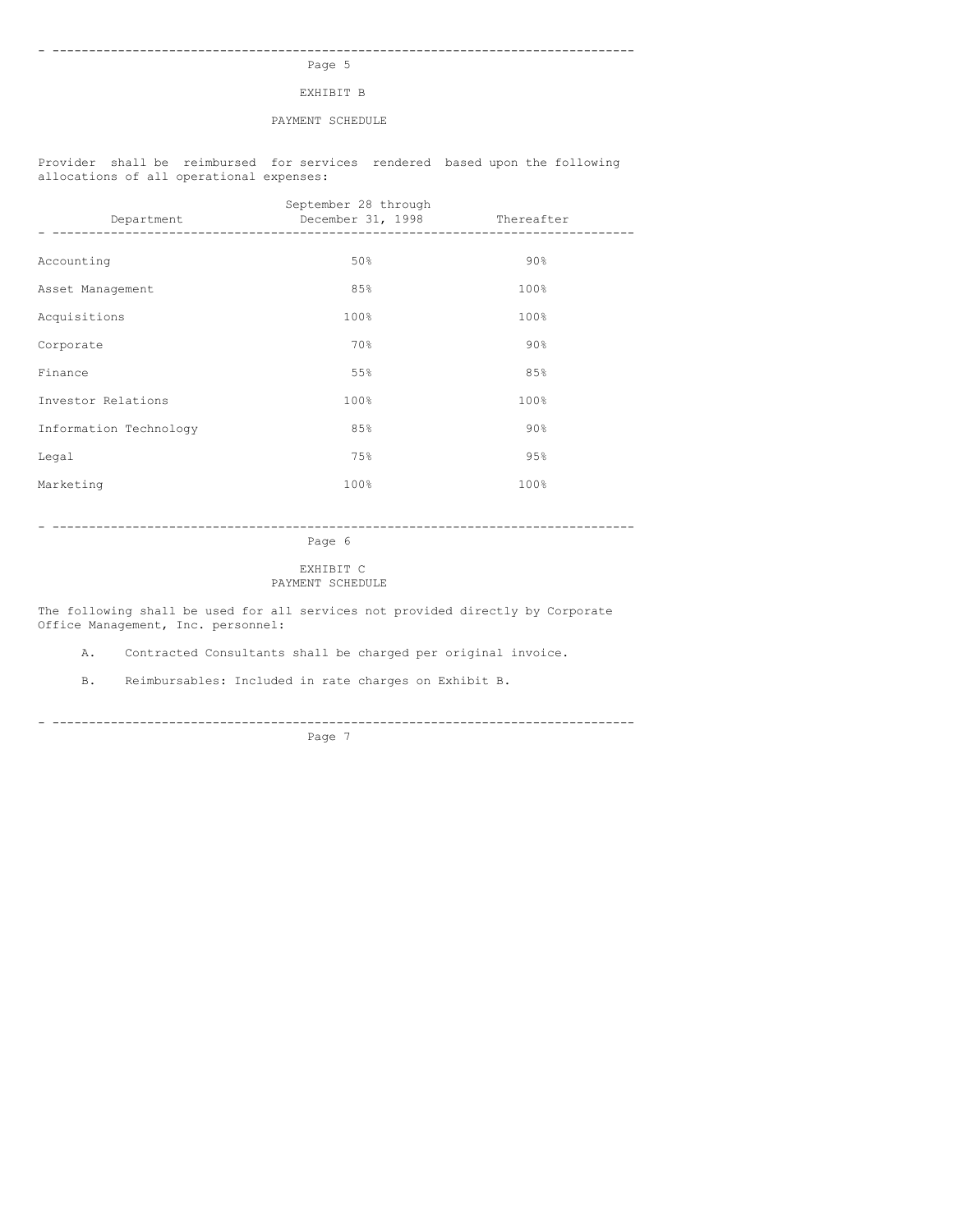### - -------------------------------------------------------------------------------- Page 5

EXHIBIT B

## PAYMENT SCHEDULE

Provider shall be reimbursed for services rendered based upon the following allocations of all operational expenses:

| Department             | September 28 through<br>December 31, 1998 Thereafter |        |
|------------------------|------------------------------------------------------|--------|
|                        |                                                      |        |
| Accounting             | 50%                                                  | $90\%$ |
| Asset Management       | 85%                                                  | 100%   |
| Acquisitions           | 100%                                                 | 100%   |
| Corporate              | 70%                                                  | 90%    |
| Finance                | 55%                                                  | 85%    |
| Investor Relations     | 100%                                                 | 100%   |
| Information Technology | 85%                                                  | 90%    |
| Legal                  | 75%                                                  | 95%    |
| Marketing              | 100%                                                 | 100%   |

- --------------------------------------------------------------------------------

Page 6

## EXHIBIT C PAYMENT SCHEDULE

The following shall be used for all services not provided directly by Corporate Office Management, Inc. personnel:

A. Contracted Consultants shall be charged per original invoice.

B. Reimbursables: Included in rate charges on Exhibit B.

- -------------------------------------------------------------------------------- Page 7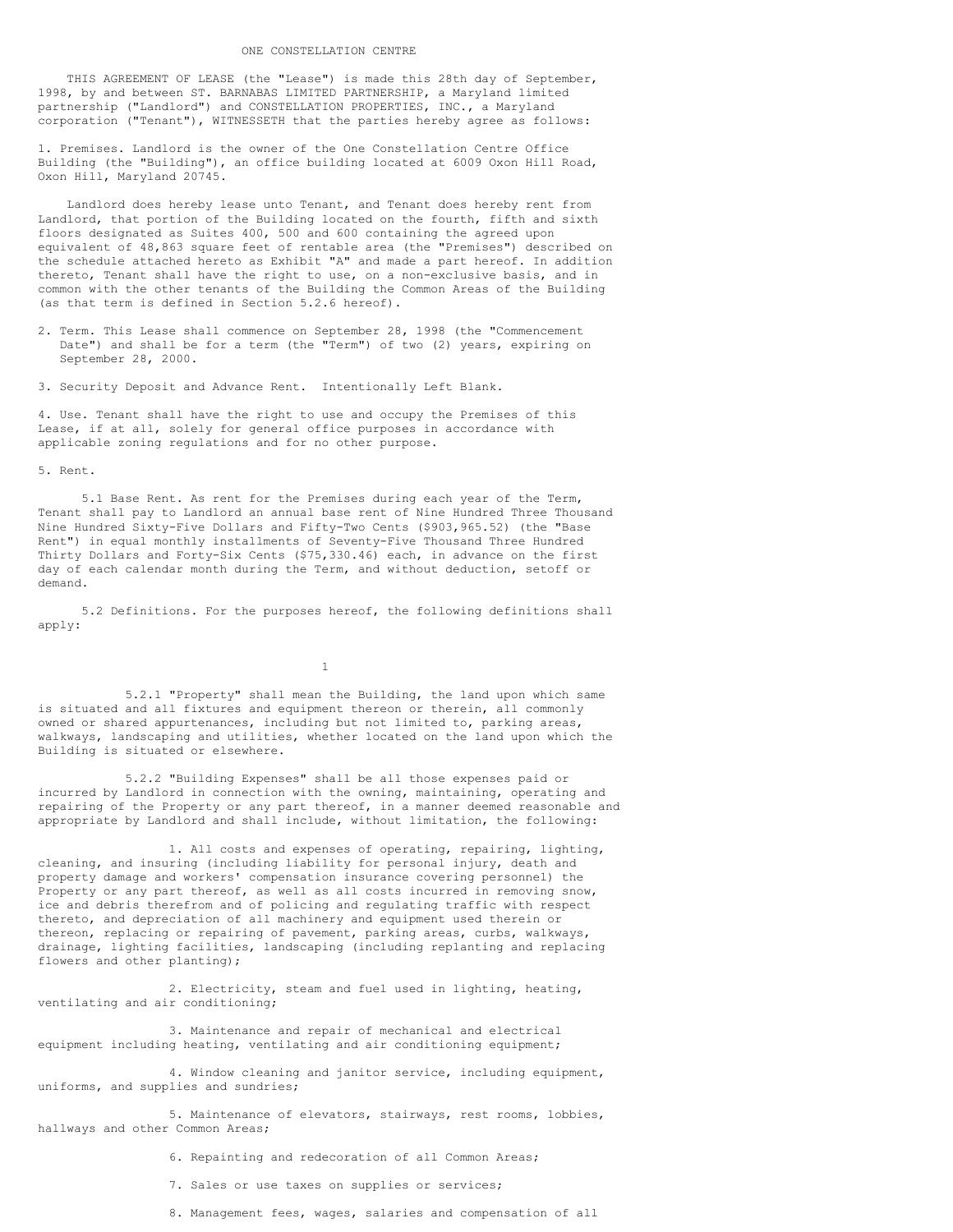THIS AGREEMENT OF LEASE (the "Lease") is made this 28th day of September, 1998, by and between ST. BARNABAS LIMITED PARTNERSHIP, a Maryland limited partnership ("Landlord") and CONSTELLATION PROPERTIES, INC., a Maryland corporation ("Tenant"), WITNESSETH that the parties hereby agree as follows:

1. Premises. Landlord is the owner of the One Constellation Centre Office Building (the "Building"), an office building located at 6009 Oxon Hill Road, Oxon Hill, Maryland 20745.

Landlord does hereby lease unto Tenant, and Tenant does hereby rent from Landlord, that portion of the Building located on the fourth, fifth and sixth floors designated as Suites 400, 500 and 600 containing the agreed upon equivalent of 48,863 square feet of rentable area (the "Premises") described on the schedule attached hereto as Exhibit "A" and made a part hereof. In addition thereto, Tenant shall have the right to use, on a non-exclusive basis, and in common with the other tenants of the Building the Common Areas of the Building (as that term is defined in Section 5.2.6 hereof).

2. Term. This Lease shall commence on September 28, 1998 (the "Commencement Date") and shall be for a term (the "Term") of two (2) years, expiring on September 28, 2000.

3. Security Deposit and Advance Rent. Intentionally Left Blank.

4. Use. Tenant shall have the right to use and occupy the Premises of this Lease, if at all, solely for general office purposes in accordance with applicable zoning regulations and for no other purpose.

#### 5. Rent.

5.1 Base Rent. As rent for the Premises during each year of the Term, Tenant shall pay to Landlord an annual base rent of Nine Hundred Three Thousand Nine Hundred Sixty-Five Dollars and Fifty-Two Cents (\$903,965.52) (the "Base Rent") in equal monthly installments of Seventy-Five Thousand Three Hundred Thirty Dollars and Forty-Six Cents (\$75,330.46) each, in advance on the first day of each calendar month during the Term, and without deduction, setoff or demand.

5.2 Definitions. For the purposes hereof, the following definitions shall apply:

1

5.2.1 "Property" shall mean the Building, the land upon which same is situated and all fixtures and equipment thereon or therein, all commonly owned or shared appurtenances, including but not limited to, parking areas, walkways, landscaping and utilities, whether located on the land upon which the Building is situated or elsewhere.

5.2.2 "Building Expenses" shall be all those expenses paid or incurred by Landlord in connection with the owning, maintaining, operating and repairing of the Property or any part thereof, in a manner deemed reasonable and appropriate by Landlord and shall include, without limitation, the following:

1. All costs and expenses of operating, repairing, lighting, cleaning, and insuring (including liability for personal injury, death and property damage and workers' compensation insurance covering personnel) the Property or any part thereof, as well as all costs incurred in removing snow, ice and debris therefrom and of policing and regulating traffic with respect thereto, and depreciation of all machinery and equipment used therein or thereon, replacing or repairing of pavement, parking areas, curbs, walkways, drainage, lighting facilities, landscaping (including replanting and replacing flowers and other planting);

2. Electricity, steam and fuel used in lighting, heating, ventilating and air conditioning;

3. Maintenance and repair of mechanical and electrical equipment including heating, ventilating and air conditioning equipment;

4. Window cleaning and janitor service, including equipment, uniforms, and supplies and sundries;

5. Maintenance of elevators, stairways, rest rooms, lobbies, hallways and other Common Areas;

6. Repainting and redecoration of all Common Areas;

- 7. Sales or use taxes on supplies or services;
- 8. Management fees, wages, salaries and compensation of all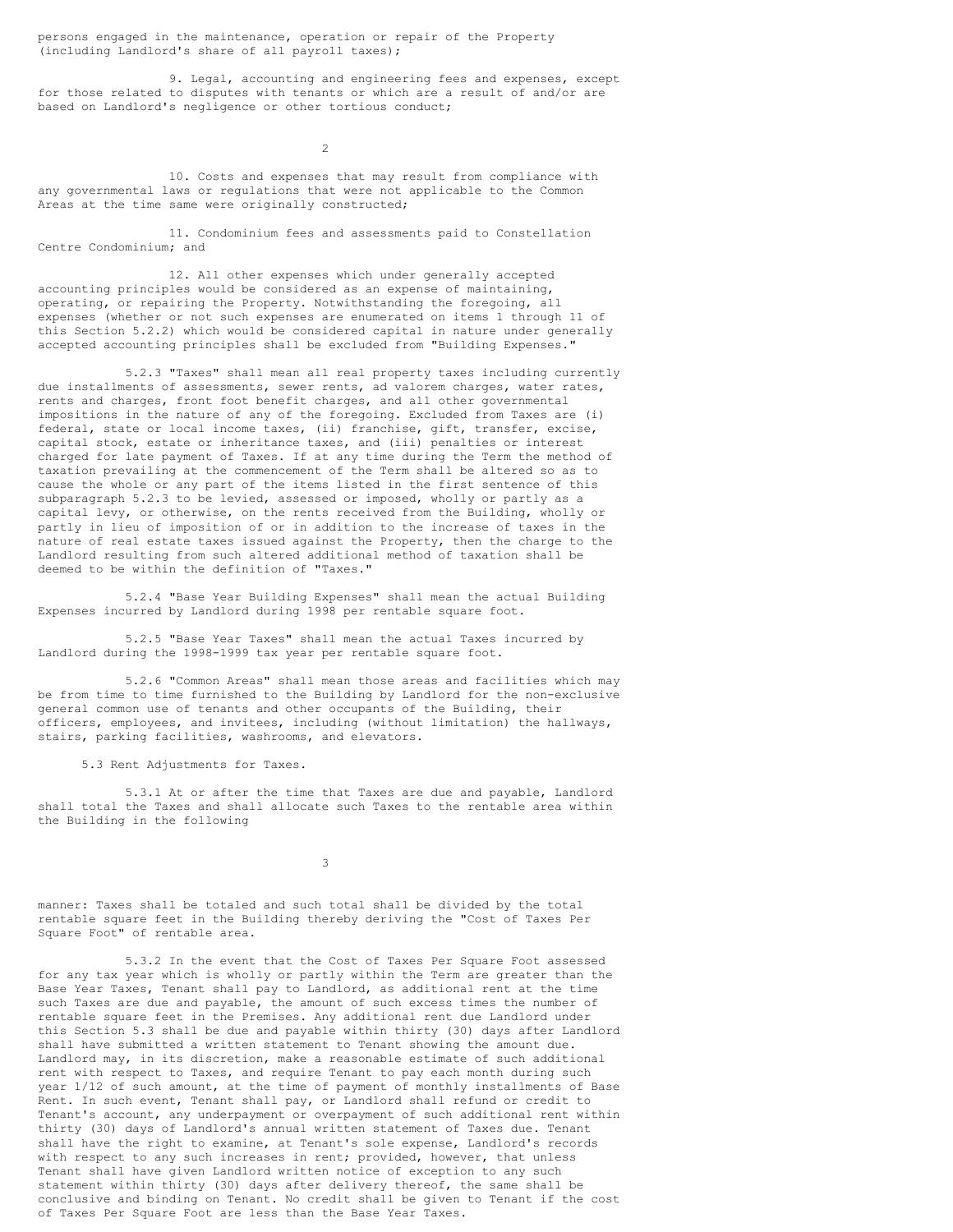persons engaged in the maintenance, operation or repair of the Property (including Landlord's share of all payroll taxes);

9. Legal, accounting and engineering fees and expenses, except for those related to disputes with tenants or which are a result of and/or are based on Landlord's negligence or other tortious conduct;

 $\overline{2}$ 

10. Costs and expenses that may result from compliance with any governmental laws or regulations that were not applicable to the Common Areas at the time same were originally constructed;

11. Condominium fees and assessments paid to Constellation Centre Condominium; and

12. All other expenses which under generally accepted accounting principles would be considered as an expense of maintaining, operating, or repairing the Property. Notwithstanding the foregoing, all expenses (whether or not such expenses are enumerated on items 1 through 11 of this Section 5.2.2) which would be considered capital in nature under generally accepted accounting principles shall be excluded from "Building Expenses."

5.2.3 "Taxes" shall mean all real property taxes including currently due installments of assessments, sewer rents, ad valorem charges, water rates, rents and charges, front foot benefit charges, and all other governmental impositions in the nature of any of the foregoing. Excluded from Taxes are (i) federal, state or local income taxes, (ii) franchise, gift, transfer, excise, capital stock, estate or inheritance taxes, and (iii) penalties or interest charged for late payment of Taxes. If at any time during the Term the method of taxation prevailing at the commencement of the Term shall be altered so as to cause the whole or any part of the items listed in the first sentence of this subparagraph 5.2.3 to be levied, assessed or imposed, wholly or partly as a capital levy, or otherwise, on the rents received from the Building, wholly or partly in lieu of imposition of or in addition to the increase of taxes in the nature of real estate taxes issued against the Property, then the charge to the Landlord resulting from such altered additional method of taxation shall be deemed to be within the definition of "Taxes."

5.2.4 "Base Year Building Expenses" shall mean the actual Building Expenses incurred by Landlord during 1998 per rentable square foot.

5.2.5 "Base Year Taxes" shall mean the actual Taxes incurred by Landlord during the 1998-1999 tax year per rentable square foot.

5.2.6 "Common Areas" shall mean those areas and facilities which may be from time to time furnished to the Building by Landlord for the non-exclusive general common use of tenants and other occupants of the Building, their officers, employees, and invitees, including (without limitation) the hallways, stairs, parking facilities, washrooms, and elevators.

5.3 Rent Adjustments for Taxes.

5.3.1 At or after the time that Taxes are due and payable, Landlord shall total the Taxes and shall allocate such Taxes to the rentable area within the Building in the following

3

manner: Taxes shall be totaled and such total shall be divided by the total rentable square feet in the Building thereby deriving the "Cost of Taxes Per Square Foot" of rentable area.

5.3.2 In the event that the Cost of Taxes Per Square Foot assessed for any tax year which is wholly or partly within the Term are greater than the Base Year Taxes, Tenant shall pay to Landlord, as additional rent at the time such Taxes are due and payable, the amount of such excess times the number of rentable square feet in the Premises. Any additional rent due Landlord under this Section 5.3 shall be due and payable within thirty (30) days after Landlord shall have submitted a written statement to Tenant showing the amount due. Landlord may, in its discretion, make a reasonable estimate of such additional rent with respect to Taxes, and require Tenant to pay each month during such year 1/12 of such amount, at the time of payment of monthly installments of Base Rent. In such event, Tenant shall pay, or Landlord shall refund or credit to Tenant's account, any underpayment or overpayment of such additional rent within thirty (30) days of Landlord's annual written statement of Taxes due. Tenant shall have the right to examine, at Tenant's sole expense, Landlord's records with respect to any such increases in rent; provided, however, that unless Tenant shall have given Landlord written notice of exception to any such statement within thirty (30) days after delivery thereof, the same shall be conclusive and binding on Tenant. No credit shall be given to Tenant if the cost of Taxes Per Square Foot are less than the Base Year Taxes.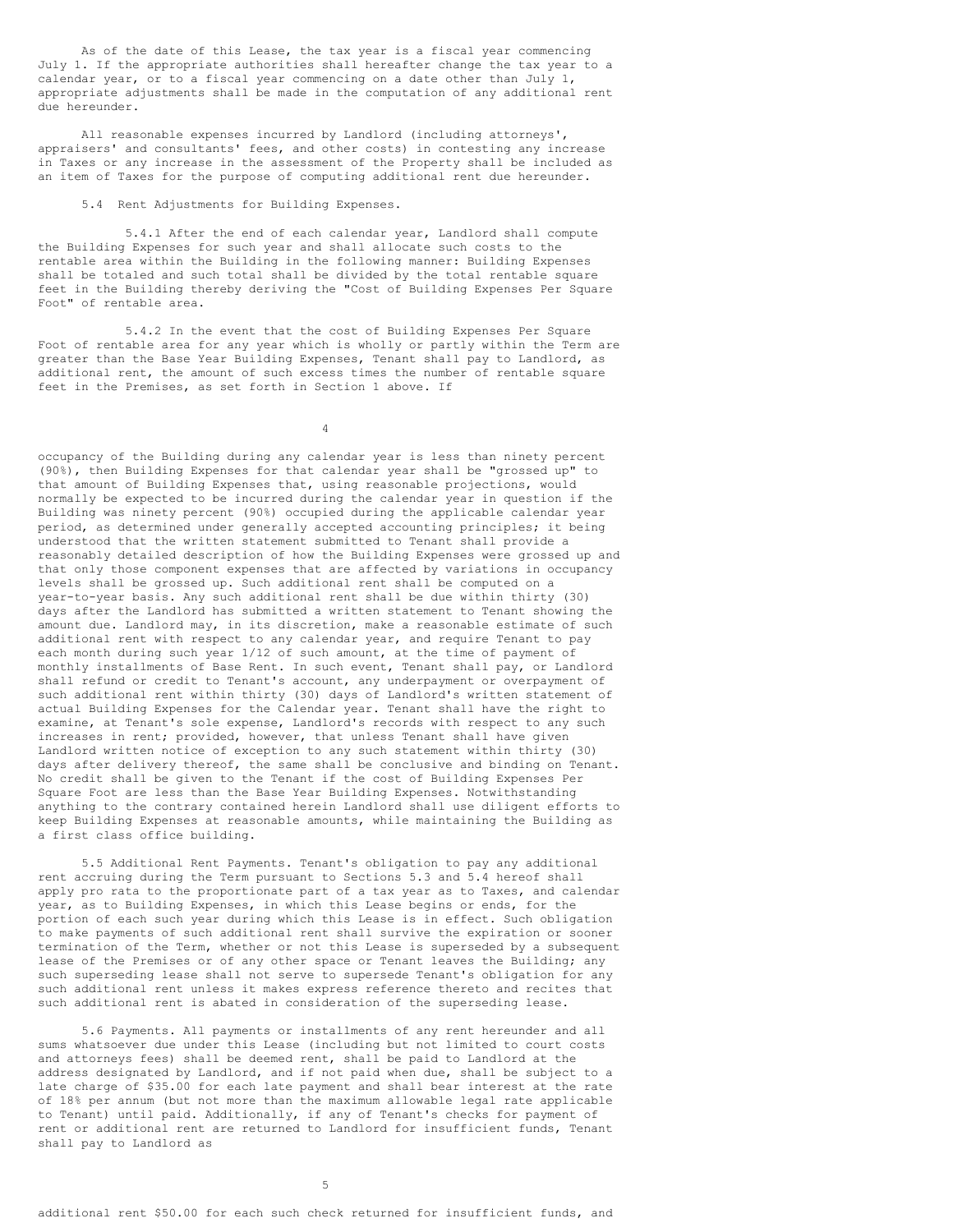As of the date of this Lease, the tax year is a fiscal year commencing July 1. If the appropriate authorities shall hereafter change the tax year to a calendar year, or to a fiscal year commencing on a date other than July 1, appropriate adjustments shall be made in the computation of any additional rent due hereunder.

All reasonable expenses incurred by Landlord (including attorneys', appraisers' and consultants' fees, and other costs) in contesting any increase in Taxes or any increase in the assessment of the Property shall be included as an item of Taxes for the purpose of computing additional rent due hereunder.

## 5.4 Rent Adjustments for Building Expenses.

5.4.1 After the end of each calendar year, Landlord shall compute the Building Expenses for such year and shall allocate such costs to the rentable area within the Building in the following manner: Building Expenses shall be totaled and such total shall be divided by the total rentable square feet in the Building thereby deriving the "Cost of Building Expenses Per Square Foot" of rentable area.

5.4.2 In the event that the cost of Building Expenses Per Square Foot of rentable area for any year which is wholly or partly within the Term are greater than the Base Year Building Expenses, Tenant shall pay to Landlord, as additional rent, the amount of such excess times the number of rentable square feet in the Premises, as set forth in Section 1 above. If

4

occupancy of the Building during any calendar year is less than ninety percent (90%), then Building Expenses for that calendar year shall be "grossed up" to that amount of Building Expenses that, using reasonable projections, would normally be expected to be incurred during the calendar year in question if the Building was ninety percent (90%) occupied during the applicable calendar year period, as determined under generally accepted accounting principles; it being understood that the written statement submitted to Tenant shall provide a reasonably detailed description of how the Building Expenses were grossed up and that only those component expenses that are affected by variations in occupancy levels shall be grossed up. Such additional rent shall be computed on a year-to-year basis. Any such additional rent shall be due within thirty (30) days after the Landlord has submitted a written statement to Tenant showing the amount due. Landlord may, in its discretion, make a reasonable estimate of such additional rent with respect to any calendar year, and require Tenant to pay each month during such year 1/12 of such amount, at the time of payment of monthly installments of Base Rent. In such event, Tenant shall pay, or Landlord shall refund or credit to Tenant's account, any underpayment or overpayment of such additional rent within thirty (30) days of Landlord's written statement of actual Building Expenses for the Calendar year. Tenant shall have the right to examine, at Tenant's sole expense, Landlord's records with respect to any such increases in rent; provided, however, that unless Tenant shall have given Landlord written notice of exception to any such statement within thirty (30) days after delivery thereof, the same shall be conclusive and binding on Tenant. No credit shall be given to the Tenant if the cost of Building Expenses Per Square Foot are less than the Base Year Building Expenses. Notwithstanding anything to the contrary contained herein Landlord shall use diligent efforts to keep Building Expenses at reasonable amounts, while maintaining the Building as a first class office building.

5.5 Additional Rent Payments. Tenant's obligation to pay any additional rent accruing during the Term pursuant to Sections 5.3 and 5.4 hereof shall apply pro rata to the proportionate part of a tax year as to Taxes, and calendar year, as to Building Expenses, in which this Lease begins or ends, for the portion of each such year during which this Lease is in effect. Such obligation to make payments of such additional rent shall survive the expiration or sooner termination of the Term, whether or not this Lease is superseded by a subsequent lease of the Premises or of any other space or Tenant leaves the Building; any such superseding lease shall not serve to supersede Tenant's obligation for any such additional rent unless it makes express reference thereto and recites that such additional rent is abated in consideration of the superseding lease.

5.6 Payments. All payments or installments of any rent hereunder and all sums whatsoever due under this Lease (including but not limited to court costs and attorneys fees) shall be deemed rent, shall be paid to Landlord at the address designated by Landlord, and if not paid when due, shall be subject to a late charge of \$35.00 for each late payment and shall bear interest at the rate of 18% per annum (but not more than the maximum allowable legal rate applicable to Tenant) until paid. Additionally, if any of Tenant's checks for payment of rent or additional rent are returned to Landlord for insufficient funds, Tenant shall pay to Landlord as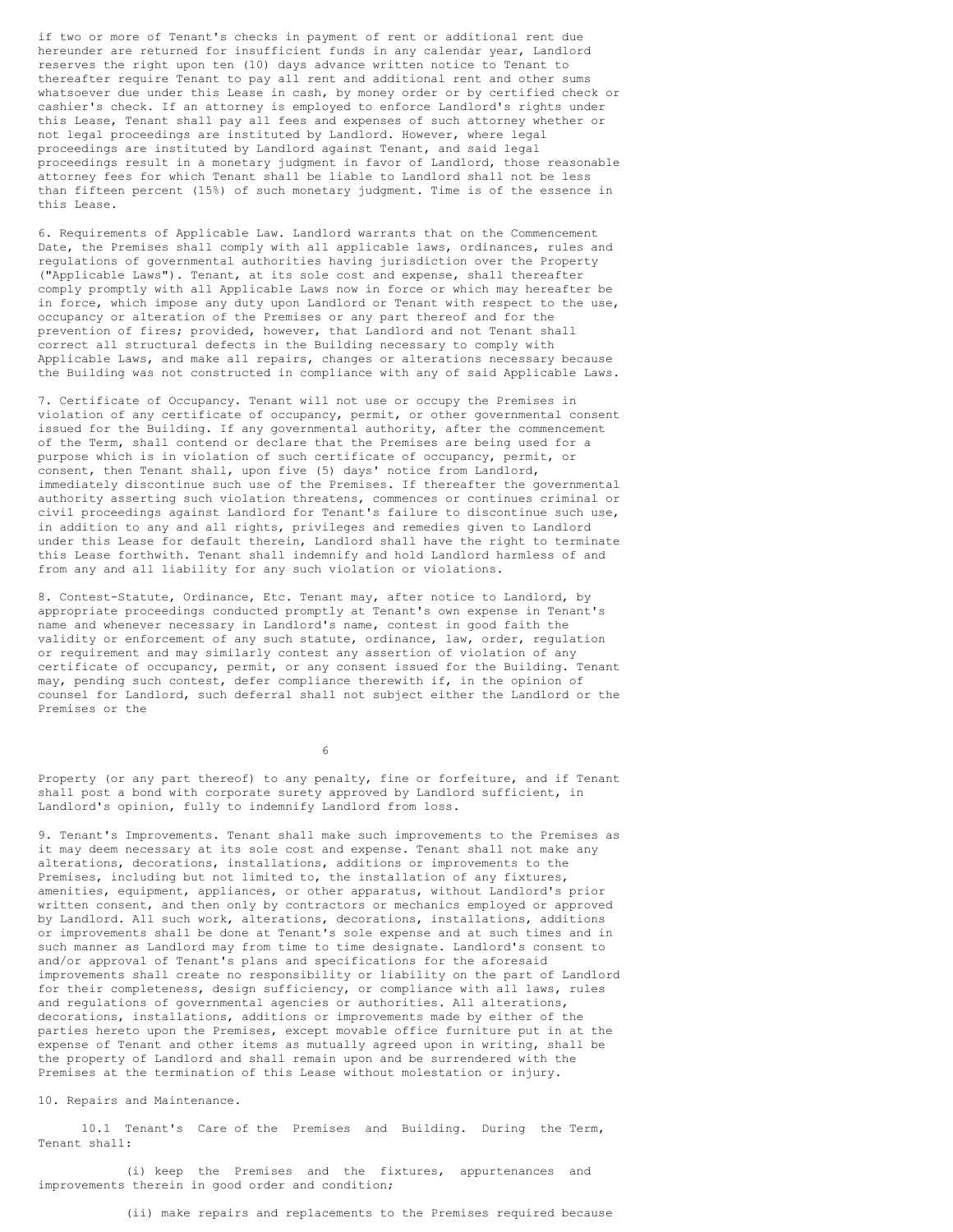if two or more of Tenant's checks in payment of rent or additional rent due hereunder are returned for insufficient funds in any calendar year, Landlord reserves the right upon ten (10) days advance written notice to Tenant to thereafter require Tenant to pay all rent and additional rent and other sums whatsoever due under this Lease in cash, by money order or by certified check or cashier's check. If an attorney is employed to enforce Landlord's rights under this Lease, Tenant shall pay all fees and expenses of such attorney whether or not legal proceedings are instituted by Landlord. However, where legal proceedings are instituted by Landlord against Tenant, and said legal proceedings result in a monetary judgment in favor of Landlord, those reasonable attorney fees for which Tenant shall be liable to Landlord shall not be less than fifteen percent (15%) of such monetary judgment. Time is of the essence in this Lease.

6. Requirements of Applicable Law. Landlord warrants that on the Commencement Date, the Premises shall comply with all applicable laws, ordinances, rules and regulations of governmental authorities having jurisdiction over the Property ("Applicable Laws"). Tenant, at its sole cost and expense, shall thereafter comply promptly with all Applicable Laws now in force or which may hereafter be in force, which impose any duty upon Landlord or Tenant with respect to the use, occupancy or alteration of the Premises or any part thereof and for the prevention of fires; provided, however, that Landlord and not Tenant shall correct all structural defects in the Building necessary to comply with Applicable Laws, and make all repairs, changes or alterations necessary because the Building was not constructed in compliance with any of said Applicable Laws.

7. Certificate of Occupancy. Tenant will not use or occupy the Premises in violation of any certificate of occupancy, permit, or other governmental consent issued for the Building. If any governmental authority, after the commencement of the Term, shall contend or declare that the Premises are being used for a purpose which is in violation of such certificate of occupancy, permit, or consent, then Tenant shall, upon five (5) days' notice from Landlord, immediately discontinue such use of the Premises. If thereafter the governmental authority asserting such violation threatens, commences or continues criminal or civil proceedings against Landlord for Tenant's failure to discontinue such use, in addition to any and all rights, privileges and remedies given to Landlord under this Lease for default therein, Landlord shall have the right to terminate this Lease forthwith. Tenant shall indemnify and hold Landlord harmless of and from any and all liability for any such violation or violations.

8. Contest-Statute, Ordinance, Etc. Tenant may, after notice to Landlord, by appropriate proceedings conducted promptly at Tenant's own expense in Tenant's name and whenever necessary in Landlord's name, contest in good faith the validity or enforcement of any such statute, ordinance, law, order, regulation or requirement and may similarly contest any assertion of violation of any certificate of occupancy, permit, or any consent issued for the Building. Tenant may, pending such contest, defer compliance therewith if, in the opinion of counsel for Landlord, such deferral shall not subject either the Landlord or the Premises or the

6

Property (or any part thereof) to any penalty, fine or forfeiture, and if Tenant shall post a bond with corporate surety approved by Landlord sufficient, in Landlord's opinion, fully to indemnify Landlord from loss.

9. Tenant's Improvements. Tenant shall make such improvements to the Premises as it may deem necessary at its sole cost and expense. Tenant shall not make any alterations, decorations, installations, additions or improvements to the Premises, including but not limited to, the installation of any fixtures, amenities, equipment, appliances, or other apparatus, without Landlord's prior written consent, and then only by contractors or mechanics employed or approved by Landlord. All such work, alterations, decorations, installations, additions or improvements shall be done at Tenant's sole expense and at such times and in such manner as Landlord may from time to time designate. Landlord's consent to and/or approval of Tenant's plans and specifications for the aforesaid improvements shall create no responsibility or liability on the part of Landlord for their completeness, design sufficiency, or compliance with all laws, rules and regulations of governmental agencies or authorities. All alterations, decorations, installations, additions or improvements made by either of the parties hereto upon the Premises, except movable office furniture put in at the expense of Tenant and other items as mutually agreed upon in writing, shall be the property of Landlord and shall remain upon and be surrendered with the Premises at the termination of this Lease without molestation or injury.

### 10. Repairs and Maintenance.

10.1 Tenant's Care of the Premises and Building. During the Term, Tenant shall:

(i) keep the Premises and the fixtures, appurtenances and improvements therein in good order and condition;

(ii) make repairs and replacements to the Premises required because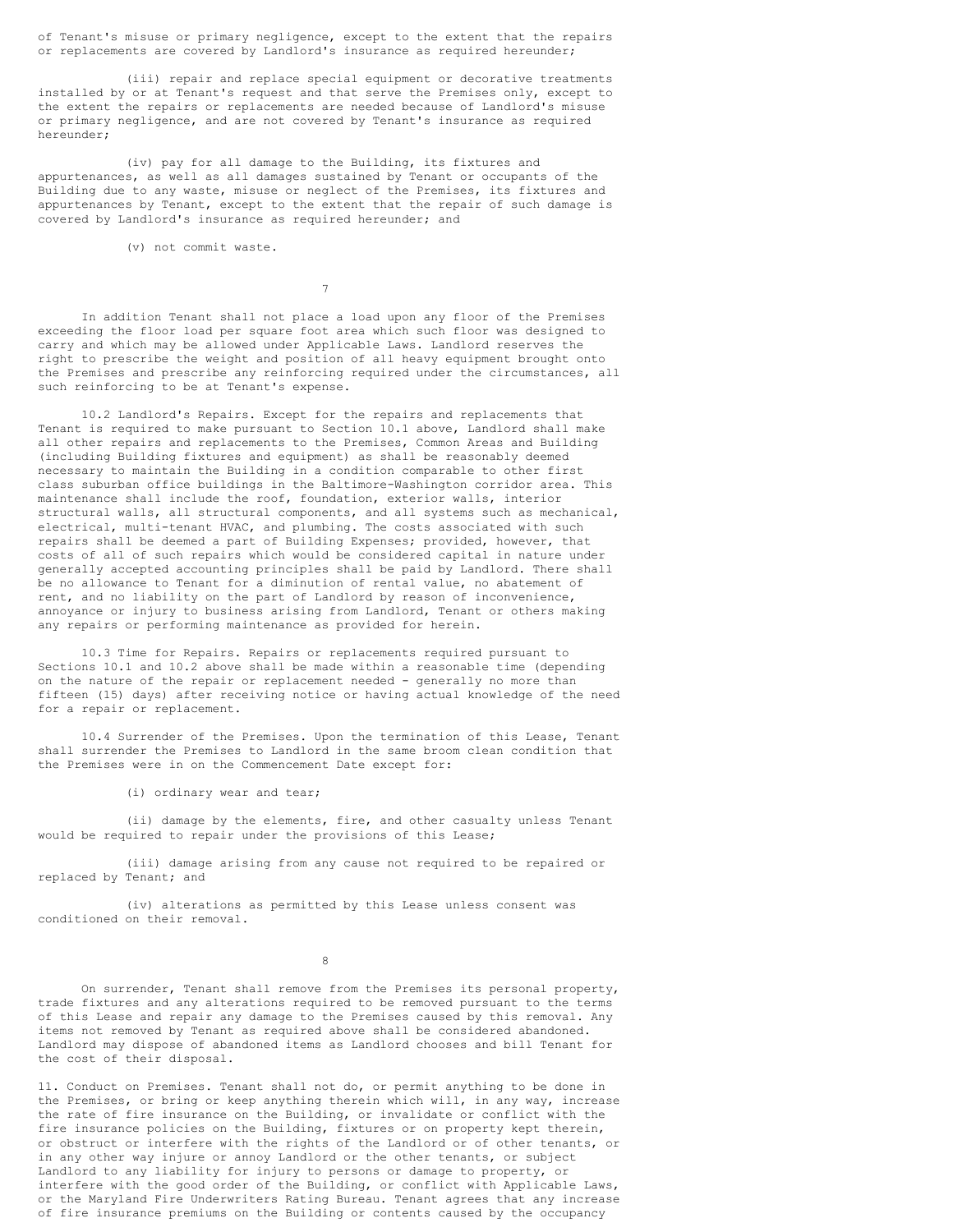of Tenant's misuse or primary negligence, except to the extent that the repairs or replacements are covered by Landlord's insurance as required hereunder;

(iii) repair and replace special equipment or decorative treatments installed by or at Tenant's request and that serve the Premises only, except to the extent the repairs or replacements are needed because of Landlord's misuse or primary negligence, and are not covered by Tenant's insurance as required hereunder;

(iv) pay for all damage to the Building, its fixtures and appurtenances, as well as all damages sustained by Tenant or occupants of the Building due to any waste, misuse or neglect of the Premises, its fixtures and appurtenances by Tenant, except to the extent that the repair of such damage is covered by Landlord's insurance as required hereunder; and

(v) not commit waste.

7

In addition Tenant shall not place a load upon any floor of the Premises exceeding the floor load per square foot area which such floor was designed to carry and which may be allowed under Applicable Laws. Landlord reserves the right to prescribe the weight and position of all heavy equipment brought onto the Premises and prescribe any reinforcing required under the circumstances, all such reinforcing to be at Tenant's expense.

10.2 Landlord's Repairs. Except for the repairs and replacements that Tenant is required to make pursuant to Section 10.1 above, Landlord shall make all other repairs and replacements to the Premises, Common Areas and Building (including Building fixtures and equipment) as shall be reasonably deemed necessary to maintain the Building in a condition comparable to other first class suburban office buildings in the Baltimore-Washington corridor area. This maintenance shall include the roof, foundation, exterior walls, interior structural walls, all structural components, and all systems such as mechanical, electrical, multi-tenant HVAC, and plumbing. The costs associated with such repairs shall be deemed a part of Building Expenses; provided, however, that costs of all of such repairs which would be considered capital in nature under generally accepted accounting principles shall be paid by Landlord. There shall be no allowance to Tenant for a diminution of rental value, no abatement of rent, and no liability on the part of Landlord by reason of inconvenience, annoyance or injury to business arising from Landlord, Tenant or others making any repairs or performing maintenance as provided for herein.

10.3 Time for Repairs. Repairs or replacements required pursuant to Sections 10.1 and 10.2 above shall be made within a reasonable time (depending on the nature of the repair or replacement needed - generally no more than fifteen (15) days) after receiving notice or having actual knowledge of the need for a repair or replacement.

10.4 Surrender of the Premises. Upon the termination of this Lease, Tenant shall surrender the Premises to Landlord in the same broom clean condition that the Premises were in on the Commencement Date except for:

(i) ordinary wear and tear;

(ii) damage by the elements, fire, and other casualty unless Tenant would be required to repair under the provisions of this Lease;

(iii) damage arising from any cause not required to be repaired or replaced by Tenant; and

(iv) alterations as permitted by this Lease unless consent was conditioned on their removal.

8

On surrender, Tenant shall remove from the Premises its personal property, trade fixtures and any alterations required to be removed pursuant to the terms of this Lease and repair any damage to the Premises caused by this removal. Any items not removed by Tenant as required above shall be considered abandoned. Landlord may dispose of abandoned items as Landlord chooses and bill Tenant for the cost of their disposal.

11. Conduct on Premises. Tenant shall not do, or permit anything to be done in the Premises, or bring or keep anything therein which will, in any way, increase the rate of fire insurance on the Building, or invalidate or conflict with the fire insurance policies on the Building, fixtures or on property kept therein, or obstruct or interfere with the rights of the Landlord or of other tenants, or in any other way injure or annoy Landlord or the other tenants, or subject Landlord to any liability for injury to persons or damage to property, or interfere with the good order of the Building, or conflict with Applicable Laws, or the Maryland Fire Underwriters Rating Bureau. Tenant agrees that any increase of fire insurance premiums on the Building or contents caused by the occupancy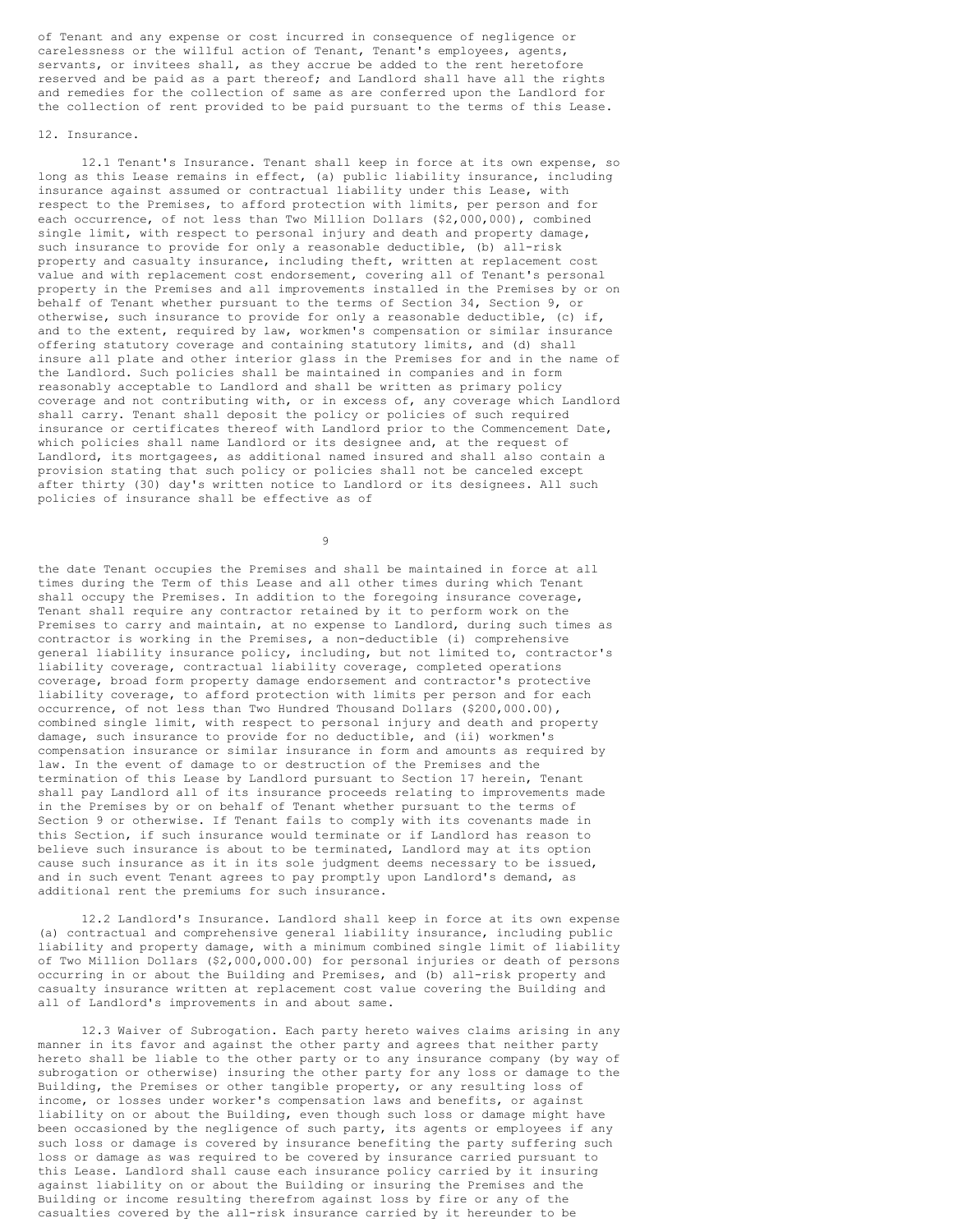of Tenant and any expense or cost incurred in consequence of negligence or carelessness or the willful action of Tenant, Tenant's employees, agents, servants, or invitees shall, as they accrue be added to the rent heretofore reserved and be paid as a part thereof; and Landlord shall have all the rights and remedies for the collection of same as are conferred upon the Landlord for the collection of rent provided to be paid pursuant to the terms of this Lease.

## 12. Insurance.

12.1 Tenant's Insurance. Tenant shall keep in force at its own expense, so long as this Lease remains in effect, (a) public liability insurance, including insurance against assumed or contractual liability under this Lease, with respect to the Premises, to afford protection with limits, per person and for each occurrence, of not less than Two Million Dollars (\$2,000,000), combined single limit, with respect to personal injury and death and property damage, such insurance to provide for only a reasonable deductible, (b) all-risk property and casualty insurance, including theft, written at replacement cost value and with replacement cost endorsement, covering all of Tenant's personal property in the Premises and all improvements installed in the Premises by or on behalf of Tenant whether pursuant to the terms of Section 34, Section 9, or otherwise, such insurance to provide for only a reasonable deductible, (c) if, and to the extent, required by law, workmen's compensation or similar insurance offering statutory coverage and containing statutory limits, and (d) shall insure all plate and other interior glass in the Premises for and in the name of the Landlord. Such policies shall be maintained in companies and in form reasonably acceptable to Landlord and shall be written as primary policy coverage and not contributing with, or in excess of, any coverage which Landlord shall carry. Tenant shall deposit the policy or policies of such required insurance or certificates thereof with Landlord prior to the Commencement Date, which policies shall name Landlord or its designee and, at the request of Landlord, its mortgagees, as additional named insured and shall also contain a provision stating that such policy or policies shall not be canceled except after thirty (30) day's written notice to Landlord or its designees. All such policies of insurance shall be effective as of

 $\alpha$ 

the date Tenant occupies the Premises and shall be maintained in force at all times during the Term of this Lease and all other times during which Tenant shall occupy the Premises. In addition to the foregoing insurance coverage, Tenant shall require any contractor retained by it to perform work on the Premises to carry and maintain, at no expense to Landlord, during such times as contractor is working in the Premises, a non-deductible (i) comprehensive general liability insurance policy, including, but not limited to, contractor's liability coverage, contractual liability coverage, completed operations coverage, broad form property damage endorsement and contractor's protective liability coverage, to afford protection with limits per person and for each occurrence, of not less than Two Hundred Thousand Dollars (\$200,000.00), combined single limit, with respect to personal injury and death and property damage, such insurance to provide for no deductible, and (ii) workmen's compensation insurance or similar insurance in form and amounts as required by law. In the event of damage to or destruction of the Premises and the termination of this Lease by Landlord pursuant to Section 17 herein, Tenant shall pay Landlord all of its insurance proceeds relating to improvements made in the Premises by or on behalf of Tenant whether pursuant to the terms of Section 9 or otherwise. If Tenant fails to comply with its covenants made in this Section, if such insurance would terminate or if Landlord has reason to believe such insurance is about to be terminated, Landlord may at its option cause such insurance as it in its sole judgment deems necessary to be issued, and in such event Tenant agrees to pay promptly upon Landlord's demand, as additional rent the premiums for such insurance.

12.2 Landlord's Insurance. Landlord shall keep in force at its own expense (a) contractual and comprehensive general liability insurance, including public liability and property damage, with a minimum combined single limit of liability of Two Million Dollars (\$2,000,000.00) for personal injuries or death of persons occurring in or about the Building and Premises, and (b) all-risk property and casualty insurance written at replacement cost value covering the Building and all of Landlord's improvements in and about same.

12.3 Waiver of Subrogation. Each party hereto waives claims arising in any manner in its favor and against the other party and agrees that neither party hereto shall be liable to the other party or to any insurance company (by way of subrogation or otherwise) insuring the other party for any loss or damage to the Building, the Premises or other tangible property, or any resulting loss of income, or losses under worker's compensation laws and benefits, or against liability on or about the Building, even though such loss or damage might have been occasioned by the negligence of such party, its agents or employees if any such loss or damage is covered by insurance benefiting the party suffering such loss or damage as was required to be covered by insurance carried pursuant to this Lease. Landlord shall cause each insurance policy carried by it insuring against liability on or about the Building or insuring the Premises and the Building or income resulting therefrom against loss by fire or any of the casualties covered by the all-risk insurance carried by it hereunder to be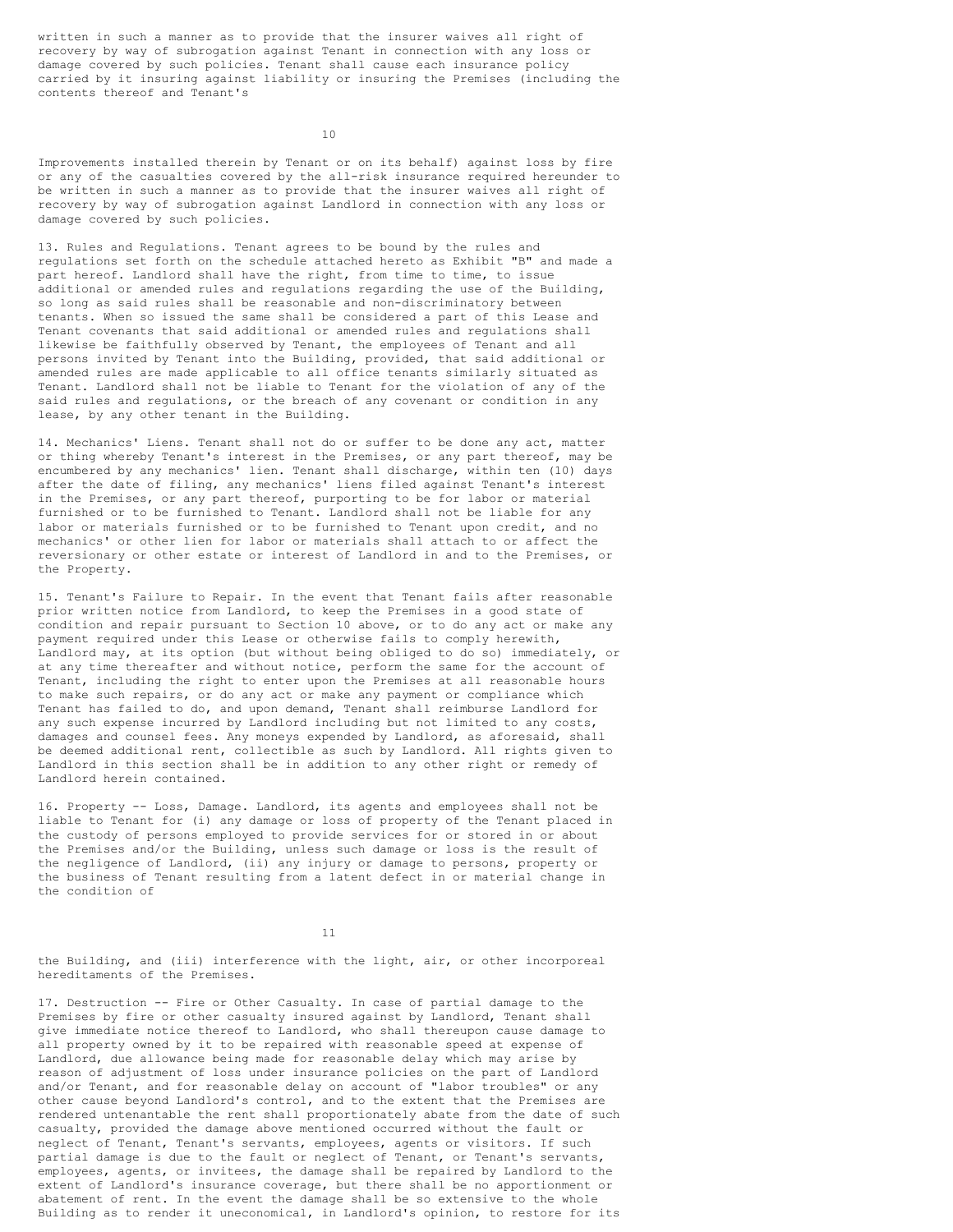written in such a manner as to provide that the insurer waives all right of recovery by way of subrogation against Tenant in connection with any loss or damage covered by such policies. Tenant shall cause each insurance policy carried by it insuring against liability or insuring the Premises (including the contents thereof and Tenant's

 $1<sub>0</sub>$ 

Improvements installed therein by Tenant or on its behalf) against loss by fire or any of the casualties covered by the all-risk insurance required hereunder to be written in such a manner as to provide that the insurer waives all right of recovery by way of subrogation against Landlord in connection with any loss or damage covered by such policies.

13. Rules and Regulations. Tenant agrees to be bound by the rules and regulations set forth on the schedule attached hereto as Exhibit "B" and made a part hereof. Landlord shall have the right, from time to time, to issue additional or amended rules and regulations regarding the use of the Building, so long as said rules shall be reasonable and non-discriminatory between tenants. When so issued the same shall be considered a part of this Lease and Tenant covenants that said additional or amended rules and regulations shall likewise be faithfully observed by Tenant, the employees of Tenant and all persons invited by Tenant into the Building, provided, that said additional or amended rules are made applicable to all office tenants similarly situated as Tenant. Landlord shall not be liable to Tenant for the violation of any of the said rules and regulations, or the breach of any covenant or condition in any lease, by any other tenant in the Building.

14. Mechanics' Liens. Tenant shall not do or suffer to be done any act, matter or thing whereby Tenant's interest in the Premises, or any part thereof, may be encumbered by any mechanics' lien. Tenant shall discharge, within ten (10) days after the date of filing, any mechanics' liens filed against Tenant's interest in the Premises, or any part thereof, purporting to be for labor or material furnished or to be furnished to Tenant. Landlord shall not be liable for any labor or materials furnished or to be furnished to Tenant upon credit, and no mechanics' or other lien for labor or materials shall attach to or affect the reversionary or other estate or interest of Landlord in and to the Premises, or the Property.

15. Tenant's Failure to Repair. In the event that Tenant fails after reasonable prior written notice from Landlord, to keep the Premises in a good state of condition and repair pursuant to Section 10 above, or to do any act or make any payment required under this Lease or otherwise fails to comply herewith, Landlord may, at its option (but without being obliged to do so) immediately, or at any time thereafter and without notice, perform the same for the account of Tenant, including the right to enter upon the Premises at all reasonable hours to make such repairs, or do any act or make any payment or compliance which Tenant has failed to do, and upon demand, Tenant shall reimburse Landlord for any such expense incurred by Landlord including but not limited to any costs, damages and counsel fees. Any moneys expended by Landlord, as aforesaid, shall be deemed additional rent, collectible as such by Landlord. All rights given to Landlord in this section shall be in addition to any other right or remedy of Landlord herein contained.

16. Property -- Loss, Damage. Landlord, its agents and employees shall not be liable to Tenant for (i) any damage or loss of property of the Tenant placed in the custody of persons employed to provide services for or stored in or about the Premises and/or the Building, unless such damage or loss is the result of the negligence of Landlord, (ii) any injury or damage to persons, property or the business of Tenant resulting from a latent defect in or material change in the condition of

11

the Building, and (iii) interference with the light, air, or other incorporeal hereditaments of the Premises.

17. Destruction -- Fire or Other Casualty. In case of partial damage to the Premises by fire or other casualty insured against by Landlord, Tenant shall give immediate notice thereof to Landlord, who shall thereupon cause damage to all property owned by it to be repaired with reasonable speed at expense of Landlord, due allowance being made for reasonable delay which may arise by reason of adjustment of loss under insurance policies on the part of Landlord and/or Tenant, and for reasonable delay on account of "labor troubles" or any other cause beyond Landlord's control, and to the extent that the Premises are rendered untenantable the rent shall proportionately abate from the date of such casualty, provided the damage above mentioned occurred without the fault or neglect of Tenant, Tenant's servants, employees, agents or visitors. If such partial damage is due to the fault or neglect of Tenant, or Tenant's servants, employees, agents, or invitees, the damage shall be repaired by Landlord to the extent of Landlord's insurance coverage, but there shall be no apportionment or abatement of rent. In the event the damage shall be so extensive to the whole Building as to render it uneconomical, in Landlord's opinion, to restore for its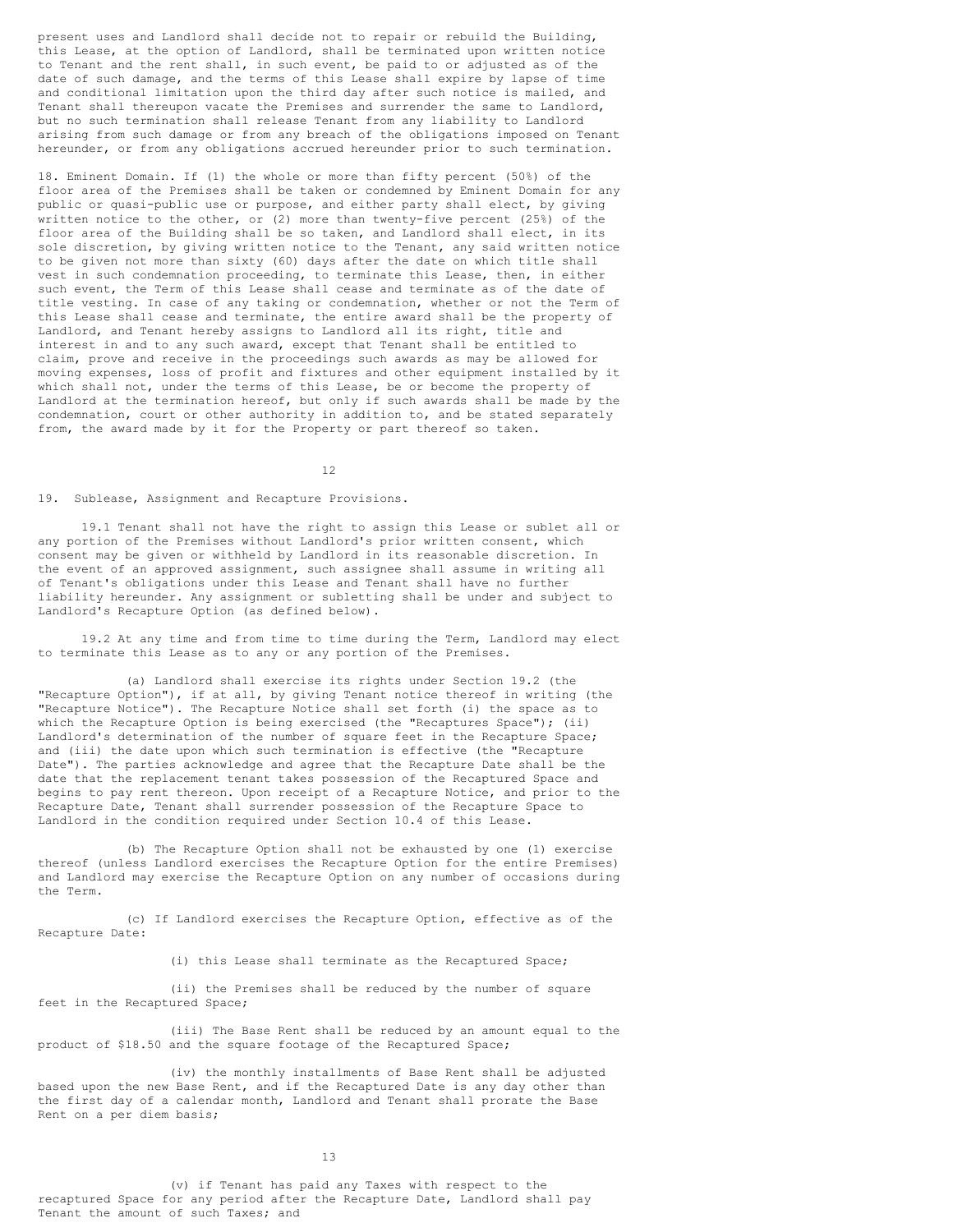present uses and Landlord shall decide not to repair or rebuild the Building, this Lease, at the option of Landlord, shall be terminated upon written notice to Tenant and the rent shall, in such event, be paid to or adjusted as of the date of such damage, and the terms of this Lease shall expire by lapse of time and conditional limitation upon the third day after such notice is mailed, and Tenant shall thereupon vacate the Premises and surrender the same to Landlord, but no such termination shall release Tenant from any liability to Landlord arising from such damage or from any breach of the obligations imposed on Tenant hereunder, or from any obligations accrued hereunder prior to such termination.

18. Eminent Domain. If (1) the whole or more than fifty percent (50%) of the floor area of the Premises shall be taken or condemned by Eminent Domain for any public or quasi-public use or purpose, and either party shall elect, by giving written notice to the other, or (2) more than twenty-five percent  $(25\%)$  of the floor area of the Building shall be so taken, and Landlord shall elect, in its sole discretion, by giving written notice to the Tenant, any said written notice to be given not more than sixty (60) days after the date on which title shall vest in such condemnation proceeding, to terminate this Lease, then, in either such event, the Term of this Lease shall cease and terminate as of the date of title vesting. In case of any taking or condemnation, whether or not the Term of this Lease shall cease and terminate, the entire award shall be the property of Landlord, and Tenant hereby assigns to Landlord all its right, title and interest in and to any such award, except that Tenant shall be entitled to claim, prove and receive in the proceedings such awards as may be allowed for moving expenses, loss of profit and fixtures and other equipment installed by it which shall not, under the terms of this Lease, be or become the property of Landlord at the termination hereof, but only if such awards shall be made by the condemnation, court or other authority in addition to, and be stated separately from, the award made by it for the Property or part thereof so taken.

12

19. Sublease, Assignment and Recapture Provisions.

19.1 Tenant shall not have the right to assign this Lease or sublet all or any portion of the Premises without Landlord's prior written consent, which consent may be given or withheld by Landlord in its reasonable discretion. In the event of an approved assignment, such assignee shall assume in writing all of Tenant's obligations under this Lease and Tenant shall have no further liability hereunder. Any assignment or subletting shall be under and subject to Landlord's Recapture Option (as defined below).

19.2 At any time and from time to time during the Term, Landlord may elect to terminate this Lease as to any or any portion of the Premises.

(a) Landlord shall exercise its rights under Section 19.2 (the "Recapture Option"), if at all, by giving Tenant notice thereof in writing (the "Recapture Notice"). The Recapture Notice shall set forth (i) the space as to which the Recapture Option is being exercised (the "Recaptures Space"); (ii) Landlord's determination of the number of square feet in the Recapture Space; and (iii) the date upon which such termination is effective (the "Recapture Date"). The parties acknowledge and agree that the Recapture Date shall be the date that the replacement tenant takes possession of the Recaptured Space and begins to pay rent thereon. Upon receipt of a Recapture Notice, and prior to the Recapture Date, Tenant shall surrender possession of the Recapture Space to Landlord in the condition required under Section 10.4 of this Lease.

(b) The Recapture Option shall not be exhausted by one (1) exercise thereof (unless Landlord exercises the Recapture Option for the entire Premises) and Landlord may exercise the Recapture Option on any number of occasions during the Term.

(c) If Landlord exercises the Recapture Option, effective as of the Recapture Date:

(i) this Lease shall terminate as the Recaptured Space;

(ii) the Premises shall be reduced by the number of square feet in the Recaptured Space;

(iii) The Base Rent shall be reduced by an amount equal to the product of \$18.50 and the square footage of the Recaptured Space;

(iv) the monthly installments of Base Rent shall be adjusted based upon the new Base Rent, and if the Recaptured Date is any day other than the first day of a calendar month, Landlord and Tenant shall prorate the Base Rent on a per diem basis;

13

(v) if Tenant has paid any Taxes with respect to the recaptured Space for any period after the Recapture Date, Landlord shall pay Tenant the amount of such Taxes; and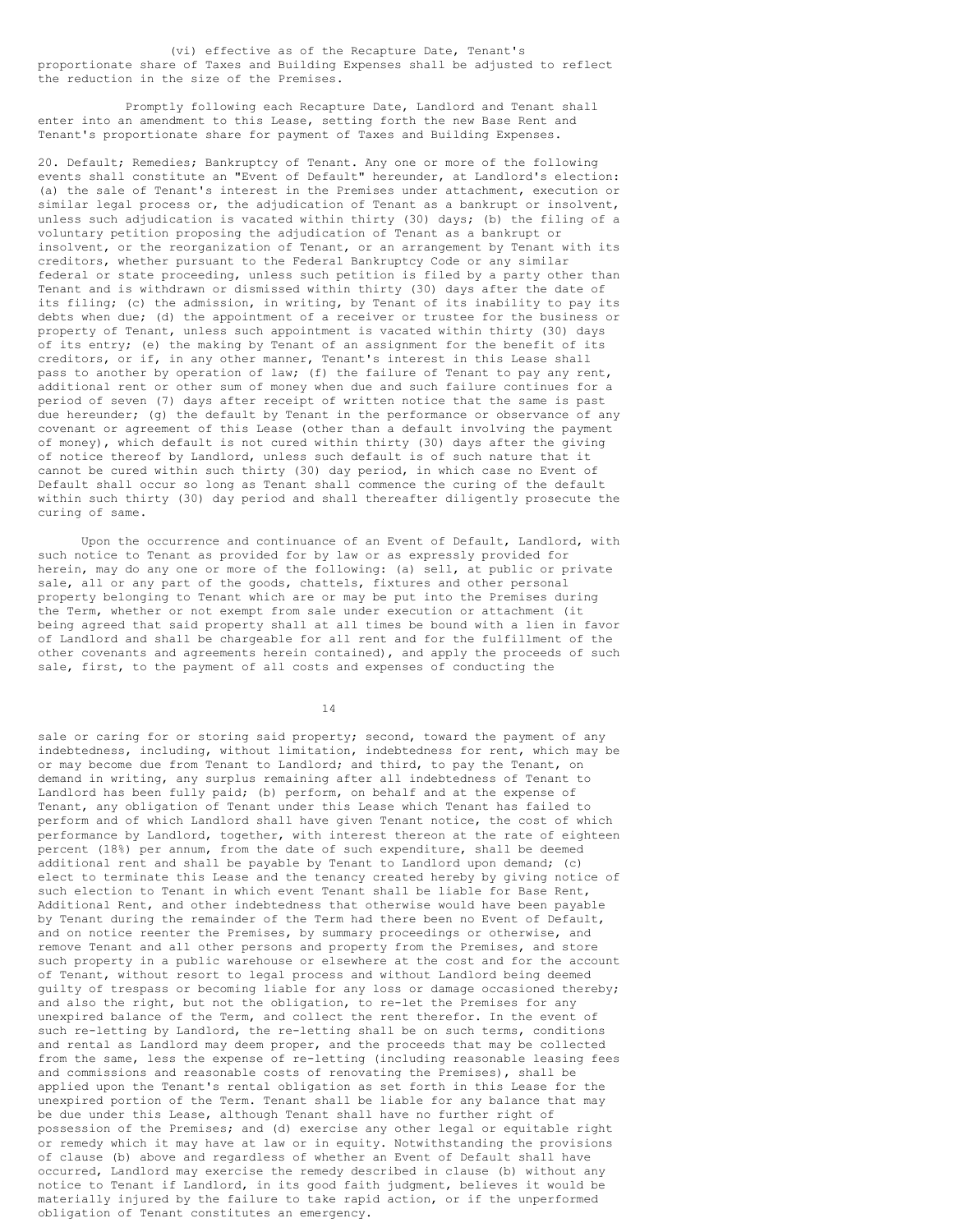(vi) effective as of the Recapture Date, Tenant's proportionate share of Taxes and Building Expenses shall be adjusted to reflect the reduction in the size of the Premises.

Promptly following each Recapture Date, Landlord and Tenant shall enter into an amendment to this Lease, setting forth the new Base Rent and Tenant's proportionate share for payment of Taxes and Building Expenses.

20. Default; Remedies; Bankruptcy of Tenant. Any one or more of the following events shall constitute an "Event of Default" hereunder, at Landlord's election: (a) the sale of Tenant's interest in the Premises under attachment, execution or similar legal process or, the adjudication of Tenant as a bankrupt or insolvent, unless such adjudication is vacated within thirty (30) days; (b) the filing of a voluntary petition proposing the adjudication of Tenant as a bankrupt or insolvent, or the reorganization of Tenant, or an arrangement by Tenant with its creditors, whether pursuant to the Federal Bankruptcy Code or any similar federal or state proceeding, unless such petition is filed by a party other than Tenant and is withdrawn or dismissed within thirty (30) days after the date of its filing; (c) the admission, in writing, by Tenant of its inability to pay its debts when due; (d) the appointment of a receiver or trustee for the business or property of Tenant, unless such appointment is vacated within thirty (30) days of its entry; (e) the making by Tenant of an assignment for the benefit of its creditors, or if, in any other manner, Tenant's interest in this Lease shall pass to another by operation of law; (f) the failure of Tenant to pay any rent, additional rent or other sum of money when due and such failure continues for a period of seven (7) days after receipt of written notice that the same is past due hereunder; (q) the default by Tenant in the performance or observance of any covenant or agreement of this Lease (other than a default involving the payment of money), which default is not cured within thirty (30) days after the giving of notice thereof by Landlord, unless such default is of such nature that it cannot be cured within such thirty (30) day period, in which case no Event of Default shall occur so long as Tenant shall commence the curing of the default within such thirty (30) day period and shall thereafter diligently prosecute the curing of same.

Upon the occurrence and continuance of an Event of Default, Landlord, with such notice to Tenant as provided for by law or as expressly provided for herein, may do any one or more of the following: (a) sell, at public or private sale, all or any part of the goods, chattels, fixtures and other personal property belonging to Tenant which are or may be put into the Premises during the Term, whether or not exempt from sale under execution or attachment (it being agreed that said property shall at all times be bound with a lien in favor of Landlord and shall be chargeable for all rent and for the fulfillment of the other covenants and agreements herein contained), and apply the proceeds of such sale, first, to the payment of all costs and expenses of conducting the

14

sale or caring for or storing said property; second, toward the payment of any indebtedness, including, without limitation, indebtedness for rent, which may be or may become due from Tenant to Landlord; and third, to pay the Tenant, on demand in writing, any surplus remaining after all indebtedness of Tenant to Landlord has been fully paid; (b) perform, on behalf and at the expense of Tenant, any obligation of Tenant under this Lease which Tenant has failed to perform and of which Landlord shall have given Tenant notice, the cost of which performance by Landlord, together, with interest thereon at the rate of eighteen percent (18%) per annum, from the date of such expenditure, shall be deemed additional rent and shall be payable by Tenant to Landlord upon demand; (c) elect to terminate this Lease and the tenancy created hereby by giving notice of such election to Tenant in which event Tenant shall be liable for Base Rent, Additional Rent, and other indebtedness that otherwise would have been payable by Tenant during the remainder of the Term had there been no Event of Default, and on notice reenter the Premises, by summary proceedings or otherwise, and remove Tenant and all other persons and property from the Premises, and store such property in a public warehouse or elsewhere at the cost and for the account of Tenant, without resort to legal process and without Landlord being deemed guilty of trespass or becoming liable for any loss or damage occasioned thereby; and also the right, but not the obligation, to re-let the Premises for any unexpired balance of the Term, and collect the rent therefor. In the event of such re-letting by Landlord, the re-letting shall be on such terms, conditions and rental as Landlord may deem proper, and the proceeds that may be collected from the same, less the expense of re-letting (including reasonable leasing fees and commissions and reasonable costs of renovating the Premises), shall be applied upon the Tenant's rental obligation as set forth in this Lease for the unexpired portion of the Term. Tenant shall be liable for any balance that may be due under this Lease, although Tenant shall have no further right of possession of the Premises; and (d) exercise any other legal or equitable right or remedy which it may have at law or in equity. Notwithstanding the provisions of clause (b) above and regardless of whether an Event of Default shall have occurred, Landlord may exercise the remedy described in clause (b) without any notice to Tenant if Landlord, in its good faith judgment, believes it would be materially injured by the failure to take rapid action, or if the unperformed obligation of Tenant constitutes an emergency.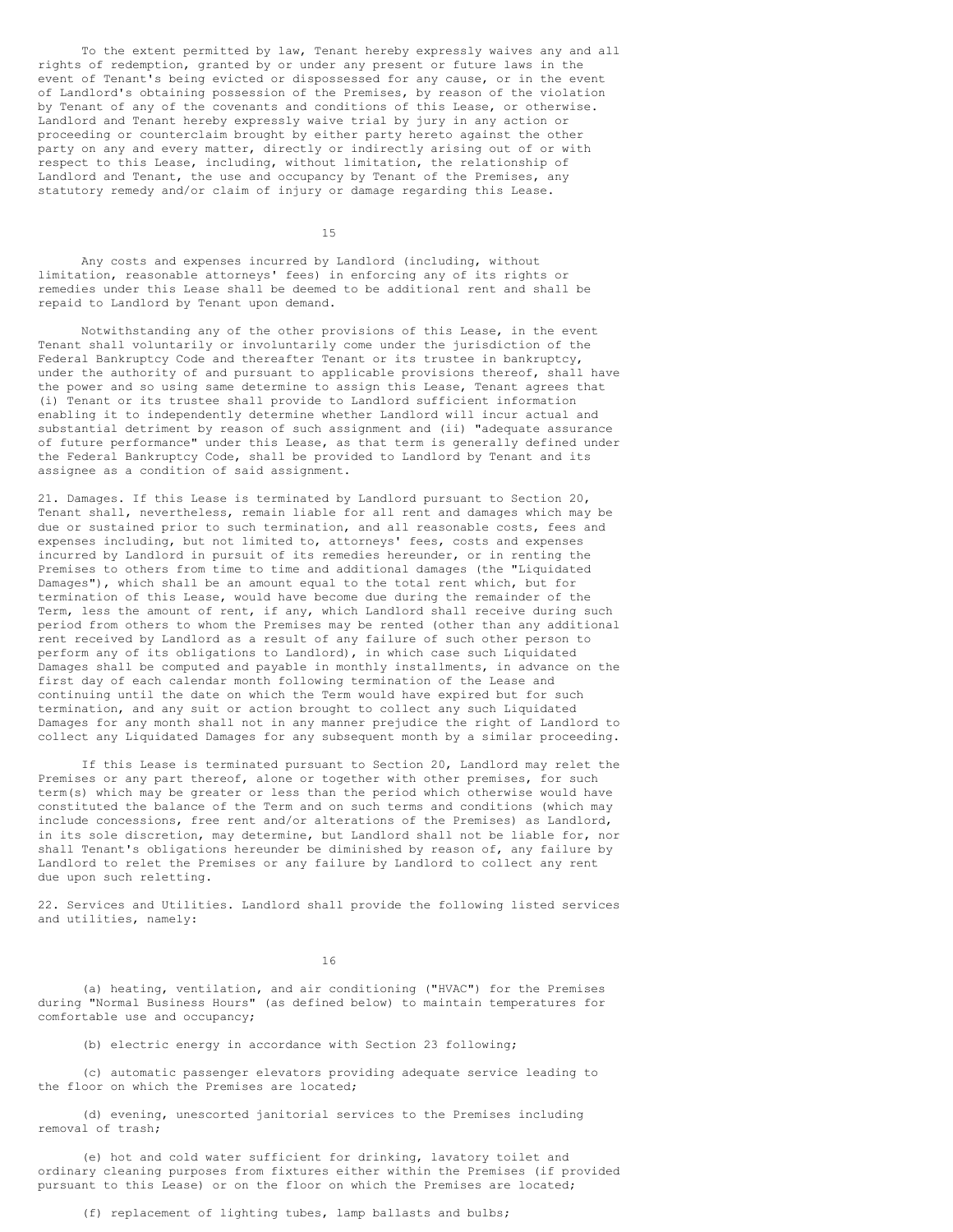To the extent permitted by law, Tenant hereby expressly waives any and all rights of redemption, granted by or under any present or future laws in the event of Tenant's being evicted or dispossessed for any cause, or in the event of Landlord's obtaining possession of the Premises, by reason of the violation by Tenant of any of the covenants and conditions of this Lease, or otherwise. Landlord and Tenant hereby expressly waive trial by jury in any action or proceeding or counterclaim brought by either party hereto against the other party on any and every matter, directly or indirectly arising out of or with respect to this Lease, including, without limitation, the relationship of Landlord and Tenant, the use and occupancy by Tenant of the Premises, any statutory remedy and/or claim of injury or damage regarding this Lease.

15

Any costs and expenses incurred by Landlord (including, without limitation, reasonable attorneys' fees) in enforcing any of its rights or remedies under this Lease shall be deemed to be additional rent and shall be repaid to Landlord by Tenant upon demand.

Notwithstanding any of the other provisions of this Lease, in the event Tenant shall voluntarily or involuntarily come under the jurisdiction of the Federal Bankruptcy Code and thereafter Tenant or its trustee in bankruptcy, under the authority of and pursuant to applicable provisions thereof, shall have the power and so using same determine to assign this Lease, Tenant agrees that (i) Tenant or its trustee shall provide to Landlord sufficient information enabling it to independently determine whether Landlord will incur actual and substantial detriment by reason of such assignment and (ii) "adequate assurance of future performance" under this Lease, as that term is generally defined under the Federal Bankruptcy Code, shall be provided to Landlord by Tenant and its assignee as a condition of said assignment.

21. Damages. If this Lease is terminated by Landlord pursuant to Section 20, Tenant shall, nevertheless, remain liable for all rent and damages which may be due or sustained prior to such termination, and all reasonable costs, fees and expenses including, but not limited to, attorneys' fees, costs and expenses incurred by Landlord in pursuit of its remedies hereunder, or in renting the Premises to others from time to time and additional damages (the "Liquidated Damages"), which shall be an amount equal to the total rent which, but for termination of this Lease, would have become due during the remainder of the Term, less the amount of rent, if any, which Landlord shall receive during such period from others to whom the Premises may be rented (other than any additional rent received by Landlord as a result of any failure of such other person to perform any of its obligations to Landlord), in which case such Liquidated Damages shall be computed and payable in monthly installments, in advance on the first day of each calendar month following termination of the Lease and continuing until the date on which the Term would have expired but for such termination, and any suit or action brought to collect any such Liquidated Damages for any month shall not in any manner prejudice the right of Landlord to collect any Liquidated Damages for any subsequent month by a similar proceeding.

If this Lease is terminated pursuant to Section 20, Landlord may relet the Premises or any part thereof, alone or together with other premises, for such term(s) which may be greater or less than the period which otherwise would have constituted the balance of the Term and on such terms and conditions (which may include concessions, free rent and/or alterations of the Premises) as Landlord, in its sole discretion, may determine, but Landlord shall not be liable for, nor shall Tenant's obligations hereunder be diminished by reason of, any failure by Landlord to relet the Premises or any failure by Landlord to collect any rent due upon such reletting.

22. Services and Utilities. Landlord shall provide the following listed services and utilities, namely:

16

(a) heating, ventilation, and air conditioning ("HVAC") for the Premises during "Normal Business Hours" (as defined below) to maintain temperatures for comfortable use and occupancy;

(b) electric energy in accordance with Section 23 following;

(c) automatic passenger elevators providing adequate service leading to the floor on which the Premises are located;

(d) evening, unescorted janitorial services to the Premises including removal of trash;

(e) hot and cold water sufficient for drinking, lavatory toilet and ordinary cleaning purposes from fixtures either within the Premises (if provided pursuant to this Lease) or on the floor on which the Premises are located;

(f) replacement of lighting tubes, lamp ballasts and bulbs;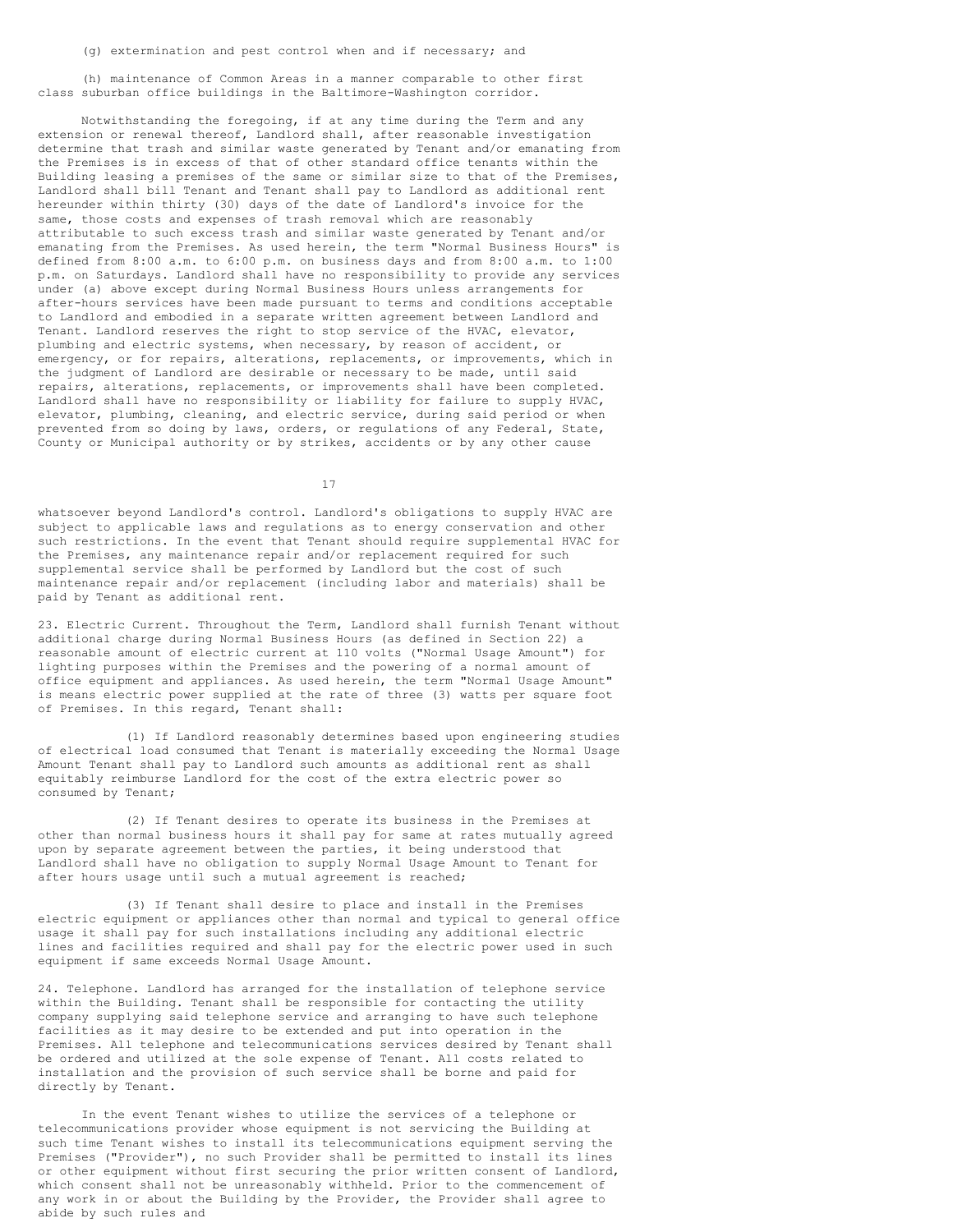(h) maintenance of Common Areas in a manner comparable to other first class suburban office buildings in the Baltimore-Washington corridor.

Notwithstanding the foregoing, if at any time during the Term and any extension or renewal thereof, Landlord shall, after reasonable investigation determine that trash and similar waste generated by Tenant and/or emanating from the Premises is in excess of that of other standard office tenants within the Building leasing a premises of the same or similar size to that of the Premises, Landlord shall bill Tenant and Tenant shall pay to Landlord as additional rent hereunder within thirty (30) days of the date of Landlord's invoice for the same, those costs and expenses of trash removal which are reasonably attributable to such excess trash and similar waste generated by Tenant and/or emanating from the Premises. As used herein, the term "Normal Business Hours" is defined from 8:00 a.m. to 6:00 p.m. on business days and from 8:00 a.m. to 1:00 p.m. on Saturdays. Landlord shall have no responsibility to provide any services under (a) above except during Normal Business Hours unless arrangements for after-hours services have been made pursuant to terms and conditions acceptable to Landlord and embodied in a separate written agreement between Landlord and Tenant. Landlord reserves the right to stop service of the HVAC, elevator, plumbing and electric systems, when necessary, by reason of accident, or emergency, or for repairs, alterations, replacements, or improvements, which in the judgment of Landlord are desirable or necessary to be made, until said repairs, alterations, replacements, or improvements shall have been completed. Landlord shall have no responsibility or liability for failure to supply HVAC, elevator, plumbing, cleaning, and electric service, during said period or when prevented from so doing by laws, orders, or regulations of any Federal, State, County or Municipal authority or by strikes, accidents or by any other cause

17

whatsoever beyond Landlord's control. Landlord's obligations to supply HVAC are subject to applicable laws and regulations as to energy conservation and other such restrictions. In the event that Tenant should require supplemental HVAC for the Premises, any maintenance repair and/or replacement required for such supplemental service shall be performed by Landlord but the cost of such maintenance repair and/or replacement (including labor and materials) shall be paid by Tenant as additional rent.

23. Electric Current. Throughout the Term, Landlord shall furnish Tenant without additional charge during Normal Business Hours (as defined in Section 22) a reasonable amount of electric current at 110 volts ("Normal Usage Amount") for lighting purposes within the Premises and the powering of a normal amount of office equipment and appliances. As used herein, the term "Normal Usage Amount" is means electric power supplied at the rate of three (3) watts per square foot of Premises. In this regard, Tenant shall:

(1) If Landlord reasonably determines based upon engineering studies of electrical load consumed that Tenant is materially exceeding the Normal Usage Amount Tenant shall pay to Landlord such amounts as additional rent as shall equitably reimburse Landlord for the cost of the extra electric power so consumed by Tenant;

(2) If Tenant desires to operate its business in the Premises at other than normal business hours it shall pay for same at rates mutually agreed upon by separate agreement between the parties, it being understood that Landlord shall have no obligation to supply Normal Usage Amount to Tenant for after hours usage until such a mutual agreement is reached;

(3) If Tenant shall desire to place and install in the Premises electric equipment or appliances other than normal and typical to general office usage it shall pay for such installations including any additional electric lines and facilities required and shall pay for the electric power used in such equipment if same exceeds Normal Usage Amount.

24. Telephone. Landlord has arranged for the installation of telephone service within the Building. Tenant shall be responsible for contacting the utility company supplying said telephone service and arranging to have such telephone facilities as it may desire to be extended and put into operation in the Premises. All telephone and telecommunications services desired by Tenant shall be ordered and utilized at the sole expense of Tenant. All costs related to installation and the provision of such service shall be borne and paid for directly by Tenant.

In the event Tenant wishes to utilize the services of a telephone or telecommunications provider whose equipment is not servicing the Building at such time Tenant wishes to install its telecommunications equipment serving the Premises ("Provider"), no such Provider shall be permitted to install its lines or other equipment without first securing the prior written consent of Landlord, which consent shall not be unreasonably withheld. Prior to the commencement of any work in or about the Building by the Provider, the Provider shall agree to abide by such rules and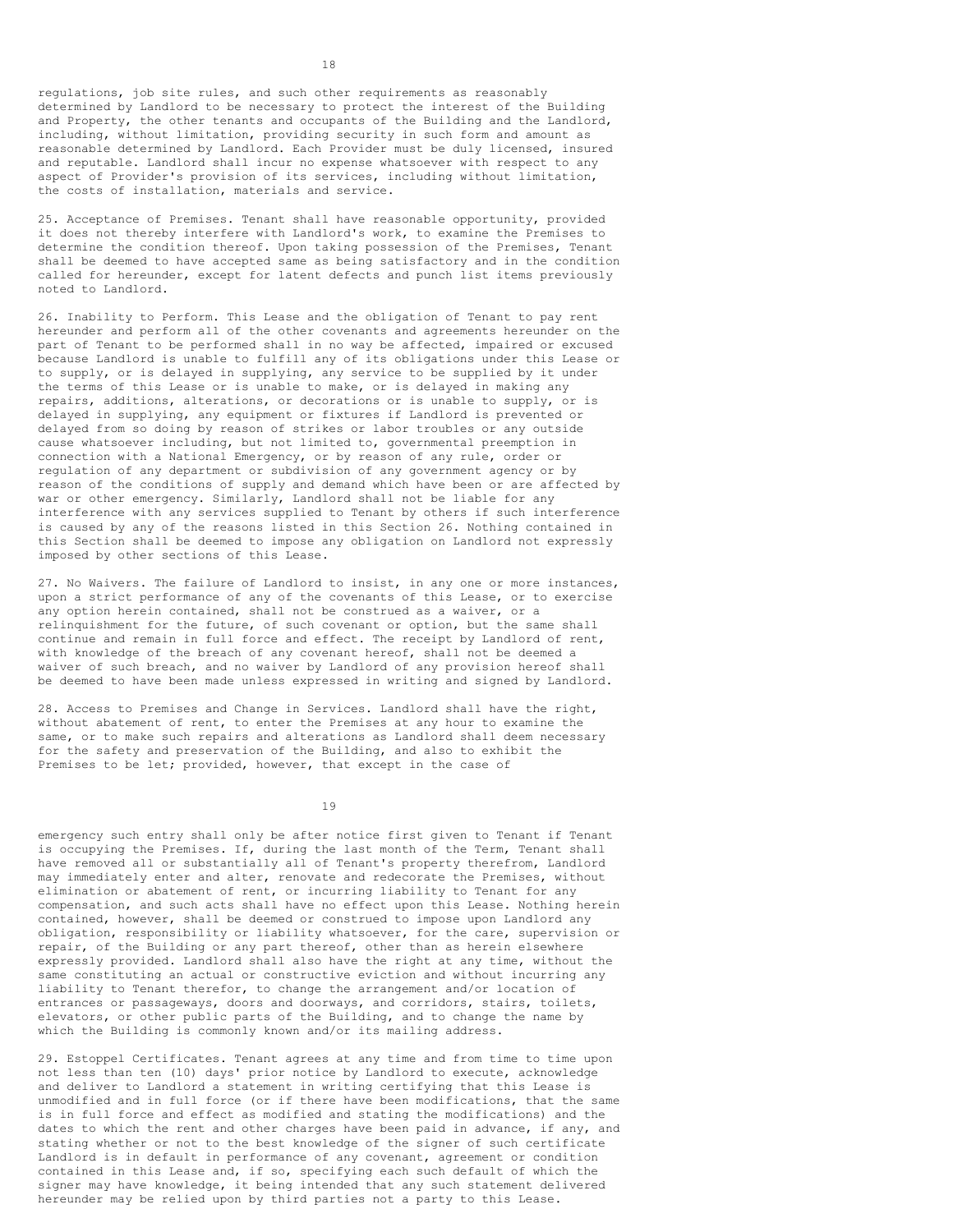regulations, job site rules, and such other requirements as reasonably determined by Landlord to be necessary to protect the interest of the Building and Property, the other tenants and occupants of the Building and the Landlord, including, without limitation, providing security in such form and amount as reasonable determined by Landlord. Each Provider must be duly licensed, insured and reputable. Landlord shall incur no expense whatsoever with respect to any aspect of Provider's provision of its services, including without limitation, the costs of installation, materials and service.

25. Acceptance of Premises. Tenant shall have reasonable opportunity, provided it does not thereby interfere with Landlord's work, to examine the Premises to determine the condition thereof. Upon taking possession of the Premises, Tenant shall be deemed to have accepted same as being satisfactory and in the condition called for hereunder, except for latent defects and punch list items previously noted to Landlord.

26. Inability to Perform. This Lease and the obligation of Tenant to pay rent hereunder and perform all of the other covenants and agreements hereunder on the part of Tenant to be performed shall in no way be affected, impaired or excused because Landlord is unable to fulfill any of its obligations under this Lease or to supply, or is delayed in supplying, any service to be supplied by it under the terms of this Lease or is unable to make, or is delayed in making any repairs, additions, alterations, or decorations or is unable to supply, or is delayed in supplying, any equipment or fixtures if Landlord is prevented or delayed from so doing by reason of strikes or labor troubles or any outside cause whatsoever including, but not limited to, governmental preemption in connection with a National Emergency, or by reason of any rule, order or regulation of any department or subdivision of any government agency or by reason of the conditions of supply and demand which have been or are affected by war or other emergency. Similarly, Landlord shall not be liable for any interference with any services supplied to Tenant by others if such interference is caused by any of the reasons listed in this Section 26. Nothing contained in this Section shall be deemed to impose any obligation on Landlord not expressly imposed by other sections of this Lease.

27. No Waivers. The failure of Landlord to insist, in any one or more instances, upon a strict performance of any of the covenants of this Lease, or to exercise any option herein contained, shall not be construed as a waiver, or a relinquishment for the future, of such covenant or option, but the same shall continue and remain in full force and effect. The receipt by Landlord of rent, with knowledge of the breach of any covenant hereof, shall not be deemed a waiver of such breach, and no waiver by Landlord of any provision hereof shall be deemed to have been made unless expressed in writing and signed by Landlord.

28. Access to Premises and Change in Services. Landlord shall have the right, without abatement of rent, to enter the Premises at any hour to examine the same, or to make such repairs and alterations as Landlord shall deem necessary for the safety and preservation of the Building, and also to exhibit the Premises to be let; provided, however, that except in the case of

19

emergency such entry shall only be after notice first given to Tenant if Tenant is occupying the Premises. If, during the last month of the Term, Tenant shall have removed all or substantially all of Tenant's property therefrom, Landlord may immediately enter and alter, renovate and redecorate the Premises, without elimination or abatement of rent, or incurring liability to Tenant for any compensation, and such acts shall have no effect upon this Lease. Nothing herein contained, however, shall be deemed or construed to impose upon Landlord any obligation, responsibility or liability whatsoever, for the care, supervision or repair, of the Building or any part thereof, other than as herein elsewhere expressly provided. Landlord shall also have the right at any time, without the same constituting an actual or constructive eviction and without incurring any liability to Tenant therefor, to change the arrangement and/or location of entrances or passageways, doors and doorways, and corridors, stairs, toilets, elevators, or other public parts of the Building, and to change the name by which the Building is commonly known and/or its mailing address.

29. Estoppel Certificates. Tenant agrees at any time and from time to time upon not less than ten (10) days' prior notice by Landlord to execute, acknowledge and deliver to Landlord a statement in writing certifying that this Lease is unmodified and in full force (or if there have been modifications, that the same is in full force and effect as modified and stating the modifications) and the dates to which the rent and other charges have been paid in advance, if any, and stating whether or not to the best knowledge of the signer of such certificate Landlord is in default in performance of any covenant, agreement or condition contained in this Lease and, if so, specifying each such default of which the signer may have knowledge, it being intended that any such statement delivered hereunder may be relied upon by third parties not a party to this Lease.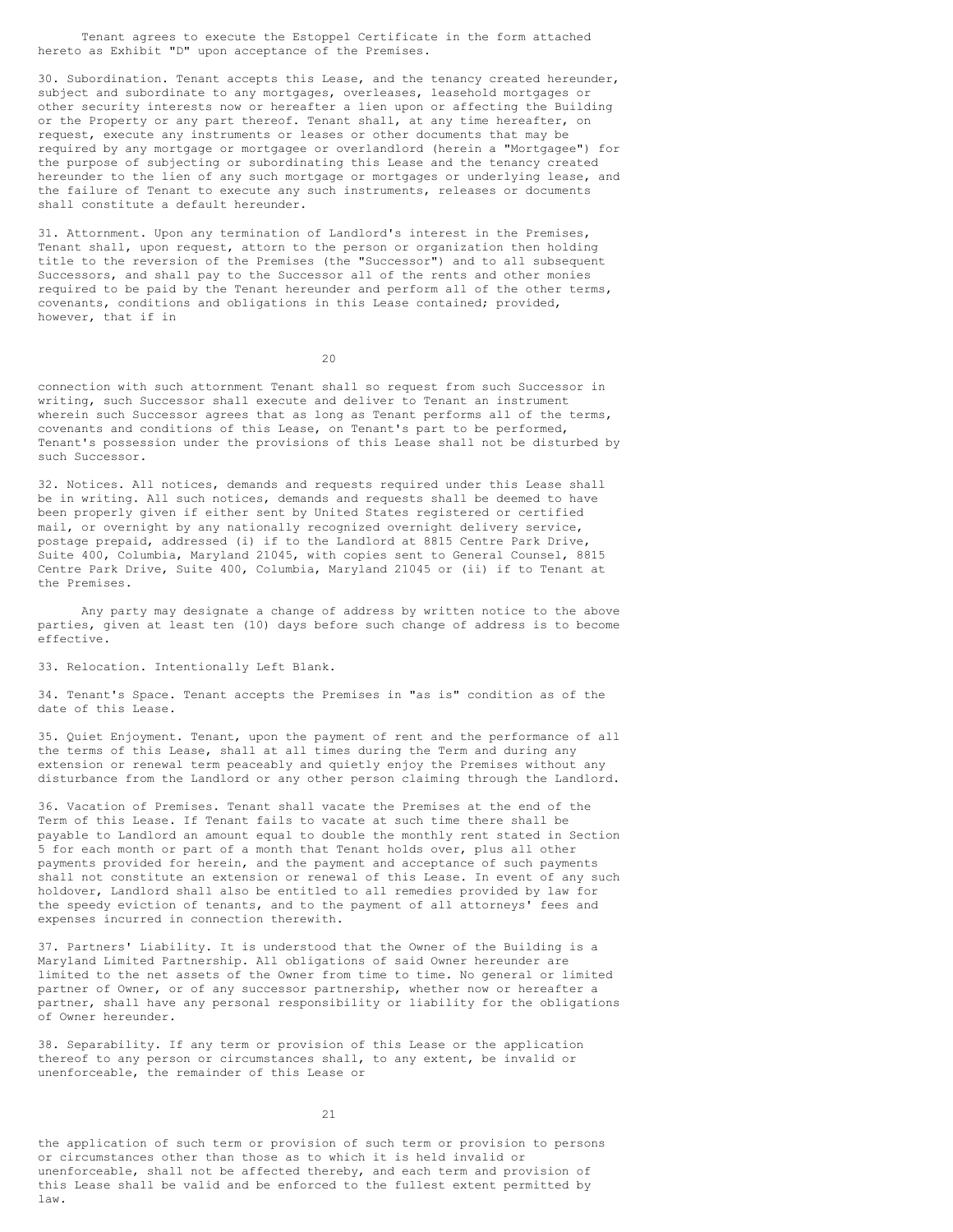Tenant agrees to execute the Estoppel Certificate in the form attached hereto as Exhibit "D" upon acceptance of the Premises.

30. Subordination. Tenant accepts this Lease, and the tenancy created hereunder, subject and subordinate to any mortgages, overleases, leasehold mortgages or other security interests now or hereafter a lien upon or affecting the Building or the Property or any part thereof. Tenant shall, at any time hereafter, on request, execute any instruments or leases or other documents that may be required by any mortgage or mortgagee or overlandlord (herein a "Mortgagee") for the purpose of subjecting or subordinating this Lease and the tenancy created hereunder to the lien of any such mortgage or mortgages or underlying lease, and the failure of Tenant to execute any such instruments, releases or documents shall constitute a default hereunder.

31. Attornment. Upon any termination of Landlord's interest in the Premises, Tenant shall, upon request, attorn to the person or organization then holding title to the reversion of the Premises (the "Successor") and to all subsequent Successors, and shall pay to the Successor all of the rents and other monies required to be paid by the Tenant hereunder and perform all of the other terms, covenants, conditions and obligations in this Lease contained; provided, however, that if in

 $20$ 

connection with such attornment Tenant shall so request from such Successor in writing, such Successor shall execute and deliver to Tenant an instrument wherein such Successor agrees that as long as Tenant performs all of the terms, covenants and conditions of this Lease, on Tenant's part to be performed, Tenant's possession under the provisions of this Lease shall not be disturbed by such Successor.

32. Notices. All notices, demands and requests required under this Lease shall be in writing. All such notices, demands and requests shall be deemed to have been properly given if either sent by United States registered or certified mail, or overnight by any nationally recognized overnight delivery service, postage prepaid, addressed (i) if to the Landlord at 8815 Centre Park Drive, Suite 400, Columbia, Maryland 21045, with copies sent to General Counsel, 8815 Centre Park Drive, Suite 400, Columbia, Maryland 21045 or (ii) if to Tenant at the Premises.

Any party may designate a change of address by written notice to the above parties, given at least ten (10) days before such change of address is to become effective.

33. Relocation. Intentionally Left Blank.

34. Tenant's Space. Tenant accepts the Premises in "as is" condition as of the date of this Lease.

35. Quiet Enjoyment. Tenant, upon the payment of rent and the performance of all the terms of this Lease, shall at all times during the Term and during any extension or renewal term peaceably and quietly enjoy the Premises without any disturbance from the Landlord or any other person claiming through the Landlord.

36. Vacation of Premises. Tenant shall vacate the Premises at the end of the Term of this Lease. If Tenant fails to vacate at such time there shall be payable to Landlord an amount equal to double the monthly rent stated in Section 5 for each month or part of a month that Tenant holds over, plus all other payments provided for herein, and the payment and acceptance of such payments shall not constitute an extension or renewal of this Lease. In event of any such holdover, Landlord shall also be entitled to all remedies provided by law for the speedy eviction of tenants, and to the payment of all attorneys' fees and expenses incurred in connection therewith.

37. Partners' Liability. It is understood that the Owner of the Building is a Maryland Limited Partnership. All obligations of said Owner hereunder are limited to the net assets of the Owner from time to time. No general or limited partner of Owner, or of any successor partnership, whether now or hereafter a partner, shall have any personal responsibility or liability for the obligations of Owner hereunder.

38. Separability. If any term or provision of this Lease or the application thereof to any person or circumstances shall, to any extent, be invalid or unenforceable, the remainder of this Lease or

21

the application of such term or provision of such term or provision to persons or circumstances other than those as to which it is held invalid or unenforceable, shall not be affected thereby, and each term and provision of this Lease shall be valid and be enforced to the fullest extent permitted by law.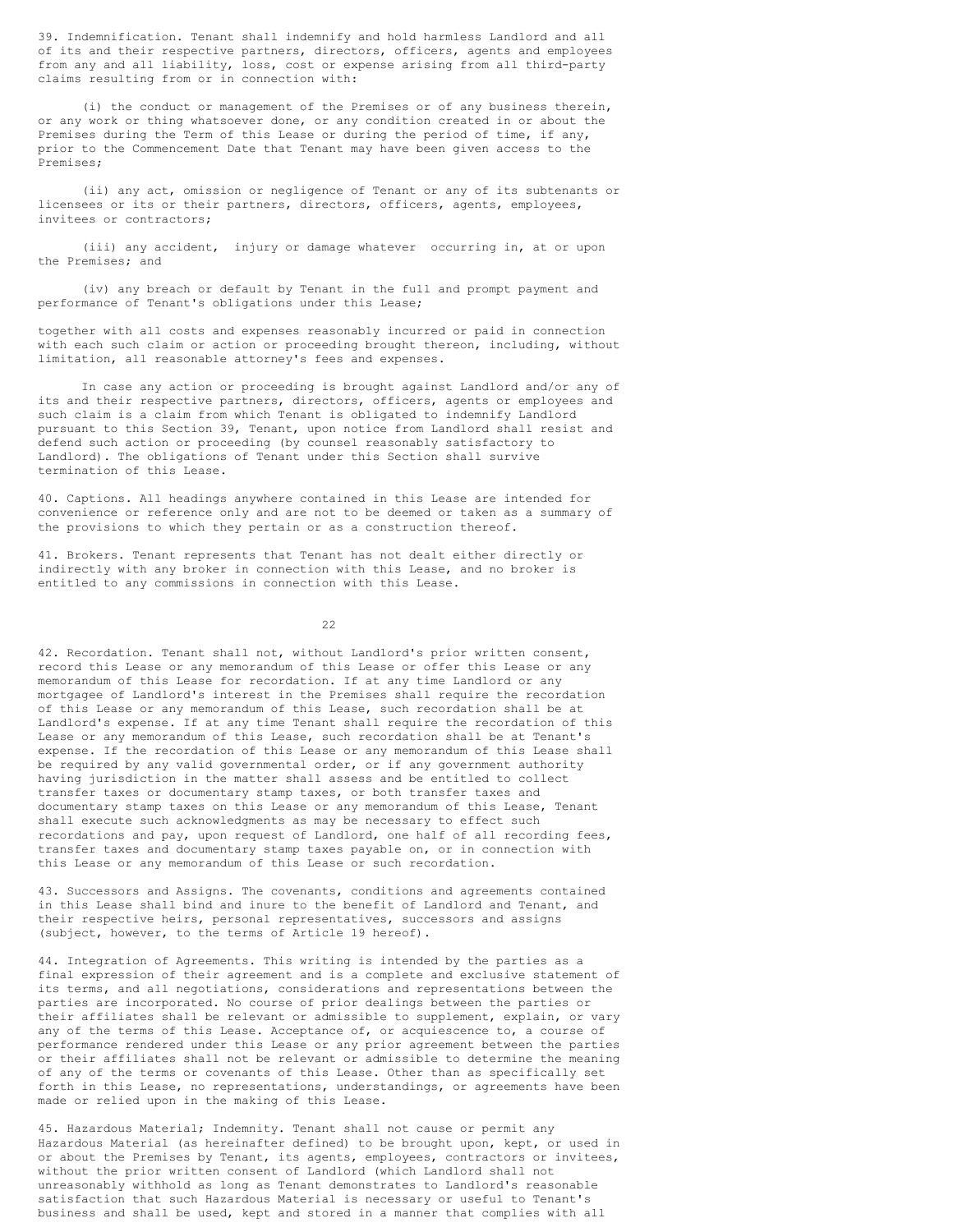39. Indemnification. Tenant shall indemnify and hold harmless Landlord and all of its and their respective partners, directors, officers, agents and employees from any and all liability, loss, cost or expense arising from all third-party claims resulting from or in connection with:

(i) the conduct or management of the Premises or of any business therein, or any work or thing whatsoever done, or any condition created in or about the Premises during the Term of this Lease or during the period of time, if any, prior to the Commencement Date that Tenant may have been given access to the Premises;

(ii) any act, omission or negligence of Tenant or any of its subtenants or licensees or its or their partners, directors, officers, agents, employees, invitees or contractors;

(iii) any accident, injury or damage whatever occurring in, at or upon the Premises; and

(iv) any breach or default by Tenant in the full and prompt payment and performance of Tenant's obligations under this Lease;

together with all costs and expenses reasonably incurred or paid in connection with each such claim or action or proceeding brought thereon, including, without limitation, all reasonable attorney's fees and expenses.

In case any action or proceeding is brought against Landlord and/or any of its and their respective partners, directors, officers, agents or employees and such claim is a claim from which Tenant is obligated to indemnify Landlord pursuant to this Section 39, Tenant, upon notice from Landlord shall resist and defend such action or proceeding (by counsel reasonably satisfactory to Landlord). The obligations of Tenant under this Section shall survive termination of this Lease.

40. Captions. All headings anywhere contained in this Lease are intended for convenience or reference only and are not to be deemed or taken as a summary of the provisions to which they pertain or as a construction thereof.

41. Brokers. Tenant represents that Tenant has not dealt either directly or indirectly with any broker in connection with this Lease, and no broker is entitled to any commissions in connection with this Lease.

22

42. Recordation. Tenant shall not, without Landlord's prior written consent, record this Lease or any memorandum of this Lease or offer this Lease or any memorandum of this Lease for recordation. If at any time Landlord or any mortgagee of Landlord's interest in the Premises shall require the recordation of this Lease or any memorandum of this Lease, such recordation shall be at Landlord's expense. If at any time Tenant shall require the recordation of this Lease or any memorandum of this Lease, such recordation shall be at Tenant's expense. If the recordation of this Lease or any memorandum of this Lease shall be required by any valid governmental order, or if any government authority having jurisdiction in the matter shall assess and be entitled to collect transfer taxes or documentary stamp taxes, or both transfer taxes and documentary stamp taxes on this Lease or any memorandum of this Lease, Tenant shall execute such acknowledgments as may be necessary to effect such recordations and pay, upon request of Landlord, one half of all recording fees, transfer taxes and documentary stamp taxes payable on, or in connection with this Lease or any memorandum of this Lease or such recordation.

43. Successors and Assigns. The covenants, conditions and agreements contained in this Lease shall bind and inure to the benefit of Landlord and Tenant, and their respective heirs, personal representatives, successors and assigns (subject, however, to the terms of Article 19 hereof).

44. Integration of Agreements. This writing is intended by the parties as a final expression of their agreement and is a complete and exclusive statement of its terms, and all negotiations, considerations and representations between the parties are incorporated. No course of prior dealings between the parties or their affiliates shall be relevant or admissible to supplement, explain, or vary any of the terms of this Lease. Acceptance of, or acquiescence to, a course of performance rendered under this Lease or any prior agreement between the parties or their affiliates shall not be relevant or admissible to determine the meaning of any of the terms or covenants of this Lease. Other than as specifically set forth in this Lease, no representations, understandings, or agreements have been made or relied upon in the making of this Lease.

45. Hazardous Material; Indemnity. Tenant shall not cause or permit any Hazardous Material (as hereinafter defined) to be brought upon, kept, or used in or about the Premises by Tenant, its agents, employees, contractors or invitees, without the prior written consent of Landlord (which Landlord shall not unreasonably withhold as long as Tenant demonstrates to Landlord's reasonable satisfaction that such Hazardous Material is necessary or useful to Tenant's business and shall be used, kept and stored in a manner that complies with all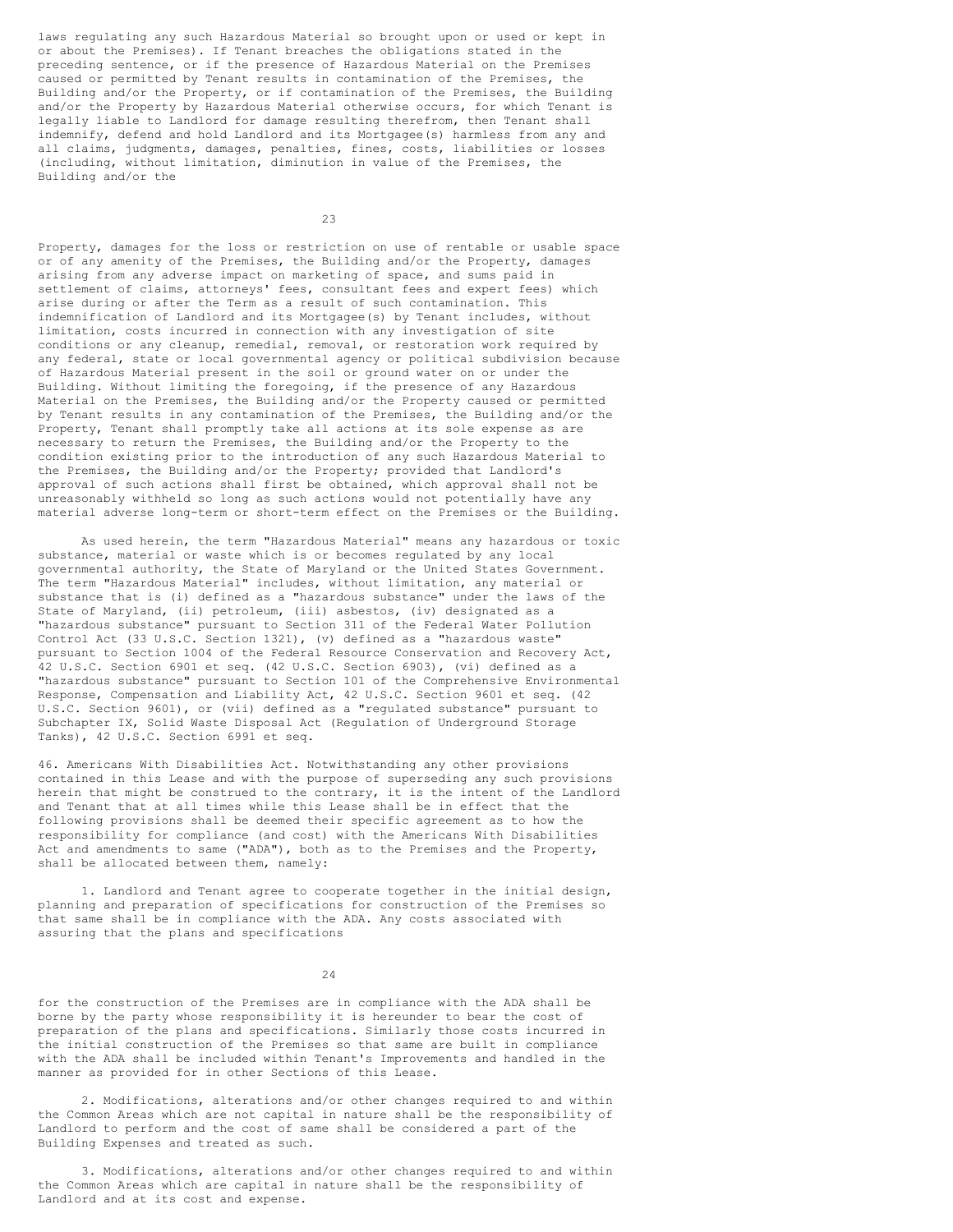laws regulating any such Hazardous Material so brought upon or used or kept in or about the Premises). If Tenant breaches the obligations stated in the preceding sentence, or if the presence of Hazardous Material on the Premises caused or permitted by Tenant results in contamination of the Premises, the Building and/or the Property, or if contamination of the Premises, the Building and/or the Property by Hazardous Material otherwise occurs, for which Tenant is legally liable to Landlord for damage resulting therefrom, then Tenant shall indemnify, defend and hold Landlord and its Mortgagee(s) harmless from any and all claims, judgments, damages, penalties, fines, costs, liabilities or losses (including, without limitation, diminution in value of the Premises, the Building and/or the

23

Property, damages for the loss or restriction on use of rentable or usable space or of any amenity of the Premises, the Building and/or the Property, damages arising from any adverse impact on marketing of space, and sums paid in settlement of claims, attorneys' fees, consultant fees and expert fees) which arise during or after the Term as a result of such contamination. This indemnification of Landlord and its Mortgagee(s) by Tenant includes, without limitation, costs incurred in connection with any investigation of site conditions or any cleanup, remedial, removal, or restoration work required by any federal, state or local governmental agency or political subdivision because of Hazardous Material present in the soil or ground water on or under the Building. Without limiting the foregoing, if the presence of any Hazardous Material on the Premises, the Building and/or the Property caused or permitted by Tenant results in any contamination of the Premises, the Building and/or the Property, Tenant shall promptly take all actions at its sole expense as are necessary to return the Premises, the Building and/or the Property to the condition existing prior to the introduction of any such Hazardous Material to the Premises, the Building and/or the Property; provided that Landlord's approval of such actions shall first be obtained, which approval shall not be unreasonably withheld so long as such actions would not potentially have any material adverse long-term or short-term effect on the Premises or the Building.

As used herein, the term "Hazardous Material" means any hazardous or toxic substance, material or waste which is or becomes regulated by any local governmental authority, the State of Maryland or the United States Government. The term "Hazardous Material" includes, without limitation, any material or substance that is (i) defined as a "hazardous substance" under the laws of the State of Maryland, (ii) petroleum, (iii) asbestos, (iv) designated as a "hazardous substance" pursuant to Section 311 of the Federal Water Pollution Control Act (33 U.S.C. Section 1321), (v) defined as a "hazardous waste" pursuant to Section 1004 of the Federal Resource Conservation and Recovery Act, 42 U.S.C. Section 6901 et seq. (42 U.S.C. Section 6903), (vi) defined as a "hazardous substance" pursuant to Section 101 of the Comprehensive Environmental Response, Compensation and Liability Act, 42 U.S.C. Section 9601 et seq. (42 U.S.C. Section 9601), or (vii) defined as a "regulated substance" pursuant to Subchapter IX, Solid Waste Disposal Act (Regulation of Underground Storage Tanks), 42 U.S.C. Section 6991 et seq.

46. Americans With Disabilities Act. Notwithstanding any other provisions contained in this Lease and with the purpose of superseding any such provisions herein that might be construed to the contrary, it is the intent of the Landlord and Tenant that at all times while this Lease shall be in effect that the following provisions shall be deemed their specific agreement as to how the responsibility for compliance (and cost) with the Americans With Disabilities Act and amendments to same ("ADA"), both as to the Premises and the Property, shall be allocated between them, namely:

1. Landlord and Tenant agree to cooperate together in the initial design, planning and preparation of specifications for construction of the Premises so that same shall be in compliance with the ADA. Any costs associated with assuring that the plans and specifications

24

for the construction of the Premises are in compliance with the ADA shall be borne by the party whose responsibility it is hereunder to bear the cost of preparation of the plans and specifications. Similarly those costs incurred in the initial construction of the Premises so that same are built in compliance with the ADA shall be included within Tenant's Improvements and handled in the manner as provided for in other Sections of this Lease.

2. Modifications, alterations and/or other changes required to and within the Common Areas which are not capital in nature shall be the responsibility of Landlord to perform and the cost of same shall be considered a part of the Building Expenses and treated as such.

3. Modifications, alterations and/or other changes required to and within the Common Areas which are capital in nature shall be the responsibility of Landlord and at its cost and expense.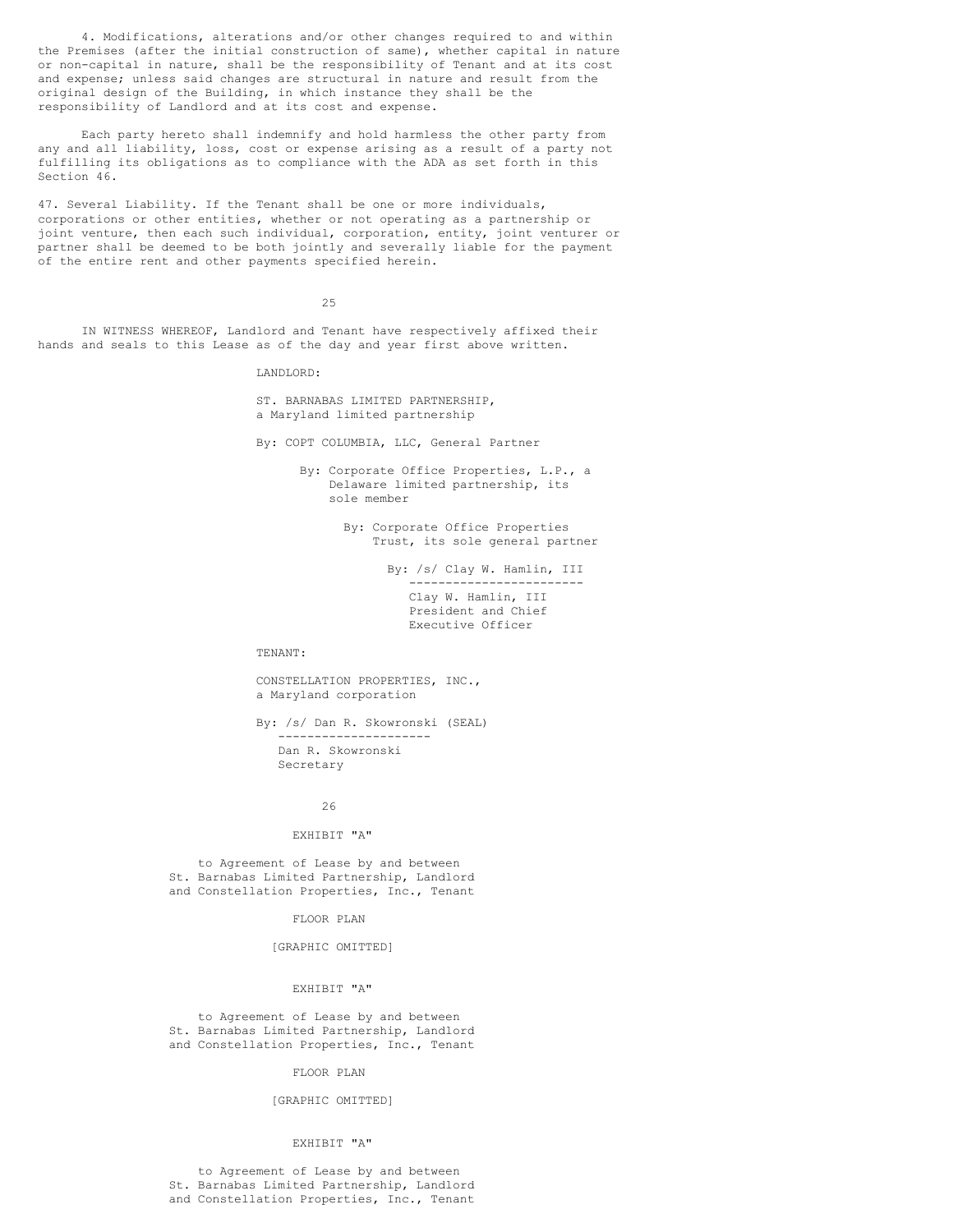4. Modifications, alterations and/or other changes required to and within the Premises (after the initial construction of same), whether capital in nature or non-capital in nature, shall be the responsibility of Tenant and at its cost and expense; unless said changes are structural in nature and result from the original design of the Building, in which instance they shall be the responsibility of Landlord and at its cost and expense.

Each party hereto shall indemnify and hold harmless the other party from any and all liability, loss, cost or expense arising as a result of a party not fulfilling its obligations as to compliance with the ADA as set forth in this Section 46.

47. Several Liability. If the Tenant shall be one or more individuals, corporations or other entities, whether or not operating as a partnership or joint venture, then each such individual, corporation, entity, joint venturer or partner shall be deemed to be both jointly and severally liable for the payment of the entire rent and other payments specified herein.

25

IN WITNESS WHEREOF, Landlord and Tenant have respectively affixed their hands and seals to this Lease as of the day and year first above written.

LANDLORD:

ST. BARNABAS LIMITED PARTNERSHIP, a Maryland limited partnership

By: COPT COLUMBIA, LLC, General Partner

By: Corporate Office Properties, L.P., a Delaware limited partnership, its sole member

> By: Corporate Office Properties Trust, its sole general partner

> > By: /s/ Clay W. Hamlin, III ------------------------ Clay W. Hamlin, III President and Chief Executive Officer

TENANT:

CONSTELLATION PROPERTIES, INC., a Maryland corporation

By: /s/ Dan R. Skowronski (SEAL) --------------------- Dan R. Skowronski Secretary

26

### EXHIBIT "A"

to Agreement of Lease by and between St. Barnabas Limited Partnership, Landlord and Constellation Properties, Inc., Tenant

FLOOR PLAN

[GRAPHIC OMITTED]

#### EXHIBIT "A"

to Agreement of Lease by and between St. Barnabas Limited Partnership, Landlord and Constellation Properties, Inc., Tenant

FLOOR PLAN

### [GRAPHIC OMITTED]

#### EXHIBIT "A"

to Agreement of Lease by and between St. Barnabas Limited Partnership, Landlord and Constellation Properties, Inc., Tenant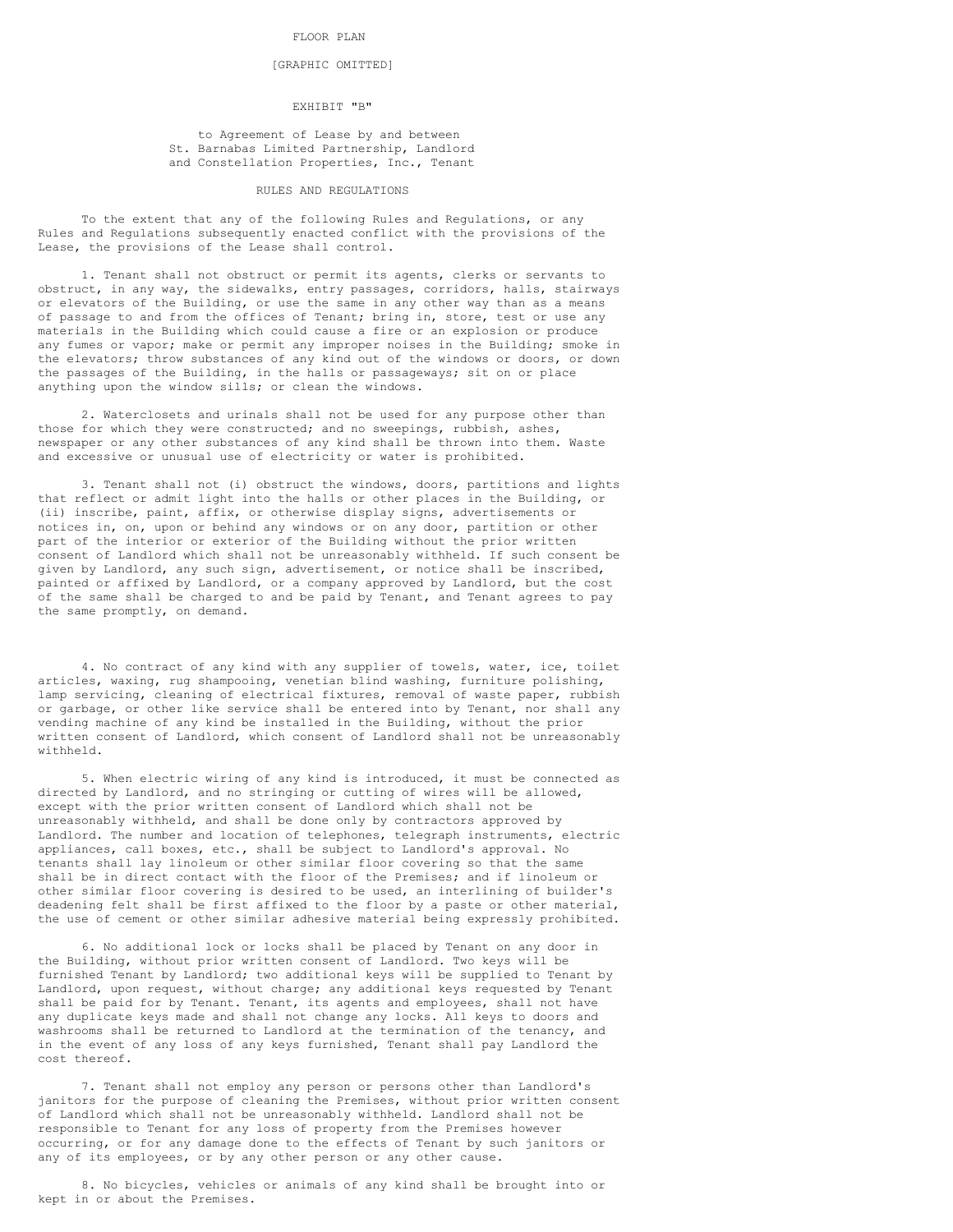### FLOOR PLAN

### [GRAPHIC OMITTED]

## EXHIBIT "B"

to Agreement of Lease by and between St. Barnabas Limited Partnership, Landlord and Constellation Properties, Inc., Tenant

## RULES AND REGULATIONS

To the extent that any of the following Rules and Regulations, or any Rules and Regulations subsequently enacted conflict with the provisions of the Lease, the provisions of the Lease shall control.

1. Tenant shall not obstruct or permit its agents, clerks or servants to obstruct, in any way, the sidewalks, entry passages, corridors, halls, stairways or elevators of the Building, or use the same in any other way than as a means of passage to and from the offices of Tenant; bring in, store, test or use any materials in the Building which could cause a fire or an explosion or produce any fumes or vapor; make or permit any improper noises in the Building; smoke in the elevators; throw substances of any kind out of the windows or doors, or down the passages of the Building, in the halls or passageways; sit on or place anything upon the window sills; or clean the windows.

2. Waterclosets and urinals shall not be used for any purpose other than those for which they were constructed; and no sweepings, rubbish, ashes, newspaper or any other substances of any kind shall be thrown into them. Waste and excessive or unusual use of electricity or water is prohibited.

3. Tenant shall not (i) obstruct the windows, doors, partitions and lights that reflect or admit light into the halls or other places in the Building, or (ii) inscribe, paint, affix, or otherwise display signs, advertisements or notices in, on, upon or behind any windows or on any door, partition or other part of the interior or exterior of the Building without the prior written consent of Landlord which shall not be unreasonably withheld. If such consent be given by Landlord, any such sign, advertisement, or notice shall be inscribed, painted or affixed by Landlord, or a company approved by Landlord, but the cost of the same shall be charged to and be paid by Tenant, and Tenant agrees to pay the same promptly, on demand.

4. No contract of any kind with any supplier of towels, water, ice, toilet articles, waxing, rug shampooing, venetian blind washing, furniture polishing, lamp servicing, cleaning of electrical fixtures, removal of waste paper, rubbish or garbage, or other like service shall be entered into by Tenant, nor shall any vending machine of any kind be installed in the Building, without the prior written consent of Landlord, which consent of Landlord shall not be unreasonably withheld.

5. When electric wiring of any kind is introduced, it must be connected as directed by Landlord, and no stringing or cutting of wires will be allowed, except with the prior written consent of Landlord which shall not be unreasonably withheld, and shall be done only by contractors approved by Landlord. The number and location of telephones, telegraph instruments, electric appliances, call boxes, etc., shall be subject to Landlord's approval. No tenants shall lay linoleum or other similar floor covering so that the same shall be in direct contact with the floor of the Premises; and if linoleum or other similar floor covering is desired to be used, an interlining of builder's deadening felt shall be first affixed to the floor by a paste or other material, the use of cement or other similar adhesive material being expressly prohibited.

6. No additional lock or locks shall be placed by Tenant on any door in the Building, without prior written consent of Landlord. Two keys will be furnished Tenant by Landlord; two additional keys will be supplied to Tenant by Landlord, upon request, without charge; any additional keys requested by Tenant shall be paid for by Tenant. Tenant, its agents and employees, shall not have any duplicate keys made and shall not change any locks. All keys to doors and washrooms shall be returned to Landlord at the termination of the tenancy, and in the event of any loss of any keys furnished, Tenant shall pay Landlord the cost thereof.

7. Tenant shall not employ any person or persons other than Landlord's janitors for the purpose of cleaning the Premises, without prior written consent of Landlord which shall not be unreasonably withheld. Landlord shall not be responsible to Tenant for any loss of property from the Premises however occurring, or for any damage done to the effects of Tenant by such janitors or any of its employees, or by any other person or any other cause.

8. No bicycles, vehicles or animals of any kind shall be brought into or kept in or about the Premises.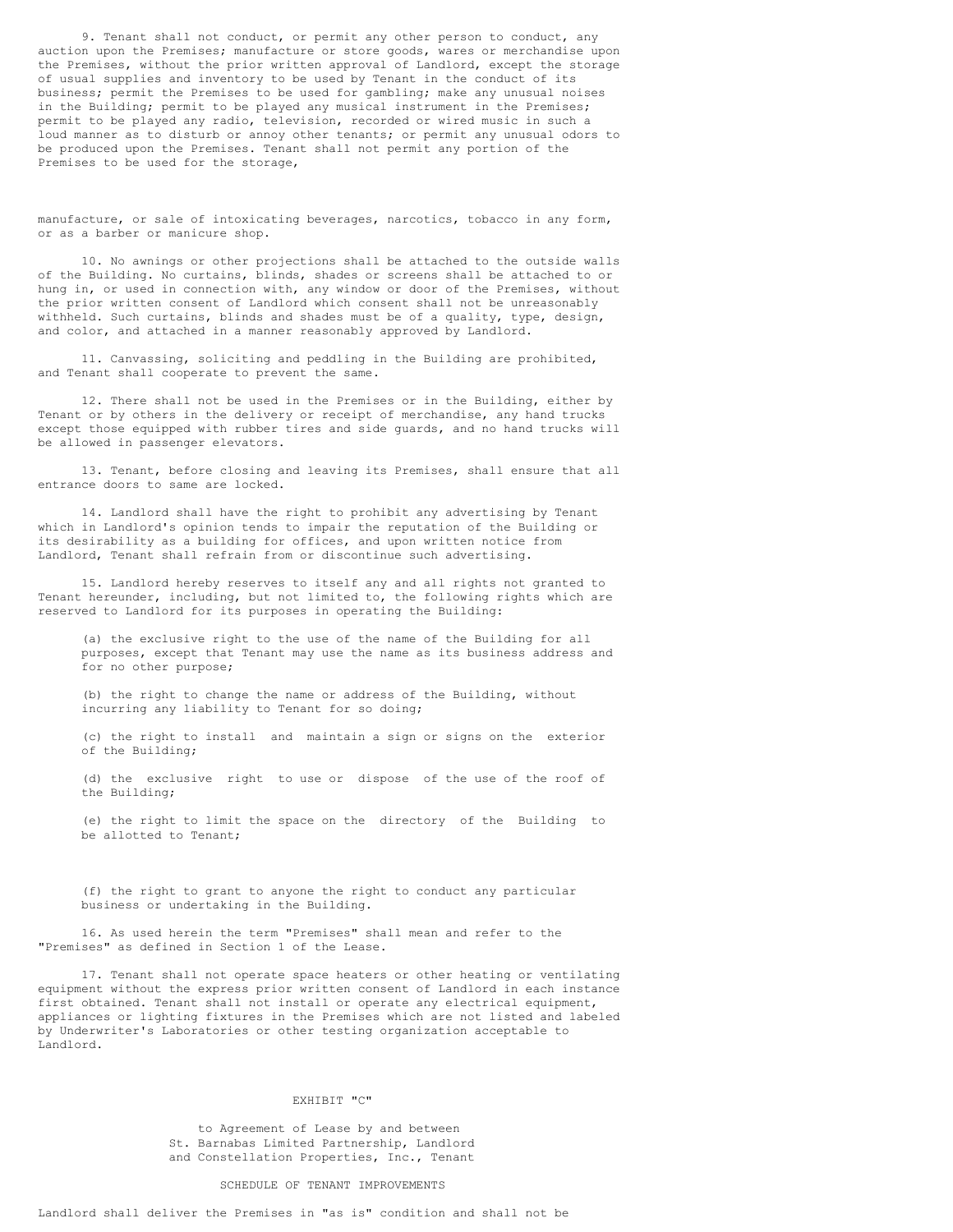9. Tenant shall not conduct, or permit any other person to conduct, any auction upon the Premises; manufacture or store goods, wares or merchandise upon the Premises, without the prior written approval of Landlord, except the storage of usual supplies and inventory to be used by Tenant in the conduct of its business; permit the Premises to be used for gambling; make any unusual noises in the Building; permit to be played any musical instrument in the Premises; permit to be played any radio, television, recorded or wired music in such a loud manner as to disturb or annoy other tenants; or permit any unusual odors to be produced upon the Premises. Tenant shall not permit any portion of the Premises to be used for the storage,

manufacture, or sale of intoxicating beverages, narcotics, tobacco in any form, or as a barber or manicure shop.

10. No awnings or other projections shall be attached to the outside walls of the Building. No curtains, blinds, shades or screens shall be attached to or hung in, or used in connection with, any window or door of the Premises, without the prior written consent of Landlord which consent shall not be unreasonably withheld. Such curtains, blinds and shades must be of a quality, type, design, and color, and attached in a manner reasonably approved by Landlord.

11. Canvassing, soliciting and peddling in the Building are prohibited, and Tenant shall cooperate to prevent the same.

12. There shall not be used in the Premises or in the Building, either by Tenant or by others in the delivery or receipt of merchandise, any hand trucks except those equipped with rubber tires and side guards, and no hand trucks will be allowed in passenger elevators.

13. Tenant, before closing and leaving its Premises, shall ensure that all entrance doors to same are locked.

14. Landlord shall have the right to prohibit any advertising by Tenant which in Landlord's opinion tends to impair the reputation of the Building or its desirability as a building for offices, and upon written notice from Landlord, Tenant shall refrain from or discontinue such advertising.

15. Landlord hereby reserves to itself any and all rights not granted to Tenant hereunder, including, but not limited to, the following rights which are reserved to Landlord for its purposes in operating the Building:

(a) the exclusive right to the use of the name of the Building for all purposes, except that Tenant may use the name as its business address and for no other purpose;

(b) the right to change the name or address of the Building, without incurring any liability to Tenant for so doing;

(c) the right to install and maintain a sign or signs on the exterior of the Building;

(d) the exclusive right to use or dispose of the use of the roof of the Building;

(e) the right to limit the space on the directory of the Building to be allotted to Tenant;

(f) the right to grant to anyone the right to conduct any particular business or undertaking in the Building.

16. As used herein the term "Premises" shall mean and refer to the "Premises" as defined in Section 1 of the Lease.

17. Tenant shall not operate space heaters or other heating or ventilating equipment without the express prior written consent of Landlord in each instance first obtained. Tenant shall not install or operate any electrical equipment, appliances or lighting fixtures in the Premises which are not listed and labeled by Underwriter's Laboratories or other testing organization acceptable to Landlord.

## EXHIBIT "C"

to Agreement of Lease by and between St. Barnabas Limited Partnership, Landlord and Constellation Properties, Inc., Tenant

# SCHEDULE OF TENANT IMPROVEMENTS

# Landlord shall deliver the Premises in "as is" condition and shall not be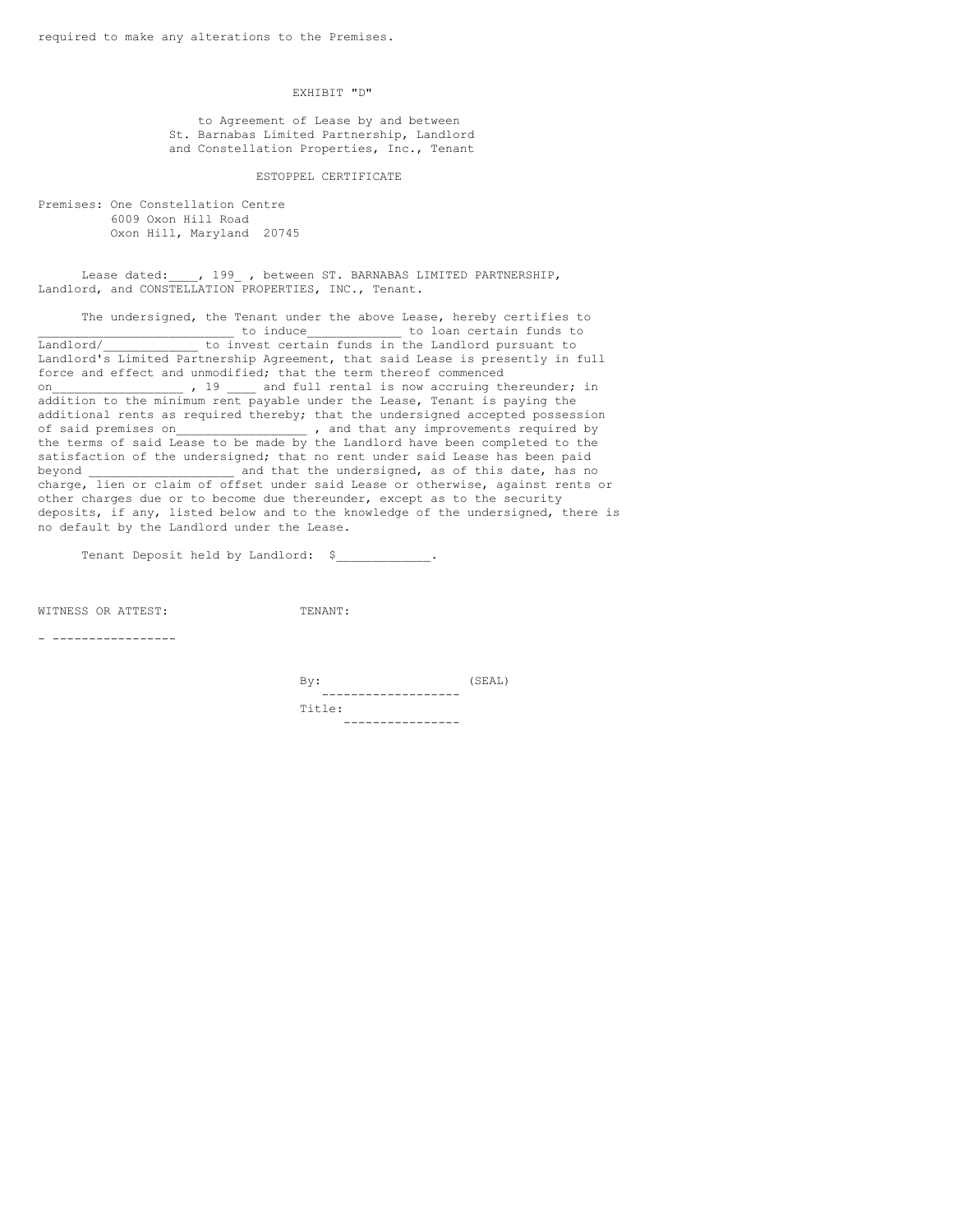EXHIBIT "D"

to Agreement of Lease by and between St. Barnabas Limited Partnership, Landlord and Constellation Properties, Inc., Tenant

### ESTOPPEL CERTIFICATE

Premises: One Constellation Centre 6009 Oxon Hill Road Oxon Hill, Maryland 20745

Lease dated: , 199 , between ST. BARNABAS LIMITED PARTNERSHIP, Landlord, and CONSTELLATION PROPERTIES, INC., Tenant.

The undersigned, the Tenant under the above Lease, hereby certifies to \_\_\_\_\_\_\_\_\_\_\_\_\_\_\_\_\_\_\_\_\_\_\_\_\_\_\_ to induce\_\_\_\_\_\_\_\_\_\_\_\_\_ to loan certain funds to Landlord/ [100] to invest certain funds in the Landlord pursuant to Landlord/<br>Landlord's Limited Partnership Agreement, that said Lease is presently in full force and effect and unmodified; that the term thereof commenced on\_\_\_\_\_\_\_\_\_\_\_\_\_\_\_\_\_\_\_\_\_\_, 19 \_\_\_\_\_ and full rental is now accruing thereunder; in addition to the minimum rent payable under the Lease, Tenant is paying the additional rents as required thereby; that the undersigned accepted possession of said premises on  $\qquad \qquad$ , and that any improvements required by the terms of said Lease to be made by the Landlord have been completed to the satisfaction of the undersigned; that no rent under said Lease has been paid and that the undersigned, as of this date, has no charge, lien or claim of offset under said Lease or otherwise, against rents or other charges due or to become due thereunder, except as to the security deposits, if any, listed below and to the knowledge of the undersigned, there is no default by the Landlord under the Lease.

Tenant Deposit held by Landlord: \$

WITNESS OR ATTEST: TENANT:

- -----------------

 $\texttt{By:}\qquad \qquad \texttt{(SEAL)}$ ------------------- Title: ----------------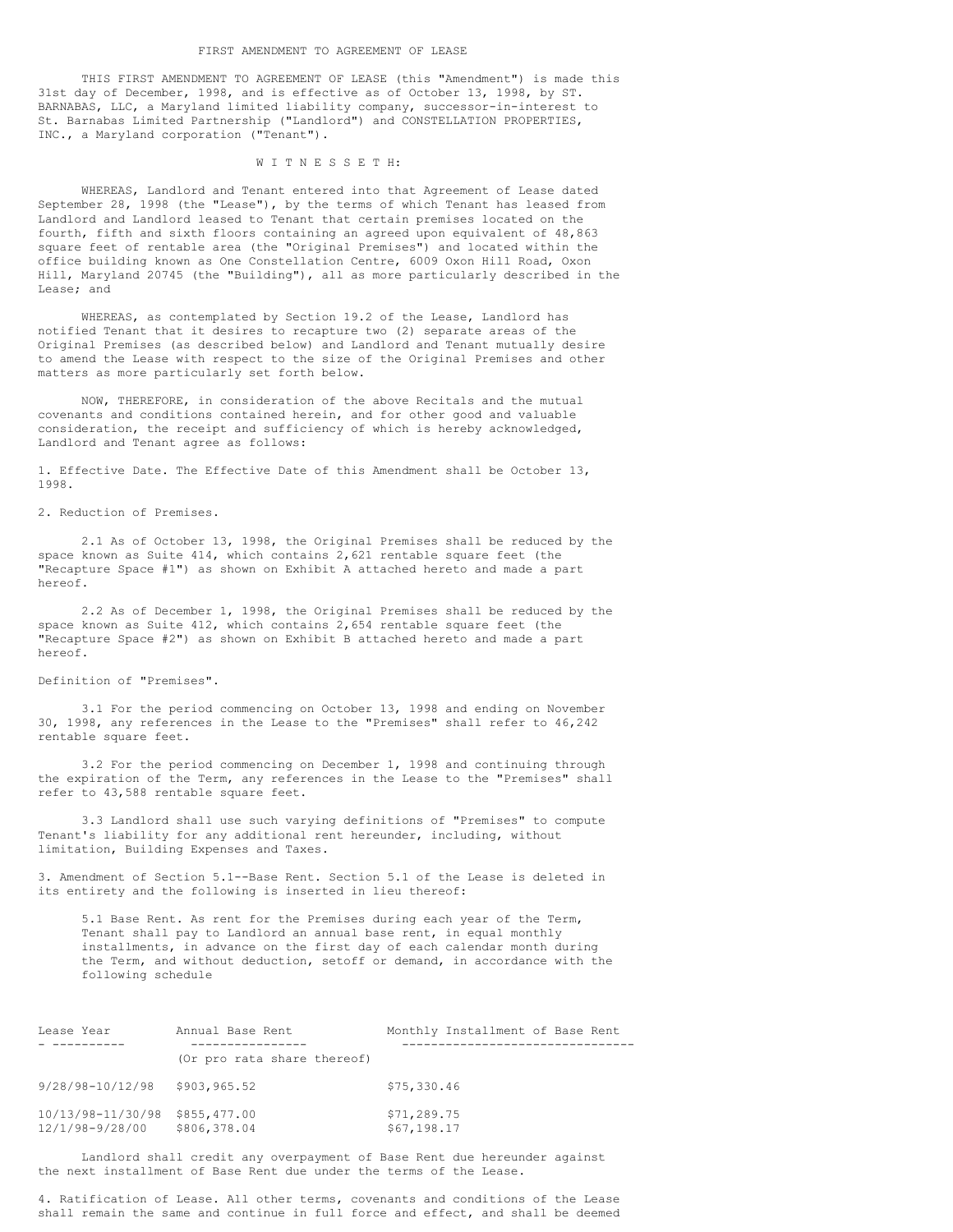THIS FIRST AMENDMENT TO AGREEMENT OF LEASE (this "Amendment") is made this 31st day of December, 1998, and is effective as of October 13, 1998, by ST. BARNABAS, LLC, a Maryland limited liability company, successor-in-interest to St. Barnabas Limited Partnership ("Landlord") and CONSTELLATION PROPERTIES, INC., a Maryland corporation ("Tenant").

### W I T N E S S E T H:

WHEREAS, Landlord and Tenant entered into that Agreement of Lease dated September 28, 1998 (the "Lease"), by the terms of which Tenant has leased from Landlord and Landlord leased to Tenant that certain premises located on the fourth, fifth and sixth floors containing an agreed upon equivalent of 48,863 square feet of rentable area (the "Original Premises") and located within the office building known as One Constellation Centre, 6009 Oxon Hill Road, Oxon Hill, Maryland 20745 (the "Building"), all as more particularly described in the Lease; and

WHEREAS, as contemplated by Section 19.2 of the Lease, Landlord has notified Tenant that it desires to recapture two (2) separate areas of the Original Premises (as described below) and Landlord and Tenant mutually desire to amend the Lease with respect to the size of the Original Premises and other matters as more particularly set forth below.

NOW, THEREFORE, in consideration of the above Recitals and the mutual covenants and conditions contained herein, and for other good and valuable consideration, the receipt and sufficiency of which is hereby acknowledged, Landlord and Tenant agree as follows:

1. Effective Date. The Effective Date of this Amendment shall be October 13, 1998.

2. Reduction of Premises.

2.1 As of October 13, 1998, the Original Premises shall be reduced by the space known as Suite 414, which contains 2,621 rentable square feet (the "Recapture Space #1") as shown on Exhibit A attached hereto and made a part hereof.

2.2 As of December 1, 1998, the Original Premises shall be reduced by the space known as Suite 412, which contains 2,654 rentable square feet (the "Recapture Space #2") as shown on Exhibit B attached hereto and made a part hereof.

### Definition of "Premises".

3.1 For the period commencing on October 13, 1998 and ending on November 30, 1998, any references in the Lease to the "Premises" shall refer to 46,242 rentable square feet.

3.2 For the period commencing on December 1, 1998 and continuing through the expiration of the Term, any references in the Lease to the "Premises" shall refer to 43,588 rentable square feet.

3.3 Landlord shall use such varying definitions of "Premises" to compute Tenant's liability for any additional rent hereunder, including, without limitation, Building Expenses and Taxes.

3. Amendment of Section 5.1--Base Rent. Section 5.1 of the Lease is deleted in its entirety and the following is inserted in lieu thereof:

5.1 Base Rent. As rent for the Premises during each year of the Term, Tenant shall pay to Landlord an annual base rent, in equal monthly installments, in advance on the first day of each calendar month during the Term, and without deduction, setoff or demand, in accordance with the following schedule

| Lease Year                           | Annual Base Rent             | Monthly Installment of Base Rent |
|--------------------------------------|------------------------------|----------------------------------|
|                                      | (Or pro rata share thereof)  |                                  |
| $9/28/98 - 10/12/98$ \$903,965.52    |                              | \$75,330.46                      |
| 10/13/98-11/30/98<br>12/1/98-9/28/00 | \$855,477.00<br>\$806,378.04 | \$71,289.75<br>\$67,198.17       |

Landlord shall credit any overpayment of Base Rent due hereunder against the next installment of Base Rent due under the terms of the Lease.

4. Ratification of Lease. All other terms, covenants and conditions of the Lease shall remain the same and continue in full force and effect, and shall be deemed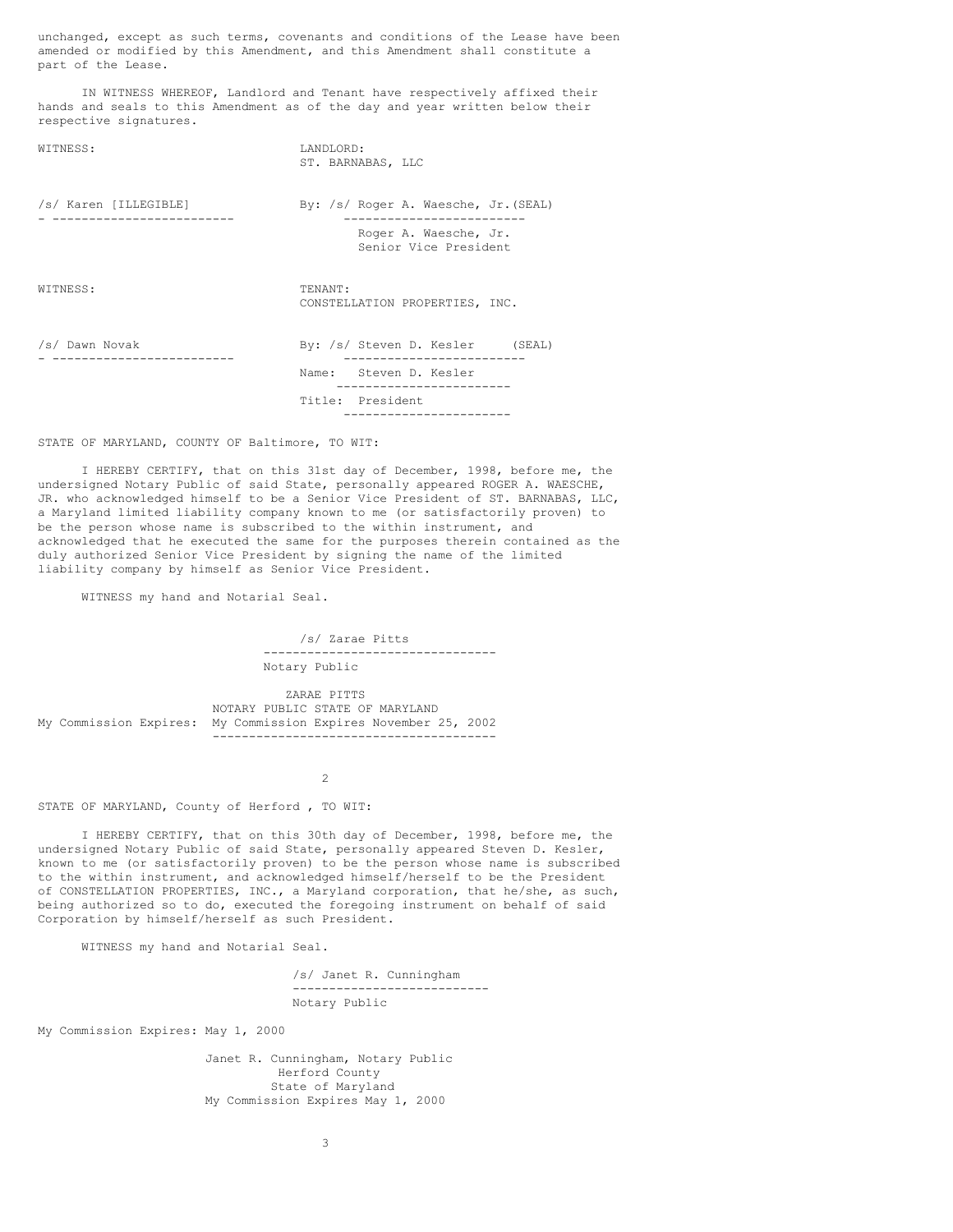unchanged, except as such terms, covenants and conditions of the Lease have been amended or modified by this Amendment, and this Amendment shall constitute a part of the Lease.

IN WITNESS WHEREOF, Landlord and Tenant have respectively affixed their hands and seals to this Amendment as of the day and year written below their respective signatures.

| WITNESS:              | LANDLORD:<br>ST. BARNABAS, LLC                    |
|-----------------------|---------------------------------------------------|
| /s/ Karen [ILLEGIBLE] | By: /s/ Roger A. Waesche, Jr. (SEAL)              |
|                       | Roger A. Waesche, Jr.<br>Senior Vice President    |
| WITNESS:              | TENANT:<br>CONSTELLATION PROPERTIES, INC.         |
| /s/ Dawn Novak        | By: /s/ Steven D. Kesler (SEAL)                   |
|                       | Name: Steven D. Kesler<br>----------------------- |
|                       | Title: President                                  |

# STATE OF MARYLAND, COUNTY OF Baltimore, TO WIT:

I HEREBY CERTIFY, that on this 31st day of December, 1998, before me, the undersigned Notary Public of said State, personally appeared ROGER A. WAESCHE, JR. who acknowledged himself to be a Senior Vice President of ST. BARNABAS, LLC, a Maryland limited liability company known to me (or satisfactorily proven) to be the person whose name is subscribed to the within instrument, and acknowledged that he executed the same for the purposes therein contained as the duly authorized Senior Vice President by signing the name of the limited liability company by himself as Senior Vice President.

WITNESS my hand and Notarial Seal.

/s/ Zarae Pitts -------------------------------- Notary Public

ZARAE PITTS NOTARY PUBLIC STATE OF MARYLAND My Commission Expires: My Commission Expires November 25, 2002 ---------------------------------------

 $\mathcal{D}$ 

### STATE OF MARYLAND, County of Herford , TO WIT:

I HEREBY CERTIFY, that on this 30th day of December, 1998, before me, the undersigned Notary Public of said State, personally appeared Steven D. Kesler, known to me (or satisfactorily proven) to be the person whose name is subscribed to the within instrument, and acknowledged himself/herself to be the President of CONSTELLATION PROPERTIES, INC., a Maryland corporation, that he/she, as such, being authorized so to do, executed the foregoing instrument on behalf of said Corporation by himself/herself as such President.

WITNESS my hand and Notarial Seal.

/s/ Janet R. Cunningham --------------------------- Notary Public

My Commission Expires: May 1, 2000

Janet R. Cunningham, Notary Public Herford County State of Maryland My Commission Expires May 1, 2000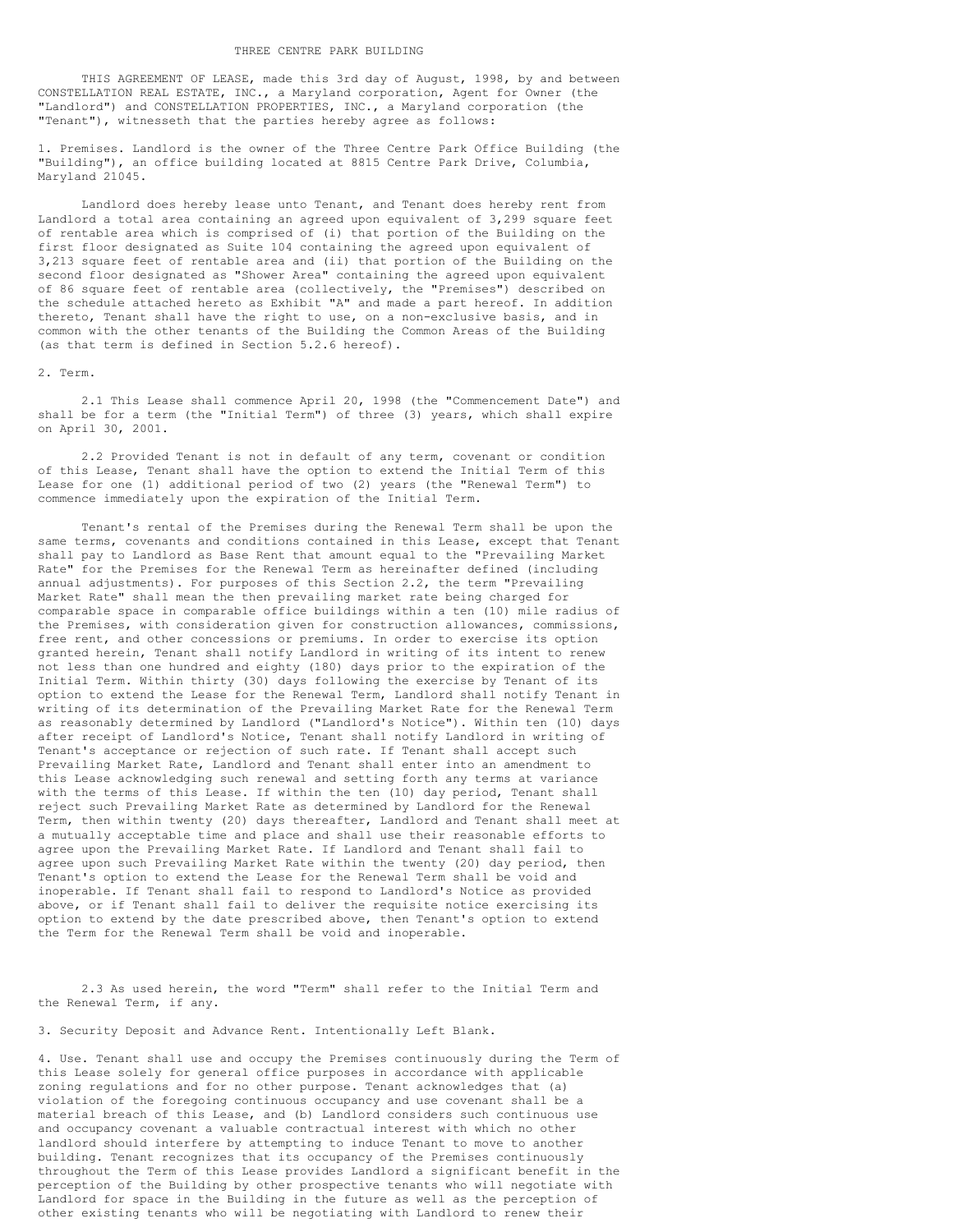THIS AGREEMENT OF LEASE, made this 3rd day of August, 1998, by and between CONSTELLATION REAL ESTATE, INC., a Maryland corporation, Agent for Owner (the "Landlord") and CONSTELLATION PROPERTIES, INC., a Maryland corporation (the "Tenant"), witnesseth that the parties hereby agree as follows:

1. Premises. Landlord is the owner of the Three Centre Park Office Building (the "Building"), an office building located at 8815 Centre Park Drive, Columbia, Maryland 21045.

Landlord does hereby lease unto Tenant, and Tenant does hereby rent from Landlord a total area containing an agreed upon equivalent of 3,299 square feet of rentable area which is comprised of (i) that portion of the Building on the first floor designated as Suite 104 containing the agreed upon equivalent of 3,213 square feet of rentable area and (ii) that portion of the Building on the second floor designated as "Shower Area" containing the agreed upon equivalent of 86 square feet of rentable area (collectively, the "Premises") described on the schedule attached hereto as Exhibit "A" and made a part hereof. In addition thereto, Tenant shall have the right to use, on a non-exclusive basis, and in common with the other tenants of the Building the Common Areas of the Building (as that term is defined in Section 5.2.6 hereof).

#### 2. Term.

2.1 This Lease shall commence April 20, 1998 (the "Commencement Date") and shall be for a term (the "Initial Term") of three (3) years, which shall expire on April 30, 2001.

2.2 Provided Tenant is not in default of any term, covenant or condition of this Lease, Tenant shall have the option to extend the Initial Term of this Lease for one (1) additional period of two (2) years (the "Renewal Term") to commence immediately upon the expiration of the Initial Term.

Tenant's rental of the Premises during the Renewal Term shall be upon the same terms, covenants and conditions contained in this Lease, except that Tenant shall pay to Landlord as Base Rent that amount equal to the "Prevailing Market Rate" for the Premises for the Renewal Term as hereinafter defined (including annual adjustments). For purposes of this Section 2.2, the term "Prevailing Market Rate" shall mean the then prevailing market rate being charged for comparable space in comparable office buildings within a ten (10) mile radius of the Premises, with consideration given for construction allowances, commissions, free rent, and other concessions or premiums. In order to exercise its option granted herein, Tenant shall notify Landlord in writing of its intent to renew not less than one hundred and eighty (180) days prior to the expiration of the Initial Term. Within thirty (30) days following the exercise by Tenant of its option to extend the Lease for the Renewal Term, Landlord shall notify Tenant in writing of its determination of the Prevailing Market Rate for the Renewal Term as reasonably determined by Landlord ("Landlord's Notice"). Within ten (10) days after receipt of Landlord's Notice, Tenant shall notify Landlord in writing of Tenant's acceptance or rejection of such rate. If Tenant shall accept such Prevailing Market Rate, Landlord and Tenant shall enter into an amendment to this Lease acknowledging such renewal and setting forth any terms at variance with the terms of this Lease. If within the ten (10) day period, Tenant shall reject such Prevailing Market Rate as determined by Landlord for the Renewal Term, then within twenty (20) days thereafter, Landlord and Tenant shall meet at a mutually acceptable time and place and shall use their reasonable efforts to agree upon the Prevailing Market Rate. If Landlord and Tenant shall fail to agree upon such Prevailing Market Rate within the twenty (20) day period, then Tenant's option to extend the Lease for the Renewal Term shall be void and inoperable. If Tenant shall fail to respond to Landlord's Notice as provided above, or if Tenant shall fail to deliver the requisite notice exercising its option to extend by the date prescribed above, then Tenant's option to extend the Term for the Renewal Term shall be void and inoperable.

2.3 As used herein, the word "Term" shall refer to the Initial Term and the Renewal Term, if any.

3. Security Deposit and Advance Rent. Intentionally Left Blank.

4. Use. Tenant shall use and occupy the Premises continuously during the Term of this Lease solely for general office purposes in accordance with applicable zoning regulations and for no other purpose. Tenant acknowledges that (a) violation of the foregoing continuous occupancy and use covenant shall be a material breach of this Lease, and (b) Landlord considers such continuous use and occupancy covenant a valuable contractual interest with which no other landlord should interfere by attempting to induce Tenant to move to another building. Tenant recognizes that its occupancy of the Premises continuously throughout the Term of this Lease provides Landlord a significant benefit in the perception of the Building by other prospective tenants who will negotiate with Landlord for space in the Building in the future as well as the perception of other existing tenants who will be negotiating with Landlord to renew their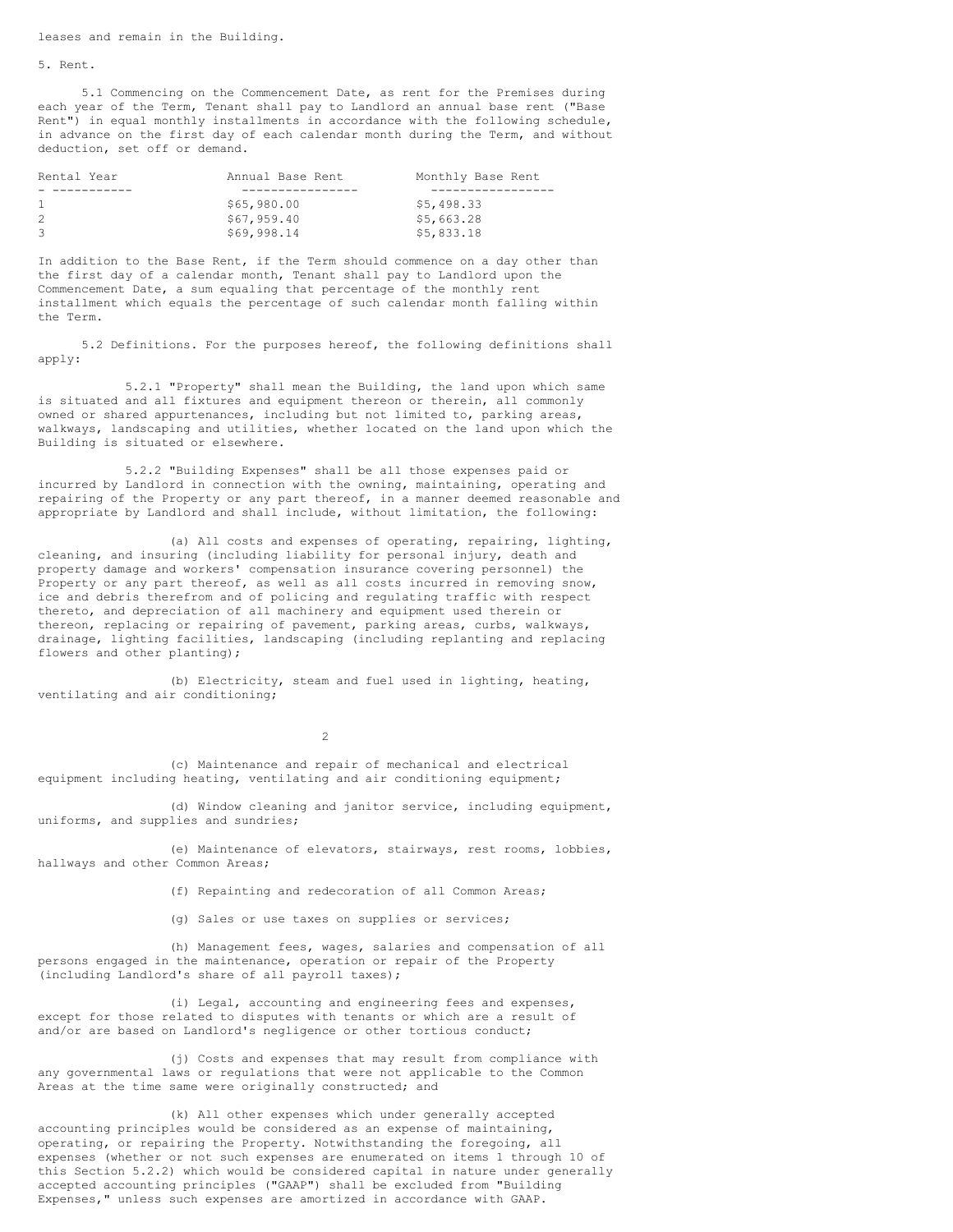leases and remain in the Building.

5. Rent.

5.1 Commencing on the Commencement Date, as rent for the Premises during each year of the Term, Tenant shall pay to Landlord an annual base rent ("Base Rent") in equal monthly installments in accordance with the following schedule, in advance on the first day of each calendar month during the Term, and without deduction, set off or demand.

| Rental Year  | Annual Base Rent | Monthly Base Rent |
|--------------|------------------|-------------------|
|              |                  |                   |
| $\mathbf{1}$ | \$65,980.00      | \$5,498.33        |
| 2            | \$67,959.40      | \$5,663.28        |
| 3            | \$69,998.14      | \$5,833.18        |

In addition to the Base Rent, if the Term should commence on a day other than the first day of a calendar month, Tenant shall pay to Landlord upon the Commencement Date, a sum equaling that percentage of the monthly rent installment which equals the percentage of such calendar month falling within the Term.

5.2 Definitions. For the purposes hereof, the following definitions shall apply:

5.2.1 "Property" shall mean the Building, the land upon which same is situated and all fixtures and equipment thereon or therein, all commonly owned or shared appurtenances, including but not limited to, parking areas, walkways, landscaping and utilities, whether located on the land upon which the Building is situated or elsewhere.

5.2.2 "Building Expenses" shall be all those expenses paid or incurred by Landlord in connection with the owning, maintaining, operating and repairing of the Property or any part thereof, in a manner deemed reasonable and appropriate by Landlord and shall include, without limitation, the following:

(a) All costs and expenses of operating, repairing, lighting, cleaning, and insuring (including liability for personal injury, death and property damage and workers' compensation insurance covering personnel) the Property or any part thereof, as well as all costs incurred in removing snow, ice and debris therefrom and of policing and regulating traffic with respect thereto, and depreciation of all machinery and equipment used therein or thereon, replacing or repairing of pavement, parking areas, curbs, walkways, drainage, lighting facilities, landscaping (including replanting and replacing flowers and other planting);

(b) Electricity, steam and fuel used in lighting, heating, ventilating and air conditioning;

2

(c) Maintenance and repair of mechanical and electrical equipment including heating, ventilating and air conditioning equipment;

(d) Window cleaning and janitor service, including equipment, uniforms, and supplies and sundries;

(e) Maintenance of elevators, stairways, rest rooms, lobbies, hallways and other Common Areas;

(f) Repainting and redecoration of all Common Areas;

(g) Sales or use taxes on supplies or services;

(h) Management fees, wages, salaries and compensation of all persons engaged in the maintenance, operation or repair of the Property (including Landlord's share of all payroll taxes);

(i) Legal, accounting and engineering fees and expenses, except for those related to disputes with tenants or which are a result of and/or are based on Landlord's negligence or other tortious conduct;

(j) Costs and expenses that may result from compliance with any governmental laws or regulations that were not applicable to the Common Areas at the time same were originally constructed; and

(k) All other expenses which under generally accepted accounting principles would be considered as an expense of maintaining, operating, or repairing the Property. Notwithstanding the foregoing, all expenses (whether or not such expenses are enumerated on items 1 through 10 of this Section 5.2.2) which would be considered capital in nature under generally accepted accounting principles ("GAAP") shall be excluded from "Building Expenses," unless such expenses are amortized in accordance with GAAP.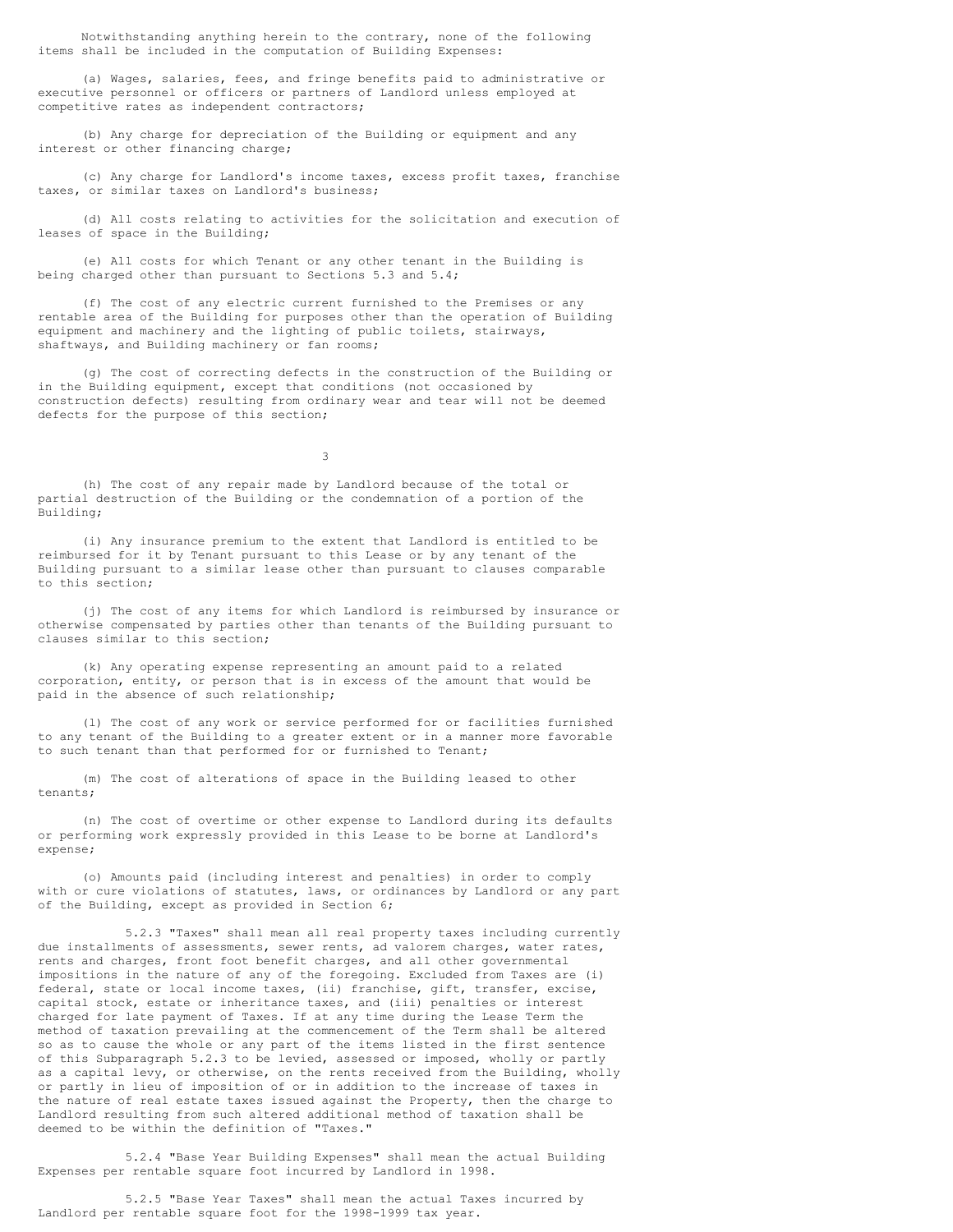Notwithstanding anything herein to the contrary, none of the following items shall be included in the computation of Building Expenses:

(a) Wages, salaries, fees, and fringe benefits paid to administrative or executive personnel or officers or partners of Landlord unless employed at competitive rates as independent contractors;

(b) Any charge for depreciation of the Building or equipment and any interest or other financing charge;

(c) Any charge for Landlord's income taxes, excess profit taxes, franchise taxes, or similar taxes on Landlord's business;

(d) All costs relating to activities for the solicitation and execution of leases of space in the Building;

(e) All costs for which Tenant or any other tenant in the Building is being charged other than pursuant to Sections 5.3 and 5.4;

(f) The cost of any electric current furnished to the Premises or any rentable area of the Building for purposes other than the operation of Building equipment and machinery and the lighting of public toilets, stairways, shaftways, and Building machinery or fan rooms;

(g) The cost of correcting defects in the construction of the Building or in the Building equipment, except that conditions (not occasioned by construction defects) resulting from ordinary wear and tear will not be deemed defects for the purpose of this section;

3

(h) The cost of any repair made by Landlord because of the total or partial destruction of the Building or the condemnation of a portion of the Building;

(i) Any insurance premium to the extent that Landlord is entitled to be reimbursed for it by Tenant pursuant to this Lease or by any tenant of the Building pursuant to a similar lease other than pursuant to clauses comparable to this section;

(j) The cost of any items for which Landlord is reimbursed by insurance or otherwise compensated by parties other than tenants of the Building pursuant to clauses similar to this section;

(k) Any operating expense representing an amount paid to a related corporation, entity, or person that is in excess of the amount that would be paid in the absence of such relationship;

(l) The cost of any work or service performed for or facilities furnished to any tenant of the Building to a greater extent or in a manner more favorable to such tenant than that performed for or furnished to Tenant;

(m) The cost of alterations of space in the Building leased to other tenants;

(n) The cost of overtime or other expense to Landlord during its defaults or performing work expressly provided in this Lease to be borne at Landlord's expense;

(o) Amounts paid (including interest and penalties) in order to comply with or cure violations of statutes, laws, or ordinances by Landlord or any part of the Building, except as provided in Section 6;

5.2.3 "Taxes" shall mean all real property taxes including currently due installments of assessments, sewer rents, ad valorem charges, water rates, rents and charges, front foot benefit charges, and all other governmental impositions in the nature of any of the foregoing. Excluded from Taxes are (i) federal, state or local income taxes, (ii) franchise, gift, transfer, excise, capital stock, estate or inheritance taxes, and (iii) penalties or interest charged for late payment of Taxes. If at any time during the Lease Term the method of taxation prevailing at the commencement of the Term shall be altered so as to cause the whole or any part of the items listed in the first sentence of this Subparagraph 5.2.3 to be levied, assessed or imposed, wholly or partly as a capital levy, or otherwise, on the rents received from the Building, wholly or partly in lieu of imposition of or in addition to the increase of taxes in the nature of real estate taxes issued against the Property, then the charge to Landlord resulting from such altered additional method of taxation shall be deemed to be within the definition of "Taxes."

5.2.4 "Base Year Building Expenses" shall mean the actual Building Expenses per rentable square foot incurred by Landlord in 1998.

5.2.5 "Base Year Taxes" shall mean the actual Taxes incurred by Landlord per rentable square foot for the 1998-1999 tax year.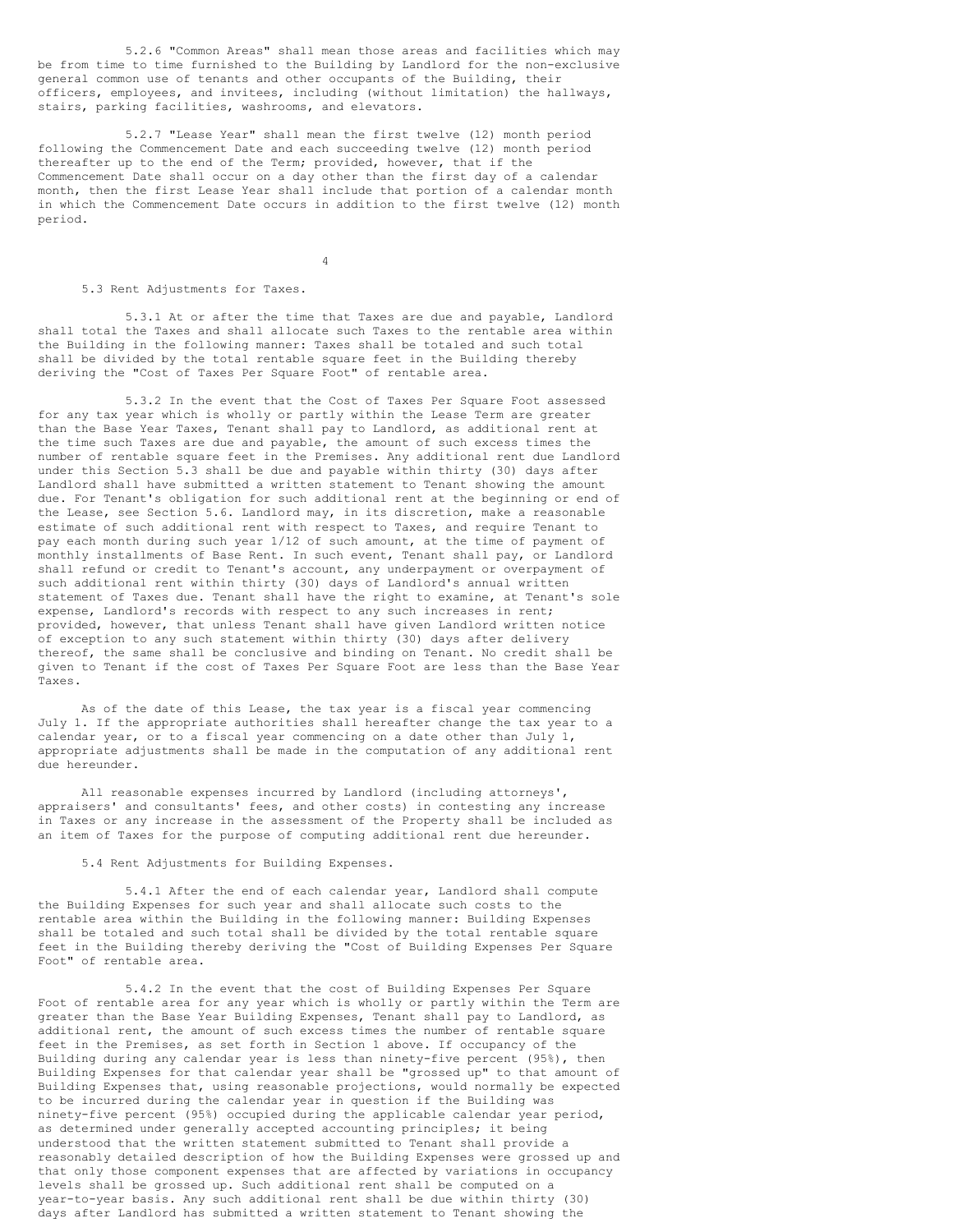5.2.6 "Common Areas" shall mean those areas and facilities which may be from time to time furnished to the Building by Landlord for the non-exclusive general common use of tenants and other occupants of the Building, their officers, employees, and invitees, including (without limitation) the hallways, stairs, parking facilities, washrooms, and elevators.

5.2.7 "Lease Year" shall mean the first twelve (12) month period following the Commencement Date and each succeeding twelve (12) month period thereafter up to the end of the Term; provided, however, that if the Commencement Date shall occur on a day other than the first day of a calendar month, then the first Lease Year shall include that portion of a calendar month in which the Commencement Date occurs in addition to the first twelve (12) month period.

4

# 5.3 Rent Adjustments for Taxes.

5.3.1 At or after the time that Taxes are due and payable, Landlord shall total the Taxes and shall allocate such Taxes to the rentable area within the Building in the following manner: Taxes shall be totaled and such total shall be divided by the total rentable square feet in the Building thereby deriving the "Cost of Taxes Per Square Foot" of rentable area.

5.3.2 In the event that the Cost of Taxes Per Square Foot assessed for any tax year which is wholly or partly within the Lease Term are greater than the Base Year Taxes, Tenant shall pay to Landlord, as additional rent at the time such Taxes are due and payable, the amount of such excess times the number of rentable square feet in the Premises. Any additional rent due Landlord under this Section 5.3 shall be due and payable within thirty (30) days after Landlord shall have submitted a written statement to Tenant showing the amount due. For Tenant's obligation for such additional rent at the beginning or end of the Lease, see Section 5.6. Landlord may, in its discretion, make a reasonable estimate of such additional rent with respect to Taxes, and require Tenant to pay each month during such year 1/12 of such amount, at the time of payment of monthly installments of Base Rent. In such event, Tenant shall pay, or Landlord shall refund or credit to Tenant's account, any underpayment or overpayment of such additional rent within thirty (30) days of Landlord's annual written statement of Taxes due. Tenant shall have the right to examine, at Tenant's sole expense, Landlord's records with respect to any such increases in rent; provided, however, that unless Tenant shall have given Landlord written notice of exception to any such statement within thirty (30) days after delivery thereof, the same shall be conclusive and binding on Tenant. No credit shall be given to Tenant if the cost of Taxes Per Square Foot are less than the Base Year Taxes.

As of the date of this Lease, the tax year is a fiscal year commencing July 1. If the appropriate authorities shall hereafter change the tax year to a calendar year, or to a fiscal year commencing on a date other than July 1, appropriate adjustments shall be made in the computation of any additional rent due hereunder.

All reasonable expenses incurred by Landlord (including attorneys', appraisers' and consultants' fees, and other costs) in contesting any increase in Taxes or any increase in the assessment of the Property shall be included as an item of Taxes for the purpose of computing additional rent due hereunder.

# 5.4 Rent Adjustments for Building Expenses.

5.4.1 After the end of each calendar year, Landlord shall compute the Building Expenses for such year and shall allocate such costs to the rentable area within the Building in the following manner: Building Expenses shall be totaled and such total shall be divided by the total rentable square feet in the Building thereby deriving the "Cost of Building Expenses Per Square Foot" of rentable area.

5.4.2 In the event that the cost of Building Expenses Per Square Foot of rentable area for any year which is wholly or partly within the Term are greater than the Base Year Building Expenses, Tenant shall pay to Landlord, as additional rent, the amount of such excess times the number of rentable square feet in the Premises, as set forth in Section 1 above. If occupancy of the Building during any calendar year is less than ninety-five percent (95%), then Building Expenses for that calendar year shall be "grossed up" to that amount of Building Expenses that, using reasonable projections, would normally be expected to be incurred during the calendar year in question if the Building was ninety-five percent (95%) occupied during the applicable calendar year period, as determined under generally accepted accounting principles; it being understood that the written statement submitted to Tenant shall provide a reasonably detailed description of how the Building Expenses were grossed up and that only those component expenses that are affected by variations in occupancy levels shall be grossed up. Such additional rent shall be computed on a year-to-year basis. Any such additional rent shall be due within thirty (30) days after Landlord has submitted a written statement to Tenant showing the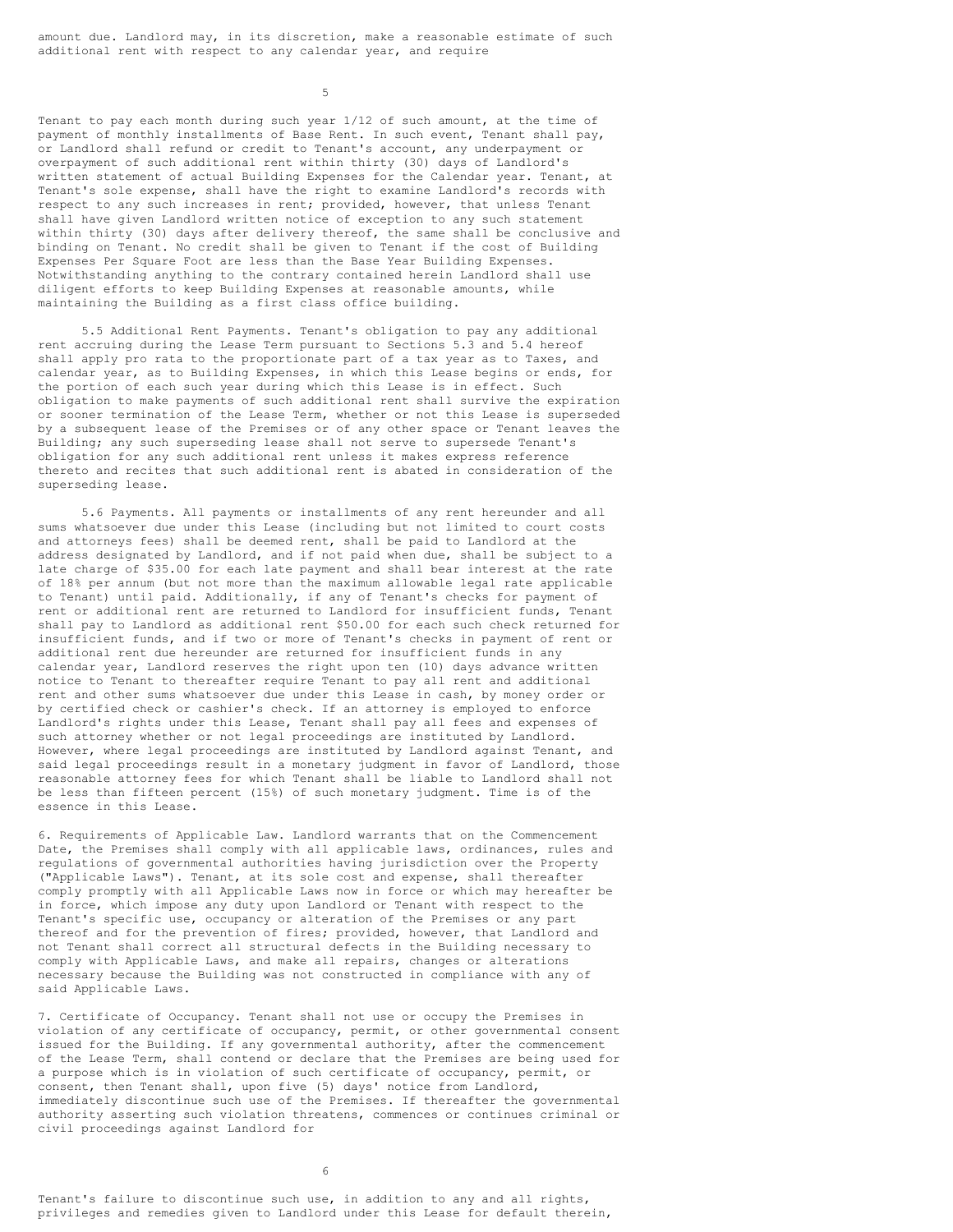amount due. Landlord may, in its discretion, make a reasonable estimate of such additional rent with respect to any calendar year, and require

5

Tenant to pay each month during such year 1/12 of such amount, at the time of payment of monthly installments of Base Rent. In such event, Tenant shall pay, or Landlord shall refund or credit to Tenant's account, any underpayment or overpayment of such additional rent within thirty (30) days of Landlord's written statement of actual Building Expenses for the Calendar year. Tenant, at Tenant's sole expense, shall have the right to examine Landlord's records with respect to any such increases in rent; provided, however, that unless Tenant shall have given Landlord written notice of exception to any such statement within thirty (30) days after delivery thereof, the same shall be conclusive and binding on Tenant. No credit shall be given to Tenant if the cost of Building Expenses Per Square Foot are less than the Base Year Building Expenses. Notwithstanding anything to the contrary contained herein Landlord shall use diligent efforts to keep Building Expenses at reasonable amounts, while maintaining the Building as a first class office building.

5.5 Additional Rent Payments. Tenant's obligation to pay any additional rent accruing during the Lease Term pursuant to Sections 5.3 and 5.4 hereof shall apply pro rata to the proportionate part of a tax year as to Taxes, and calendar year, as to Building Expenses, in which this Lease begins or ends, for the portion of each such year during which this Lease is in effect. Such obligation to make payments of such additional rent shall survive the expiration or sooner termination of the Lease Term, whether or not this Lease is superseded by a subsequent lease of the Premises or of any other space or Tenant leaves the Building; any such superseding lease shall not serve to supersede Tenant's obligation for any such additional rent unless it makes express reference thereto and recites that such additional rent is abated in consideration of the superseding lease.

5.6 Payments. All payments or installments of any rent hereunder and all sums whatsoever due under this Lease (including but not limited to court costs and attorneys fees) shall be deemed rent, shall be paid to Landlord at the address designated by Landlord, and if not paid when due, shall be subject to a late charge of \$35.00 for each late payment and shall bear interest at the rate of 18% per annum (but not more than the maximum allowable legal rate applicable to Tenant) until paid. Additionally, if any of Tenant's checks for payment of rent or additional rent are returned to Landlord for insufficient funds, Tenant shall pay to Landlord as additional rent \$50.00 for each such check returned for insufficient funds, and if two or more of Tenant's checks in payment of rent or additional rent due hereunder are returned for insufficient funds in any calendar year, Landlord reserves the right upon ten (10) days advance written notice to Tenant to thereafter require Tenant to pay all rent and additional rent and other sums whatsoever due under this Lease in cash, by money order or by certified check or cashier's check. If an attorney is employed to enforce Landlord's rights under this Lease, Tenant shall pay all fees and expenses of such attorney whether or not legal proceedings are instituted by Landlord. However, where legal proceedings are instituted by Landlord against Tenant, and said legal proceedings result in a monetary judgment in favor of Landlord, those reasonable attorney fees for which Tenant shall be liable to Landlord shall not be less than fifteen percent (15%) of such monetary judgment. Time is of the essence in this Lease.

6. Requirements of Applicable Law. Landlord warrants that on the Commencement Date, the Premises shall comply with all applicable laws, ordinances, rules and regulations of governmental authorities having jurisdiction over the Property ("Applicable Laws"). Tenant, at its sole cost and expense, shall thereafter comply promptly with all Applicable Laws now in force or which may hereafter be in force, which impose any duty upon Landlord or Tenant with respect to the Tenant's specific use, occupancy or alteration of the Premises or any part thereof and for the prevention of fires; provided, however, that Landlord and not Tenant shall correct all structural defects in the Building necessary to comply with Applicable Laws, and make all repairs, changes or alterations necessary because the Building was not constructed in compliance with any of said Applicable Laws.

7. Certificate of Occupancy. Tenant shall not use or occupy the Premises in violation of any certificate of occupancy, permit, or other governmental consent issued for the Building. If any governmental authority, after the commencement of the Lease Term, shall contend or declare that the Premises are being used for a purpose which is in violation of such certificate of occupancy, permit, or consent, then Tenant shall, upon five (5) days' notice from Landlord, immediately discontinue such use of the Premises. If thereafter the governmental authority asserting such violation threatens, commences or continues criminal or civil proceedings against Landlord for

6

Tenant's failure to discontinue such use, in addition to any and all rights, privileges and remedies given to Landlord under this Lease for default therein,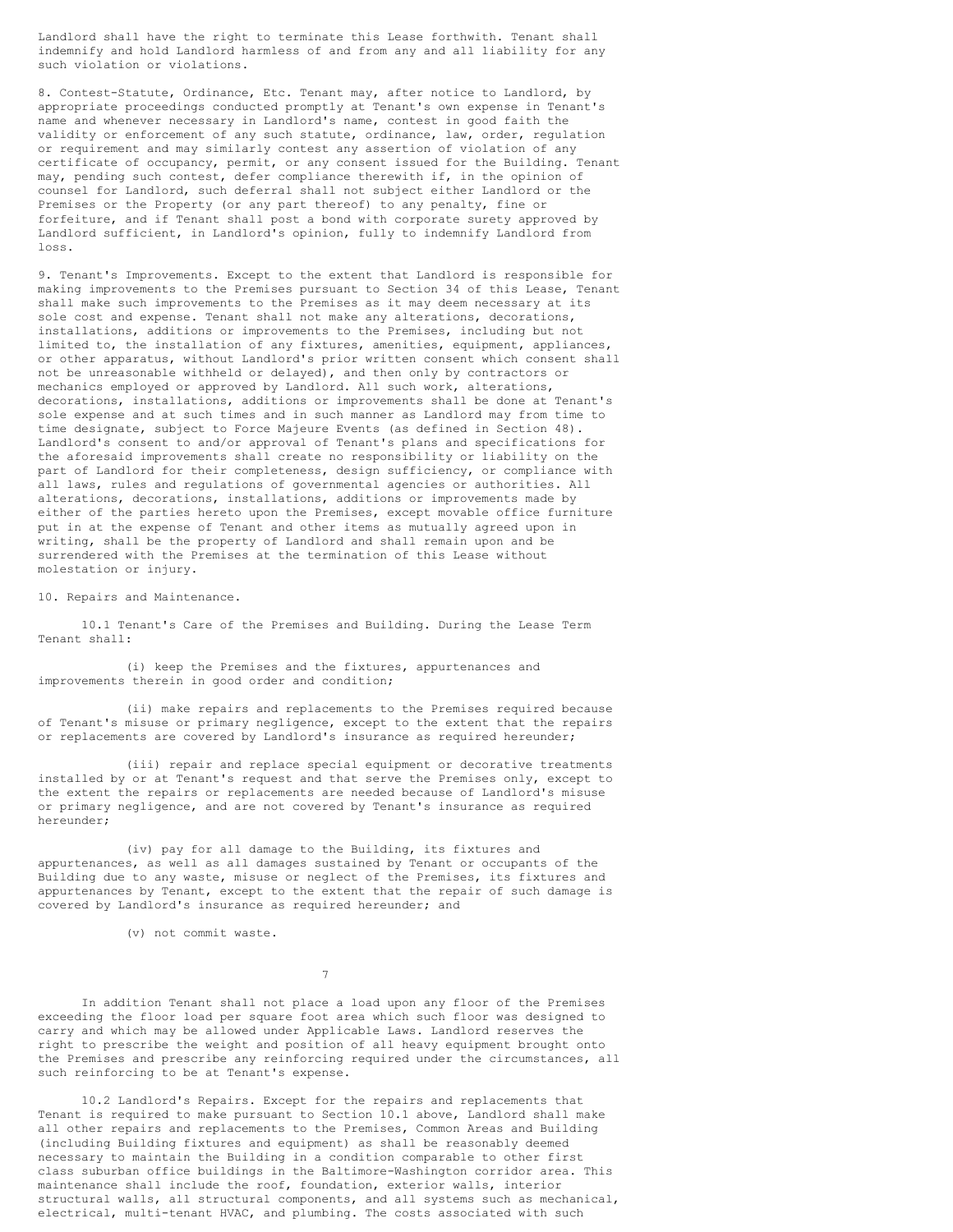Landlord shall have the right to terminate this Lease forthwith. Tenant shall indemnify and hold Landlord harmless of and from any and all liability for any such violation or violations.

8. Contest-Statute, Ordinance, Etc. Tenant may, after notice to Landlord, by appropriate proceedings conducted promptly at Tenant's own expense in Tenant's name and whenever necessary in Landlord's name, contest in good faith the validity or enforcement of any such statute, ordinance, law, order, regulation or requirement and may similarly contest any assertion of violation of any certificate of occupancy, permit, or any consent issued for the Building. Tenant may, pending such contest, defer compliance therewith if, in the opinion of counsel for Landlord, such deferral shall not subject either Landlord or the Premises or the Property (or any part thereof) to any penalty, fine or forfeiture, and if Tenant shall post a bond with corporate surety approved by Landlord sufficient, in Landlord's opinion, fully to indemnify Landlord from loss.

9. Tenant's Improvements. Except to the extent that Landlord is responsible for making improvements to the Premises pursuant to Section 34 of this Lease, Tenant shall make such improvements to the Premises as it may deem necessary at its sole cost and expense. Tenant shall not make any alterations, decorations, installations, additions or improvements to the Premises, including but not limited to, the installation of any fixtures, amenities, equipment, appliances, or other apparatus, without Landlord's prior written consent which consent shall not be unreasonable withheld or delayed), and then only by contractors or mechanics employed or approved by Landlord. All such work, alterations, decorations, installations, additions or improvements shall be done at Tenant's sole expense and at such times and in such manner as Landlord may from time to time designate, subject to Force Majeure Events (as defined in Section 48). Landlord's consent to and/or approval of Tenant's plans and specifications for the aforesaid improvements shall create no responsibility or liability on the part of Landlord for their completeness, design sufficiency, or compliance with all laws, rules and regulations of governmental agencies or authorities. All alterations, decorations, installations, additions or improvements made by either of the parties hereto upon the Premises, except movable office furniture put in at the expense of Tenant and other items as mutually agreed upon in writing, shall be the property of Landlord and shall remain upon and be surrendered with the Premises at the termination of this Lease without molestation or injury.

10. Repairs and Maintenance.

10.1 Tenant's Care of the Premises and Building. During the Lease Term Tenant shall:

(i) keep the Premises and the fixtures, appurtenances and improvements therein in good order and condition;

(ii) make repairs and replacements to the Premises required because of Tenant's misuse or primary negligence, except to the extent that the repairs or replacements are covered by Landlord's insurance as required hereunder;

(iii) repair and replace special equipment or decorative treatments installed by or at Tenant's request and that serve the Premises only, except to the extent the repairs or replacements are needed because of Landlord's misuse or primary negligence, and are not covered by Tenant's insurance as required hereunder;

(iv) pay for all damage to the Building, its fixtures and appurtenances, as well as all damages sustained by Tenant or occupants of the Building due to any waste, misuse or neglect of the Premises, its fixtures and appurtenances by Tenant, except to the extent that the repair of such damage is covered by Landlord's insurance as required hereunder; and

(v) not commit waste.

7

In addition Tenant shall not place a load upon any floor of the Premises exceeding the floor load per square foot area which such floor was designed to carry and which may be allowed under Applicable Laws. Landlord reserves the right to prescribe the weight and position of all heavy equipment brought onto the Premises and prescribe any reinforcing required under the circumstances, all such reinforcing to be at Tenant's expense.

10.2 Landlord's Repairs. Except for the repairs and replacements that Tenant is required to make pursuant to Section 10.1 above, Landlord shall make all other repairs and replacements to the Premises, Common Areas and Building (including Building fixtures and equipment) as shall be reasonably deemed necessary to maintain the Building in a condition comparable to other first class suburban office buildings in the Baltimore-Washington corridor area. This maintenance shall include the roof, foundation, exterior walls, interior structural walls, all structural components, and all systems such as mechanical, electrical, multi-tenant HVAC, and plumbing. The costs associated with such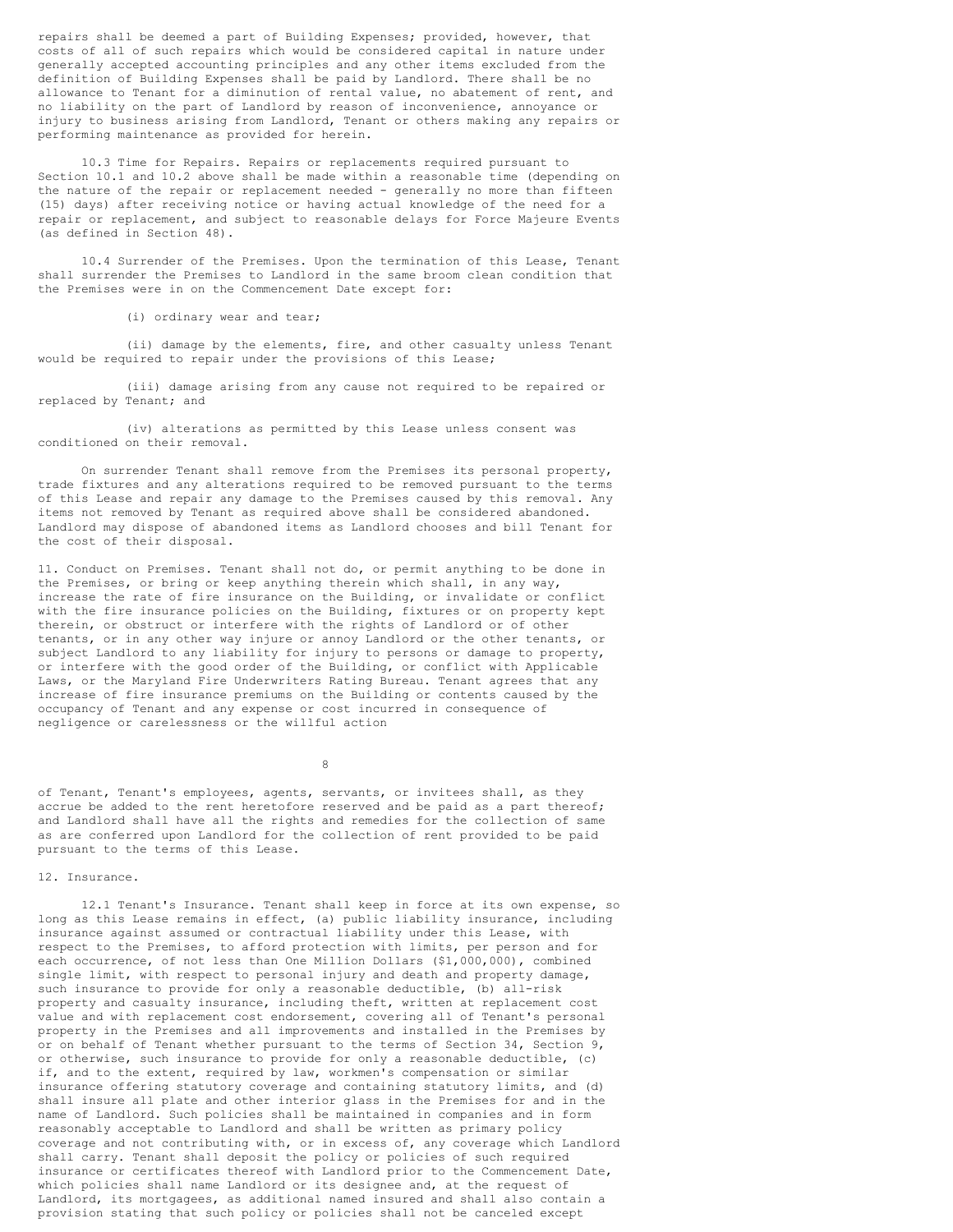repairs shall be deemed a part of Building Expenses; provided, however, that costs of all of such repairs which would be considered capital in nature under generally accepted accounting principles and any other items excluded from the definition of Building Expenses shall be paid by Landlord. There shall be no allowance to Tenant for a diminution of rental value, no abatement of rent, and no liability on the part of Landlord by reason of inconvenience, annoyance or injury to business arising from Landlord, Tenant or others making any repairs or performing maintenance as provided for herein.

10.3 Time for Repairs. Repairs or replacements required pursuant to Section 10.1 and 10.2 above shall be made within a reasonable time (depending on the nature of the repair or replacement needed - generally no more than fifteen (15) days) after receiving notice or having actual knowledge of the need for a repair or replacement, and subject to reasonable delays for Force Majeure Events (as defined in Section 48).

10.4 Surrender of the Premises. Upon the termination of this Lease, Tenant shall surrender the Premises to Landlord in the same broom clean condition that the Premises were in on the Commencement Date except for:

(i) ordinary wear and tear;

(ii) damage by the elements, fire, and other casualty unless Tenant would be required to repair under the provisions of this Lease;

(iii) damage arising from any cause not required to be repaired or replaced by Tenant; and

(iv) alterations as permitted by this Lease unless consent was conditioned on their removal.

On surrender Tenant shall remove from the Premises its personal property, trade fixtures and any alterations required to be removed pursuant to the terms of this Lease and repair any damage to the Premises caused by this removal. Any items not removed by Tenant as required above shall be considered abandoned. Landlord may dispose of abandoned items as Landlord chooses and bill Tenant for the cost of their disposal.

11. Conduct on Premises. Tenant shall not do, or permit anything to be done in the Premises, or bring or keep anything therein which shall, in any way, increase the rate of fire insurance on the Building, or invalidate or conflict with the fire insurance policies on the Building, fixtures or on property kept therein, or obstruct or interfere with the rights of Landlord or of other tenants, or in any other way injure or annoy Landlord or the other tenants, or subject Landlord to any liability for injury to persons or damage to property, or interfere with the good order of the Building, or conflict with Applicable Laws, or the Maryland Fire Underwriters Rating Bureau. Tenant agrees that any increase of fire insurance premiums on the Building or contents caused by the occupancy of Tenant and any expense or cost incurred in consequence of negligence or carelessness or the willful action

8

of Tenant, Tenant's employees, agents, servants, or invitees shall, as they accrue be added to the rent heretofore reserved and be paid as a part thereof; and Landlord shall have all the rights and remedies for the collection of same as are conferred upon Landlord for the collection of rent provided to be paid pursuant to the terms of this Lease.

### 12. Insurance.

12.1 Tenant's Insurance. Tenant shall keep in force at its own expense, so long as this Lease remains in effect, (a) public liability insurance, including insurance against assumed or contractual liability under this Lease, with respect to the Premises, to afford protection with limits, per person and for each occurrence, of not less than One Million Dollars (\$1,000,000), combined single limit, with respect to personal injury and death and property damage, such insurance to provide for only a reasonable deductible, (b) all-risk property and casualty insurance, including theft, written at replacement cost value and with replacement cost endorsement, covering all of Tenant's personal property in the Premises and all improvements and installed in the Premises by or on behalf of Tenant whether pursuant to the terms of Section 34, Section 9, or otherwise, such insurance to provide for only a reasonable deductible, (c) if, and to the extent, required by law, workmen's compensation or similar insurance offering statutory coverage and containing statutory limits, and (d) shall insure all plate and other interior glass in the Premises for and in the name of Landlord. Such policies shall be maintained in companies and in form reasonably acceptable to Landlord and shall be written as primary policy coverage and not contributing with, or in excess of, any coverage which Landlord shall carry. Tenant shall deposit the policy or policies of such required insurance or certificates thereof with Landlord prior to the Commencement Date, which policies shall name Landlord or its designee and, at the request of Landlord, its mortgagees, as additional named insured and shall also contain a provision stating that such policy or policies shall not be canceled except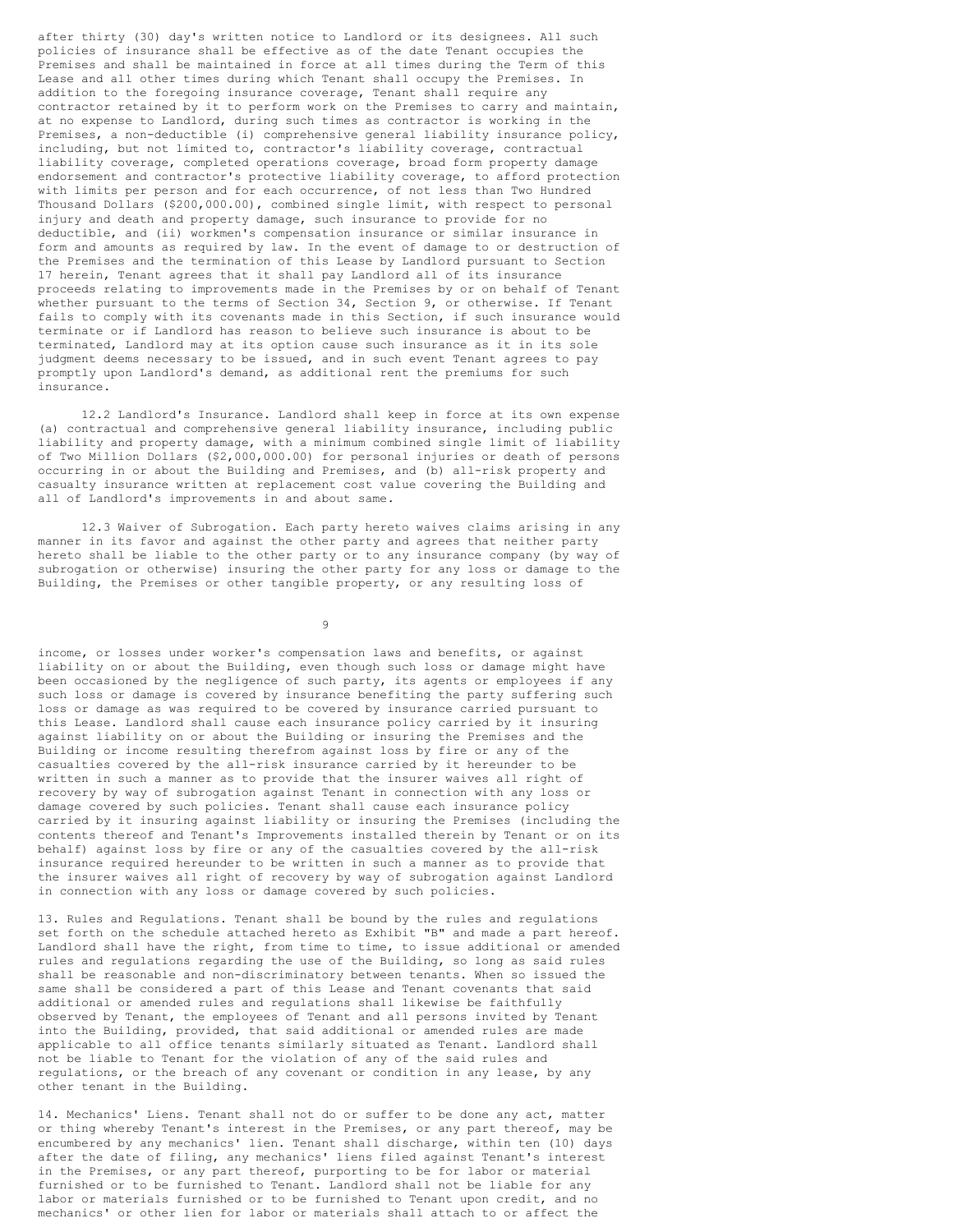after thirty (30) day's written notice to Landlord or its designees. All such policies of insurance shall be effective as of the date Tenant occupies the Premises and shall be maintained in force at all times during the Term of this Lease and all other times during which Tenant shall occupy the Premises. In addition to the foregoing insurance coverage, Tenant shall require any contractor retained by it to perform work on the Premises to carry and maintain, at no expense to Landlord, during such times as contractor is working in the Premises, a non-deductible (i) comprehensive general liability insurance policy, including, but not limited to, contractor's liability coverage, contractual liability coverage, completed operations coverage, broad form property damage endorsement and contractor's protective liability coverage, to afford protection with limits per person and for each occurrence, of not less than Two Hundred Thousand Dollars (\$200,000.00), combined single limit, with respect to personal injury and death and property damage, such insurance to provide for no deductible, and (ii) workmen's compensation insurance or similar insurance in form and amounts as required by law. In the event of damage to or destruction of the Premises and the termination of this Lease by Landlord pursuant to Section 17 herein, Tenant agrees that it shall pay Landlord all of its insurance proceeds relating to improvements made in the Premises by or on behalf of Tenant whether pursuant to the terms of Section 34, Section 9, or otherwise. If Tenant fails to comply with its covenants made in this Section, if such insurance would terminate or if Landlord has reason to believe such insurance is about to be terminated, Landlord may at its option cause such insurance as it in its sole judgment deems necessary to be issued, and in such event Tenant agrees to pay promptly upon Landlord's demand, as additional rent the premiums for such insurance.

12.2 Landlord's Insurance. Landlord shall keep in force at its own expense (a) contractual and comprehensive general liability insurance, including public liability and property damage, with a minimum combined single limit of liability of Two Million Dollars (\$2,000,000.00) for personal injuries or death of persons occurring in or about the Building and Premises, and (b) all-risk property and casualty insurance written at replacement cost value covering the Building and all of Landlord's improvements in and about same.

12.3 Waiver of Subrogation. Each party hereto waives claims arising in any manner in its favor and against the other party and agrees that neither party hereto shall be liable to the other party or to any insurance company (by way of subrogation or otherwise) insuring the other party for any loss or damage to the Building, the Premises or other tangible property, or any resulting loss of

9

income, or losses under worker's compensation laws and benefits, or against liability on or about the Building, even though such loss or damage might have been occasioned by the negligence of such party, its agents or employees if any such loss or damage is covered by insurance benefiting the party suffering such loss or damage as was required to be covered by insurance carried pursuant to this Lease. Landlord shall cause each insurance policy carried by it insuring against liability on or about the Building or insuring the Premises and the Building or income resulting therefrom against loss by fire or any of the casualties covered by the all-risk insurance carried by it hereunder to be written in such a manner as to provide that the insurer waives all right of recovery by way of subrogation against Tenant in connection with any loss or damage covered by such policies. Tenant shall cause each insurance policy carried by it insuring against liability or insuring the Premises (including the contents thereof and Tenant's Improvements installed therein by Tenant or on its behalf) against loss by fire or any of the casualties covered by the all-risk insurance required hereunder to be written in such a manner as to provide that the insurer waives all right of recovery by way of subrogation against Landlord in connection with any loss or damage covered by such policies.

13. Rules and Regulations. Tenant shall be bound by the rules and regulations set forth on the schedule attached hereto as Exhibit "B" and made a part hereof. Landlord shall have the right, from time to time, to issue additional or amended rules and regulations regarding the use of the Building, so long as said rules shall be reasonable and non-discriminatory between tenants. When so issued the same shall be considered a part of this Lease and Tenant covenants that said additional or amended rules and regulations shall likewise be faithfully observed by Tenant, the employees of Tenant and all persons invited by Tenant into the Building, provided, that said additional or amended rules are made applicable to all office tenants similarly situated as Tenant. Landlord shall not be liable to Tenant for the violation of any of the said rules and regulations, or the breach of any covenant or condition in any lease, by any other tenant in the Building.

14. Mechanics' Liens. Tenant shall not do or suffer to be done any act, matter or thing whereby Tenant's interest in the Premises, or any part thereof, may be encumbered by any mechanics' lien. Tenant shall discharge, within ten (10) days after the date of filing, any mechanics' liens filed against Tenant's interest in the Premises, or any part thereof, purporting to be for labor or material furnished or to be furnished to Tenant. Landlord shall not be liable for any labor or materials furnished or to be furnished to Tenant upon credit, and no mechanics' or other lien for labor or materials shall attach to or affect the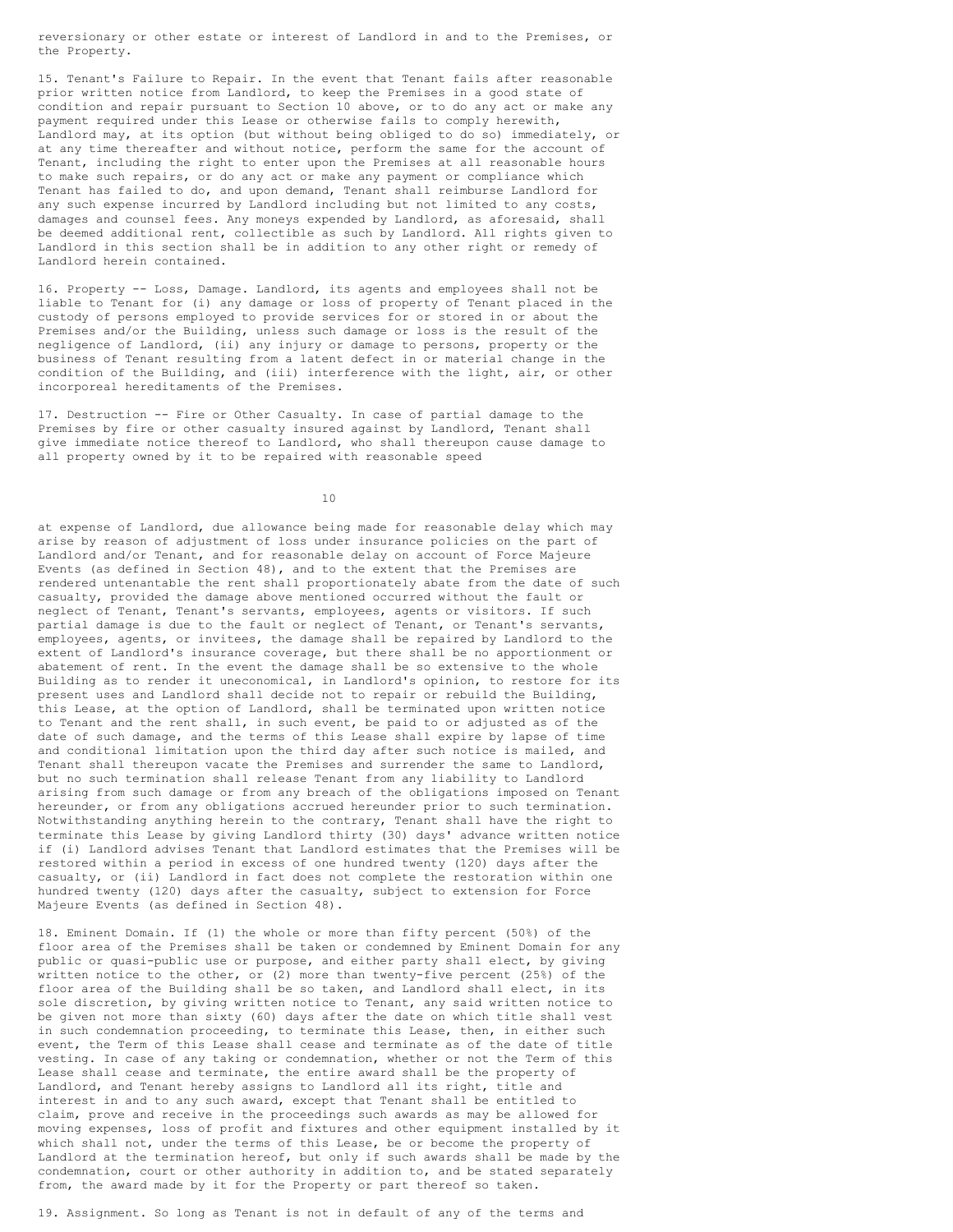reversionary or other estate or interest of Landlord in and to the Premises, or the Property.

15. Tenant's Failure to Repair. In the event that Tenant fails after reasonable prior written notice from Landlord, to keep the Premises in a good state of condition and repair pursuant to Section 10 above, or to do any act or make any payment required under this Lease or otherwise fails to comply herewith, Landlord may, at its option (but without being obliged to do so) immediately, or at any time thereafter and without notice, perform the same for the account of Tenant, including the right to enter upon the Premises at all reasonable hours to make such repairs, or do any act or make any payment or compliance which Tenant has failed to do, and upon demand, Tenant shall reimburse Landlord for any such expense incurred by Landlord including but not limited to any costs, damages and counsel fees. Any moneys expended by Landlord, as aforesaid, shall be deemed additional rent, collectible as such by Landlord. All rights given to Landlord in this section shall be in addition to any other right or remedy of Landlord herein contained.

16. Property -- Loss, Damage. Landlord, its agents and employees shall not be liable to Tenant for (i) any damage or loss of property of Tenant placed in the custody of persons employed to provide services for or stored in or about the Premises and/or the Building, unless such damage or loss is the result of the negligence of Landlord, (ii) any injury or damage to persons, property or the business of Tenant resulting from a latent defect in or material change in the condition of the Building, and (iii) interference with the light, air, or other incorporeal hereditaments of the Premises.

17. Destruction -- Fire or Other Casualty. In case of partial damage to the Premises by fire or other casualty insured against by Landlord, Tenant shall give immediate notice thereof to Landlord, who shall thereupon cause damage to all property owned by it to be repaired with reasonable speed

10

at expense of Landlord, due allowance being made for reasonable delay which may arise by reason of adjustment of loss under insurance policies on the part of Landlord and/or Tenant, and for reasonable delay on account of Force Majeure Events (as defined in Section 48), and to the extent that the Premises are rendered untenantable the rent shall proportionately abate from the date of such casualty, provided the damage above mentioned occurred without the fault or neglect of Tenant, Tenant's servants, employees, agents or visitors. If such partial damage is due to the fault or neglect of Tenant, or Tenant's servants, employees, agents, or invitees, the damage shall be repaired by Landlord to the extent of Landlord's insurance coverage, but there shall be no apportionment or abatement of rent. In the event the damage shall be so extensive to the whole Building as to render it uneconomical, in Landlord's opinion, to restore for its present uses and Landlord shall decide not to repair or rebuild the Building, this Lease, at the option of Landlord, shall be terminated upon written notice to Tenant and the rent shall, in such event, be paid to or adjusted as of the date of such damage, and the terms of this Lease shall expire by lapse of time and conditional limitation upon the third day after such notice is mailed, and Tenant shall thereupon vacate the Premises and surrender the same to Landlord, but no such termination shall release Tenant from any liability to Landlord arising from such damage or from any breach of the obligations imposed on Tenant hereunder, or from any obligations accrued hereunder prior to such termination. Notwithstanding anything herein to the contrary, Tenant shall have the right to terminate this Lease by giving Landlord thirty (30) days' advance written notice if (i) Landlord advises Tenant that Landlord estimates that the Premises will be restored within a period in excess of one hundred twenty (120) days after the casualty, or (ii) Landlord in fact does not complete the restoration within one hundred twenty (120) days after the casualty, subject to extension for Force Majeure Events (as defined in Section 48).

18. Eminent Domain. If (1) the whole or more than fifty percent (50%) of the floor area of the Premises shall be taken or condemned by Eminent Domain for any public or quasi-public use or purpose, and either party shall elect, by giving written notice to the other, or (2) more than twenty-five percent (25%) of the floor area of the Building shall be so taken, and Landlord shall elect, in its sole discretion, by giving written notice to Tenant, any said written notice to be given not more than sixty (60) days after the date on which title shall vest in such condemnation proceeding, to terminate this Lease, then, in either such event, the Term of this Lease shall cease and terminate as of the date of title vesting. In case of any taking or condemnation, whether or not the Term of this Lease shall cease and terminate, the entire award shall be the property of Landlord, and Tenant hereby assigns to Landlord all its right, title and interest in and to any such award, except that Tenant shall be entitled to claim, prove and receive in the proceedings such awards as may be allowed for moving expenses, loss of profit and fixtures and other equipment installed by it which shall not, under the terms of this Lease, be or become the property of Landlord at the termination hereof, but only if such awards shall be made by the condemnation, court or other authority in addition to, and be stated separately from, the award made by it for the Property or part thereof so taken.

19. Assignment. So long as Tenant is not in default of any of the terms and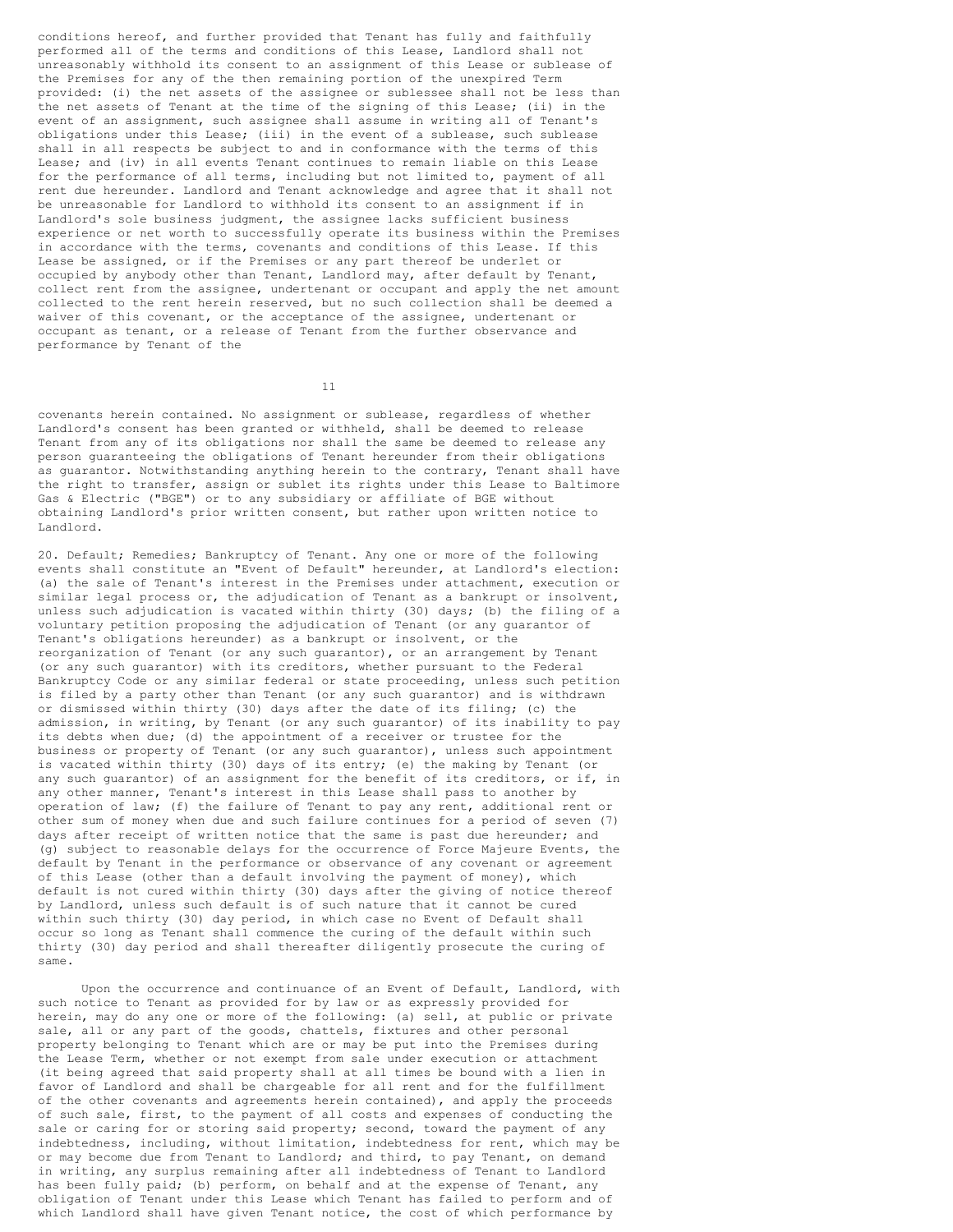conditions hereof, and further provided that Tenant has fully and faithfully performed all of the terms and conditions of this Lease, Landlord shall not unreasonably withhold its consent to an assignment of this Lease or sublease of the Premises for any of the then remaining portion of the unexpired Term provided: (i) the net assets of the assignee or sublessee shall not be less than the net assets of Tenant at the time of the signing of this Lease; (ii) in the event of an assignment, such assignee shall assume in writing all of Tenant's obligations under this Lease; (iii) in the event of a sublease, such sublease shall in all respects be subject to and in conformance with the terms of this Lease; and (iv) in all events Tenant continues to remain liable on this Lease for the performance of all terms, including but not limited to, payment of all rent due hereunder. Landlord and Tenant acknowledge and agree that it shall not be unreasonable for Landlord to withhold its consent to an assignment if in Landlord's sole business judgment, the assignee lacks sufficient business experience or net worth to successfully operate its business within the Premises in accordance with the terms, covenants and conditions of this Lease. If this Lease be assigned, or if the Premises or any part thereof be underlet or occupied by anybody other than Tenant, Landlord may, after default by Tenant, collect rent from the assignee, undertenant or occupant and apply the net amount collected to the rent herein reserved, but no such collection shall be deemed a waiver of this covenant, or the acceptance of the assignee, undertenant or occupant as tenant, or a release of Tenant from the further observance and performance by Tenant of the

11

covenants herein contained. No assignment or sublease, regardless of whether Landlord's consent has been granted or withheld, shall be deemed to release Tenant from any of its obligations nor shall the same be deemed to release any person guaranteeing the obligations of Tenant hereunder from their obligations as guarantor. Notwithstanding anything herein to the contrary, Tenant shall have the right to transfer, assign or sublet its rights under this Lease to Baltimore Gas & Electric ("BGE") or to any subsidiary or affiliate of BGE without obtaining Landlord's prior written consent, but rather upon written notice to Landlord.

20. Default; Remedies; Bankruptcy of Tenant. Any one or more of the following events shall constitute an "Event of Default" hereunder, at Landlord's election: (a) the sale of Tenant's interest in the Premises under attachment, execution or similar legal process or, the adjudication of Tenant as a bankrupt or insolvent, unless such adjudication is vacated within thirty (30) days; (b) the filing of a voluntary petition proposing the adjudication of Tenant (or any guarantor of Tenant's obligations hereunder) as a bankrupt or insolvent, or the reorganization of Tenant (or any such guarantor), or an arrangement by Tenant (or any such guarantor) with its creditors, whether pursuant to the Federal Bankruptcy Code or any similar federal or state proceeding, unless such petition is filed by a party other than Tenant (or any such guarantor) and is withdrawn or dismissed within thirty (30) days after the date of its filing; (c) the admission, in writing, by Tenant (or any such guarantor) of its inability to pay its debts when due; (d) the appointment of a receiver or trustee for the business or property of Tenant (or any such guarantor), unless such appointment is vacated within thirty (30) days of its entry; (e) the making by Tenant (or any such guarantor) of an assignment for the benefit of its creditors, or if, in any other manner, Tenant's interest in this Lease shall pass to another by operation of law; (f) the failure of Tenant to pay any rent, additional rent or other sum of money when due and such failure continues for a period of seven (7) days after receipt of written notice that the same is past due hereunder; and (g) subject to reasonable delays for the occurrence of Force Majeure Events, the default by Tenant in the performance or observance of any covenant or agreement of this Lease (other than a default involving the payment of money), which default is not cured within thirty (30) days after the giving of notice thereof by Landlord, unless such default is of such nature that it cannot be cured within such thirty (30) day period, in which case no Event of Default shall occur so long as Tenant shall commence the curing of the default within such thirty (30) day period and shall thereafter diligently prosecute the curing of same.

Upon the occurrence and continuance of an Event of Default, Landlord, with such notice to Tenant as provided for by law or as expressly provided for herein, may do any one or more of the following: (a) sell, at public or private sale, all or any part of the goods, chattels, fixtures and other personal property belonging to Tenant which are or may be put into the Premises during the Lease Term, whether or not exempt from sale under execution or attachment (it being agreed that said property shall at all times be bound with a lien in favor of Landlord and shall be chargeable for all rent and for the fulfillment of the other covenants and agreements herein contained), and apply the proceeds of such sale, first, to the payment of all costs and expenses of conducting the sale or caring for or storing said property; second, toward the payment of any indebtedness, including, without limitation, indebtedness for rent, which may be or may become due from Tenant to Landlord; and third, to pay Tenant, on demand in writing, any surplus remaining after all indebtedness of Tenant to Landlord has been fully paid; (b) perform, on behalf and at the expense of Tenant, any obligation of Tenant under this Lease which Tenant has failed to perform and of which Landlord shall have given Tenant notice, the cost of which performance by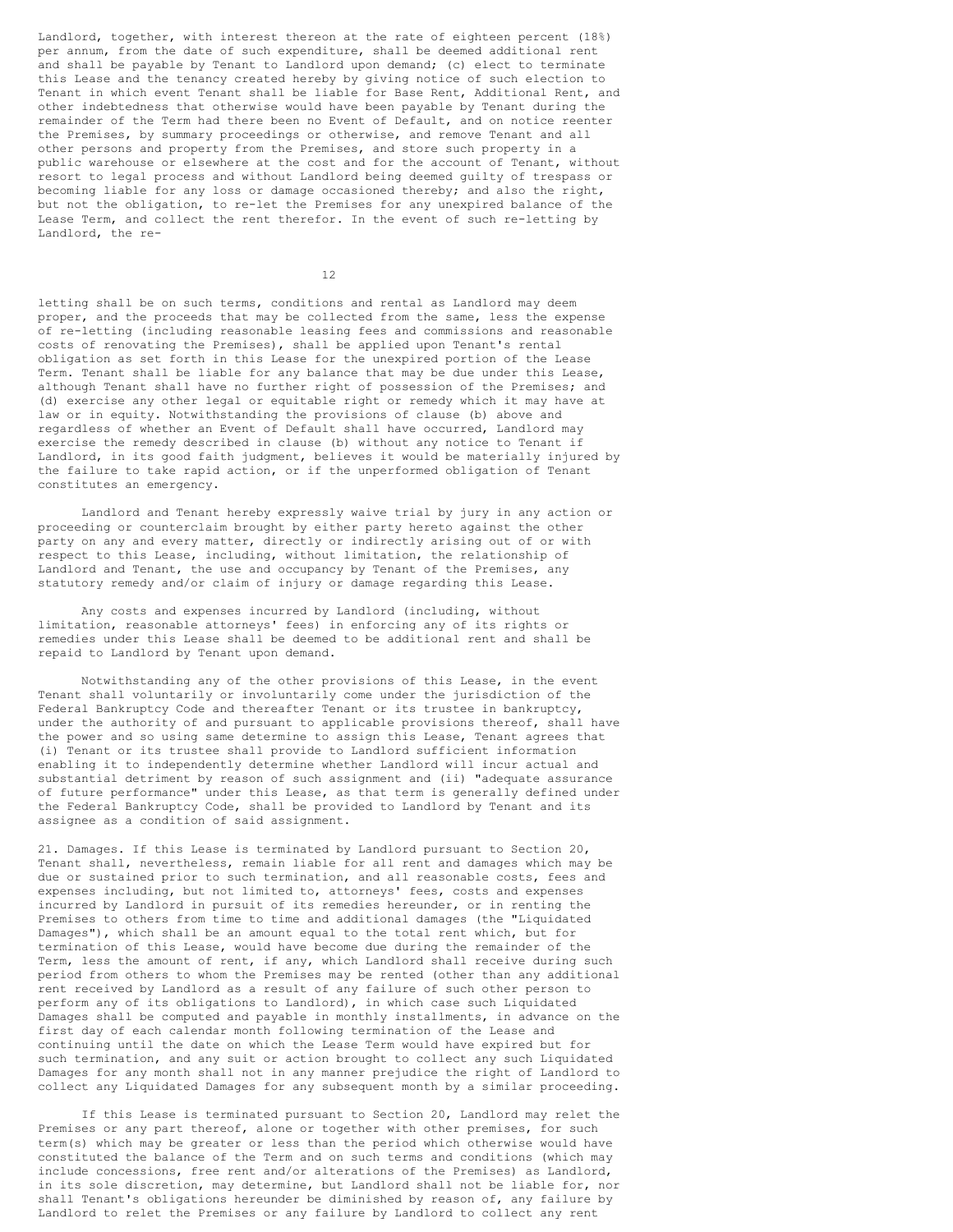Landlord, together, with interest thereon at the rate of eighteen percent (18%) per annum, from the date of such expenditure, shall be deemed additional rent and shall be payable by Tenant to Landlord upon demand; (c) elect to terminate this Lease and the tenancy created hereby by giving notice of such election to Tenant in which event Tenant shall be liable for Base Rent, Additional Rent, and other indebtedness that otherwise would have been payable by Tenant during the remainder of the Term had there been no Event of Default, and on notice reenter the Premises, by summary proceedings or otherwise, and remove Tenant and all other persons and property from the Premises, and store such property in a public warehouse or elsewhere at the cost and for the account of Tenant, without resort to legal process and without Landlord being deemed guilty of trespass or becoming liable for any loss or damage occasioned thereby; and also the right, but not the obligation, to re-let the Premises for any unexpired balance of the Lease Term, and collect the rent therefor. In the event of such re-letting by Landlord, the re-

12

letting shall be on such terms, conditions and rental as Landlord may deem proper, and the proceeds that may be collected from the same, less the expense of re-letting (including reasonable leasing fees and commissions and reasonable costs of renovating the Premises), shall be applied upon Tenant's rental obligation as set forth in this Lease for the unexpired portion of the Lease Term. Tenant shall be liable for any balance that may be due under this Lease, although Tenant shall have no further right of possession of the Premises; and (d) exercise any other legal or equitable right or remedy which it may have at law or in equity. Notwithstanding the provisions of clause (b) above and regardless of whether an Event of Default shall have occurred, Landlord may exercise the remedy described in clause (b) without any notice to Tenant if Landlord, in its good faith judgment, believes it would be materially injured by the failure to take rapid action, or if the unperformed obligation of Tenant constitutes an emergency.

Landlord and Tenant hereby expressly waive trial by jury in any action or proceeding or counterclaim brought by either party hereto against the other party on any and every matter, directly or indirectly arising out of or with respect to this Lease, including, without limitation, the relationship of Landlord and Tenant, the use and occupancy by Tenant of the Premises, any statutory remedy and/or claim of injury or damage regarding this Lease.

Any costs and expenses incurred by Landlord (including, without limitation, reasonable attorneys' fees) in enforcing any of its rights or remedies under this Lease shall be deemed to be additional rent and shall be repaid to Landlord by Tenant upon demand.

Notwithstanding any of the other provisions of this Lease, in the event Tenant shall voluntarily or involuntarily come under the jurisdiction of the Federal Bankruptcy Code and thereafter Tenant or its trustee in bankruptcy, under the authority of and pursuant to applicable provisions thereof, shall have the power and so using same determine to assign this Lease, Tenant agrees that (i) Tenant or its trustee shall provide to Landlord sufficient information enabling it to independently determine whether Landlord will incur actual and substantial detriment by reason of such assignment and (ii) "adequate assurance of future performance" under this Lease, as that term is generally defined under the Federal Bankruptcy Code, shall be provided to Landlord by Tenant and its assignee as a condition of said assignment.

21. Damages. If this Lease is terminated by Landlord pursuant to Section 20, Tenant shall, nevertheless, remain liable for all rent and damages which may be due or sustained prior to such termination, and all reasonable costs, fees and expenses including, but not limited to, attorneys' fees, costs and expenses incurred by Landlord in pursuit of its remedies hereunder, or in renting the Premises to others from time to time and additional damages (the "Liquidated Damages"), which shall be an amount equal to the total rent which, but for termination of this Lease, would have become due during the remainder of the Term, less the amount of rent, if any, which Landlord shall receive during such period from others to whom the Premises may be rented (other than any additional rent received by Landlord as a result of any failure of such other person to perform any of its obligations to Landlord), in which case such Liquidated Damages shall be computed and payable in monthly installments, in advance on the first day of each calendar month following termination of the Lease and continuing until the date on which the Lease Term would have expired but for such termination, and any suit or action brought to collect any such Liquidated Damages for any month shall not in any manner prejudice the right of Landlord to collect any Liquidated Damages for any subsequent month by a similar proceeding.

If this Lease is terminated pursuant to Section 20, Landlord may relet the Premises or any part thereof, alone or together with other premises, for such term(s) which may be greater or less than the period which otherwise would have constituted the balance of the Term and on such terms and conditions (which may include concessions, free rent and/or alterations of the Premises) as Landlord, in its sole discretion, may determine, but Landlord shall not be liable for, nor shall Tenant's obligations hereunder be diminished by reason of, any failure by Landlord to relet the Premises or any failure by Landlord to collect any rent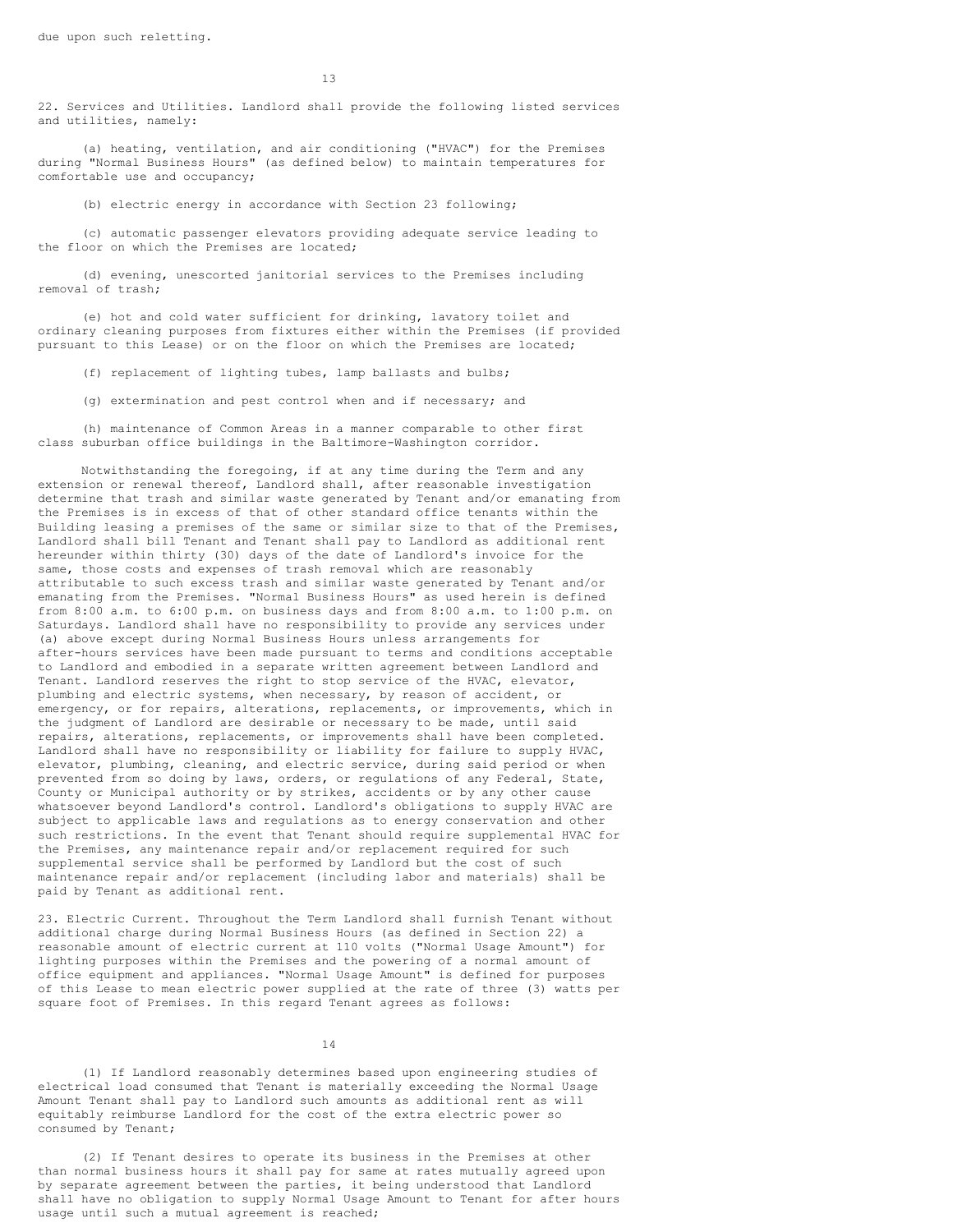22. Services and Utilities. Landlord shall provide the following listed services and utilities, namely:

(a) heating, ventilation, and air conditioning ("HVAC") for the Premises during "Normal Business Hours" (as defined below) to maintain temperatures for comfortable use and occupancy;

(b) electric energy in accordance with Section 23 following;

(c) automatic passenger elevators providing adequate service leading to the floor on which the Premises are located;

(d) evening, unescorted janitorial services to the Premises including removal of trash;

(e) hot and cold water sufficient for drinking, lavatory toilet and ordinary cleaning purposes from fixtures either within the Premises (if provided pursuant to this Lease) or on the floor on which the Premises are located;

(f) replacement of lighting tubes, lamp ballasts and bulbs;

(g) extermination and pest control when and if necessary; and

(h) maintenance of Common Areas in a manner comparable to other first class suburban office buildings in the Baltimore-Washington corridor.

Notwithstanding the foregoing, if at any time during the Term and any extension or renewal thereof, Landlord shall, after reasonable investigation determine that trash and similar waste generated by Tenant and/or emanating from the Premises is in excess of that of other standard office tenants within the Building leasing a premises of the same or similar size to that of the Premises, Landlord shall bill Tenant and Tenant shall pay to Landlord as additional rent hereunder within thirty (30) days of the date of Landlord's invoice for the same, those costs and expenses of trash removal which are reasonably attributable to such excess trash and similar waste generated by Tenant and/or emanating from the Premises. "Normal Business Hours" as used herein is defined from 8:00 a.m. to 6:00 p.m. on business days and from 8:00 a.m. to 1:00 p.m. on Saturdays. Landlord shall have no responsibility to provide any services under (a) above except during Normal Business Hours unless arrangements for after-hours services have been made pursuant to terms and conditions acceptable to Landlord and embodied in a separate written agreement between Landlord and Tenant. Landlord reserves the right to stop service of the HVAC, elevator, plumbing and electric systems, when necessary, by reason of accident, or emergency, or for repairs, alterations, replacements, or improvements, which in the judgment of Landlord are desirable or necessary to be made, until said repairs, alterations, replacements, or improvements shall have been completed. Landlord shall have no responsibility or liability for failure to supply HVAC, elevator, plumbing, cleaning, and electric service, during said period or when prevented from so doing by laws, orders, or regulations of any Federal, State, County or Municipal authority or by strikes, accidents or by any other cause whatsoever beyond Landlord's control. Landlord's obligations to supply HVAC are subject to applicable laws and regulations as to energy conservation and other such restrictions. In the event that Tenant should require supplemental HVAC for the Premises, any maintenance repair and/or replacement required for such supplemental service shall be performed by Landlord but the cost of such maintenance repair and/or replacement (including labor and materials) shall be paid by Tenant as additional rent.

23. Electric Current. Throughout the Term Landlord shall furnish Tenant without additional charge during Normal Business Hours (as defined in Section 22) a reasonable amount of electric current at 110 volts ("Normal Usage Amount") for lighting purposes within the Premises and the powering of a normal amount of office equipment and appliances. "Normal Usage Amount" is defined for purposes of this Lease to mean electric power supplied at the rate of three (3) watts per square foot of Premises. In this regard Tenant agrees as follows:

14

(1) If Landlord reasonably determines based upon engineering studies of electrical load consumed that Tenant is materially exceeding the Normal Usage Amount Tenant shall pay to Landlord such amounts as additional rent as will equitably reimburse Landlord for the cost of the extra electric power so consumed by Tenant;

(2) If Tenant desires to operate its business in the Premises at other than normal business hours it shall pay for same at rates mutually agreed upon by separate agreement between the parties, it being understood that Landlord shall have no obligation to supply Normal Usage Amount to Tenant for after hours usage until such a mutual agreement is reached;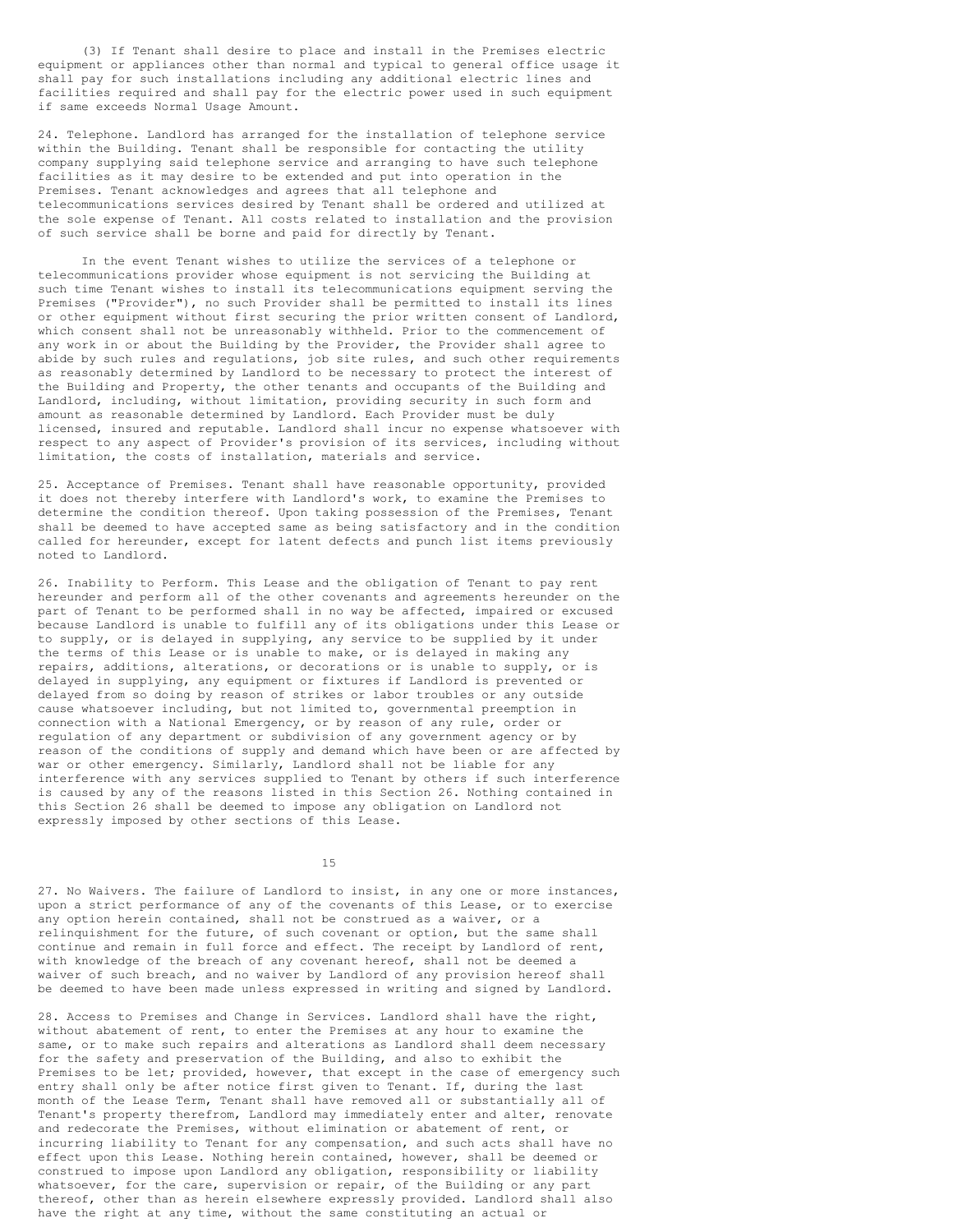(3) If Tenant shall desire to place and install in the Premises electric equipment or appliances other than normal and typical to general office usage it shall pay for such installations including any additional electric lines and facilities required and shall pay for the electric power used in such equipment if same exceeds Normal Usage Amount.

24. Telephone. Landlord has arranged for the installation of telephone service within the Building. Tenant shall be responsible for contacting the utility company supplying said telephone service and arranging to have such telephone facilities as it may desire to be extended and put into operation in the Premises. Tenant acknowledges and agrees that all telephone and telecommunications services desired by Tenant shall be ordered and utilized at the sole expense of Tenant. All costs related to installation and the provision of such service shall be borne and paid for directly by Tenant.

In the event Tenant wishes to utilize the services of a telephone or telecommunications provider whose equipment is not servicing the Building at such time Tenant wishes to install its telecommunications equipment serving the Premises ("Provider"), no such Provider shall be permitted to install its lines or other equipment without first securing the prior written consent of Landlord, which consent shall not be unreasonably withheld. Prior to the commencement of any work in or about the Building by the Provider, the Provider shall agree to abide by such rules and regulations, job site rules, and such other requirements as reasonably determined by Landlord to be necessary to protect the interest of the Building and Property, the other tenants and occupants of the Building and Landlord, including, without limitation, providing security in such form and amount as reasonable determined by Landlord. Each Provider must be duly licensed, insured and reputable. Landlord shall incur no expense whatsoever with respect to any aspect of Provider's provision of its services, including without limitation, the costs of installation, materials and service.

25. Acceptance of Premises. Tenant shall have reasonable opportunity, provided it does not thereby interfere with Landlord's work, to examine the Premises to determine the condition thereof. Upon taking possession of the Premises, Tenant shall be deemed to have accepted same as being satisfactory and in the condition called for hereunder, except for latent defects and punch list items previously noted to Landlord.

26. Inability to Perform. This Lease and the obligation of Tenant to pay rent hereunder and perform all of the other covenants and agreements hereunder on the part of Tenant to be performed shall in no way be affected, impaired or excused because Landlord is unable to fulfill any of its obligations under this Lease or to supply, or is delayed in supplying, any service to be supplied by it under the terms of this Lease or is unable to make, or is delayed in making any repairs, additions, alterations, or decorations or is unable to supply, or is delayed in supplying, any equipment or fixtures if Landlord is prevented or delayed from so doing by reason of strikes or labor troubles or any outside cause whatsoever including, but not limited to, governmental preemption in connection with a National Emergency, or by reason of any rule, order or regulation of any department or subdivision of any government agency or by reason of the conditions of supply and demand which have been or are affected by war or other emergency. Similarly, Landlord shall not be liable for any interference with any services supplied to Tenant by others if such interference is caused by any of the reasons listed in this Section 26. Nothing contained in this Section 26 shall be deemed to impose any obligation on Landlord not expressly imposed by other sections of this Lease.

15

27. No Waivers. The failure of Landlord to insist, in any one or more instances, upon a strict performance of any of the covenants of this Lease, or to exercise any option herein contained, shall not be construed as a waiver, or a relinquishment for the future, of such covenant or option, but the same shall continue and remain in full force and effect. The receipt by Landlord of rent, with knowledge of the breach of any covenant hereof, shall not be deemed a waiver of such breach, and no waiver by Landlord of any provision hereof shall be deemed to have been made unless expressed in writing and signed by Landlord.

28. Access to Premises and Change in Services. Landlord shall have the right, without abatement of rent, to enter the Premises at any hour to examine the same, or to make such repairs and alterations as Landlord shall deem necessary for the safety and preservation of the Building, and also to exhibit the Premises to be let; provided, however, that except in the case of emergency such entry shall only be after notice first given to Tenant. If, during the last month of the Lease Term, Tenant shall have removed all or substantially all of Tenant's property therefrom, Landlord may immediately enter and alter, renovate and redecorate the Premises, without elimination or abatement of rent, or incurring liability to Tenant for any compensation, and such acts shall have no effect upon this Lease. Nothing herein contained, however, shall be deemed or construed to impose upon Landlord any obligation, responsibility or liability whatsoever, for the care, supervision or repair, of the Building or any part thereof, other than as herein elsewhere expressly provided. Landlord shall also have the right at any time, without the same constituting an actual or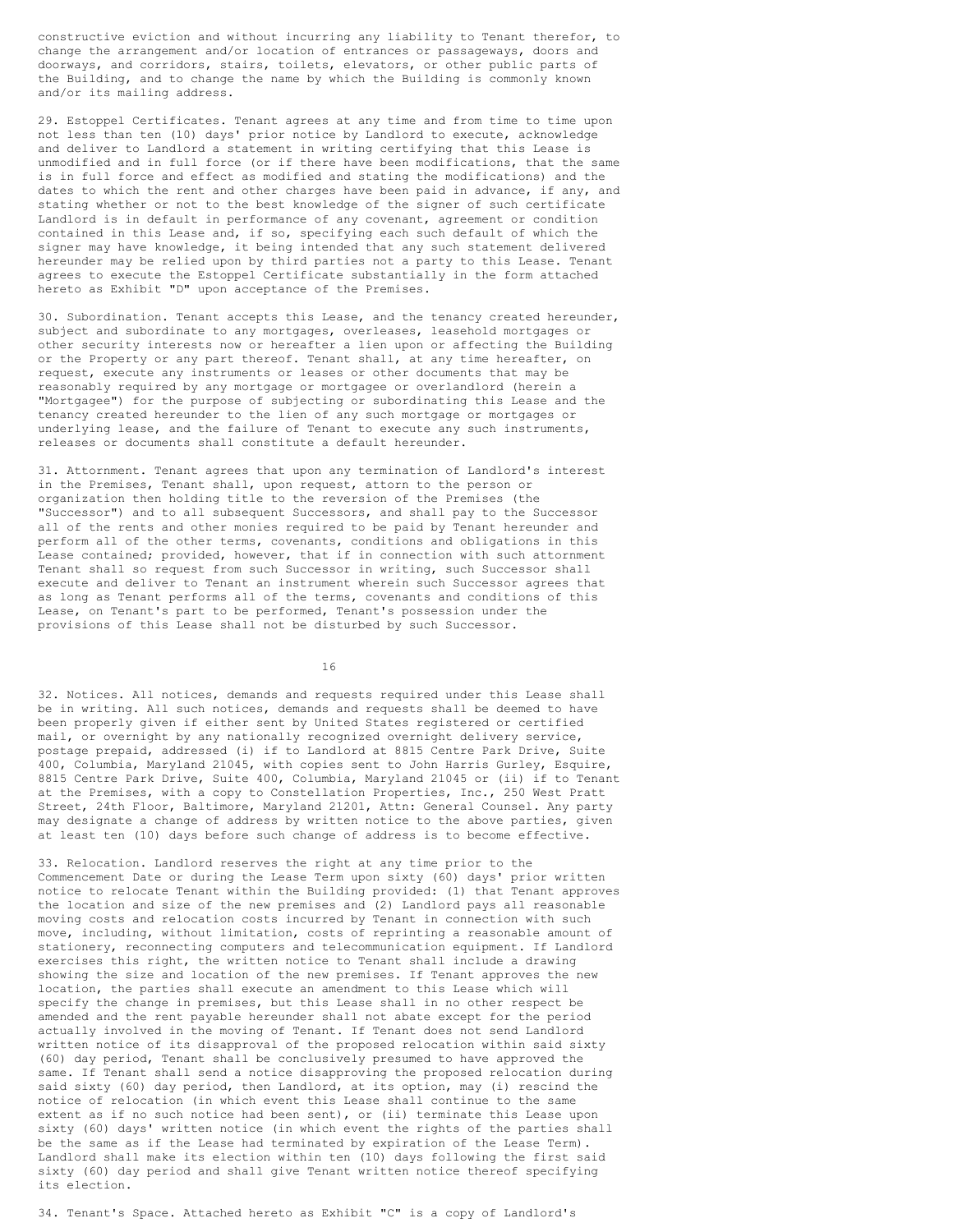constructive eviction and without incurring any liability to Tenant therefor, to change the arrangement and/or location of entrances or passageways, doors and doorways, and corridors, stairs, toilets, elevators, or other public parts of the Building, and to change the name by which the Building is commonly known and/or its mailing address.

29. Estoppel Certificates. Tenant agrees at any time and from time to time upon not less than ten (10) days' prior notice by Landlord to execute, acknowledge and deliver to Landlord a statement in writing certifying that this Lease is unmodified and in full force (or if there have been modifications, that the same is in full force and effect as modified and stating the modifications) and the dates to which the rent and other charges have been paid in advance, if any, and stating whether or not to the best knowledge of the signer of such certificate Landlord is in default in performance of any covenant, agreement or condition contained in this Lease and, if so, specifying each such default of which the signer may have knowledge, it being intended that any such statement delivered hereunder may be relied upon by third parties not a party to this Lease. Tenant agrees to execute the Estoppel Certificate substantially in the form attached hereto as Exhibit "D" upon acceptance of the Premises.

30. Subordination. Tenant accepts this Lease, and the tenancy created hereunder, subject and subordinate to any mortgages, overleases, leasehold mortgages or other security interests now or hereafter a lien upon or affecting the Building or the Property or any part thereof. Tenant shall, at any time hereafter, on request, execute any instruments or leases or other documents that may be reasonably required by any mortgage or mortgagee or overlandlord (herein a "Mortgagee") for the purpose of subjecting or subordinating this Lease and the tenancy created hereunder to the lien of any such mortgage or mortgages or underlying lease, and the failure of Tenant to execute any such instruments, releases or documents shall constitute a default hereunder.

31. Attornment. Tenant agrees that upon any termination of Landlord's interest in the Premises, Tenant shall, upon request, attorn to the person or organization then holding title to the reversion of the Premises (the "Successor") and to all subsequent Successors, and shall pay to the Successor all of the rents and other monies required to be paid by Tenant hereunder and perform all of the other terms, covenants, conditions and obligations in this Lease contained; provided, however, that if in connection with such attornment Tenant shall so request from such Successor in writing, such Successor shall execute and deliver to Tenant an instrument wherein such Successor agrees that as long as Tenant performs all of the terms, covenants and conditions of this Lease, on Tenant's part to be performed, Tenant's possession under the provisions of this Lease shall not be disturbed by such Successor.

16

32. Notices. All notices, demands and requests required under this Lease shall be in writing. All such notices, demands and requests shall be deemed to have been properly given if either sent by United States registered or certified mail, or overnight by any nationally recognized overnight delivery service, postage prepaid, addressed (i) if to Landlord at 8815 Centre Park Drive, Suite 400, Columbia, Maryland 21045, with copies sent to John Harris Gurley, Esquire, 8815 Centre Park Drive, Suite 400, Columbia, Maryland 21045 or (ii) if to Tenant at the Premises, with a copy to Constellation Properties, Inc., 250 West Pratt Street, 24th Floor, Baltimore, Maryland 21201, Attn: General Counsel. Any party may designate a change of address by written notice to the above parties, given at least ten (10) days before such change of address is to become effective.

33. Relocation. Landlord reserves the right at any time prior to the Commencement Date or during the Lease Term upon sixty (60) days' prior written notice to relocate Tenant within the Building provided: (1) that Tenant approves the location and size of the new premises and (2) Landlord pays all reasonable moving costs and relocation costs incurred by Tenant in connection with such move, including, without limitation, costs of reprinting a reasonable amount of stationery, reconnecting computers and telecommunication equipment. If Landlord exercises this right, the written notice to Tenant shall include a drawing showing the size and location of the new premises. If Tenant approves the new location, the parties shall execute an amendment to this Lease which will specify the change in premises, but this Lease shall in no other respect be amended and the rent payable hereunder shall not abate except for the period actually involved in the moving of Tenant. If Tenant does not send Landlord written notice of its disapproval of the proposed relocation within said sixty (60) day period, Tenant shall be conclusively presumed to have approved the same. If Tenant shall send a notice disapproving the proposed relocation during said sixty (60) day period, then Landlord, at its option, may (i) rescind the notice of relocation (in which event this Lease shall continue to the same extent as if no such notice had been sent), or (ii) terminate this Lease upon sixty (60) days' written notice (in which event the rights of the parties shall be the same as if the Lease had terminated by expiration of the Lease Term). Landlord shall make its election within ten (10) days following the first said sixty (60) day period and shall give Tenant written notice thereof specifying its election.

34. Tenant's Space. Attached hereto as Exhibit "C" is a copy of Landlord's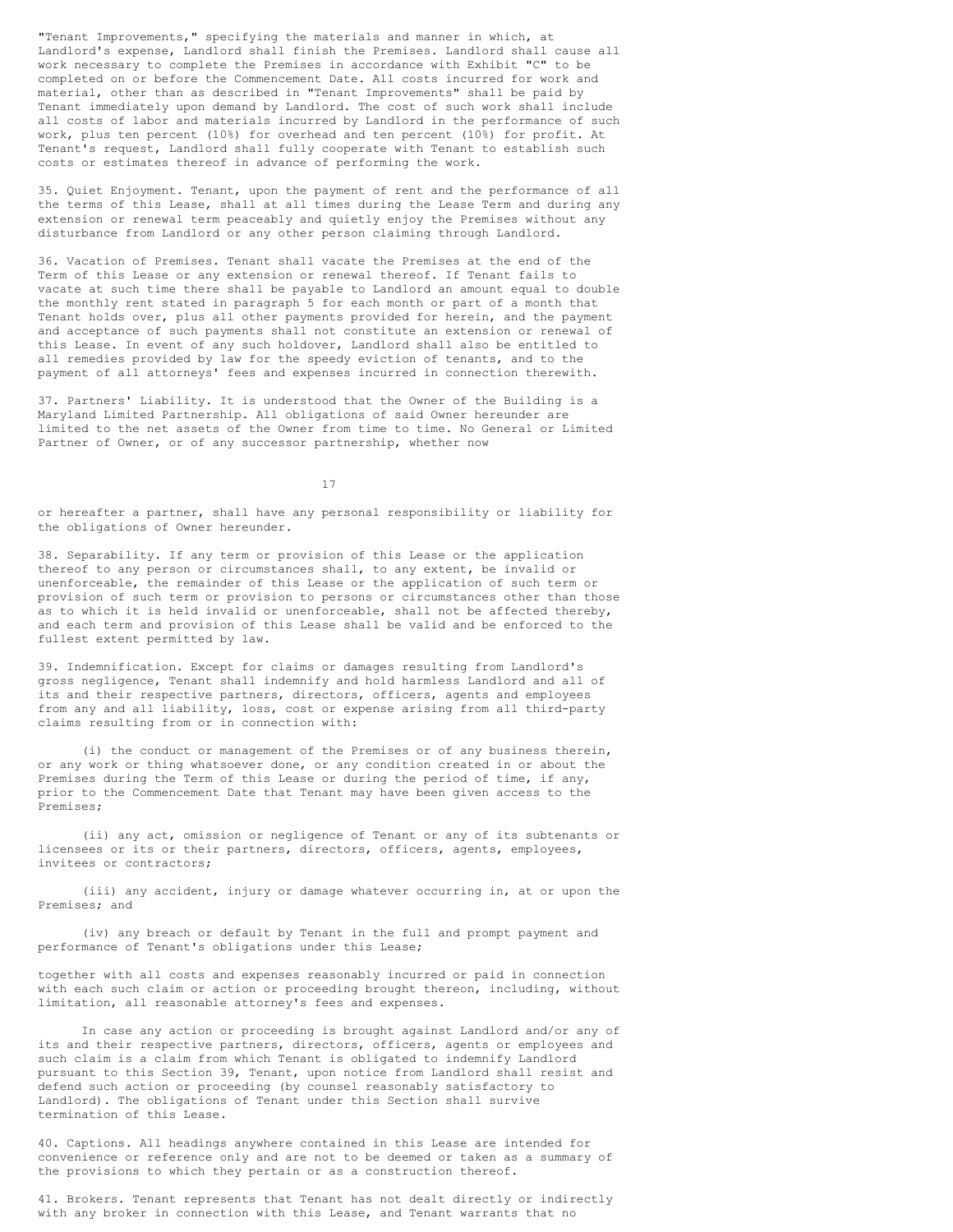"Tenant Improvements," specifying the materials and manner in which, at Landlord's expense, Landlord shall finish the Premises. Landlord shall cause all work necessary to complete the Premises in accordance with Exhibit "C" to be completed on or before the Commencement Date. All costs incurred for work and material, other than as described in "Tenant Improvements" shall be paid by Tenant immediately upon demand by Landlord. The cost of such work shall include all costs of labor and materials incurred by Landlord in the performance of such work, plus ten percent (10%) for overhead and ten percent (10%) for profit. At Tenant's request, Landlord shall fully cooperate with Tenant to establish such costs or estimates thereof in advance of performing the work.

35. Quiet Enjoyment. Tenant, upon the payment of rent and the performance of all the terms of this Lease, shall at all times during the Lease Term and during any extension or renewal term peaceably and quietly enjoy the Premises without any disturbance from Landlord or any other person claiming through Landlord.

36. Vacation of Premises. Tenant shall vacate the Premises at the end of the Term of this Lease or any extension or renewal thereof. If Tenant fails to vacate at such time there shall be payable to Landlord an amount equal to double the monthly rent stated in paragraph 5 for each month or part of a month that Tenant holds over, plus all other payments provided for herein, and the payment and acceptance of such payments shall not constitute an extension or renewal of this Lease. In event of any such holdover, Landlord shall also be entitled to all remedies provided by law for the speedy eviction of tenants, and to the payment of all attorneys' fees and expenses incurred in connection therewith.

37. Partners' Liability. It is understood that the Owner of the Building is a Maryland Limited Partnership. All obligations of said Owner hereunder are limited to the net assets of the Owner from time to time. No General or Limited Partner of Owner, or of any successor partnership, whether now

17

or hereafter a partner, shall have any personal responsibility or liability for the obligations of Owner hereunder.

38. Separability. If any term or provision of this Lease or the application thereof to any person or circumstances shall, to any extent, be invalid or unenforceable, the remainder of this Lease or the application of such term or provision of such term or provision to persons or circumstances other than those as to which it is held invalid or unenforceable, shall not be affected thereby, and each term and provision of this Lease shall be valid and be enforced to the fullest extent permitted by law.

39. Indemnification. Except for claims or damages resulting from Landlord's gross negligence, Tenant shall indemnify and hold harmless Landlord and all of its and their respective partners, directors, officers, agents and employees from any and all liability, loss, cost or expense arising from all third-party claims resulting from or in connection with:

(i) the conduct or management of the Premises or of any business therein, or any work or thing whatsoever done, or any condition created in or about the Premises during the Term of this Lease or during the period of time, if any, prior to the Commencement Date that Tenant may have been given access to the Premises;

(ii) any act, omission or negligence of Tenant or any of its subtenants or licensees or its or their partners, directors, officers, agents, employees, invitees or contractors;

(iii) any accident, injury or damage whatever occurring in, at or upon the Premises; and

(iv) any breach or default by Tenant in the full and prompt payment and performance of Tenant's obligations under this Lease;

together with all costs and expenses reasonably incurred or paid in connection with each such claim or action or proceeding brought thereon, including, without limitation, all reasonable attorney's fees and expenses.

In case any action or proceeding is brought against Landlord and/or any of its and their respective partners, directors, officers, agents or employees and such claim is a claim from which Tenant is obligated to indemnify Landlord pursuant to this Section 39, Tenant, upon notice from Landlord shall resist and defend such action or proceeding (by counsel reasonably satisfactory to Landlord). The obligations of Tenant under this Section shall survive termination of this Lease.

40. Captions. All headings anywhere contained in this Lease are intended for convenience or reference only and are not to be deemed or taken as a summary of the provisions to which they pertain or as a construction thereof.

41. Brokers. Tenant represents that Tenant has not dealt directly or indirectly with any broker in connection with this Lease, and Tenant warrants that no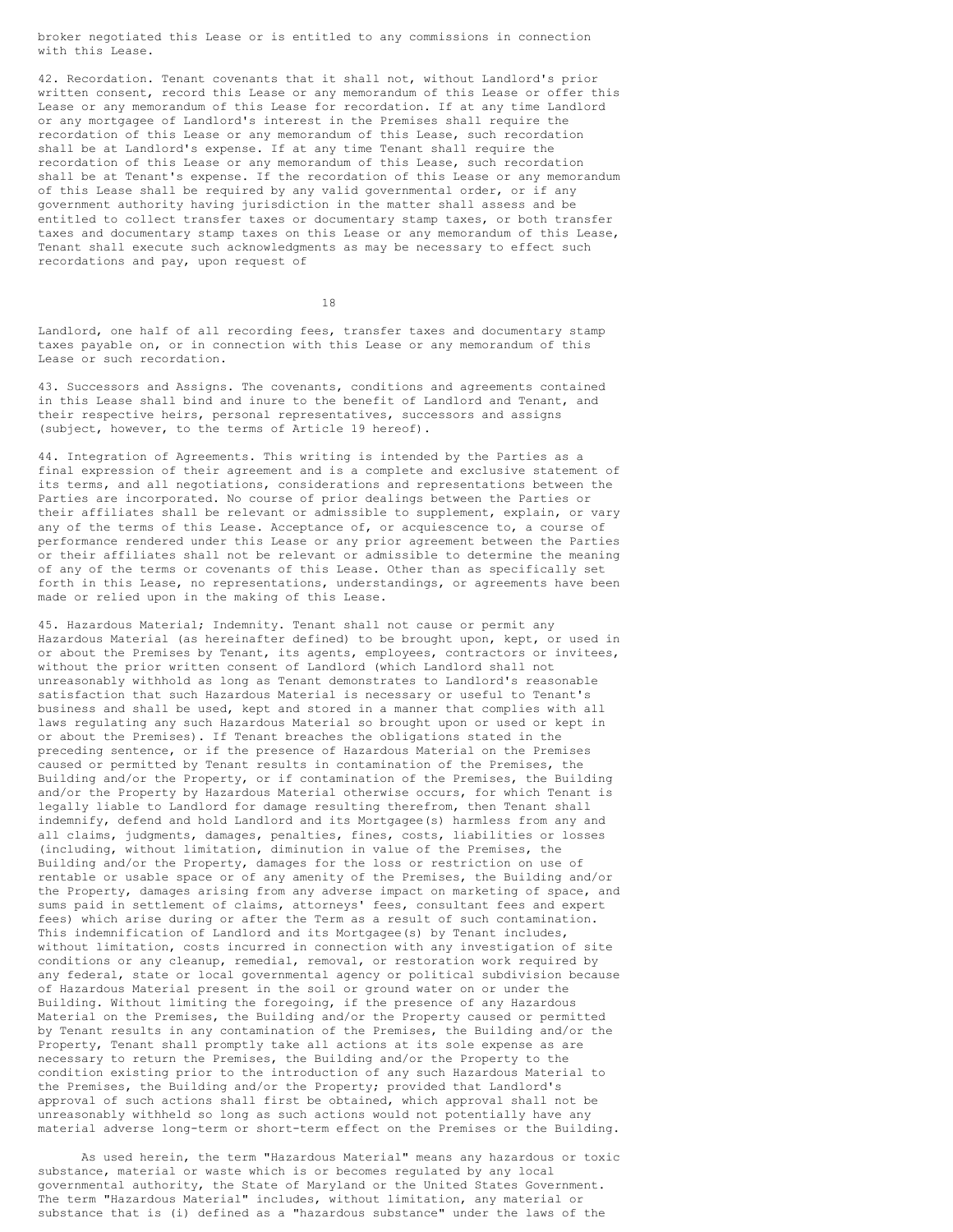broker negotiated this Lease or is entitled to any commissions in connection with this Lease.

42. Recordation. Tenant covenants that it shall not, without Landlord's prior written consent, record this Lease or any memorandum of this Lease or offer this Lease or any memorandum of this Lease for recordation. If at any time Landlord or any mortgagee of Landlord's interest in the Premises shall require the recordation of this Lease or any memorandum of this Lease, such recordation shall be at Landlord's expense. If at any time Tenant shall require the recordation of this Lease or any memorandum of this Lease, such recordation shall be at Tenant's expense. If the recordation of this Lease or any memorandum of this Lease shall be required by any valid governmental order, or if any government authority having jurisdiction in the matter shall assess and be entitled to collect transfer taxes or documentary stamp taxes, or both transfer taxes and documentary stamp taxes on this Lease or any memorandum of this Lease, Tenant shall execute such acknowledgments as may be necessary to effect such recordations and pay, upon request of

18

Landlord, one half of all recording fees, transfer taxes and documentary stamp taxes payable on, or in connection with this Lease or any memorandum of this Lease or such recordation.

43. Successors and Assigns. The covenants, conditions and agreements contained in this Lease shall bind and inure to the benefit of Landlord and Tenant, and their respective heirs, personal representatives, successors and assigns (subject, however, to the terms of Article 19 hereof).

44. Integration of Agreements. This writing is intended by the Parties as a final expression of their agreement and is a complete and exclusive statement of its terms, and all negotiations, considerations and representations between the Parties are incorporated. No course of prior dealings between the Parties or their affiliates shall be relevant or admissible to supplement, explain, or vary any of the terms of this Lease. Acceptance of, or acquiescence to, a course of performance rendered under this Lease or any prior agreement between the Parties or their affiliates shall not be relevant or admissible to determine the meaning of any of the terms or covenants of this Lease. Other than as specifically set forth in this Lease, no representations, understandings, or agreements have been made or relied upon in the making of this Lease.

45. Hazardous Material; Indemnity. Tenant shall not cause or permit any Hazardous Material (as hereinafter defined) to be brought upon, kept, or used in or about the Premises by Tenant, its agents, employees, contractors or invitees, without the prior written consent of Landlord (which Landlord shall not unreasonably withhold as long as Tenant demonstrates to Landlord's reasonable satisfaction that such Hazardous Material is necessary or useful to Tenant's business and shall be used, kept and stored in a manner that complies with all laws regulating any such Hazardous Material so brought upon or used or kept in or about the Premises). If Tenant breaches the obligations stated in the preceding sentence, or if the presence of Hazardous Material on the Premises caused or permitted by Tenant results in contamination of the Premises, the Building and/or the Property, or if contamination of the Premises, the Building and/or the Property by Hazardous Material otherwise occurs, for which Tenant is legally liable to Landlord for damage resulting therefrom, then Tenant shall indemnify, defend and hold Landlord and its Mortgagee(s) harmless from any and all claims, judgments, damages, penalties, fines, costs, liabilities or losses (including, without limitation, diminution in value of the Premises, the Building and/or the Property, damages for the loss or restriction on use of rentable or usable space or of any amenity of the Premises, the Building and/or the Property, damages arising from any adverse impact on marketing of space, and sums paid in settlement of claims, attorneys' fees, consultant fees and expert fees) which arise during or after the Term as a result of such contamination. This indemnification of Landlord and its Mortgagee(s) by Tenant includes, without limitation, costs incurred in connection with any investigation of site conditions or any cleanup, remedial, removal, or restoration work required by any federal, state or local governmental agency or political subdivision because of Hazardous Material present in the soil or ground water on or under the Building. Without limiting the foregoing, if the presence of any Hazardous Material on the Premises, the Building and/or the Property caused or permitted by Tenant results in any contamination of the Premises, the Building and/or the Property, Tenant shall promptly take all actions at its sole expense as are necessary to return the Premises, the Building and/or the Property to the condition existing prior to the introduction of any such Hazardous Material to the Premises, the Building and/or the Property; provided that Landlord's approval of such actions shall first be obtained, which approval shall not be unreasonably withheld so long as such actions would not potentially have any material adverse long-term or short-term effect on the Premises or the Building.

As used herein, the term "Hazardous Material" means any hazardous or toxic substance, material or waste which is or becomes regulated by any local governmental authority, the State of Maryland or the United States Government. The term "Hazardous Material" includes, without limitation, any material or substance that is (i) defined as a "hazardous substance" under the laws of the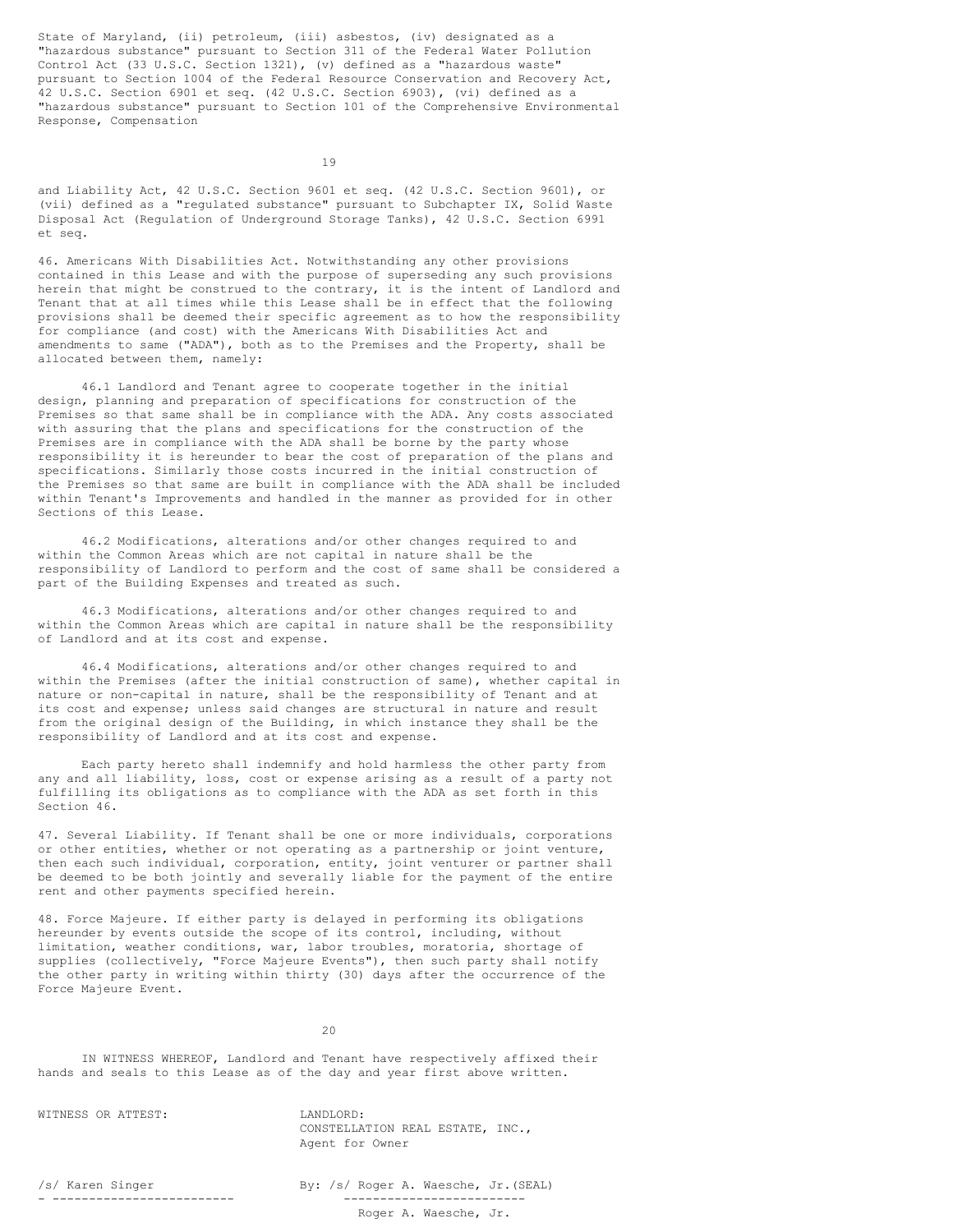State of Maryland, (ii) petroleum, (iii) asbestos, (iv) designated as a "hazardous substance" pursuant to Section 311 of the Federal Water Pollution Control Act (33 U.S.C. Section 1321), (v) defined as a "hazardous waste" pursuant to Section 1004 of the Federal Resource Conservation and Recovery Act, 42 U.S.C. Section 6901 et seq. (42 U.S.C. Section 6903), (vi) defined as a "hazardous substance" pursuant to Section 101 of the Comprehensive Environmental Response, Compensation

19

and Liability Act, 42 U.S.C. Section 9601 et seq. (42 U.S.C. Section 9601), or (vii) defined as a "regulated substance" pursuant to Subchapter IX, Solid Waste Disposal Act (Regulation of Underground Storage Tanks), 42 U.S.C. Section 6991 et seq.

46. Americans With Disabilities Act. Notwithstanding any other provisions contained in this Lease and with the purpose of superseding any such provisions herein that might be construed to the contrary, it is the intent of Landlord and Tenant that at all times while this Lease shall be in effect that the following provisions shall be deemed their specific agreement as to how the responsibility for compliance (and cost) with the Americans With Disabilities Act and amendments to same ("ADA"), both as to the Premises and the Property, shall be allocated between them, namely:

46.1 Landlord and Tenant agree to cooperate together in the initial design, planning and preparation of specifications for construction of the Premises so that same shall be in compliance with the ADA. Any costs associated with assuring that the plans and specifications for the construction of the Premises are in compliance with the ADA shall be borne by the party whose responsibility it is hereunder to bear the cost of preparation of the plans and specifications. Similarly those costs incurred in the initial construction of the Premises so that same are built in compliance with the ADA shall be included within Tenant's Improvements and handled in the manner as provided for in other Sections of this Lease.

46.2 Modifications, alterations and/or other changes required to and within the Common Areas which are not capital in nature shall be the responsibility of Landlord to perform and the cost of same shall be considered a part of the Building Expenses and treated as such.

46.3 Modifications, alterations and/or other changes required to and within the Common Areas which are capital in nature shall be the responsibility of Landlord and at its cost and expense.

46.4 Modifications, alterations and/or other changes required to and within the Premises (after the initial construction of same), whether capital in nature or non-capital in nature, shall be the responsibility of Tenant and at its cost and expense; unless said changes are structural in nature and result from the original design of the Building, in which instance they shall be the responsibility of Landlord and at its cost and expense.

Each party hereto shall indemnify and hold harmless the other party from any and all liability, loss, cost or expense arising as a result of a party not fulfilling its obligations as to compliance with the ADA as set forth in this Section 46.

47. Several Liability. If Tenant shall be one or more individuals, corporations or other entities, whether or not operating as a partnership or joint venture, then each such individual, corporation, entity, joint venturer or partner shall be deemed to be both jointly and severally liable for the payment of the entire rent and other payments specified herein.

48. Force Majeure. If either party is delayed in performing its obligations hereunder by events outside the scope of its control, including, without limitation, weather conditions, war, labor troubles, moratoria, shortage of supplies (collectively, "Force Majeure Events"), then such party shall notify the other party in writing within thirty (30) days after the occurrence of the Force Majeure Event.

20

IN WITNESS WHEREOF, Landlord and Tenant have respectively affixed their hands and seals to this Lease as of the day and year first above written.

WITNESS OR ATTEST: LANDLORD:

CONSTELLATION REAL ESTATE, INC., Agent for Owner

- ------------------------- -------------------------

/s/ Karen Singer By: /s/ Roger A. Waesche, Jr.(SEAL)

Roger A. Waesche, Jr.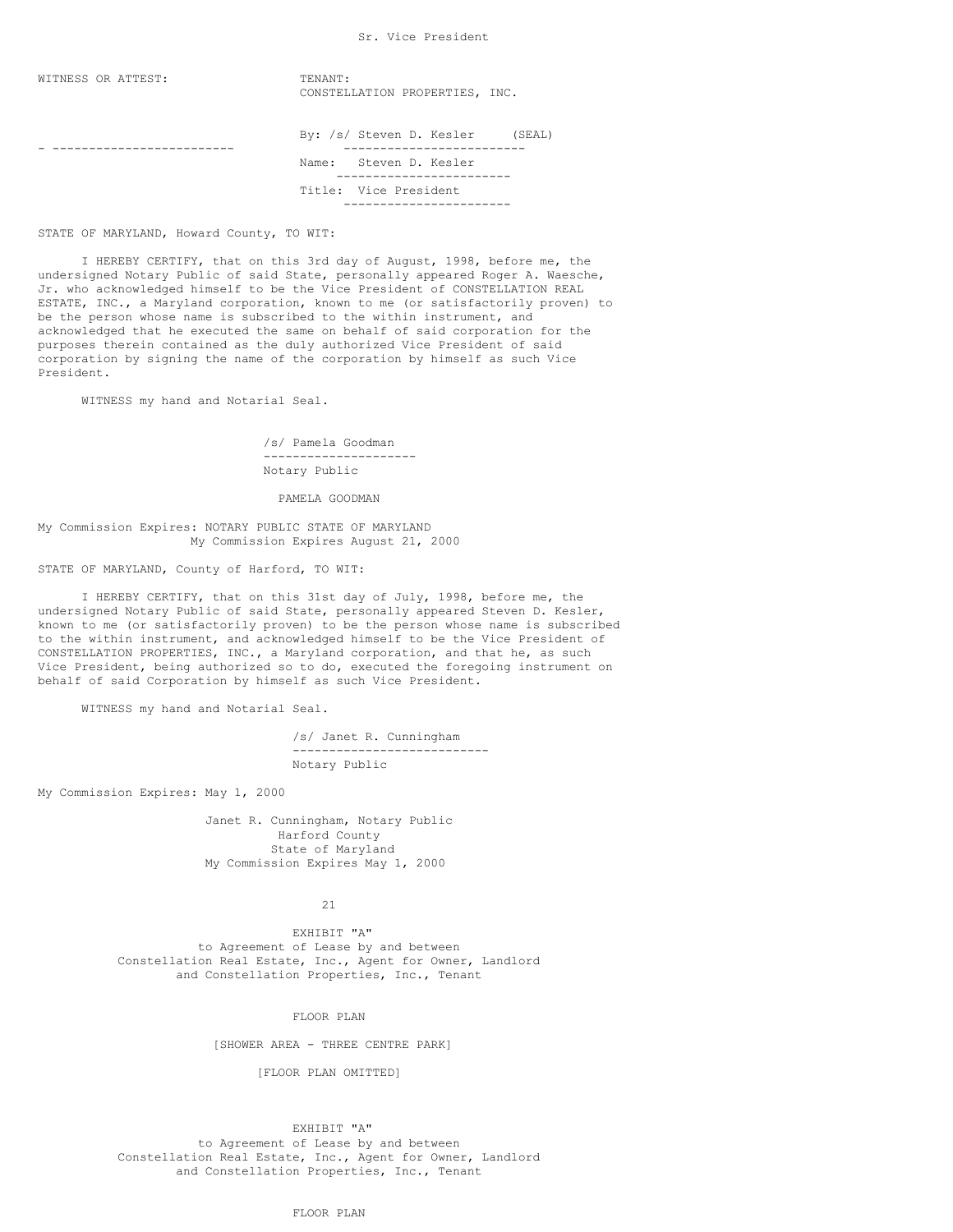### Sr. Vice President

| WITNESS OR ATTEST: | TENANT:                  |  | CONSTELLATION PROPERTIES, INC. |        |  |
|--------------------|--------------------------|--|--------------------------------|--------|--|
|                    | By: /s/ Steven D. Kesler |  |                                | (SEAL) |  |
|                    | Name: Steven D. Kesler   |  |                                |        |  |
|                    | Title: Vice President    |  |                                |        |  |
|                    |                          |  |                                |        |  |

STATE OF MARYLAND, Howard County, TO WIT:

I HEREBY CERTIFY, that on this 3rd day of August, 1998, before me, the undersigned Notary Public of said State, personally appeared Roger A. Waesche, Jr. who acknowledged himself to be the Vice President of CONSTELLATION REAL ESTATE, INC., a Maryland corporation, known to me (or satisfactorily proven) to be the person whose name is subscribed to the within instrument, and acknowledged that he executed the same on behalf of said corporation for the purposes therein contained as the duly authorized Vice President of said corporation by signing the name of the corporation by himself as such Vice President.

WITNESS my hand and Notarial Seal.

/s/ Pamela Goodman --------------------- Notary Public

PAMELA GOODMAN

My Commission Expires: NOTARY PUBLIC STATE OF MARYLAND My Commission Expires August 21, 2000

STATE OF MARYLAND, County of Harford, TO WIT:

I HEREBY CERTIFY, that on this 31st day of July, 1998, before me, the undersigned Notary Public of said State, personally appeared Steven D. Kesler, known to me (or satisfactorily proven) to be the person whose name is subscribed to the within instrument, and acknowledged himself to be the Vice President of CONSTELLATION PROPERTIES, INC., a Maryland corporation, and that he, as such Vice President, being authorized so to do, executed the foregoing instrument on behalf of said Corporation by himself as such Vice President.

WITNESS my hand and Notarial Seal.

/s/ Janet R. Cunningham --------------------------- Notary Public

My Commission Expires: May 1, 2000

Janet R. Cunningham, Notary Public Harford County State of Maryland My Commission Expires May 1, 2000

21

EXHIBIT "A" to Agreement of Lease by and between Constellation Real Estate, Inc., Agent for Owner, Landlord and Constellation Properties, Inc., Tenant

FLOOR PLAN

[SHOWER AREA - THREE CENTRE PARK]

[FLOOR PLAN OMITTED]

EXHIBIT "A"

to Agreement of Lease by and between Constellation Real Estate, Inc., Agent for Owner, Landlord and Constellation Properties, Inc., Tenant

FLOOR PLAN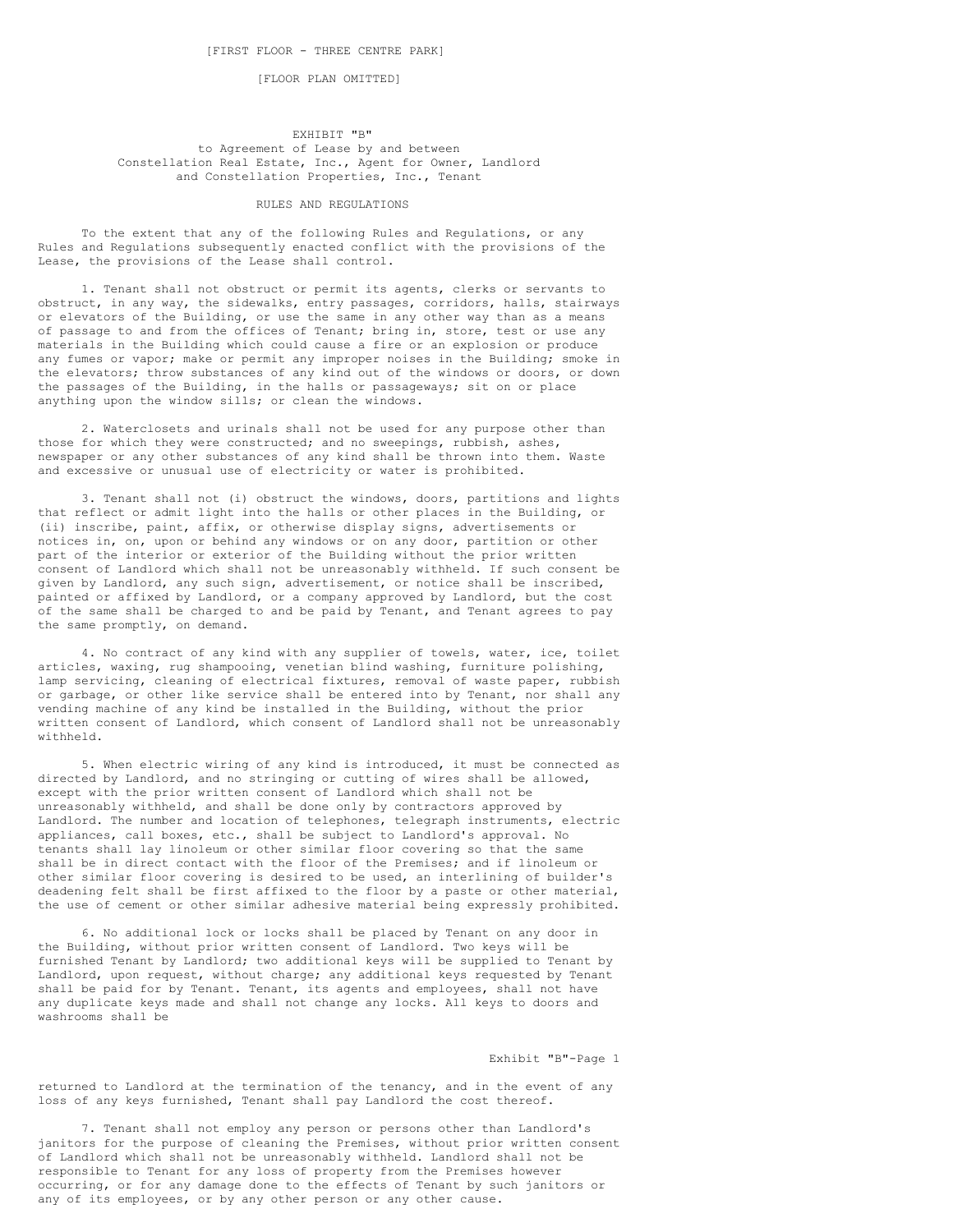[FLOOR PLAN OMITTED]

## EXHIBIT "B" to Agreement of Lease by and between Constellation Real Estate, Inc., Agent for Owner, Landlord and Constellation Properties, Inc., Tenant

## RULES AND REGULATIONS

To the extent that any of the following Rules and Regulations, or any Rules and Regulations subsequently enacted conflict with the provisions of the Lease, the provisions of the Lease shall control.

1. Tenant shall not obstruct or permit its agents, clerks or servants to obstruct, in any way, the sidewalks, entry passages, corridors, halls, stairways or elevators of the Building, or use the same in any other way than as a means of passage to and from the offices of Tenant; bring in, store, test or use any materials in the Building which could cause a fire or an explosion or produce any fumes or vapor; make or permit any improper noises in the Building; smoke in the elevators; throw substances of any kind out of the windows or doors, or down the passages of the Building, in the halls or passageways; sit on or place anything upon the window sills; or clean the windows.

2. Waterclosets and urinals shall not be used for any purpose other than those for which they were constructed; and no sweepings, rubbish, ashes, newspaper or any other substances of any kind shall be thrown into them. Waste and excessive or unusual use of electricity or water is prohibited.

3. Tenant shall not (i) obstruct the windows, doors, partitions and lights that reflect or admit light into the halls or other places in the Building, or (ii) inscribe, paint, affix, or otherwise display signs, advertisements or notices in, on, upon or behind any windows or on any door, partition or other part of the interior or exterior of the Building without the prior written consent of Landlord which shall not be unreasonably withheld. If such consent be given by Landlord, any such sign, advertisement, or notice shall be inscribed, painted or affixed by Landlord, or a company approved by Landlord, but the cost of the same shall be charged to and be paid by Tenant, and Tenant agrees to pay the same promptly, on demand.

4. No contract of any kind with any supplier of towels, water, ice, toilet articles, waxing, rug shampooing, venetian blind washing, furniture polishing, lamp servicing, cleaning of electrical fixtures, removal of waste paper, rubbish or garbage, or other like service shall be entered into by Tenant, nor shall any vending machine of any kind be installed in the Building, without the prior written consent of Landlord, which consent of Landlord shall not be unreasonably withheld.

5. When electric wiring of any kind is introduced, it must be connected as directed by Landlord, and no stringing or cutting of wires shall be allowed, except with the prior written consent of Landlord which shall not be unreasonably withheld, and shall be done only by contractors approved by Landlord. The number and location of telephones, telegraph instruments, electric appliances, call boxes, etc., shall be subject to Landlord's approval. No tenants shall lay linoleum or other similar floor covering so that the same shall be in direct contact with the floor of the Premises; and if linoleum or other similar floor covering is desired to be used, an interlining of builder's deadening felt shall be first affixed to the floor by a paste or other material, the use of cement or other similar adhesive material being expressly prohibited.

6. No additional lock or locks shall be placed by Tenant on any door in the Building, without prior written consent of Landlord. Two keys will be furnished Tenant by Landlord; two additional keys will be supplied to Tenant by Landlord, upon request, without charge; any additional keys requested by Tenant shall be paid for by Tenant. Tenant, its agents and employees, shall not have any duplicate keys made and shall not change any locks. All keys to doors and washrooms shall be

Exhibit "B"-Page 1

returned to Landlord at the termination of the tenancy, and in the event of any loss of any keys furnished, Tenant shall pay Landlord the cost thereof.

7. Tenant shall not employ any person or persons other than Landlord's janitors for the purpose of cleaning the Premises, without prior written consent of Landlord which shall not be unreasonably withheld. Landlord shall not be responsible to Tenant for any loss of property from the Premises however occurring, or for any damage done to the effects of Tenant by such janitors or any of its employees, or by any other person or any other cause.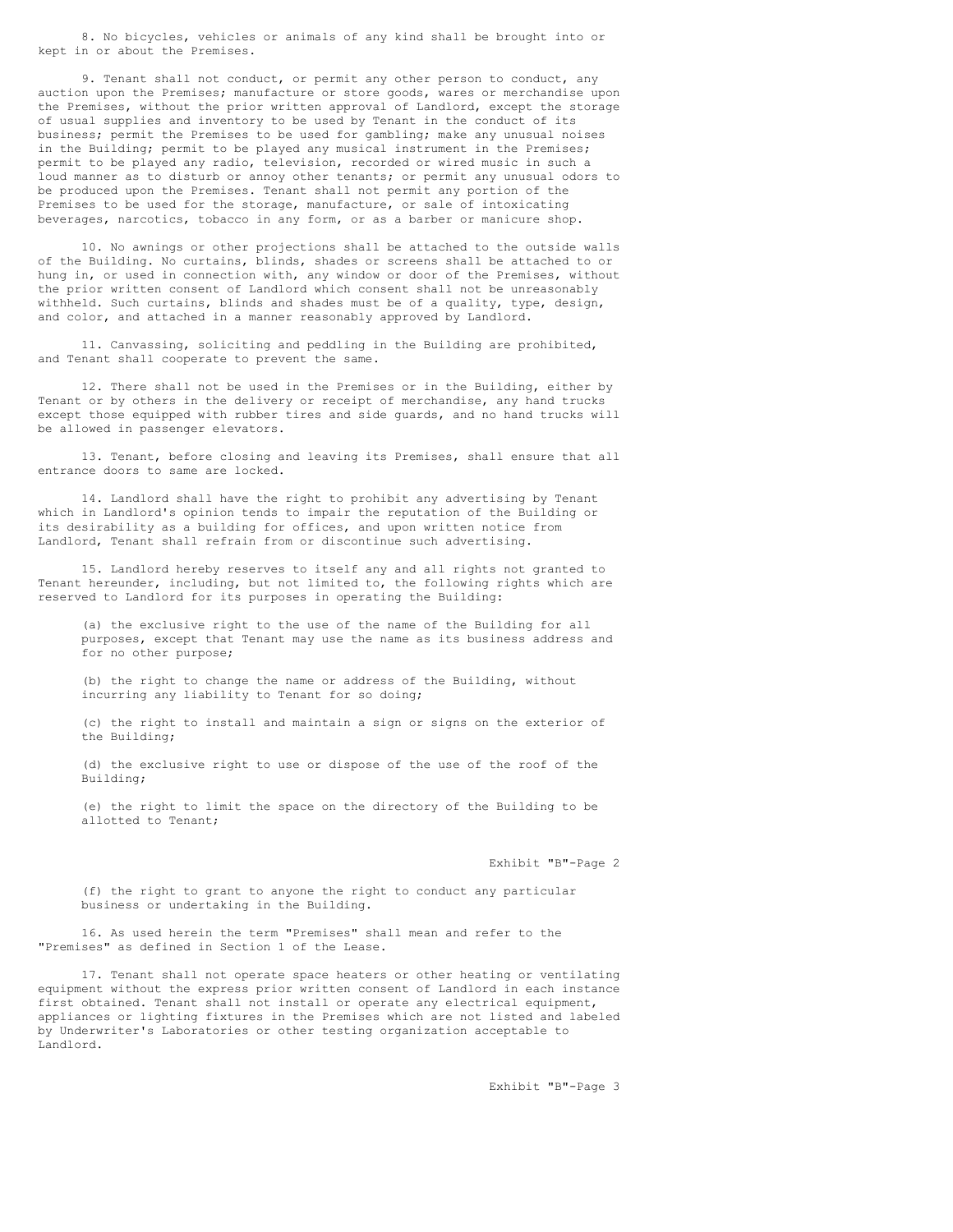8. No bicycles, vehicles or animals of any kind shall be brought into or kept in or about the Premises.

9. Tenant shall not conduct, or permit any other person to conduct, any auction upon the Premises; manufacture or store goods, wares or merchandise upon the Premises, without the prior written approval of Landlord, except the storage of usual supplies and inventory to be used by Tenant in the conduct of its business; permit the Premises to be used for gambling; make any unusual noises in the Building; permit to be played any musical instrument in the Premises; permit to be played any radio, television, recorded or wired music in such a loud manner as to disturb or annoy other tenants; or permit any unusual odors to be produced upon the Premises. Tenant shall not permit any portion of the Premises to be used for the storage, manufacture, or sale of intoxicating beverages, narcotics, tobacco in any form, or as a barber or manicure shop.

10. No awnings or other projections shall be attached to the outside walls of the Building. No curtains, blinds, shades or screens shall be attached to or hung in, or used in connection with, any window or door of the Premises, without the prior written consent of Landlord which consent shall not be unreasonably withheld. Such curtains, blinds and shades must be of a quality, type, design, and color, and attached in a manner reasonably approved by Landlord.

11. Canvassing, soliciting and peddling in the Building are prohibited, and Tenant shall cooperate to prevent the same.

12. There shall not be used in the Premises or in the Building, either by Tenant or by others in the delivery or receipt of merchandise, any hand trucks except those equipped with rubber tires and side guards, and no hand trucks will be allowed in passenger elevators.

13. Tenant, before closing and leaving its Premises, shall ensure that all entrance doors to same are locked.

14. Landlord shall have the right to prohibit any advertising by Tenant which in Landlord's opinion tends to impair the reputation of the Building or its desirability as a building for offices, and upon written notice from Landlord, Tenant shall refrain from or discontinue such advertising.

15. Landlord hereby reserves to itself any and all rights not granted to Tenant hereunder, including, but not limited to, the following rights which are reserved to Landlord for its purposes in operating the Building:

(a) the exclusive right to the use of the name of the Building for all purposes, except that Tenant may use the name as its business address and for no other purpose;

(b) the right to change the name or address of the Building, without incurring any liability to Tenant for so doing;

(c) the right to install and maintain a sign or signs on the exterior of the Building;

(d) the exclusive right to use or dispose of the use of the roof of the Building;

(e) the right to limit the space on the directory of the Building to be allotted to Tenant;

Exhibit "B"-Page 2

(f) the right to grant to anyone the right to conduct any particular business or undertaking in the Building.

16. As used herein the term "Premises" shall mean and refer to the "Premises" as defined in Section 1 of the Lease.

17. Tenant shall not operate space heaters or other heating or ventilating equipment without the express prior written consent of Landlord in each instance first obtained. Tenant shall not install or operate any electrical equipment, appliances or lighting fixtures in the Premises which are not listed and labeled by Underwriter's Laboratories or other testing organization acceptable to Landlord.

Exhibit "B"-Page 3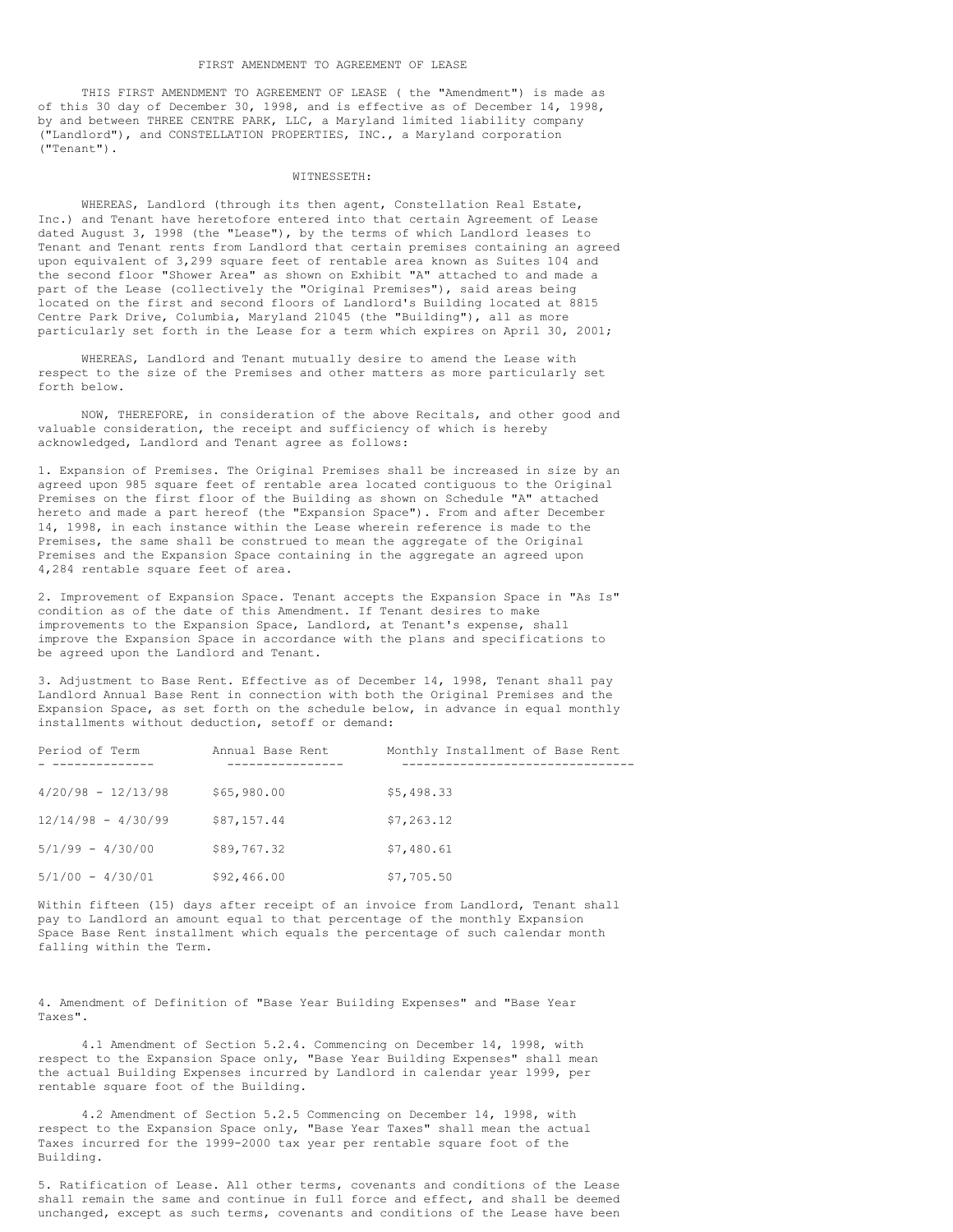THIS FIRST AMENDMENT TO AGREEMENT OF LEASE ( the "Amendment") is made as of this 30 day of December 30, 1998, and is effective as of December 14, 1998, by and between THREE CENTRE PARK, LLC, a Maryland limited liability company ("Landlord"), and CONSTELLATION PROPERTIES, INC., a Maryland corporation ("Tenant").

## WITNESSETH:

WHEREAS, Landlord (through its then agent, Constellation Real Estate, Inc.) and Tenant have heretofore entered into that certain Agreement of Lease dated August 3, 1998 (the "Lease"), by the terms of which Landlord leases to Tenant and Tenant rents from Landlord that certain premises containing an agreed upon equivalent of 3,299 square feet of rentable area known as Suites 104 and the second floor "Shower Area" as shown on Exhibit "A" attached to and made a part of the Lease (collectively the "Original Premises"), said areas being located on the first and second floors of Landlord's Building located at 8815 Centre Park Drive, Columbia, Maryland 21045 (the "Building"), all as more particularly set forth in the Lease for a term which expires on April 30, 2001;

WHEREAS, Landlord and Tenant mutually desire to amend the Lease with respect to the size of the Premises and other matters as more particularly set forth below.

NOW, THEREFORE, in consideration of the above Recitals, and other good and valuable consideration, the receipt and sufficiency of which is hereby acknowledged, Landlord and Tenant agree as follows:

1. Expansion of Premises. The Original Premises shall be increased in size by an agreed upon 985 square feet of rentable area located contiguous to the Original Premises on the first floor of the Building as shown on Schedule "A" attached hereto and made a part hereof (the "Expansion Space"). From and after December 14, 1998, in each instance within the Lease wherein reference is made to the Premises, the same shall be construed to mean the aggregate of the Original Premises and the Expansion Space containing in the aggregate an agreed upon 4,284 rentable square feet of area.

2. Improvement of Expansion Space. Tenant accepts the Expansion Space in "As Is" condition as of the date of this Amendment. If Tenant desires to make improvements to the Expansion Space, Landlord, at Tenant's expense, shall improve the Expansion Space in accordance with the plans and specifications to be agreed upon the Landlord and Tenant.

3. Adjustment to Base Rent. Effective as of December 14, 1998, Tenant shall pay Landlord Annual Base Rent in connection with both the Original Premises and the Expansion Space, as set forth on the schedule below, in advance in equal monthly installments without deduction, setoff or demand:

| Period of Term       | Annual Base Rent | Monthly Installment of Base Rent |
|----------------------|------------------|----------------------------------|
| $4/20/98 - 12/13/98$ | \$65,980.00      | \$5,498.33                       |
| $12/14/98 - 4/30/99$ | \$87,157.44      | \$7,263.12                       |
| $5/1/99 - 4/30/00$   | \$89,767.32      | \$7,480.61                       |
| $5/1/00 - 4/30/01$   | \$92,466.00      | \$7,705.50                       |

Within fifteen (15) days after receipt of an invoice from Landlord, Tenant shall pay to Landlord an amount equal to that percentage of the monthly Expansion Space Base Rent installment which equals the percentage of such calendar month falling within the Term.

4. Amendment of Definition of "Base Year Building Expenses" and "Base Year Taxes".

4.1 Amendment of Section 5.2.4. Commencing on December 14, 1998, with respect to the Expansion Space only, "Base Year Building Expenses" shall mean the actual Building Expenses incurred by Landlord in calendar year 1999, per rentable square foot of the Building.

4.2 Amendment of Section 5.2.5 Commencing on December 14, 1998, with respect to the Expansion Space only, "Base Year Taxes" shall mean the actual Taxes incurred for the 1999-2000 tax year per rentable square foot of the Building.

5. Ratification of Lease. All other terms, covenants and conditions of the Lease shall remain the same and continue in full force and effect, and shall be deemed unchanged, except as such terms, covenants and conditions of the Lease have been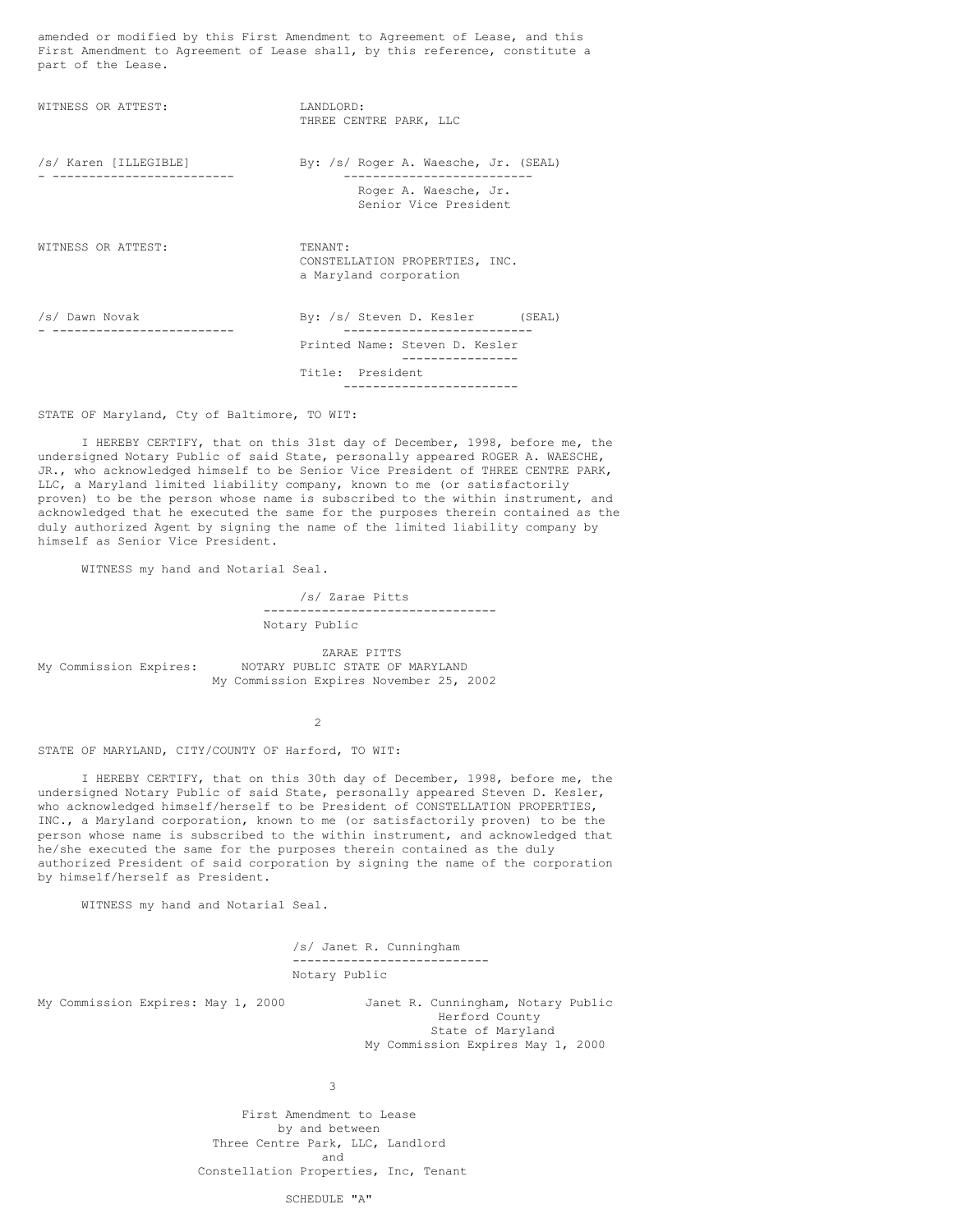amended or modified by this First Amendment to Agreement of Lease, and this First Amendment to Agreement of Lease shall, by this reference, constitute a part of the Lease.

WITNESS OR ATTEST: LANDLORD: THREE CENTRE PARK, LLC /s/ Karen [ILLEGIBLE] By: /s/ Roger A. Waesche, Jr. (SEAL) - ------------------------- -------------------------- Roger A. Waesche, Jr. Senior Vice President WITNESS OR ATTEST: TENANT: CONSTELLATION PROPERTIES, INC. a Maryland corporation /s/ Dawn Novak By: /s/ Steven D. Kesler (SEAL) - ------------------------- -------------------------- Printed Name: Steven D. Kesler ---------------- Title: President ------------------------

STATE OF Maryland, Cty of Baltimore, TO WIT:

I HEREBY CERTIFY, that on this 31st day of December, 1998, before me, the undersigned Notary Public of said State, personally appeared ROGER A. WAESCHE, JR., who acknowledged himself to be Senior Vice President of THREE CENTRE PARK, LLC, a Maryland limited liability company, known to me (or satisfactorily proven) to be the person whose name is subscribed to the within instrument, and acknowledged that he executed the same for the purposes therein contained as the duly authorized Agent by signing the name of the limited liability company by himself as Senior Vice President.

WITNESS my hand and Notarial Seal.

/s/ Zarae Pitts -------------------------------- Notary Public

ZARAE PITTS My Commission Expires: NOTARY PUBLIC STATE OF MARYLAND My Commission Expires November 25, 2002

2

STATE OF MARYLAND, CITY/COUNTY OF Harford, TO WIT:

I HEREBY CERTIFY, that on this 30th day of December, 1998, before me, the undersigned Notary Public of said State, personally appeared Steven D. Kesler, who acknowledged himself/herself to be President of CONSTELLATION PROPERTIES, INC., a Maryland corporation, known to me (or satisfactorily proven) to be the person whose name is subscribed to the within instrument, and acknowledged that he/she executed the same for the purposes therein contained as the duly authorized President of said corporation by signing the name of the corporation by himself/herself as President.

WITNESS my hand and Notarial Seal.

/s/ Janet R. Cunningham --------------------------- Notary Public

My Commission Expires: May 1, 2000 Janet R. Cunningham, Notary Public Herford County State of Maryland My Commission Expires May 1, 2000

3

First Amendment to Lease by and between Three Centre Park, LLC, Landlord and Constellation Properties, Inc, Tenant

SCHEDULE "A"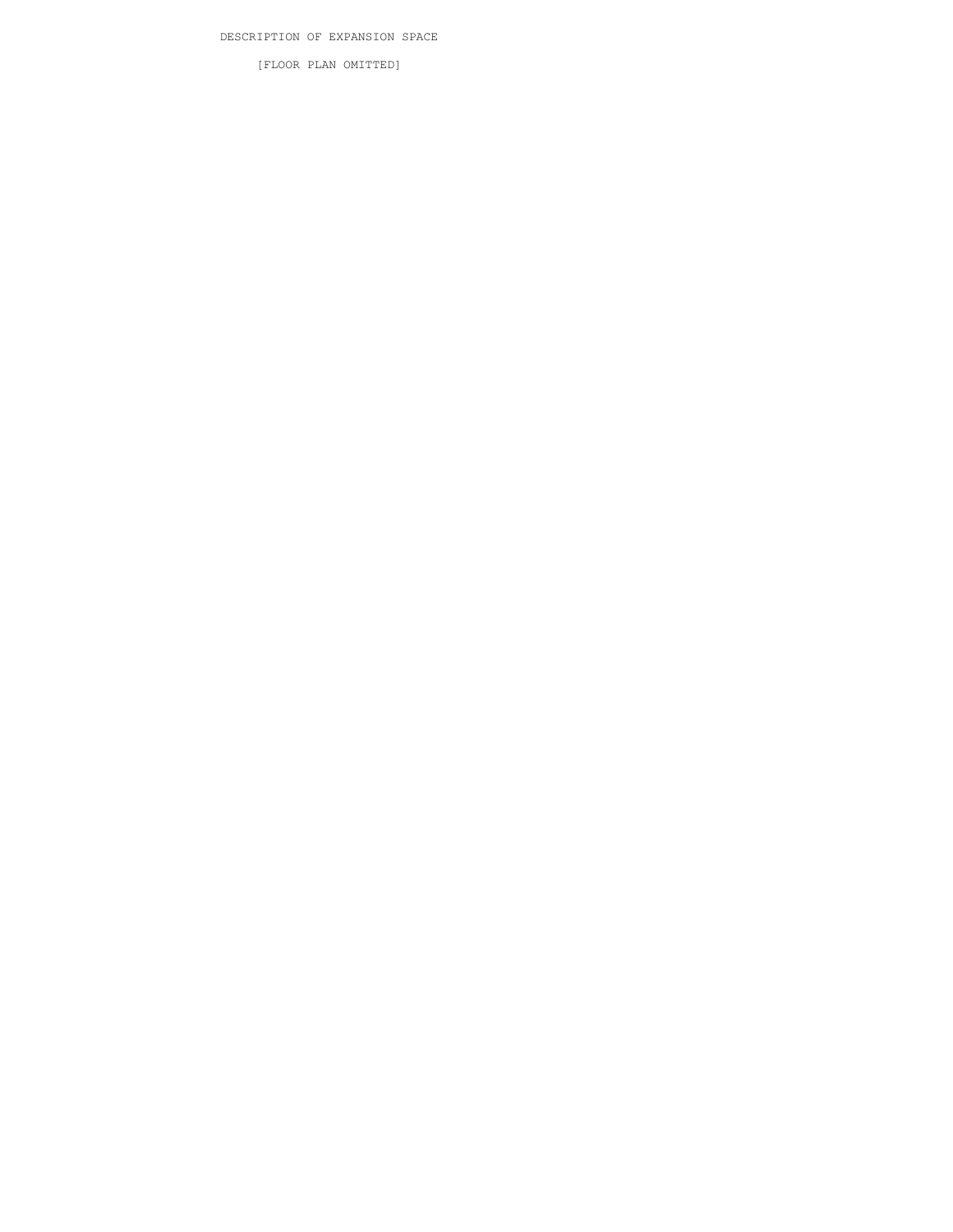[FLOOR PLAN OMITTED]

DESCRIPTION OF EXPANSION SPACE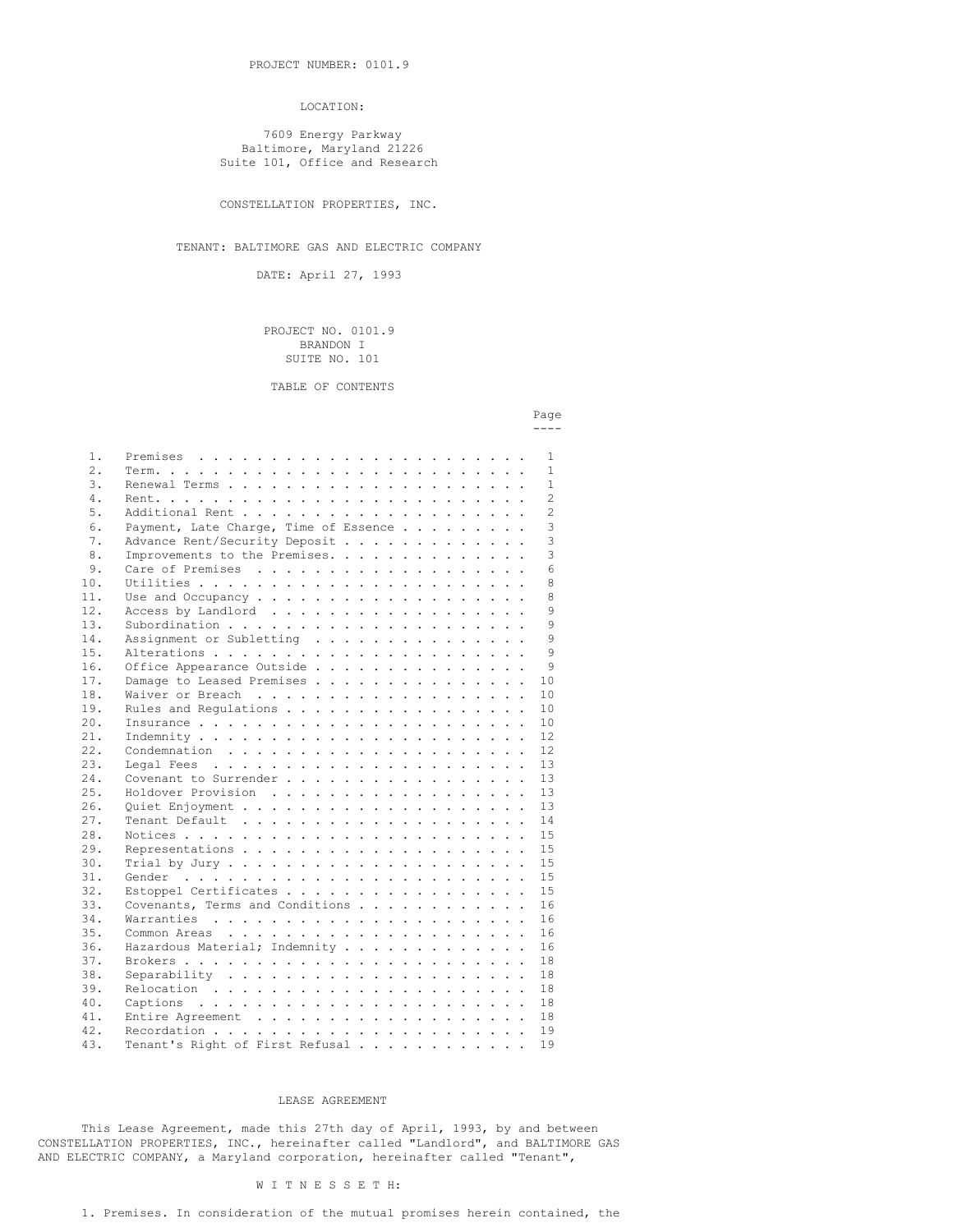#### LOCATION:

7609 Energy Parkway Baltimore, Maryland 21226 Suite 101, Office and Research

CONSTELLATION PROPERTIES, INC.

# TENANT: BALTIMORE GAS AND ELECTRIC COMPANY

DATE: April 27, 1993

### PROJECT NO. 0101.9 BRANDON I SUITE NO. 101

TABLE OF CONTENTS

| 1.  |                                       |  |  |  |  |  |  | 1              |
|-----|---------------------------------------|--|--|--|--|--|--|----------------|
| 2.  |                                       |  |  |  |  |  |  | $\mathbf{1}$   |
| 3.  |                                       |  |  |  |  |  |  | $\mathbf{1}$   |
| 4.  |                                       |  |  |  |  |  |  | $\overline{c}$ |
| 5.  |                                       |  |  |  |  |  |  | $\overline{2}$ |
| 6.  | Payment, Late Charge, Time of Essence |  |  |  |  |  |  | 3              |
| 7.  | Advance Rent/Security Deposit         |  |  |  |  |  |  | 3              |
| 8.  | Improvements to the Premises.         |  |  |  |  |  |  | 3              |
| 9.  |                                       |  |  |  |  |  |  | 6              |
| 10. |                                       |  |  |  |  |  |  | 8              |
| 11. |                                       |  |  |  |  |  |  | 8              |
| 12. | Access by Landlord                    |  |  |  |  |  |  | 9              |
| 13. |                                       |  |  |  |  |  |  | 9              |
| 14. | Assignment or Subletting              |  |  |  |  |  |  | $\mathsf{Q}$   |
| 15. |                                       |  |  |  |  |  |  | Q              |
| 16. | Office Appearance Outside             |  |  |  |  |  |  | 9              |
| 17. | Damage to Leased Premises             |  |  |  |  |  |  | 10             |
| 18. |                                       |  |  |  |  |  |  | 10             |
| 19. | Rules and Regulations                 |  |  |  |  |  |  | 10             |
| 20. |                                       |  |  |  |  |  |  | 10             |
| 21. |                                       |  |  |  |  |  |  | 12             |
| 22. |                                       |  |  |  |  |  |  | 12             |
| 23. |                                       |  |  |  |  |  |  | 13             |
| 24. |                                       |  |  |  |  |  |  | 13             |
| 25. | Holdover Provision                    |  |  |  |  |  |  | 13             |
| 26. |                                       |  |  |  |  |  |  | 13             |
| 27. |                                       |  |  |  |  |  |  | 14             |
| 28. |                                       |  |  |  |  |  |  | 1.5            |
| 29. |                                       |  |  |  |  |  |  | 1.5            |
| 30. |                                       |  |  |  |  |  |  | 15             |
| 31. |                                       |  |  |  |  |  |  | 15             |
| 32. | Estoppel Certificates                 |  |  |  |  |  |  | 1.5            |
| 33. | Covenants, Terms and Conditions       |  |  |  |  |  |  | 16             |
| 34. |                                       |  |  |  |  |  |  | 16             |
| 35. |                                       |  |  |  |  |  |  | 16             |
| 36. | Hazardous Material; Indemnity         |  |  |  |  |  |  | 16             |
| 37. |                                       |  |  |  |  |  |  | 18             |
| 38. |                                       |  |  |  |  |  |  | 18             |
| 39. |                                       |  |  |  |  |  |  | 18             |
| 40. |                                       |  |  |  |  |  |  | 18             |
| 41. |                                       |  |  |  |  |  |  | 18             |
| 42. |                                       |  |  |  |  |  |  | 19             |
| 43. | Tenant's Right of First Refusal       |  |  |  |  |  |  | 19             |
|     |                                       |  |  |  |  |  |  |                |

#### LEASE AGREEMENT

This Lease Agreement, made this 27th day of April, 1993, by and between CONSTELLATION PROPERTIES, INC., hereinafter called "Landlord", and BALTIMORE GAS AND ELECTRIC COMPANY, a Maryland corporation, hereinafter called "Tenant",

#### W I T N E S S E T H:

# 1. Premises. In consideration of the mutual promises herein contained, the

#### Page ----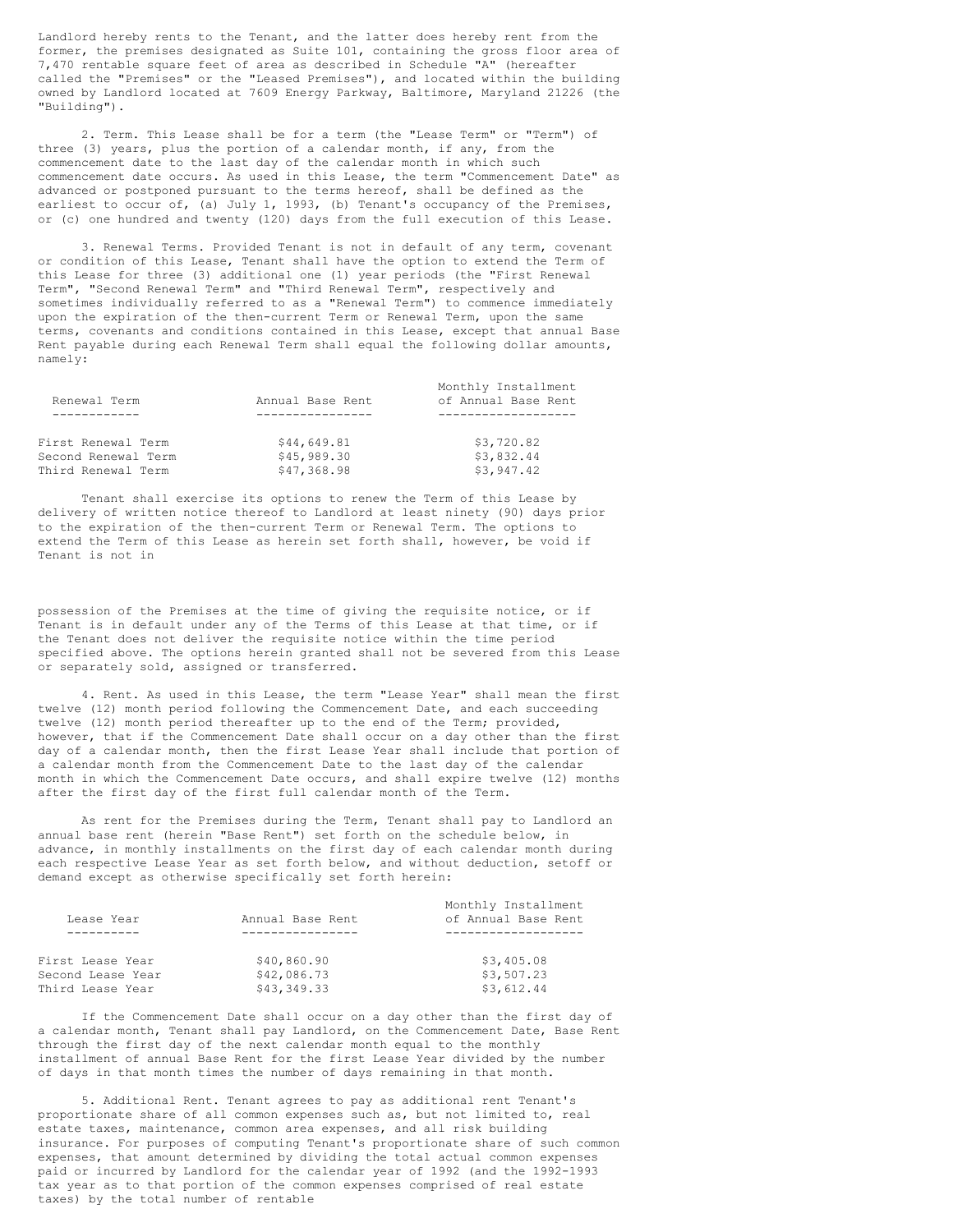Landlord hereby rents to the Tenant, and the latter does hereby rent from the former, the premises designated as Suite 101, containing the gross floor area of 7,470 rentable square feet of area as described in Schedule "A" (hereafter called the "Premises" or the "Leased Premises"), and located within the building owned by Landlord located at 7609 Energy Parkway, Baltimore, Maryland 21226 (the "Building").

2. Term. This Lease shall be for a term (the "Lease Term" or "Term") of three (3) years, plus the portion of a calendar month, if any, from the commencement date to the last day of the calendar month in which such commencement date occurs. As used in this Lease, the term "Commencement Date" as advanced or postponed pursuant to the terms hereof, shall be defined as the earliest to occur of, (a) July 1, 1993, (b) Tenant's occupancy of the Premises, or (c) one hundred and twenty (120) days from the full execution of this Lease.

3. Renewal Terms. Provided Tenant is not in default of any term, covenant or condition of this Lease, Tenant shall have the option to extend the Term of this Lease for three (3) additional one (1) year periods (the "First Renewal Term", "Second Renewal Term" and "Third Renewal Term", respectively and sometimes individually referred to as a "Renewal Term") to commence immediately upon the expiration of the then-current Term or Renewal Term, upon the same terms, covenants and conditions contained in this Lease, except that annual Base Rent payable during each Renewal Term shall equal the following dollar amounts, namely:

|                     |                  | Monthly Installment |
|---------------------|------------------|---------------------|
| Renewal Term        | Annual Base Rent | of Annual Base Rent |
|                     |                  |                     |
| First Renewal Term  | \$44,649.81      | \$3,720.82          |
| Second Renewal Term | \$45,989.30      | \$3,832.44          |
| Third Renewal Term  | \$47,368.98      | \$3,947.42          |

Tenant shall exercise its options to renew the Term of this Lease by delivery of written notice thereof to Landlord at least ninety (90) days prior to the expiration of the then-current Term or Renewal Term. The options to extend the Term of this Lease as herein set forth shall, however, be void if Tenant is not in

possession of the Premises at the time of giving the requisite notice, or if Tenant is in default under any of the Terms of this Lease at that time, or if the Tenant does not deliver the requisite notice within the time period specified above. The options herein granted shall not be severed from this Lease or separately sold, assigned or transferred.

4. Rent. As used in this Lease, the term "Lease Year" shall mean the first twelve (12) month period following the Commencement Date, and each succeeding twelve (12) month period thereafter up to the end of the Term; provided, however, that if the Commencement Date shall occur on a day other than the first day of a calendar month, then the first Lease Year shall include that portion of a calendar month from the Commencement Date to the last day of the calendar month in which the Commencement Date occurs, and shall expire twelve (12) months after the first day of the first full calendar month of the Term.

As rent for the Premises during the Term, Tenant shall pay to Landlord an annual base rent (herein "Base Rent") set forth on the schedule below, in advance, in monthly installments on the first day of each calendar month during each respective Lease Year as set forth below, and without deduction, setoff or demand except as otherwise specifically set forth herein:

|                   |                  | Monthly Installment |
|-------------------|------------------|---------------------|
| Lease Year        | Annual Base Rent | of Annual Base Rent |
|                   |                  |                     |
|                   |                  |                     |
| First Lease Year  | \$40,860.90      | \$3,405.08          |
| Second Lease Year | \$42,086.73      | \$3,507.23          |
| Third Lease Year  | \$43,349.33      | \$3,612.44          |
|                   |                  |                     |

If the Commencement Date shall occur on a day other than the first day of a calendar month, Tenant shall pay Landlord, on the Commencement Date, Base Rent through the first day of the next calendar month equal to the monthly installment of annual Base Rent for the first Lease Year divided by the number of days in that month times the number of days remaining in that month.

5. Additional Rent. Tenant agrees to pay as additional rent Tenant's proportionate share of all common expenses such as, but not limited to, real estate taxes, maintenance, common area expenses, and all risk building insurance. For purposes of computing Tenant's proportionate share of such common expenses, that amount determined by dividing the total actual common expenses paid or incurred by Landlord for the calendar year of 1992 (and the 1992-1993 tax year as to that portion of the common expenses comprised of real estate taxes) by the total number of rentable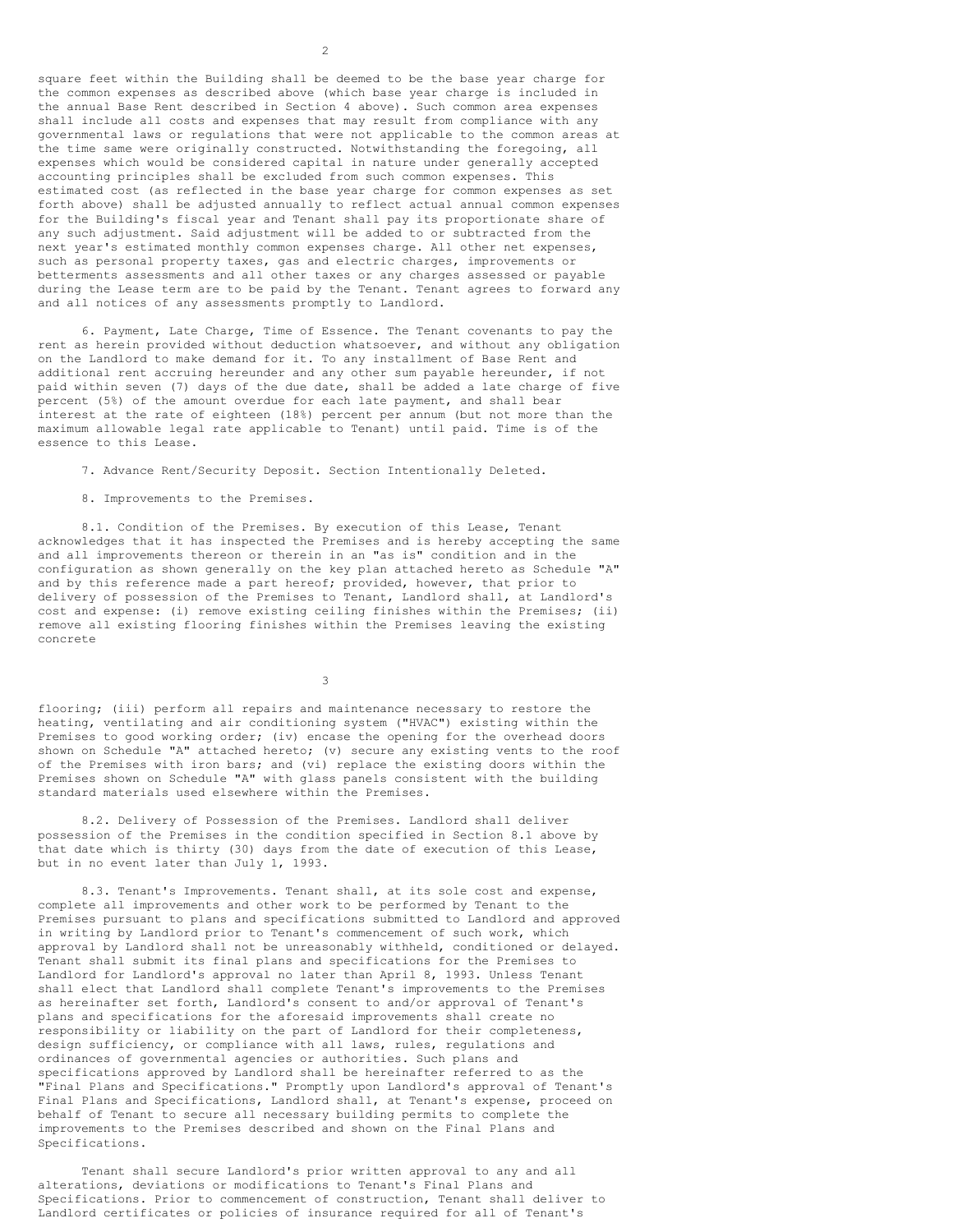square feet within the Building shall be deemed to be the base year charge for the common expenses as described above (which base year charge is included in the annual Base Rent described in Section 4 above). Such common area expenses shall include all costs and expenses that may result from compliance with any governmental laws or regulations that were not applicable to the common areas at the time same were originally constructed. Notwithstanding the foregoing, all expenses which would be considered capital in nature under generally accepted accounting principles shall be excluded from such common expenses. This estimated cost (as reflected in the base year charge for common expenses as set forth above) shall be adjusted annually to reflect actual annual common expenses for the Building's fiscal year and Tenant shall pay its proportionate share of any such adjustment. Said adjustment will be added to or subtracted from the next year's estimated monthly common expenses charge. All other net expenses, such as personal property taxes, gas and electric charges, improvements or betterments assessments and all other taxes or any charges assessed or payable during the Lease term are to be paid by the Tenant. Tenant agrees to forward any and all notices of any assessments promptly to Landlord.

6. Payment, Late Charge, Time of Essence. The Tenant covenants to pay the rent as herein provided without deduction whatsoever, and without any obligation on the Landlord to make demand for it. To any installment of Base Rent and additional rent accruing hereunder and any other sum payable hereunder, if not paid within seven (7) days of the due date, shall be added a late charge of five percent (5%) of the amount overdue for each late payment, and shall bear interest at the rate of eighteen (18%) percent per annum (but not more than the maximum allowable legal rate applicable to Tenant) until paid. Time is of the essence to this Lease.

7. Advance Rent/Security Deposit. Section Intentionally Deleted.

8. Improvements to the Premises.

8.1. Condition of the Premises. By execution of this Lease, Tenant acknowledges that it has inspected the Premises and is hereby accepting the same and all improvements thereon or therein in an "as is" condition and in the configuration as shown generally on the key plan attached hereto as Schedule "A" and by this reference made a part hereof; provided, however, that prior to delivery of possession of the Premises to Tenant, Landlord shall, at Landlord's cost and expense: (i) remove existing ceiling finishes within the Premises; (ii) remove all existing flooring finishes within the Premises leaving the existing concrete

3

flooring; (iii) perform all repairs and maintenance necessary to restore the heating, ventilating and air conditioning system ("HVAC") existing within the Premises to good working order; (iv) encase the opening for the overhead doors shown on Schedule "A" attached hereto; (v) secure any existing vents to the roof of the Premises with iron bars; and (vi) replace the existing doors within the Premises shown on Schedule "A" with glass panels consistent with the building standard materials used elsewhere within the Premises.

8.2. Delivery of Possession of the Premises. Landlord shall deliver possession of the Premises in the condition specified in Section 8.1 above by that date which is thirty (30) days from the date of execution of this Lease, but in no event later than July 1, 1993.

8.3. Tenant's Improvements. Tenant shall, at its sole cost and expense, complete all improvements and other work to be performed by Tenant to the Premises pursuant to plans and specifications submitted to Landlord and approved in writing by Landlord prior to Tenant's commencement of such work, which approval by Landlord shall not be unreasonably withheld, conditioned or delayed. Tenant shall submit its final plans and specifications for the Premises to Landlord for Landlord's approval no later than April 8, 1993. Unless Tenant shall elect that Landlord shall complete Tenant's improvements to the Premises as hereinafter set forth, Landlord's consent to and/or approval of Tenant's plans and specifications for the aforesaid improvements shall create no responsibility or liability on the part of Landlord for their completeness, design sufficiency, or compliance with all laws, rules, regulations and ordinances of governmental agencies or authorities. Such plans and specifications approved by Landlord shall be hereinafter referred to as the "Final Plans and Specifications." Promptly upon Landlord's approval of Tenant's Final Plans and Specifications, Landlord shall, at Tenant's expense, proceed on behalf of Tenant to secure all necessary building permits to complete the improvements to the Premises described and shown on the Final Plans and Specifications.

Tenant shall secure Landlord's prior written approval to any and all alterations, deviations or modifications to Tenant's Final Plans and Specifications. Prior to commencement of construction, Tenant shall deliver to Landlord certificates or policies of insurance required for all of Tenant's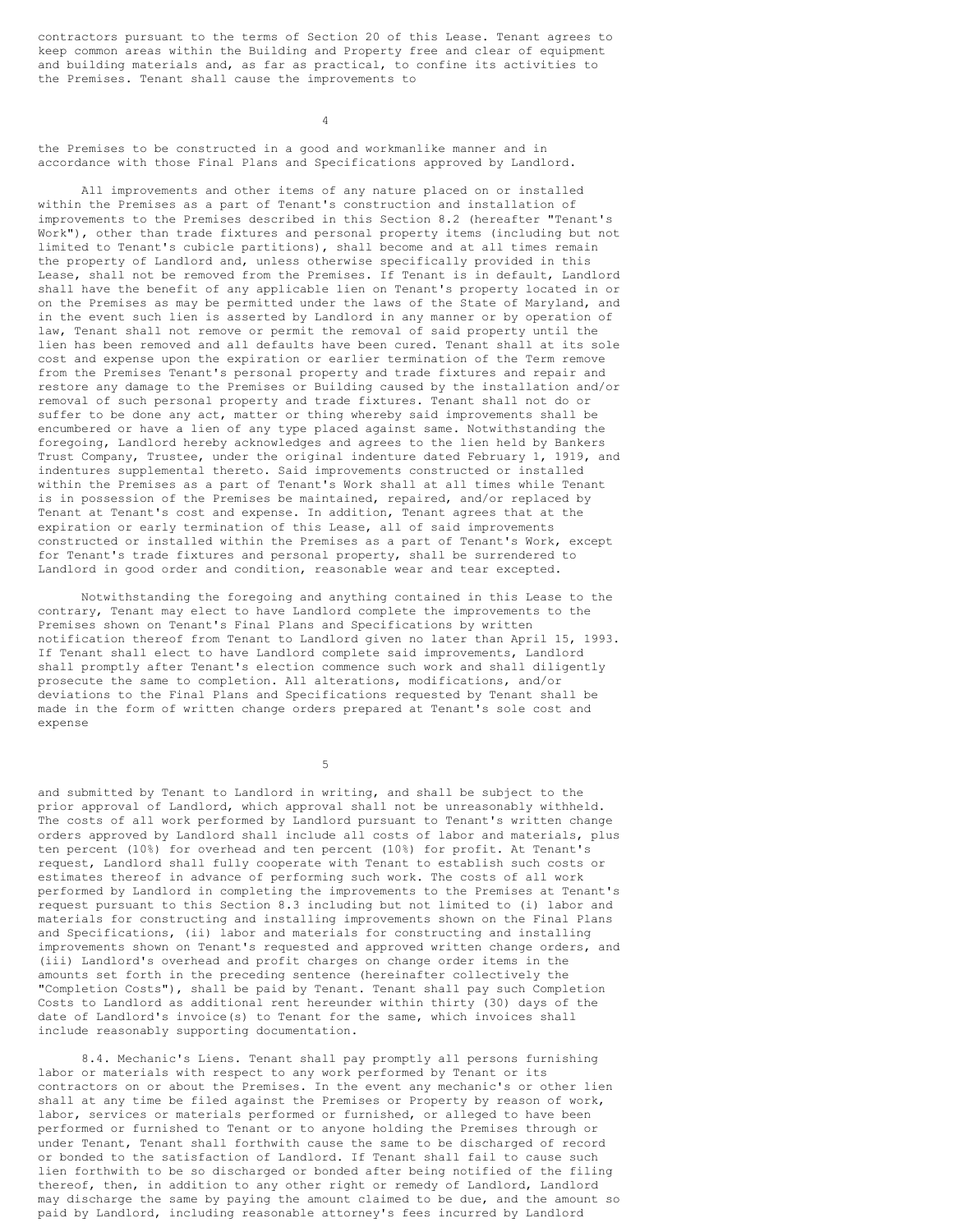contractors pursuant to the terms of Section 20 of this Lease. Tenant agrees to keep common areas within the Building and Property free and clear of equipment and building materials and, as far as practical, to confine its activities to the Premises. Tenant shall cause the improvements to

4

the Premises to be constructed in a good and workmanlike manner and in accordance with those Final Plans and Specifications approved by Landlord.

All improvements and other items of any nature placed on or installed within the Premises as a part of Tenant's construction and installation of improvements to the Premises described in this Section 8.2 (hereafter "Tenant's Work"), other than trade fixtures and personal property items (including but not limited to Tenant's cubicle partitions), shall become and at all times remain the property of Landlord and, unless otherwise specifically provided in this Lease, shall not be removed from the Premises. If Tenant is in default, Landlord shall have the benefit of any applicable lien on Tenant's property located in or on the Premises as may be permitted under the laws of the State of Maryland, and in the event such lien is asserted by Landlord in any manner or by operation of law, Tenant shall not remove or permit the removal of said property until the lien has been removed and all defaults have been cured. Tenant shall at its sole cost and expense upon the expiration or earlier termination of the Term remove from the Premises Tenant's personal property and trade fixtures and repair and restore any damage to the Premises or Building caused by the installation and/or removal of such personal property and trade fixtures. Tenant shall not do or suffer to be done any act, matter or thing whereby said improvements shall be encumbered or have a lien of any type placed against same. Notwithstanding the foregoing, Landlord hereby acknowledges and agrees to the lien held by Bankers Trust Company, Trustee, under the original indenture dated February 1, 1919, and indentures supplemental thereto. Said improvements constructed or installed within the Premises as a part of Tenant's Work shall at all times while Tenant is in possession of the Premises be maintained, repaired, and/or replaced by Tenant at Tenant's cost and expense. In addition, Tenant agrees that at the expiration or early termination of this Lease, all of said improvements constructed or installed within the Premises as a part of Tenant's Work, except for Tenant's trade fixtures and personal property, shall be surrendered to Landlord in good order and condition, reasonable wear and tear excepted.

Notwithstanding the foregoing and anything contained in this Lease to the contrary, Tenant may elect to have Landlord complete the improvements to the Premises shown on Tenant's Final Plans and Specifications by written notification thereof from Tenant to Landlord given no later than April 15, 1993. If Tenant shall elect to have Landlord complete said improvements, Landlord shall promptly after Tenant's election commence such work and shall diligently prosecute the same to completion. All alterations, modifications, and/or deviations to the Final Plans and Specifications requested by Tenant shall be made in the form of written change orders prepared at Tenant's sole cost and expense

5

and submitted by Tenant to Landlord in writing, and shall be subject to the prior approval of Landlord, which approval shall not be unreasonably withheld. The costs of all work performed by Landlord pursuant to Tenant's written change orders approved by Landlord shall include all costs of labor and materials, plus ten percent (10%) for overhead and ten percent (10%) for profit. At Tenant's request, Landlord shall fully cooperate with Tenant to establish such costs or estimates thereof in advance of performing such work. The costs of all work performed by Landlord in completing the improvements to the Premises at Tenant's request pursuant to this Section 8.3 including but not limited to (i) labor and materials for constructing and installing improvements shown on the Final Plans and Specifications, (ii) labor and materials for constructing and installing improvements shown on Tenant's requested and approved written change orders, and (iii) Landlord's overhead and profit charges on change order items in the amounts set forth in the preceding sentence (hereinafter collectively the "Completion Costs"), shall be paid by Tenant. Tenant shall pay such Completion Costs to Landlord as additional rent hereunder within thirty (30) days of the date of Landlord's invoice(s) to Tenant for the same, which invoices shall include reasonably supporting documentation.

8.4. Mechanic's Liens. Tenant shall pay promptly all persons furnishing labor or materials with respect to any work performed by Tenant or its contractors on or about the Premises. In the event any mechanic's or other lien shall at any time be filed against the Premises or Property by reason of work, labor, services or materials performed or furnished, or alleged to have been performed or furnished to Tenant or to anyone holding the Premises through or under Tenant, Tenant shall forthwith cause the same to be discharged of record or bonded to the satisfaction of Landlord. If Tenant shall fail to cause such lien forthwith to be so discharged or bonded after being notified of the filing thereof, then, in addition to any other right or remedy of Landlord, Landlord may discharge the same by paying the amount claimed to be due, and the amount so paid by Landlord, including reasonable attorney's fees incurred by Landlord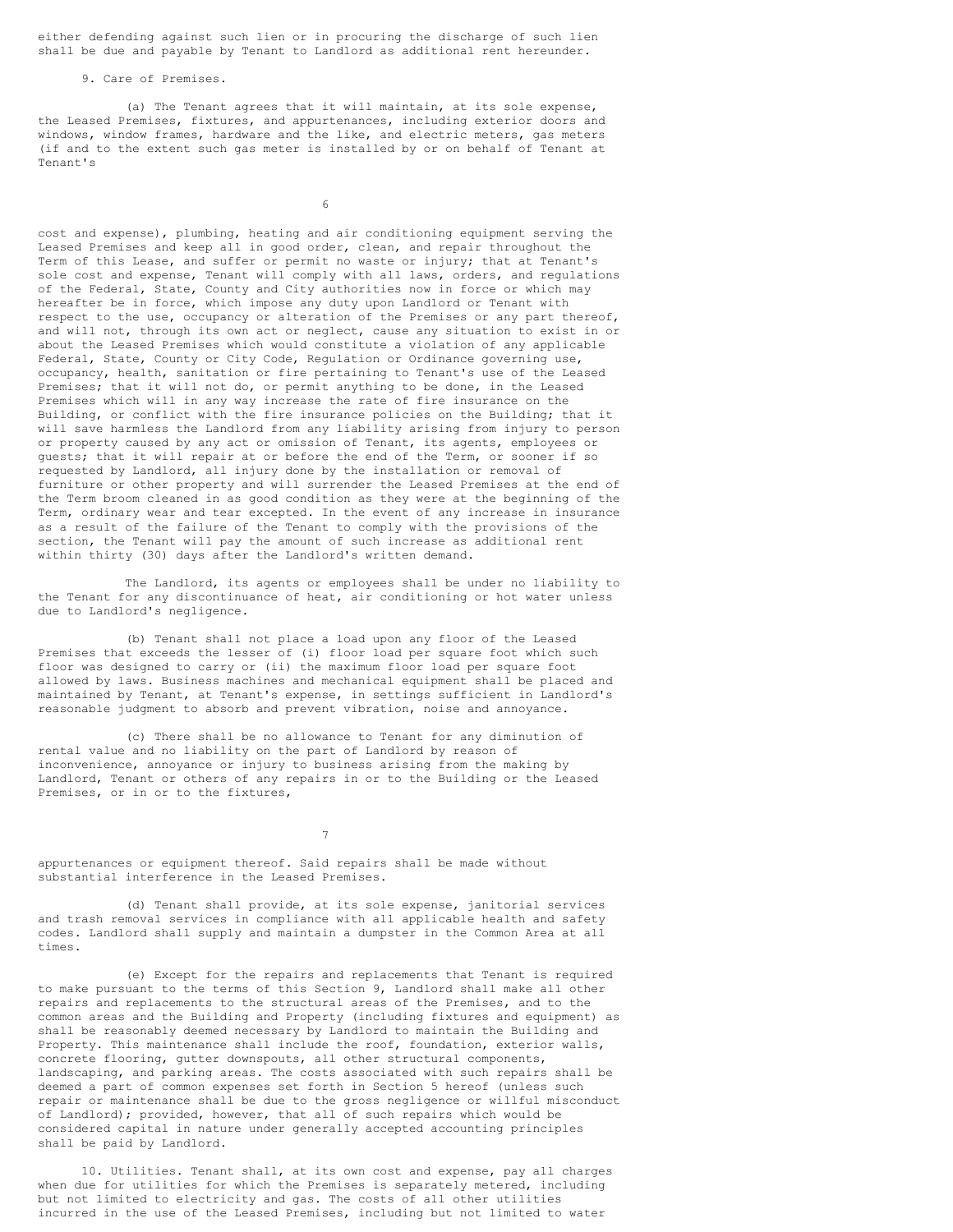either defending against such lien or in procuring the discharge of such lien shall be due and payable by Tenant to Landlord as additional rent hereunder.

9. Care of Premises.

(a) The Tenant agrees that it will maintain, at its sole expense, the Leased Premises, fixtures, and appurtenances, including exterior doors and windows, window frames, hardware and the like, and electric meters, gas meters (if and to the extent such gas meter is installed by or on behalf of Tenant at Tenant's

6

cost and expense), plumbing, heating and air conditioning equipment serving the Leased Premises and keep all in good order, clean, and repair throughout the Term of this Lease, and suffer or permit no waste or injury; that at Tenant's sole cost and expense, Tenant will comply with all laws, orders, and regulations of the Federal, State, County and City authorities now in force or which may hereafter be in force, which impose any duty upon Landlord or Tenant with respect to the use, occupancy or alteration of the Premises or any part thereof, and will not, through its own act or neglect, cause any situation to exist in or about the Leased Premises which would constitute a violation of any applicable Federal, State, County or City Code, Regulation or Ordinance governing use, occupancy, health, sanitation or fire pertaining to Tenant's use of the Leased Premises; that it will not do, or permit anything to be done, in the Leased Premises which will in any way increase the rate of fire insurance on the Building, or conflict with the fire insurance policies on the Building; that it will save harmless the Landlord from any liability arising from injury to person or property caused by any act or omission of Tenant, its agents, employees or guests; that it will repair at or before the end of the Term, or sooner if so requested by Landlord, all injury done by the installation or removal of furniture or other property and will surrender the Leased Premises at the end of the Term broom cleaned in as good condition as they were at the beginning of the Term, ordinary wear and tear excepted. In the event of any increase in insurance as a result of the failure of the Tenant to comply with the provisions of the section, the Tenant will pay the amount of such increase as additional rent within thirty (30) days after the Landlord's written demand.

The Landlord, its agents or employees shall be under no liability to the Tenant for any discontinuance of heat, air conditioning or hot water unless due to Landlord's negligence.

(b) Tenant shall not place a load upon any floor of the Leased Premises that exceeds the lesser of (i) floor load per square foot which such floor was designed to carry or (ii) the maximum floor load per square foot allowed by laws. Business machines and mechanical equipment shall be placed and maintained by Tenant, at Tenant's expense, in settings sufficient in Landlord's reasonable judgment to absorb and prevent vibration, noise and annoyance.

(c) There shall be no allowance to Tenant for any diminution of rental value and no liability on the part of Landlord by reason of inconvenience, annoyance or injury to business arising from the making by Landlord, Tenant or others of any repairs in or to the Building or the Leased Premises, or in or to the fixtures,

7

appurtenances or equipment thereof. Said repairs shall be made without substantial interference in the Leased Premises.

(d) Tenant shall provide, at its sole expense, janitorial services and trash removal services in compliance with all applicable health and safety codes. Landlord shall supply and maintain a dumpster in the Common Area at all times.

(e) Except for the repairs and replacements that Tenant is required to make pursuant to the terms of this Section 9, Landlord shall make all other repairs and replacements to the structural areas of the Premises, and to the common areas and the Building and Property (including fixtures and equipment) as shall be reasonably deemed necessary by Landlord to maintain the Building and Property. This maintenance shall include the roof, foundation, exterior walls, concrete flooring, gutter downspouts, all other structural components, landscaping, and parking areas. The costs associated with such repairs shall be deemed a part of common expenses set forth in Section 5 hereof (unless such repair or maintenance shall be due to the gross negligence or willful misconduct of Landlord); provided, however, that all of such repairs which would be considered capital in nature under generally accepted accounting principles shall be paid by Landlord.

10. Utilities. Tenant shall, at its own cost and expense, pay all charges when due for utilities for which the Premises is separately metered, including but not limited to electricity and gas. The costs of all other utilities incurred in the use of the Leased Premises, including but not limited to water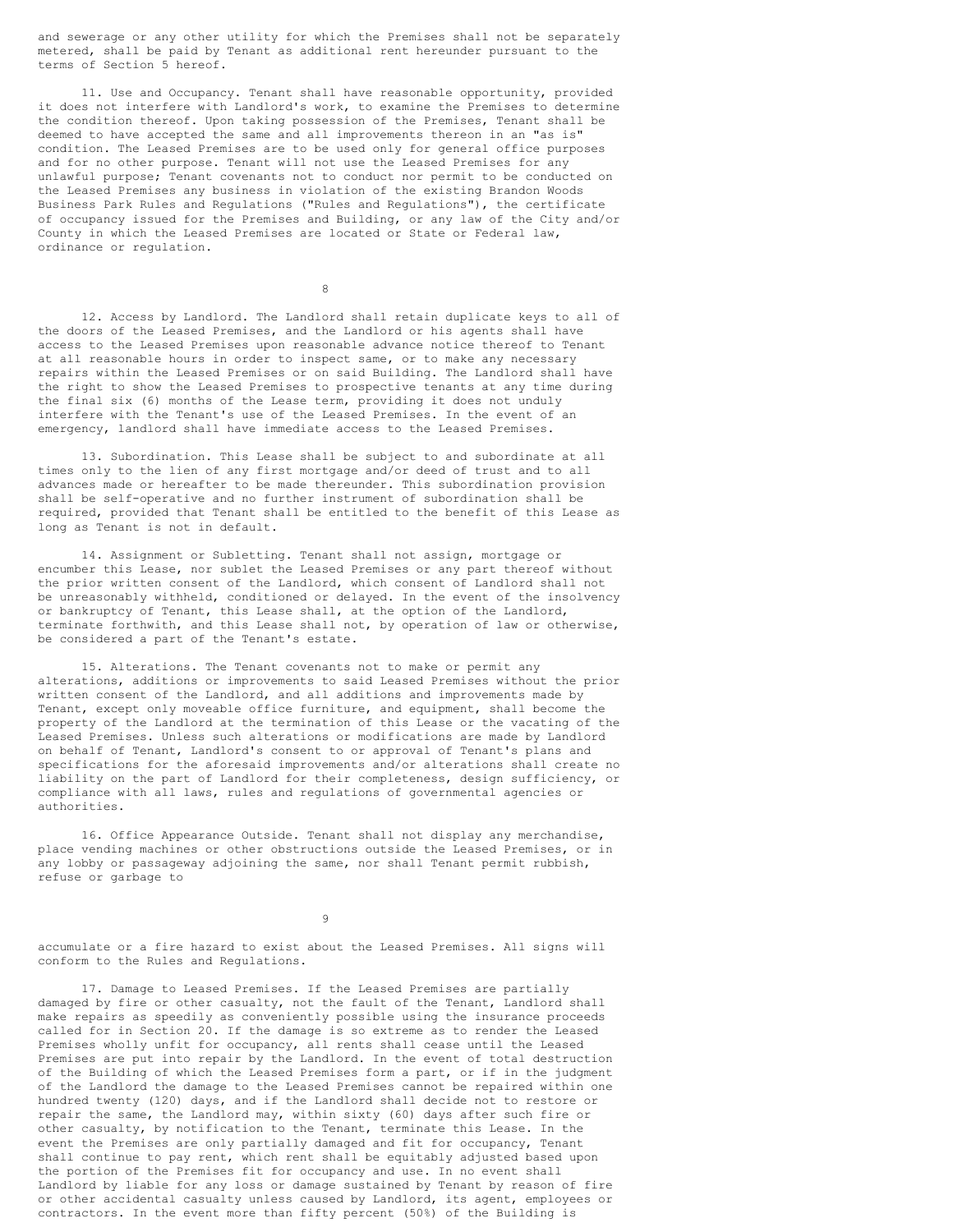and sewerage or any other utility for which the Premises shall not be separately metered, shall be paid by Tenant as additional rent hereunder pursuant to the terms of Section 5 hereof.

11. Use and Occupancy. Tenant shall have reasonable opportunity, provided it does not interfere with Landlord's work, to examine the Premises to determine the condition thereof. Upon taking possession of the Premises, Tenant shall be deemed to have accepted the same and all improvements thereon in an "as is" condition. The Leased Premises are to be used only for general office purposes and for no other purpose. Tenant will not use the Leased Premises for any unlawful purpose; Tenant covenants not to conduct nor permit to be conducted on the Leased Premises any business in violation of the existing Brandon Woods Business Park Rules and Regulations ("Rules and Regulations"), the certificate of occupancy issued for the Premises and Building, or any law of the City and/or County in which the Leased Premises are located or State or Federal law, ordinance or regulation.

8

12. Access by Landlord. The Landlord shall retain duplicate keys to all of the doors of the Leased Premises, and the Landlord or his agents shall have access to the Leased Premises upon reasonable advance notice thereof to Tenant at all reasonable hours in order to inspect same, or to make any necessary repairs within the Leased Premises or on said Building. The Landlord shall have the right to show the Leased Premises to prospective tenants at any time during the final six (6) months of the Lease term, providing it does not unduly interfere with the Tenant's use of the Leased Premises. In the event of an emergency, landlord shall have immediate access to the Leased Premises.

13. Subordination. This Lease shall be subject to and subordinate at all times only to the lien of any first mortgage and/or deed of trust and to all advances made or hereafter to be made thereunder. This subordination provision shall be self-operative and no further instrument of subordination shall be required, provided that Tenant shall be entitled to the benefit of this Lease as long as Tenant is not in default.

14. Assignment or Subletting. Tenant shall not assign, mortgage or encumber this Lease, nor sublet the Leased Premises or any part thereof without the prior written consent of the Landlord, which consent of Landlord shall not be unreasonably withheld, conditioned or delayed. In the event of the insolvency or bankruptcy of Tenant, this Lease shall, at the option of the Landlord, terminate forthwith, and this Lease shall not, by operation of law or otherwise, be considered a part of the Tenant's estate.

15. Alterations. The Tenant covenants not to make or permit any alterations, additions or improvements to said Leased Premises without the prior written consent of the Landlord, and all additions and improvements made by Tenant, except only moveable office furniture, and equipment, shall become the property of the Landlord at the termination of this Lease or the vacating of the Leased Premises. Unless such alterations or modifications are made by Landlord on behalf of Tenant, Landlord's consent to or approval of Tenant's plans and specifications for the aforesaid improvements and/or alterations shall create no liability on the part of Landlord for their completeness, design sufficiency, or compliance with all laws, rules and regulations of governmental agencies or authorities.

16. Office Appearance Outside. Tenant shall not display any merchandise, place vending machines or other obstructions outside the Leased Premises, or in any lobby or passageway adjoining the same, nor shall Tenant permit rubbish, refuse or garbage to

9

accumulate or a fire hazard to exist about the Leased Premises. All signs will conform to the Rules and Regulations.

17. Damage to Leased Premises. If the Leased Premises are partially damaged by fire or other casualty, not the fault of the Tenant, Landlord shall make repairs as speedily as conveniently possible using the insurance proceeds called for in Section 20. If the damage is so extreme as to render the Leased Premises wholly unfit for occupancy, all rents shall cease until the Leased Premises are put into repair by the Landlord. In the event of total destruction of the Building of which the Leased Premises form a part, or if in the judgment of the Landlord the damage to the Leased Premises cannot be repaired within one hundred twenty (120) days, and if the Landlord shall decide not to restore or repair the same, the Landlord may, within sixty (60) days after such fire or other casualty, by notification to the Tenant, terminate this Lease. In the event the Premises are only partially damaged and fit for occupancy, Tenant shall continue to pay rent, which rent shall be equitably adjusted based upon the portion of the Premises fit for occupancy and use. In no event shall Landlord by liable for any loss or damage sustained by Tenant by reason of fire or other accidental casualty unless caused by Landlord, its agent, employees or contractors. In the event more than fifty percent (50%) of the Building is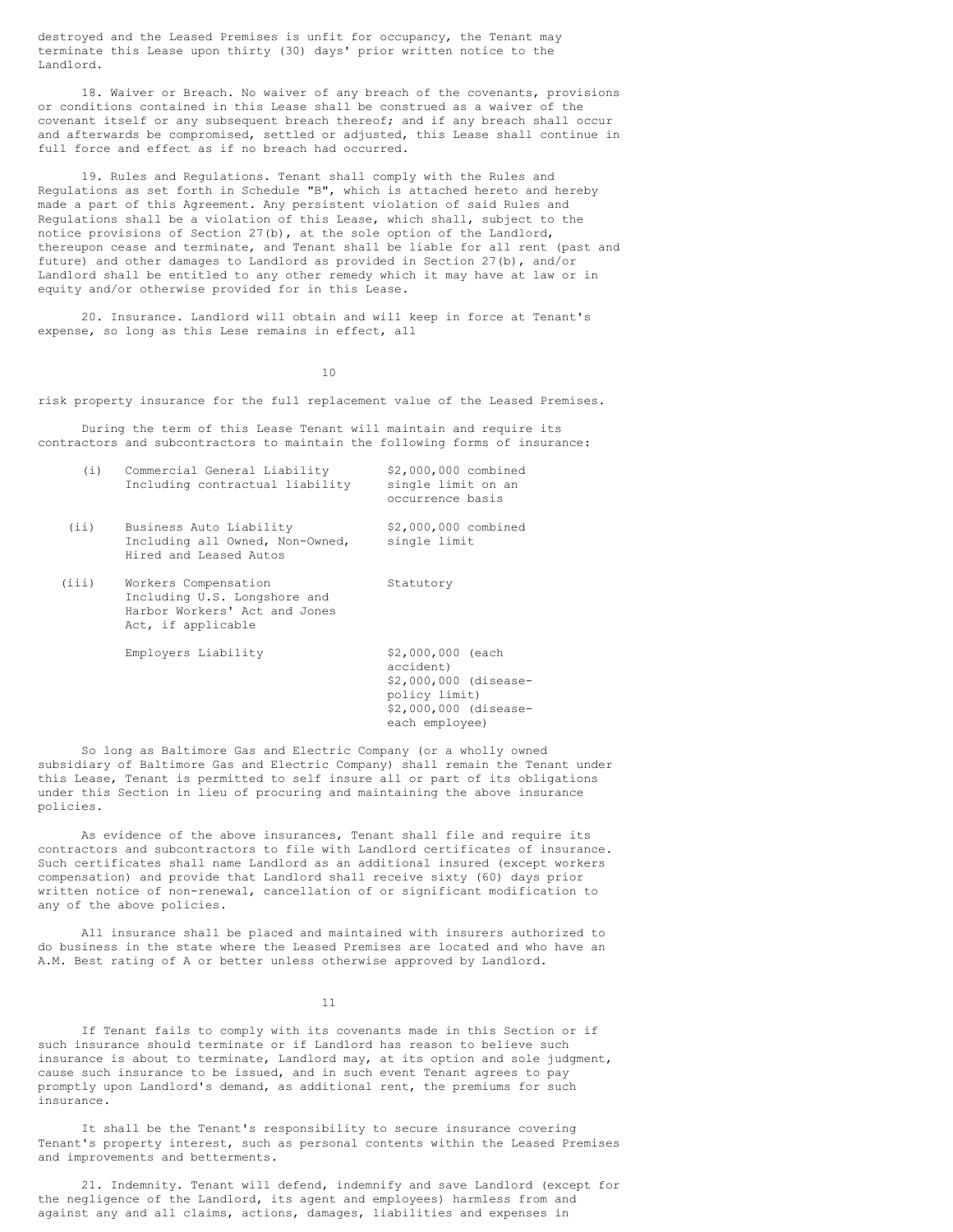destroyed and the Leased Premises is unfit for occupancy, the Tenant may terminate this Lease upon thirty (30) days' prior written notice to the Landlord.

18. Waiver or Breach. No waiver of any breach of the covenants, provisions or conditions contained in this Lease shall be construed as a waiver of the covenant itself or any subsequent breach thereof; and if any breach shall occur and afterwards be compromised, settled or adjusted, this Lease shall continue in full force and effect as if no breach had occurred.

19. Rules and Regulations. Tenant shall comply with the Rules and Regulations as set forth in Schedule "B", which is attached hereto and hereby made a part of this Agreement. Any persistent violation of said Rules and Regulations shall be a violation of this Lease, which shall, subject to the notice provisions of Section 27(b), at the sole option of the Landlord, thereupon cease and terminate, and Tenant shall be liable for all rent (past and future) and other damages to Landlord as provided in Section 27(b), and/or Landlord shall be entitled to any other remedy which it may have at law or in equity and/or otherwise provided for in this Lease.

20. Insurance. Landlord will obtain and will keep in force at Tenant's expense, so long as this Lese remains in effect, all

10

risk property insurance for the full replacement value of the Leased Premises.

During the term of this Lease Tenant will maintain and require its contractors and subcontractors to maintain the following forms of insurance:

| (i)   | Commercial General Liability<br>Including contractual liability                                             | \$2,000,000 combined<br>single limit on an<br>occurrence basis                                                      |
|-------|-------------------------------------------------------------------------------------------------------------|---------------------------------------------------------------------------------------------------------------------|
| (iii) | Business Auto Liability<br>Including all Owned, Non-Owned,<br>Hired and Leased Autos                        | \$2,000,000 combined<br>single limit                                                                                |
| (iii) | Workers Compensation<br>Including U.S. Longshore and<br>Harbor Workers' Act and Jones<br>Act, if applicable | Statutory                                                                                                           |
|       | Employers Liability                                                                                         | \$2,000,000 (each<br>accident)<br>\$2,000,000 (disease-<br>policy limit)<br>\$2,000,000 (disease-<br>each employee) |

So long as Baltimore Gas and Electric Company (or a wholly owned subsidiary of Baltimore Gas and Electric Company) shall remain the Tenant under this Lease, Tenant is permitted to self insure all or part of its obligations under this Section in lieu of procuring and maintaining the above insurance policies.

As evidence of the above insurances, Tenant shall file and require its contractors and subcontractors to file with Landlord certificates of insurance. Such certificates shall name Landlord as an additional insured (except workers compensation) and provide that Landlord shall receive sixty (60) days prior written notice of non-renewal, cancellation of or significant modification to any of the above policies.

All insurance shall be placed and maintained with insurers authorized to do business in the state where the Leased Premises are located and who have an A.M. Best rating of A or better unless otherwise approved by Landlord.

11

If Tenant fails to comply with its covenants made in this Section or if such insurance should terminate or if Landlord has reason to believe such insurance is about to terminate, Landlord may, at its option and sole judgment, cause such insurance to be issued, and in such event Tenant agrees to pay promptly upon Landlord's demand, as additional rent, the premiums for such insurance.

It shall be the Tenant's responsibility to secure insurance covering Tenant's property interest, such as personal contents within the Leased Premises and improvements and betterments.

21. Indemnity. Tenant will defend, indemnify and save Landlord (except for the negligence of the Landlord, its agent and employees) harmless from and against any and all claims, actions, damages, liabilities and expenses in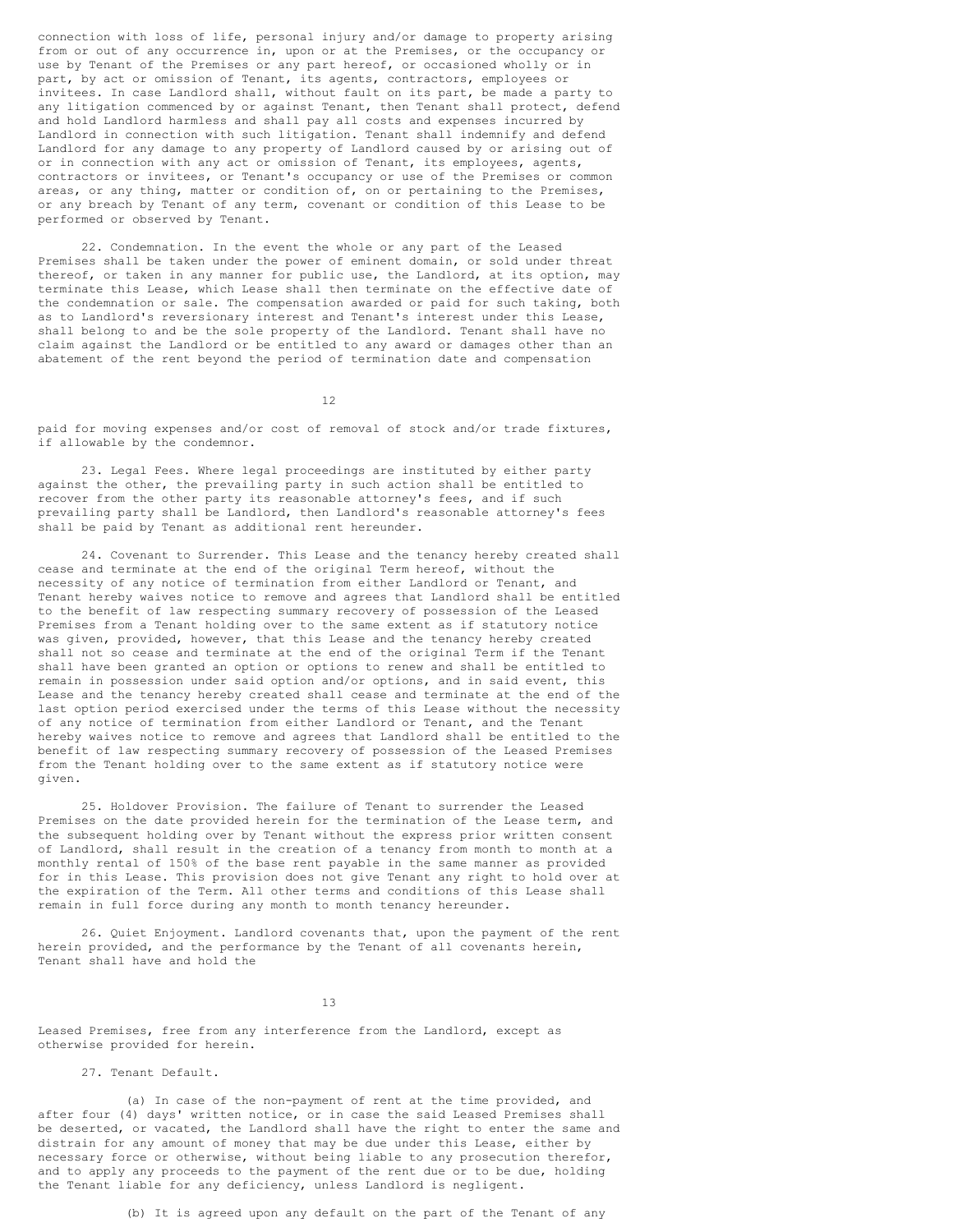connection with loss of life, personal injury and/or damage to property arising from or out of any occurrence in, upon or at the Premises, or the occupancy or use by Tenant of the Premises or any part hereof, or occasioned wholly or in part, by act or omission of Tenant, its agents, contractors, employees or invitees. In case Landlord shall, without fault on its part, be made a party to any litigation commenced by or against Tenant, then Tenant shall protect, defend and hold Landlord harmless and shall pay all costs and expenses incurred by Landlord in connection with such litigation. Tenant shall indemnify and defend Landlord for any damage to any property of Landlord caused by or arising out of or in connection with any act or omission of Tenant, its employees, agents, contractors or invitees, or Tenant's occupancy or use of the Premises or common areas, or any thing, matter or condition of, on or pertaining to the Premises, or any breach by Tenant of any term, covenant or condition of this Lease to be performed or observed by Tenant.

22. Condemnation. In the event the whole or any part of the Leased Premises shall be taken under the power of eminent domain, or sold under threat thereof, or taken in any manner for public use, the Landlord, at its option, may terminate this Lease, which Lease shall then terminate on the effective date of the condemnation or sale. The compensation awarded or paid for such taking, both as to Landlord's reversionary interest and Tenant's interest under this Lease, shall belong to and be the sole property of the Landlord. Tenant shall have no claim against the Landlord or be entitled to any award or damages other than an abatement of the rent beyond the period of termination date and compensation

12

paid for moving expenses and/or cost of removal of stock and/or trade fixtures, if allowable by the condemnor.

23. Legal Fees. Where legal proceedings are instituted by either party against the other, the prevailing party in such action shall be entitled to recover from the other party its reasonable attorney's fees, and if such prevailing party shall be Landlord, then Landlord's reasonable attorney's fees shall be paid by Tenant as additional rent hereunder.

24. Covenant to Surrender. This Lease and the tenancy hereby created shall cease and terminate at the end of the original Term hereof, without the necessity of any notice of termination from either Landlord or Tenant, and Tenant hereby waives notice to remove and agrees that Landlord shall be entitled to the benefit of law respecting summary recovery of possession of the Leased Premises from a Tenant holding over to the same extent as if statutory notice was given, provided, however, that this Lease and the tenancy hereby created shall not so cease and terminate at the end of the original Term if the Tenant shall have been granted an option or options to renew and shall be entitled to remain in possession under said option and/or options, and in said event, this Lease and the tenancy hereby created shall cease and terminate at the end of the last option period exercised under the terms of this Lease without the necessity of any notice of termination from either Landlord or Tenant, and the Tenant hereby waives notice to remove and agrees that Landlord shall be entitled to the benefit of law respecting summary recovery of possession of the Leased Premises from the Tenant holding over to the same extent as if statutory notice were given.

25. Holdover Provision. The failure of Tenant to surrender the Leased Premises on the date provided herein for the termination of the Lease term, and the subsequent holding over by Tenant without the express prior written consent of Landlord, shall result in the creation of a tenancy from month to month at a monthly rental of 150% of the base rent payable in the same manner as provided for in this Lease. This provision does not give Tenant any right to hold over at the expiration of the Term. All other terms and conditions of this Lease shall remain in full force during any month to month tenancy hereunder.

26. Quiet Enjoyment. Landlord covenants that, upon the payment of the rent herein provided, and the performance by the Tenant of all covenants herein, Tenant shall have and hold the

13

Leased Premises, free from any interference from the Landlord, except as otherwise provided for herein.

27. Tenant Default.

(a) In case of the non-payment of rent at the time provided, and after four (4) days' written notice, or in case the said Leased Premises shall be deserted, or vacated, the Landlord shall have the right to enter the same and distrain for any amount of money that may be due under this Lease, either by necessary force or otherwise, without being liable to any prosecution therefor, and to apply any proceeds to the payment of the rent due or to be due, holding the Tenant liable for any deficiency, unless Landlord is negligent.

(b) It is agreed upon any default on the part of the Tenant of any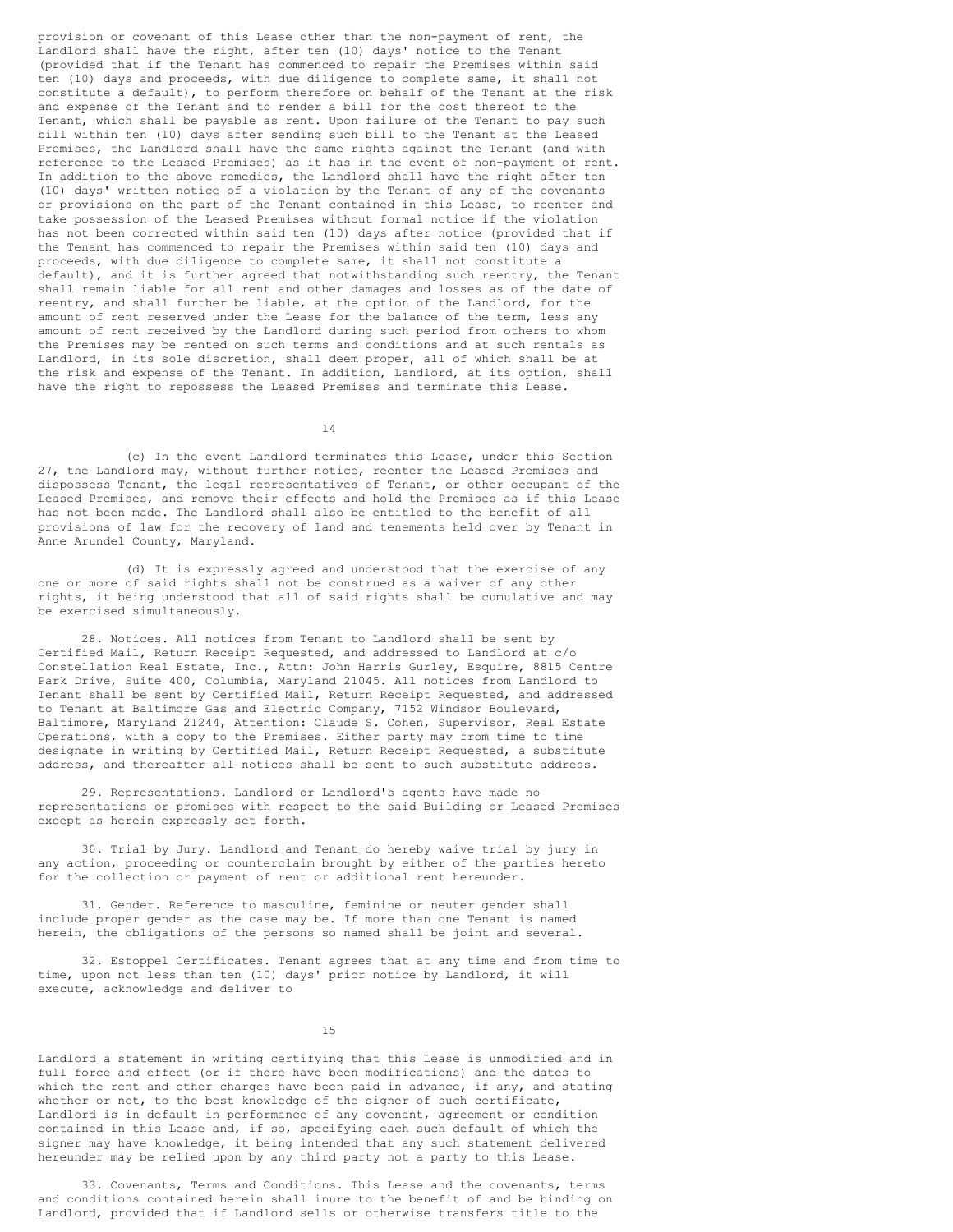provision or covenant of this Lease other than the non-payment of rent, the Landlord shall have the right, after ten (10) days' notice to the Tenant (provided that if the Tenant has commenced to repair the Premises within said ten (10) days and proceeds, with due diligence to complete same, it shall not constitute a default), to perform therefore on behalf of the Tenant at the risk and expense of the Tenant and to render a bill for the cost thereof to the Tenant, which shall be payable as rent. Upon failure of the Tenant to pay such bill within ten (10) days after sending such bill to the Tenant at the Leased Premises, the Landlord shall have the same rights against the Tenant (and with reference to the Leased Premises) as it has in the event of non-payment of rent. In addition to the above remedies, the Landlord shall have the right after ten (10) days' written notice of a violation by the Tenant of any of the covenants or provisions on the part of the Tenant contained in this Lease, to reenter and take possession of the Leased Premises without formal notice if the violation has not been corrected within said ten (10) days after notice (provided that if the Tenant has commenced to repair the Premises within said ten (10) days and proceeds, with due diligence to complete same, it shall not constitute a default), and it is further agreed that notwithstanding such reentry, the Tenant shall remain liable for all rent and other damages and losses as of the date of reentry, and shall further be liable, at the option of the Landlord, for the amount of rent reserved under the Lease for the balance of the term, less any amount of rent received by the Landlord during such period from others to whom the Premises may be rented on such terms and conditions and at such rentals as Landlord, in its sole discretion, shall deem proper, all of which shall be at the risk and expense of the Tenant. In addition, Landlord, at its option, shall have the right to repossess the Leased Premises and terminate this Lease.

14

(c) In the event Landlord terminates this Lease, under this Section 27, the Landlord may, without further notice, reenter the Leased Premises and dispossess Tenant, the legal representatives of Tenant, or other occupant of the Leased Premises, and remove their effects and hold the Premises as if this Lease has not been made. The Landlord shall also be entitled to the benefit of all provisions of law for the recovery of land and tenements held over by Tenant in Anne Arundel County, Maryland.

(d) It is expressly agreed and understood that the exercise of any one or more of said rights shall not be construed as a waiver of any other rights, it being understood that all of said rights shall be cumulative and may be exercised simultaneously.

28. Notices. All notices from Tenant to Landlord shall be sent by Certified Mail, Return Receipt Requested, and addressed to Landlord at c/o Constellation Real Estate, Inc., Attn: John Harris Gurley, Esquire, 8815 Centre Park Drive, Suite 400, Columbia, Maryland 21045. All notices from Landlord to Tenant shall be sent by Certified Mail, Return Receipt Requested, and addressed to Tenant at Baltimore Gas and Electric Company, 7152 Windsor Boulevard, Baltimore, Maryland 21244, Attention: Claude S. Cohen, Supervisor, Real Estate Operations, with a copy to the Premises. Either party may from time to time designate in writing by Certified Mail, Return Receipt Requested, a substitute address, and thereafter all notices shall be sent to such substitute address.

29. Representations. Landlord or Landlord's agents have made no representations or promises with respect to the said Building or Leased Premises except as herein expressly set forth.

30. Trial by Jury. Landlord and Tenant do hereby waive trial by jury in any action, proceeding or counterclaim brought by either of the parties hereto for the collection or payment of rent or additional rent hereunder.

31. Gender. Reference to masculine, feminine or neuter gender shall include proper gender as the case may be. If more than one Tenant is named herein, the obligations of the persons so named shall be joint and several.

32. Estoppel Certificates. Tenant agrees that at any time and from time to time, upon not less than ten (10) days' prior notice by Landlord, it will execute, acknowledge and deliver to

15

Landlord a statement in writing certifying that this Lease is unmodified and in full force and effect (or if there have been modifications) and the dates to which the rent and other charges have been paid in advance, if any, and stating whether or not, to the best knowledge of the signer of such certificate, Landlord is in default in performance of any covenant, agreement or condition contained in this Lease and, if so, specifying each such default of which the signer may have knowledge, it being intended that any such statement delivered hereunder may be relied upon by any third party not a party to this Lease.

33. Covenants, Terms and Conditions. This Lease and the covenants, terms and conditions contained herein shall inure to the benefit of and be binding on Landlord, provided that if Landlord sells or otherwise transfers title to the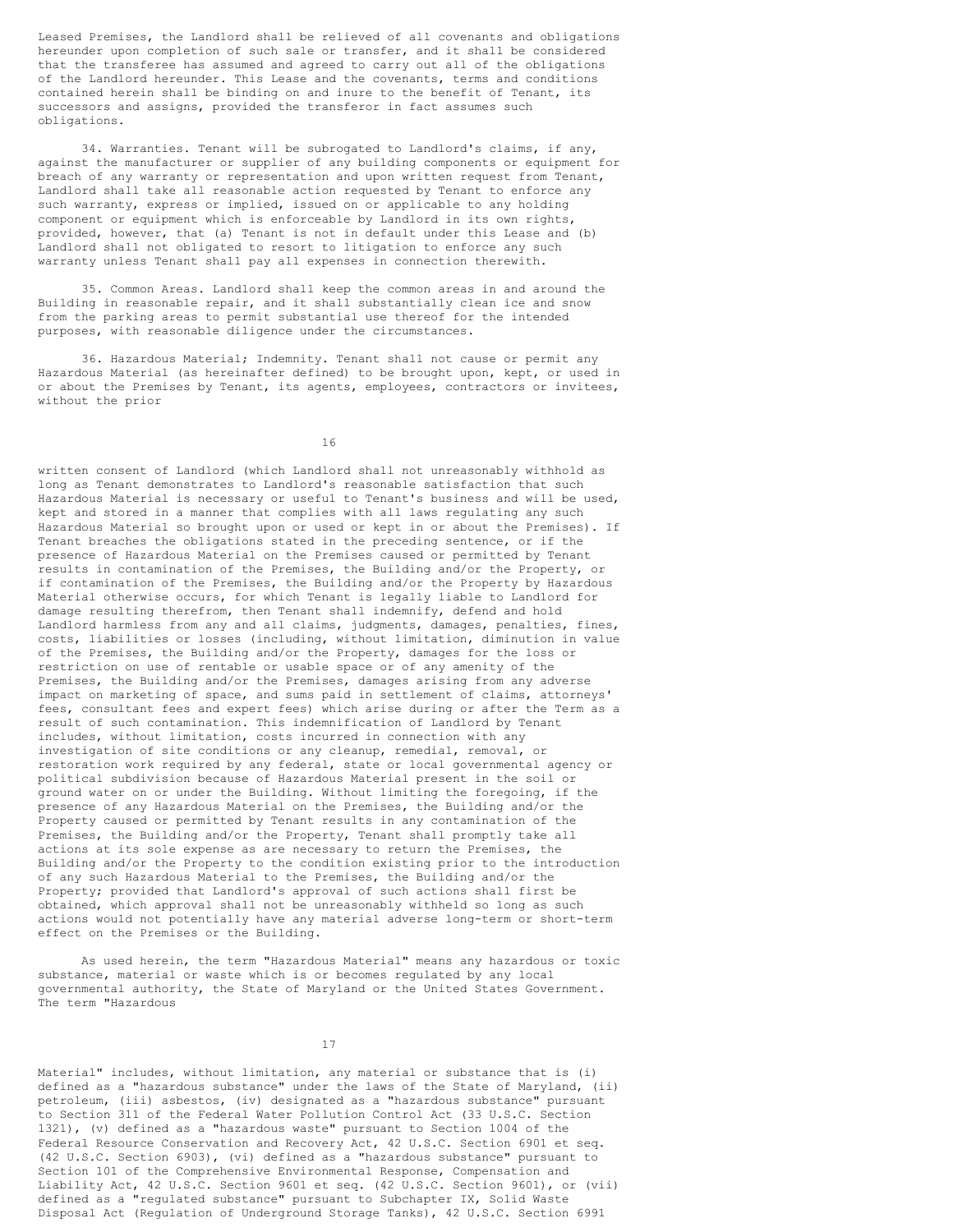Leased Premises, the Landlord shall be relieved of all covenants and obligations hereunder upon completion of such sale or transfer, and it shall be considered that the transferee has assumed and agreed to carry out all of the obligations of the Landlord hereunder. This Lease and the covenants, terms and conditions contained herein shall be binding on and inure to the benefit of Tenant, its successors and assigns, provided the transferor in fact assumes such obligations.

34. Warranties. Tenant will be subrogated to Landlord's claims, if any, against the manufacturer or supplier of any building components or equipment for breach of any warranty or representation and upon written request from Tenant, Landlord shall take all reasonable action requested by Tenant to enforce any such warranty, express or implied, issued on or applicable to any holding component or equipment which is enforceable by Landlord in its own rights, provided, however, that (a) Tenant is not in default under this Lease and (b) Landlord shall not obligated to resort to litigation to enforce any such warranty unless Tenant shall pay all expenses in connection therewith.

35. Common Areas. Landlord shall keep the common areas in and around the Building in reasonable repair, and it shall substantially clean ice and snow from the parking areas to permit substantial use thereof for the intended purposes, with reasonable diligence under the circumstances.

36. Hazardous Material; Indemnity. Tenant shall not cause or permit any Hazardous Material (as hereinafter defined) to be brought upon, kept, or used in or about the Premises by Tenant, its agents, employees, contractors or invitees, without the prior

16

written consent of Landlord (which Landlord shall not unreasonably withhold as long as Tenant demonstrates to Landlord's reasonable satisfaction that such Hazardous Material is necessary or useful to Tenant's business and will be used, kept and stored in a manner that complies with all laws regulating any such Hazardous Material so brought upon or used or kept in or about the Premises). If Tenant breaches the obligations stated in the preceding sentence, or if the presence of Hazardous Material on the Premises caused or permitted by Tenant results in contamination of the Premises, the Building and/or the Property, or if contamination of the Premises, the Building and/or the Property by Hazardous Material otherwise occurs, for which Tenant is legally liable to Landlord for damage resulting therefrom, then Tenant shall indemnify, defend and hold Landlord harmless from any and all claims, judgments, damages, penalties, fines, costs, liabilities or losses (including, without limitation, diminution in value of the Premises, the Building and/or the Property, damages for the loss or restriction on use of rentable or usable space or of any amenity of the Premises, the Building and/or the Premises, damages arising from any adverse impact on marketing of space, and sums paid in settlement of claims, attorneys' fees, consultant fees and expert fees) which arise during or after the Term as a result of such contamination. This indemnification of Landlord by Tenant includes, without limitation, costs incurred in connection with any investigation of site conditions or any cleanup, remedial, removal, or restoration work required by any federal, state or local governmental agency or political subdivision because of Hazardous Material present in the soil or ground water on or under the Building. Without limiting the foregoing, if the presence of any Hazardous Material on the Premises, the Building and/or the Property caused or permitted by Tenant results in any contamination of the Premises, the Building and/or the Property, Tenant shall promptly take all actions at its sole expense as are necessary to return the Premises, the Building and/or the Property to the condition existing prior to the introduction of any such Hazardous Material to the Premises, the Building and/or the Property; provided that Landlord's approval of such actions shall first be obtained, which approval shall not be unreasonably withheld so long as such actions would not potentially have any material adverse long-term or short-term effect on the Premises or the Building.

As used herein, the term "Hazardous Material" means any hazardous or toxic substance, material or waste which is or becomes regulated by any local governmental authority, the State of Maryland or the United States Government. The term "Hazardous

17

Material" includes, without limitation, any material or substance that is (i) defined as a "hazardous substance" under the laws of the State of Maryland, (ii) petroleum, (iii) asbestos, (iv) designated as a "hazardous substance" pursuant to Section 311 of the Federal Water Pollution Control Act (33 U.S.C. Section 1321), (v) defined as a "hazardous waste" pursuant to Section 1004 of the Federal Resource Conservation and Recovery Act, 42 U.S.C. Section 6901 et seq. (42 U.S.C. Section 6903), (vi) defined as a "hazardous substance" pursuant to Section 101 of the Comprehensive Environmental Response, Compensation and Liability Act, 42 U.S.C. Section 9601 et seq. (42 U.S.C. Section 9601), or (vii) defined as a "regulated substance" pursuant to Subchapter IX, Solid Waste Disposal Act (Regulation of Underground Storage Tanks), 42 U.S.C. Section 6991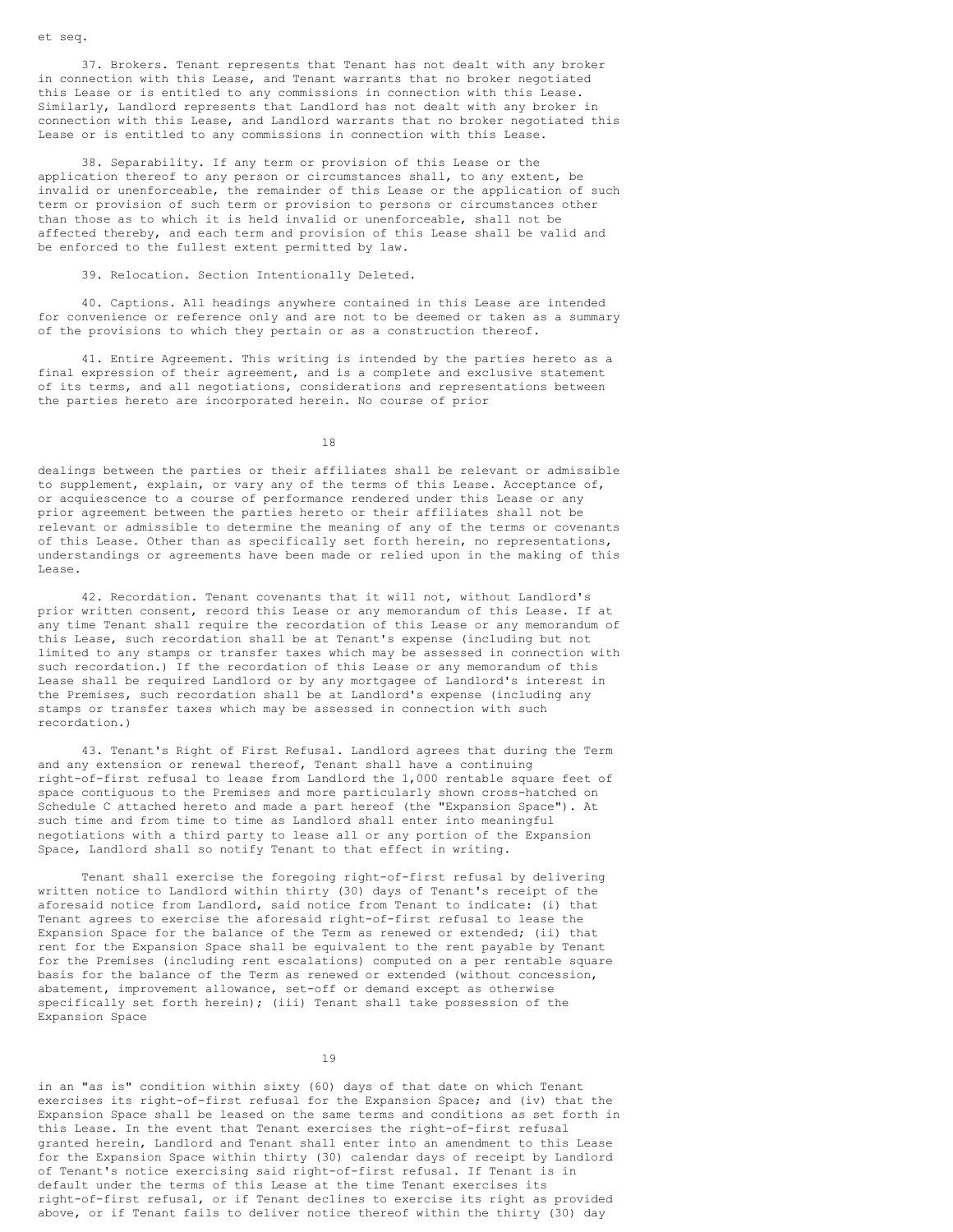37. Brokers. Tenant represents that Tenant has not dealt with any broker in connection with this Lease, and Tenant warrants that no broker negotiated this Lease or is entitled to any commissions in connection with this Lease. Similarly, Landlord represents that Landlord has not dealt with any broker in connection with this Lease, and Landlord warrants that no broker negotiated this Lease or is entitled to any commissions in connection with this Lease.

38. Separability. If any term or provision of this Lease or the application thereof to any person or circumstances shall, to any extent, be invalid or unenforceable, the remainder of this Lease or the application of such term or provision of such term or provision to persons or circumstances other than those as to which it is held invalid or unenforceable, shall not be affected thereby, and each term and provision of this Lease shall be valid and be enforced to the fullest extent permitted by law.

### 39. Relocation. Section Intentionally Deleted.

40. Captions. All headings anywhere contained in this Lease are intended for convenience or reference only and are not to be deemed or taken as a summary of the provisions to which they pertain or as a construction thereof.

41. Entire Agreement. This writing is intended by the parties hereto as a final expression of their agreement, and is a complete and exclusive statement of its terms, and all negotiations, considerations and representations between the parties hereto are incorporated herein. No course of prior

18

dealings between the parties or their affiliates shall be relevant or admissible to supplement, explain, or vary any of the terms of this Lease. Acceptance of, or acquiescence to a course of performance rendered under this Lease or any prior agreement between the parties hereto or their affiliates shall not be relevant or admissible to determine the meaning of any of the terms or covenants of this Lease. Other than as specifically set forth herein, no representations, understandings or agreements have been made or relied upon in the making of this Lease.

42. Recordation. Tenant covenants that it will not, without Landlord's prior written consent, record this Lease or any memorandum of this Lease. If at any time Tenant shall require the recordation of this Lease or any memorandum of this Lease, such recordation shall be at Tenant's expense (including but not limited to any stamps or transfer taxes which may be assessed in connection with such recordation.) If the recordation of this Lease or any memorandum of this Lease shall be required Landlord or by any mortgagee of Landlord's interest in the Premises, such recordation shall be at Landlord's expense (including any stamps or transfer taxes which may be assessed in connection with such recordation.)

43. Tenant's Right of First Refusal. Landlord agrees that during the Term and any extension or renewal thereof, Tenant shall have a continuing right-of-first refusal to lease from Landlord the 1,000 rentable square feet of space contiguous to the Premises and more particularly shown cross-hatched on Schedule C attached hereto and made a part hereof (the "Expansion Space"). At such time and from time to time as Landlord shall enter into meaningful negotiations with a third party to lease all or any portion of the Expansion Space, Landlord shall so notify Tenant to that effect in writing.

Tenant shall exercise the foregoing right-of-first refusal by delivering written notice to Landlord within thirty (30) days of Tenant's receipt of the aforesaid notice from Landlord, said notice from Tenant to indicate: (i) that Tenant agrees to exercise the aforesaid right-of-first refusal to lease the Expansion Space for the balance of the Term as renewed or extended; (ii) that rent for the Expansion Space shall be equivalent to the rent payable by Tenant for the Premises (including rent escalations) computed on a per rentable square basis for the balance of the Term as renewed or extended (without concession, abatement, improvement allowance, set-off or demand except as otherwise specifically set forth herein); (iii) Tenant shall take possession of the Expansion Space

in an "as is" condition within sixty (60) days of that date on which Tenant exercises its right-of-first refusal for the Expansion Space; and (iv) that the Expansion Space shall be leased on the same terms and conditions as set forth in this Lease. In the event that Tenant exercises the right-of-first refusal granted herein, Landlord and Tenant shall enter into an amendment to this Lease for the Expansion Space within thirty (30) calendar days of receipt by Landlord of Tenant's notice exercising said right-of-first refusal. If Tenant is in default under the terms of this Lease at the time Tenant exercises its right-of-first refusal, or if Tenant declines to exercise its right as provided above, or if Tenant fails to deliver notice thereof within the thirty (30) day

et seq.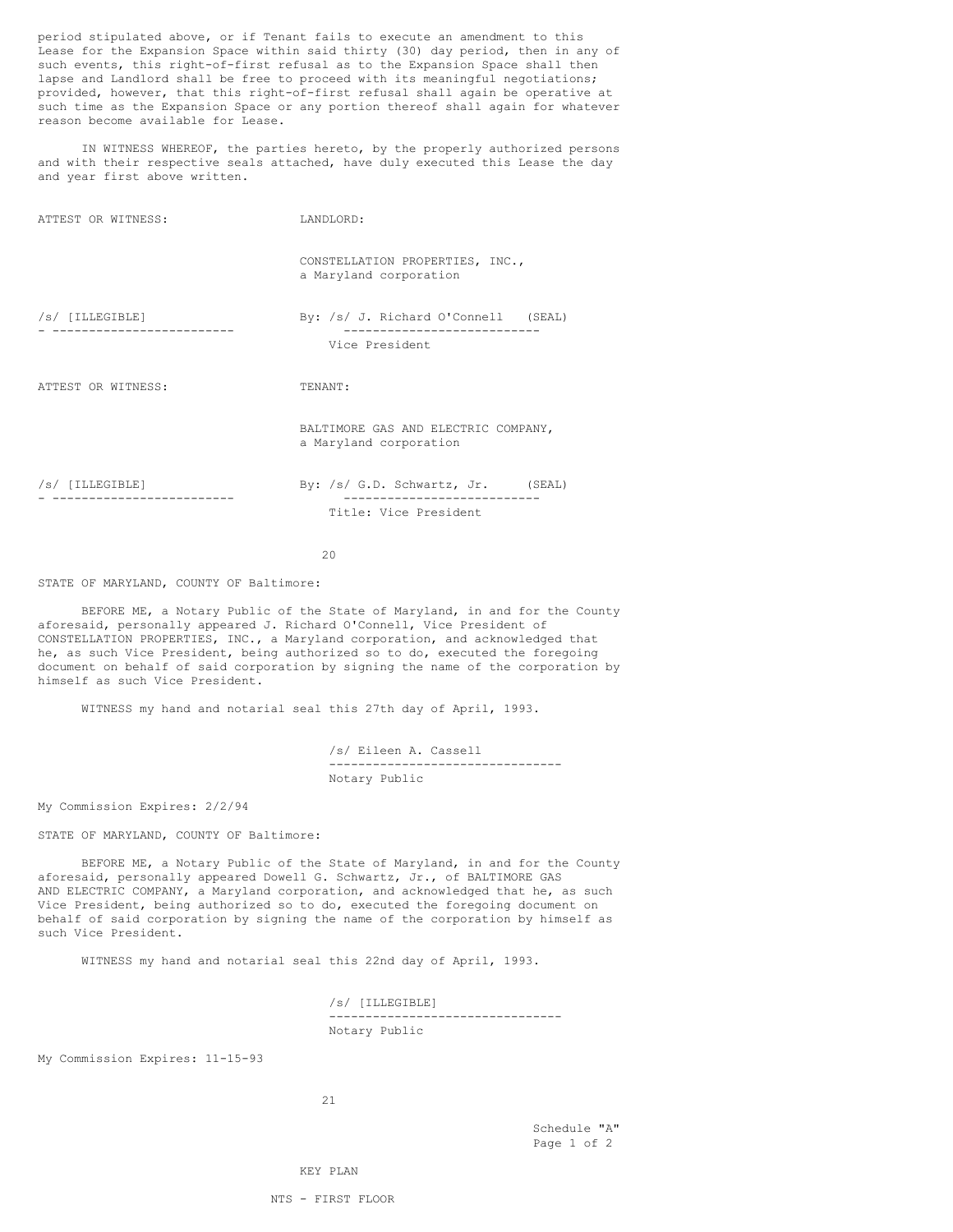period stipulated above, or if Tenant fails to execute an amendment to this Lease for the Expansion Space within said thirty (30) day period, then in any of such events, this right-of-first refusal as to the Expansion Space shall then lapse and Landlord shall be free to proceed with its meaningful negotiations; provided, however, that this right-of-first refusal shall again be operative at such time as the Expansion Space or any portion thereof shall again for whatever reason become available for Lease.

IN WITNESS WHEREOF, the parties hereto, by the properly authorized persons and with their respective seals attached, have duly executed this Lease the day and year first above written.

| ATTEST OR WITNESS: | LANDLORD:                                                     |
|--------------------|---------------------------------------------------------------|
|                    | CONSTELLATION PROPERTIES, INC.,<br>a Maryland corporation     |
| $/s/$ [ILLEGIBLE]  | By: /s/ J. Richard O'Connell (SEAL)<br>Vice President         |
|                    |                                                               |
| ATTEST OR WITNESS: | TENANT:                                                       |
|                    | BALTIMORE GAS AND ELECTRIC COMPANY,<br>a Maryland corporation |
| /s/ [ILLEGIBLE]    | By: /s/ G.D. Schwartz, Jr. (SEAL)                             |
|                    | Title: Vice President                                         |
|                    |                                                               |

 $20$ 

### STATE OF MARYLAND, COUNTY OF Baltimore:

BEFORE ME, a Notary Public of the State of Maryland, in and for the County aforesaid, personally appeared J. Richard O'Connell, Vice President of CONSTELLATION PROPERTIES, INC., a Maryland corporation, and acknowledged that he, as such Vice President, being authorized so to do, executed the foregoing document on behalf of said corporation by signing the name of the corporation by himself as such Vice President.

WITNESS my hand and notarial seal this 27th day of April, 1993.

/s/ Eileen A. Cassell -------------------------------- Notary Public

My Commission Expires: 2/2/94

STATE OF MARYLAND, COUNTY OF Baltimore:

BEFORE ME, a Notary Public of the State of Maryland, in and for the County aforesaid, personally appeared Dowell G. Schwartz, Jr., of BALTIMORE GAS AND ELECTRIC COMPANY, a Maryland corporation, and acknowledged that he, as such Vice President, being authorized so to do, executed the foregoing document on behalf of said corporation by signing the name of the corporation by himself as such Vice President.

WITNESS my hand and notarial seal this 22nd day of April, 1993.

/s/ [ILLEGIBLE] -------------------------------- Notary Public

My Commission Expires: 11-15-93

21

Schedule "A" Page 1 of 2

KEY PLAN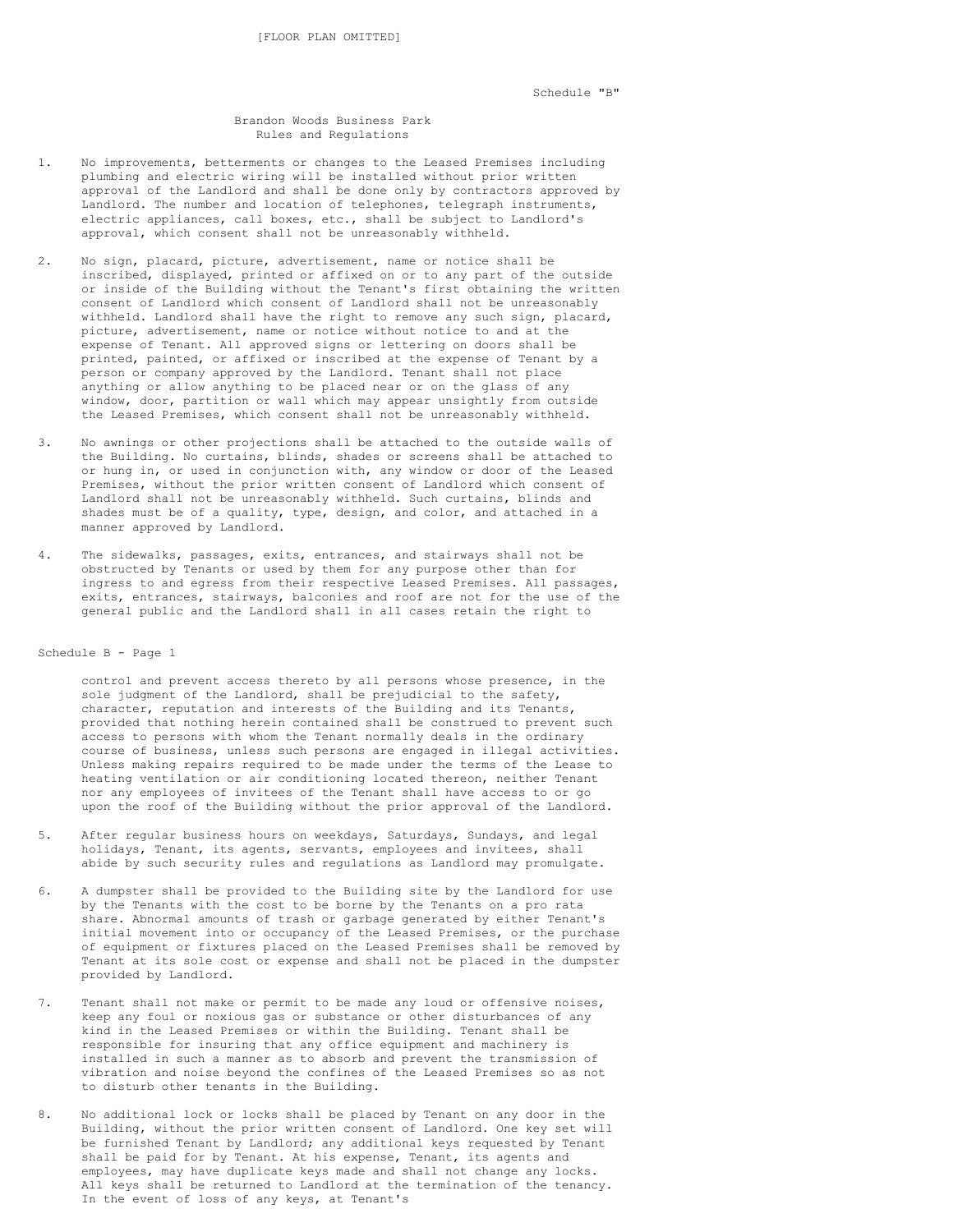Schedule "B"

### Brandon Woods Business Park Rules and Regulations

- 1. No improvements, betterments or changes to the Leased Premises including plumbing and electric wiring will be installed without prior written approval of the Landlord and shall be done only by contractors approved by Landlord. The number and location of telephones, telegraph instruments, electric appliances, call boxes, etc., shall be subject to Landlord's approval, which consent shall not be unreasonably withheld.
- 2. No sign, placard, picture, advertisement, name or notice shall be inscribed, displayed, printed or affixed on or to any part of the outside or inside of the Building without the Tenant's first obtaining the written consent of Landlord which consent of Landlord shall not be unreasonably withheld. Landlord shall have the right to remove any such sign, placard, picture, advertisement, name or notice without notice to and at the expense of Tenant. All approved signs or lettering on doors shall be printed, painted, or affixed or inscribed at the expense of Tenant by a person or company approved by the Landlord. Tenant shall not place anything or allow anything to be placed near or on the glass of any window, door, partition or wall which may appear unsightly from outside the Leased Premises, which consent shall not be unreasonably withheld.
- 3. No awnings or other projections shall be attached to the outside walls of the Building. No curtains, blinds, shades or screens shall be attached to or hung in, or used in conjunction with, any window or door of the Leased Premises, without the prior written consent of Landlord which consent of Landlord shall not be unreasonably withheld. Such curtains, blinds and shades must be of a quality, type, design, and color, and attached in a manner approved by Landlord.
- 4. The sidewalks, passages, exits, entrances, and stairways shall not be obstructed by Tenants or used by them for any purpose other than for ingress to and egress from their respective Leased Premises. All passages, exits, entrances, stairways, balconies and roof are not for the use of the general public and the Landlord shall in all cases retain the right to

## Schedule B - Page 1

control and prevent access thereto by all persons whose presence, in the sole judgment of the Landlord, shall be prejudicial to the safety, character, reputation and interests of the Building and its Tenants, provided that nothing herein contained shall be construed to prevent such access to persons with whom the Tenant normally deals in the ordinary course of business, unless such persons are engaged in illegal activities. Unless making repairs required to be made under the terms of the Lease to heating ventilation or air conditioning located thereon, neither Tenant nor any employees of invitees of the Tenant shall have access to or go upon the roof of the Building without the prior approval of the Landlord.

- 5. After regular business hours on weekdays, Saturdays, Sundays, and legal holidays, Tenant, its agents, servants, employees and invitees, shall abide by such security rules and regulations as Landlord may promulgate.
- 6. A dumpster shall be provided to the Building site by the Landlord for use by the Tenants with the cost to be borne by the Tenants on a pro rata share. Abnormal amounts of trash or garbage generated by either Tenant's initial movement into or occupancy of the Leased Premises, or the purchase of equipment or fixtures placed on the Leased Premises shall be removed by Tenant at its sole cost or expense and shall not be placed in the dumpster provided by Landlord.
- 7. Tenant shall not make or permit to be made any loud or offensive noises, keep any foul or noxious gas or substance or other disturbances of any kind in the Leased Premises or within the Building. Tenant shall be responsible for insuring that any office equipment and machinery is installed in such a manner as to absorb and prevent the transmission of vibration and noise beyond the confines of the Leased Premises so as not to disturb other tenants in the Building.
- 8. No additional lock or locks shall be placed by Tenant on any door in the Building, without the prior written consent of Landlord. One key set will be furnished Tenant by Landlord; any additional keys requested by Tenant shall be paid for by Tenant. At his expense, Tenant, its agents and employees, may have duplicate keys made and shall not change any locks. All keys shall be returned to Landlord at the termination of the tenancy. In the event of loss of any keys, at Tenant's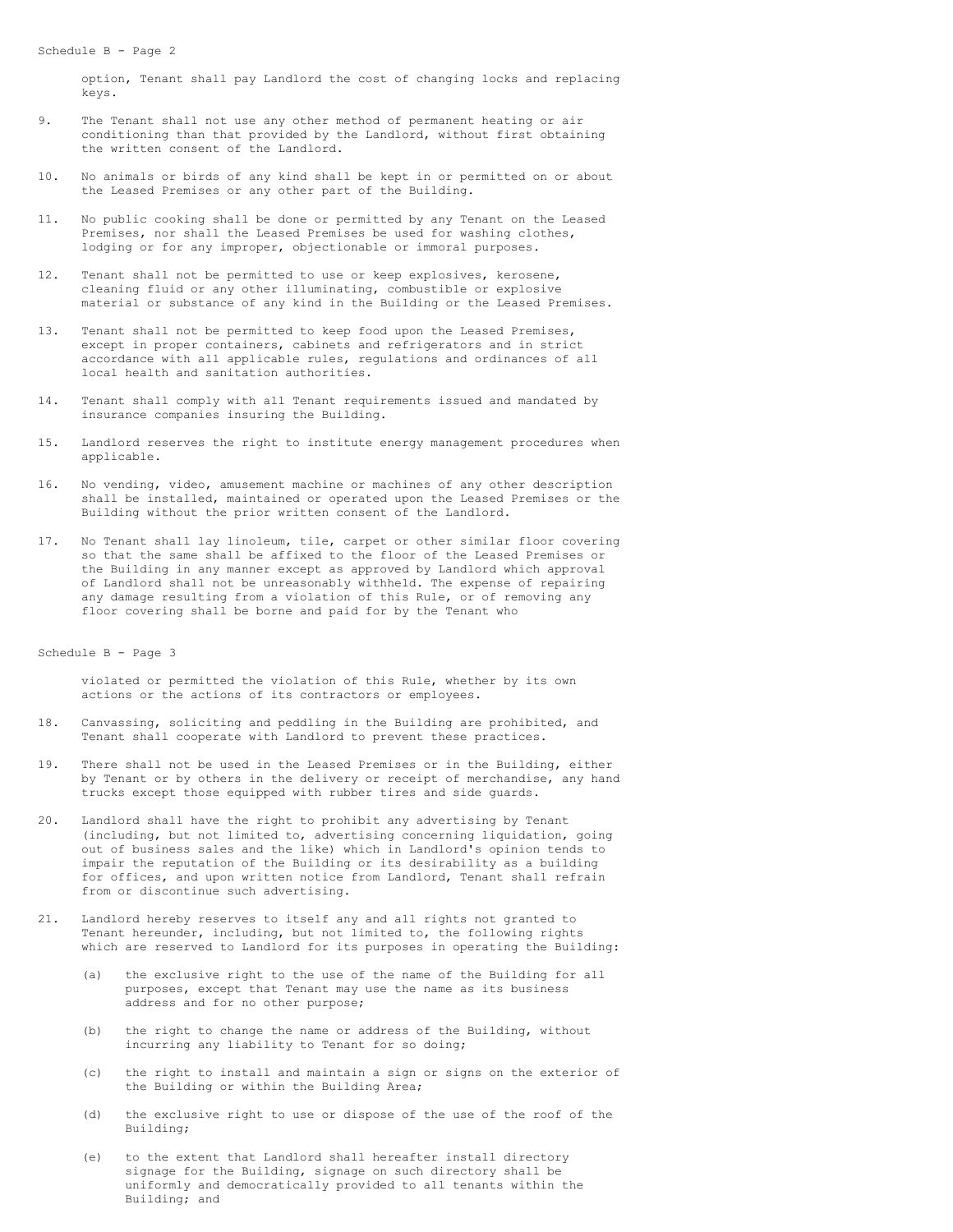option, Tenant shall pay Landlord the cost of changing locks and replacing keys.

- 9. The Tenant shall not use any other method of permanent heating or air conditioning than that provided by the Landlord, without first obtaining the written consent of the Landlord.
- 10. No animals or birds of any kind shall be kept in or permitted on or about the Leased Premises or any other part of the Building.
- 11. No public cooking shall be done or permitted by any Tenant on the Leased Premises, nor shall the Leased Premises be used for washing clothes, lodging or for any improper, objectionable or immoral purposes.
- 12. Tenant shall not be permitted to use or keep explosives, kerosene, cleaning fluid or any other illuminating, combustible or explosive material or substance of any kind in the Building or the Leased Premises.
- 13. Tenant shall not be permitted to keep food upon the Leased Premises, except in proper containers, cabinets and refrigerators and in strict accordance with all applicable rules, regulations and ordinances of all local health and sanitation authorities.
- 14. Tenant shall comply with all Tenant requirements issued and mandated by insurance companies insuring the Building.
- 15. Landlord reserves the right to institute energy management procedures when applicable.
- 16. No vending, video, amusement machine or machines of any other description shall be installed, maintained or operated upon the Leased Premises or the Building without the prior written consent of the Landlord.
- 17. No Tenant shall lay linoleum, tile, carpet or other similar floor covering so that the same shall be affixed to the floor of the Leased Premises or the Building in any manner except as approved by Landlord which approval of Landlord shall not be unreasonably withheld. The expense of repairing any damage resulting from a violation of this Rule, or of removing any floor covering shall be borne and paid for by the Tenant who

Schedule B - Page 3

violated or permitted the violation of this Rule, whether by its own actions or the actions of its contractors or employees.

- 18. Canvassing, soliciting and peddling in the Building are prohibited, and Tenant shall cooperate with Landlord to prevent these practices.
- 19. There shall not be used in the Leased Premises or in the Building, either by Tenant or by others in the delivery or receipt of merchandise, any hand trucks except those equipped with rubber tires and side guards.
- 20. Landlord shall have the right to prohibit any advertising by Tenant (including, but not limited to, advertising concerning liquidation, going out of business sales and the like) which in Landlord's opinion tends to impair the reputation of the Building or its desirability as a building for offices, and upon written notice from Landlord, Tenant shall refrain from or discontinue such advertising.
- 21. Landlord hereby reserves to itself any and all rights not granted to Tenant hereunder, including, but not limited to, the following rights which are reserved to Landlord for its purposes in operating the Building:
	- (a) the exclusive right to the use of the name of the Building for all purposes, except that Tenant may use the name as its business address and for no other purpose;
	- (b) the right to change the name or address of the Building, without incurring any liability to Tenant for so doing;
	- (c) the right to install and maintain a sign or signs on the exterior of the Building or within the Building Area;
	- (d) the exclusive right to use or dispose of the use of the roof of the Building;
	- (e) to the extent that Landlord shall hereafter install directory signage for the Building, signage on such directory shall be uniformly and democratically provided to all tenants within the Building; and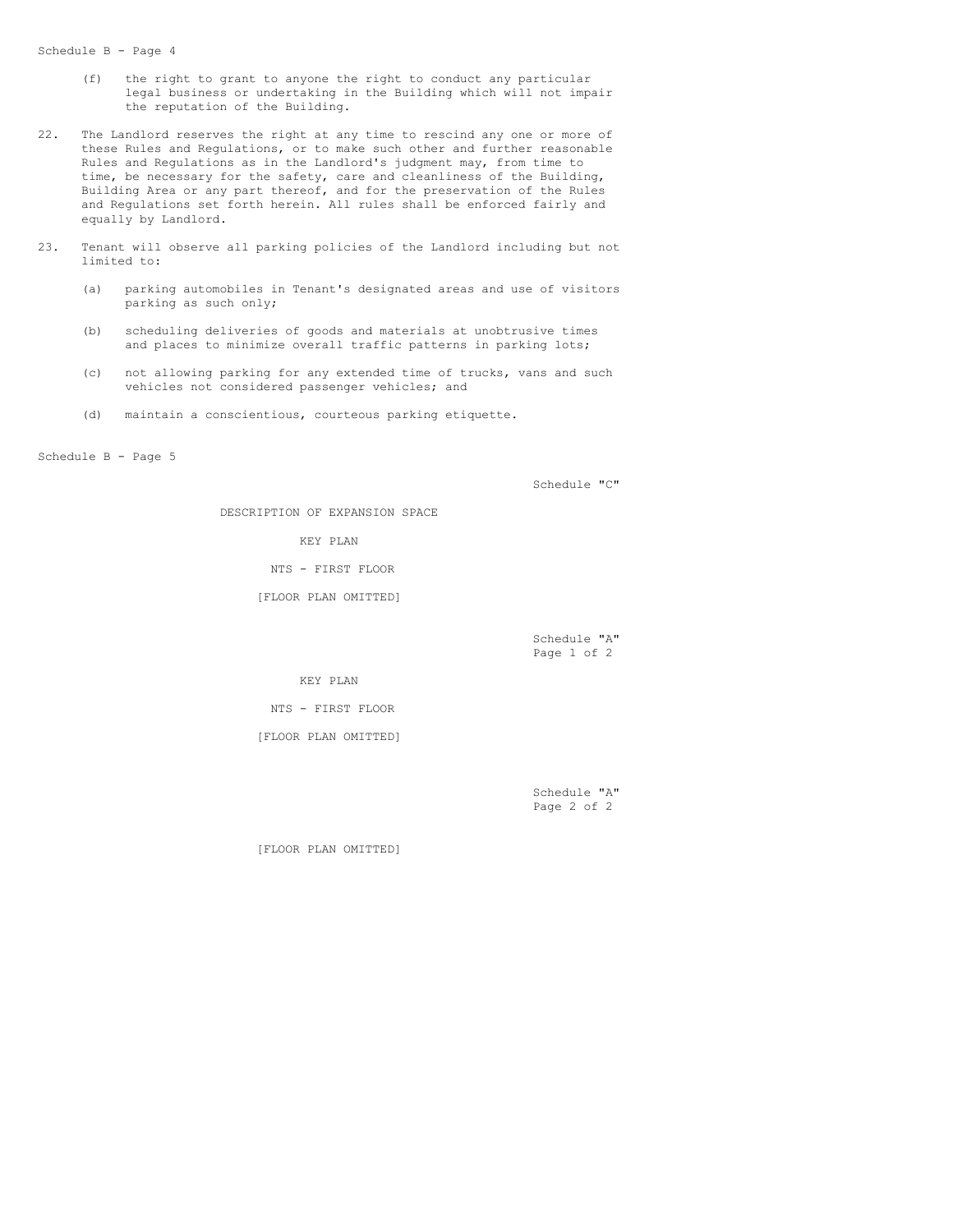### Schedule B - Page 4

- (f) the right to grant to anyone the right to conduct any particular legal business or undertaking in the Building which will not impair the reputation of the Building.
- 22. The Landlord reserves the right at any time to rescind any one or more of these Rules and Regulations, or to make such other and further reasonable Rules and Regulations as in the Landlord's judgment may, from time to time, be necessary for the safety, care and cleanliness of the Building, Building Area or any part thereof, and for the preservation of the Rules and Regulations set forth herein. All rules shall be enforced fairly and equally by Landlord.
- 23. Tenant will observe all parking policies of the Landlord including but not limited to:
	- (a) parking automobiles in Tenant's designated areas and use of visitors parking as such only;
	- (b) scheduling deliveries of goods and materials at unobtrusive times and places to minimize overall traffic patterns in parking lots;
	- (c) not allowing parking for any extended time of trucks, vans and such vehicles not considered passenger vehicles; and
	- (d) maintain a conscientious, courteous parking etiquette.

Schedule B - Page 5

Schedule "C"

DESCRIPTION OF EXPANSION SPACE

KEY PLAN

NTS - FIRST FLOOR

[FLOOR PLAN OMITTED]

Schedule "A" Page 1 of 2

KEY PLAN

NTS - FIRST FLOOR

[FLOOR PLAN OMITTED]

Schedule "A" Page 2 of 2

[FLOOR PLAN OMITTED]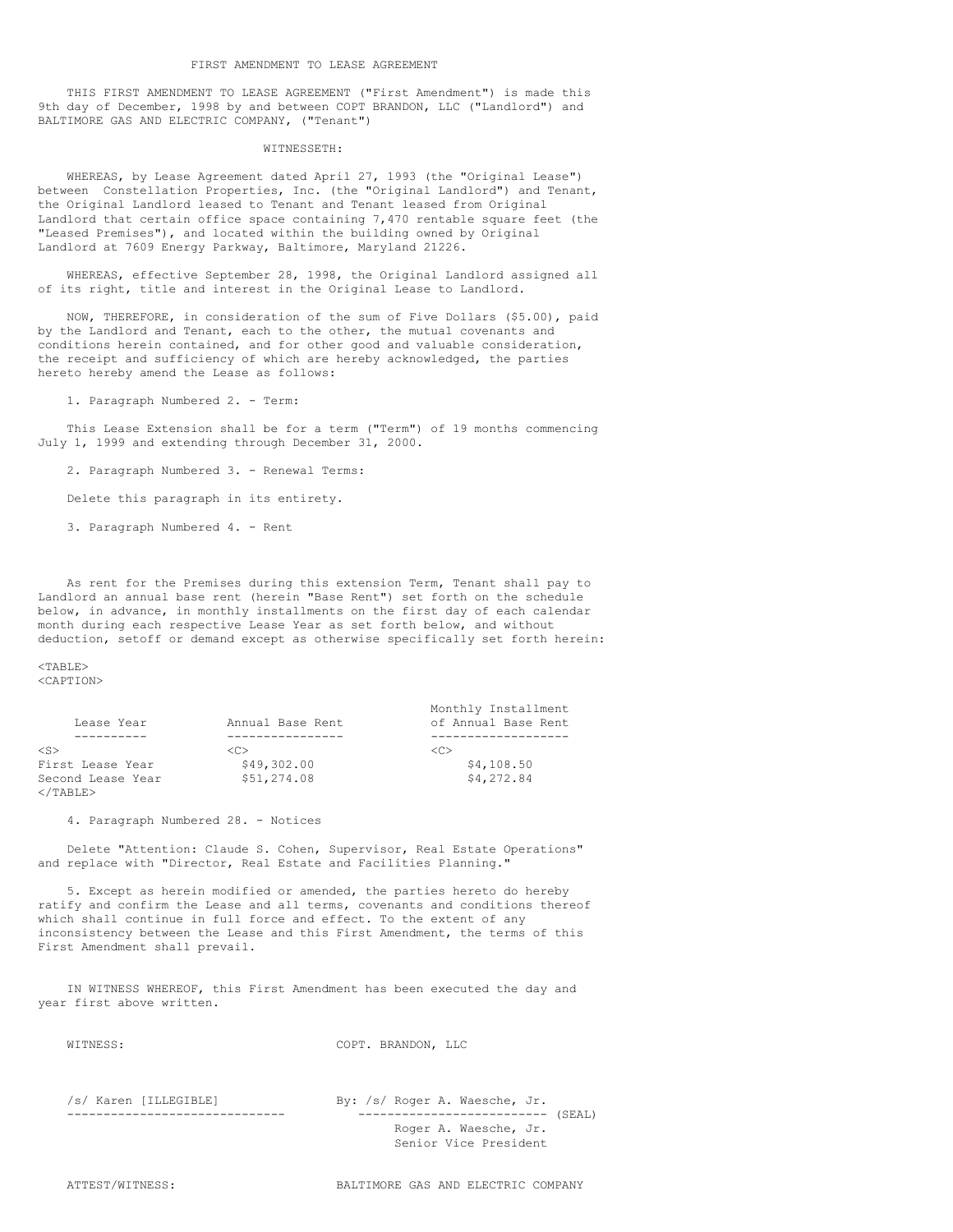THIS FIRST AMENDMENT TO LEASE AGREEMENT ("First Amendment") is made this 9th day of December, 1998 by and between COPT BRANDON, LLC ("Landlord") and BALTIMORE GAS AND ELECTRIC COMPANY, ("Tenant")

# WITNESSETH:

WHEREAS, by Lease Agreement dated April 27, 1993 (the "Original Lease") between Constellation Properties, Inc. (the "Original Landlord") and Tenant, the Original Landlord leased to Tenant and Tenant leased from Original Landlord that certain office space containing 7,470 rentable square feet (the "Leased Premises"), and located within the building owned by Original Landlord at 7609 Energy Parkway, Baltimore, Maryland 21226.

WHEREAS, effective September 28, 1998, the Original Landlord assigned all of its right, title and interest in the Original Lease to Landlord.

NOW, THEREFORE, in consideration of the sum of Five Dollars (\$5.00), paid by the Landlord and Tenant, each to the other, the mutual covenants and conditions herein contained, and for other good and valuable consideration, the receipt and sufficiency of which are hereby acknowledged, the parties hereto hereby amend the Lease as follows:

1. Paragraph Numbered 2. - Term:

This Lease Extension shall be for a term ("Term") of 19 months commencing July 1, 1999 and extending through December 31, 2000.

2. Paragraph Numbered 3. - Renewal Terms:

Delete this paragraph in its entirety.

3. Paragraph Numbered 4. - Rent

As rent for the Premises during this extension Term, Tenant shall pay to Landlord an annual base rent (herein "Base Rent") set forth on the schedule below, in advance, in monthly installments on the first day of each calendar month during each respective Lease Year as set forth below, and without deduction, setoff or demand except as otherwise specifically set forth herein:

 $<$ TABLE> <CAPTION>

|                   |                  | Monthly Installment |
|-------------------|------------------|---------------------|
| Lease Year        | Annual Base Rent | of Annual Base Rent |
|                   |                  |                     |
| $<$ S $>$         | くC>              | -100                |
| First Lease Year  | \$49,302.00      | \$4,108.50          |
| Second Lease Year | \$51,274.08      | \$4,272.84          |
| $\langle$ /TABLE> |                  |                     |

4. Paragraph Numbered 28. - Notices

Delete "Attention: Claude S. Cohen, Supervisor, Real Estate Operations" and replace with "Director, Real Estate and Facilities Planning."

5. Except as herein modified or amended, the parties hereto do hereby ratify and confirm the Lease and all terms, covenants and conditions thereof which shall continue in full force and effect. To the extent of any inconsistency between the Lease and this First Amendment, the terms of this First Amendment shall prevail.

IN WITNESS WHEREOF, this First Amendment has been executed the day and year first above written.

| WITNESS: |  |
|----------|--|
|----------|--|

COPT. BRANDON, LLC

| /s/ Karen [ILLEGIBLE] | By: /s/ Roger A. Waesche, Jr.          |
|-----------------------|----------------------------------------|
|                       | (SEAL)<br>---------------------------- |
|                       | Roger A. Waesche, Jr.                  |
|                       | Senior Vice President                  |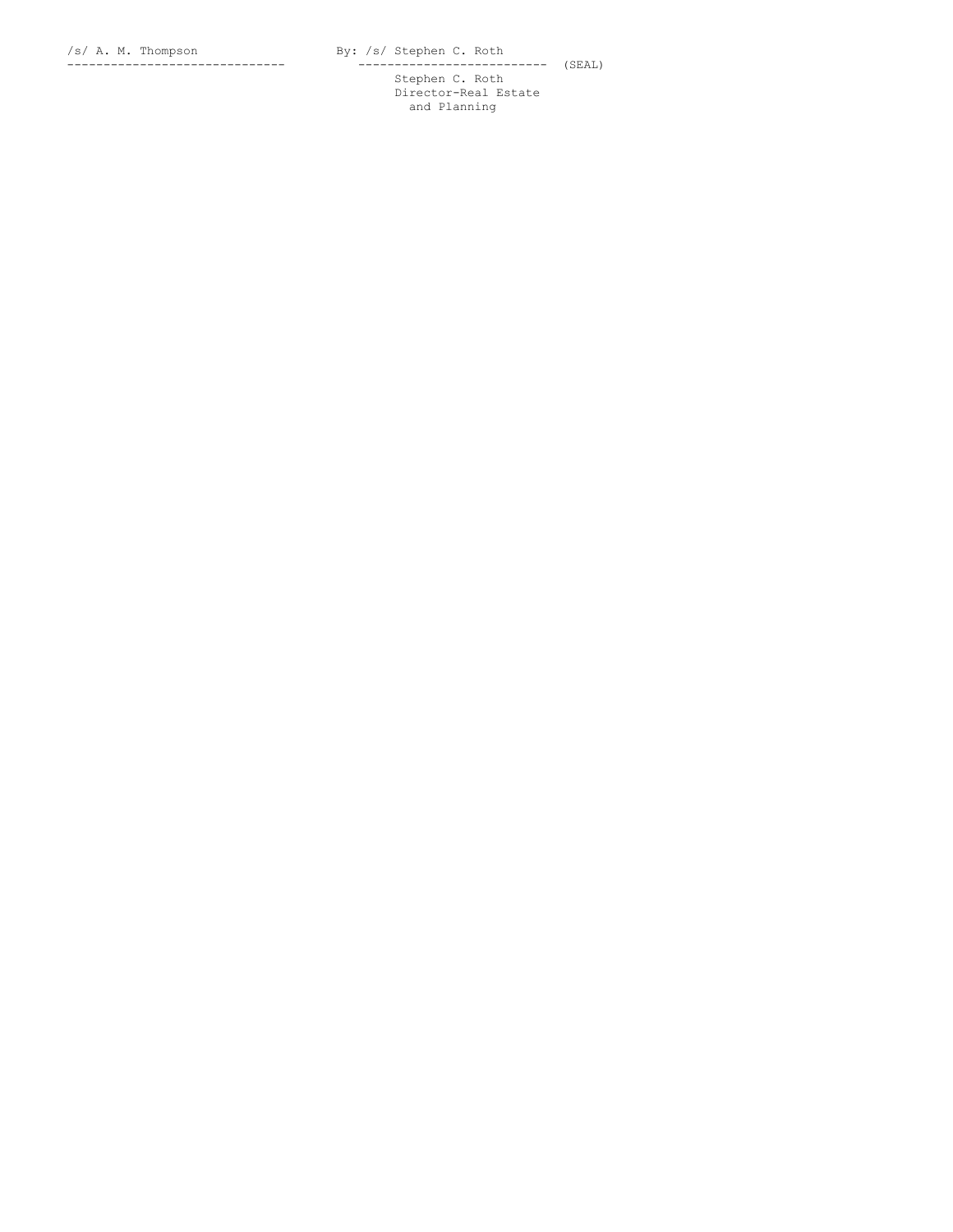- - - - - - - - - - - - - - - - - - - - - - - - - - - - - - - - - - - - - - - - - - - - - - - - - - ------ (SEAL) Stephen C. Roth Director-Real Estate and Planning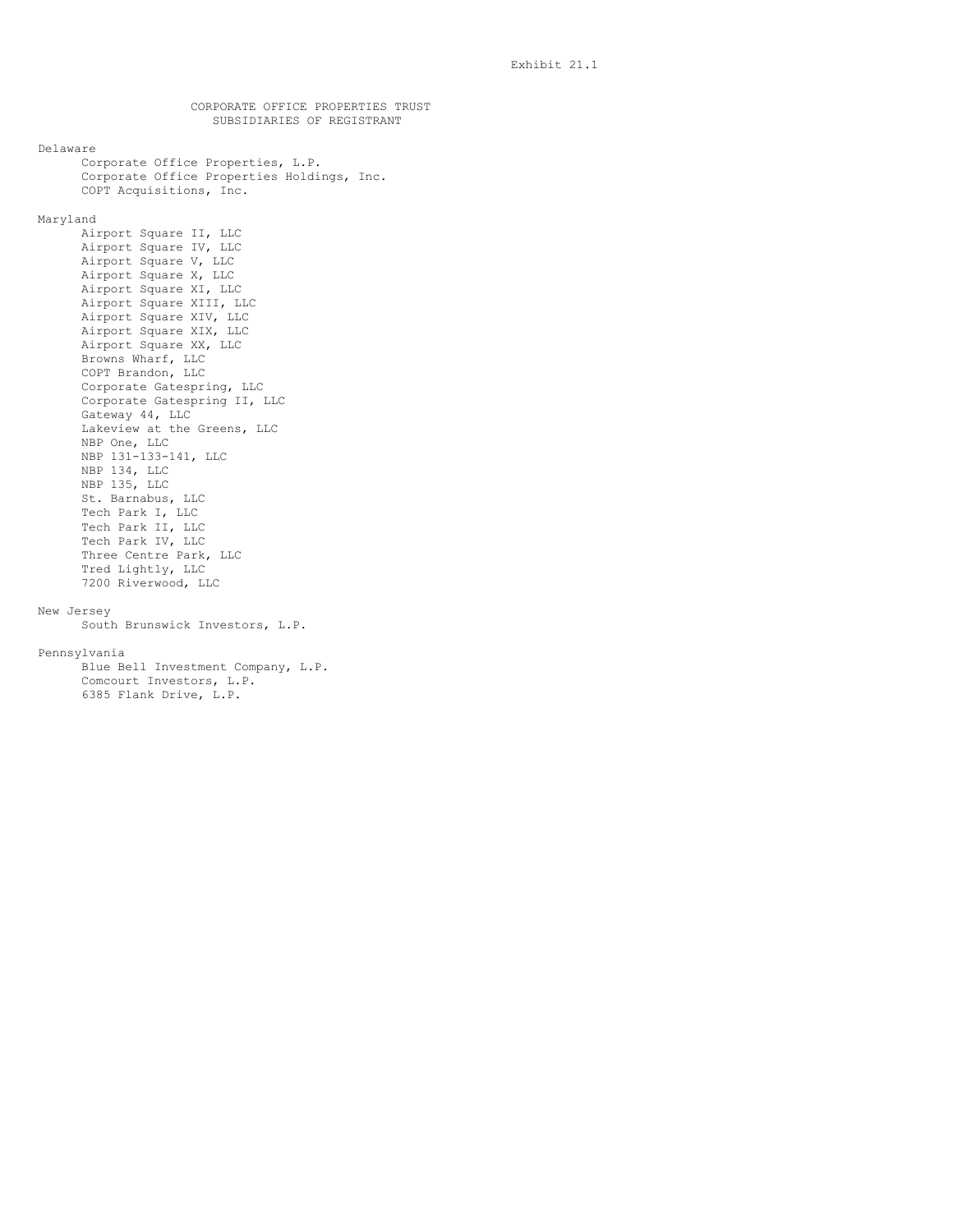CORPORATE OFFICE PROPERTIES TRUST SUBSIDIARIES OF REGISTRANT Delaware Corporate Office Properties, L.P. Corporate Office Properties Holdings, Inc. COPT Acquisitions, Inc. Maryland Airport Square II, LLC Airport Square IV, LLC Airport Square V, LLC Airport Square X, LLC Airport Square XI, LLC Airport Square XIII, LLC Airport Square XIV, LLC Airport Square XIX, LLC Airport Square XX, LLC Browns Wharf, LLC COPT Brandon, LLC Corporate Gatespring, LLC Corporate Gatespring II, LLC Gateway 44, LLC Lakeview at the Greens, LLC NBP One, LLC NBP 131-133-141, LLC NBP 134, LLC NBP 135, LLC St. Barnabus, LLC Tech Park I, LLC Tech Park II, LLC Tech Park IV, LLC Three Centre Park, LLC Tred Lightly, LLC 7200 Riverwood, LLC New Jersey South Brunswick Investors, L.P. Pennsylvania Blue Bell Investment Company, L.P. Comcourt Investors, L.P. 6385 Flank Drive, L.P.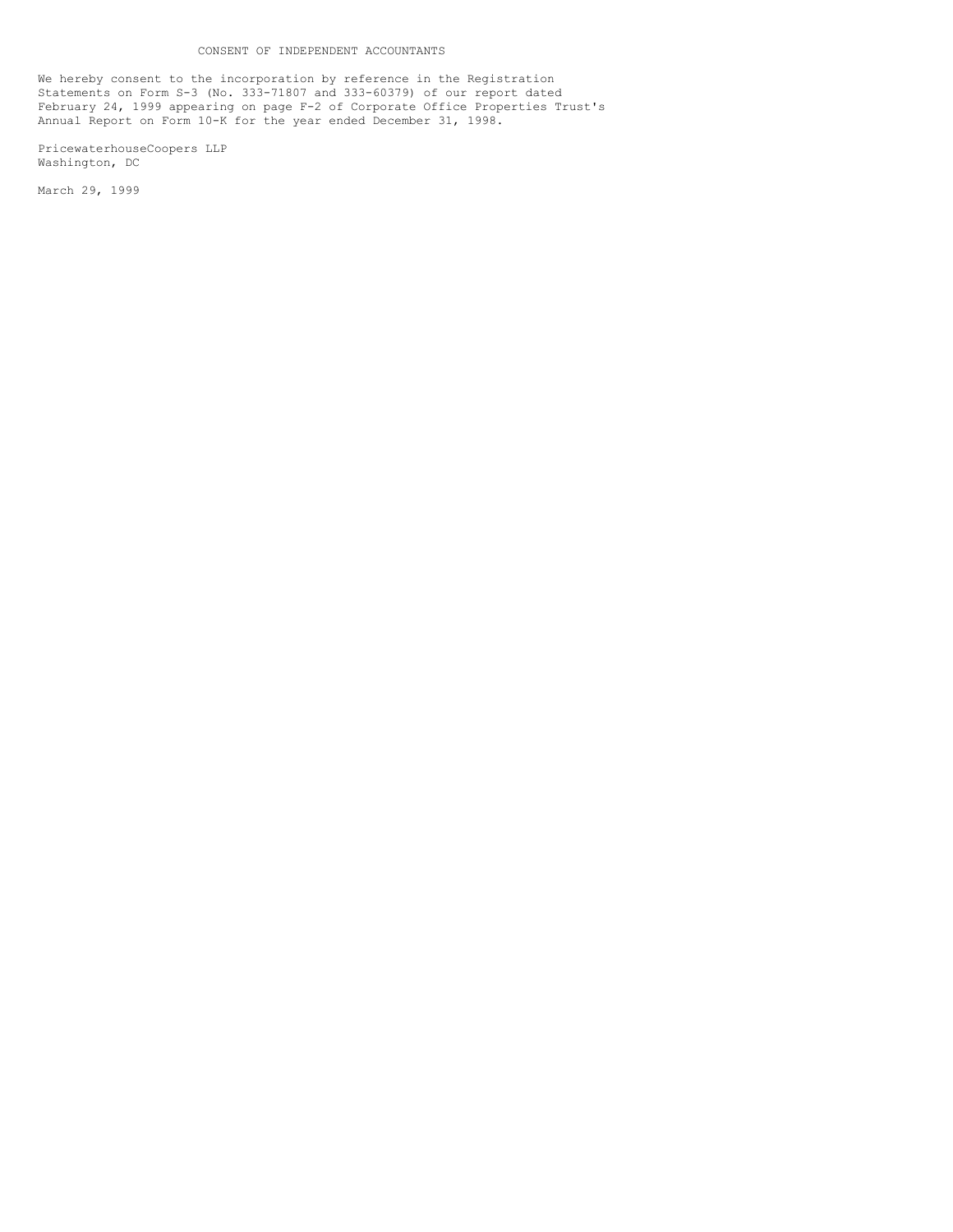We hereby consent to the incorporation by reference in the Registration Statements on Form S-3 (No. 333-71807 and 333-60379) of our report dated February 24, 1999 appearing on page F-2 of Corporate Office Properties Trust's Annual Report on Form 10-K for the year ended December 31, 1998.

PricewaterhouseCoopers LLP Washington, DC

March 29, 1999